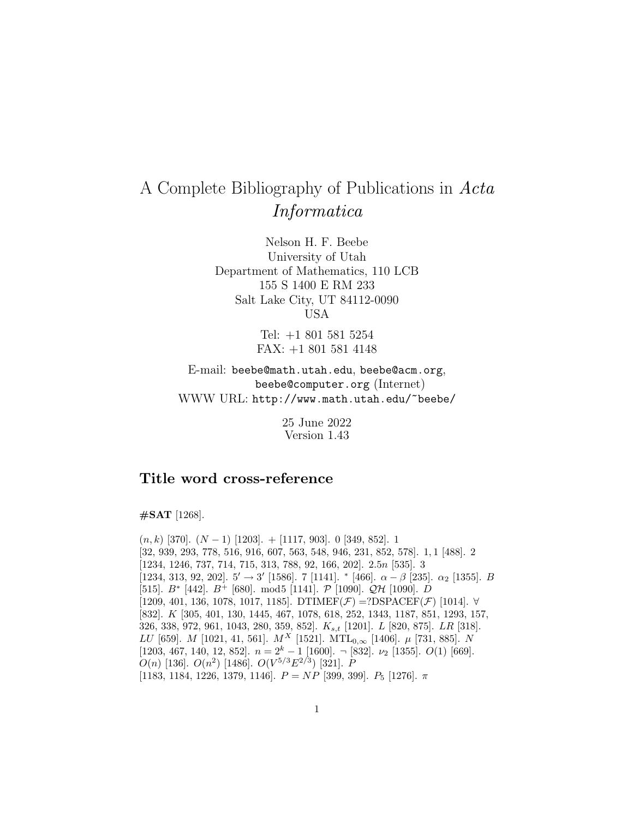# A Complete Bibliography of Publications in Acta Informatica

Nelson H. F. Beebe University of Utah Department of Mathematics, 110 LCB 155 S 1400 E RM 233 Salt Lake City, UT 84112-0090 USA

> Tel: +1 801 581 5254 FAX: +1 801 581 4148

E-mail: beebe@math.utah.edu, beebe@acm.org, beebe@computer.org (Internet) WWW URL: http://www.math.utah.edu/~beebe/

> 25 June 2022 Version 1.43

# **Title word cross-reference**

**#SAT** [1268].

 $(n, k)$  [370].  $(N - 1)$  [1203]. + [1117, 903]. 0 [349, 852]. 1 [32, 939, 293, 778, 516, 916, 607, 563, 548, 946, 231, 852, 578]. 1, 1 [488]. 2 [1234, 1246, 737, 714, 715, 313, 788, 92, 166, 202]. 2.5n [535]. 3 [1234, 313, 92, 202].  $5' \rightarrow 3'$  [1586]. 7 [1141]. \* [466].  $\alpha - \beta$  [235].  $\alpha_2$  [1355]. B [515].  $B^*$  [442].  $B^+$  [680]. mod5 [1141].  $\mathcal{P}$  [1090].  $\mathcal{QH}$  [1090].  $D$ [1209, 401, 136, 1078, 1017, 1185]. DTIMEF(F) =?DSPACEF(F) [1014]. ∀ [832]. K [305, 401, 130, 1445, 467, 1078, 618, 252, 1343, 1187, 851, 1293, 157, 326, 338, 972, 961, 1043, 280, 359, 852].  $K_{s,t}$  [1201].  $L$  [820, 875].  $LR$  [318]. LU [659]. M [1021, 41, 561].  $M^X$  [1521]. MTL<sub>0,∞</sub> [1406].  $\mu$  [731, 885]. N  $[1203, 467, 140, 12, 852]$ .  $n = 2<sup>k</sup> - 1$   $[1600]$ .  $\neg$   $[832]$ .  $\nu_2$   $[1355]$ .  $O(1)$   $[669]$ .  $O(n)$  [136].  $O(n^2)$  [1486].  $O(V^{5/3}E^{2/3})$  [321]. P [1183, 1184, 1226, 1379, 1146].  $P = NP$  [399, 399].  $P_5$  [1276].  $\pi$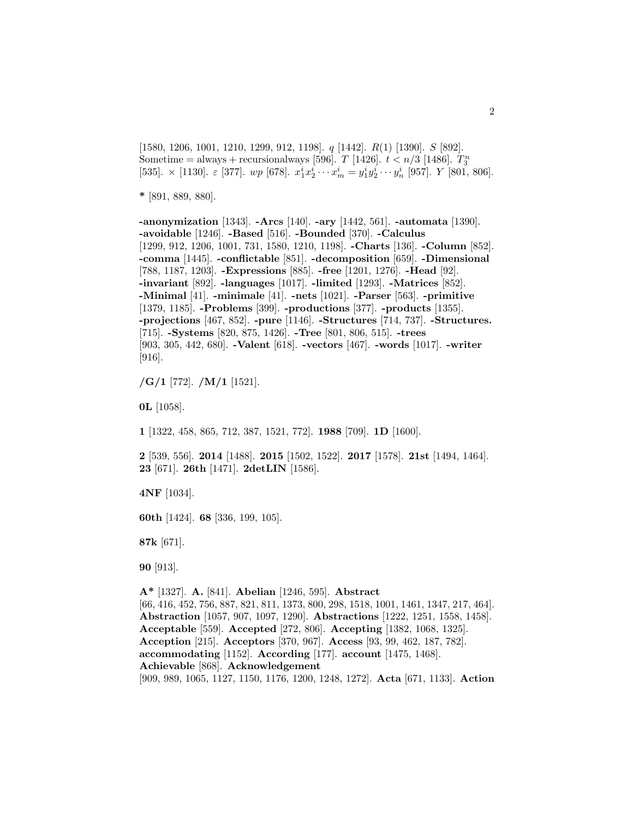[1580, 1206, 1001, 1210, 1299, 912, 1198]. q [1442]. R(1) [1390]. S [892]. Sometime = always + recursionalways [596].  $T$  [1426].  $t < n/3$  [1486].  $T_3^n$ [535].  $\times$  [1130].  $\varepsilon$  [377].  $wp$  [678].  $x_1^ix_2^i\cdots x_m^i = y_1^iy_2^i\cdots y_n^i$  [957].  $Y$  [801, 806].

**\*** [891, 889, 880].

**-anonymization** [1343]. **-Arcs** [140]. **-ary** [1442, 561]. **-automata** [1390]. **-avoidable** [1246]. **-Based** [516]. **-Bounded** [370]. **-Calculus** [1299, 912, 1206, 1001, 731, 1580, 1210, 1198]. **-Charts** [136]. **-Column** [852]. **-comma** [1445]. **-conflictable** [851]. **-decomposition** [659]. **-Dimensional** [788, 1187, 1203]. **-Expressions** [885]. **-free** [1201, 1276]. **-Head** [92]. **-invariant** [892]. **-languages** [1017]. **-limited** [1293]. **-Matrices** [852]. **-Minimal** [41]. **-minimale** [41]. **-nets** [1021]. **-Parser** [563]. **-primitive** [1379, 1185]. **-Problems** [399]. **-productions** [377]. **-products** [1355]. **-projections** [467, 852]. **-pure** [1146]. **-Structures** [714, 737]. **-Structures.** [715]. **-Systems** [820, 875, 1426]. **-Tree** [801, 806, 515]. **-trees** [903, 305, 442, 680]. **-Valent** [618]. **-vectors** [467]. **-words** [1017]. **-writer** [916].

**/G/1** [772]. **/M/1** [1521].

**0L** [1058].

**1** [1322, 458, 865, 712, 387, 1521, 772]. **1988** [709]. **1D** [1600].

**2** [539, 556]. **2014** [1488]. **2015** [1502, 1522]. **2017** [1578]. **21st** [1494, 1464]. **23** [671]. **26th** [1471]. **2detLIN** [1586].

**4NF** [1034].

**60th** [1424]. **68** [336, 199, 105].

**87k** [671].

**90** [913].

**A\*** [1327]. **A.** [841]. **Abelian** [1246, 595]. **Abstract** [66, 416, 452, 756, 887, 821, 811, 1373, 800, 298, 1518, 1001, 1461, 1347, 217, 464]. **Abstraction** [1057, 907, 1097, 1290]. **Abstractions** [1222, 1251, 1558, 1458]. **Acceptable** [559]. **Accepted** [272, 806]. **Accepting** [1382, 1068, 1325]. **Acception** [215]. **Acceptors** [370, 967]. **Access** [93, 99, 462, 187, 782]. **accommodating** [1152]. **According** [177]. **account** [1475, 1468]. **Achievable** [868]. **Acknowledgement** [909, 989, 1065, 1127, 1150, 1176, 1200, 1248, 1272]. **Acta** [671, 1133]. **Action**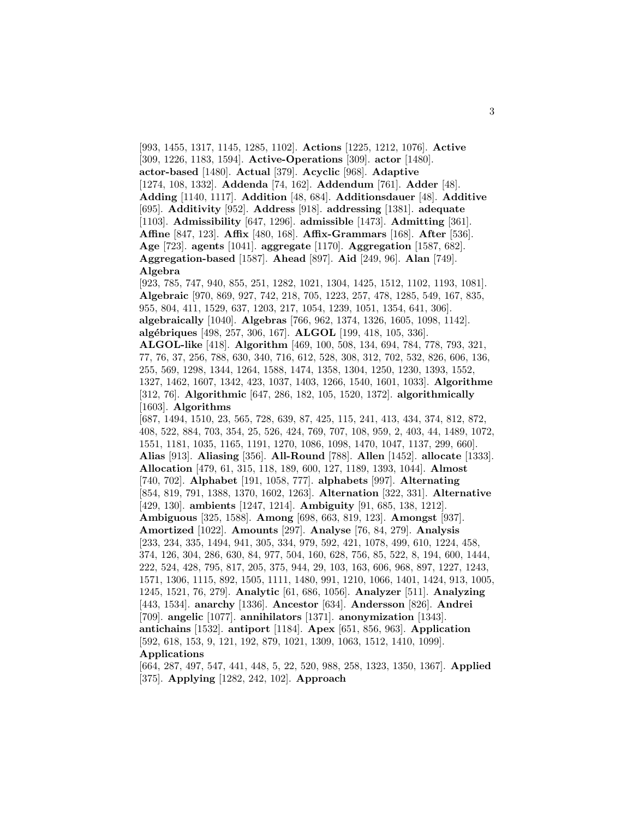[993, 1455, 1317, 1145, 1285, 1102]. **Actions** [1225, 1212, 1076]. **Active** [309, 1226, 1183, 1594]. **Active-Operations** [309]. **actor** [1480]. **actor-based** [1480]. **Actual** [379]. **Acyclic** [968]. **Adaptive** [1274, 108, 1332]. **Addenda** [74, 162]. **Addendum** [761]. **Adder** [48]. **Adding** [1140, 1117]. **Addition** [48, 684]. **Additionsdauer** [48]. **Additive** [695]. **Additivity** [952]. **Address** [918]. **addressing** [1381]. **adequate** [1103]. **Admissibility** [647, 1296]. **admissible** [1473]. **Admitting** [361]. **Affine** [847, 123]. **Affix** [480, 168]. **Affix-Grammars** [168]. **After** [536]. **Age** [723]. **agents** [1041]. **aggregate** [1170]. **Aggregation** [1587, 682]. **Aggregation-based** [1587]. **Ahead** [897]. **Aid** [249, 96]. **Alan** [749]. **Algebra** [923, 785, 747, 940, 855, 251, 1282, 1021, 1304, 1425, 1512, 1102, 1193, 1081]. **Algebraic** [970, 869, 927, 742, 218, 705, 1223, 257, 478, 1285, 549, 167, 835, 955, 804, 411, 1529, 637, 1203, 217, 1054, 1239, 1051, 1354, 641, 306]. **algebraically** [1040]. **Algebras** [766, 962, 1374, 1326, 1605, 1098, 1142]. **alg´ebriques** [498, 257, 306, 167]. **ALGOL** [199, 418, 105, 336]. **ALGOL-like** [418]. **Algorithm** [469, 100, 508, 134, 694, 784, 778, 793, 321, 77, 76, 37, 256, 788, 630, 340, 716, 612, 528, 308, 312, 702, 532, 826, 606, 136, 255, 569, 1298, 1344, 1264, 1588, 1474, 1358, 1304, 1250, 1230, 1393, 1552, 1327, 1462, 1607, 1342, 423, 1037, 1403, 1266, 1540, 1601, 1033]. **Algorithme** [312, 76]. **Algorithmic** [647, 286, 182, 105, 1520, 1372]. **algorithmically** [1603]. **Algorithms** [687, 1494, 1510, 23, 565, 728, 639, 87, 425, 115, 241, 413, 434, 374, 812, 872, 408, 522, 884, 703, 354, 25, 526, 424, 769, 707, 108, 959, 2, 403, 44, 1489, 1072, 1551, 1181, 1035, 1165, 1191, 1270, 1086, 1098, 1470, 1047, 1137, 299, 660]. **Alias** [913]. **Aliasing** [356]. **All-Round** [788]. **Allen** [1452]. **allocate** [1333]. **Allocation** [479, 61, 315, 118, 189, 600, 127, 1189, 1393, 1044]. **Almost** [740, 702]. **Alphabet** [191, 1058, 777]. **alphabets** [997]. **Alternating** [854, 819, 791, 1388, 1370, 1602, 1263]. **Alternation** [322, 331]. **Alternative** [429, 130]. **ambients** [1247, 1214]. **Ambiguity** [91, 685, 138, 1212]. **Ambiguous** [325, 1588]. **Among** [698, 663, 819, 123]. **Amongst** [937]. **Amortized** [1022]. **Amounts** [297]. **Analyse** [76, 84, 279]. **Analysis** [233, 234, 335, 1494, 941, 305, 334, 979, 592, 421, 1078, 499, 610, 1224, 458, 374, 126, 304, 286, 630, 84, 977, 504, 160, 628, 756, 85, 522, 8, 194, 600, 1444, 222, 524, 428, 795, 817, 205, 375, 944, 29, 103, 163, 606, 968, 897, 1227, 1243, 1571, 1306, 1115, 892, 1505, 1111, 1480, 991, 1210, 1066, 1401, 1424, 913, 1005, 1245, 1521, 76, 279]. **Analytic** [61, 686, 1056]. **Analyzer** [511]. **Analyzing** [443, 1534]. **anarchy** [1336]. **Ancestor** [634]. **Andersson** [826]. **Andrei** [709]. **angelic** [1077]. **annihilators** [1371]. **anonymization** [1343]. **antichains** [1532]. **antiport** [1184]. **Apex** [651, 856, 963]. **Application** [592, 618, 153, 9, 121, 192, 879, 1021, 1309, 1063, 1512, 1410, 1099]. **Applications**

[664, 287, 497, 547, 441, 448, 5, 22, 520, 988, 258, 1323, 1350, 1367]. **Applied** [375]. **Applying** [1282, 242, 102]. **Approach**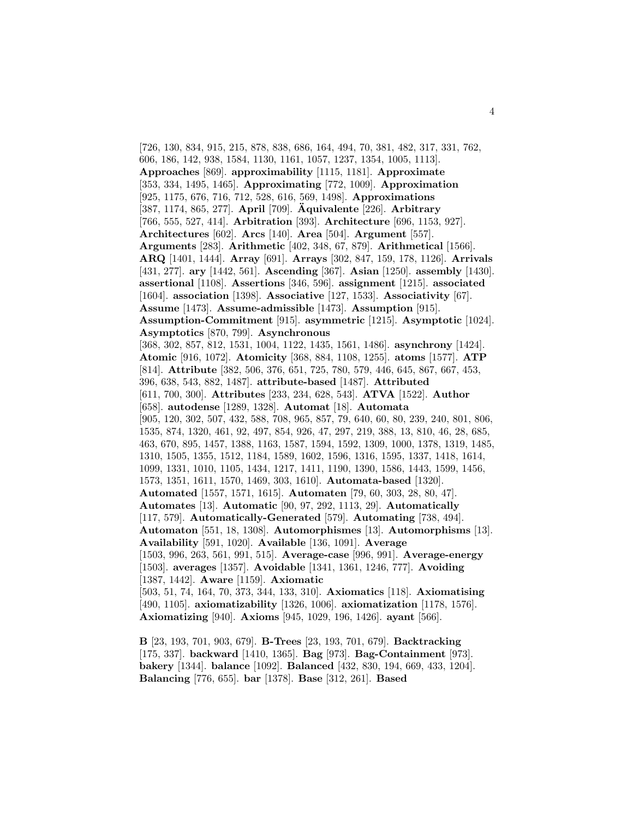[726, 130, 834, 915, 215, 878, 838, 686, 164, 494, 70, 381, 482, 317, 331, 762, 606, 186, 142, 938, 1584, 1130, 1161, 1057, 1237, 1354, 1005, 1113]. **Approaches** [869]. **approximability** [1115, 1181]. **Approximate** [353, 334, 1495, 1465]. **Approximating** [772, 1009]. **Approximation** [925, 1175, 676, 716, 712, 528, 616, 569, 1498]. **Approximations** [387, 1174, 865, 277]. **April** [709]. **Aquivalente** [226]. **Arbitrary** [766, 555, 527, 414]. **Arbitration** [393]. **Architecture** [696, 1153, 927]. **Architectures** [602]. **Arcs** [140]. **Area** [504]. **Argument** [557]. **Arguments** [283]. **Arithmetic** [402, 348, 67, 879]. **Arithmetical** [1566]. **ARQ** [1401, 1444]. **Array** [691]. **Arrays** [302, 847, 159, 178, 1126]. **Arrivals** [431, 277]. **ary** [1442, 561]. **Ascending** [367]. **Asian** [1250]. **assembly** [1430]. **assertional** [1108]. **Assertions** [346, 596]. **assignment** [1215]. **associated** [1604]. **association** [1398]. **Associative** [127, 1533]. **Associativity** [67]. **Assume** [1473]. **Assume-admissible** [1473]. **Assumption** [915]. **Assumption-Commitment** [915]. **asymmetric** [1215]. **Asymptotic** [1024]. **Asymptotics** [870, 799]. **Asynchronous** [368, 302, 857, 812, 1531, 1004, 1122, 1435, 1561, 1486]. **asynchrony** [1424]. **Atomic** [916, 1072]. **Atomicity** [368, 884, 1108, 1255]. **atoms** [1577]. **ATP** [814]. **Attribute** [382, 506, 376, 651, 725, 780, 579, 446, 645, 867, 667, 453, 396, 638, 543, 882, 1487]. **attribute-based** [1487]. **Attributed** [611, 700, 300]. **Attributes** [233, 234, 628, 543]. **ATVA** [1522]. **Author** [658]. **autodense** [1289, 1328]. **Automat** [18]. **Automata** [905, 120, 302, 507, 432, 588, 708, 965, 857, 79, 640, 60, 80, 239, 240, 801, 806, 1535, 874, 1320, 461, 92, 497, 854, 926, 47, 297, 219, 388, 13, 810, 46, 28, 685, 463, 670, 895, 1457, 1388, 1163, 1587, 1594, 1592, 1309, 1000, 1378, 1319, 1485, 1310, 1505, 1355, 1512, 1184, 1589, 1602, 1596, 1316, 1595, 1337, 1418, 1614, 1099, 1331, 1010, 1105, 1434, 1217, 1411, 1190, 1390, 1586, 1443, 1599, 1456, 1573, 1351, 1611, 1570, 1469, 303, 1610]. **Automata-based** [1320]. **Automated** [1557, 1571, 1615]. **Automaten** [79, 60, 303, 28, 80, 47]. **Automates** [13]. **Automatic** [90, 97, 292, 1113, 29]. **Automatically** [117, 579]. **Automatically-Generated** [579]. **Automating** [738, 494]. **Automaton** [551, 18, 1308]. **Automorphismes** [13]. **Automorphisms** [13]. **Availability** [591, 1020]. **Available** [136, 1091]. **Average** [1503, 996, 263, 561, 991, 515]. **Average-case** [996, 991]. **Average-energy** [1503]. **averages** [1357]. **Avoidable** [1341, 1361, 1246, 777]. **Avoiding** [1387, 1442]. **Aware** [1159]. **Axiomatic** [503, 51, 74, 164, 70, 373, 344, 133, 310]. **Axiomatics** [118]. **Axiomatising** [490, 1105]. **axiomatizability** [1326, 1006]. **axiomatization** [1178, 1576]. **Axiomatizing** [940]. **Axioms** [945, 1029, 196, 1426]. **ayant** [566].

**B** [23, 193, 701, 903, 679]. **B-Trees** [23, 193, 701, 679]. **Backtracking** [175, 337]. **backward** [1410, 1365]. **Bag** [973]. **Bag-Containment** [973]. **bakery** [1344]. **balance** [1092]. **Balanced** [432, 830, 194, 669, 433, 1204]. **Balancing** [776, 655]. **bar** [1378]. **Base** [312, 261]. **Based**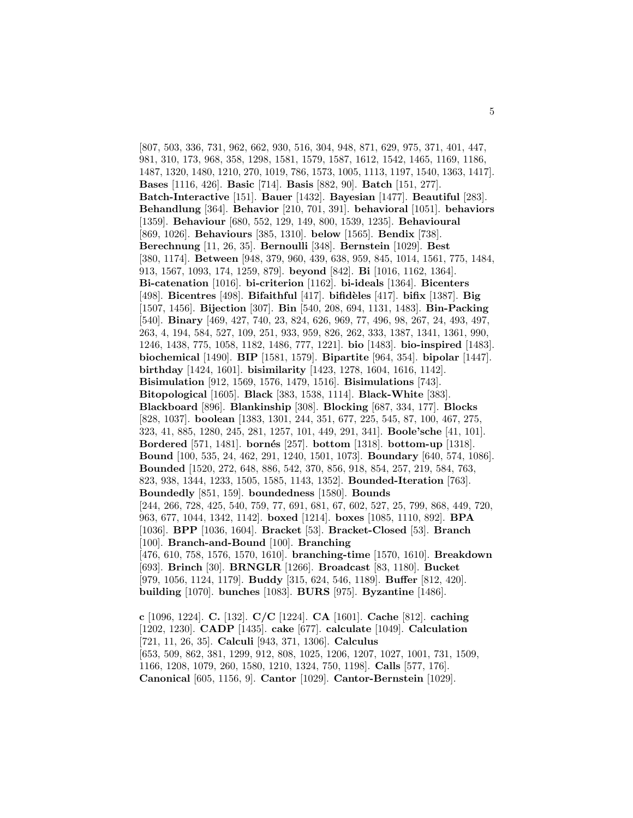[807, 503, 336, 731, 962, 662, 930, 516, 304, 948, 871, 629, 975, 371, 401, 447, 981, 310, 173, 968, 358, 1298, 1581, 1579, 1587, 1612, 1542, 1465, 1169, 1186, 1487, 1320, 1480, 1210, 270, 1019, 786, 1573, 1005, 1113, 1197, 1540, 1363, 1417]. **Bases** [1116, 426]. **Basic** [714]. **Basis** [882, 90]. **Batch** [151, 277]. **Batch-Interactive** [151]. **Bauer** [1432]. **Bayesian** [1477]. **Beautiful** [283]. **Behandlung** [364]. **Behavior** [210, 701, 391]. **behavioral** [1051]. **behaviors** [1359]. **Behaviour** [680, 552, 129, 149, 800, 1539, 1235]. **Behavioural** [869, 1026]. **Behaviours** [385, 1310]. **below** [1565]. **Bendix** [738]. **Berechnung** [11, 26, 35]. **Bernoulli** [348]. **Bernstein** [1029]. **Best** [380, 1174]. **Between** [948, 379, 960, 439, 638, 959, 845, 1014, 1561, 775, 1484, 913, 1567, 1093, 174, 1259, 879]. **beyond** [842]. **Bi** [1016, 1162, 1364]. **Bi-catenation** [1016]. **bi-criterion** [1162]. **bi-ideals** [1364]. **Bicenters** [498]. **Bicentres** [498]. **Bifaithful** [417]. **bifid`eles** [417]. **bifix** [1387]. **Big** [1507, 1456]. **Bijection** [307]. **Bin** [540, 208, 694, 1131, 1483]. **Bin-Packing** [540]. **Binary** [469, 427, 740, 23, 824, 626, 969, 77, 496, 98, 267, 24, 493, 497, 263, 4, 194, 584, 527, 109, 251, 933, 959, 826, 262, 333, 1387, 1341, 1361, 990, 1246, 1438, 775, 1058, 1182, 1486, 777, 1221]. **bio** [1483]. **bio-inspired** [1483]. **biochemical** [1490]. **BIP** [1581, 1579]. **Bipartite** [964, 354]. **bipolar** [1447]. **birthday** [1424, 1601]. **bisimilarity** [1423, 1278, 1604, 1616, 1142]. **Bisimulation** [912, 1569, 1576, 1479, 1516]. **Bisimulations** [743]. **Bitopological** [1605]. **Black** [383, 1538, 1114]. **Black-White** [383]. **Blackboard** [896]. **Blankinship** [308]. **Blocking** [687, 334, 177]. **Blocks** [828, 1037]. **boolean** [1383, 1301, 244, 351, 677, 225, 545, 87, 100, 467, 275, 323, 41, 885, 1280, 245, 281, 1257, 101, 449, 291, 341]. **Boole'sche** [41, 101]. **Bordered** [571, 1481]. **born´es** [257]. **bottom** [1318]. **bottom-up** [1318]. **Bound** [100, 535, 24, 462, 291, 1240, 1501, 1073]. **Boundary** [640, 574, 1086]. **Bounded** [1520, 272, 648, 886, 542, 370, 856, 918, 854, 257, 219, 584, 763, 823, 938, 1344, 1233, 1505, 1585, 1143, 1352]. **Bounded-Iteration** [763]. **Boundedly** [851, 159]. **boundedness** [1580]. **Bounds** [244, 266, 728, 425, 540, 759, 77, 691, 681, 67, 602, 527, 25, 799, 868, 449, 720, 963, 677, 1044, 1342, 1142]. **boxed** [1214]. **boxes** [1085, 1110, 892]. **BPA** [1036]. **BPP** [1036, 1604]. **Bracket** [53]. **Bracket-Closed** [53]. **Branch** [100]. **Branch-and-Bound** [100]. **Branching** [476, 610, 758, 1576, 1570, 1610]. **branching-time** [1570, 1610]. **Breakdown** [693]. **Brinch** [30]. **BRNGLR** [1266]. **Broadcast** [83, 1180]. **Bucket** [979, 1056, 1124, 1179]. **Buddy** [315, 624, 546, 1189]. **Buffer** [812, 420]. **building** [1070]. **bunches** [1083]. **BURS** [975]. **Byzantine** [1486].

**c** [1096, 1224]. **C.** [132]. **C/C** [1224]. **CA** [1601]. **Cache** [812]. **caching** [1202, 1230]. **CADP** [1435]. **cake** [677]. **calculate** [1049]. **Calculation** [721, 11, 26, 35]. **Calculi** [943, 371, 1306]. **Calculus** [653, 509, 862, 381, 1299, 912, 808, 1025, 1206, 1207, 1027, 1001, 731, 1509, 1166, 1208, 1079, 260, 1580, 1210, 1324, 750, 1198]. **Calls** [577, 176]. **Canonical** [605, 1156, 9]. **Cantor** [1029]. **Cantor-Bernstein** [1029].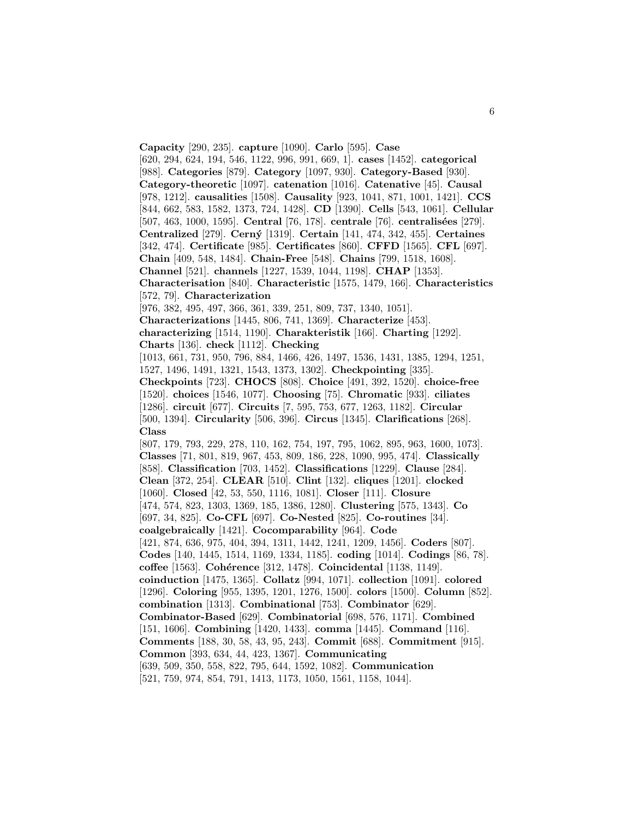**Capacity** [290, 235]. **capture** [1090]. **Carlo** [595]. **Case** [620, 294, 624, 194, 546, 1122, 996, 991, 669, 1]. **cases** [1452]. **categorical** [988]. **Categories** [879]. **Category** [1097, 930]. **Category-Based** [930]. **Category-theoretic** [1097]. **catenation** [1016]. **Catenative** [45]. **Causal** [978, 1212]. **causalities** [1508]. **Causality** [923, 1041, 871, 1001, 1421]. **CCS** [844, 662, 583, 1582, 1373, 724, 1428]. **CD** [1390]. **Cells** [543, 1061]. **Cellular** [507, 463, 1000, 1595]. **Central** [76, 178]. **centrale** [76]. **centralisées** [279]. **Centralized** [279]. **Cern´y** [1319]. **Certain** [141, 474, 342, 455]. **Certaines** [342, 474]. **Certificate** [985]. **Certificates** [860]. **CFFD** [1565]. **CFL** [697]. **Chain** [409, 548, 1484]. **Chain-Free** [548]. **Chains** [799, 1518, 1608]. **Channel** [521]. **channels** [1227, 1539, 1044, 1198]. **CHAP** [1353]. **Characterisation** [840]. **Characteristic** [1575, 1479, 166]. **Characteristics** [572, 79]. **Characterization** [976, 382, 495, 497, 366, 361, 339, 251, 809, 737, 1340, 1051]. **Characterizations** [1445, 806, 741, 1369]. **Characterize** [453]. **characterizing** [1514, 1190]. **Charakteristik** [166]. **Charting** [1292]. **Charts** [136]. **check** [1112]. **Checking** [1013, 661, 731, 950, 796, 884, 1466, 426, 1497, 1536, 1431, 1385, 1294, 1251, 1527, 1496, 1491, 1321, 1543, 1373, 1302]. **Checkpointing** [335]. **Checkpoints** [723]. **CHOCS** [808]. **Choice** [491, 392, 1520]. **choice-free** [1520]. **choices** [1546, 1077]. **Choosing** [75]. **Chromatic** [933]. **ciliates** [1286]. **circuit** [677]. **Circuits** [7, 595, 753, 677, 1263, 1182]. **Circular** [500, 1394]. **Circularity** [506, 396]. **Circus** [1345]. **Clarifications** [268]. **Class** [807, 179, 793, 229, 278, 110, 162, 754, 197, 795, 1062, 895, 963, 1600, 1073]. **Classes** [71, 801, 819, 967, 453, 809, 186, 228, 1090, 995, 474]. **Classically** [858]. **Classification** [703, 1452]. **Classifications** [1229]. **Clause** [284]. **Clean** [372, 254]. **CLEAR** [510]. **Clint** [132]. **cliques** [1201]. **clocked** [1060]. **Closed** [42, 53, 550, 1116, 1081]. **Closer** [111]. **Closure** [474, 574, 823, 1303, 1369, 185, 1386, 1280]. **Clustering** [575, 1343]. **Co** [697, 34, 825]. **Co-CFL** [697]. **Co-Nested** [825]. **Co-routines** [34]. **coalgebraically** [1421]. **Cocomparability** [964]. **Code** [421, 874, 636, 975, 404, 394, 1311, 1442, 1241, 1209, 1456]. **Coders** [807]. **Codes** [140, 1445, 1514, 1169, 1334, 1185]. **coding** [1014]. **Codings** [86, 78]. **coffee** [1563]. **Coh´erence** [312, 1478]. **Coincidental** [1138, 1149]. **coinduction** [1475, 1365]. **Collatz** [994, 1071]. **collection** [1091]. **colored** [1296]. **Coloring** [955, 1395, 1201, 1276, 1500]. **colors** [1500]. **Column** [852]. **combination** [1313]. **Combinational** [753]. **Combinator** [629]. **Combinator-Based** [629]. **Combinatorial** [698, 576, 1171]. **Combined** [151, 1606]. **Combining** [1420, 1433]. **comma** [1445]. **Command** [116]. **Comments** [188, 30, 58, 43, 95, 243]. **Commit** [688]. **Commitment** [915]. **Common** [393, 634, 44, 423, 1367]. **Communicating** [639, 509, 350, 558, 822, 795, 644, 1592, 1082]. **Communication** [521, 759, 974, 854, 791, 1413, 1173, 1050, 1561, 1158, 1044].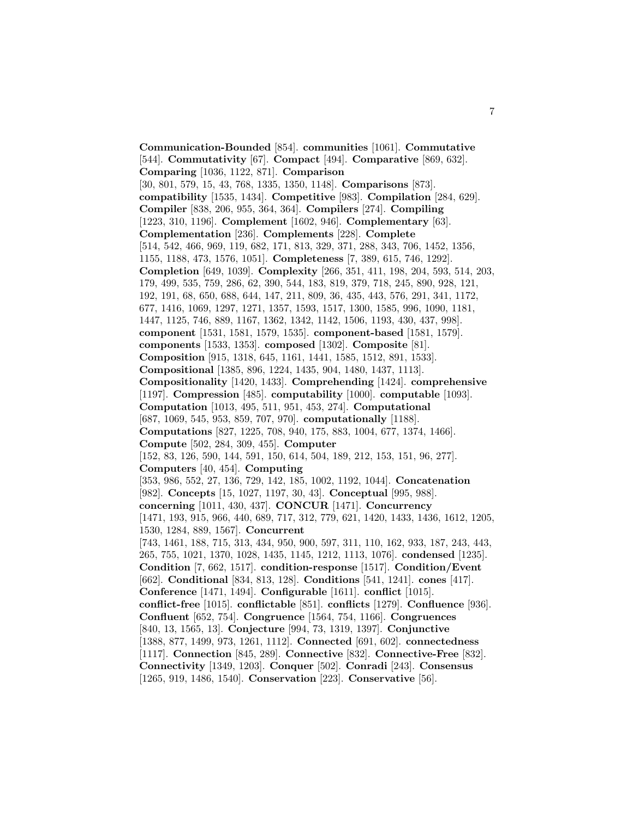**Communication-Bounded** [854]. **communities** [1061]. **Commutative** [544]. **Commutativity** [67]. **Compact** [494]. **Comparative** [869, 632]. **Comparing** [1036, 1122, 871]. **Comparison** [30, 801, 579, 15, 43, 768, 1335, 1350, 1148]. **Comparisons** [873]. **compatibility** [1535, 1434]. **Competitive** [983]. **Compilation** [284, 629]. **Compiler** [838, 206, 955, 364, 364]. **Compilers** [274]. **Compiling** [1223, 310, 1196]. **Complement** [1602, 946]. **Complementary** [63]. **Complementation** [236]. **Complements** [228]. **Complete** [514, 542, 466, 969, 119, 682, 171, 813, 329, 371, 288, 343, 706, 1452, 1356, 1155, 1188, 473, 1576, 1051]. **Completeness** [7, 389, 615, 746, 1292]. **Completion** [649, 1039]. **Complexity** [266, 351, 411, 198, 204, 593, 514, 203, 179, 499, 535, 759, 286, 62, 390, 544, 183, 819, 379, 718, 245, 890, 928, 121, 192, 191, 68, 650, 688, 644, 147, 211, 809, 36, 435, 443, 576, 291, 341, 1172, 677, 1416, 1069, 1297, 1271, 1357, 1593, 1517, 1300, 1585, 996, 1090, 1181, 1447, 1125, 746, 889, 1167, 1362, 1342, 1142, 1506, 1193, 430, 437, 998]. **component** [1531, 1581, 1579, 1535]. **component-based** [1581, 1579]. **components** [1533, 1353]. **composed** [1302]. **Composite** [81]. **Composition** [915, 1318, 645, 1161, 1441, 1585, 1512, 891, 1533]. **Compositional** [1385, 896, 1224, 1435, 904, 1480, 1437, 1113]. **Compositionality** [1420, 1433]. **Comprehending** [1424]. **comprehensive** [1197]. **Compression** [485]. **computability** [1000]. **computable** [1093]. **Computation** [1013, 495, 511, 951, 453, 274]. **Computational** [687, 1069, 545, 953, 859, 707, 970]. **computationally** [1188]. **Computations** [827, 1225, 708, 940, 175, 883, 1004, 677, 1374, 1466]. **Compute** [502, 284, 309, 455]. **Computer** [152, 83, 126, 590, 144, 591, 150, 614, 504, 189, 212, 153, 151, 96, 277]. **Computers** [40, 454]. **Computing** [353, 986, 552, 27, 136, 729, 142, 185, 1002, 1192, 1044]. **Concatenation** [982]. **Concepts** [15, 1027, 1197, 30, 43]. **Conceptual** [995, 988]. **concerning** [1011, 430, 437]. **CONCUR** [1471]. **Concurrency** [1471, 193, 915, 966, 440, 689, 717, 312, 779, 621, 1420, 1433, 1436, 1612, 1205, 1530, 1284, 889, 1567]. **Concurrent** [743, 1461, 188, 715, 313, 434, 950, 900, 597, 311, 110, 162, 933, 187, 243, 443, 265, 755, 1021, 1370, 1028, 1435, 1145, 1212, 1113, 1076]. **condensed** [1235]. **Condition** [7, 662, 1517]. **condition-response** [1517]. **Condition/Event** [662]. **Conditional** [834, 813, 128]. **Conditions** [541, 1241]. **cones** [417]. **Conference** [1471, 1494]. **Configurable** [1611]. **conflict** [1015]. **conflict-free** [1015]. **conflictable** [851]. **conflicts** [1279]. **Confluence** [936]. **Confluent** [652, 754]. **Congruence** [1564, 754, 1166]. **Congruences** [840, 13, 1565, 13]. **Conjecture** [994, 73, 1319, 1397]. **Conjunctive** [1388, 877, 1499, 973, 1261, 1112]. **Connected** [691, 602]. **connectedness** [1117]. **Connection** [845, 289]. **Connective** [832]. **Connective-Free** [832]. **Connectivity** [1349, 1203]. **Conquer** [502]. **Conradi** [243]. **Consensus** [1265, 919, 1486, 1540]. **Conservation** [223]. **Conservative** [56].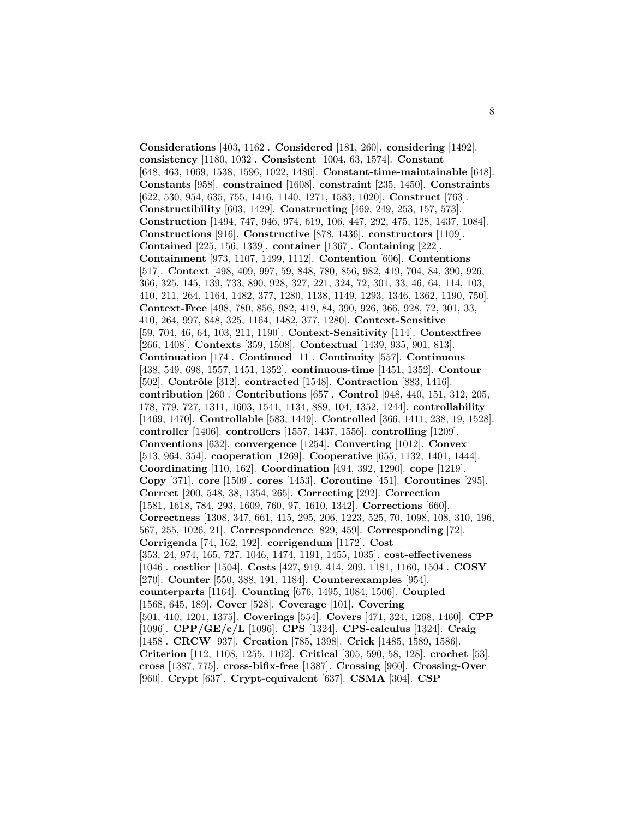**Considerations** [403, 1162]. **Considered** [181, 260]. **considering** [1492]. **consistency** [1180, 1032]. **Consistent** [1004, 63, 1574]. **Constant** [648, 463, 1069, 1538, 1596, 1022, 1486]. **Constant-time-maintainable** [648]. **Constants** [958]. **constrained** [1608]. **constraint** [235, 1450]. **Constraints** [622, 530, 954, 635, 755, 1416, 1140, 1271, 1583, 1020]. **Construct** [763]. **Constructibility** [603, 1429]. **Constructing** [469, 249, 253, 157, 573]. **Construction** [1494, 747, 946, 974, 619, 106, 447, 292, 475, 128, 1437, 1084]. **Constructions** [916]. **Constructive** [878, 1436]. **constructors** [1109]. **Contained** [225, 156, 1339]. **container** [1367]. **Containing** [222]. **Containment** [973, 1107, 1499, 1112]. **Contention** [606]. **Contentions** [517]. **Context** [498, 409, 997, 59, 848, 780, 856, 982, 419, 704, 84, 390, 926, 366, 325, 145, 139, 733, 890, 928, 327, 221, 324, 72, 301, 33, 46, 64, 114, 103, 410, 211, 264, 1164, 1482, 377, 1280, 1138, 1149, 1293, 1346, 1362, 1190, 750]. **Context-Free** [498, 780, 856, 982, 419, 84, 390, 926, 366, 928, 72, 301, 33, 410, 264, 997, 848, 325, 1164, 1482, 377, 1280]. **Context-Sensitive** [59, 704, 46, 64, 103, 211, 1190]. **Context-Sensitivity** [114]. **Contextfree** [266, 1408]. **Contexts** [359, 1508]. **Contextual** [1439, 935, 901, 813]. **Continuation** [174]. **Continued** [11]. **Continuity** [557]. **Continuous** [438, 549, 698, 1557, 1451, 1352]. **continuous-time** [1451, 1352]. **Contour** [502]. **Contrôle** [312]. **contracted** [1548]. **Contraction** [883, 1416]. **contribution** [260]. **Contributions** [657]. **Control** [948, 440, 151, 312, 205, 178, 779, 727, 1311, 1603, 1541, 1134, 889, 104, 1352, 1244]. **controllability** [1469, 1470]. **Controllable** [583, 1449]. **Controlled** [366, 1411, 238, 19, 1528]. **controller** [1406]. **controllers** [1557, 1437, 1556]. **controlling** [1209]. **Conventions** [632]. **convergence** [1254]. **Converting** [1012]. **Convex** [513, 964, 354]. **cooperation** [1269]. **Cooperative** [655, 1132, 1401, 1444]. **Coordinating** [110, 162]. **Coordination** [494, 392, 1290]. **cope** [1219]. **Copy** [371]. **core** [1509]. **cores** [1453]. **Coroutine** [451]. **Coroutines** [295]. **Correct** [200, 548, 38, 1354, 265]. **Correcting** [292]. **Correction** [1581, 1618, 784, 293, 1609, 760, 97, 1610, 1342]. **Corrections** [660]. **Correctness** [1308, 347, 661, 415, 295, 206, 1223, 525, 70, 1098, 108, 310, 196, 567, 255, 1026, 21]. **Correspondence** [829, 459]. **Corresponding** [72]. **Corrigenda** [74, 162, 192]. **corrigendum** [1172]. **Cost** [353, 24, 974, 165, 727, 1046, 1474, 1191, 1455, 1035]. **cost-effectiveness** [1046]. **costlier** [1504]. **Costs** [427, 919, 414, 209, 1181, 1160, 1504]. **COSY** [270]. **Counter** [550, 388, 191, 1184]. **Counterexamples** [954]. **counterparts** [1164]. **Counting** [676, 1495, 1084, 1506]. **Coupled** [1568, 645, 189]. **Cover** [528]. **Coverage** [101]. **Covering** [501, 410, 1201, 1375]. **Coverings** [554]. **Covers** [471, 324, 1268, 1460]. **CPP** [1096]. **CPP/GE/c/L** [1096]. **CPS** [1324]. **CPS-calculus** [1324]. **Craig** [1458]. **CRCW** [937]. **Creation** [785, 1398]. **Crick** [1485, 1589, 1586]. **Criterion** [112, 1108, 1255, 1162]. **Critical** [305, 590, 58, 128]. **crochet** [53]. **cross** [1387, 775]. **cross-bifix-free** [1387]. **Crossing** [960]. **Crossing-Over** [960]. **Crypt** [637]. **Crypt-equivalent** [637]. **CSMA** [304]. **CSP**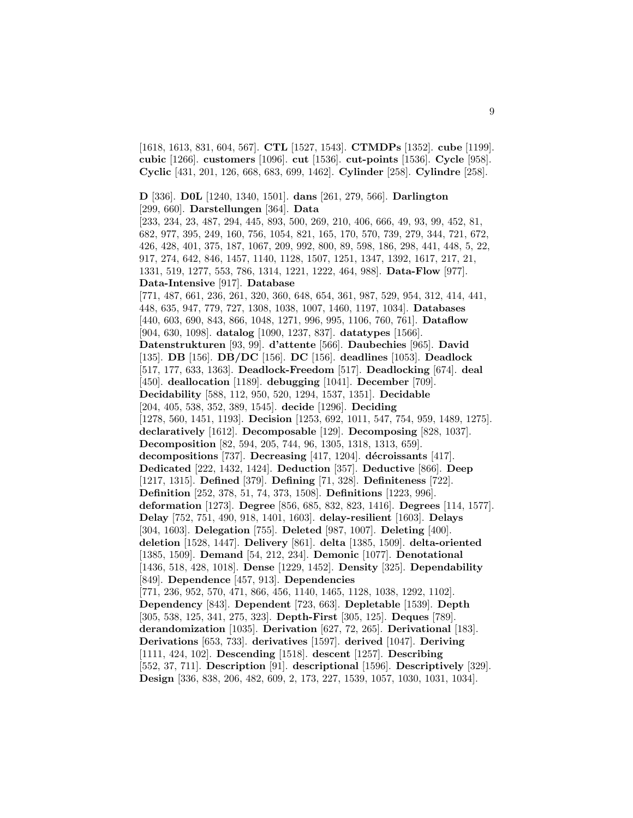[1618, 1613, 831, 604, 567]. **CTL** [1527, 1543]. **CTMDPs** [1352]. **cube** [1199]. **cubic** [1266]. **customers** [1096]. **cut** [1536]. **cut-points** [1536]. **Cycle** [958]. **Cyclic** [431, 201, 126, 668, 683, 699, 1462]. **Cylinder** [258]. **Cylindre** [258].

**D** [336]. **D0L** [1240, 1340, 1501]. **dans** [261, 279, 566]. **Darlington** [299, 660]. **Darstellungen** [364]. **Data** [233, 234, 23, 487, 294, 445, 893, 500, 269, 210, 406, 666, 49, 93, 99, 452, 81, 682, 977, 395, 249, 160, 756, 1054, 821, 165, 170, 570, 739, 279, 344, 721, 672, 426, 428, 401, 375, 187, 1067, 209, 992, 800, 89, 598, 186, 298, 441, 448, 5, 22, 917, 274, 642, 846, 1457, 1140, 1128, 1507, 1251, 1347, 1392, 1617, 217, 21, 1331, 519, 1277, 553, 786, 1314, 1221, 1222, 464, 988]. **Data-Flow** [977]. **Data-Intensive** [917]. **Database** [771, 487, 661, 236, 261, 320, 360, 648, 654, 361, 987, 529, 954, 312, 414, 441, 448, 635, 947, 779, 727, 1308, 1038, 1007, 1460, 1197, 1034]. **Databases** [440, 603, 690, 843, 866, 1048, 1271, 996, 995, 1106, 760, 761]. **Dataflow** [904, 630, 1098]. **datalog** [1090, 1237, 837]. **datatypes** [1566]. **Datenstrukturen** [93, 99]. **d'attente** [566]. **Daubechies** [965]. **David** [135]. **DB** [156]. **DB/DC** [156]. **DC** [156]. **deadlines** [1053]. **Deadlock** [517, 177, 633, 1363]. **Deadlock-Freedom** [517]. **Deadlocking** [674]. **deal** [450]. **deallocation** [1189]. **debugging** [1041]. **December** [709]. **Decidability** [588, 112, 950, 520, 1294, 1537, 1351]. **Decidable** [204, 405, 538, 352, 389, 1545]. **decide** [1296]. **Deciding** [1278, 560, 1451, 1193]. **Decision** [1253, 692, 1011, 547, 754, 959, 1489, 1275]. **declaratively** [1612]. **Decomposable** [129]. **Decomposing** [828, 1037]. **Decomposition** [82, 594, 205, 744, 96, 1305, 1318, 1313, 659]. **decompositions** [737]. **Decreasing** [417, 1204]. **d´ecroissants** [417]. **Dedicated** [222, 1432, 1424]. **Deduction** [357]. **Deductive** [866]. **Deep** [1217, 1315]. **Defined** [379]. **Defining** [71, 328]. **Definiteness** [722]. **Definition** [252, 378, 51, 74, 373, 1508]. **Definitions** [1223, 996]. **deformation** [1273]. **Degree** [856, 685, 832, 823, 1416]. **Degrees** [114, 1577]. **Delay** [752, 751, 490, 918, 1401, 1603]. **delay-resilient** [1603]. **Delays** [304, 1603]. **Delegation** [755]. **Deleted** [987, 1007]. **Deleting** [400]. **deletion** [1528, 1447]. **Delivery** [861]. **delta** [1385, 1509]. **delta-oriented** [1385, 1509]. **Demand** [54, 212, 234]. **Demonic** [1077]. **Denotational** [1436, 518, 428, 1018]. **Dense** [1229, 1452]. **Density** [325]. **Dependability** [849]. **Dependence** [457, 913]. **Dependencies** [771, 236, 952, 570, 471, 866, 456, 1140, 1465, 1128, 1038, 1292, 1102]. **Dependency** [843]. **Dependent** [723, 663]. **Depletable** [1539]. **Depth** [305, 538, 125, 341, 275, 323]. **Depth-First** [305, 125]. **Deques** [789]. **derandomization** [1035]. **Derivation** [627, 72, 265]. **Derivational** [183]. **Derivations** [653, 733]. **derivatives** [1597]. **derived** [1047]. **Deriving** [1111, 424, 102]. **Descending** [1518]. **descent** [1257]. **Describing** [552, 37, 711]. **Description** [91]. **descriptional** [1596]. **Descriptively** [329]. **Design** [336, 838, 206, 482, 609, 2, 173, 227, 1539, 1057, 1030, 1031, 1034].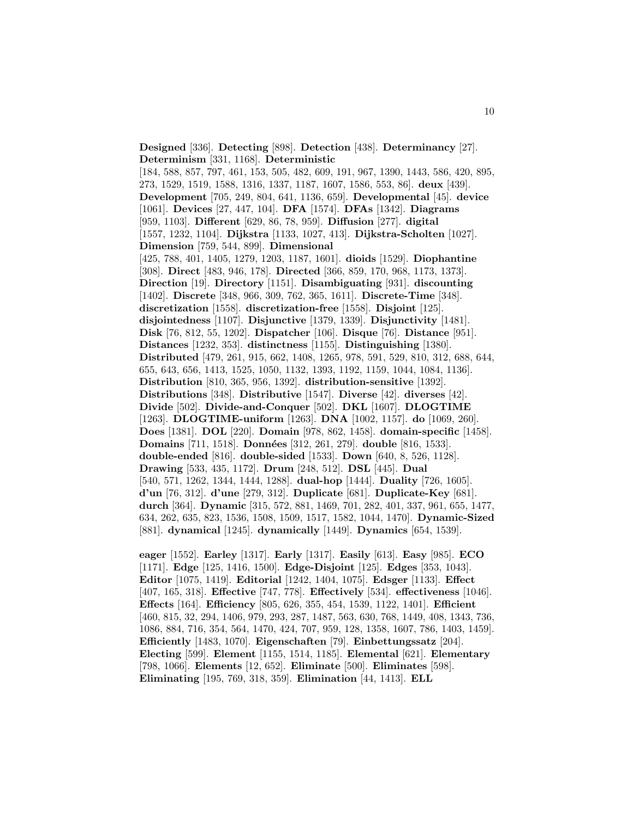**Designed** [336]. **Detecting** [898]. **Detection** [438]. **Determinancy** [27]. **Determinism** [331, 1168]. **Deterministic** [184, 588, 857, 797, 461, 153, 505, 482, 609, 191, 967, 1390, 1443, 586, 420, 895, 273, 1529, 1519, 1588, 1316, 1337, 1187, 1607, 1586, 553, 86]. **deux** [439]. **Development** [705, 249, 804, 641, 1136, 659]. **Developmental** [45]. **device** [1061]. **Devices** [27, 447, 104]. **DFA** [1574]. **DFAs** [1342]. **Diagrams** [959, 1103]. **Different** [629, 86, 78, 959]. **Diffusion** [277]. **digital** [1557, 1232, 1104]. **Dijkstra** [1133, 1027, 413]. **Dijkstra-Scholten** [1027]. **Dimension** [759, 544, 899]. **Dimensional** [425, 788, 401, 1405, 1279, 1203, 1187, 1601]. **dioids** [1529]. **Diophantine** [308]. **Direct** [483, 946, 178]. **Directed** [366, 859, 170, 968, 1173, 1373]. **Direction** [19]. **Directory** [1151]. **Disambiguating** [931]. **discounting** [1402]. **Discrete** [348, 966, 309, 762, 365, 1611]. **Discrete-Time** [348]. **discretization** [1558]. **discretization-free** [1558]. **Disjoint** [125]. **disjointedness** [1107]. **Disjunctive** [1379, 1339]. **Disjunctivity** [1481]. **Disk** [76, 812, 55, 1202]. **Dispatcher** [106]. **Disque** [76]. **Distance** [951]. **Distances** [1232, 353]. **distinctness** [1155]. **Distinguishing** [1380]. **Distributed** [479, 261, 915, 662, 1408, 1265, 978, 591, 529, 810, 312, 688, 644, 655, 643, 656, 1413, 1525, 1050, 1132, 1393, 1192, 1159, 1044, 1084, 1136]. **Distribution** [810, 365, 956, 1392]. **distribution-sensitive** [1392]. **Distributions** [348]. **Distributive** [1547]. **Diverse** [42]. **diverses** [42]. **Divide** [502]. **Divide-and-Conquer** [502]. **DKL** [1607]. **DLOGTIME** [1263]. **DLOGTIME-uniform** [1263]. **DNA** [1002, 1157]. **do** [1069, 260]. **Does** [1381]. **DOL** [220]. **Domain** [978, 862, 1458]. **domain-specific** [1458]. **Domains** [711, 1518]. **Donn´ees** [312, 261, 279]. **double** [816, 1533]. **double-ended** [816]. **double-sided** [1533]. **Down** [640, 8, 526, 1128]. **Drawing** [533, 435, 1172]. **Drum** [248, 512]. **DSL** [445]. **Dual** [540, 571, 1262, 1344, 1444, 1288]. **dual-hop** [1444]. **Duality** [726, 1605]. **d'un** [76, 312]. **d'une** [279, 312]. **Duplicate** [681]. **Duplicate-Key** [681]. **durch** [364]. **Dynamic** [315, 572, 881, 1469, 701, 282, 401, 337, 961, 655, 1477, 634, 262, 635, 823, 1536, 1508, 1509, 1517, 1582, 1044, 1470]. **Dynamic-Sized** [881]. **dynamical** [1245]. **dynamically** [1449]. **Dynamics** [654, 1539].

**eager** [1552]. **Earley** [1317]. **Early** [1317]. **Easily** [613]. **Easy** [985]. **ECO** [1171]. **Edge** [125, 1416, 1500]. **Edge-Disjoint** [125]. **Edges** [353, 1043]. **Editor** [1075, 1419]. **Editorial** [1242, 1404, 1075]. **Edsger** [1133]. **Effect** [407, 165, 318]. **Effective** [747, 778]. **Effectively** [534]. **effectiveness** [1046]. **Effects** [164]. **Efficiency** [805, 626, 355, 454, 1539, 1122, 1401]. **Efficient** [460, 815, 32, 294, 1406, 979, 293, 287, 1487, 563, 630, 768, 1449, 408, 1343, 736, 1086, 884, 716, 354, 564, 1470, 424, 707, 959, 128, 1358, 1607, 786, 1403, 1459]. **Efficiently** [1483, 1070]. **Eigenschaften** [79]. **Einbettungssatz** [204]. **Electing** [599]. **Element** [1155, 1514, 1185]. **Elemental** [621]. **Elementary** [798, 1066]. **Elements** [12, 652]. **Eliminate** [500]. **Eliminates** [598]. **Eliminating** [195, 769, 318, 359]. **Elimination** [44, 1413]. **ELL**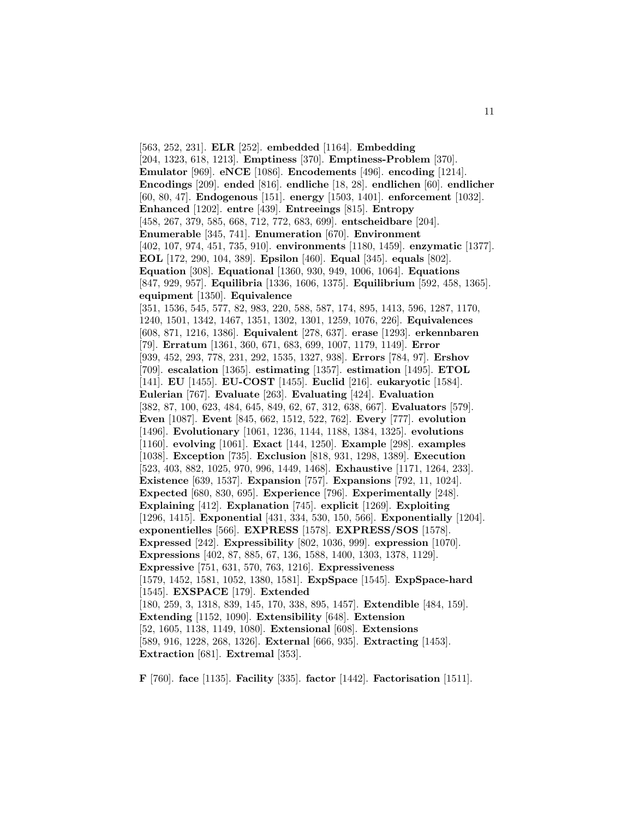[563, 252, 231]. **ELR** [252]. **embedded** [1164]. **Embedding** [204, 1323, 618, 1213]. **Emptiness** [370]. **Emptiness-Problem** [370]. **Emulator** [969]. **eNCE** [1086]. **Encodements** [496]. **encoding** [1214]. **Encodings** [209]. **ended** [816]. **endliche** [18, 28]. **endlichen** [60]. **endlicher** [60, 80, 47]. **Endogenous** [151]. **energy** [1503, 1401]. **enforcement** [1032]. **Enhanced** [1202]. **entre** [439]. **Entreeings** [815]. **Entropy** [458, 267, 379, 585, 668, 712, 772, 683, 699]. **entscheidbare** [204]. **Enumerable** [345, 741]. **Enumeration** [670]. **Environment** [402, 107, 974, 451, 735, 910]. **environments** [1180, 1459]. **enzymatic** [1377]. **EOL** [172, 290, 104, 389]. **Epsilon** [460]. **Equal** [345]. **equals** [802]. **Equation** [308]. **Equational** [1360, 930, 949, 1006, 1064]. **Equations** [847, 929, 957]. **Equilibria** [1336, 1606, 1375]. **Equilibrium** [592, 458, 1365]. **equipment** [1350]. **Equivalence** [351, 1536, 545, 577, 82, 983, 220, 588, 587, 174, 895, 1413, 596, 1287, 1170, 1240, 1501, 1342, 1467, 1351, 1302, 1301, 1259, 1076, 226]. **Equivalences** [608, 871, 1216, 1386]. **Equivalent** [278, 637]. **erase** [1293]. **erkennbaren** [79]. **Erratum** [1361, 360, 671, 683, 699, 1007, 1179, 1149]. **Error** [939, 452, 293, 778, 231, 292, 1535, 1327, 938]. **Errors** [784, 97]. **Ershov** [709]. **escalation** [1365]. **estimating** [1357]. **estimation** [1495]. **ETOL** [141]. **EU** [1455]. **EU-COST** [1455]. **Euclid** [216]. **eukaryotic** [1584]. **Eulerian** [767]. **Evaluate** [263]. **Evaluating** [424]. **Evaluation** [382, 87, 100, 623, 484, 645, 849, 62, 67, 312, 638, 667]. **Evaluators** [579]. **Even** [1087]. **Event** [845, 662, 1512, 522, 762]. **Every** [777]. **evolution** [1496]. **Evolutionary** [1061, 1236, 1144, 1188, 1384, 1325]. **evolutions** [1160]. **evolving** [1061]. **Exact** [144, 1250]. **Example** [298]. **examples** [1038]. **Exception** [735]. **Exclusion** [818, 931, 1298, 1389]. **Execution** [523, 403, 882, 1025, 970, 996, 1449, 1468]. **Exhaustive** [1171, 1264, 233]. **Existence** [639, 1537]. **Expansion** [757]. **Expansions** [792, 11, 1024]. **Expected** [680, 830, 695]. **Experience** [796]. **Experimentally** [248]. **Explaining** [412]. **Explanation** [745]. **explicit** [1269]. **Exploiting** [1296, 1415]. **Exponential** [431, 334, 530, 150, 566]. **Exponentially** [1204]. **exponentielles** [566]. **EXPRESS** [1578]. **EXPRESS/SOS** [1578]. **Expressed** [242]. **Expressibility** [802, 1036, 999]. **expression** [1070]. **Expressions** [402, 87, 885, 67, 136, 1588, 1400, 1303, 1378, 1129]. **Expressive** [751, 631, 570, 763, 1216]. **Expressiveness** [1579, 1452, 1581, 1052, 1380, 1581]. **ExpSpace** [1545]. **ExpSpace-hard** [1545]. **EXSPACE** [179]. **Extended** [180, 259, 3, 1318, 839, 145, 170, 338, 895, 1457]. **Extendible** [484, 159]. **Extending** [1152, 1090]. **Extensibility** [648]. **Extension** [52, 1605, 1138, 1149, 1080]. **Extensional** [608]. **Extensions** [589, 916, 1228, 268, 1326]. **External** [666, 935]. **Extracting** [1453]. **Extraction** [681]. **Extremal** [353].

**F** [760]. **face** [1135]. **Facility** [335]. **factor** [1442]. **Factorisation** [1511].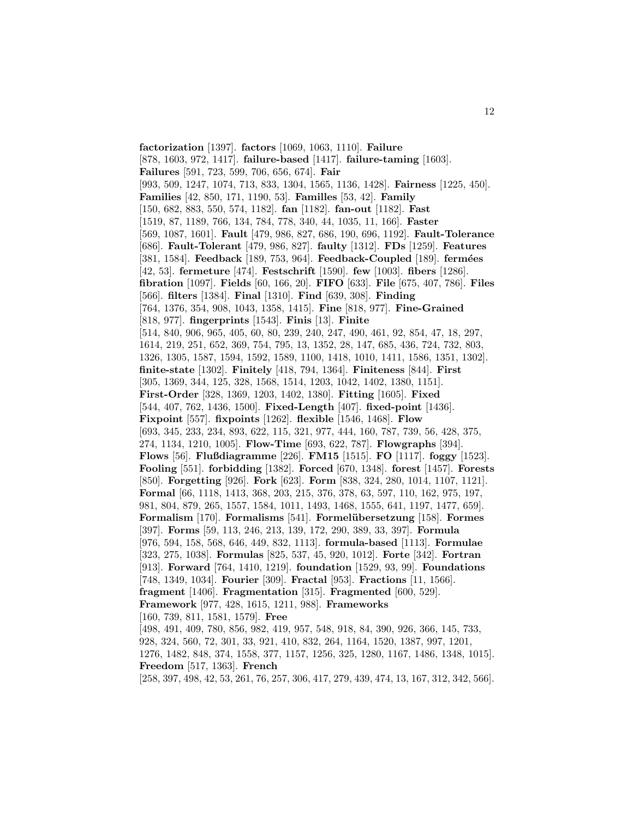**factorization** [1397]. **factors** [1069, 1063, 1110]. **Failure** [878, 1603, 972, 1417]. **failure-based** [1417]. **failure-taming** [1603]. **Failures** [591, 723, 599, 706, 656, 674]. **Fair** [993, 509, 1247, 1074, 713, 833, 1304, 1565, 1136, 1428]. **Fairness** [1225, 450]. **Families** [42, 850, 171, 1190, 53]. **Familles** [53, 42]. **Family** [150, 682, 883, 550, 574, 1182]. **fan** [1182]. **fan-out** [1182]. **Fast** [1519, 87, 1189, 766, 134, 784, 778, 340, 44, 1035, 11, 166]. **Faster** [569, 1087, 1601]. **Fault** [479, 986, 827, 686, 190, 696, 1192]. **Fault-Tolerance** [686]. **Fault-Tolerant** [479, 986, 827]. **faulty** [1312]. **FDs** [1259]. **Features** [381, 1584]. **Feedback** [189, 753, 964]. **Feedback-Coupled** [189]. **ferm´ees** [42, 53]. **fermeture** [474]. **Festschrift** [1590]. **few** [1003]. **fibers** [1286]. **fibration** [1097]. **Fields** [60, 166, 20]. **FIFO** [633]. **File** [675, 407, 786]. **Files** [566]. **filters** [1384]. **Final** [1310]. **Find** [639, 308]. **Finding** [764, 1376, 354, 908, 1043, 1358, 1415]. **Fine** [818, 977]. **Fine-Grained** [818, 977]. **fingerprints** [1543]. **Finis** [13]. **Finite** [514, 840, 906, 965, 405, 60, 80, 239, 240, 247, 490, 461, 92, 854, 47, 18, 297, 1614, 219, 251, 652, 369, 754, 795, 13, 1352, 28, 147, 685, 436, 724, 732, 803, 1326, 1305, 1587, 1594, 1592, 1589, 1100, 1418, 1010, 1411, 1586, 1351, 1302]. **finite-state** [1302]. **Finitely** [418, 794, 1364]. **Finiteness** [844]. **First** [305, 1369, 344, 125, 328, 1568, 1514, 1203, 1042, 1402, 1380, 1151]. **First-Order** [328, 1369, 1203, 1402, 1380]. **Fitting** [1605]. **Fixed** [544, 407, 762, 1436, 1500]. **Fixed-Length** [407]. **fixed-point** [1436]. **Fixpoint** [557]. **fixpoints** [1262]. **flexible** [1546, 1468]. **Flow** [693, 345, 233, 234, 893, 622, 115, 321, 977, 444, 160, 787, 739, 56, 428, 375, 274, 1134, 1210, 1005]. **Flow-Time** [693, 622, 787]. **Flowgraphs** [394]. **Flows** [56]. **Flußdiagramme** [226]. **FM15** [1515]. **FO** [1117]. **foggy** [1523]. **Fooling** [551]. **forbidding** [1382]. **Forced** [670, 1348]. **forest** [1457]. **Forests** [850]. **Forgetting** [926]. **Fork** [623]. **Form** [838, 324, 280, 1014, 1107, 1121]. **Formal** [66, 1118, 1413, 368, 203, 215, 376, 378, 63, 597, 110, 162, 975, 197, 981, 804, 879, 265, 1557, 1584, 1011, 1493, 1468, 1555, 641, 1197, 1477, 659]. **Formalism** [170]. **Formalisms** [541]. **Formel¨ubersetzung** [158]. **Formes** [397]. **Forms** [59, 113, 246, 213, 139, 172, 290, 389, 33, 397]. **Formula** [976, 594, 158, 568, 646, 449, 832, 1113]. **formula-based** [1113]. **Formulae** [323, 275, 1038]. **Formulas** [825, 537, 45, 920, 1012]. **Forte** [342]. **Fortran** [913]. **Forward** [764, 1410, 1219]. **foundation** [1529, 93, 99]. **Foundations** [748, 1349, 1034]. **Fourier** [309]. **Fractal** [953]. **Fractions** [11, 1566]. **fragment** [1406]. **Fragmentation** [315]. **Fragmented** [600, 529]. **Framework** [977, 428, 1615, 1211, 988]. **Frameworks** [160, 739, 811, 1581, 1579]. **Free** [498, 491, 409, 780, 856, 982, 419, 957, 548, 918, 84, 390, 926, 366, 145, 733, 928, 324, 560, 72, 301, 33, 921, 410, 832, 264, 1164, 1520, 1387, 997, 1201, 1276, 1482, 848, 374, 1558, 377, 1157, 1256, 325, 1280, 1167, 1486, 1348, 1015]. **Freedom** [517, 1363]. **French**

[258, 397, 498, 42, 53, 261, 76, 257, 306, 417, 279, 439, 474, 13, 167, 312, 342, 566].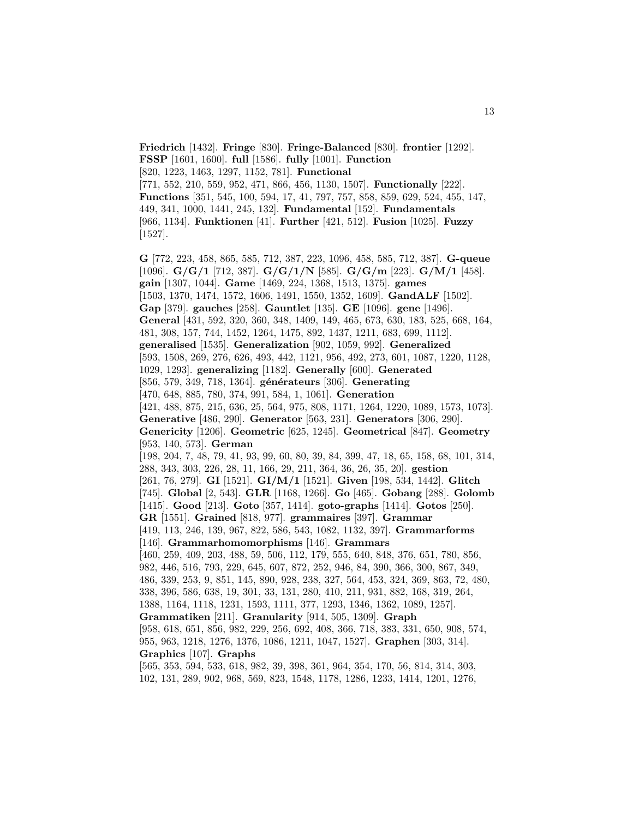**Friedrich** [1432]. **Fringe** [830]. **Fringe-Balanced** [830]. **frontier** [1292]. **FSSP** [1601, 1600]. **full** [1586]. **fully** [1001]. **Function** [820, 1223, 1463, 1297, 1152, 781]. **Functional** [771, 552, 210, 559, 952, 471, 866, 456, 1130, 1507]. **Functionally** [222]. **Functions** [351, 545, 100, 594, 17, 41, 797, 757, 858, 859, 629, 524, 455, 147, 449, 341, 1000, 1441, 245, 132]. **Fundamental** [152]. **Fundamentals** [966, 1134]. **Funktionen** [41]. **Further** [421, 512]. **Fusion** [1025]. **Fuzzy** [1527].

**G** [772, 223, 458, 865, 585, 712, 387, 223, 1096, 458, 585, 712, 387]. **G-queue** [1096]. **G/G/1** [712, 387]. **G/G/1/N** [585]. **G/G/m** [223]. **G/M/1** [458]. **gain** [1307, 1044]. **Game** [1469, 224, 1368, 1513, 1375]. **games** [1503, 1370, 1474, 1572, 1606, 1491, 1550, 1352, 1609]. **GandALF** [1502]. **Gap** [379]. **gauches** [258]. **Gauntlet** [135]. **GE** [1096]. **gene** [1496]. **General** [431, 592, 320, 360, 348, 1409, 149, 465, 673, 630, 183, 525, 668, 164, 481, 308, 157, 744, 1452, 1264, 1475, 892, 1437, 1211, 683, 699, 1112]. **generalised** [1535]. **Generalization** [902, 1059, 992]. **Generalized** [593, 1508, 269, 276, 626, 493, 442, 1121, 956, 492, 273, 601, 1087, 1220, 1128, 1029, 1293]. **generalizing** [1182]. **Generally** [600]. **Generated** [856, 579, 349, 718, 1364]. **g´en´erateurs** [306]. **Generating** [470, 648, 885, 780, 374, 991, 584, 1, 1061]. **Generation** [421, 488, 875, 215, 636, 25, 564, 975, 808, 1171, 1264, 1220, 1089, 1573, 1073]. **Generative** [486, 290]. **Generator** [563, 231]. **Generators** [306, 290]. **Genericity** [1206]. **Geometric** [625, 1245]. **Geometrical** [847]. **Geometry** [953, 140, 573]. **German** [198, 204, 7, 48, 79, 41, 93, 99, 60, 80, 39, 84, 399, 47, 18, 65, 158, 68, 101, 314, 288, 343, 303, 226, 28, 11, 166, 29, 211, 364, 36, 26, 35, 20]. **gestion** [261, 76, 279]. **GI** [1521]. **GI/M/1** [1521]. **Given** [198, 534, 1442]. **Glitch** [745]. **Global** [2, 543]. **GLR** [1168, 1266]. **Go** [465]. **Gobang** [288]. **Golomb** [1415]. **Good** [213]. **Goto** [357, 1414]. **goto-graphs** [1414]. **Gotos** [250]. **GR** [1551]. **Grained** [818, 977]. **grammaires** [397]. **Grammar** [419, 113, 246, 139, 967, 822, 586, 543, 1082, 1132, 397]. **Grammarforms** [146]. **Grammarhomomorphisms** [146]. **Grammars** [460, 259, 409, 203, 488, 59, 506, 112, 179, 555, 640, 848, 376, 651, 780, 856, 982, 446, 516, 793, 229, 645, 607, 872, 252, 946, 84, 390, 366, 300, 867, 349, 486, 339, 253, 9, 851, 145, 890, 928, 238, 327, 564, 453, 324, 369, 863, 72, 480, 338, 396, 586, 638, 19, 301, 33, 131, 280, 410, 211, 931, 882, 168, 319, 264, 1388, 1164, 1118, 1231, 1593, 1111, 377, 1293, 1346, 1362, 1089, 1257]. **Grammatiken** [211]. **Granularity** [914, 505, 1309]. **Graph** [958, 618, 651, 856, 982, 229, 256, 692, 408, 366, 718, 383, 331, 650, 908, 574, 955, 963, 1218, 1276, 1376, 1086, 1211, 1047, 1527]. **Graphen** [303, 314]. **Graphics** [107]. **Graphs** [565, 353, 594, 533, 618, 982, 39, 398, 361, 964, 354, 170, 56, 814, 314, 303,

102, 131, 289, 902, 968, 569, 823, 1548, 1178, 1286, 1233, 1414, 1201, 1276,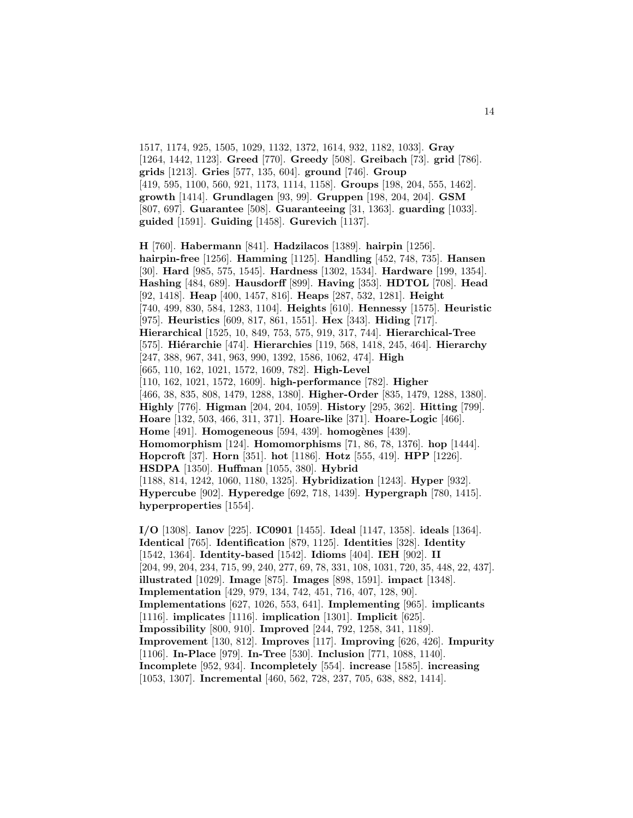1517, 1174, 925, 1505, 1029, 1132, 1372, 1614, 932, 1182, 1033]. **Gray** [1264, 1442, 1123]. **Greed** [770]. **Greedy** [508]. **Greibach** [73]. **grid** [786]. **grids** [1213]. **Gries** [577, 135, 604]. **ground** [746]. **Group** [419, 595, 1100, 560, 921, 1173, 1114, 1158]. **Groups** [198, 204, 555, 1462]. **growth** [1414]. **Grundlagen** [93, 99]. **Gruppen** [198, 204, 204]. **GSM** [807, 697]. **Guarantee** [508]. **Guaranteeing** [31, 1363]. **guarding** [1033]. **guided** [1591]. **Guiding** [1458]. **Gurevich** [1137].

**H** [760]. **Habermann** [841]. **Hadzilacos** [1389]. **hairpin** [1256]. **hairpin-free** [1256]. **Hamming** [1125]. **Handling** [452, 748, 735]. **Hansen** [30]. **Hard** [985, 575, 1545]. **Hardness** [1302, 1534]. **Hardware** [199, 1354]. **Hashing** [484, 689]. **Hausdorff** [899]. **Having** [353]. **HDTOL** [708]. **Head** [92, 1418]. **Heap** [400, 1457, 816]. **Heaps** [287, 532, 1281]. **Height** [740, 499, 830, 584, 1283, 1104]. **Heights** [610]. **Hennessy** [1575]. **Heuristic** [975]. **Heuristics** [609, 817, 861, 1551]. **Hex** [343]. **Hiding** [717]. **Hierarchical** [1525, 10, 849, 753, 575, 919, 317, 744]. **Hierarchical-Tree** [575]. **Hiérarchie** [474]. **Hierarchies** [119, 568, 1418, 245, 464]. **Hierarchy** [247, 388, 967, 341, 963, 990, 1392, 1586, 1062, 474]. **High** [665, 110, 162, 1021, 1572, 1609, 782]. **High-Level** [110, 162, 1021, 1572, 1609]. **high-performance** [782]. **Higher** [466, 38, 835, 808, 1479, 1288, 1380]. **Higher-Order** [835, 1479, 1288, 1380]. **Highly** [776]. **Higman** [204, 204, 1059]. **History** [295, 362]. **Hitting** [799]. **Hoare** [132, 503, 466, 311, 371]. **Hoare-like** [371]. **Hoare-Logic** [466]. **Home** [491]. **Homogeneous** [594, 439]. **homogènes** [439]. **Homomorphism** [124]. **Homomorphisms** [71, 86, 78, 1376]. **hop** [1444]. **Hopcroft** [37]. **Horn** [351]. **hot** [1186]. **Hotz** [555, 419]. **HPP** [1226]. **HSDPA** [1350]. **Huffman** [1055, 380]. **Hybrid** [1188, 814, 1242, 1060, 1180, 1325]. **Hybridization** [1243]. **Hyper** [932]. **Hypercube** [902]. **Hyperedge** [692, 718, 1439]. **Hypergraph** [780, 1415]. **hyperproperties** [1554].

**I/O** [1308]. **Ianov** [225]. **IC0901** [1455]. **Ideal** [1147, 1358]. **ideals** [1364]. **Identical** [765]. **Identification** [879, 1125]. **Identities** [328]. **Identity** [1542, 1364]. **Identity-based** [1542]. **Idioms** [404]. **IEH** [902]. **II** [204, 99, 204, 234, 715, 99, 240, 277, 69, 78, 331, 108, 1031, 720, 35, 448, 22, 437]. **illustrated** [1029]. **Image** [875]. **Images** [898, 1591]. **impact** [1348]. **Implementation** [429, 979, 134, 742, 451, 716, 407, 128, 90]. **Implementations** [627, 1026, 553, 641]. **Implementing** [965]. **implicants** [1116]. **implicates** [1116]. **implication** [1301]. **Implicit** [625]. **Impossibility** [800, 910]. **Improved** [244, 792, 1258, 341, 1189]. **Improvement** [130, 812]. **Improves** [117]. **Improving** [626, 426]. **Impurity** [1106]. **In-Place** [979]. **In-Tree** [530]. **Inclusion** [771, 1088, 1140]. **Incomplete** [952, 934]. **Incompletely** [554]. **increase** [1585]. **increasing** [1053, 1307]. **Incremental** [460, 562, 728, 237, 705, 638, 882, 1414].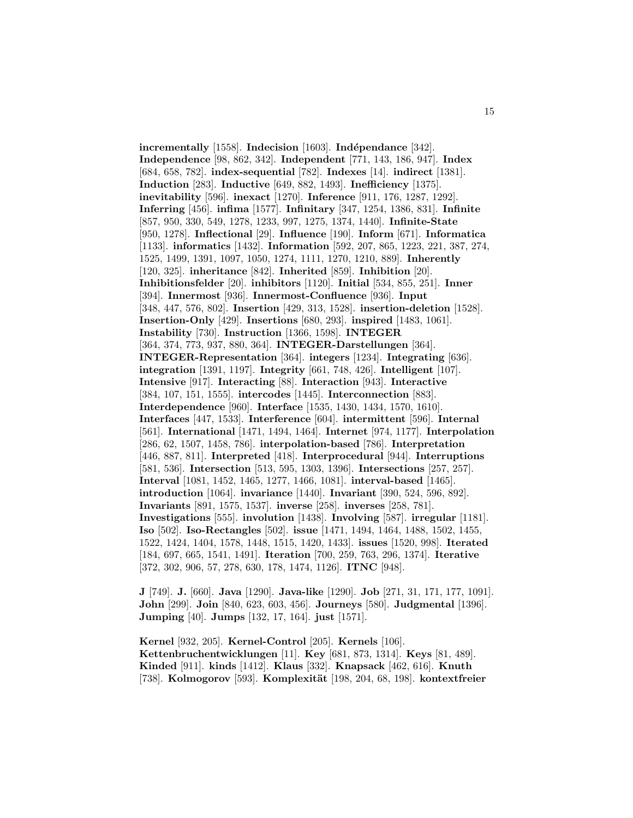**incrementally** [1558]. **Indecision** [1603]. **Indépendance** [342]. **Independence** [98, 862, 342]. **Independent** [771, 143, 186, 947]. **Index** [684, 658, 782]. **index-sequential** [782]. **Indexes** [14]. **indirect** [1381]. **Induction** [283]. **Inductive** [649, 882, 1493]. **Inefficiency** [1375]. **inevitability** [596]. **inexact** [1270]. **Inference** [911, 176, 1287, 1292]. **Inferring** [456]. **infima** [1577]. **Infinitary** [347, 1254, 1386, 831]. **Infinite** [857, 950, 330, 549, 1278, 1233, 997, 1275, 1374, 1440]. **Infinite-State** [950, 1278]. **Inflectional** [29]. **Influence** [190]. **Inform** [671]. **Informatica** [1133]. **informatics** [1432]. **Information** [592, 207, 865, 1223, 221, 387, 274, 1525, 1499, 1391, 1097, 1050, 1274, 1111, 1270, 1210, 889]. **Inherently** [120, 325]. **inheritance** [842]. **Inherited** [859]. **Inhibition** [20]. **Inhibitionsfelder** [20]. **inhibitors** [1120]. **Initial** [534, 855, 251]. **Inner** [394]. **Innermost** [936]. **Innermost-Confluence** [936]. **Input** [348, 447, 576, 802]. **Insertion** [429, 313, 1528]. **insertion-deletion** [1528]. **Insertion-Only** [429]. **Insertions** [680, 293]. **inspired** [1483, 1061]. **Instability** [730]. **Instruction** [1366, 1598]. **INTEGER** [364, 374, 773, 937, 880, 364]. **INTEGER-Darstellungen** [364]. **INTEGER-Representation** [364]. **integers** [1234]. **Integrating** [636]. **integration** [1391, 1197]. **Integrity** [661, 748, 426]. **Intelligent** [107]. **Intensive** [917]. **Interacting** [88]. **Interaction** [943]. **Interactive** [384, 107, 151, 1555]. **intercodes** [1445]. **Interconnection** [883]. **Interdependence** [960]. **Interface** [1535, 1430, 1434, 1570, 1610]. **Interfaces** [447, 1533]. **Interference** [604]. **intermittent** [596]. **Internal** [561]. **International** [1471, 1494, 1464]. **Internet** [974, 1177]. **Interpolation** [286, 62, 1507, 1458, 786]. **interpolation-based** [786]. **Interpretation** [446, 887, 811]. **Interpreted** [418]. **Interprocedural** [944]. **Interruptions** [581, 536]. **Intersection** [513, 595, 1303, 1396]. **Intersections** [257, 257]. **Interval** [1081, 1452, 1465, 1277, 1466, 1081]. **interval-based** [1465]. **introduction** [1064]. **invariance** [1440]. **Invariant** [390, 524, 596, 892]. **Invariants** [891, 1575, 1537]. **inverse** [258]. **inverses** [258, 781]. **Investigations** [555]. **involution** [1438]. **Involving** [587]. **irregular** [1181]. **Iso** [502]. **Iso-Rectangles** [502]. **issue** [1471, 1494, 1464, 1488, 1502, 1455, 1522, 1424, 1404, 1578, 1448, 1515, 1420, 1433]. **issues** [1520, 998]. **Iterated** [184, 697, 665, 1541, 1491]. **Iteration** [700, 259, 763, 296, 1374]. **Iterative** [372, 302, 906, 57, 278, 630, 178, 1474, 1126]. **ITNC** [948].

**J** [749]. **J.** [660]. **Java** [1290]. **Java-like** [1290]. **Job** [271, 31, 171, 177, 1091]. **John** [299]. **Join** [840, 623, 603, 456]. **Journeys** [580]. **Judgmental** [1396]. **Jumping** [40]. **Jumps** [132, 17, 164]. **just** [1571].

**Kernel** [932, 205]. **Kernel-Control** [205]. **Kernels** [106]. **Kettenbruchentwicklungen** [11]. **Key** [681, 873, 1314]. **Keys** [81, 489]. **Kinded** [911]. **kinds** [1412]. **Klaus** [332]. **Knapsack** [462, 616]. **Knuth** [738]. **Kolmogorov** [593]. **Komplexität** [198, 204, 68, 198]. **kontextfreier**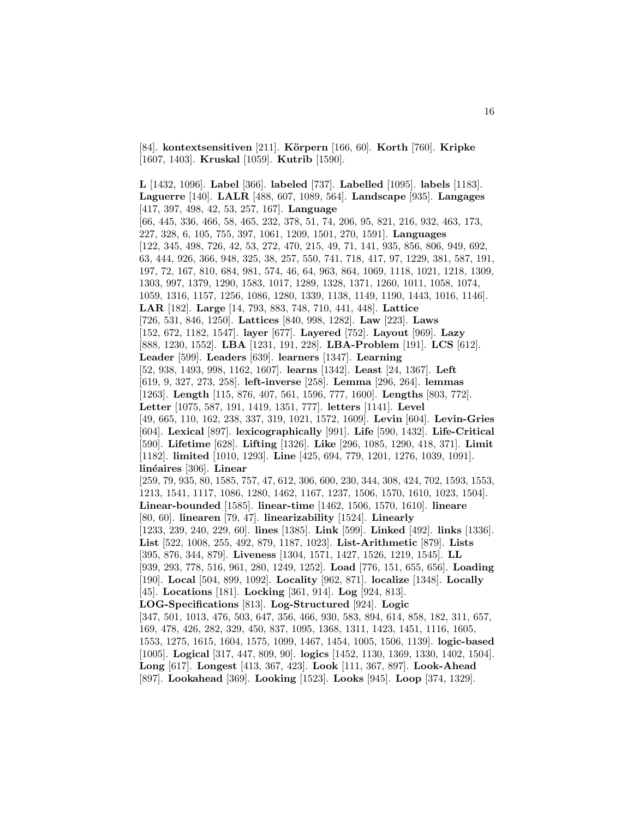[84]. **kontextsensitiven** [211]. **K¨orpern** [166, 60]. **Korth** [760]. **Kripke** [1607, 1403]. **Kruskal** [1059]. **Kutrib** [1590].

**L** [1432, 1096]. **Label** [366]. **labeled** [737]. **Labelled** [1095]. **labels** [1183]. **Laguerre** [140]. **LALR** [488, 607, 1089, 564]. **Landscape** [935]. **Langages** [417, 397, 498, 42, 53, 257, 167]. **Language** [66, 445, 336, 466, 58, 465, 232, 378, 51, 74, 206, 95, 821, 216, 932, 463, 173, 227, 328, 6, 105, 755, 397, 1061, 1209, 1501, 270, 1591]. **Languages** [122, 345, 498, 726, 42, 53, 272, 470, 215, 49, 71, 141, 935, 856, 806, 949, 692, 63, 444, 926, 366, 948, 325, 38, 257, 550, 741, 718, 417, 97, 1229, 381, 587, 191, 197, 72, 167, 810, 684, 981, 574, 46, 64, 963, 864, 1069, 1118, 1021, 1218, 1309, 1303, 997, 1379, 1290, 1583, 1017, 1289, 1328, 1371, 1260, 1011, 1058, 1074, 1059, 1316, 1157, 1256, 1086, 1280, 1339, 1138, 1149, 1190, 1443, 1016, 1146]. **LAR** [182]. **Large** [14, 793, 883, 748, 710, 441, 448]. **Lattice** [726, 531, 846, 1250]. **Lattices** [840, 998, 1282]. **Law** [223]. **Laws** [152, 672, 1182, 1547]. **layer** [677]. **Layered** [752]. **Layout** [969]. **Lazy** [888, 1230, 1552]. **LBA** [1231, 191, 228]. **LBA-Problem** [191]. **LCS** [612]. **Leader** [599]. **Leaders** [639]. **learners** [1347]. **Learning** [52, 938, 1493, 998, 1162, 1607]. **learns** [1342]. **Least** [24, 1367]. **Left** [619, 9, 327, 273, 258]. **left-inverse** [258]. **Lemma** [296, 264]. **lemmas** [1263]. **Length** [115, 876, 407, 561, 1596, 777, 1600]. **Lengths** [803, 772]. **Letter** [1075, 587, 191, 1419, 1351, 777]. **letters** [1141]. **Level** [49, 665, 110, 162, 238, 337, 319, 1021, 1572, 1609]. **Levin** [604]. **Levin-Gries** [604]. **Lexical** [897]. **lexicographically** [991]. **Life** [590, 1432]. **Life-Critical** [590]. **Lifetime** [628]. **Lifting** [1326]. **Like** [296, 1085, 1290, 418, 371]. **Limit** [1182]. **limited** [1010, 1293]. **Line** [425, 694, 779, 1201, 1276, 1039, 1091]. **lin´eaires** [306]. **Linear** [259, 79, 935, 80, 1585, 757, 47, 612, 306, 600, 230, 344, 308, 424, 702, 1593, 1553, 1213, 1541, 1117, 1086, 1280, 1462, 1167, 1237, 1506, 1570, 1610, 1023, 1504]. **Linear-bounded** [1585]. **linear-time** [1462, 1506, 1570, 1610]. **lineare** [80, 60]. **linearen** [79, 47]. **linearizability** [1524]. **Linearly** [1233, 239, 240, 229, 60]. **lines** [1385]. **Link** [599]. **Linked** [492]. **links** [1336]. **List** [522, 1008, 255, 492, 879, 1187, 1023]. **List-Arithmetic** [879]. **Lists** [395, 876, 344, 879]. **Liveness** [1304, 1571, 1427, 1526, 1219, 1545]. **LL** [939, 293, 778, 516, 961, 280, 1249, 1252]. **Load** [776, 151, 655, 656]. **Loading** [190]. **Local** [504, 899, 1092]. **Locality** [962, 871]. **localize** [1348]. **Locally** [45]. **Locations** [181]. **Locking** [361, 914]. **Log** [924, 813]. **LOG-Specifications** [813]. **Log-Structured** [924]. **Logic** [347, 501, 1013, 476, 503, 647, 356, 466, 930, 583, 894, 614, 858, 182, 311, 657, 169, 478, 426, 282, 329, 450, 837, 1095, 1368, 1311, 1423, 1451, 1116, 1605, 1553, 1275, 1615, 1604, 1575, 1099, 1467, 1454, 1005, 1506, 1139]. **logic-based** [1005]. **Logical** [317, 447, 809, 90]. **logics** [1452, 1130, 1369, 1330, 1402, 1504]. **Long** [617]. **Longest** [413, 367, 423]. **Look** [111, 367, 897]. **Look-Ahead** [897]. **Lookahead** [369]. **Looking** [1523]. **Looks** [945]. **Loop** [374, 1329].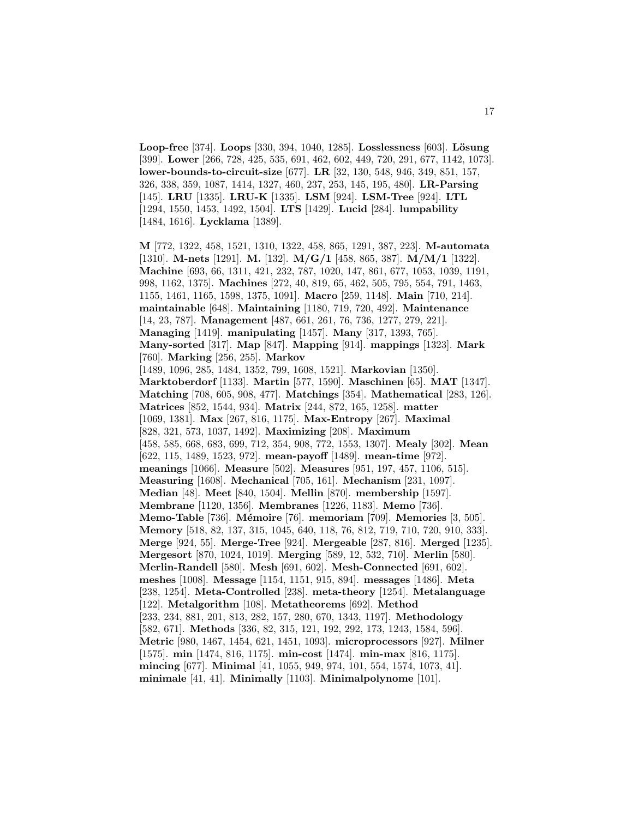**Loop-free** [374]. **Loops** [330, 394, 1040, 1285]. **Losslessness** [603]. **Lösung** [399]. **Lower** [266, 728, 425, 535, 691, 462, 602, 449, 720, 291, 677, 1142, 1073]. **lower-bounds-to-circuit-size** [677]. **LR** [32, 130, 548, 946, 349, 851, 157, 326, 338, 359, 1087, 1414, 1327, 460, 237, 253, 145, 195, 480]. **LR-Parsing** [145]. **LRU** [1335]. **LRU-K** [1335]. **LSM** [924]. **LSM-Tree** [924]. **LTL** [1294, 1550, 1453, 1492, 1504]. **LTS** [1429]. **Lucid** [284]. **lumpability** [1484, 1616]. **Lycklama** [1389].

**M** [772, 1322, 458, 1521, 1310, 1322, 458, 865, 1291, 387, 223]. **M-automata** [1310]. **M-nets** [1291]. **M.** [132]. **M/G/1** [458, 865, 387]. **M/M/1** [1322]. **Machine** [693, 66, 1311, 421, 232, 787, 1020, 147, 861, 677, 1053, 1039, 1191, 998, 1162, 1375]. **Machines** [272, 40, 819, 65, 462, 505, 795, 554, 791, 1463, 1155, 1461, 1165, 1598, 1375, 1091]. **Macro** [259, 1148]. **Main** [710, 214]. **maintainable** [648]. **Maintaining** [1180, 719, 720, 492]. **Maintenance** [14, 23, 787]. **Management** [487, 661, 261, 76, 736, 1277, 279, 221]. **Managing** [1419]. **manipulating** [1457]. **Many** [317, 1393, 765]. **Many-sorted** [317]. **Map** [847]. **Mapping** [914]. **mappings** [1323]. **Mark** [760]. **Marking** [256, 255]. **Markov** [1489, 1096, 285, 1484, 1352, 799, 1608, 1521]. **Markovian** [1350]. **Marktoberdorf** [1133]. **Martin** [577, 1590]. **Maschinen** [65]. **MAT** [1347]. **Matching** [708, 605, 908, 477]. **Matchings** [354]. **Mathematical** [283, 126]. **Matrices** [852, 1544, 934]. **Matrix** [244, 872, 165, 1258]. **matter** [1069, 1381]. **Max** [267, 816, 1175]. **Max-Entropy** [267]. **Maximal** [828, 321, 573, 1037, 1492]. **Maximizing** [208]. **Maximum** [458, 585, 668, 683, 699, 712, 354, 908, 772, 1553, 1307]. **Mealy** [302]. **Mean** [622, 115, 1489, 1523, 972]. **mean-payoff** [1489]. **mean-time** [972]. **meanings** [1066]. **Measure** [502]. **Measures** [951, 197, 457, 1106, 515]. **Measuring** [1608]. **Mechanical** [705, 161]. **Mechanism** [231, 1097]. **Median** [48]. **Meet** [840, 1504]. **Mellin** [870]. **membership** [1597]. **Membrane** [1120, 1356]. **Membranes** [1226, 1183]. **Memo** [736]. **Memo-Table** [736]. **M´emoire** [76]. **memoriam** [709]. **Memories** [3, 505]. **Memory** [518, 82, 137, 315, 1045, 640, 118, 76, 812, 719, 710, 720, 910, 333]. **Merge** [924, 55]. **Merge-Tree** [924]. **Mergeable** [287, 816]. **Merged** [1235]. **Mergesort** [870, 1024, 1019]. **Merging** [589, 12, 532, 710]. **Merlin** [580]. **Merlin-Randell** [580]. **Mesh** [691, 602]. **Mesh-Connected** [691, 602]. **meshes** [1008]. **Message** [1154, 1151, 915, 894]. **messages** [1486]. **Meta** [238, 1254]. **Meta-Controlled** [238]. **meta-theory** [1254]. **Metalanguage** [122]. **Metalgorithm** [108]. **Metatheorems** [692]. **Method** [233, 234, 881, 201, 813, 282, 157, 280, 670, 1343, 1197]. **Methodology** [582, 671]. **Methods** [336, 82, 315, 121, 192, 292, 173, 1243, 1584, 596]. **Metric** [980, 1467, 1454, 621, 1451, 1093]. **microprocessors** [927]. **Milner** [1575]. **min** [1474, 816, 1175]. **min-cost** [1474]. **min-max** [816, 1175]. **mincing** [677]. **Minimal** [41, 1055, 949, 974, 101, 554, 1574, 1073, 41]. **minimale** [41, 41]. **Minimally** [1103]. **Minimalpolynome** [101].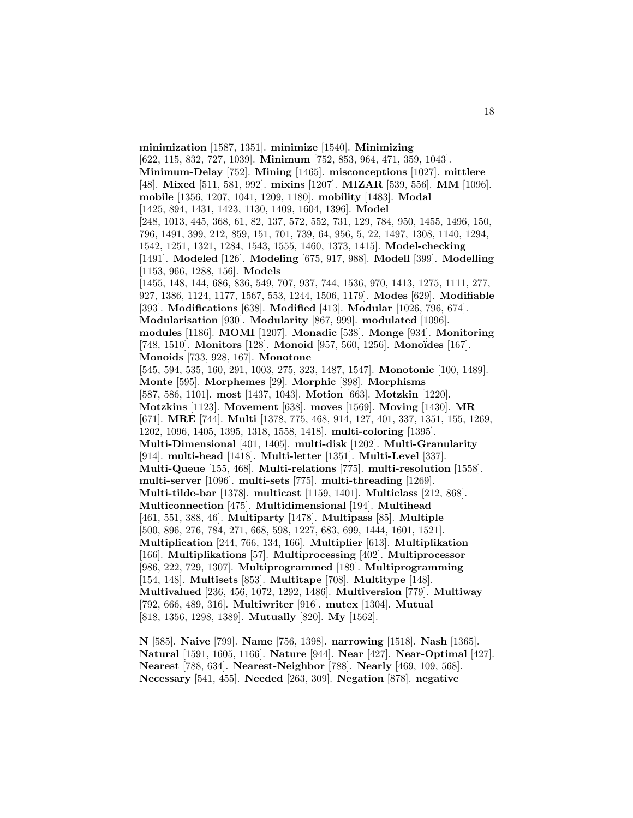**minimization** [1587, 1351]. **minimize** [1540]. **Minimizing** [622, 115, 832, 727, 1039]. **Minimum** [752, 853, 964, 471, 359, 1043]. **Minimum-Delay** [752]. **Mining** [1465]. **misconceptions** [1027]. **mittlere** [48]. **Mixed** [511, 581, 992]. **mixins** [1207]. **MIZAR** [539, 556]. **MM** [1096]. **mobile** [1356, 1207, 1041, 1209, 1180]. **mobility** [1483]. **Modal** [1425, 894, 1431, 1423, 1130, 1409, 1604, 1396]. **Model** [248, 1013, 445, 368, 61, 82, 137, 572, 552, 731, 129, 784, 950, 1455, 1496, 150, 796, 1491, 399, 212, 859, 151, 701, 739, 64, 956, 5, 22, 1497, 1308, 1140, 1294, 1542, 1251, 1321, 1284, 1543, 1555, 1460, 1373, 1415]. **Model-checking** [1491]. **Modeled** [126]. **Modeling** [675, 917, 988]. **Modell** [399]. **Modelling** [1153, 966, 1288, 156]. **Models** [1455, 148, 144, 686, 836, 549, 707, 937, 744, 1536, 970, 1413, 1275, 1111, 277, 927, 1386, 1124, 1177, 1567, 553, 1244, 1506, 1179]. **Modes** [629]. **Modifiable** [393]. **Modifications** [638]. **Modified** [413]. **Modular** [1026, 796, 674]. **Modularisation** [930]. **Modularity** [867, 999]. **modulated** [1096]. **modules** [1186]. **MOMI** [1207]. **Monadic** [538]. **Monge** [934]. **Monitoring** [748, 1510]. **Monitors** [128]. **Monoid** [957, 560, 1256]. **Monoïdes** [167]. **Monoids** [733, 928, 167]. **Monotone** [545, 594, 535, 160, 291, 1003, 275, 323, 1487, 1547]. **Monotonic** [100, 1489]. **Monte** [595]. **Morphemes** [29]. **Morphic** [898]. **Morphisms** [587, 586, 1101]. **most** [1437, 1043]. **Motion** [663]. **Motzkin** [1220]. **Motzkins** [1123]. **Movement** [638]. **moves** [1569]. **Moving** [1430]. **MR** [671]. **MRE** [744]. **Multi** [1378, 775, 468, 914, 127, 401, 337, 1351, 155, 1269, 1202, 1096, 1405, 1395, 1318, 1558, 1418]. **multi-coloring** [1395]. **Multi-Dimensional** [401, 1405]. **multi-disk** [1202]. **Multi-Granularity** [914]. **multi-head** [1418]. **Multi-letter** [1351]. **Multi-Level** [337]. **Multi-Queue** [155, 468]. **Multi-relations** [775]. **multi-resolution** [1558]. **multi-server** [1096]. **multi-sets** [775]. **multi-threading** [1269]. **Multi-tilde-bar** [1378]. **multicast** [1159, 1401]. **Multiclass** [212, 868]. **Multiconnection** [475]. **Multidimensional** [194]. **Multihead** [461, 551, 388, 46]. **Multiparty** [1478]. **Multipass** [85]. **Multiple** [500, 896, 276, 784, 271, 668, 598, 1227, 683, 699, 1444, 1601, 1521]. **Multiplication** [244, 766, 134, 166]. **Multiplier** [613]. **Multiplikation** [166]. **Multiplikations** [57]. **Multiprocessing** [402]. **Multiprocessor** [986, 222, 729, 1307]. **Multiprogrammed** [189]. **Multiprogramming** [154, 148]. **Multisets** [853]. **Multitape** [708]. **Multitype** [148]. **Multivalued** [236, 456, 1072, 1292, 1486]. **Multiversion** [779]. **Multiway** [792, 666, 489, 316]. **Multiwriter** [916]. **mutex** [1304]. **Mutual** [818, 1356, 1298, 1389]. **Mutually** [820]. **My** [1562].

**N** [585]. **Naive** [799]. **Name** [756, 1398]. **narrowing** [1518]. **Nash** [1365]. **Natural** [1591, 1605, 1166]. **Nature** [944]. **Near** [427]. **Near-Optimal** [427]. **Nearest** [788, 634]. **Nearest-Neighbor** [788]. **Nearly** [469, 109, 568]. **Necessary** [541, 455]. **Needed** [263, 309]. **Negation** [878]. **negative**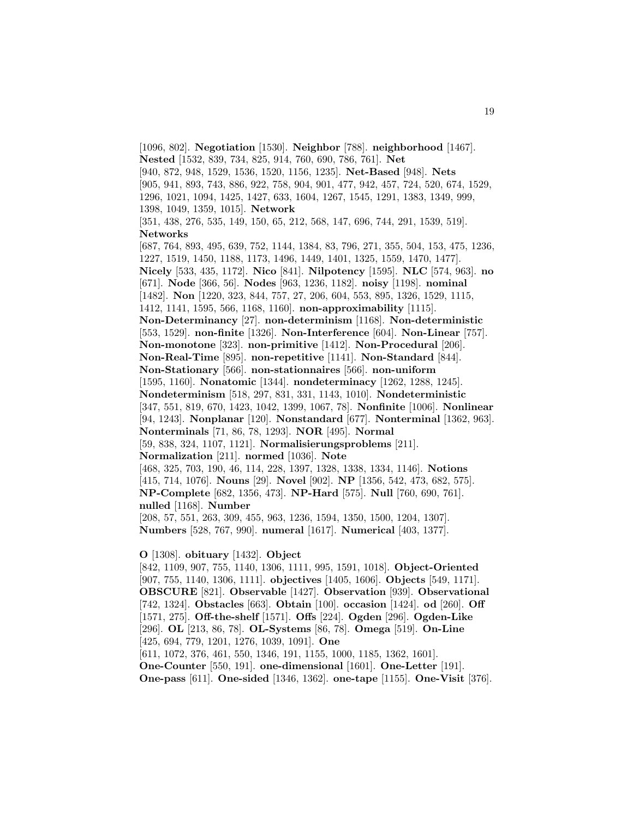[1096, 802]. **Negotiation** [1530]. **Neighbor** [788]. **neighborhood** [1467]. **Nested** [1532, 839, 734, 825, 914, 760, 690, 786, 761]. **Net** [940, 872, 948, 1529, 1536, 1520, 1156, 1235]. **Net-Based** [948]. **Nets** [905, 941, 893, 743, 886, 922, 758, 904, 901, 477, 942, 457, 724, 520, 674, 1529, 1296, 1021, 1094, 1425, 1427, 633, 1604, 1267, 1545, 1291, 1383, 1349, 999, 1398, 1049, 1359, 1015]. **Network** [351, 438, 276, 535, 149, 150, 65, 212, 568, 147, 696, 744, 291, 1539, 519]. **Networks** [687, 764, 893, 495, 639, 752, 1144, 1384, 83, 796, 271, 355, 504, 153, 475, 1236, 1227, 1519, 1450, 1188, 1173, 1496, 1449, 1401, 1325, 1559, 1470, 1477]. **Nicely** [533, 435, 1172]. **Nico** [841]. **Nilpotency** [1595]. **NLC** [574, 963]. **no** [671]. **Node** [366, 56]. **Nodes** [963, 1236, 1182]. **noisy** [1198]. **nominal** [1482]. **Non** [1220, 323, 844, 757, 27, 206, 604, 553, 895, 1326, 1529, 1115, 1412, 1141, 1595, 566, 1168, 1160]. **non-approximability** [1115]. **Non-Determinancy** [27]. **non-determinism** [1168]. **Non-deterministic** [553, 1529]. **non-finite** [1326]. **Non-Interference** [604]. **Non-Linear** [757]. **Non-monotone** [323]. **non-primitive** [1412]. **Non-Procedural** [206]. **Non-Real-Time** [895]. **non-repetitive** [1141]. **Non-Standard** [844]. **Non-Stationary** [566]. **non-stationnaires** [566]. **non-uniform** [1595, 1160]. **Nonatomic** [1344]. **nondeterminacy** [1262, 1288, 1245]. **Nondeterminism** [518, 297, 831, 331, 1143, 1010]. **Nondeterministic** [347, 551, 819, 670, 1423, 1042, 1399, 1067, 78]. **Nonfinite** [1006]. **Nonlinear** [94, 1243]. **Nonplanar** [120]. **Nonstandard** [677]. **Nonterminal** [1362, 963]. **Nonterminals** [71, 86, 78, 1293]. **NOR** [495]. **Normal** [59, 838, 324, 1107, 1121]. **Normalisierungsproblems** [211]. **Normalization** [211]. **normed** [1036]. **Note** [468, 325, 703, 190, 46, 114, 228, 1397, 1328, 1338, 1334, 1146]. **Notions** [415, 714, 1076]. **Nouns** [29]. **Novel** [902]. **NP** [1356, 542, 473, 682, 575]. **NP-Complete** [682, 1356, 473]. **NP-Hard** [575]. **Null** [760, 690, 761]. **nulled** [1168]. **Number** [208, 57, 551, 263, 309, 455, 963, 1236, 1594, 1350, 1500, 1204, 1307].

**Numbers** [528, 767, 990]. **numeral** [1617]. **Numerical** [403, 1377].

#### **O** [1308]. **obituary** [1432]. **Object**

[842, 1109, 907, 755, 1140, 1306, 1111, 995, 1591, 1018]. **Object-Oriented** [907, 755, 1140, 1306, 1111]. **objectives** [1405, 1606]. **Objects** [549, 1171]. **OBSCURE** [821]. **Observable** [1427]. **Observation** [939]. **Observational** [742, 1324]. **Obstacles** [663]. **Obtain** [100]. **occasion** [1424]. **od** [260]. **Off** [1571, 275]. **Off-the-shelf** [1571]. **Offs** [224]. **Ogden** [296]. **Ogden-Like** [296]. **OL** [213, 86, 78]. **OL-Systems** [86, 78]. **Omega** [519]. **On-Line** [425, 694, 779, 1201, 1276, 1039, 1091]. **One** [611, 1072, 376, 461, 550, 1346, 191, 1155, 1000, 1185, 1362, 1601].

**One-Counter** [550, 191]. **one-dimensional** [1601]. **One-Letter** [191]. **One-pass** [611]. **One-sided** [1346, 1362]. **one-tape** [1155]. **One-Visit** [376].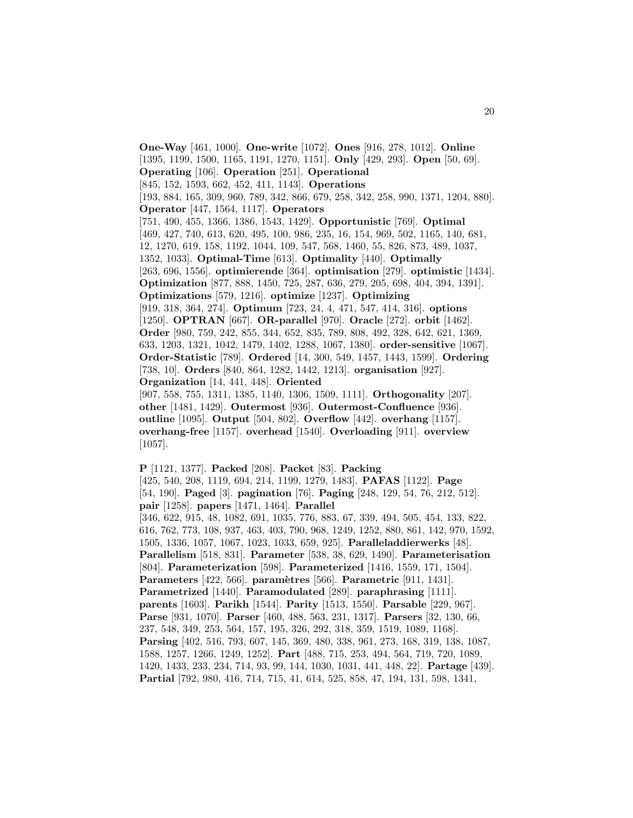**One-Way** [461, 1000]. **One-write** [1072]. **Ones** [916, 278, 1012]. **Online** [1395, 1199, 1500, 1165, 1191, 1270, 1151]. **Only** [429, 293]. **Open** [50, 69]. **Operating** [106]. **Operation** [251]. **Operational** [845, 152, 1593, 662, 452, 411, 1143]. **Operations** [193, 884, 165, 309, 960, 789, 342, 866, 679, 258, 342, 258, 990, 1371, 1204, 880]. **Operator** [447, 1564, 1117]. **Operators** [751, 490, 455, 1366, 1386, 1543, 1429]. **Opportunistic** [769]. **Optimal** [469, 427, 740, 613, 620, 495, 100, 986, 235, 16, 154, 969, 502, 1165, 140, 681, 12, 1270, 619, 158, 1192, 1044, 109, 547, 568, 1460, 55, 826, 873, 489, 1037, 1352, 1033]. **Optimal-Time** [613]. **Optimality** [440]. **Optimally** [263, 696, 1556]. **optimierende** [364]. **optimisation** [279]. **optimistic** [1434]. **Optimization** [877, 888, 1450, 725, 287, 636, 279, 205, 698, 404, 394, 1391]. **Optimizations** [579, 1216]. **optimize** [1237]. **Optimizing** [919, 318, 364, 274]. **Optimum** [723, 24, 4, 471, 547, 414, 316]. **options** [1250]. **OPTRAN** [667]. **OR-parallel** [970]. **Oracle** [272]. **orbit** [1462]. **Order** [980, 759, 242, 855, 344, 652, 835, 789, 808, 492, 328, 642, 621, 1369, 633, 1203, 1321, 1042, 1479, 1402, 1288, 1067, 1380]. **order-sensitive** [1067]. **Order-Statistic** [789]. **Ordered** [14, 300, 549, 1457, 1443, 1599]. **Ordering** [738, 10]. **Orders** [840, 864, 1282, 1442, 1213]. **organisation** [927]. **Organization** [14, 441, 448]. **Oriented** [907, 558, 755, 1311, 1385, 1140, 1306, 1509, 1111]. **Orthogonality** [207]. **other** [1481, 1429]. **Outermost** [936]. **Outermost-Confluence** [936]. **outline** [1095]. **Output** [504, 802]. **Overflow** [442]. **overhang** [1157]. **overhang-free** [1157]. **overhead** [1540]. **Overloading** [911]. **overview** [1057].

**P** [1121, 1377]. **Packed** [208]. **Packet** [83]. **Packing** [425, 540, 208, 1119, 694, 214, 1199, 1279, 1483]. **PAFAS** [1122]. **Page** [54, 190]. **Paged** [3]. **pagination** [76]. **Paging** [248, 129, 54, 76, 212, 512]. **pair** [1258]. **papers** [1471, 1464]. **Parallel** [346, 622, 915, 48, 1082, 691, 1035, 776, 883, 67, 339, 494, 505, 454, 133, 822, 616, 762, 773, 108, 937, 463, 403, 790, 968, 1249, 1252, 880, 861, 142, 970, 1592, 1505, 1336, 1057, 1067, 1023, 1033, 659, 925]. **Paralleladdierwerks** [48]. **Parallelism** [518, 831]. **Parameter** [538, 38, 629, 1490]. **Parameterisation** [804]. **Parameterization** [598]. **Parameterized** [1416, 1559, 171, 1504]. **Parameters** [422, 566]. **param`etres** [566]. **Parametric** [911, 1431]. **Parametrized** [1440]. **Paramodulated** [289]. **paraphrasing** [1111]. **parents** [1603]. **Parikh** [1544]. **Parity** [1513, 1550]. **Parsable** [229, 967]. **Parse** [931, 1070]. **Parser** [460, 488, 563, 231, 1317]. **Parsers** [32, 130, 66, 237, 548, 349, 253, 564, 157, 195, 326, 292, 318, 359, 1519, 1089, 1168]. **Parsing** [402, 516, 793, 607, 145, 369, 480, 338, 961, 273, 168, 319, 138, 1087, 1588, 1257, 1266, 1249, 1252]. **Part** [488, 715, 253, 494, 564, 719, 720, 1089, 1420, 1433, 233, 234, 714, 93, 99, 144, 1030, 1031, 441, 448, 22]. **Partage** [439]. **Partial** [792, 980, 416, 714, 715, 41, 614, 525, 858, 47, 194, 131, 598, 1341,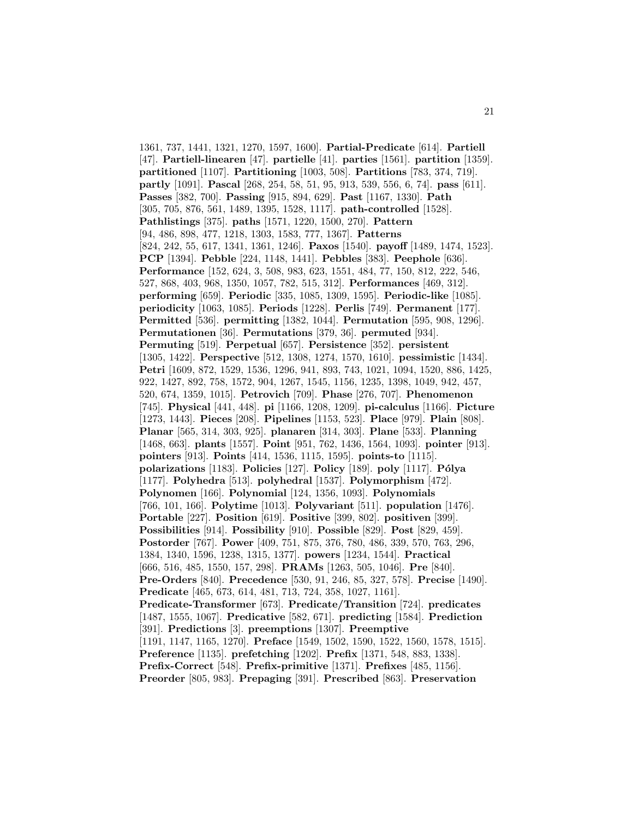1361, 737, 1441, 1321, 1270, 1597, 1600]. **Partial-Predicate** [614]. **Partiell** [47]. **Partiell-linearen** [47]. **partielle** [41]. **parties** [1561]. **partition** [1359]. **partitioned** [1107]. **Partitioning** [1003, 508]. **Partitions** [783, 374, 719]. **partly** [1091]. **Pascal** [268, 254, 58, 51, 95, 913, 539, 556, 6, 74]. **pass** [611]. **Passes** [382, 700]. **Passing** [915, 894, 629]. **Past** [1167, 1330]. **Path** [305, 705, 876, 561, 1489, 1395, 1528, 1117]. **path-controlled** [1528]. **Pathlistings** [375]. **paths** [1571, 1220, 1500, 270]. **Pattern** [94, 486, 898, 477, 1218, 1303, 1583, 777, 1367]. **Patterns** [824, 242, 55, 617, 1341, 1361, 1246]. **Paxos** [1540]. **payoff** [1489, 1474, 1523]. **PCP** [1394]. **Pebble** [224, 1148, 1441]. **Pebbles** [383]. **Peephole** [636]. **Performance** [152, 624, 3, 508, 983, 623, 1551, 484, 77, 150, 812, 222, 546, 527, 868, 403, 968, 1350, 1057, 782, 515, 312]. **Performances** [469, 312]. **performing** [659]. **Periodic** [335, 1085, 1309, 1595]. **Periodic-like** [1085]. **periodicity** [1063, 1085]. **Periods** [1228]. **Perlis** [749]. **Permanent** [177]. **Permitted** [536]. **permitting** [1382, 1044]. **Permutation** [595, 908, 1296]. **Permutationen** [36]. **Permutations** [379, 36]. **permuted** [934]. **Permuting** [519]. **Perpetual** [657]. **Persistence** [352]. **persistent** [1305, 1422]. **Perspective** [512, 1308, 1274, 1570, 1610]. **pessimistic** [1434]. **Petri** [1609, 872, 1529, 1536, 1296, 941, 893, 743, 1021, 1094, 1520, 886, 1425, 922, 1427, 892, 758, 1572, 904, 1267, 1545, 1156, 1235, 1398, 1049, 942, 457, 520, 674, 1359, 1015]. **Petrovich** [709]. **Phase** [276, 707]. **Phenomenon** [745]. **Physical** [441, 448]. **pi** [1166, 1208, 1209]. **pi-calculus** [1166]. **Picture** [1273, 1443]. **Pieces** [208]. **Pipelines** [1153, 523]. **Place** [979]. **Plain** [808]. **Planar** [565, 314, 303, 925]. **planaren** [314, 303]. **Plane** [533]. **Planning** [1468, 663]. **plants** [1557]. **Point** [951, 762, 1436, 1564, 1093]. **pointer** [913]. **pointers** [913]. **Points** [414, 1536, 1115, 1595]. **points-to** [1115]. **polarizations** [1183]. **Policies** [127]. **Policy** [189]. **poly** [1117]. **P´olya** [1177]. **Polyhedra** [513]. **polyhedral** [1537]. **Polymorphism** [472]. **Polynomen** [166]. **Polynomial** [124, 1356, 1093]. **Polynomials** [766, 101, 166]. **Polytime** [1013]. **Polyvariant** [511]. **population** [1476]. **Portable** [227]. **Position** [619]. **Positive** [399, 802]. **positiven** [399]. **Possibilities** [914]. **Possibility** [910]. **Possible** [829]. **Post** [829, 459]. **Postorder** [767]. **Power** [409, 751, 875, 376, 780, 486, 339, 570, 763, 296, 1384, 1340, 1596, 1238, 1315, 1377]. **powers** [1234, 1544]. **Practical** [666, 516, 485, 1550, 157, 298]. **PRAMs** [1263, 505, 1046]. **Pre** [840]. **Pre-Orders** [840]. **Precedence** [530, 91, 246, 85, 327, 578]. **Precise** [1490]. **Predicate** [465, 673, 614, 481, 713, 724, 358, 1027, 1161]. **Predicate-Transformer** [673]. **Predicate/Transition** [724]. **predicates** [1487, 1555, 1067]. **Predicative** [582, 671]. **predicting** [1584]. **Prediction** [391]. **Predictions** [3]. **preemptions** [1307]. **Preemptive** [1191, 1147, 1165, 1270]. **Preface** [1549, 1502, 1590, 1522, 1560, 1578, 1515]. **Preference** [1135]. **prefetching** [1202]. **Prefix** [1371, 548, 883, 1338]. **Prefix-Correct** [548]. **Prefix-primitive** [1371]. **Prefixes** [485, 1156]. **Preorder** [805, 983]. **Prepaging** [391]. **Prescribed** [863]. **Preservation**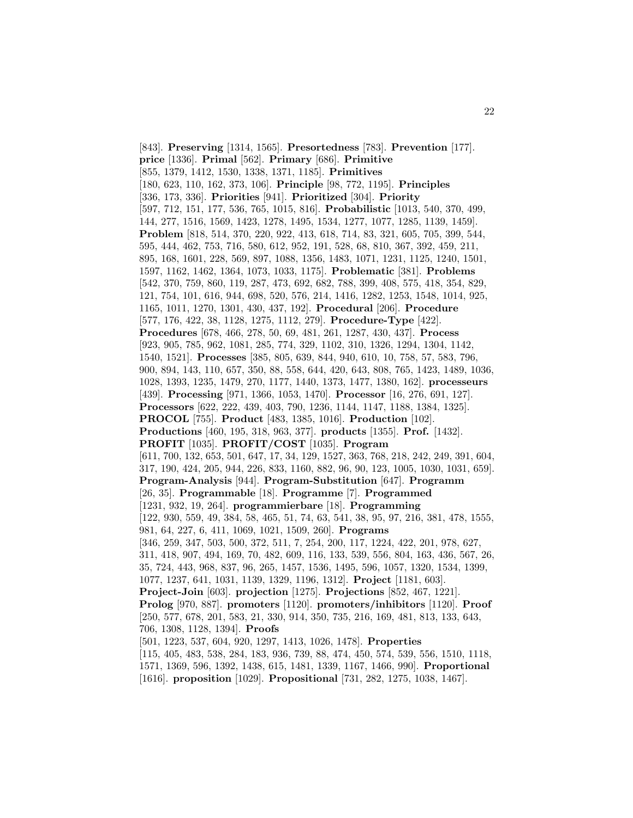[843]. **Preserving** [1314, 1565]. **Presortedness** [783]. **Prevention** [177]. **price** [1336]. **Primal** [562]. **Primary** [686]. **Primitive** [855, 1379, 1412, 1530, 1338, 1371, 1185]. **Primitives** [180, 623, 110, 162, 373, 106]. **Principle** [98, 772, 1195]. **Principles** [336, 173, 336]. **Priorities** [941]. **Prioritized** [304]. **Priority** [597, 712, 151, 177, 536, 765, 1015, 816]. **Probabilistic** [1013, 540, 370, 499, 144, 277, 1516, 1569, 1423, 1278, 1495, 1534, 1277, 1077, 1285, 1139, 1459]. **Problem** [818, 514, 370, 220, 922, 413, 618, 714, 83, 321, 605, 705, 399, 544, 595, 444, 462, 753, 716, 580, 612, 952, 191, 528, 68, 810, 367, 392, 459, 211, 895, 168, 1601, 228, 569, 897, 1088, 1356, 1483, 1071, 1231, 1125, 1240, 1501, 1597, 1162, 1462, 1364, 1073, 1033, 1175]. **Problematic** [381]. **Problems** [542, 370, 759, 860, 119, 287, 473, 692, 682, 788, 399, 408, 575, 418, 354, 829, 121, 754, 101, 616, 944, 698, 520, 576, 214, 1416, 1282, 1253, 1548, 1014, 925, 1165, 1011, 1270, 1301, 430, 437, 192]. **Procedural** [206]. **Procedure** [577, 176, 422, 38, 1128, 1275, 1112, 279]. **Procedure-Type** [422]. **Procedures** [678, 466, 278, 50, 69, 481, 261, 1287, 430, 437]. **Process** [923, 905, 785, 962, 1081, 285, 774, 329, 1102, 310, 1326, 1294, 1304, 1142, 1540, 1521]. **Processes** [385, 805, 639, 844, 940, 610, 10, 758, 57, 583, 796, 900, 894, 143, 110, 657, 350, 88, 558, 644, 420, 643, 808, 765, 1423, 1489, 1036, 1028, 1393, 1235, 1479, 270, 1177, 1440, 1373, 1477, 1380, 162]. **processeurs** [439]. **Processing** [971, 1366, 1053, 1470]. **Processor** [16, 276, 691, 127]. **Processors** [622, 222, 439, 403, 790, 1236, 1144, 1147, 1188, 1384, 1325]. **PROCOL** [755]. **Product** [483, 1385, 1016]. **Production** [102]. **Productions** [460, 195, 318, 963, 377]. **products** [1355]. **Prof.** [1432]. **PROFIT** [1035]. **PROFIT/COST** [1035]. **Program** [611, 700, 132, 653, 501, 647, 17, 34, 129, 1527, 363, 768, 218, 242, 249, 391, 604, 317, 190, 424, 205, 944, 226, 833, 1160, 882, 96, 90, 123, 1005, 1030, 1031, 659]. **Program-Analysis** [944]. **Program-Substitution** [647]. **Programm** [26, 35]. **Programmable** [18]. **Programme** [7]. **Programmed** [1231, 932, 19, 264]. **programmierbare** [18]. **Programming** [122, 930, 559, 49, 384, 58, 465, 51, 74, 63, 541, 38, 95, 97, 216, 381, 478, 1555, 981, 64, 227, 6, 411, 1069, 1021, 1509, 260]. **Programs** [346, 259, 347, 503, 500, 372, 511, 7, 254, 200, 117, 1224, 422, 201, 978, 627, 311, 418, 907, 494, 169, 70, 482, 609, 116, 133, 539, 556, 804, 163, 436, 567, 26, 35, 724, 443, 968, 837, 96, 265, 1457, 1536, 1495, 596, 1057, 1320, 1534, 1399, 1077, 1237, 641, 1031, 1139, 1329, 1196, 1312]. **Project** [1181, 603]. **Project-Join** [603]. **projection** [1275]. **Projections** [852, 467, 1221]. **Prolog** [970, 887]. **promoters** [1120]. **promoters/inhibitors** [1120]. **Proof** [250, 577, 678, 201, 583, 21, 330, 914, 350, 735, 216, 169, 481, 813, 133, 643, 706, 1308, 1128, 1394]. **Proofs** [501, 1223, 537, 604, 920, 1297, 1413, 1026, 1478]. **Properties** [115, 405, 483, 538, 284, 183, 936, 739, 88, 474, 450, 574, 539, 556, 1510, 1118, 1571, 1369, 596, 1392, 1438, 615, 1481, 1339, 1167, 1466, 990]. **Proportional** [1616]. **proposition** [1029]. **Propositional** [731, 282, 1275, 1038, 1467].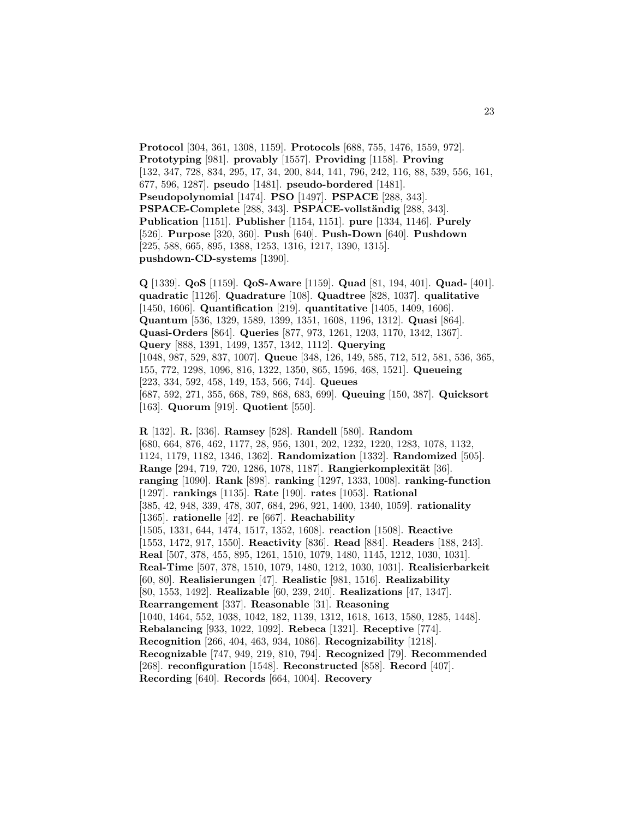**Protocol** [304, 361, 1308, 1159]. **Protocols** [688, 755, 1476, 1559, 972]. **Prototyping** [981]. **provably** [1557]. **Providing** [1158]. **Proving** [132, 347, 728, 834, 295, 17, 34, 200, 844, 141, 796, 242, 116, 88, 539, 556, 161, 677, 596, 1287]. **pseudo** [1481]. **pseudo-bordered** [1481]. **Pseudopolynomial** [1474]. **PSO** [1497]. **PSPACE** [288, 343]. **PSPACE-Complete** [288, 343]. **PSPACE-vollständig** [288, 343]. **Publication** [1151]. **Publisher** [1154, 1151]. **pure** [1334, 1146]. **Purely** [526]. **Purpose** [320, 360]. **Push** [640]. **Push-Down** [640]. **Pushdown** [225, 588, 665, 895, 1388, 1253, 1316, 1217, 1390, 1315]. **pushdown-CD-systems** [1390].

**Q** [1339]. **QoS** [1159]. **QoS-Aware** [1159]. **Quad** [81, 194, 401]. **Quad-** [401]. **quadratic** [1126]. **Quadrature** [108]. **Quadtree** [828, 1037]. **qualitative** [1450, 1606]. **Quantification** [219]. **quantitative** [1405, 1409, 1606]. **Quantum** [536, 1329, 1589, 1399, 1351, 1608, 1196, 1312]. **Quasi** [864]. **Quasi-Orders** [864]. **Queries** [877, 973, 1261, 1203, 1170, 1342, 1367]. **Query** [888, 1391, 1499, 1357, 1342, 1112]. **Querying** [1048, 987, 529, 837, 1007]. **Queue** [348, 126, 149, 585, 712, 512, 581, 536, 365, 155, 772, 1298, 1096, 816, 1322, 1350, 865, 1596, 468, 1521]. **Queueing** [223, 334, 592, 458, 149, 153, 566, 744]. **Queues** [687, 592, 271, 355, 668, 789, 868, 683, 699]. **Queuing** [150, 387]. **Quicksort** [163]. **Quorum** [919]. **Quotient** [550].

**R** [132]. **R.** [336]. **Ramsey** [528]. **Randell** [580]. **Random** [680, 664, 876, 462, 1177, 28, 956, 1301, 202, 1232, 1220, 1283, 1078, 1132, 1124, 1179, 1182, 1346, 1362]. **Randomization** [1332]. **Randomized** [505]. **Range** [294, 719, 720, 1286, 1078, 1187]. **Rangierkomplexität** [36]. **ranging** [1090]. **Rank** [898]. **ranking** [1297, 1333, 1008]. **ranking-function** [1297]. **rankings** [1135]. **Rate** [190]. **rates** [1053]. **Rational** [385, 42, 948, 339, 478, 307, 684, 296, 921, 1400, 1340, 1059]. **rationality** [1365]. **rationelle** [42]. **re** [667]. **Reachability** [1505, 1331, 644, 1474, 1517, 1352, 1608]. **reaction** [1508]. **Reactive** [1553, 1472, 917, 1550]. **Reactivity** [836]. **Read** [884]. **Readers** [188, 243]. **Real** [507, 378, 455, 895, 1261, 1510, 1079, 1480, 1145, 1212, 1030, 1031]. **Real-Time** [507, 378, 1510, 1079, 1480, 1212, 1030, 1031]. **Realisierbarkeit** [60, 80]. **Realisierungen** [47]. **Realistic** [981, 1516]. **Realizability** [80, 1553, 1492]. **Realizable** [60, 239, 240]. **Realizations** [47, 1347]. **Rearrangement** [337]. **Reasonable** [31]. **Reasoning** [1040, 1464, 552, 1038, 1042, 182, 1139, 1312, 1618, 1613, 1580, 1285, 1448]. **Rebalancing** [933, 1022, 1092]. **Rebeca** [1321]. **Receptive** [774]. **Recognition** [266, 404, 463, 934, 1086]. **Recognizability** [1218]. **Recognizable** [747, 949, 219, 810, 794]. **Recognized** [79]. **Recommended** [268]. **reconfiguration** [1548]. **Reconstructed** [858]. **Record** [407]. **Recording** [640]. **Records** [664, 1004]. **Recovery**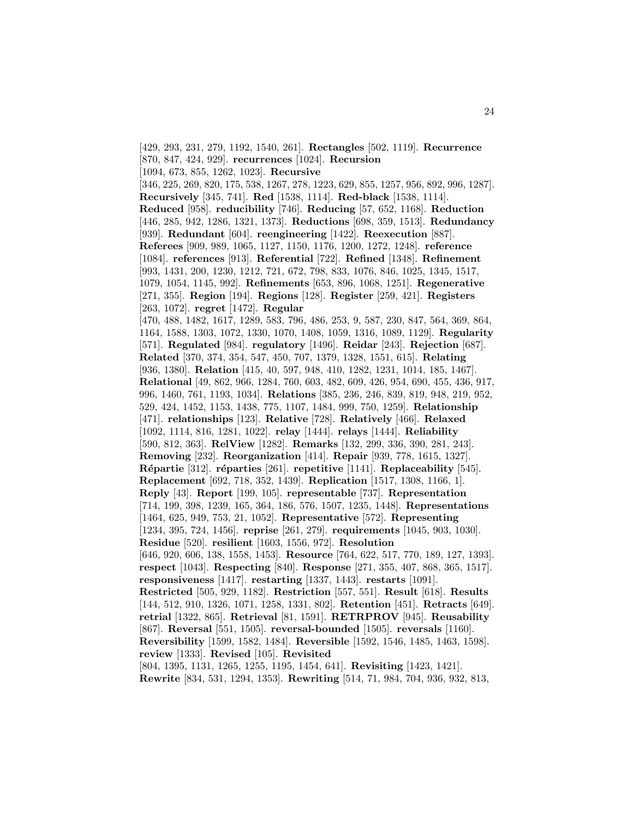[429, 293, 231, 279, 1192, 1540, 261]. **Rectangles** [502, 1119]. **Recurrence** [870, 847, 424, 929]. **recurrences** [1024]. **Recursion** [1094, 673, 855, 1262, 1023]. **Recursive** [346, 225, 269, 820, 175, 538, 1267, 278, 1223, 629, 855, 1257, 956, 892, 996, 1287]. **Recursively** [345, 741]. **Red** [1538, 1114]. **Red-black** [1538, 1114]. **Reduced** [958]. **reducibility** [746]. **Reducing** [57, 652, 1168]. **Reduction** [446, 285, 942, 1286, 1321, 1373]. **Reductions** [698, 359, 1513]. **Redundancy** [939]. **Redundant** [604]. **reengineering** [1422]. **Reexecution** [887]. **Referees** [909, 989, 1065, 1127, 1150, 1176, 1200, 1272, 1248]. **reference** [1084]. **references** [913]. **Referential** [722]. **Refined** [1348]. **Refinement** [993, 1431, 200, 1230, 1212, 721, 672, 798, 833, 1076, 846, 1025, 1345, 1517, 1079, 1054, 1145, 992]. **Refinements** [653, 896, 1068, 1251]. **Regenerative** [271, 355]. **Region** [194]. **Regions** [128]. **Register** [259, 421]. **Registers** [263, 1072]. **regret** [1472]. **Regular** [470, 488, 1482, 1617, 1289, 583, 796, 486, 253, 9, 587, 230, 847, 564, 369, 864, 1164, 1588, 1303, 1072, 1330, 1070, 1408, 1059, 1316, 1089, 1129]. **Regularity** [571]. **Regulated** [984]. **regulatory** [1496]. **Reidar** [243]. **Rejection** [687]. **Related** [370, 374, 354, 547, 450, 707, 1379, 1328, 1551, 615]. **Relating** [936, 1380]. **Relation** [415, 40, 597, 948, 410, 1282, 1231, 1014, 185, 1467]. **Relational** [49, 862, 966, 1284, 760, 603, 482, 609, 426, 954, 690, 455, 436, 917, 996, 1460, 761, 1193, 1034]. **Relations** [385, 236, 246, 839, 819, 948, 219, 952, 529, 424, 1452, 1153, 1438, 775, 1107, 1484, 999, 750, 1259]. **Relationship** [471]. **relationships** [123]. **Relative** [728]. **Relatively** [466]. **Relaxed** [1092, 1114, 816, 1281, 1022]. **relay** [1444]. **relays** [1444]. **Reliability** [590, 812, 363]. **RelView** [1282]. **Remarks** [132, 299, 336, 390, 281, 243]. **Removing** [232]. **Reorganization** [414]. **Repair** [939, 778, 1615, 1327]. **R´epartie** [312]. **r´eparties** [261]. **repetitive** [1141]. **Replaceability** [545]. **Replacement** [692, 718, 352, 1439]. **Replication** [1517, 1308, 1166, 1]. **Reply** [43]. **Report** [199, 105]. **representable** [737]. **Representation** [714, 199, 398, 1239, 165, 364, 186, 576, 1507, 1235, 1448]. **Representations** [1464, 625, 949, 753, 21, 1052]. **Representative** [572]. **Representing** [1234, 395, 724, 1456]. **reprise** [261, 279]. **requirements** [1045, 903, 1030]. **Residue** [520]. **resilient** [1603, 1556, 972]. **Resolution** [646, 920, 606, 138, 1558, 1453]. **Resource** [764, 622, 517, 770, 189, 127, 1393]. **respect** [1043]. **Respecting** [840]. **Response** [271, 355, 407, 868, 365, 1517]. **responsiveness** [1417]. **restarting** [1337, 1443]. **restarts** [1091]. **Restricted** [505, 929, 1182]. **Restriction** [557, 551]. **Result** [618]. **Results** [144, 512, 910, 1326, 1071, 1258, 1331, 802]. **Retention** [451]. **Retracts** [649]. **retrial** [1322, 865]. **Retrieval** [81, 1591]. **RETRPROV** [945]. **Reusability** [867]. **Reversal** [551, 1505]. **reversal-bounded** [1505]. **reversals** [1160]. **Reversibility** [1599, 1582, 1484]. **Reversible** [1592, 1546, 1485, 1463, 1598]. **review** [1333]. **Revised** [105]. **Revisited** [804, 1395, 1131, 1265, 1255, 1195, 1454, 641]. **Revisiting** [1423, 1421]. **Rewrite** [834, 531, 1294, 1353]. **Rewriting** [514, 71, 984, 704, 936, 932, 813,

24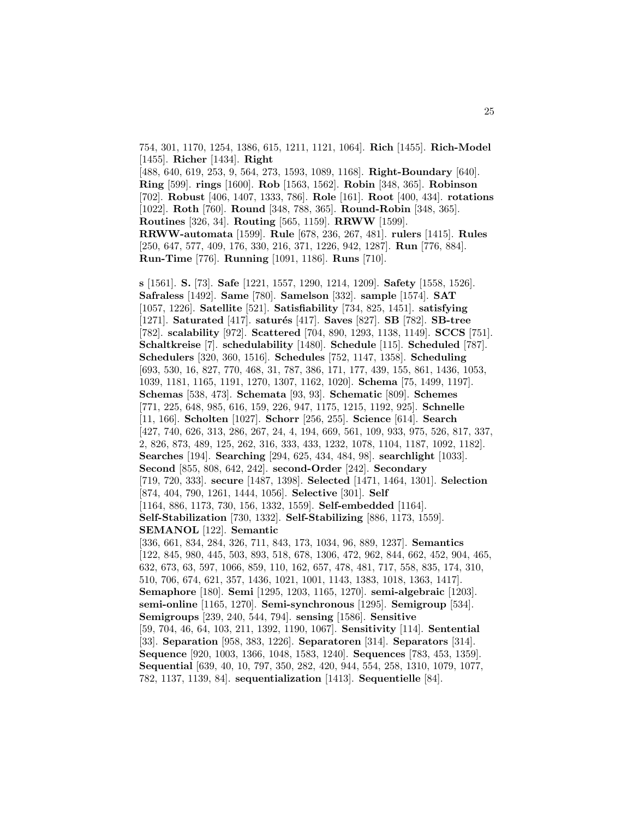754, 301, 1170, 1254, 1386, 615, 1211, 1121, 1064]. **Rich** [1455]. **Rich-Model** [1455]. **Richer** [1434]. **Right** [488, 640, 619, 253, 9, 564, 273, 1593, 1089, 1168]. **Right-Boundary** [640]. **Ring** [599]. **rings** [1600]. **Rob** [1563, 1562]. **Robin** [348, 365]. **Robinson** [702]. **Robust** [406, 1407, 1333, 786]. **Role** [161]. **Root** [400, 434]. **rotations** [1022]. **Roth** [760]. **Round** [348, 788, 365]. **Round-Robin** [348, 365]. **Routines** [326, 34]. **Routing** [565, 1159]. **RRWW** [1599]. **RRWW-automata** [1599]. **Rule** [678, 236, 267, 481]. **rulers** [1415]. **Rules** [250, 647, 577, 409, 176, 330, 216, 371, 1226, 942, 1287]. **Run** [776, 884]. **Run-Time** [776]. **Running** [1091, 1186]. **Runs** [710].

**s** [1561]. **S.** [73]. **Safe** [1221, 1557, 1290, 1214, 1209]. **Safety** [1558, 1526]. **Safraless** [1492]. **Same** [780]. **Samelson** [332]. **sample** [1574]. **SAT** [1057, 1226]. **Satellite** [521]. **Satisfiability** [734, 825, 1451]. **satisfying** [1271]. **Saturated** [417]. **satur´es** [417]. **Saves** [827]. **SB** [782]. **SB-tree** [782]. **scalability** [972]. **Scattered** [704, 890, 1293, 1138, 1149]. **SCCS** [751]. **Schaltkreise** [7]. **schedulability** [1480]. **Schedule** [115]. **Scheduled** [787]. **Schedulers** [320, 360, 1516]. **Schedules** [752, 1147, 1358]. **Scheduling** [693, 530, 16, 827, 770, 468, 31, 787, 386, 171, 177, 439, 155, 861, 1436, 1053, 1039, 1181, 1165, 1191, 1270, 1307, 1162, 1020]. **Schema** [75, 1499, 1197]. **Schemas** [538, 473]. **Schemata** [93, 93]. **Schematic** [809]. **Schemes** [771, 225, 648, 985, 616, 159, 226, 947, 1175, 1215, 1192, 925]. **Schnelle** [11, 166]. **Scholten** [1027]. **Schorr** [256, 255]. **Science** [614]. **Search** [427, 740, 626, 313, 286, 267, 24, 4, 194, 669, 561, 109, 933, 975, 526, 817, 337, 2, 826, 873, 489, 125, 262, 316, 333, 433, 1232, 1078, 1104, 1187, 1092, 1182]. **Searches** [194]. **Searching** [294, 625, 434, 484, 98]. **searchlight** [1033]. **Second** [855, 808, 642, 242]. **second-Order** [242]. **Secondary** [719, 720, 333]. **secure** [1487, 1398]. **Selected** [1471, 1464, 1301]. **Selection** [874, 404, 790, 1261, 1444, 1056]. **Selective** [301]. **Self** [1164, 886, 1173, 730, 156, 1332, 1559]. **Self-embedded** [1164]. **Self-Stabilization** [730, 1332]. **Self-Stabilizing** [886, 1173, 1559]. **SEMANOL** [122]. **Semantic** [336, 661, 834, 284, 326, 711, 843, 173, 1034, 96, 889, 1237]. **Semantics** [122, 845, 980, 445, 503, 893, 518, 678, 1306, 472, 962, 844, 662, 452, 904, 465, 632, 673, 63, 597, 1066, 859, 110, 162, 657, 478, 481, 717, 558, 835, 174, 310, 510, 706, 674, 621, 357, 1436, 1021, 1001, 1143, 1383, 1018, 1363, 1417]. **Semaphore** [180]. **Semi** [1295, 1203, 1165, 1270]. **semi-algebraic** [1203]. **semi-online** [1165, 1270]. **Semi-synchronous** [1295]. **Semigroup** [534]. **Semigroups** [239, 240, 544, 794]. **sensing** [1586]. **Sensitive** [59, 704, 46, 64, 103, 211, 1392, 1190, 1067]. **Sensitivity** [114]. **Sentential** [33]. **Separation** [958, 383, 1226]. **Separatoren** [314]. **Separators** [314]. **Sequence** [920, 1003, 1366, 1048, 1583, 1240]. **Sequences** [783, 453, 1359]. **Sequential** [639, 40, 10, 797, 350, 282, 420, 944, 554, 258, 1310, 1079, 1077, 782, 1137, 1139, 84]. **sequentialization** [1413]. **Sequentielle** [84].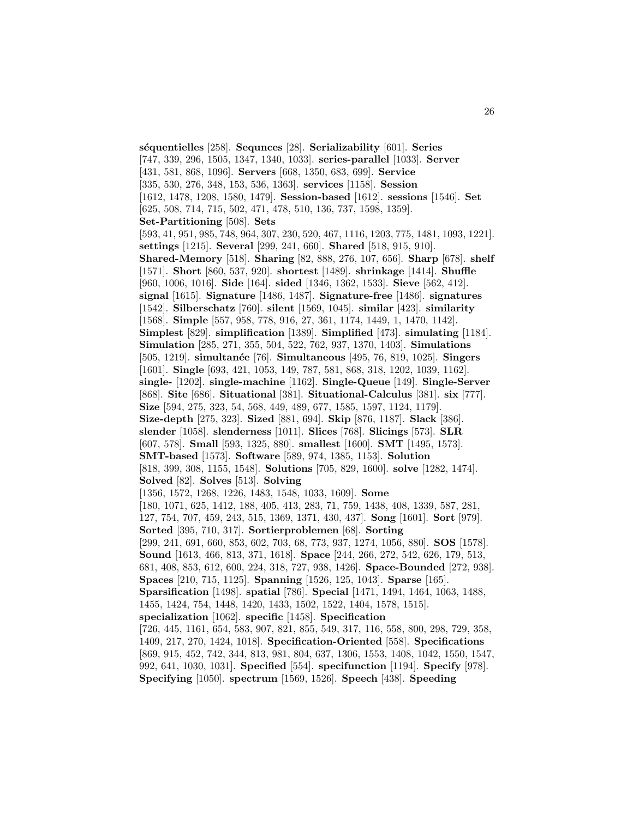**s´equentielles** [258]. **Sequnces** [28]. **Serializability** [601]. **Series** [747, 339, 296, 1505, 1347, 1340, 1033]. **series-parallel** [1033]. **Server** [431, 581, 868, 1096]. **Servers** [668, 1350, 683, 699]. **Service** [335, 530, 276, 348, 153, 536, 1363]. **services** [1158]. **Session** [1612, 1478, 1208, 1580, 1479]. **Session-based** [1612]. **sessions** [1546]. **Set** [625, 508, 714, 715, 502, 471, 478, 510, 136, 737, 1598, 1359]. **Set-Partitioning** [508]. **Sets** [593, 41, 951, 985, 748, 964, 307, 230, 520, 467, 1116, 1203, 775, 1481, 1093, 1221]. **settings** [1215]. **Several** [299, 241, 660]. **Shared** [518, 915, 910]. **Shared-Memory** [518]. **Sharing** [82, 888, 276, 107, 656]. **Sharp** [678]. **shelf** [1571]. **Short** [860, 537, 920]. **shortest** [1489]. **shrinkage** [1414]. **Shuffle** [960, 1006, 1016]. **Side** [164]. **sided** [1346, 1362, 1533]. **Sieve** [562, 412]. **signal** [1615]. **Signature** [1486, 1487]. **Signature-free** [1486]. **signatures** [1542]. **Silberschatz** [760]. **silent** [1569, 1045]. **similar** [423]. **similarity** [1568]. **Simple** [557, 958, 778, 916, 27, 361, 1174, 1449, 1, 1470, 1142]. **Simplest** [829]. **simplification** [1389]. **Simplified** [473]. **simulating** [1184]. **Simulation** [285, 271, 355, 504, 522, 762, 937, 1370, 1403]. **Simulations** [505, 1219]. **simultan´ee** [76]. **Simultaneous** [495, 76, 819, 1025]. **Singers** [1601]. **Single** [693, 421, 1053, 149, 787, 581, 868, 318, 1202, 1039, 1162]. **single-** [1202]. **single-machine** [1162]. **Single-Queue** [149]. **Single-Server** [868]. **Site** [686]. **Situational** [381]. **Situational-Calculus** [381]. **six** [777]. **Size** [594, 275, 323, 54, 568, 449, 489, 677, 1585, 1597, 1124, 1179]. **Size-depth** [275, 323]. **Sized** [881, 694]. **Skip** [876, 1187]. **Slack** [386]. **slender** [1058]. **slenderness** [1011]. **Slices** [768]. **Slicings** [573]. **SLR** [607, 578]. **Small** [593, 1325, 880]. **smallest** [1600]. **SMT** [1495, 1573]. **SMT-based** [1573]. **Software** [589, 974, 1385, 1153]. **Solution** [818, 399, 308, 1155, 1548]. **Solutions** [705, 829, 1600]. **solve** [1282, 1474]. **Solved** [82]. **Solves** [513]. **Solving** [1356, 1572, 1268, 1226, 1483, 1548, 1033, 1609]. **Some** [180, 1071, 625, 1412, 188, 405, 413, 283, 71, 759, 1438, 408, 1339, 587, 281, 127, 754, 707, 459, 243, 515, 1369, 1371, 430, 437]. **Song** [1601]. **Sort** [979]. **Sorted** [395, 710, 317]. **Sortierproblemen** [68]. **Sorting** [299, 241, 691, 660, 853, 602, 703, 68, 773, 937, 1274, 1056, 880]. **SOS** [1578]. **Sound** [1613, 466, 813, 371, 1618]. **Space** [244, 266, 272, 542, 626, 179, 513, 681, 408, 853, 612, 600, 224, 318, 727, 938, 1426]. **Space-Bounded** [272, 938]. **Spaces** [210, 715, 1125]. **Spanning** [1526, 125, 1043]. **Sparse** [165]. **Sparsification** [1498]. **spatial** [786]. **Special** [1471, 1494, 1464, 1063, 1488, 1455, 1424, 754, 1448, 1420, 1433, 1502, 1522, 1404, 1578, 1515]. **specialization** [1062]. **specific** [1458]. **Specification** [726, 445, 1161, 654, 583, 907, 821, 855, 549, 317, 116, 558, 800, 298, 729, 358, 1409, 217, 270, 1424, 1018]. **Specification-Oriented** [558]. **Specifications** [869, 915, 452, 742, 344, 813, 981, 804, 637, 1306, 1553, 1408, 1042, 1550, 1547, 992, 641, 1030, 1031]. **Specified** [554]. **specifunction** [1194]. **Specify** [978]. **Specifying** [1050]. **spectrum** [1569, 1526]. **Speech** [438]. **Speeding**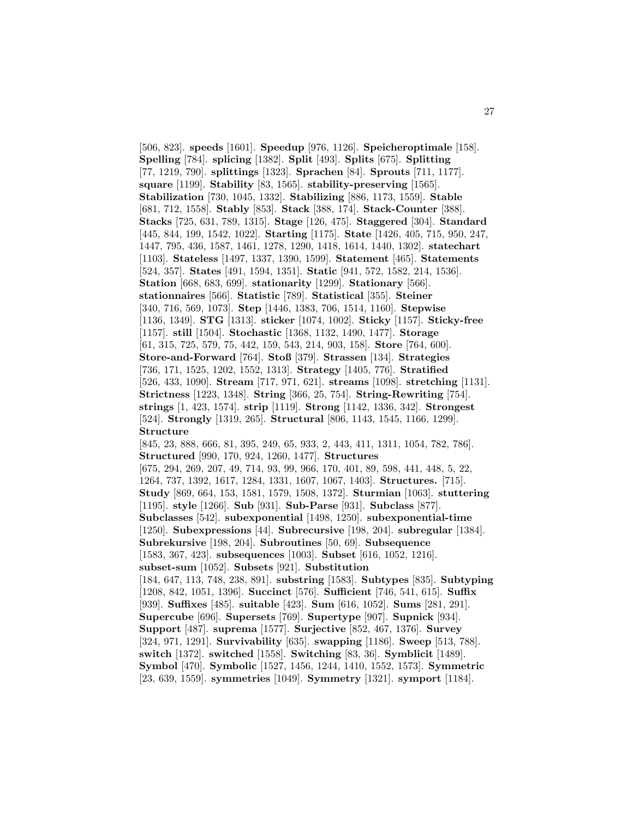[506, 823]. **speeds** [1601]. **Speedup** [976, 1126]. **Speicheroptimale** [158]. **Spelling** [784]. **splicing** [1382]. **Split** [493]. **Splits** [675]. **Splitting** [77, 1219, 790]. **splittings** [1323]. **Sprachen** [84]. **Sprouts** [711, 1177]. **square** [1199]. **Stability** [83, 1565]. **stability-preserving** [1565]. **Stabilization** [730, 1045, 1332]. **Stabilizing** [886, 1173, 1559]. **Stable** [681, 712, 1558]. **Stably** [853]. **Stack** [388, 174]. **Stack-Counter** [388]. **Stacks** [725, 631, 789, 1315]. **Stage** [126, 475]. **Staggered** [304]. **Standard** [445, 844, 199, 1542, 1022]. **Starting** [1175]. **State** [1426, 405, 715, 950, 247, 1447, 795, 436, 1587, 1461, 1278, 1290, 1418, 1614, 1440, 1302]. **statechart** [1103]. **Stateless** [1497, 1337, 1390, 1599]. **Statement** [465]. **Statements** [524, 357]. **States** [491, 1594, 1351]. **Static** [941, 572, 1582, 214, 1536]. **Station** [668, 683, 699]. **stationarity** [1299]. **Stationary** [566]. **stationnaires** [566]. **Statistic** [789]. **Statistical** [355]. **Steiner** [340, 716, 569, 1073]. **Step** [1446, 1383, 706, 1514, 1160]. **Stepwise** [1136, 1349]. **STG** [1313]. **sticker** [1074, 1002]. **Sticky** [1157]. **Sticky-free** [1157]. **still** [1504]. **Stochastic** [1368, 1132, 1490, 1477]. **Storage** [61, 315, 725, 579, 75, 442, 159, 543, 214, 903, 158]. **Store** [764, 600]. **Store-and-Forward** [764]. **Stoß** [379]. **Strassen** [134]. **Strategies** [736, 171, 1525, 1202, 1552, 1313]. **Strategy** [1405, 776]. **Stratified** [526, 433, 1090]. **Stream** [717, 971, 621]. **streams** [1098]. **stretching** [1131]. **Strictness** [1223, 1348]. **String** [366, 25, 754]. **String-Rewriting** [754]. **strings** [1, 423, 1574]. **strip** [1119]. **Strong** [1142, 1336, 342]. **Strongest** [524]. **Strongly** [1319, 265]. **Structural** [806, 1143, 1545, 1166, 1299]. **Structure** [845, 23, 888, 666, 81, 395, 249, 65, 933, 2, 443, 411, 1311, 1054, 782, 786]. **Structured** [990, 170, 924, 1260, 1477]. **Structures** [675, 294, 269, 207, 49, 714, 93, 99, 966, 170, 401, 89, 598, 441, 448, 5, 22, 1264, 737, 1392, 1617, 1284, 1331, 1607, 1067, 1403]. **Structures.** [715]. **Study** [869, 664, 153, 1581, 1579, 1508, 1372]. **Sturmian** [1063]. **stuttering** [1195]. **style** [1266]. **Sub** [931]. **Sub-Parse** [931]. **Subclass** [877]. **Subclasses** [542]. **subexponential** [1498, 1250]. **subexponential-time** [1250]. **Subexpressions** [44]. **Subrecursive** [198, 204]. **subregular** [1384]. **Subrekursive** [198, 204]. **Subroutines** [50, 69]. **Subsequence** [1583, 367, 423]. **subsequences** [1003]. **Subset** [616, 1052, 1216]. **subset-sum** [1052]. **Subsets** [921]. **Substitution** [184, 647, 113, 748, 238, 891]. **substring** [1583]. **Subtypes** [835]. **Subtyping** [1208, 842, 1051, 1396]. **Succinct** [576]. **Sufficient** [746, 541, 615]. **Suffix** [939]. **Suffixes** [485]. **suitable** [423]. **Sum** [616, 1052]. **Sums** [281, 291]. **Supercube** [696]. **Supersets** [769]. **Supertype** [907]. **Supnick** [934]. **Support** [487]. **suprema** [1577]. **Surjective** [852, 467, 1376]. **Survey** [324, 971, 1291]. **Survivability** [635]. **swapping** [1186]. **Sweep** [513, 788]. **switch** [1372]. **switched** [1558]. **Switching** [83, 36]. **Symblicit** [1489]. **Symbol** [470]. **Symbolic** [1527, 1456, 1244, 1410, 1552, 1573]. **Symmetric** [23, 639, 1559]. **symmetries** [1049]. **Symmetry** [1321]. **symport** [1184].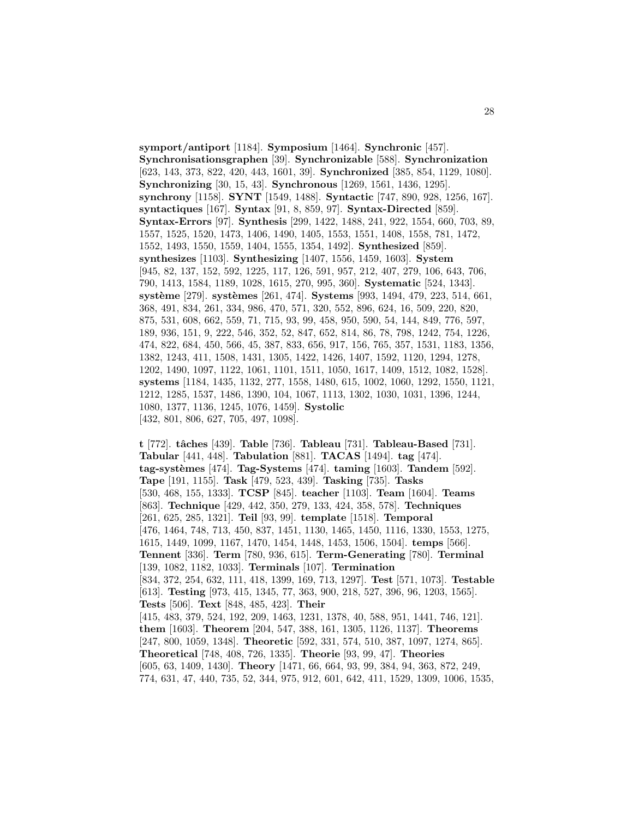**symport/antiport** [1184]. **Symposium** [1464]. **Synchronic** [457]. **Synchronisationsgraphen** [39]. **Synchronizable** [588]. **Synchronization** [623, 143, 373, 822, 420, 443, 1601, 39]. **Synchronized** [385, 854, 1129, 1080]. **Synchronizing** [30, 15, 43]. **Synchronous** [1269, 1561, 1436, 1295]. **synchrony** [1158]. **SYNT** [1549, 1488]. **Syntactic** [747, 890, 928, 1256, 167]. **syntactiques** [167]. **Syntax** [91, 8, 859, 97]. **Syntax-Directed** [859]. **Syntax-Errors** [97]. **Synthesis** [299, 1422, 1488, 241, 922, 1554, 660, 703, 89, 1557, 1525, 1520, 1473, 1406, 1490, 1405, 1553, 1551, 1408, 1558, 781, 1472, 1552, 1493, 1550, 1559, 1404, 1555, 1354, 1492]. **Synthesized** [859]. **synthesizes** [1103]. **Synthesizing** [1407, 1556, 1459, 1603]. **System** [945, 82, 137, 152, 592, 1225, 117, 126, 591, 957, 212, 407, 279, 106, 643, 706, 790, 1413, 1584, 1189, 1028, 1615, 270, 995, 360]. **Systematic** [524, 1343]. **syst`eme** [279]. **syst`emes** [261, 474]. **Systems** [993, 1494, 479, 223, 514, 661, 368, 491, 834, 261, 334, 986, 470, 571, 320, 552, 896, 624, 16, 509, 220, 820, 875, 531, 608, 662, 559, 71, 715, 93, 99, 458, 950, 590, 54, 144, 849, 776, 597, 189, 936, 151, 9, 222, 546, 352, 52, 847, 652, 814, 86, 78, 798, 1242, 754, 1226, 474, 822, 684, 450, 566, 45, 387, 833, 656, 917, 156, 765, 357, 1531, 1183, 1356, 1382, 1243, 411, 1508, 1431, 1305, 1422, 1426, 1407, 1592, 1120, 1294, 1278, 1202, 1490, 1097, 1122, 1061, 1101, 1511, 1050, 1617, 1409, 1512, 1082, 1528]. **systems** [1184, 1435, 1132, 277, 1558, 1480, 615, 1002, 1060, 1292, 1550, 1121, 1212, 1285, 1537, 1486, 1390, 104, 1067, 1113, 1302, 1030, 1031, 1396, 1244, 1080, 1377, 1136, 1245, 1076, 1459]. **Systolic** [432, 801, 806, 627, 705, 497, 1098].

**t** [772]. **tˆaches** [439]. **Table** [736]. **Tableau** [731]. **Tableau-Based** [731]. **Tabular** [441, 448]. **Tabulation** [881]. **TACAS** [1494]. **tag** [474]. **tag-syst`emes** [474]. **Tag-Systems** [474]. **taming** [1603]. **Tandem** [592]. **Tape** [191, 1155]. **Task** [479, 523, 439]. **Tasking** [735]. **Tasks** [530, 468, 155, 1333]. **TCSP** [845]. **teacher** [1103]. **Team** [1604]. **Teams** [863]. **Technique** [429, 442, 350, 279, 133, 424, 358, 578]. **Techniques** [261, 625, 285, 1321]. **Teil** [93, 99]. **template** [1518]. **Temporal** [476, 1464, 748, 713, 450, 837, 1451, 1130, 1465, 1450, 1116, 1330, 1553, 1275, 1615, 1449, 1099, 1167, 1470, 1454, 1448, 1453, 1506, 1504]. **temps** [566]. **Tennent** [336]. **Term** [780, 936, 615]. **Term-Generating** [780]. **Terminal** [139, 1082, 1182, 1033]. **Terminals** [107]. **Termination** [834, 372, 254, 632, 111, 418, 1399, 169, 713, 1297]. **Test** [571, 1073]. **Testable** [613]. **Testing** [973, 415, 1345, 77, 363, 900, 218, 527, 396, 96, 1203, 1565]. **Tests** [506]. **Text** [848, 485, 423]. **Their** [415, 483, 379, 524, 192, 209, 1463, 1231, 1378, 40, 588, 951, 1441, 746, 121]. **them** [1603]. **Theorem** [204, 547, 388, 161, 1305, 1126, 1137]. **Theorems** [247, 800, 1059, 1348]. **Theoretic** [592, 331, 574, 510, 387, 1097, 1274, 865]. **Theoretical** [748, 408, 726, 1335]. **Theorie** [93, 99, 47]. **Theories** [605, 63, 1409, 1430]. **Theory** [1471, 66, 664, 93, 99, 384, 94, 363, 872, 249, 774, 631, 47, 440, 735, 52, 344, 975, 912, 601, 642, 411, 1529, 1309, 1006, 1535,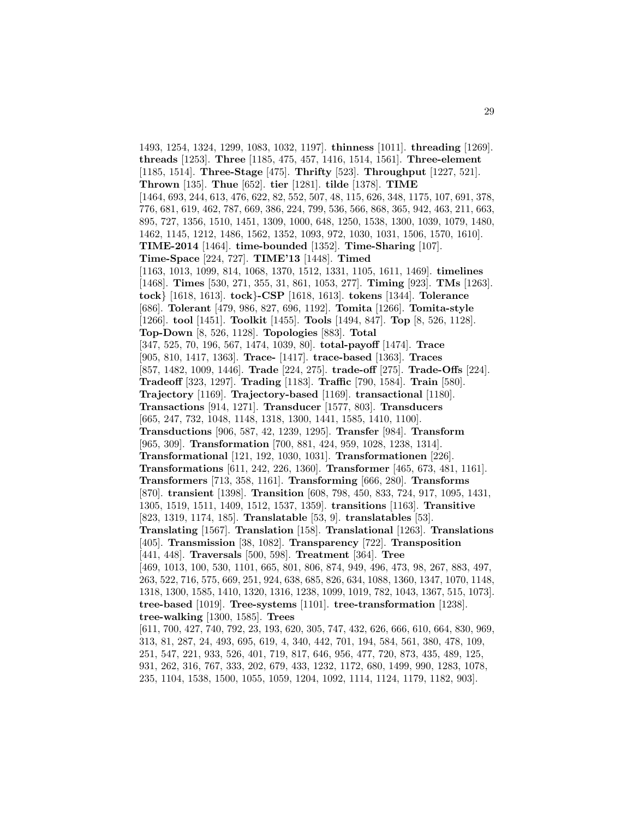1493, 1254, 1324, 1299, 1083, 1032, 1197]. **thinness** [1011]. **threading** [1269]. **threads** [1253]. **Three** [1185, 475, 457, 1416, 1514, 1561]. **Three-element** [1185, 1514]. **Three-Stage** [475]. **Thrifty** [523]. **Throughput** [1227, 521]. **Thrown** [135]. **Thue** [652]. **tier** [1281]. **tilde** [1378]. **TIME** [1464, 693, 244, 613, 476, 622, 82, 552, 507, 48, 115, 626, 348, 1175, 107, 691, 378, 776, 681, 619, 462, 787, 669, 386, 224, 799, 536, 566, 868, 365, 942, 463, 211, 663, 895, 727, 1356, 1510, 1451, 1309, 1000, 648, 1250, 1538, 1300, 1039, 1079, 1480, 1462, 1145, 1212, 1486, 1562, 1352, 1093, 972, 1030, 1031, 1506, 1570, 1610]. **TIME-2014** [1464]. **time-bounded** [1352]. **Time-Sharing** [107]. **Time-Space** [224, 727]. **TIME'13** [1448]. **Timed** [1163, 1013, 1099, 814, 1068, 1370, 1512, 1331, 1105, 1611, 1469]. **timelines** [1468]. **Times** [530, 271, 355, 31, 861, 1053, 277]. **Timing** [923]. **TMs** [1263]. **tock**} [1618, 1613]. **tock**}**-CSP** [1618, 1613]. **tokens** [1344]. **Tolerance** [686]. **Tolerant** [479, 986, 827, 696, 1192]. **Tomita** [1266]. **Tomita-style** [1266]. **tool** [1451]. **Toolkit** [1455]. **Tools** [1494, 847]. **Top** [8, 526, 1128]. **Top-Down** [8, 526, 1128]. **Topologies** [883]. **Total** [347, 525, 70, 196, 567, 1474, 1039, 80]. **total-payoff** [1474]. **Trace** [905, 810, 1417, 1363]. **Trace-** [1417]. **trace-based** [1363]. **Traces** [857, 1482, 1009, 1446]. **Trade** [224, 275]. **trade-off** [275]. **Trade-Offs** [224]. **Tradeoff** [323, 1297]. **Trading** [1183]. **Traffic** [790, 1584]. **Train** [580]. **Trajectory** [1169]. **Trajectory-based** [1169]. **transactional** [1180]. **Transactions** [914, 1271]. **Transducer** [1577, 803]. **Transducers** [665, 247, 732, 1048, 1148, 1318, 1300, 1441, 1585, 1410, 1100]. **Transductions** [906, 587, 42, 1239, 1295]. **Transfer** [984]. **Transform** [965, 309]. **Transformation** [700, 881, 424, 959, 1028, 1238, 1314]. **Transformational** [121, 192, 1030, 1031]. **Transformationen** [226]. **Transformations** [611, 242, 226, 1360]. **Transformer** [465, 673, 481, 1161]. **Transformers** [713, 358, 1161]. **Transforming** [666, 280]. **Transforms** [870]. **transient** [1398]. **Transition** [608, 798, 450, 833, 724, 917, 1095, 1431, 1305, 1519, 1511, 1409, 1512, 1537, 1359]. **transitions** [1163]. **Transitive** [823, 1319, 1174, 185]. **Translatable** [53, 9]. **translatables** [53]. **Translating** [1567]. **Translation** [158]. **Translational** [1263]. **Translations** [405]. **Transmission** [38, 1082]. **Transparency** [722]. **Transposition** [441, 448]. **Traversals** [500, 598]. **Treatment** [364]. **Tree** [469, 1013, 100, 530, 1101, 665, 801, 806, 874, 949, 496, 473, 98, 267, 883, 497, 263, 522, 716, 575, 669, 251, 924, 638, 685, 826, 634, 1088, 1360, 1347, 1070, 1148, 1318, 1300, 1585, 1410, 1320, 1316, 1238, 1099, 1019, 782, 1043, 1367, 515, 1073]. **tree-based** [1019]. **Tree-systems** [1101]. **tree-transformation** [1238]. **tree-walking** [1300, 1585]. **Trees** [611, 700, 427, 740, 792, 23, 193, 620, 305, 747, 432, 626, 666, 610, 664, 830, 969, 313, 81, 287, 24, 493, 695, 619, 4, 340, 442, 701, 194, 584, 561, 380, 478, 109, 251, 547, 221, 933, 526, 401, 719, 817, 646, 956, 477, 720, 873, 435, 489, 125, 931, 262, 316, 767, 333, 202, 679, 433, 1232, 1172, 680, 1499, 990, 1283, 1078, 235, 1104, 1538, 1500, 1055, 1059, 1204, 1092, 1114, 1124, 1179, 1182, 903].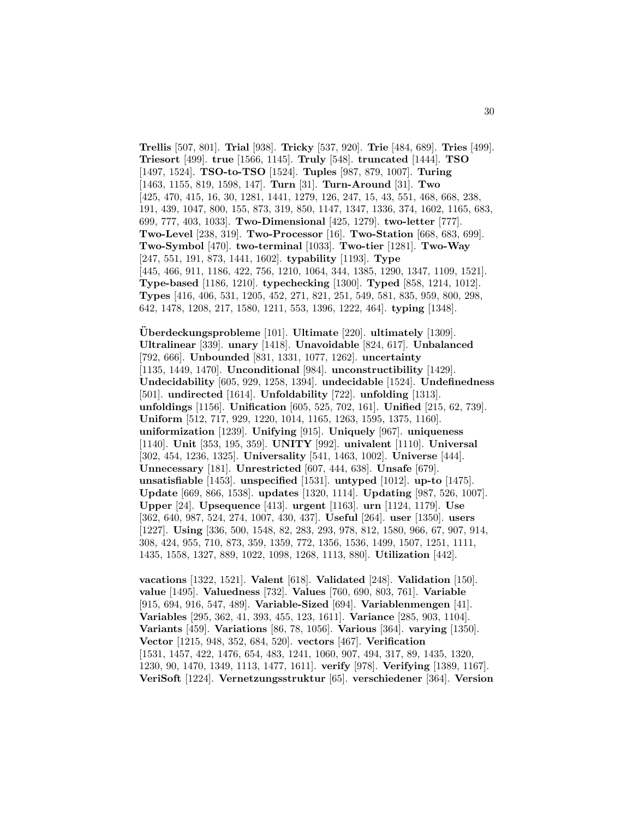**Trellis** [507, 801]. **Trial** [938]. **Tricky** [537, 920]. **Trie** [484, 689]. **Tries** [499]. **Triesort** [499]. **true** [1566, 1145]. **Truly** [548]. **truncated** [1444]. **TSO** [1497, 1524]. **TSO-to-TSO** [1524]. **Tuples** [987, 879, 1007]. **Turing** [1463, 1155, 819, 1598, 147]. **Turn** [31]. **Turn-Around** [31]. **Two** [425, 470, 415, 16, 30, 1281, 1441, 1279, 126, 247, 15, 43, 551, 468, 668, 238, 191, 439, 1047, 800, 155, 873, 319, 850, 1147, 1347, 1336, 374, 1602, 1165, 683, 699, 777, 403, 1033]. **Two-Dimensional** [425, 1279]. **two-letter** [777]. **Two-Level** [238, 319]. **Two-Processor** [16]. **Two-Station** [668, 683, 699]. **Two-Symbol** [470]. **two-terminal** [1033]. **Two-tier** [1281]. **Two-Way** [247, 551, 191, 873, 1441, 1602]. **typability** [1193]. **Type** [445, 466, 911, 1186, 422, 756, 1210, 1064, 344, 1385, 1290, 1347, 1109, 1521]. **Type-based** [1186, 1210]. **typechecking** [1300]. **Typed** [858, 1214, 1012]. **Types** [416, 406, 531, 1205, 452, 271, 821, 251, 549, 581, 835, 959, 800, 298, 642, 1478, 1208, 217, 1580, 1211, 553, 1396, 1222, 464]. **typing** [1348].

**Uberdeckungsprobleme** [101]. **Ultimate** [220]. **ultimately** [1309]. **Ultralinear** [339]. **unary** [1418]. **Unavoidable** [824, 617]. **Unbalanced** [792, 666]. **Unbounded** [831, 1331, 1077, 1262]. **uncertainty** [1135, 1449, 1470]. **Unconditional** [984]. **unconstructibility** [1429]. **Undecidability** [605, 929, 1258, 1394]. **undecidable** [1524]. **Undefinedness** [501]. **undirected** [1614]. **Unfoldability** [722]. **unfolding** [1313]. **unfoldings** [1156]. **Unification** [605, 525, 702, 161]. **Unified** [215, 62, 739]. **Uniform** [512, 717, 929, 1220, 1014, 1165, 1263, 1595, 1375, 1160]. **uniformization** [1239]. **Unifying** [915]. **Uniquely** [967]. **uniqueness** [1140]. **Unit** [353, 195, 359]. **UNITY** [992]. **univalent** [1110]. **Universal** [302, 454, 1236, 1325]. **Universality** [541, 1463, 1002]. **Universe** [444]. **Unnecessary** [181]. **Unrestricted** [607, 444, 638]. **Unsafe** [679]. **unsatisfiable** [1453]. **unspecified** [1531]. **untyped** [1012]. **up-to** [1475]. **Update** [669, 866, 1538]. **updates** [1320, 1114]. **Updating** [987, 526, 1007]. **Upper** [24]. **Upsequence** [413]. **urgent** [1163]. **urn** [1124, 1179]. **Use** [362, 640, 987, 524, 274, 1007, 430, 437]. **Useful** [264]. **user** [1350]. **users** [1227]. **Using** [336, 500, 1548, 82, 283, 293, 978, 812, 1580, 966, 67, 907, 914, 308, 424, 955, 710, 873, 359, 1359, 772, 1356, 1536, 1499, 1507, 1251, 1111, 1435, 1558, 1327, 889, 1022, 1098, 1268, 1113, 880]. **Utilization** [442].

**vacations** [1322, 1521]. **Valent** [618]. **Validated** [248]. **Validation** [150]. **value** [1495]. **Valuedness** [732]. **Values** [760, 690, 803, 761]. **Variable** [915, 694, 916, 547, 489]. **Variable-Sized** [694]. **Variablenmengen** [41]. **Variables** [295, 362, 41, 393, 455, 123, 1611]. **Variance** [285, 903, 1104]. **Variants** [459]. **Variations** [86, 78, 1056]. **Various** [364]. **varying** [1350]. **Vector** [1215, 948, 352, 684, 520]. **vectors** [467]. **Verification** [1531, 1457, 422, 1476, 654, 483, 1241, 1060, 907, 494, 317, 89, 1435, 1320, 1230, 90, 1470, 1349, 1113, 1477, 1611]. **verify** [978]. **Verifying** [1389, 1167]. **VeriSoft** [1224]. **Vernetzungsstruktur** [65]. **verschiedener** [364]. **Version**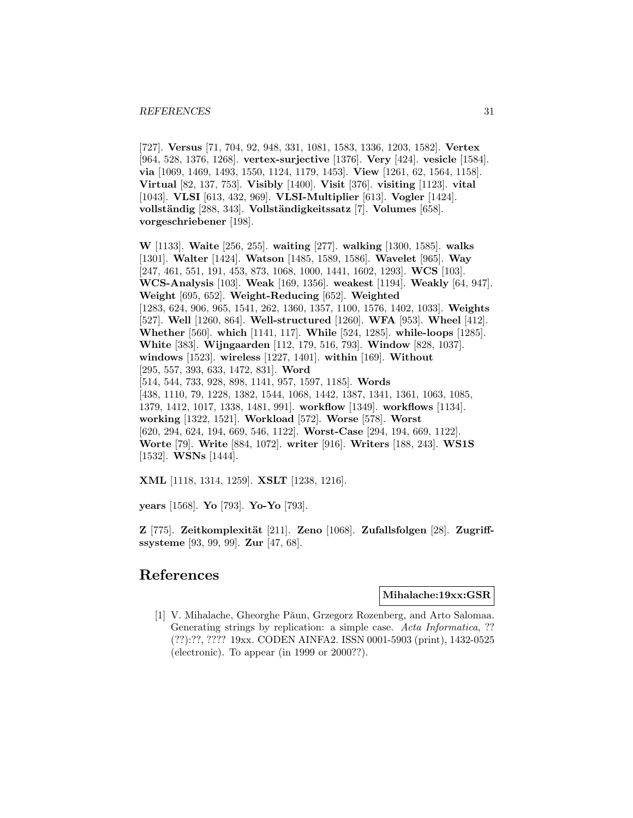[727]. **Versus** [71, 704, 92, 948, 331, 1081, 1583, 1336, 1203, 1582]. **Vertex** [964, 528, 1376, 1268]. **vertex-surjective** [1376]. **Very** [424]. **vesicle** [1584]. **via** [1069, 1469, 1493, 1550, 1124, 1179, 1453]. **View** [1261, 62, 1564, 1158]. **Virtual** [82, 137, 753]. **Visibly** [1400]. **Visit** [376]. **visiting** [1123]. **vital** [1043]. **VLSI** [613, 432, 969]. **VLSI-Multiplier** [613]. **Vogler** [1424]. **vollst¨andig** [288, 343]. **Vollst¨andigkeitssatz** [7]. **Volumes** [658]. **vorgeschriebener** [198].

**W** [1133]. **Waite** [256, 255]. **waiting** [277]. **walking** [1300, 1585]. **walks** [1301]. **Walter** [1424]. **Watson** [1485, 1589, 1586]. **Wavelet** [965]. **Way** [247, 461, 551, 191, 453, 873, 1068, 1000, 1441, 1602, 1293]. **WCS** [103]. **WCS-Analysis** [103]. **Weak** [169, 1356]. **weakest** [1194]. **Weakly** [64, 947]. **Weight** [695, 652]. **Weight-Reducing** [652]. **Weighted** [1283, 624, 906, 965, 1541, 262, 1360, 1357, 1100, 1576, 1402, 1033]. **Weights** [527]. **Well** [1260, 864]. **Well-structured** [1260]. **WFA** [953]. **Wheel** [412]. **Whether** [560]. **which** [1141, 117]. **While** [524, 1285]. **while-loops** [1285]. **White** [383]. **Wijngaarden** [112, 179, 516, 793]. **Window** [828, 1037]. **windows** [1523]. **wireless** [1227, 1401]. **within** [169]. **Without** [295, 557, 393, 633, 1472, 831]. **Word** [514, 544, 733, 928, 898, 1141, 957, 1597, 1185]. **Words** [438, 1110, 79, 1228, 1382, 1544, 1068, 1442, 1387, 1341, 1361, 1063, 1085, 1379, 1412, 1017, 1338, 1481, 991]. **workflow** [1349]. **workflows** [1134]. **working** [1322, 1521]. **Workload** [572]. **Worse** [578]. **Worst** [620, 294, 624, 194, 669, 546, 1122]. **Worst-Case** [294, 194, 669, 1122]. **Worte** [79]. **Write** [884, 1072]. **writer** [916]. **Writers** [188, 243]. **WS1S** [1532]. **WSNs** [1444].

**XML** [1118, 1314, 1259]. **XSLT** [1238, 1216].

**years** [1568]. **Yo** [793]. **Yo-Yo** [793].

**Z** [775]. **Zeitkomplexität** [211]. **Zeno** [1068]. **Zufallsfolgen** [28]. **Zugriffssysteme** [93, 99, 99]. **Zur** [47, 68].

# **References**

**Mihalache:19xx:GSR**

[1] V. Mihalache, Gheorghe Păun, Grzegorz Rozenberg, and Arto Salomaa. Generating strings by replication: a simple case. Acta Informatica, ?? (??):??, ???? 19xx. CODEN AINFA2. ISSN 0001-5903 (print), 1432-0525 (electronic). To appear (in 1999 or 2000??).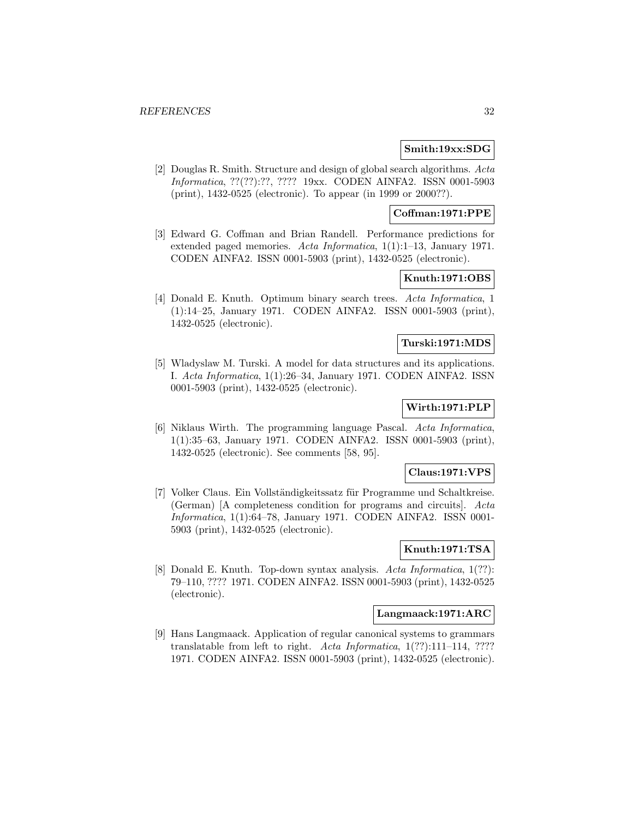#### **Smith:19xx:SDG**

[2] Douglas R. Smith. Structure and design of global search algorithms. Acta Informatica, ??(??):??, ???? 19xx. CODEN AINFA2. ISSN 0001-5903 (print), 1432-0525 (electronic). To appear (in 1999 or 2000??).

## **Coffman:1971:PPE**

[3] Edward G. Coffman and Brian Randell. Performance predictions for extended paged memories. Acta Informatica, 1(1):1–13, January 1971. CODEN AINFA2. ISSN 0001-5903 (print), 1432-0525 (electronic).

## **Knuth:1971:OBS**

[4] Donald E. Knuth. Optimum binary search trees. Acta Informatica, 1 (1):14–25, January 1971. CODEN AINFA2. ISSN 0001-5903 (print), 1432-0525 (electronic).

## **Turski:1971:MDS**

[5] Wladyslaw M. Turski. A model for data structures and its applications. I. Acta Informatica, 1(1):26–34, January 1971. CODEN AINFA2. ISSN 0001-5903 (print), 1432-0525 (electronic).

## **Wirth:1971:PLP**

[6] Niklaus Wirth. The programming language Pascal. Acta Informatica, 1(1):35–63, January 1971. CODEN AINFA2. ISSN 0001-5903 (print), 1432-0525 (electronic). See comments [58, 95].

## **Claus:1971:VPS**

[7] Volker Claus. Ein Vollständigkeitssatz für Programme und Schaltkreise. (German) [A completeness condition for programs and circuits]. Acta Informatica, 1(1):64–78, January 1971. CODEN AINFA2. ISSN 0001- 5903 (print), 1432-0525 (electronic).

## **Knuth:1971:TSA**

[8] Donald E. Knuth. Top-down syntax analysis. Acta Informatica, 1(??): 79–110, ???? 1971. CODEN AINFA2. ISSN 0001-5903 (print), 1432-0525 (electronic).

## **Langmaack:1971:ARC**

[9] Hans Langmaack. Application of regular canonical systems to grammars translatable from left to right. Acta Informatica, 1(??):111–114, ???? 1971. CODEN AINFA2. ISSN 0001-5903 (print), 1432-0525 (electronic).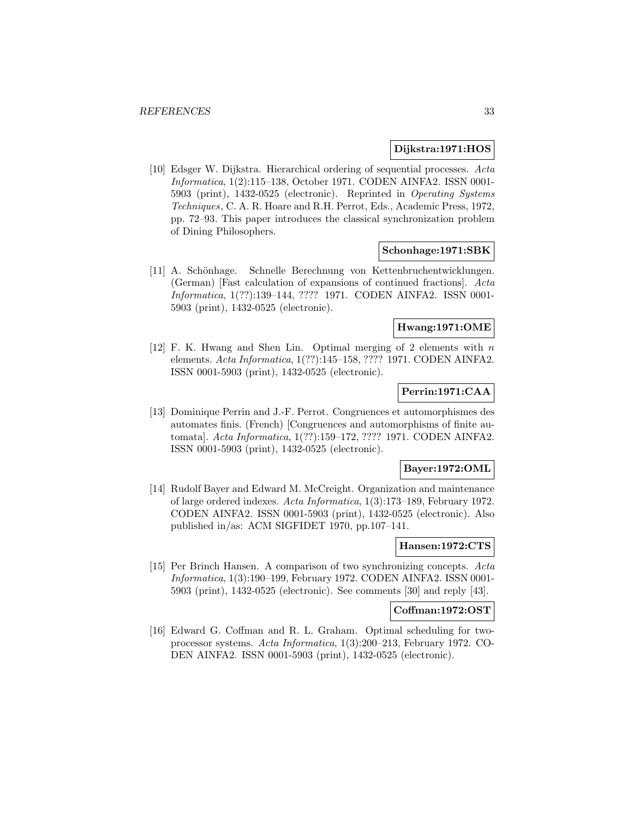## **Dijkstra:1971:HOS**

[10] Edsger W. Dijkstra. Hierarchical ordering of sequential processes. Acta Informatica, 1(2):115–138, October 1971. CODEN AINFA2. ISSN 0001- 5903 (print), 1432-0525 (electronic). Reprinted in Operating Systems Techniques, C. A. R. Hoare and R.H. Perrot, Eds., Academic Press, 1972, pp. 72–93. This paper introduces the classical synchronization problem of Dining Philosophers.

## **Schonhage:1971:SBK**

[11] A. Schönhage. Schnelle Berechnung von Kettenbruchentwicklungen. (German) [Fast calculation of expansions of continued fractions]. Acta Informatica, 1(??):139–144, ???? 1971. CODEN AINFA2. ISSN 0001- 5903 (print), 1432-0525 (electronic).

## **Hwang:1971:OME**

[12] F. K. Hwang and Shen Lin. Optimal merging of 2 elements with n elements. Acta Informatica, 1(??):145–158, ???? 1971. CODEN AINFA2. ISSN 0001-5903 (print), 1432-0525 (electronic).

## **Perrin:1971:CAA**

[13] Dominique Perrin and J.-F. Perrot. Congruences et automorphismes des automates finis. (French) [Congruences and automorphisms of finite automata]. Acta Informatica, 1(??):159–172, ???? 1971. CODEN AINFA2. ISSN 0001-5903 (print), 1432-0525 (electronic).

## **Bayer:1972:OML**

[14] Rudolf Bayer and Edward M. McCreight. Organization and maintenance of large ordered indexes. Acta Informatica, 1(3):173–189, February 1972. CODEN AINFA2. ISSN 0001-5903 (print), 1432-0525 (electronic). Also published in/as: ACM SIGFIDET 1970, pp.107–141.

## **Hansen:1972:CTS**

[15] Per Brinch Hansen. A comparison of two synchronizing concepts. Acta Informatica, 1(3):190–199, February 1972. CODEN AINFA2. ISSN 0001- 5903 (print), 1432-0525 (electronic). See comments [30] and reply [43].

## **Coffman:1972:OST**

[16] Edward G. Coffman and R. L. Graham. Optimal scheduling for twoprocessor systems. Acta Informatica, 1(3):200–213, February 1972. CO-DEN AINFA2. ISSN 0001-5903 (print), 1432-0525 (electronic).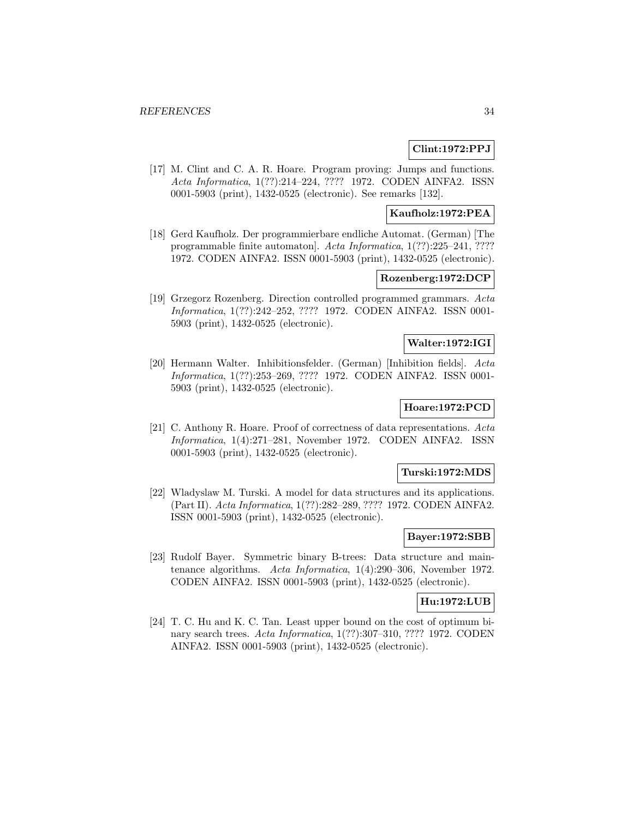## **Clint:1972:PPJ**

[17] M. Clint and C. A. R. Hoare. Program proving: Jumps and functions. Acta Informatica, 1(??):214–224, ???? 1972. CODEN AINFA2. ISSN 0001-5903 (print), 1432-0525 (electronic). See remarks [132].

## **Kaufholz:1972:PEA**

[18] Gerd Kaufholz. Der programmierbare endliche Automat. (German) [The programmable finite automaton]. Acta Informatica, 1(??):225–241, ???? 1972. CODEN AINFA2. ISSN 0001-5903 (print), 1432-0525 (electronic).

## **Rozenberg:1972:DCP**

[19] Grzegorz Rozenberg. Direction controlled programmed grammars. Acta Informatica, 1(??):242–252, ???? 1972. CODEN AINFA2. ISSN 0001- 5903 (print), 1432-0525 (electronic).

## **Walter:1972:IGI**

[20] Hermann Walter. Inhibitionsfelder. (German) [Inhibition fields]. Acta Informatica, 1(??):253–269, ???? 1972. CODEN AINFA2. ISSN 0001- 5903 (print), 1432-0525 (electronic).

## **Hoare:1972:PCD**

[21] C. Anthony R. Hoare. Proof of correctness of data representations. Acta Informatica, 1(4):271–281, November 1972. CODEN AINFA2. ISSN 0001-5903 (print), 1432-0525 (electronic).

## **Turski:1972:MDS**

[22] Wladyslaw M. Turski. A model for data structures and its applications. (Part II). Acta Informatica, 1(??):282–289, ???? 1972. CODEN AINFA2. ISSN 0001-5903 (print), 1432-0525 (electronic).

## **Bayer:1972:SBB**

[23] Rudolf Bayer. Symmetric binary B-trees: Data structure and maintenance algorithms. Acta Informatica, 1(4):290–306, November 1972. CODEN AINFA2. ISSN 0001-5903 (print), 1432-0525 (electronic).

## **Hu:1972:LUB**

[24] T. C. Hu and K. C. Tan. Least upper bound on the cost of optimum binary search trees. Acta Informatica, 1(??):307-310, ???? 1972. CODEN AINFA2. ISSN 0001-5903 (print), 1432-0525 (electronic).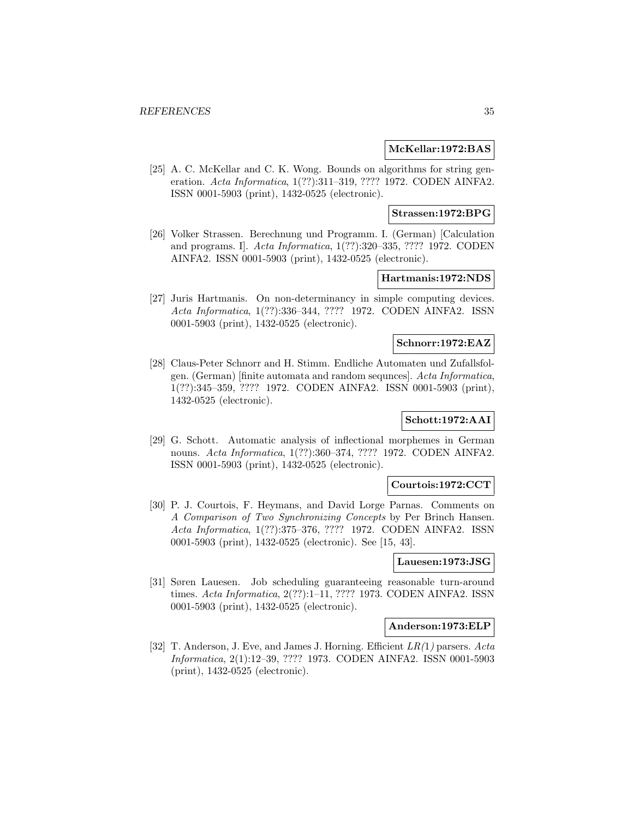#### **McKellar:1972:BAS**

[25] A. C. McKellar and C. K. Wong. Bounds on algorithms for string generation. Acta Informatica, 1(??):311–319, ???? 1972. CODEN AINFA2. ISSN 0001-5903 (print), 1432-0525 (electronic).

## **Strassen:1972:BPG**

[26] Volker Strassen. Berechnung und Programm. I. (German) [Calculation and programs. I]. Acta Informatica, 1(??):320–335, ???? 1972. CODEN AINFA2. ISSN 0001-5903 (print), 1432-0525 (electronic).

## **Hartmanis:1972:NDS**

[27] Juris Hartmanis. On non-determinancy in simple computing devices. Acta Informatica, 1(??):336–344, ???? 1972. CODEN AINFA2. ISSN 0001-5903 (print), 1432-0525 (electronic).

#### **Schnorr:1972:EAZ**

[28] Claus-Peter Schnorr and H. Stimm. Endliche Automaten und Zufallsfolgen. (German) [finite automata and random sequnces]. Acta Informatica, 1(??):345–359, ???? 1972. CODEN AINFA2. ISSN 0001-5903 (print), 1432-0525 (electronic).

## **Schott:1972:AAI**

[29] G. Schott. Automatic analysis of inflectional morphemes in German nouns. Acta Informatica, 1(??):360–374, ???? 1972. CODEN AINFA2. ISSN 0001-5903 (print), 1432-0525 (electronic).

## **Courtois:1972:CCT**

[30] P. J. Courtois, F. Heymans, and David Lorge Parnas. Comments on A Comparison of Two Synchronizing Concepts by Per Brinch Hansen. Acta Informatica, 1(??):375–376, ???? 1972. CODEN AINFA2. ISSN 0001-5903 (print), 1432-0525 (electronic). See [15, 43].

## **Lauesen:1973:JSG**

[31] Søren Lauesen. Job scheduling guaranteeing reasonable turn-around times. Acta Informatica, 2(??):1–11, ???? 1973. CODEN AINFA2. ISSN 0001-5903 (print), 1432-0525 (electronic).

#### **Anderson:1973:ELP**

[32] T. Anderson, J. Eve, and James J. Horning. Efficient  $LR(1)$  parsers. Acta Informatica, 2(1):12–39, ???? 1973. CODEN AINFA2. ISSN 0001-5903 (print), 1432-0525 (electronic).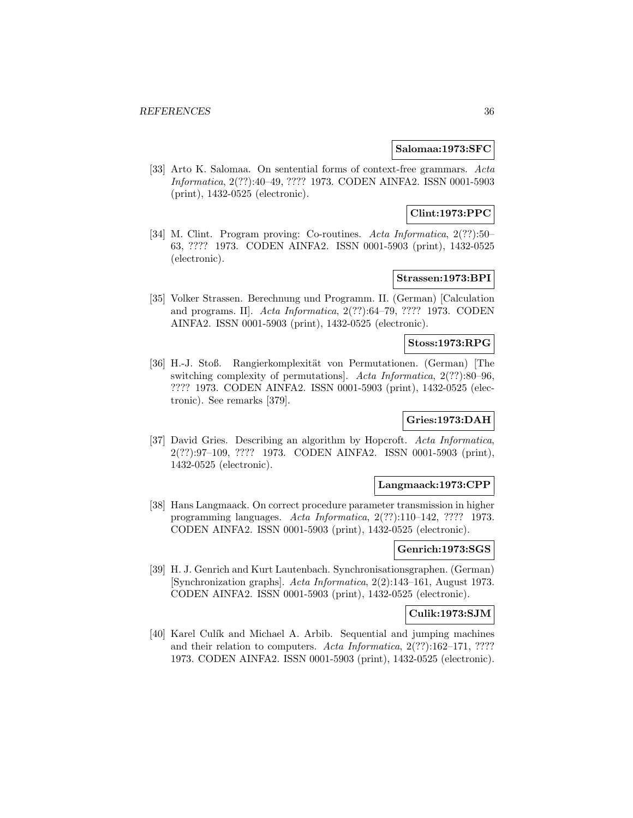#### **Salomaa:1973:SFC**

[33] Arto K. Salomaa. On sentential forms of context-free grammars. Acta Informatica, 2(??):40–49, ???? 1973. CODEN AINFA2. ISSN 0001-5903 (print), 1432-0525 (electronic).

## **Clint:1973:PPC**

[34] M. Clint. Program proving: Co-routines. Acta Informatica, 2(??):50– 63, ???? 1973. CODEN AINFA2. ISSN 0001-5903 (print), 1432-0525 (electronic).

## **Strassen:1973:BPI**

[35] Volker Strassen. Berechnung und Programm. II. (German) [Calculation and programs. II]. Acta Informatica, 2(??):64–79, ???? 1973. CODEN AINFA2. ISSN 0001-5903 (print), 1432-0525 (electronic).

## **Stoss:1973:RPG**

[36] H.-J. Stoß. Rangierkomplexität von Permutationen. (German) [The switching complexity of permutations]. Acta Informatica, 2(??):80–96, ???? 1973. CODEN AINFA2. ISSN 0001-5903 (print), 1432-0525 (electronic). See remarks [379].

## **Gries:1973:DAH**

[37] David Gries. Describing an algorithm by Hopcroft. Acta Informatica, 2(??):97–109, ???? 1973. CODEN AINFA2. ISSN 0001-5903 (print), 1432-0525 (electronic).

## **Langmaack:1973:CPP**

[38] Hans Langmaack. On correct procedure parameter transmission in higher programming languages. Acta Informatica, 2(??):110–142, ???? 1973. CODEN AINFA2. ISSN 0001-5903 (print), 1432-0525 (electronic).

## **Genrich:1973:SGS**

[39] H. J. Genrich and Kurt Lautenbach. Synchronisationsgraphen. (German) [Synchronization graphs]. Acta Informatica, 2(2):143–161, August 1973. CODEN AINFA2. ISSN 0001-5903 (print), 1432-0525 (electronic).

## **Culik:1973:SJM**

[40] Karel Culík and Michael A. Arbib. Sequential and jumping machines and their relation to computers. Acta Informatica, 2(??):162–171, ???? 1973. CODEN AINFA2. ISSN 0001-5903 (print), 1432-0525 (electronic).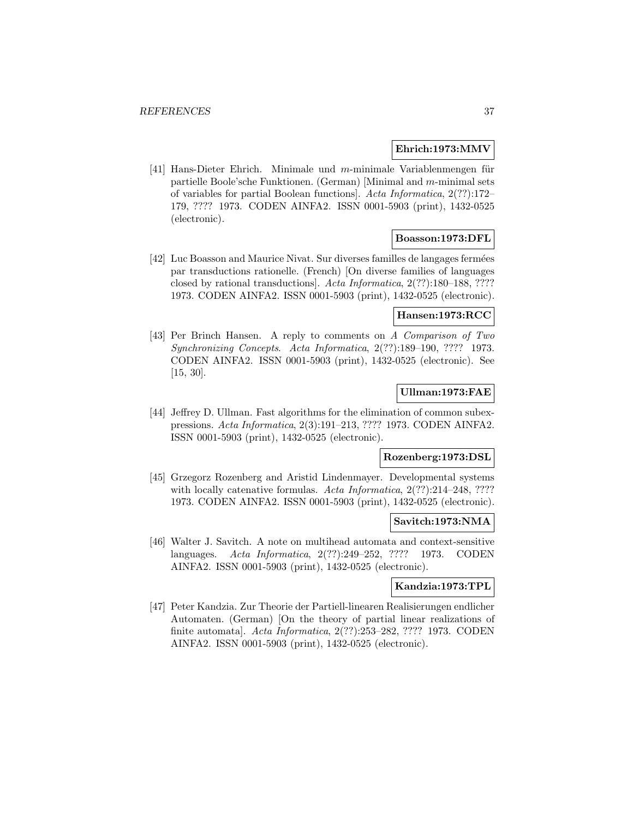#### **Ehrich:1973:MMV**

[41] Hans-Dieter Ehrich. Minimale und  $m$ -minimale Variablenmengen für partielle Boole'sche Funktionen. (German) [Minimal and m-minimal sets of variables for partial Boolean functions]. Acta Informatica, 2(??):172– 179, ???? 1973. CODEN AINFA2. ISSN 0001-5903 (print), 1432-0525 (electronic).

# **Boasson:1973:DFL**

[42] Luc Boasson and Maurice Nivat. Sur diverses familles de langages ferm´ees par transductions rationelle. (French) [On diverse families of languages closed by rational transductions]. Acta Informatica, 2(??):180–188, ???? 1973. CODEN AINFA2. ISSN 0001-5903 (print), 1432-0525 (electronic).

## **Hansen:1973:RCC**

[43] Per Brinch Hansen. A reply to comments on A Comparison of Two Synchronizing Concepts. Acta Informatica, 2(??):189–190, ???? 1973. CODEN AINFA2. ISSN 0001-5903 (print), 1432-0525 (electronic). See [15, 30].

## **Ullman:1973:FAE**

[44] Jeffrey D. Ullman. Fast algorithms for the elimination of common subexpressions. Acta Informatica, 2(3):191–213, ???? 1973. CODEN AINFA2. ISSN 0001-5903 (print), 1432-0525 (electronic).

#### **Rozenberg:1973:DSL**

[45] Grzegorz Rozenberg and Aristid Lindenmayer. Developmental systems with locally catenative formulas. Acta Informatica,  $2(??)$ :214-248, ???? 1973. CODEN AINFA2. ISSN 0001-5903 (print), 1432-0525 (electronic).

### **Savitch:1973:NMA**

[46] Walter J. Savitch. A note on multihead automata and context-sensitive languages. Acta Informatica, 2(??):249–252, ???? 1973. CODEN AINFA2. ISSN 0001-5903 (print), 1432-0525 (electronic).

## **Kandzia:1973:TPL**

[47] Peter Kandzia. Zur Theorie der Partiell-linearen Realisierungen endlicher Automaten. (German) [On the theory of partial linear realizations of finite automata]. Acta Informatica, 2(??):253–282, ???? 1973. CODEN AINFA2. ISSN 0001-5903 (print), 1432-0525 (electronic).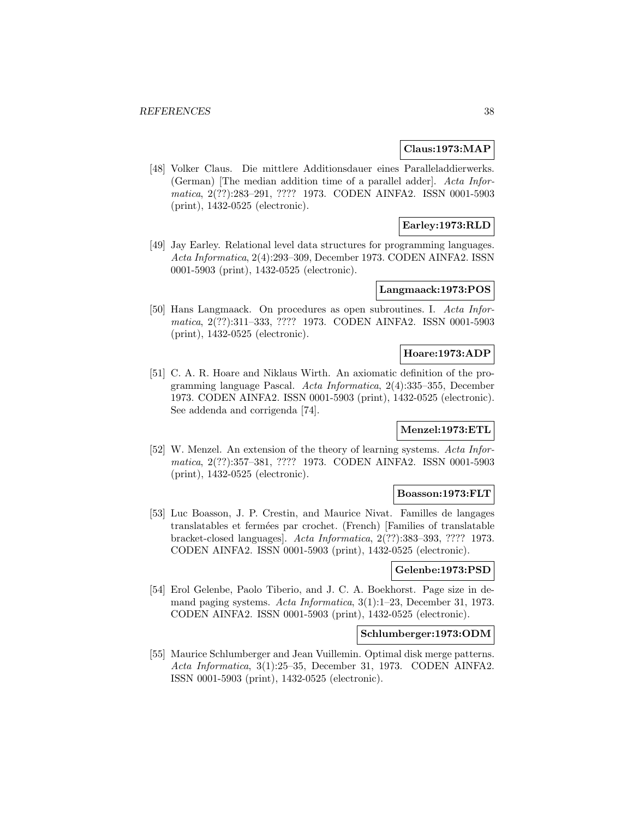## **Claus:1973:MAP**

[48] Volker Claus. Die mittlere Additionsdauer eines Paralleladdierwerks. (German) [The median addition time of a parallel adder]. Acta Informatica, 2(??):283–291, ???? 1973. CODEN AINFA2. ISSN 0001-5903 (print), 1432-0525 (electronic).

# **Earley:1973:RLD**

[49] Jay Earley. Relational level data structures for programming languages. Acta Informatica, 2(4):293–309, December 1973. CODEN AINFA2. ISSN 0001-5903 (print), 1432-0525 (electronic).

## **Langmaack:1973:POS**

[50] Hans Langmaack. On procedures as open subroutines. I. Acta Informatica, 2(??):311–333, ???? 1973. CODEN AINFA2. ISSN 0001-5903 (print), 1432-0525 (electronic).

## **Hoare:1973:ADP**

[51] C. A. R. Hoare and Niklaus Wirth. An axiomatic definition of the programming language Pascal. Acta Informatica, 2(4):335–355, December 1973. CODEN AINFA2. ISSN 0001-5903 (print), 1432-0525 (electronic). See addenda and corrigenda [74].

## **Menzel:1973:ETL**

[52] W. Menzel. An extension of the theory of learning systems. Acta Informatica, 2(??):357–381, ???? 1973. CODEN AINFA2. ISSN 0001-5903 (print), 1432-0525 (electronic).

## **Boasson:1973:FLT**

[53] Luc Boasson, J. P. Crestin, and Maurice Nivat. Familles de langages translatables et ferm´ees par crochet. (French) [Families of translatable bracket-closed languages]. Acta Informatica, 2(??):383–393, ???? 1973. CODEN AINFA2. ISSN 0001-5903 (print), 1432-0525 (electronic).

### **Gelenbe:1973:PSD**

[54] Erol Gelenbe, Paolo Tiberio, and J. C. A. Boekhorst. Page size in demand paging systems. Acta Informatica, 3(1):1–23, December 31, 1973. CODEN AINFA2. ISSN 0001-5903 (print), 1432-0525 (electronic).

### **Schlumberger:1973:ODM**

[55] Maurice Schlumberger and Jean Vuillemin. Optimal disk merge patterns. Acta Informatica, 3(1):25–35, December 31, 1973. CODEN AINFA2. ISSN 0001-5903 (print), 1432-0525 (electronic).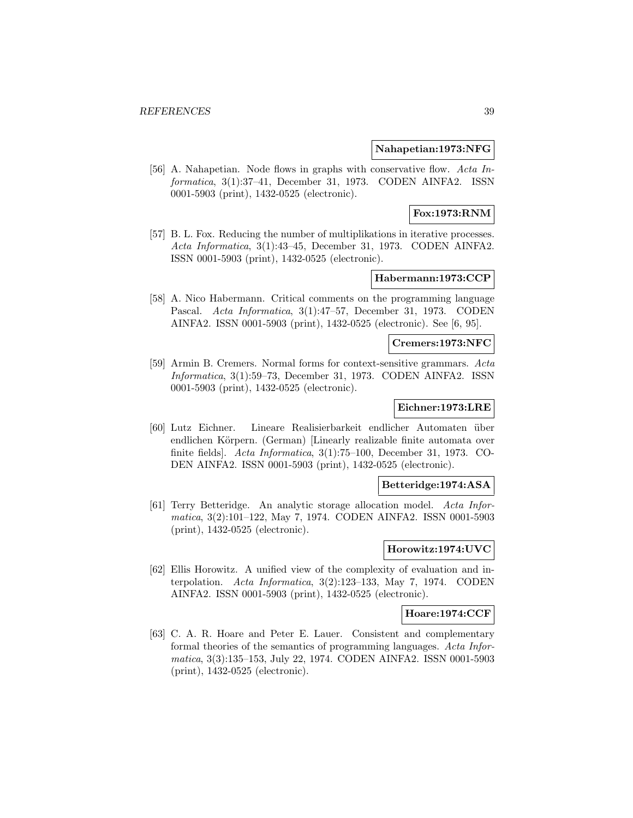### **Nahapetian:1973:NFG**

[56] A. Nahapetian. Node flows in graphs with conservative flow. Acta Informatica, 3(1):37–41, December 31, 1973. CODEN AINFA2. ISSN 0001-5903 (print), 1432-0525 (electronic).

# **Fox:1973:RNM**

[57] B. L. Fox. Reducing the number of multiplikations in iterative processes. Acta Informatica, 3(1):43–45, December 31, 1973. CODEN AINFA2. ISSN 0001-5903 (print), 1432-0525 (electronic).

## **Habermann:1973:CCP**

[58] A. Nico Habermann. Critical comments on the programming language Pascal. Acta Informatica, 3(1):47–57, December 31, 1973. CODEN AINFA2. ISSN 0001-5903 (print), 1432-0525 (electronic). See [6, 95].

#### **Cremers:1973:NFC**

[59] Armin B. Cremers. Normal forms for context-sensitive grammars. Acta Informatica, 3(1):59–73, December 31, 1973. CODEN AINFA2. ISSN 0001-5903 (print), 1432-0525 (electronic).

## **Eichner:1973:LRE**

[60] Lutz Eichner. Lineare Realisierbarkeit endlicher Automaten ¨uber endlichen Körpern. (German) [Linearly realizable finite automata over finite fields]. Acta Informatica, 3(1):75–100, December 31, 1973. CO-DEN AINFA2. ISSN 0001-5903 (print), 1432-0525 (electronic).

### **Betteridge:1974:ASA**

[61] Terry Betteridge. An analytic storage allocation model. Acta Informatica, 3(2):101–122, May 7, 1974. CODEN AINFA2. ISSN 0001-5903 (print), 1432-0525 (electronic).

## **Horowitz:1974:UVC**

[62] Ellis Horowitz. A unified view of the complexity of evaluation and interpolation. Acta Informatica, 3(2):123–133, May 7, 1974. CODEN AINFA2. ISSN 0001-5903 (print), 1432-0525 (electronic).

## **Hoare:1974:CCF**

[63] C. A. R. Hoare and Peter E. Lauer. Consistent and complementary formal theories of the semantics of programming languages. Acta Informatica, 3(3):135–153, July 22, 1974. CODEN AINFA2. ISSN 0001-5903 (print), 1432-0525 (electronic).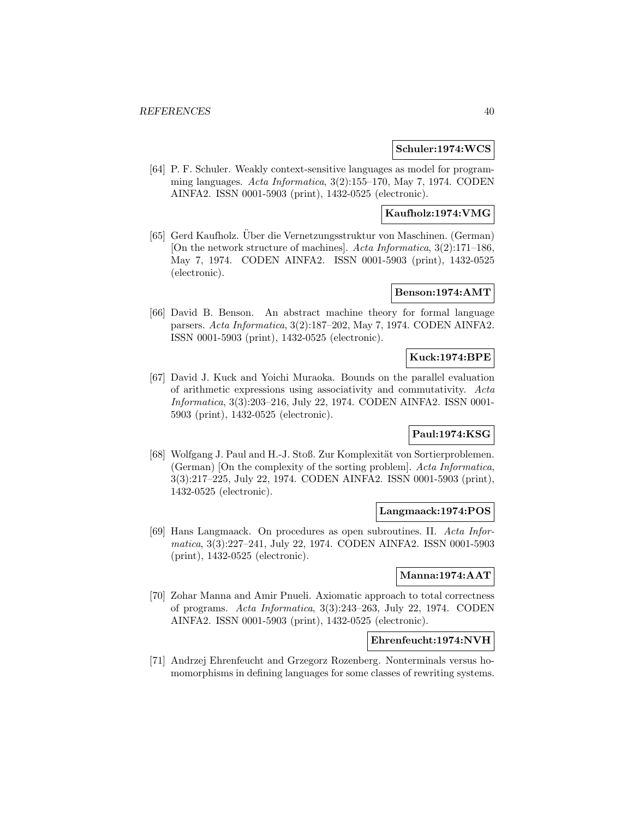#### **Schuler:1974:WCS**

[64] P. F. Schuler. Weakly context-sensitive languages as model for programming languages. Acta Informatica, 3(2):155–170, May 7, 1974. CODEN AINFA2. ISSN 0001-5903 (print), 1432-0525 (electronic).

## **Kaufholz:1974:VMG**

[65] Gerd Kaufholz. Uber die Vernetzungsstruktur von Maschinen. (German) ¨ [On the network structure of machines]. Acta Informatica, 3(2):171–186, May 7, 1974. CODEN AINFA2. ISSN 0001-5903 (print), 1432-0525 (electronic).

# **Benson:1974:AMT**

[66] David B. Benson. An abstract machine theory for formal language parsers. Acta Informatica, 3(2):187–202, May 7, 1974. CODEN AINFA2. ISSN 0001-5903 (print), 1432-0525 (electronic).

# **Kuck:1974:BPE**

[67] David J. Kuck and Yoichi Muraoka. Bounds on the parallel evaluation of arithmetic expressions using associativity and commutativity. Acta Informatica, 3(3):203–216, July 22, 1974. CODEN AINFA2. ISSN 0001- 5903 (print), 1432-0525 (electronic).

# **Paul:1974:KSG**

[68] Wolfgang J. Paul and H.-J. Stoß. Zur Komplexität von Sortierproblemen. (German) [On the complexity of the sorting problem]. Acta Informatica, 3(3):217–225, July 22, 1974. CODEN AINFA2. ISSN 0001-5903 (print), 1432-0525 (electronic).

## **Langmaack:1974:POS**

[69] Hans Langmaack. On procedures as open subroutines. II. Acta Informatica, 3(3):227–241, July 22, 1974. CODEN AINFA2. ISSN 0001-5903 (print), 1432-0525 (electronic).

#### **Manna:1974:AAT**

[70] Zohar Manna and Amir Pnueli. Axiomatic approach to total correctness of programs. Acta Informatica, 3(3):243–263, July 22, 1974. CODEN AINFA2. ISSN 0001-5903 (print), 1432-0525 (electronic).

# **Ehrenfeucht:1974:NVH**

[71] Andrzej Ehrenfeucht and Grzegorz Rozenberg. Nonterminals versus homomorphisms in defining languages for some classes of rewriting systems.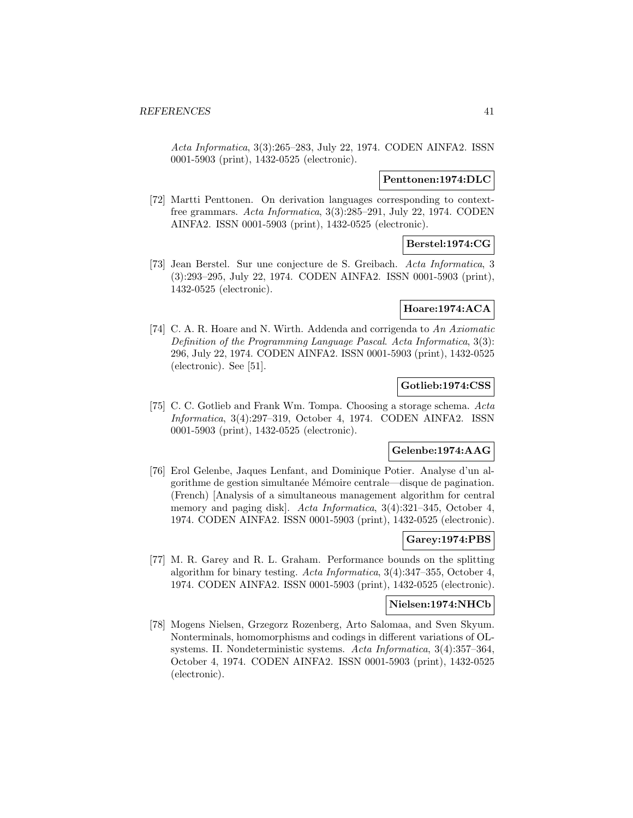Acta Informatica, 3(3):265–283, July 22, 1974. CODEN AINFA2. ISSN 0001-5903 (print), 1432-0525 (electronic).

#### **Penttonen:1974:DLC**

[72] Martti Penttonen. On derivation languages corresponding to contextfree grammars. Acta Informatica, 3(3):285–291, July 22, 1974. CODEN AINFA2. ISSN 0001-5903 (print), 1432-0525 (electronic).

# **Berstel:1974:CG**

[73] Jean Berstel. Sur une conjecture de S. Greibach. Acta Informatica, 3 (3):293–295, July 22, 1974. CODEN AINFA2. ISSN 0001-5903 (print), 1432-0525 (electronic).

# **Hoare:1974:ACA**

[74] C. A. R. Hoare and N. Wirth. Addenda and corrigenda to An Axiomatic Definition of the Programming Language Pascal. Acta Informatica, 3(3): 296, July 22, 1974. CODEN AINFA2. ISSN 0001-5903 (print), 1432-0525 (electronic). See [51].

# **Gotlieb:1974:CSS**

[75] C. C. Gotlieb and Frank Wm. Tompa. Choosing a storage schema. Acta Informatica, 3(4):297–319, October 4, 1974. CODEN AINFA2. ISSN 0001-5903 (print), 1432-0525 (electronic).

## **Gelenbe:1974:AAG**

[76] Erol Gelenbe, Jaques Lenfant, and Dominique Potier. Analyse d'un algorithme de gestion simultanée Mémoire centrale—disque de pagination. (French) [Analysis of a simultaneous management algorithm for central memory and paging disk]. Acta Informatica, 3(4):321–345, October 4, 1974. CODEN AINFA2. ISSN 0001-5903 (print), 1432-0525 (electronic).

### **Garey:1974:PBS**

[77] M. R. Garey and R. L. Graham. Performance bounds on the splitting algorithm for binary testing. Acta Informatica, 3(4):347–355, October 4, 1974. CODEN AINFA2. ISSN 0001-5903 (print), 1432-0525 (electronic).

## **Nielsen:1974:NHCb**

[78] Mogens Nielsen, Grzegorz Rozenberg, Arto Salomaa, and Sven Skyum. Nonterminals, homomorphisms and codings in different variations of OLsystems. II. Nondeterministic systems. Acta Informatica, 3(4):357–364, October 4, 1974. CODEN AINFA2. ISSN 0001-5903 (print), 1432-0525 (electronic).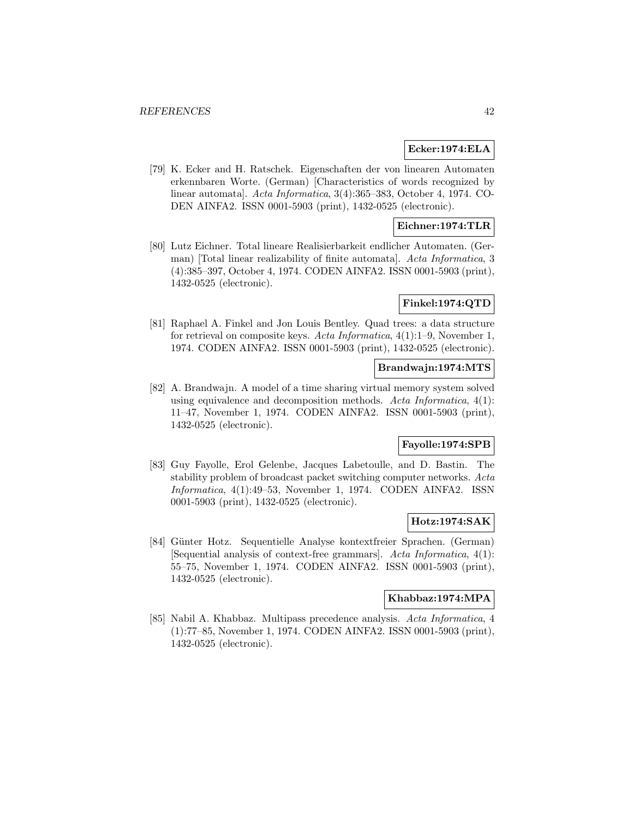#### **Ecker:1974:ELA**

[79] K. Ecker and H. Ratschek. Eigenschaften der von linearen Automaten erkennbaren Worte. (German) [Characteristics of words recognized by linear automata]. Acta Informatica, 3(4):365–383, October 4, 1974. CO-DEN AINFA2. ISSN 0001-5903 (print), 1432-0525 (electronic).

## **Eichner:1974:TLR**

[80] Lutz Eichner. Total lineare Realisierbarkeit endlicher Automaten. (German) [Total linear realizability of finite automata]. Acta Informatica, 3 (4):385–397, October 4, 1974. CODEN AINFA2. ISSN 0001-5903 (print), 1432-0525 (electronic).

#### **Finkel:1974:QTD**

[81] Raphael A. Finkel and Jon Louis Bentley. Quad trees: a data structure for retrieval on composite keys. Acta Informatica, 4(1):1–9, November 1, 1974. CODEN AINFA2. ISSN 0001-5903 (print), 1432-0525 (electronic).

## **Brandwajn:1974:MTS**

[82] A. Brandwajn. A model of a time sharing virtual memory system solved using equivalence and decomposition methods. Acta Informatica,  $4(1)$ : 11–47, November 1, 1974. CODEN AINFA2. ISSN 0001-5903 (print), 1432-0525 (electronic).

# **Fayolle:1974:SPB**

[83] Guy Fayolle, Erol Gelenbe, Jacques Labetoulle, and D. Bastin. The stability problem of broadcast packet switching computer networks. Acta Informatica, 4(1):49–53, November 1, 1974. CODEN AINFA2. ISSN 0001-5903 (print), 1432-0525 (electronic).

### **Hotz:1974:SAK**

[84] G¨unter Hotz. Sequentielle Analyse kontextfreier Sprachen. (German) [Sequential analysis of context-free grammars]. Acta Informatica, 4(1): 55–75, November 1, 1974. CODEN AINFA2. ISSN 0001-5903 (print), 1432-0525 (electronic).

## **Khabbaz:1974:MPA**

[85] Nabil A. Khabbaz. Multipass precedence analysis. Acta Informatica, 4 (1):77–85, November 1, 1974. CODEN AINFA2. ISSN 0001-5903 (print), 1432-0525 (electronic).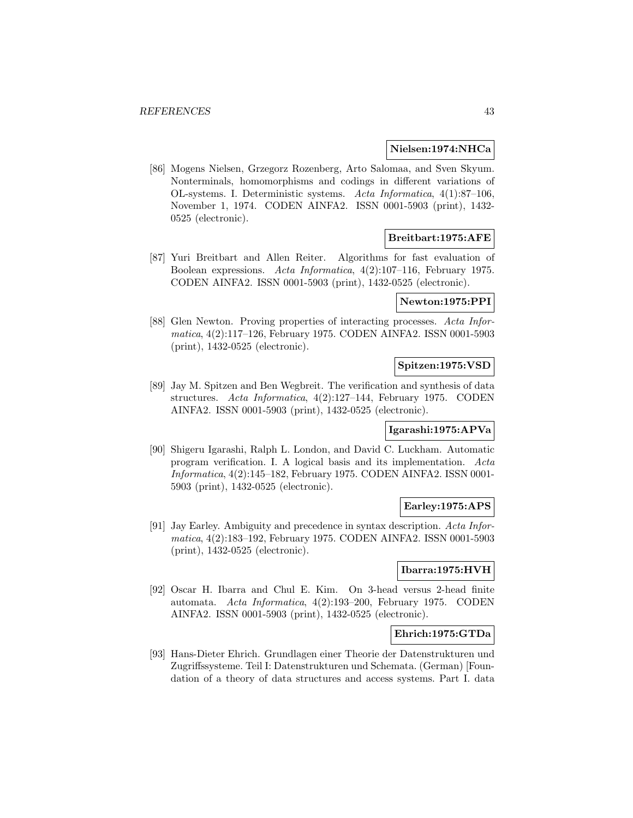#### **Nielsen:1974:NHCa**

[86] Mogens Nielsen, Grzegorz Rozenberg, Arto Salomaa, and Sven Skyum. Nonterminals, homomorphisms and codings in different variations of OL-systems. I. Deterministic systems. Acta Informatica, 4(1):87–106, November 1, 1974. CODEN AINFA2. ISSN 0001-5903 (print), 1432- 0525 (electronic).

### **Breitbart:1975:AFE**

[87] Yuri Breitbart and Allen Reiter. Algorithms for fast evaluation of Boolean expressions. Acta Informatica, 4(2):107–116, February 1975. CODEN AINFA2. ISSN 0001-5903 (print), 1432-0525 (electronic).

#### **Newton:1975:PPI**

[88] Glen Newton. Proving properties of interacting processes. Acta Informatica, 4(2):117–126, February 1975. CODEN AINFA2. ISSN 0001-5903 (print), 1432-0525 (electronic).

## **Spitzen:1975:VSD**

[89] Jay M. Spitzen and Ben Wegbreit. The verification and synthesis of data structures. Acta Informatica, 4(2):127–144, February 1975. CODEN AINFA2. ISSN 0001-5903 (print), 1432-0525 (electronic).

### **Igarashi:1975:APVa**

[90] Shigeru Igarashi, Ralph L. London, and David C. Luckham. Automatic program verification. I. A logical basis and its implementation. Acta Informatica, 4(2):145–182, February 1975. CODEN AINFA2. ISSN 0001- 5903 (print), 1432-0525 (electronic).

## **Earley:1975:APS**

[91] Jay Earley. Ambiguity and precedence in syntax description. Acta Informatica, 4(2):183–192, February 1975. CODEN AINFA2. ISSN 0001-5903 (print), 1432-0525 (electronic).

## **Ibarra:1975:HVH**

[92] Oscar H. Ibarra and Chul E. Kim. On 3-head versus 2-head finite automata. Acta Informatica, 4(2):193–200, February 1975. CODEN AINFA2. ISSN 0001-5903 (print), 1432-0525 (electronic).

### **Ehrich:1975:GTDa**

[93] Hans-Dieter Ehrich. Grundlagen einer Theorie der Datenstrukturen und Zugriffssysteme. Teil I: Datenstrukturen und Schemata. (German) [Foundation of a theory of data structures and access systems. Part I. data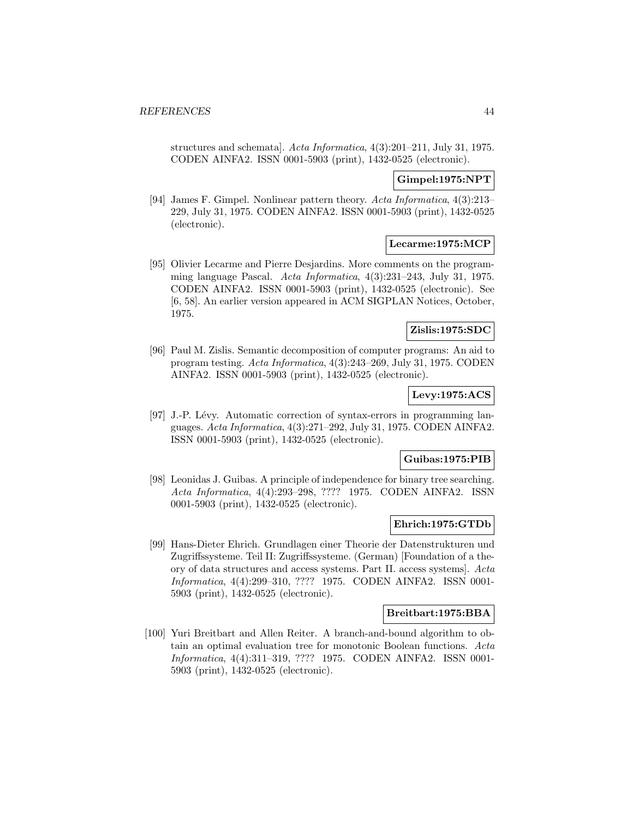structures and schemata]. Acta Informatica, 4(3):201–211, July 31, 1975. CODEN AINFA2. ISSN 0001-5903 (print), 1432-0525 (electronic).

## **Gimpel:1975:NPT**

[94] James F. Gimpel. Nonlinear pattern theory. Acta Informatica, 4(3):213– 229, July 31, 1975. CODEN AINFA2. ISSN 0001-5903 (print), 1432-0525 (electronic).

# **Lecarme:1975:MCP**

[95] Olivier Lecarme and Pierre Desjardins. More comments on the programming language Pascal. Acta Informatica, 4(3):231–243, July 31, 1975. CODEN AINFA2. ISSN 0001-5903 (print), 1432-0525 (electronic). See [6, 58]. An earlier version appeared in ACM SIGPLAN Notices, October, 1975.

# **Zislis:1975:SDC**

[96] Paul M. Zislis. Semantic decomposition of computer programs: An aid to program testing. Acta Informatica, 4(3):243–269, July 31, 1975. CODEN AINFA2. ISSN 0001-5903 (print), 1432-0525 (electronic).

## **Levy:1975:ACS**

[97] J.-P. Lévy. Automatic correction of syntax-errors in programming languages. Acta Informatica,  $4(3):271-292$ , July 31, 1975. CODEN AINFA2. ISSN 0001-5903 (print), 1432-0525 (electronic).

# **Guibas:1975:PIB**

[98] Leonidas J. Guibas. A principle of independence for binary tree searching. Acta Informatica, 4(4):293–298, ???? 1975. CODEN AINFA2. ISSN 0001-5903 (print), 1432-0525 (electronic).

#### **Ehrich:1975:GTDb**

[99] Hans-Dieter Ehrich. Grundlagen einer Theorie der Datenstrukturen und Zugriffssysteme. Teil II: Zugriffssysteme. (German) [Foundation of a theory of data structures and access systems. Part II. access systems]. Acta Informatica, 4(4):299–310, ???? 1975. CODEN AINFA2. ISSN 0001- 5903 (print), 1432-0525 (electronic).

## **Breitbart:1975:BBA**

[100] Yuri Breitbart and Allen Reiter. A branch-and-bound algorithm to obtain an optimal evaluation tree for monotonic Boolean functions. Acta Informatica, 4(4):311–319, ???? 1975. CODEN AINFA2. ISSN 0001- 5903 (print), 1432-0525 (electronic).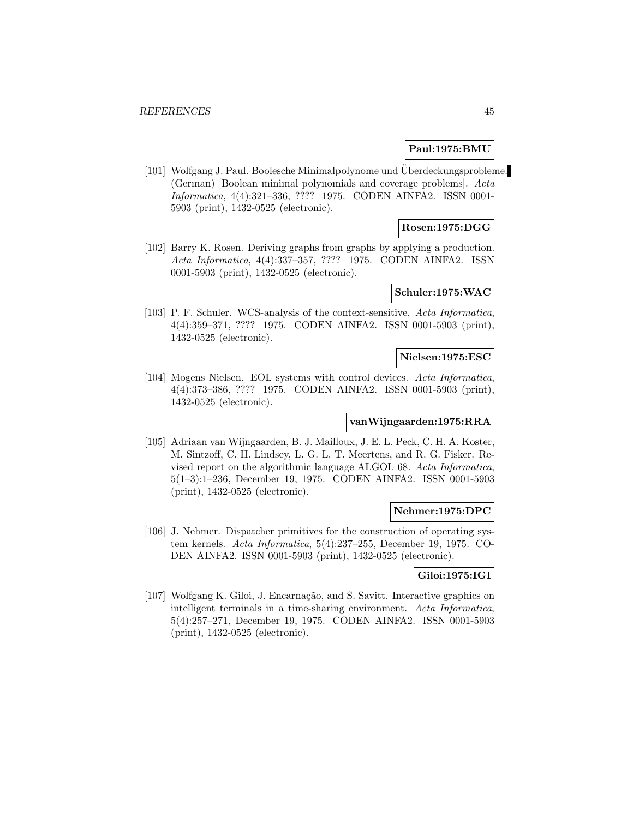### **Paul:1975:BMU**

[101] Wolfgang J. Paul. Boolesche Minimalpolynome und Uberdeckungsprobleme. (German) [Boolean minimal polynomials and coverage problems]. Acta Informatica, 4(4):321–336, ???? 1975. CODEN AINFA2. ISSN 0001- 5903 (print), 1432-0525 (electronic).

### **Rosen:1975:DGG**

[102] Barry K. Rosen. Deriving graphs from graphs by applying a production. Acta Informatica, 4(4):337–357, ???? 1975. CODEN AINFA2. ISSN 0001-5903 (print), 1432-0525 (electronic).

#### **Schuler:1975:WAC**

[103] P. F. Schuler. WCS-analysis of the context-sensitive. Acta Informatica, 4(4):359–371, ???? 1975. CODEN AINFA2. ISSN 0001-5903 (print), 1432-0525 (electronic).

### **Nielsen:1975:ESC**

[104] Mogens Nielsen. EOL systems with control devices. Acta Informatica, 4(4):373–386, ???? 1975. CODEN AINFA2. ISSN 0001-5903 (print), 1432-0525 (electronic).

#### **vanWijngaarden:1975:RRA**

[105] Adriaan van Wijngaarden, B. J. Mailloux, J. E. L. Peck, C. H. A. Koster, M. Sintzoff, C. H. Lindsey, L. G. L. T. Meertens, and R. G. Fisker. Revised report on the algorithmic language ALGOL 68. Acta Informatica, 5(1–3):1–236, December 19, 1975. CODEN AINFA2. ISSN 0001-5903 (print), 1432-0525 (electronic).

# **Nehmer:1975:DPC**

[106] J. Nehmer. Dispatcher primitives for the construction of operating system kernels. Acta Informatica, 5(4):237–255, December 19, 1975. CO-DEN AINFA2. ISSN 0001-5903 (print), 1432-0525 (electronic).

#### **Giloi:1975:IGI**

[107] Wolfgang K. Giloi, J. Encarnação, and S. Savitt. Interactive graphics on intelligent terminals in a time-sharing environment. Acta Informatica, 5(4):257–271, December 19, 1975. CODEN AINFA2. ISSN 0001-5903 (print), 1432-0525 (electronic).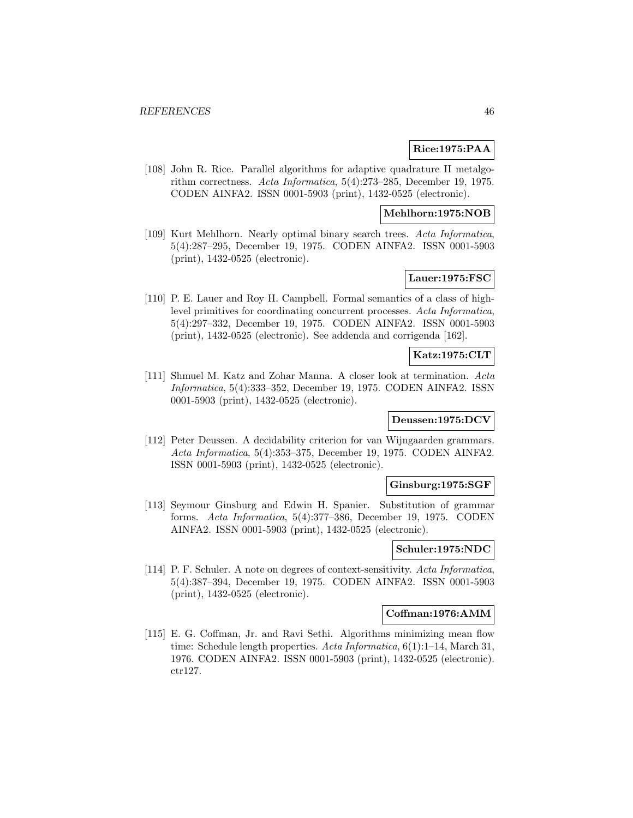## **Rice:1975:PAA**

[108] John R. Rice. Parallel algorithms for adaptive quadrature II metalgorithm correctness. Acta Informatica, 5(4):273–285, December 19, 1975. CODEN AINFA2. ISSN 0001-5903 (print), 1432-0525 (electronic).

### **Mehlhorn:1975:NOB**

[109] Kurt Mehlhorn. Nearly optimal binary search trees. Acta Informatica, 5(4):287–295, December 19, 1975. CODEN AINFA2. ISSN 0001-5903 (print), 1432-0525 (electronic).

## **Lauer:1975:FSC**

[110] P. E. Lauer and Roy H. Campbell. Formal semantics of a class of highlevel primitives for coordinating concurrent processes. Acta Informatica, 5(4):297–332, December 19, 1975. CODEN AINFA2. ISSN 0001-5903 (print), 1432-0525 (electronic). See addenda and corrigenda [162].

## **Katz:1975:CLT**

[111] Shmuel M. Katz and Zohar Manna. A closer look at termination. Acta Informatica, 5(4):333–352, December 19, 1975. CODEN AINFA2. ISSN 0001-5903 (print), 1432-0525 (electronic).

## **Deussen:1975:DCV**

[112] Peter Deussen. A decidability criterion for van Wijngaarden grammars. Acta Informatica, 5(4):353–375, December 19, 1975. CODEN AINFA2. ISSN 0001-5903 (print), 1432-0525 (electronic).

#### **Ginsburg:1975:SGF**

[113] Seymour Ginsburg and Edwin H. Spanier. Substitution of grammar forms. Acta Informatica, 5(4):377–386, December 19, 1975. CODEN AINFA2. ISSN 0001-5903 (print), 1432-0525 (electronic).

## **Schuler:1975:NDC**

[114] P. F. Schuler. A note on degrees of context-sensitivity. Acta Informatica, 5(4):387–394, December 19, 1975. CODEN AINFA2. ISSN 0001-5903 (print), 1432-0525 (electronic).

## **Coffman:1976:AMM**

[115] E. G. Coffman, Jr. and Ravi Sethi. Algorithms minimizing mean flow time: Schedule length properties. Acta Informatica, 6(1):1-14, March 31, 1976. CODEN AINFA2. ISSN 0001-5903 (print), 1432-0525 (electronic). ctr127.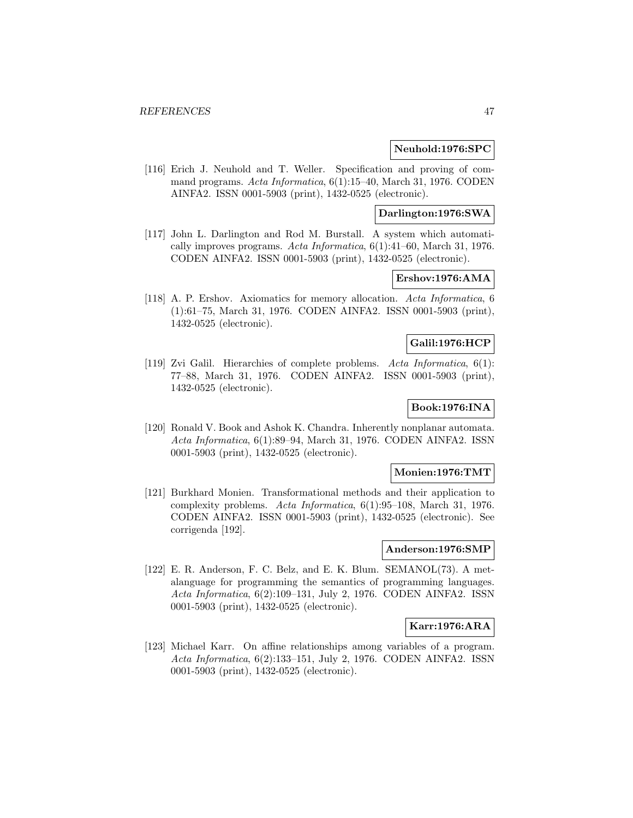#### **Neuhold:1976:SPC**

[116] Erich J. Neuhold and T. Weller. Specification and proving of command programs. Acta Informatica, 6(1):15–40, March 31, 1976. CODEN AINFA2. ISSN 0001-5903 (print), 1432-0525 (electronic).

### **Darlington:1976:SWA**

[117] John L. Darlington and Rod M. Burstall. A system which automatically improves programs. Acta Informatica, 6(1):41–60, March 31, 1976. CODEN AINFA2. ISSN 0001-5903 (print), 1432-0525 (electronic).

## **Ershov:1976:AMA**

[118] A. P. Ershov. Axiomatics for memory allocation. Acta Informatica, 6 (1):61–75, March 31, 1976. CODEN AINFA2. ISSN 0001-5903 (print), 1432-0525 (electronic).

# **Galil:1976:HCP**

[119] Zvi Galil. Hierarchies of complete problems. Acta Informatica, 6(1): 77–88, March 31, 1976. CODEN AINFA2. ISSN 0001-5903 (print), 1432-0525 (electronic).

# **Book:1976:INA**

[120] Ronald V. Book and Ashok K. Chandra. Inherently nonplanar automata. Acta Informatica, 6(1):89–94, March 31, 1976. CODEN AINFA2. ISSN 0001-5903 (print), 1432-0525 (electronic).

## **Monien:1976:TMT**

[121] Burkhard Monien. Transformational methods and their application to complexity problems. Acta Informatica, 6(1):95–108, March 31, 1976. CODEN AINFA2. ISSN 0001-5903 (print), 1432-0525 (electronic). See corrigenda [192].

## **Anderson:1976:SMP**

[122] E. R. Anderson, F. C. Belz, and E. K. Blum. SEMANOL(73). A metalanguage for programming the semantics of programming languages. Acta Informatica, 6(2):109–131, July 2, 1976. CODEN AINFA2. ISSN 0001-5903 (print), 1432-0525 (electronic).

### **Karr:1976:ARA**

[123] Michael Karr. On affine relationships among variables of a program. Acta Informatica, 6(2):133–151, July 2, 1976. CODEN AINFA2. ISSN 0001-5903 (print), 1432-0525 (electronic).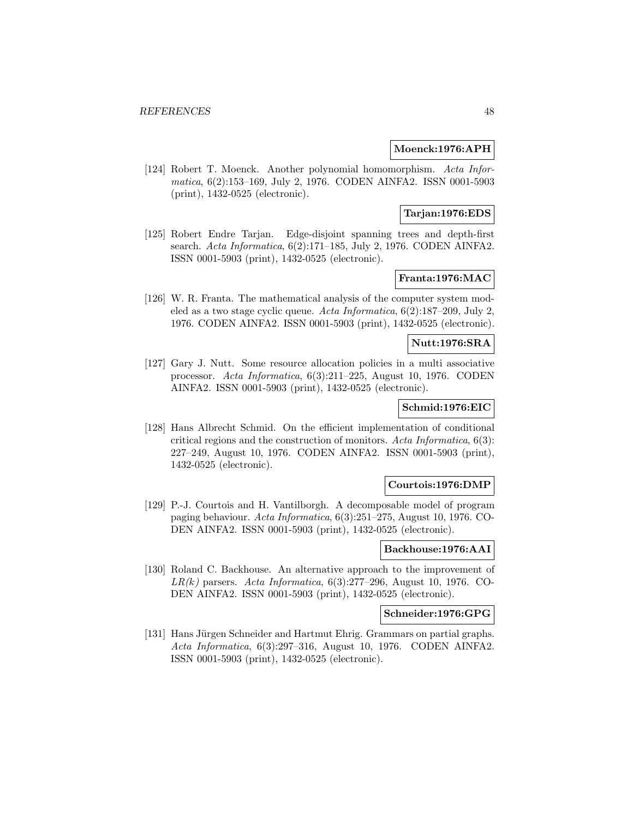#### **Moenck:1976:APH**

[124] Robert T. Moenck. Another polynomial homomorphism. Acta Informatica, 6(2):153–169, July 2, 1976. CODEN AINFA2. ISSN 0001-5903 (print), 1432-0525 (electronic).

# **Tarjan:1976:EDS**

[125] Robert Endre Tarjan. Edge-disjoint spanning trees and depth-first search. Acta Informatica, 6(2):171–185, July 2, 1976. CODEN AINFA2. ISSN 0001-5903 (print), 1432-0525 (electronic).

## **Franta:1976:MAC**

[126] W. R. Franta. The mathematical analysis of the computer system modeled as a two stage cyclic queue. Acta Informatica, 6(2):187–209, July 2, 1976. CODEN AINFA2. ISSN 0001-5903 (print), 1432-0525 (electronic).

#### **Nutt:1976:SRA**

[127] Gary J. Nutt. Some resource allocation policies in a multi associative processor. Acta Informatica, 6(3):211–225, August 10, 1976. CODEN AINFA2. ISSN 0001-5903 (print), 1432-0525 (electronic).

## **Schmid:1976:EIC**

[128] Hans Albrecht Schmid. On the efficient implementation of conditional critical regions and the construction of monitors. Acta Informatica, 6(3): 227–249, August 10, 1976. CODEN AINFA2. ISSN 0001-5903 (print), 1432-0525 (electronic).

### **Courtois:1976:DMP**

[129] P.-J. Courtois and H. Vantilborgh. A decomposable model of program paging behaviour. Acta Informatica, 6(3):251–275, August 10, 1976. CO-DEN AINFA2. ISSN 0001-5903 (print), 1432-0525 (electronic).

## **Backhouse:1976:AAI**

[130] Roland C. Backhouse. An alternative approach to the improvement of  $LR(k)$  parsers. Acta Informatica,  $6(3):277-296$ , August 10, 1976. CO-DEN AINFA2. ISSN 0001-5903 (print), 1432-0525 (electronic).

## **Schneider:1976:GPG**

[131] Hans Jürgen Schneider and Hartmut Ehrig. Grammars on partial graphs. Acta Informatica, 6(3):297–316, August 10, 1976. CODEN AINFA2. ISSN 0001-5903 (print), 1432-0525 (electronic).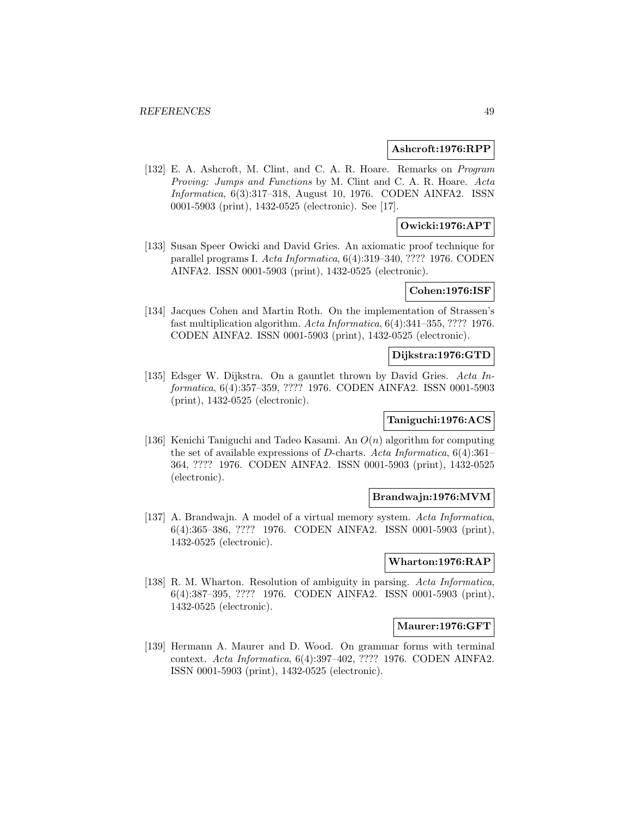#### **Ashcroft:1976:RPP**

[132] E. A. Ashcroft, M. Clint, and C. A. R. Hoare. Remarks on Program Proving: Jumps and Functions by M. Clint and C. A. R. Hoare. Acta Informatica, 6(3):317–318, August 10, 1976. CODEN AINFA2. ISSN 0001-5903 (print), 1432-0525 (electronic). See [17].

# **Owicki:1976:APT**

[133] Susan Speer Owicki and David Gries. An axiomatic proof technique for parallel programs I. Acta Informatica, 6(4):319–340, ???? 1976. CODEN AINFA2. ISSN 0001-5903 (print), 1432-0525 (electronic).

#### **Cohen:1976:ISF**

[134] Jacques Cohen and Martin Roth. On the implementation of Strassen's fast multiplication algorithm. Acta Informatica, 6(4):341–355, ???? 1976. CODEN AINFA2. ISSN 0001-5903 (print), 1432-0525 (electronic).

## **Dijkstra:1976:GTD**

[135] Edsger W. Dijkstra. On a gauntlet thrown by David Gries. Acta Informatica, 6(4):357–359, ???? 1976. CODEN AINFA2. ISSN 0001-5903 (print), 1432-0525 (electronic).

## **Taniguchi:1976:ACS**

[136] Kenichi Taniguchi and Tadeo Kasami. An  $O(n)$  algorithm for computing the set of available expressions of D-charts. Acta Informatica,  $6(4):361-$ 364, ???? 1976. CODEN AINFA2. ISSN 0001-5903 (print), 1432-0525 (electronic).

#### **Brandwajn:1976:MVM**

[137] A. Brandwajn. A model of a virtual memory system. Acta Informatica, 6(4):365–386, ???? 1976. CODEN AINFA2. ISSN 0001-5903 (print), 1432-0525 (electronic).

## **Wharton:1976:RAP**

[138] R. M. Wharton. Resolution of ambiguity in parsing. Acta Informatica, 6(4):387–395, ???? 1976. CODEN AINFA2. ISSN 0001-5903 (print), 1432-0525 (electronic).

#### **Maurer:1976:GFT**

[139] Hermann A. Maurer and D. Wood. On grammar forms with terminal context. Acta Informatica, 6(4):397–402, ???? 1976. CODEN AINFA2. ISSN 0001-5903 (print), 1432-0525 (electronic).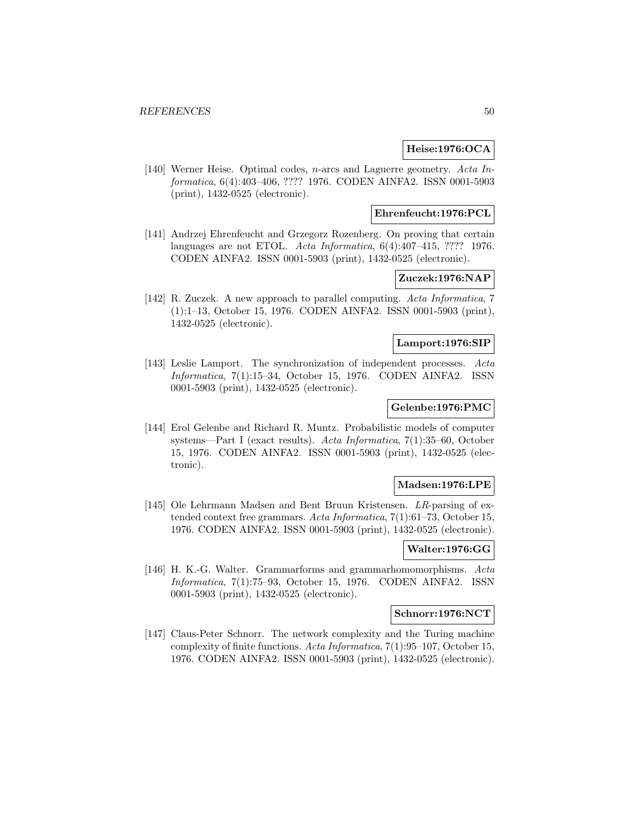# **Heise:1976:OCA**

[140] Werner Heise. Optimal codes, n-arcs and Laguerre geometry. Acta Informatica, 6(4):403–406, ???? 1976. CODEN AINFA2. ISSN 0001-5903 (print), 1432-0525 (electronic).

# **Ehrenfeucht:1976:PCL**

[141] Andrzej Ehrenfeucht and Grzegorz Rozenberg. On proving that certain languages are not ETOL. Acta Informatica, 6(4):407–415, ???? 1976. CODEN AINFA2. ISSN 0001-5903 (print), 1432-0525 (electronic).

## **Zuczek:1976:NAP**

[142] R. Zuczek. A new approach to parallel computing. Acta Informatica, 7 (1):1–13, October 15, 1976. CODEN AINFA2. ISSN 0001-5903 (print), 1432-0525 (electronic).

#### **Lamport:1976:SIP**

[143] Leslie Lamport. The synchronization of independent processes. Acta Informatica, 7(1):15–34, October 15, 1976. CODEN AINFA2. ISSN 0001-5903 (print), 1432-0525 (electronic).

## **Gelenbe:1976:PMC**

[144] Erol Gelenbe and Richard R. Muntz. Probabilistic models of computer systems—Part I (exact results). Acta Informatica, 7(1):35–60, October 15, 1976. CODEN AINFA2. ISSN 0001-5903 (print), 1432-0525 (electronic).

### **Madsen:1976:LPE**

[145] Ole Lehrmann Madsen and Bent Bruun Kristensen. LR-parsing of extended context free grammars. Acta Informatica, 7(1):61–73, October 15, 1976. CODEN AINFA2. ISSN 0001-5903 (print), 1432-0525 (electronic).

## **Walter:1976:GG**

[146] H. K.-G. Walter. Grammarforms and grammarhomomorphisms. Acta Informatica, 7(1):75–93, October 15, 1976. CODEN AINFA2. ISSN 0001-5903 (print), 1432-0525 (electronic).

## **Schnorr:1976:NCT**

[147] Claus-Peter Schnorr. The network complexity and the Turing machine complexity of finite functions. Acta Informatica, 7(1):95–107, October 15, 1976. CODEN AINFA2. ISSN 0001-5903 (print), 1432-0525 (electronic).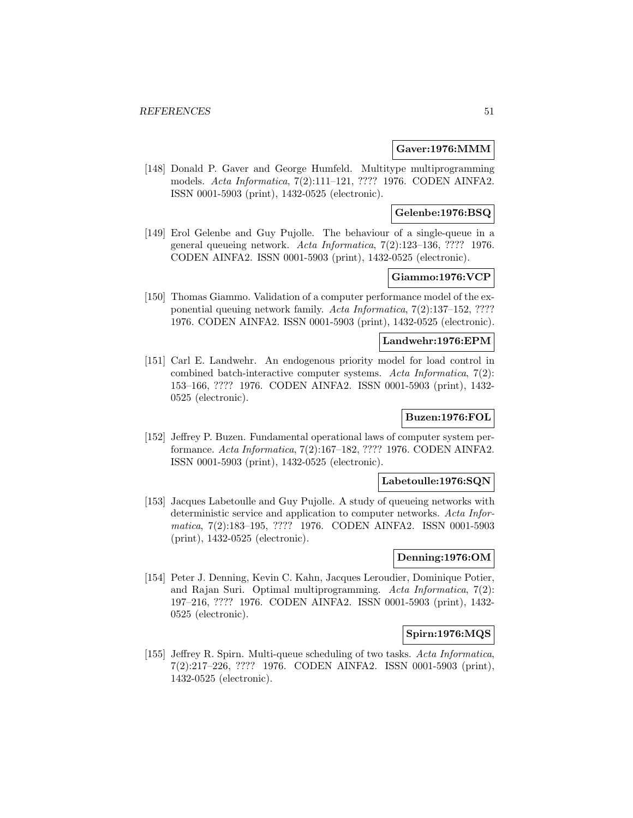### **Gaver:1976:MMM**

[148] Donald P. Gaver and George Humfeld. Multitype multiprogramming models. Acta Informatica, 7(2):111–121, ???? 1976. CODEN AINFA2. ISSN 0001-5903 (print), 1432-0525 (electronic).

## **Gelenbe:1976:BSQ**

[149] Erol Gelenbe and Guy Pujolle. The behaviour of a single-queue in a general queueing network. Acta Informatica, 7(2):123–136, ???? 1976. CODEN AINFA2. ISSN 0001-5903 (print), 1432-0525 (electronic).

# **Giammo:1976:VCP**

[150] Thomas Giammo. Validation of a computer performance model of the exponential queuing network family. Acta Informatica, 7(2):137–152, ???? 1976. CODEN AINFA2. ISSN 0001-5903 (print), 1432-0525 (electronic).

## **Landwehr:1976:EPM**

[151] Carl E. Landwehr. An endogenous priority model for load control in combined batch-interactive computer systems. Acta Informatica, 7(2): 153–166, ???? 1976. CODEN AINFA2. ISSN 0001-5903 (print), 1432- 0525 (electronic).

# **Buzen:1976:FOL**

[152] Jeffrey P. Buzen. Fundamental operational laws of computer system performance. Acta Informatica, 7(2):167–182, ???? 1976. CODEN AINFA2. ISSN 0001-5903 (print), 1432-0525 (electronic).

#### **Labetoulle:1976:SQN**

[153] Jacques Labetoulle and Guy Pujolle. A study of queueing networks with deterministic service and application to computer networks. Acta Informatica, 7(2):183–195, ???? 1976. CODEN AINFA2. ISSN 0001-5903 (print), 1432-0525 (electronic).

#### **Denning:1976:OM**

[154] Peter J. Denning, Kevin C. Kahn, Jacques Leroudier, Dominique Potier, and Rajan Suri. Optimal multiprogramming. Acta Informatica, 7(2): 197–216, ???? 1976. CODEN AINFA2. ISSN 0001-5903 (print), 1432- 0525 (electronic).

### **Spirn:1976:MQS**

[155] Jeffrey R. Spirn. Multi-queue scheduling of two tasks. Acta Informatica, 7(2):217–226, ???? 1976. CODEN AINFA2. ISSN 0001-5903 (print), 1432-0525 (electronic).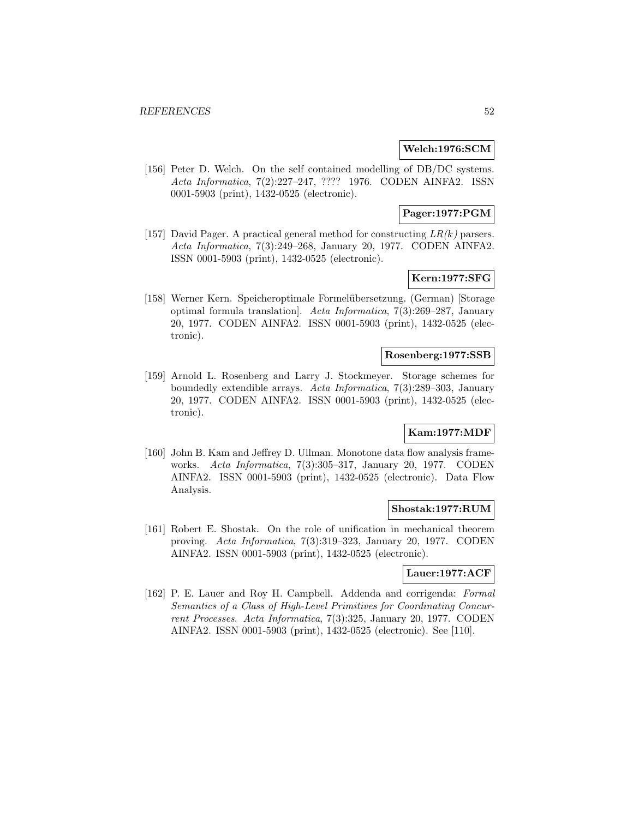#### **Welch:1976:SCM**

[156] Peter D. Welch. On the self contained modelling of DB/DC systems. Acta Informatica, 7(2):227–247, ???? 1976. CODEN AINFA2. ISSN 0001-5903 (print), 1432-0525 (electronic).

# **Pager:1977:PGM**

[157] David Pager. A practical general method for constructing  $LR(k)$  parsers. Acta Informatica, 7(3):249–268, January 20, 1977. CODEN AINFA2. ISSN 0001-5903 (print), 1432-0525 (electronic).

## **Kern:1977:SFG**

[158] Werner Kern. Speicheroptimale Formel¨ubersetzung. (German) [Storage optimal formula translation]. Acta Informatica, 7(3):269–287, January 20, 1977. CODEN AINFA2. ISSN 0001-5903 (print), 1432-0525 (electronic).

#### **Rosenberg:1977:SSB**

[159] Arnold L. Rosenberg and Larry J. Stockmeyer. Storage schemes for boundedly extendible arrays. Acta Informatica, 7(3):289–303, January 20, 1977. CODEN AINFA2. ISSN 0001-5903 (print), 1432-0525 (electronic).

## **Kam:1977:MDF**

[160] John B. Kam and Jeffrey D. Ullman. Monotone data flow analysis frameworks. Acta Informatica, 7(3):305–317, January 20, 1977. CODEN AINFA2. ISSN 0001-5903 (print), 1432-0525 (electronic). Data Flow Analysis.

#### **Shostak:1977:RUM**

[161] Robert E. Shostak. On the role of unification in mechanical theorem proving. Acta Informatica, 7(3):319–323, January 20, 1977. CODEN AINFA2. ISSN 0001-5903 (print), 1432-0525 (electronic).

## **Lauer:1977:ACF**

[162] P. E. Lauer and Roy H. Campbell. Addenda and corrigenda: Formal Semantics of a Class of High-Level Primitives for Coordinating Concurrent Processes. Acta Informatica, 7(3):325, January 20, 1977. CODEN AINFA2. ISSN 0001-5903 (print), 1432-0525 (electronic). See [110].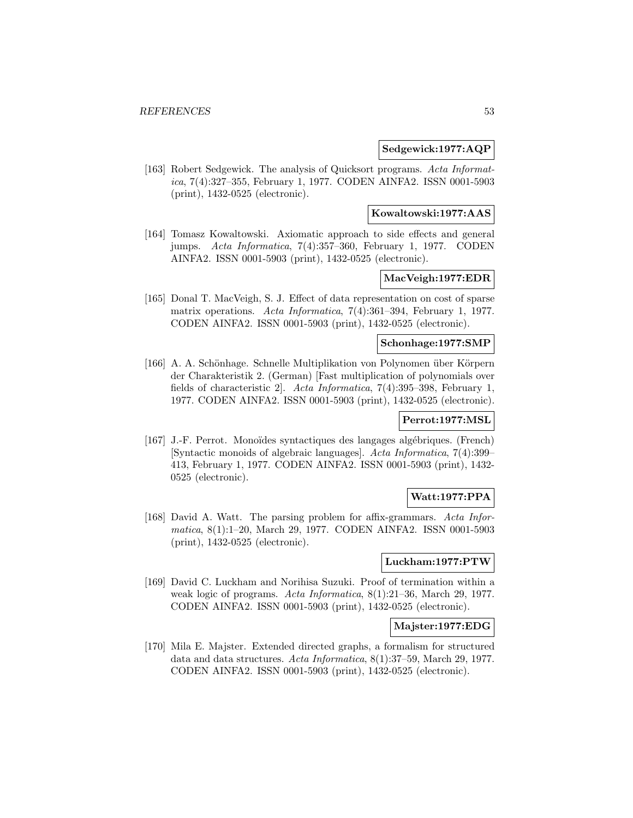#### **Sedgewick:1977:AQP**

[163] Robert Sedgewick. The analysis of Quicksort programs. Acta Informatica, 7(4):327–355, February 1, 1977. CODEN AINFA2. ISSN 0001-5903 (print), 1432-0525 (electronic).

# **Kowaltowski:1977:AAS**

[164] Tomasz Kowaltowski. Axiomatic approach to side effects and general jumps. Acta Informatica, 7(4):357–360, February 1, 1977. CODEN AINFA2. ISSN 0001-5903 (print), 1432-0525 (electronic).

## **MacVeigh:1977:EDR**

[165] Donal T. MacVeigh, S. J. Effect of data representation on cost of sparse matrix operations. Acta Informatica, 7(4):361–394, February 1, 1977. CODEN AINFA2. ISSN 0001-5903 (print), 1432-0525 (electronic).

#### **Schonhage:1977:SMP**

[166] A. A. Schönhage. Schnelle Multiplikation von Polynomen über Körpern der Charakteristik 2. (German) [Fast multiplication of polynomials over fields of characteristic 2]. Acta Informatica, 7(4):395–398, February 1, 1977. CODEN AINFA2. ISSN 0001-5903 (print), 1432-0525 (electronic).

#### **Perrot:1977:MSL**

[167] J.-F. Perrot. Mono¨ıdes syntactiques des langages alg´ebriques. (French) [Syntactic monoids of algebraic languages]. Acta Informatica, 7(4):399– 413, February 1, 1977. CODEN AINFA2. ISSN 0001-5903 (print), 1432- 0525 (electronic).

# **Watt:1977:PPA**

[168] David A. Watt. The parsing problem for affix-grammars. Acta Informatica, 8(1):1–20, March 29, 1977. CODEN AINFA2. ISSN 0001-5903 (print), 1432-0525 (electronic).

# **Luckham:1977:PTW**

[169] David C. Luckham and Norihisa Suzuki. Proof of termination within a weak logic of programs. Acta Informatica, 8(1):21–36, March 29, 1977. CODEN AINFA2. ISSN 0001-5903 (print), 1432-0525 (electronic).

#### **Majster:1977:EDG**

[170] Mila E. Majster. Extended directed graphs, a formalism for structured data and data structures. Acta Informatica, 8(1):37–59, March 29, 1977. CODEN AINFA2. ISSN 0001-5903 (print), 1432-0525 (electronic).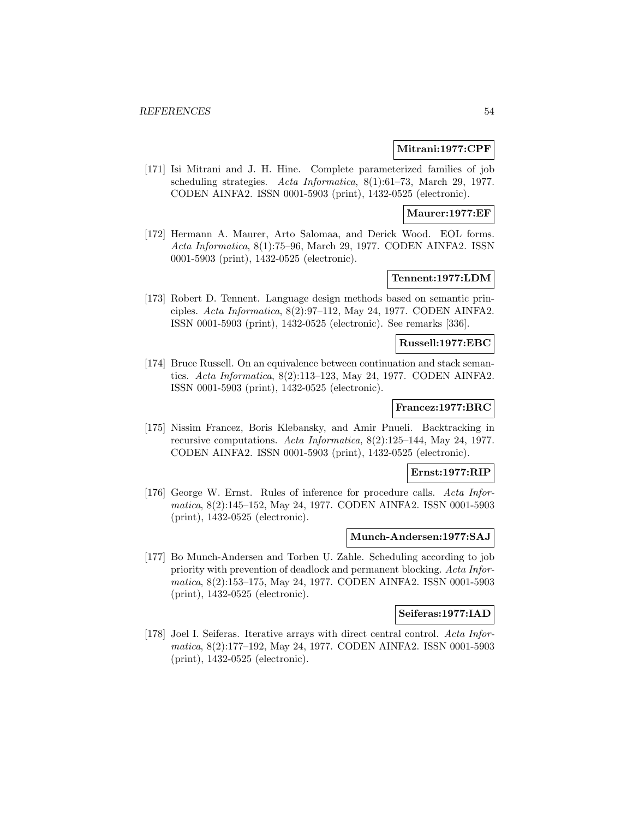#### **Mitrani:1977:CPF**

[171] Isi Mitrani and J. H. Hine. Complete parameterized families of job scheduling strategies. Acta Informatica, 8(1):61–73, March 29, 1977. CODEN AINFA2. ISSN 0001-5903 (print), 1432-0525 (electronic).

**Maurer:1977:EF**

[172] Hermann A. Maurer, Arto Salomaa, and Derick Wood. EOL forms. Acta Informatica, 8(1):75–96, March 29, 1977. CODEN AINFA2. ISSN 0001-5903 (print), 1432-0525 (electronic).

## **Tennent:1977:LDM**

[173] Robert D. Tennent. Language design methods based on semantic principles. Acta Informatica, 8(2):97–112, May 24, 1977. CODEN AINFA2. ISSN 0001-5903 (print), 1432-0525 (electronic). See remarks [336].

#### **Russell:1977:EBC**

[174] Bruce Russell. On an equivalence between continuation and stack semantics. Acta Informatica, 8(2):113–123, May 24, 1977. CODEN AINFA2. ISSN 0001-5903 (print), 1432-0525 (electronic).

## **Francez:1977:BRC**

[175] Nissim Francez, Boris Klebansky, and Amir Pnueli. Backtracking in recursive computations. Acta Informatica, 8(2):125–144, May 24, 1977. CODEN AINFA2. ISSN 0001-5903 (print), 1432-0525 (electronic).

#### **Ernst:1977:RIP**

[176] George W. Ernst. Rules of inference for procedure calls. Acta Informatica, 8(2):145–152, May 24, 1977. CODEN AINFA2. ISSN 0001-5903 (print), 1432-0525 (electronic).

#### **Munch-Andersen:1977:SAJ**

[177] Bo Munch-Andersen and Torben U. Zahle. Scheduling according to job priority with prevention of deadlock and permanent blocking. Acta Informatica, 8(2):153–175, May 24, 1977. CODEN AINFA2. ISSN 0001-5903 (print), 1432-0525 (electronic).

## **Seiferas:1977:IAD**

[178] Joel I. Seiferas. Iterative arrays with direct central control. Acta Informatica, 8(2):177–192, May 24, 1977. CODEN AINFA2. ISSN 0001-5903 (print), 1432-0525 (electronic).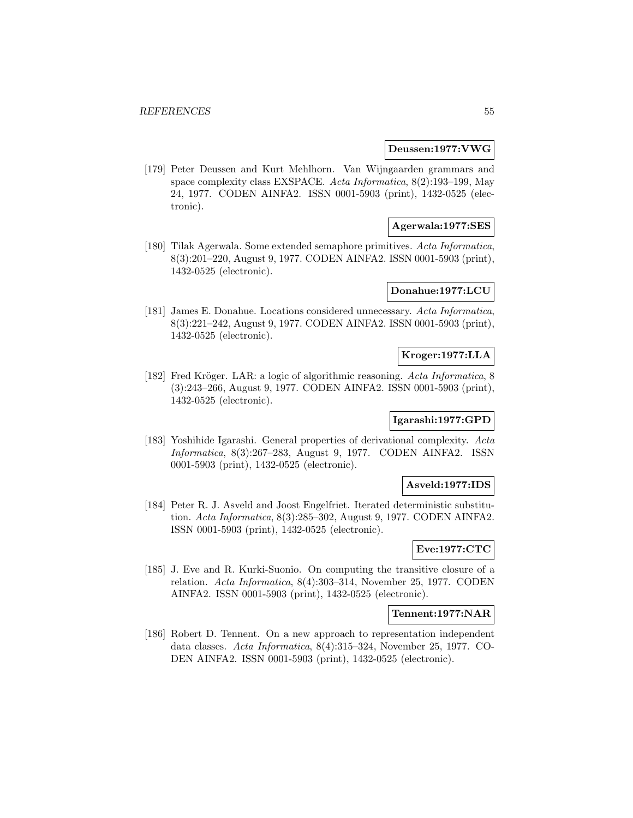#### **Deussen:1977:VWG**

[179] Peter Deussen and Kurt Mehlhorn. Van Wijngaarden grammars and space complexity class EXSPACE. Acta Informatica, 8(2):193–199, May 24, 1977. CODEN AINFA2. ISSN 0001-5903 (print), 1432-0525 (electronic).

## **Agerwala:1977:SES**

[180] Tilak Agerwala. Some extended semaphore primitives. Acta Informatica, 8(3):201–220, August 9, 1977. CODEN AINFA2. ISSN 0001-5903 (print), 1432-0525 (electronic).

#### **Donahue:1977:LCU**

[181] James E. Donahue. Locations considered unnecessary. Acta Informatica, 8(3):221–242, August 9, 1977. CODEN AINFA2. ISSN 0001-5903 (print), 1432-0525 (electronic).

## **Kroger:1977:LLA**

[182] Fred Kröger. LAR: a logic of algorithmic reasoning. Acta Informatica, 8 (3):243–266, August 9, 1977. CODEN AINFA2. ISSN 0001-5903 (print), 1432-0525 (electronic).

# **Igarashi:1977:GPD**

[183] Yoshihide Igarashi. General properties of derivational complexity. Acta Informatica, 8(3):267–283, August 9, 1977. CODEN AINFA2. ISSN 0001-5903 (print), 1432-0525 (electronic).

### **Asveld:1977:IDS**

[184] Peter R. J. Asveld and Joost Engelfriet. Iterated deterministic substitution. Acta Informatica, 8(3):285–302, August 9, 1977. CODEN AINFA2. ISSN 0001-5903 (print), 1432-0525 (electronic).

# **Eve:1977:CTC**

[185] J. Eve and R. Kurki-Suonio. On computing the transitive closure of a relation. Acta Informatica, 8(4):303–314, November 25, 1977. CODEN AINFA2. ISSN 0001-5903 (print), 1432-0525 (electronic).

## **Tennent:1977:NAR**

[186] Robert D. Tennent. On a new approach to representation independent data classes. Acta Informatica, 8(4):315–324, November 25, 1977. CO-DEN AINFA2. ISSN 0001-5903 (print), 1432-0525 (electronic).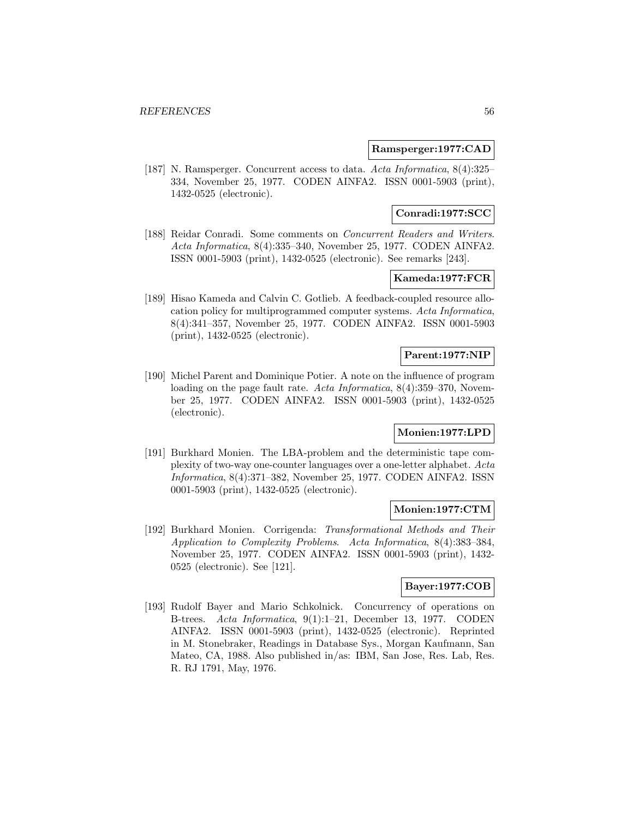#### **Ramsperger:1977:CAD**

[187] N. Ramsperger. Concurrent access to data. Acta Informatica, 8(4):325– 334, November 25, 1977. CODEN AINFA2. ISSN 0001-5903 (print), 1432-0525 (electronic).

## **Conradi:1977:SCC**

[188] Reidar Conradi. Some comments on Concurrent Readers and Writers. Acta Informatica, 8(4):335–340, November 25, 1977. CODEN AINFA2. ISSN 0001-5903 (print), 1432-0525 (electronic). See remarks [243].

## **Kameda:1977:FCR**

[189] Hisao Kameda and Calvin C. Gotlieb. A feedback-coupled resource allocation policy for multiprogrammed computer systems. Acta Informatica, 8(4):341–357, November 25, 1977. CODEN AINFA2. ISSN 0001-5903 (print), 1432-0525 (electronic).

### **Parent:1977:NIP**

[190] Michel Parent and Dominique Potier. A note on the influence of program loading on the page fault rate. Acta Informatica, 8(4):359–370, November 25, 1977. CODEN AINFA2. ISSN 0001-5903 (print), 1432-0525 (electronic).

### **Monien:1977:LPD**

[191] Burkhard Monien. The LBA-problem and the deterministic tape complexity of two-way one-counter languages over a one-letter alphabet. Acta Informatica, 8(4):371–382, November 25, 1977. CODEN AINFA2. ISSN 0001-5903 (print), 1432-0525 (electronic).

#### **Monien:1977:CTM**

[192] Burkhard Monien. Corrigenda: Transformational Methods and Their Application to Complexity Problems. Acta Informatica, 8(4):383–384, November 25, 1977. CODEN AINFA2. ISSN 0001-5903 (print), 1432- 0525 (electronic). See [121].

## **Bayer:1977:COB**

[193] Rudolf Bayer and Mario Schkolnick. Concurrency of operations on B-trees. Acta Informatica, 9(1):1–21, December 13, 1977. CODEN AINFA2. ISSN 0001-5903 (print), 1432-0525 (electronic). Reprinted in M. Stonebraker, Readings in Database Sys., Morgan Kaufmann, San Mateo, CA, 1988. Also published in/as: IBM, San Jose, Res. Lab, Res. R. RJ 1791, May, 1976.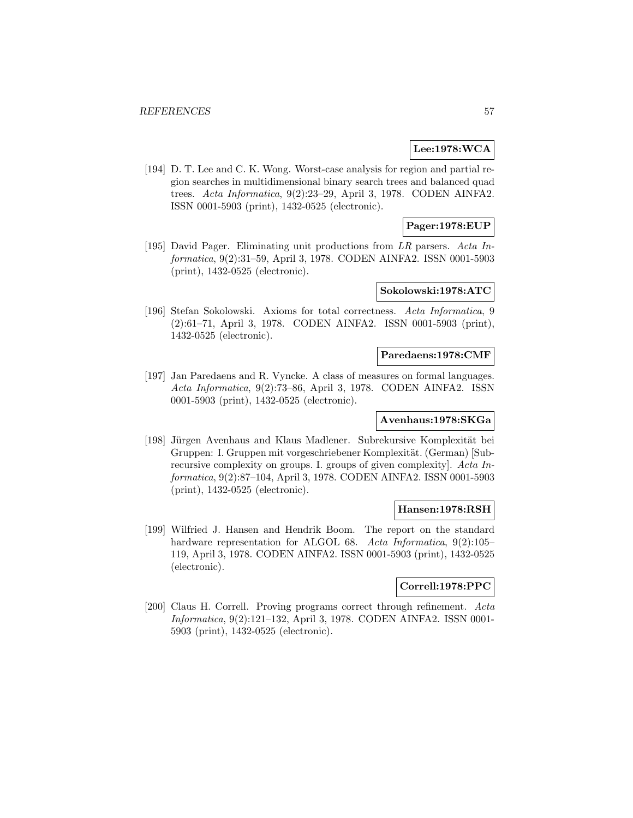## **Lee:1978:WCA**

[194] D. T. Lee and C. K. Wong. Worst-case analysis for region and partial region searches in multidimensional binary search trees and balanced quad trees. Acta Informatica, 9(2):23–29, April 3, 1978. CODEN AINFA2. ISSN 0001-5903 (print), 1432-0525 (electronic).

# **Pager:1978:EUP**

[195] David Pager. Eliminating unit productions from LR parsers. Acta Informatica, 9(2):31–59, April 3, 1978. CODEN AINFA2. ISSN 0001-5903 (print), 1432-0525 (electronic).

#### **Sokolowski:1978:ATC**

[196] Stefan Sokolowski. Axioms for total correctness. Acta Informatica, 9 (2):61–71, April 3, 1978. CODEN AINFA2. ISSN 0001-5903 (print), 1432-0525 (electronic).

## **Paredaens:1978:CMF**

[197] Jan Paredaens and R. Vyncke. A class of measures on formal languages. Acta Informatica, 9(2):73–86, April 3, 1978. CODEN AINFA2. ISSN 0001-5903 (print), 1432-0525 (electronic).

#### **Avenhaus:1978:SKGa**

[198] Jürgen Avenhaus and Klaus Madlener. Subrekursive Komplexität bei Gruppen: I. Gruppen mit vorgeschriebener Komplexität. (German) [Subrecursive complexity on groups. I. groups of given complexity]. Acta Informatica, 9(2):87–104, April 3, 1978. CODEN AINFA2. ISSN 0001-5903 (print), 1432-0525 (electronic).

#### **Hansen:1978:RSH**

[199] Wilfried J. Hansen and Hendrik Boom. The report on the standard hardware representation for ALGOL 68. Acta Informatica, 9(2):105– 119, April 3, 1978. CODEN AINFA2. ISSN 0001-5903 (print), 1432-0525 (electronic).

### **Correll:1978:PPC**

[200] Claus H. Correll. Proving programs correct through refinement. Acta Informatica, 9(2):121–132, April 3, 1978. CODEN AINFA2. ISSN 0001- 5903 (print), 1432-0525 (electronic).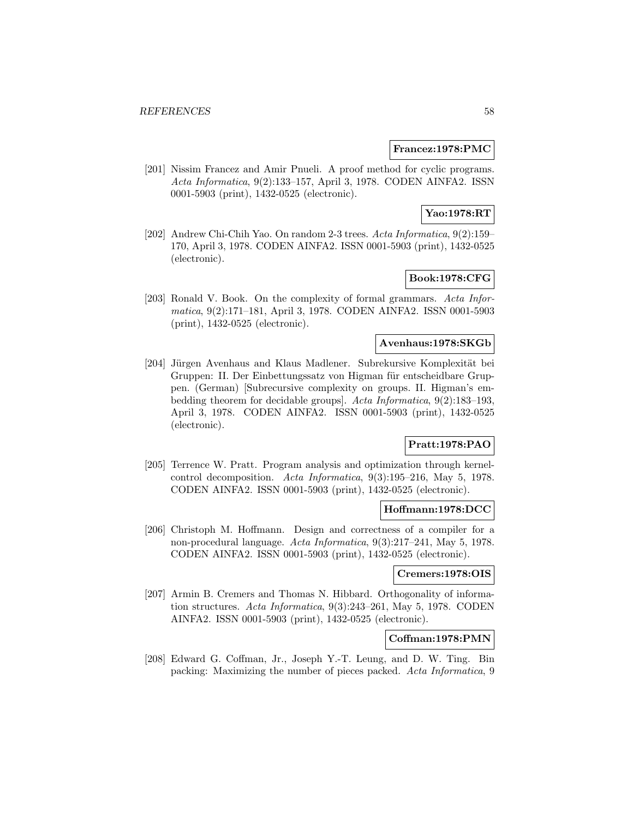#### **Francez:1978:PMC**

[201] Nissim Francez and Amir Pnueli. A proof method for cyclic programs. Acta Informatica, 9(2):133–157, April 3, 1978. CODEN AINFA2. ISSN 0001-5903 (print), 1432-0525 (electronic).

## **Yao:1978:RT**

[202] Andrew Chi-Chih Yao. On random 2-3 trees. Acta Informatica, 9(2):159– 170, April 3, 1978. CODEN AINFA2. ISSN 0001-5903 (print), 1432-0525 (electronic).

# **Book:1978:CFG**

[203] Ronald V. Book. On the complexity of formal grammars. Acta Informatica, 9(2):171–181, April 3, 1978. CODEN AINFA2. ISSN 0001-5903 (print), 1432-0525 (electronic).

#### **Avenhaus:1978:SKGb**

[204] Jürgen Avenhaus and Klaus Madlener. Subrekursive Komplexität bei Gruppen: II. Der Einbettungssatz von Higman für entscheidbare Gruppen. (German) [Subrecursive complexity on groups. II. Higman's embedding theorem for decidable groups]. Acta Informatica, 9(2):183–193, April 3, 1978. CODEN AINFA2. ISSN 0001-5903 (print), 1432-0525 (electronic).

# **Pratt:1978:PAO**

[205] Terrence W. Pratt. Program analysis and optimization through kernelcontrol decomposition. Acta Informatica, 9(3):195–216, May 5, 1978. CODEN AINFA2. ISSN 0001-5903 (print), 1432-0525 (electronic).

#### **Hoffmann:1978:DCC**

[206] Christoph M. Hoffmann. Design and correctness of a compiler for a non-procedural language. Acta Informatica, 9(3):217–241, May 5, 1978. CODEN AINFA2. ISSN 0001-5903 (print), 1432-0525 (electronic).

#### **Cremers:1978:OIS**

[207] Armin B. Cremers and Thomas N. Hibbard. Orthogonality of information structures. Acta Informatica, 9(3):243–261, May 5, 1978. CODEN AINFA2. ISSN 0001-5903 (print), 1432-0525 (electronic).

#### **Coffman:1978:PMN**

[208] Edward G. Coffman, Jr., Joseph Y.-T. Leung, and D. W. Ting. Bin packing: Maximizing the number of pieces packed. Acta Informatica, 9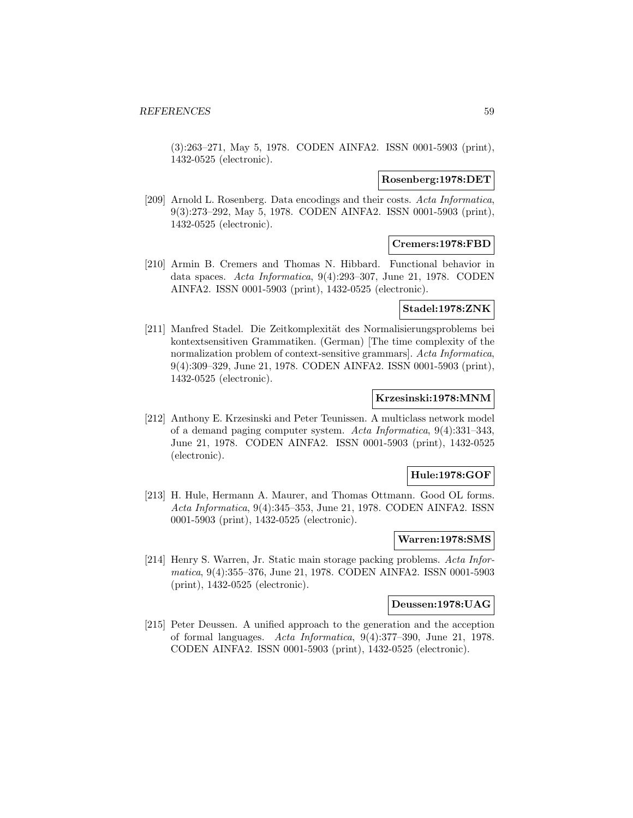(3):263–271, May 5, 1978. CODEN AINFA2. ISSN 0001-5903 (print), 1432-0525 (electronic).

#### **Rosenberg:1978:DET**

[209] Arnold L. Rosenberg. Data encodings and their costs. Acta Informatica, 9(3):273–292, May 5, 1978. CODEN AINFA2. ISSN 0001-5903 (print), 1432-0525 (electronic).

## **Cremers:1978:FBD**

[210] Armin B. Cremers and Thomas N. Hibbard. Functional behavior in data spaces. Acta Informatica, 9(4):293–307, June 21, 1978. CODEN AINFA2. ISSN 0001-5903 (print), 1432-0525 (electronic).

# **Stadel:1978:ZNK**

[211] Manfred Stadel. Die Zeitkomplexität des Normalisierungsproblems bei kontextsensitiven Grammatiken. (German) [The time complexity of the normalization problem of context-sensitive grammars]. Acta Informatica, 9(4):309–329, June 21, 1978. CODEN AINFA2. ISSN 0001-5903 (print), 1432-0525 (electronic).

## **Krzesinski:1978:MNM**

[212] Anthony E. Krzesinski and Peter Teunissen. A multiclass network model of a demand paging computer system. Acta Informatica, 9(4):331–343, June 21, 1978. CODEN AINFA2. ISSN 0001-5903 (print), 1432-0525 (electronic).

# **Hule:1978:GOF**

[213] H. Hule, Hermann A. Maurer, and Thomas Ottmann. Good OL forms. Acta Informatica, 9(4):345–353, June 21, 1978. CODEN AINFA2. ISSN 0001-5903 (print), 1432-0525 (electronic).

#### **Warren:1978:SMS**

[214] Henry S. Warren, Jr. Static main storage packing problems. Acta Informatica, 9(4):355–376, June 21, 1978. CODEN AINFA2. ISSN 0001-5903 (print), 1432-0525 (electronic).

### **Deussen:1978:UAG**

[215] Peter Deussen. A unified approach to the generation and the acception of formal languages. Acta Informatica, 9(4):377–390, June 21, 1978. CODEN AINFA2. ISSN 0001-5903 (print), 1432-0525 (electronic).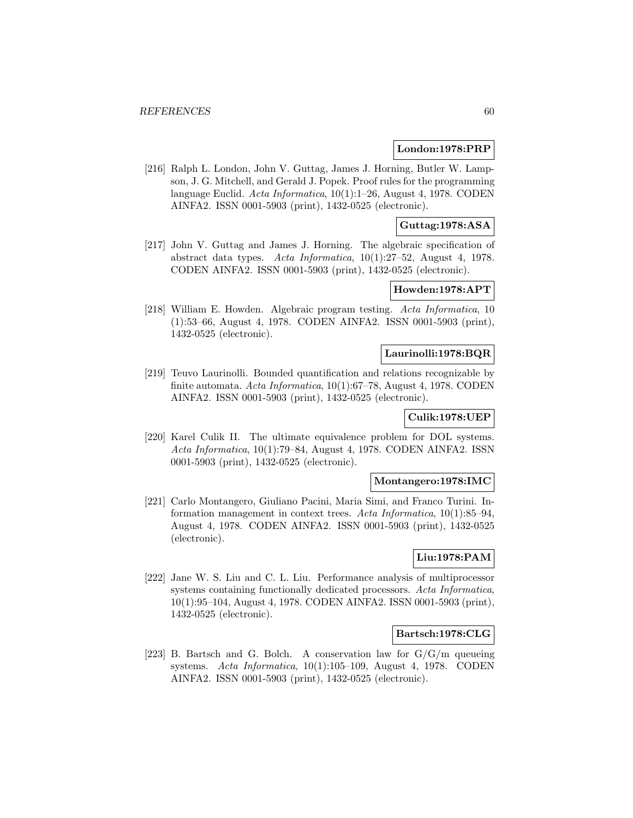#### **London:1978:PRP**

[216] Ralph L. London, John V. Guttag, James J. Horning, Butler W. Lampson, J. G. Mitchell, and Gerald J. Popek. Proof rules for the programming language Euclid. Acta Informatica, 10(1):1–26, August 4, 1978. CODEN AINFA2. ISSN 0001-5903 (print), 1432-0525 (electronic).

# **Guttag:1978:ASA**

[217] John V. Guttag and James J. Horning. The algebraic specification of abstract data types. Acta Informatica,  $10(1):27-52$ , August 4, 1978. CODEN AINFA2. ISSN 0001-5903 (print), 1432-0525 (electronic).

# **Howden:1978:APT**

[218] William E. Howden. Algebraic program testing. Acta Informatica, 10 (1):53–66, August 4, 1978. CODEN AINFA2. ISSN 0001-5903 (print), 1432-0525 (electronic).

#### **Laurinolli:1978:BQR**

[219] Teuvo Laurinolli. Bounded quantification and relations recognizable by finite automata. Acta Informatica, 10(1):67–78, August 4, 1978. CODEN AINFA2. ISSN 0001-5903 (print), 1432-0525 (electronic).

# **Culik:1978:UEP**

[220] Karel Culik II. The ultimate equivalence problem for DOL systems. Acta Informatica, 10(1):79–84, August 4, 1978. CODEN AINFA2. ISSN 0001-5903 (print), 1432-0525 (electronic).

#### **Montangero:1978:IMC**

[221] Carlo Montangero, Giuliano Pacini, Maria Simi, and Franco Turini. Information management in context trees. Acta Informatica, 10(1):85–94, August 4, 1978. CODEN AINFA2. ISSN 0001-5903 (print), 1432-0525 (electronic).

# **Liu:1978:PAM**

[222] Jane W. S. Liu and C. L. Liu. Performance analysis of multiprocessor systems containing functionally dedicated processors. Acta Informatica, 10(1):95–104, August 4, 1978. CODEN AINFA2. ISSN 0001-5903 (print), 1432-0525 (electronic).

### **Bartsch:1978:CLG**

[223] B. Bartsch and G. Bolch. A conservation law for  $G/G/m$  queueing systems. Acta Informatica, 10(1):105–109, August 4, 1978. CODEN AINFA2. ISSN 0001-5903 (print), 1432-0525 (electronic).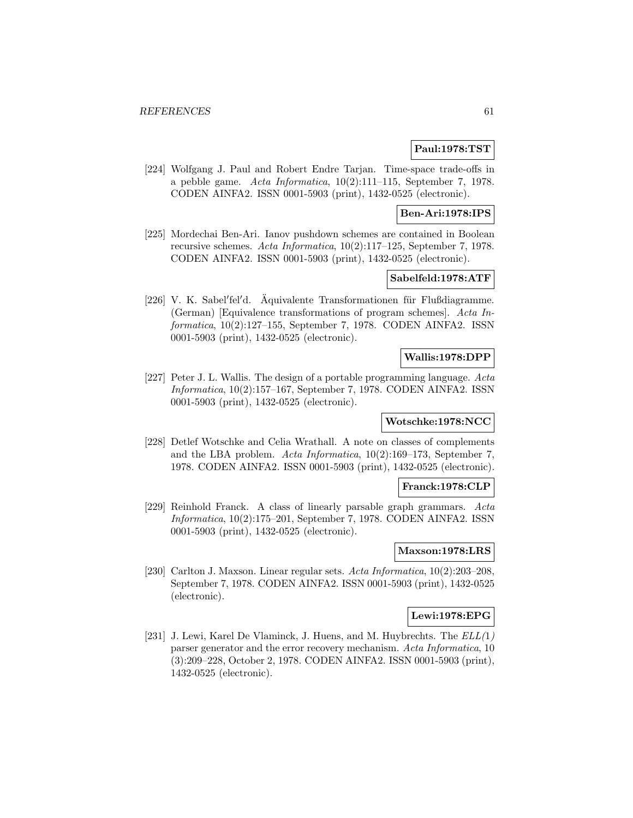#### **Paul:1978:TST**

[224] Wolfgang J. Paul and Robert Endre Tarjan. Time-space trade-offs in a pebble game. Acta Informatica, 10(2):111–115, September 7, 1978. CODEN AINFA2. ISSN 0001-5903 (print), 1432-0525 (electronic).

#### **Ben-Ari:1978:IPS**

[225] Mordechai Ben-Ari. Ianov pushdown schemes are contained in Boolean recursive schemes. Acta Informatica, 10(2):117–125, September 7, 1978. CODEN AINFA2. ISSN 0001-5903 (print), 1432-0525 (electronic).

## **Sabelfeld:1978:ATF**

[226] V. K. Sabel'fel'd. Äquivalente Transformationen für Flußdiagramme. (German) [Equivalence transformations of program schemes]. Acta Informatica, 10(2):127–155, September 7, 1978. CODEN AINFA2. ISSN 0001-5903 (print), 1432-0525 (electronic).

## **Wallis:1978:DPP**

[227] Peter J. L. Wallis. The design of a portable programming language. Acta Informatica, 10(2):157–167, September 7, 1978. CODEN AINFA2. ISSN 0001-5903 (print), 1432-0525 (electronic).

#### **Wotschke:1978:NCC**

[228] Detlef Wotschke and Celia Wrathall. A note on classes of complements and the LBA problem. Acta Informatica, 10(2):169–173, September 7, 1978. CODEN AINFA2. ISSN 0001-5903 (print), 1432-0525 (electronic).

## **Franck:1978:CLP**

[229] Reinhold Franck. A class of linearly parsable graph grammars. Acta Informatica, 10(2):175–201, September 7, 1978. CODEN AINFA2. ISSN 0001-5903 (print), 1432-0525 (electronic).

### **Maxson:1978:LRS**

[230] Carlton J. Maxson. Linear regular sets. Acta Informatica, 10(2):203–208, September 7, 1978. CODEN AINFA2. ISSN 0001-5903 (print), 1432-0525 (electronic).

### **Lewi:1978:EPG**

[231] J. Lewi, Karel De Vlaminck, J. Huens, and M. Huybrechts. The  $ELL(1)$ parser generator and the error recovery mechanism. Acta Informatica, 10 (3):209–228, October 2, 1978. CODEN AINFA2. ISSN 0001-5903 (print), 1432-0525 (electronic).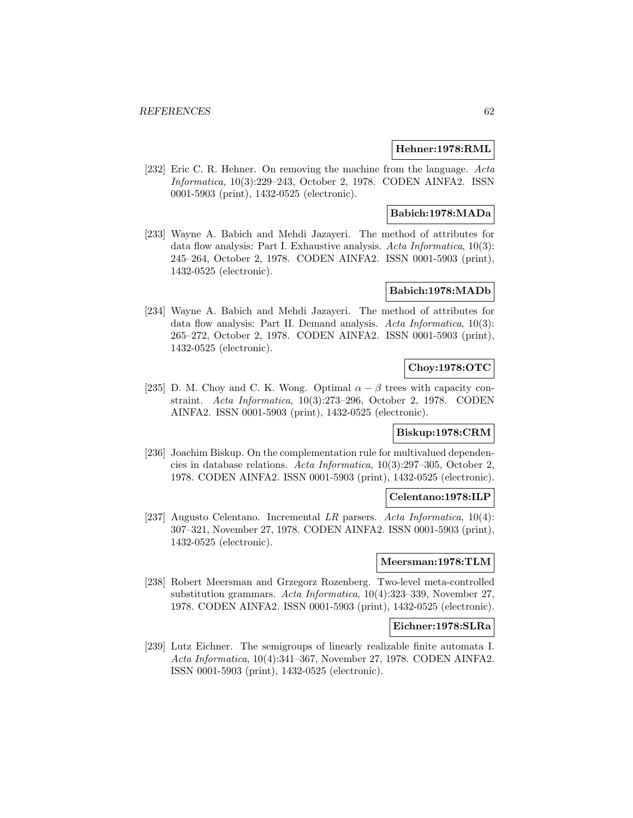#### **Hehner:1978:RML**

[232] Eric C. R. Hehner. On removing the machine from the language. Acta Informatica, 10(3):229–243, October 2, 1978. CODEN AINFA2. ISSN 0001-5903 (print), 1432-0525 (electronic).

## **Babich:1978:MADa**

[233] Wayne A. Babich and Mehdi Jazayeri. The method of attributes for data flow analysis: Part I. Exhaustive analysis. Acta Informatica, 10(3): 245–264, October 2, 1978. CODEN AINFA2. ISSN 0001-5903 (print), 1432-0525 (electronic).

#### **Babich:1978:MADb**

[234] Wayne A. Babich and Mehdi Jazayeri. The method of attributes for data flow analysis: Part II. Demand analysis. Acta Informatica, 10(3): 265–272, October 2, 1978. CODEN AINFA2. ISSN 0001-5903 (print), 1432-0525 (electronic).

# **Choy:1978:OTC**

[235] D. M. Choy and C. K. Wong. Optimal  $\alpha - \beta$  trees with capacity constraint. Acta Informatica, 10(3):273–296, October 2, 1978. CODEN AINFA2. ISSN 0001-5903 (print), 1432-0525 (electronic).

#### **Biskup:1978:CRM**

[236] Joachim Biskup. On the complementation rule for multivalued dependencies in database relations. Acta Informatica, 10(3):297–305, October 2, 1978. CODEN AINFA2. ISSN 0001-5903 (print), 1432-0525 (electronic).

#### **Celentano:1978:ILP**

[237] Augusto Celentano. Incremental LR parsers. Acta Informatica, 10(4): 307–321, November 27, 1978. CODEN AINFA2. ISSN 0001-5903 (print), 1432-0525 (electronic).

## **Meersman:1978:TLM**

[238] Robert Meersman and Grzegorz Rozenberg. Two-level meta-controlled substitution grammars. Acta Informatica, 10(4):323–339, November 27, 1978. CODEN AINFA2. ISSN 0001-5903 (print), 1432-0525 (electronic).

#### **Eichner:1978:SLRa**

[239] Lutz Eichner. The semigroups of linearly realizable finite automata I. Acta Informatica, 10(4):341–367, November 27, 1978. CODEN AINFA2. ISSN 0001-5903 (print), 1432-0525 (electronic).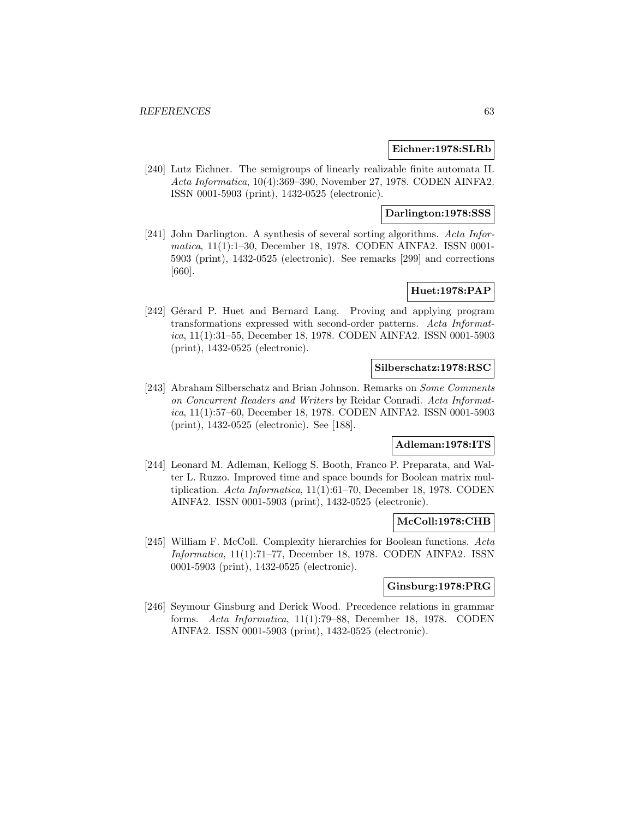#### **Eichner:1978:SLRb**

[240] Lutz Eichner. The semigroups of linearly realizable finite automata II. Acta Informatica, 10(4):369–390, November 27, 1978. CODEN AINFA2. ISSN 0001-5903 (print), 1432-0525 (electronic).

## **Darlington:1978:SSS**

[241] John Darlington. A synthesis of several sorting algorithms. Acta Informatica, 11(1):1–30, December 18, 1978. CODEN AINFA2. ISSN 0001- 5903 (print), 1432-0525 (electronic). See remarks [299] and corrections [660].

### **Huet:1978:PAP**

[242] Gérard P. Huet and Bernard Lang. Proving and applying program transformations expressed with second-order patterns. Acta Informatica, 11(1):31–55, December 18, 1978. CODEN AINFA2. ISSN 0001-5903 (print), 1432-0525 (electronic).

### **Silberschatz:1978:RSC**

[243] Abraham Silberschatz and Brian Johnson. Remarks on Some Comments on Concurrent Readers and Writers by Reidar Conradi. Acta Informatica, 11(1):57–60, December 18, 1978. CODEN AINFA2. ISSN 0001-5903 (print), 1432-0525 (electronic). See [188].

# **Adleman:1978:ITS**

[244] Leonard M. Adleman, Kellogg S. Booth, Franco P. Preparata, and Walter L. Ruzzo. Improved time and space bounds for Boolean matrix multiplication. Acta Informatica, 11(1):61–70, December 18, 1978. CODEN AINFA2. ISSN 0001-5903 (print), 1432-0525 (electronic).

#### **McColl:1978:CHB**

[245] William F. McColl. Complexity hierarchies for Boolean functions. Acta Informatica, 11(1):71–77, December 18, 1978. CODEN AINFA2. ISSN 0001-5903 (print), 1432-0525 (electronic).

## **Ginsburg:1978:PRG**

[246] Seymour Ginsburg and Derick Wood. Precedence relations in grammar forms. Acta Informatica, 11(1):79–88, December 18, 1978. CODEN AINFA2. ISSN 0001-5903 (print), 1432-0525 (electronic).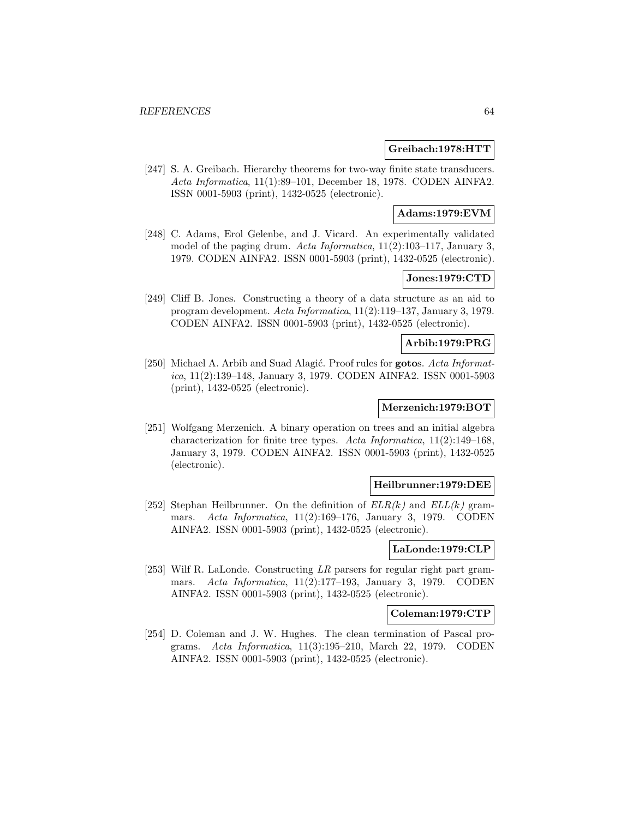#### **Greibach:1978:HTT**

[247] S. A. Greibach. Hierarchy theorems for two-way finite state transducers. Acta Informatica, 11(1):89–101, December 18, 1978. CODEN AINFA2. ISSN 0001-5903 (print), 1432-0525 (electronic).

### **Adams:1979:EVM**

[248] C. Adams, Erol Gelenbe, and J. Vicard. An experimentally validated model of the paging drum. Acta Informatica, 11(2):103–117, January 3, 1979. CODEN AINFA2. ISSN 0001-5903 (print), 1432-0525 (electronic).

## **Jones:1979:CTD**

[249] Cliff B. Jones. Constructing a theory of a data structure as an aid to program development. Acta Informatica, 11(2):119–137, January 3, 1979. CODEN AINFA2. ISSN 0001-5903 (print), 1432-0525 (electronic).

#### **Arbib:1979:PRG**

[250] Michael A. Arbib and Suad Alagić. Proof rules for **goto**s. Acta Informatica, 11(2):139–148, January 3, 1979. CODEN AINFA2. ISSN 0001-5903 (print), 1432-0525 (electronic).

#### **Merzenich:1979:BOT**

[251] Wolfgang Merzenich. A binary operation on trees and an initial algebra characterization for finite tree types. Acta Informatica, 11(2):149–168, January 3, 1979. CODEN AINFA2. ISSN 0001-5903 (print), 1432-0525 (electronic).

#### **Heilbrunner:1979:DEE**

[252] Stephan Heilbrunner. On the definition of  $ELR(k)$  and  $ELL(k)$  grammars. Acta Informatica, 11(2):169–176, January 3, 1979. CODEN AINFA2. ISSN 0001-5903 (print), 1432-0525 (electronic).

# **LaLonde:1979:CLP**

[253] Wilf R. LaLonde. Constructing LR parsers for regular right part grammars. Acta Informatica, 11(2):177–193, January 3, 1979. CODEN AINFA2. ISSN 0001-5903 (print), 1432-0525 (electronic).

#### **Coleman:1979:CTP**

[254] D. Coleman and J. W. Hughes. The clean termination of Pascal programs. Acta Informatica, 11(3):195–210, March 22, 1979. CODEN AINFA2. ISSN 0001-5903 (print), 1432-0525 (electronic).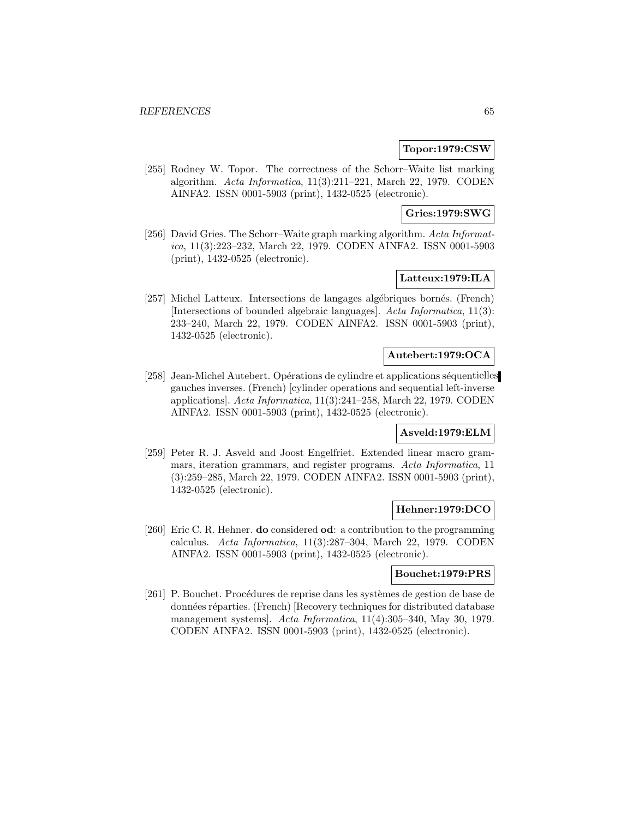#### **Topor:1979:CSW**

[255] Rodney W. Topor. The correctness of the Schorr–Waite list marking algorithm. Acta Informatica, 11(3):211–221, March 22, 1979. CODEN AINFA2. ISSN 0001-5903 (print), 1432-0525 (electronic).

**Gries:1979:SWG**

[256] David Gries. The Schorr–Waite graph marking algorithm. Acta Informatica, 11(3):223–232, March 22, 1979. CODEN AINFA2. ISSN 0001-5903 (print), 1432-0525 (electronic).

## **Latteux:1979:ILA**

[257] Michel Latteux. Intersections de langages algébriques bornés. (French) [Intersections of bounded algebraic languages]. Acta Informatica, 11(3): 233–240, March 22, 1979. CODEN AINFA2. ISSN 0001-5903 (print), 1432-0525 (electronic).

#### **Autebert:1979:OCA**

[258] Jean-Michel Autebert. Opérations de cylindre et applications séquentielles gauches inverses. (French) [cylinder operations and sequential left-inverse applications]. Acta Informatica, 11(3):241–258, March 22, 1979. CODEN AINFA2. ISSN 0001-5903 (print), 1432-0525 (electronic).

#### **Asveld:1979:ELM**

[259] Peter R. J. Asveld and Joost Engelfriet. Extended linear macro grammars, iteration grammars, and register programs. Acta Informatica, 11 (3):259–285, March 22, 1979. CODEN AINFA2. ISSN 0001-5903 (print), 1432-0525 (electronic).

#### **Hehner:1979:DCO**

[260] Eric C. R. Hehner. **do** considered **od**: a contribution to the programming calculus. Acta Informatica, 11(3):287–304, March 22, 1979. CODEN AINFA2. ISSN 0001-5903 (print), 1432-0525 (electronic).

### **Bouchet:1979:PRS**

[261] P. Bouchet. Procédures de reprise dans les systèmes de gestion de base de données réparties. (French) [Recovery techniques for distributed database management systems]. Acta Informatica, 11(4):305–340, May 30, 1979. CODEN AINFA2. ISSN 0001-5903 (print), 1432-0525 (electronic).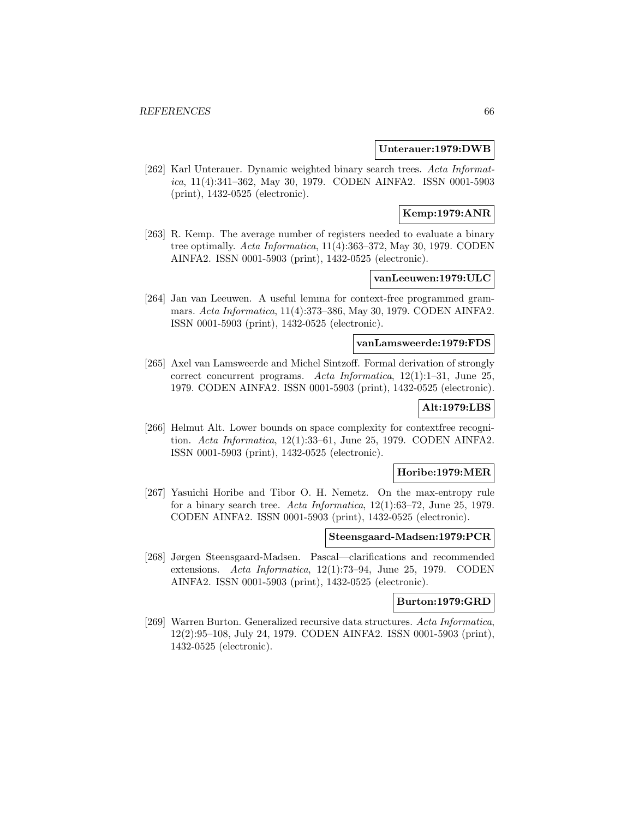#### **Unterauer:1979:DWB**

[262] Karl Unterauer. Dynamic weighted binary search trees. Acta Informatica, 11(4):341–362, May 30, 1979. CODEN AINFA2. ISSN 0001-5903 (print), 1432-0525 (electronic).

# **Kemp:1979:ANR**

[263] R. Kemp. The average number of registers needed to evaluate a binary tree optimally. Acta Informatica, 11(4):363–372, May 30, 1979. CODEN AINFA2. ISSN 0001-5903 (print), 1432-0525 (electronic).

## **vanLeeuwen:1979:ULC**

[264] Jan van Leeuwen. A useful lemma for context-free programmed grammars. Acta Informatica, 11(4):373–386, May 30, 1979. CODEN AINFA2. ISSN 0001-5903 (print), 1432-0525 (electronic).

#### **vanLamsweerde:1979:FDS**

[265] Axel van Lamsweerde and Michel Sintzoff. Formal derivation of strongly correct concurrent programs. Acta Informatica, 12(1):1–31, June 25, 1979. CODEN AINFA2. ISSN 0001-5903 (print), 1432-0525 (electronic).

## **Alt:1979:LBS**

[266] Helmut Alt. Lower bounds on space complexity for contextfree recognition. Acta Informatica, 12(1):33–61, June 25, 1979. CODEN AINFA2. ISSN 0001-5903 (print), 1432-0525 (electronic).

#### **Horibe:1979:MER**

[267] Yasuichi Horibe and Tibor O. H. Nemetz. On the max-entropy rule for a binary search tree. Acta Informatica, 12(1):63–72, June 25, 1979. CODEN AINFA2. ISSN 0001-5903 (print), 1432-0525 (electronic).

#### **Steensgaard-Madsen:1979:PCR**

[268] Jørgen Steensgaard-Madsen. Pascal—clarifications and recommended extensions. Acta Informatica, 12(1):73–94, June 25, 1979. CODEN AINFA2. ISSN 0001-5903 (print), 1432-0525 (electronic).

#### **Burton:1979:GRD**

[269] Warren Burton. Generalized recursive data structures. Acta Informatica, 12(2):95–108, July 24, 1979. CODEN AINFA2. ISSN 0001-5903 (print), 1432-0525 (electronic).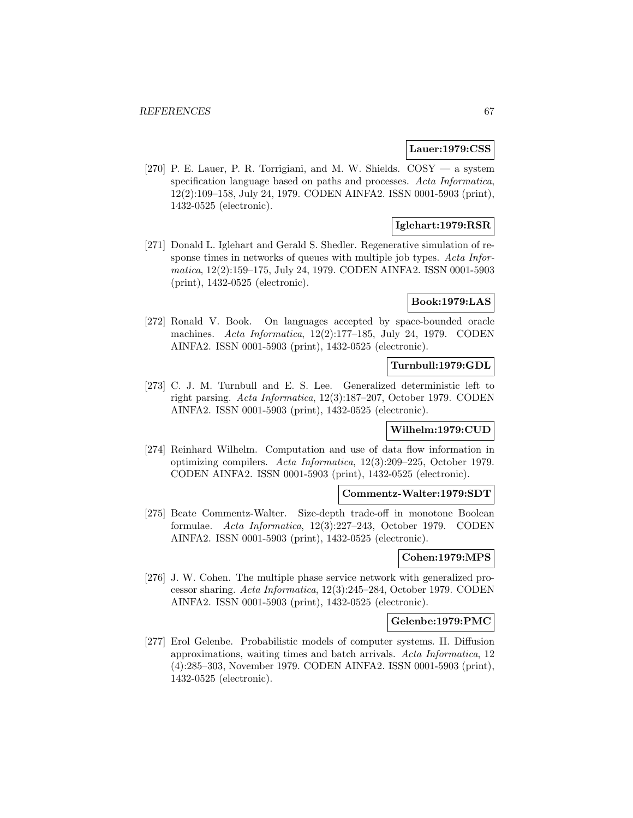#### **Lauer:1979:CSS**

[270] P. E. Lauer, P. R. Torrigiani, and M. W. Shields.  $COSY - a$  system specification language based on paths and processes. Acta Informatica, 12(2):109–158, July 24, 1979. CODEN AINFA2. ISSN 0001-5903 (print), 1432-0525 (electronic).

## **Iglehart:1979:RSR**

[271] Donald L. Iglehart and Gerald S. Shedler. Regenerative simulation of response times in networks of queues with multiple job types. Acta Informatica, 12(2):159–175, July 24, 1979. CODEN AINFA2. ISSN 0001-5903 (print), 1432-0525 (electronic).

#### **Book:1979:LAS**

[272] Ronald V. Book. On languages accepted by space-bounded oracle machines. Acta Informatica, 12(2):177–185, July 24, 1979. CODEN AINFA2. ISSN 0001-5903 (print), 1432-0525 (electronic).

#### **Turnbull:1979:GDL**

[273] C. J. M. Turnbull and E. S. Lee. Generalized deterministic left to right parsing. Acta Informatica, 12(3):187–207, October 1979. CODEN AINFA2. ISSN 0001-5903 (print), 1432-0525 (electronic).

## **Wilhelm:1979:CUD**

[274] Reinhard Wilhelm. Computation and use of data flow information in optimizing compilers. Acta Informatica, 12(3):209–225, October 1979. CODEN AINFA2. ISSN 0001-5903 (print), 1432-0525 (electronic).

#### **Commentz-Walter:1979:SDT**

[275] Beate Commentz-Walter. Size-depth trade-off in monotone Boolean formulae. Acta Informatica, 12(3):227–243, October 1979. CODEN AINFA2. ISSN 0001-5903 (print), 1432-0525 (electronic).

## **Cohen:1979:MPS**

[276] J. W. Cohen. The multiple phase service network with generalized processor sharing. Acta Informatica, 12(3):245–284, October 1979. CODEN AINFA2. ISSN 0001-5903 (print), 1432-0525 (electronic).

#### **Gelenbe:1979:PMC**

[277] Erol Gelenbe. Probabilistic models of computer systems. II. Diffusion approximations, waiting times and batch arrivals. Acta Informatica, 12 (4):285–303, November 1979. CODEN AINFA2. ISSN 0001-5903 (print), 1432-0525 (electronic).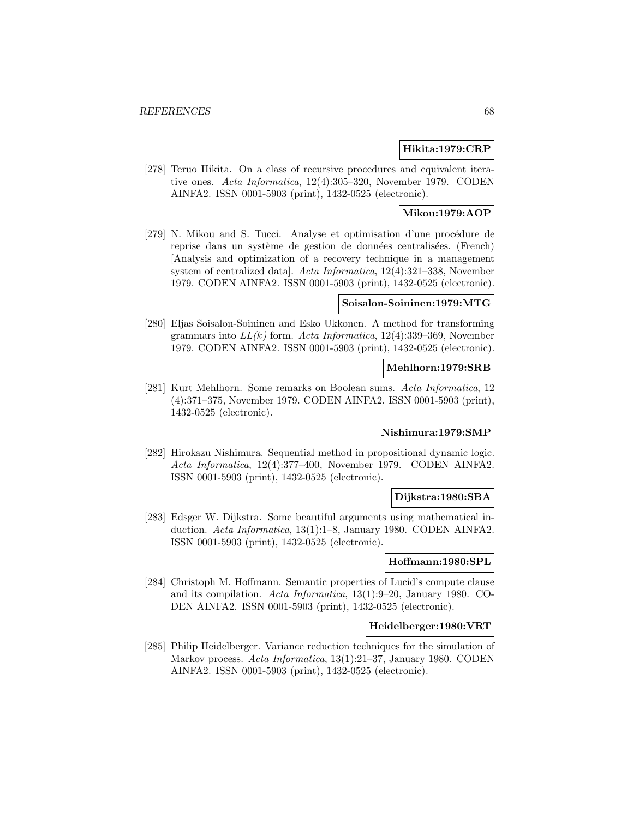#### **Hikita:1979:CRP**

[278] Teruo Hikita. On a class of recursive procedures and equivalent iterative ones. Acta Informatica, 12(4):305–320, November 1979. CODEN AINFA2. ISSN 0001-5903 (print), 1432-0525 (electronic).

# **Mikou:1979:AOP**

[279] N. Mikou and S. Tucci. Analyse et optimisation d'une procédure de reprise dans un système de gestion de données centralisées. (French) [Analysis and optimization of a recovery technique in a management system of centralized data]. Acta Informatica, 12(4):321–338, November 1979. CODEN AINFA2. ISSN 0001-5903 (print), 1432-0525 (electronic).

# **Soisalon-Soininen:1979:MTG**

[280] Eljas Soisalon-Soininen and Esko Ukkonen. A method for transforming grammars into  $LL(k)$  form. Acta Informatica, 12(4):339–369, November 1979. CODEN AINFA2. ISSN 0001-5903 (print), 1432-0525 (electronic).

#### **Mehlhorn:1979:SRB**

[281] Kurt Mehlhorn. Some remarks on Boolean sums. Acta Informatica, 12 (4):371–375, November 1979. CODEN AINFA2. ISSN 0001-5903 (print), 1432-0525 (electronic).

#### **Nishimura:1979:SMP**

[282] Hirokazu Nishimura. Sequential method in propositional dynamic logic. Acta Informatica, 12(4):377–400, November 1979. CODEN AINFA2. ISSN 0001-5903 (print), 1432-0525 (electronic).

#### **Dijkstra:1980:SBA**

[283] Edsger W. Dijkstra. Some beautiful arguments using mathematical induction. Acta Informatica, 13(1):1–8, January 1980. CODEN AINFA2. ISSN 0001-5903 (print), 1432-0525 (electronic).

## **Hoffmann:1980:SPL**

[284] Christoph M. Hoffmann. Semantic properties of Lucid's compute clause and its compilation. Acta Informatica, 13(1):9–20, January 1980. CO-DEN AINFA2. ISSN 0001-5903 (print), 1432-0525 (electronic).

#### **Heidelberger:1980:VRT**

[285] Philip Heidelberger. Variance reduction techniques for the simulation of Markov process. Acta Informatica, 13(1):21–37, January 1980. CODEN AINFA2. ISSN 0001-5903 (print), 1432-0525 (electronic).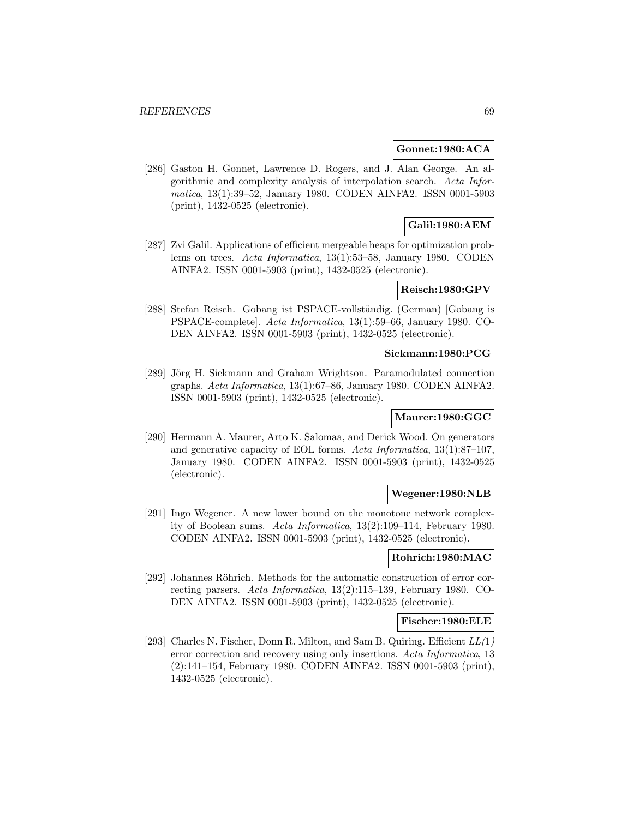#### **Gonnet:1980:ACA**

[286] Gaston H. Gonnet, Lawrence D. Rogers, and J. Alan George. An algorithmic and complexity analysis of interpolation search. Acta Informatica, 13(1):39–52, January 1980. CODEN AINFA2. ISSN 0001-5903 (print), 1432-0525 (electronic).

# **Galil:1980:AEM**

[287] Zvi Galil. Applications of efficient mergeable heaps for optimization problems on trees. Acta Informatica, 13(1):53–58, January 1980. CODEN AINFA2. ISSN 0001-5903 (print), 1432-0525 (electronic).

# **Reisch:1980:GPV**

[288] Stefan Reisch. Gobang ist PSPACE-vollständig. (German) [Gobang is PSPACE-complete]. Acta Informatica, 13(1):59–66, January 1980. CO-DEN AINFA2. ISSN 0001-5903 (print), 1432-0525 (electronic).

#### **Siekmann:1980:PCG**

[289] Jörg H. Siekmann and Graham Wrightson. Paramodulated connection graphs. Acta Informatica, 13(1):67–86, January 1980. CODEN AINFA2. ISSN 0001-5903 (print), 1432-0525 (electronic).

## **Maurer:1980:GGC**

[290] Hermann A. Maurer, Arto K. Salomaa, and Derick Wood. On generators and generative capacity of EOL forms. Acta Informatica, 13(1):87–107, January 1980. CODEN AINFA2. ISSN 0001-5903 (print), 1432-0525 (electronic).

## **Wegener:1980:NLB**

[291] Ingo Wegener. A new lower bound on the monotone network complexity of Boolean sums. Acta Informatica, 13(2):109–114, February 1980. CODEN AINFA2. ISSN 0001-5903 (print), 1432-0525 (electronic).

#### **Rohrich:1980:MAC**

[292] Johannes Röhrich. Methods for the automatic construction of error correcting parsers. Acta Informatica, 13(2):115–139, February 1980. CO-DEN AINFA2. ISSN 0001-5903 (print), 1432-0525 (electronic).

#### **Fischer:1980:ELE**

[293] Charles N. Fischer, Donn R. Milton, and Sam B. Quiring. Efficient LL(1) error correction and recovery using only insertions. Acta Informatica, 13 (2):141–154, February 1980. CODEN AINFA2. ISSN 0001-5903 (print), 1432-0525 (electronic).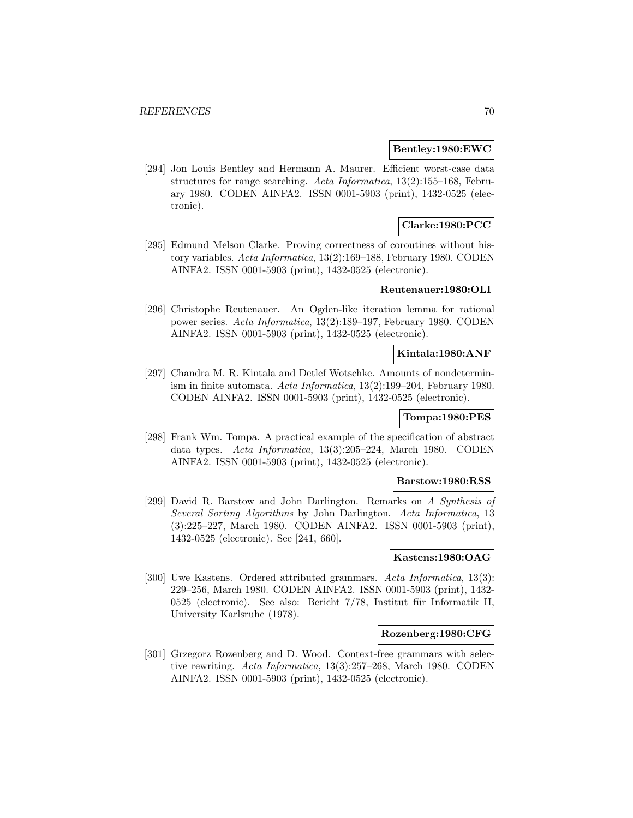### **Bentley:1980:EWC**

[294] Jon Louis Bentley and Hermann A. Maurer. Efficient worst-case data structures for range searching. Acta Informatica, 13(2):155–168, February 1980. CODEN AINFA2. ISSN 0001-5903 (print), 1432-0525 (electronic).

## **Clarke:1980:PCC**

[295] Edmund Melson Clarke. Proving correctness of coroutines without history variables. Acta Informatica, 13(2):169–188, February 1980. CODEN AINFA2. ISSN 0001-5903 (print), 1432-0525 (electronic).

## **Reutenauer:1980:OLI**

[296] Christophe Reutenauer. An Ogden-like iteration lemma for rational power series. Acta Informatica, 13(2):189–197, February 1980. CODEN AINFA2. ISSN 0001-5903 (print), 1432-0525 (electronic).

#### **Kintala:1980:ANF**

[297] Chandra M. R. Kintala and Detlef Wotschke. Amounts of nondeterminism in finite automata. Acta Informatica, 13(2):199–204, February 1980. CODEN AINFA2. ISSN 0001-5903 (print), 1432-0525 (electronic).

## **Tompa:1980:PES**

[298] Frank Wm. Tompa. A practical example of the specification of abstract data types. Acta Informatica, 13(3):205–224, March 1980. CODEN AINFA2. ISSN 0001-5903 (print), 1432-0525 (electronic).

#### **Barstow:1980:RSS**

[299] David R. Barstow and John Darlington. Remarks on A Synthesis of Several Sorting Algorithms by John Darlington. Acta Informatica, 13 (3):225–227, March 1980. CODEN AINFA2. ISSN 0001-5903 (print), 1432-0525 (electronic). See [241, 660].

#### **Kastens:1980:OAG**

[300] Uwe Kastens. Ordered attributed grammars. Acta Informatica, 13(3): 229–256, March 1980. CODEN AINFA2. ISSN 0001-5903 (print), 1432- 0525 (electronic). See also: Bericht 7/78, Institut für Informatik II, University Karlsruhe (1978).

#### **Rozenberg:1980:CFG**

[301] Grzegorz Rozenberg and D. Wood. Context-free grammars with selective rewriting. Acta Informatica, 13(3):257–268, March 1980. CODEN AINFA2. ISSN 0001-5903 (print), 1432-0525 (electronic).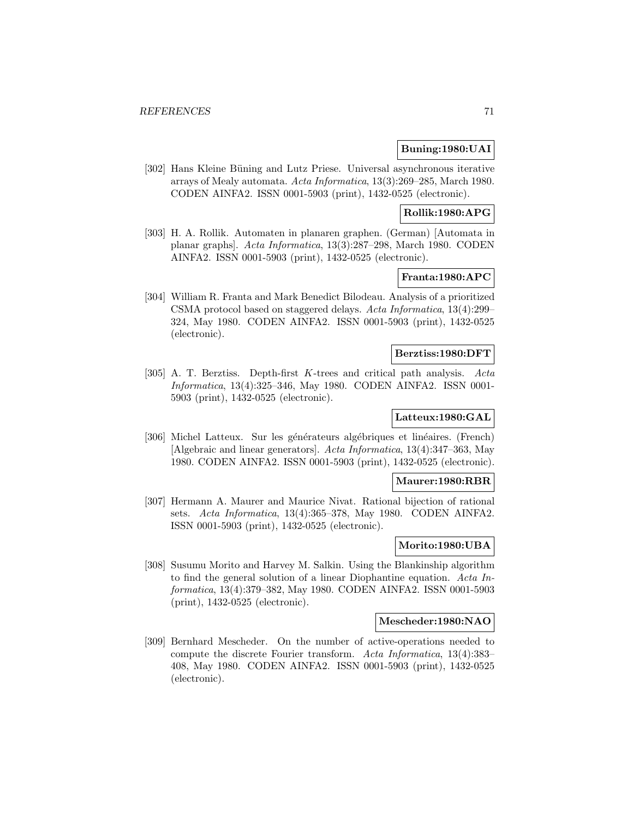## **Buning:1980:UAI**

[302] Hans Kleine Büning and Lutz Priese. Universal asynchronous iterative arrays of Mealy automata. Acta Informatica, 13(3):269–285, March 1980. CODEN AINFA2. ISSN 0001-5903 (print), 1432-0525 (electronic).

## **Rollik:1980:APG**

[303] H. A. Rollik. Automaten in planaren graphen. (German) [Automata in planar graphs]. Acta Informatica, 13(3):287–298, March 1980. CODEN AINFA2. ISSN 0001-5903 (print), 1432-0525 (electronic).

# **Franta:1980:APC**

[304] William R. Franta and Mark Benedict Bilodeau. Analysis of a prioritized CSMA protocol based on staggered delays. Acta Informatica, 13(4):299– 324, May 1980. CODEN AINFA2. ISSN 0001-5903 (print), 1432-0525 (electronic).

#### **Berztiss:1980:DFT**

[305] A. T. Berztiss. Depth-first K-trees and critical path analysis. Acta Informatica, 13(4):325–346, May 1980. CODEN AINFA2. ISSN 0001- 5903 (print), 1432-0525 (electronic).

# **Latteux:1980:GAL**

[306] Michel Latteux. Sur les générateurs algébriques et linéaires. (French) [Algebraic and linear generators]. Acta Informatica, 13(4):347–363, May 1980. CODEN AINFA2. ISSN 0001-5903 (print), 1432-0525 (electronic).

## **Maurer:1980:RBR**

[307] Hermann A. Maurer and Maurice Nivat. Rational bijection of rational sets. Acta Informatica, 13(4):365–378, May 1980. CODEN AINFA2. ISSN 0001-5903 (print), 1432-0525 (electronic).

## **Morito:1980:UBA**

[308] Susumu Morito and Harvey M. Salkin. Using the Blankinship algorithm to find the general solution of a linear Diophantine equation. Acta Informatica, 13(4):379–382, May 1980. CODEN AINFA2. ISSN 0001-5903 (print), 1432-0525 (electronic).

## **Mescheder:1980:NAO**

[309] Bernhard Mescheder. On the number of active-operations needed to compute the discrete Fourier transform. Acta Informatica, 13(4):383– 408, May 1980. CODEN AINFA2. ISSN 0001-5903 (print), 1432-0525 (electronic).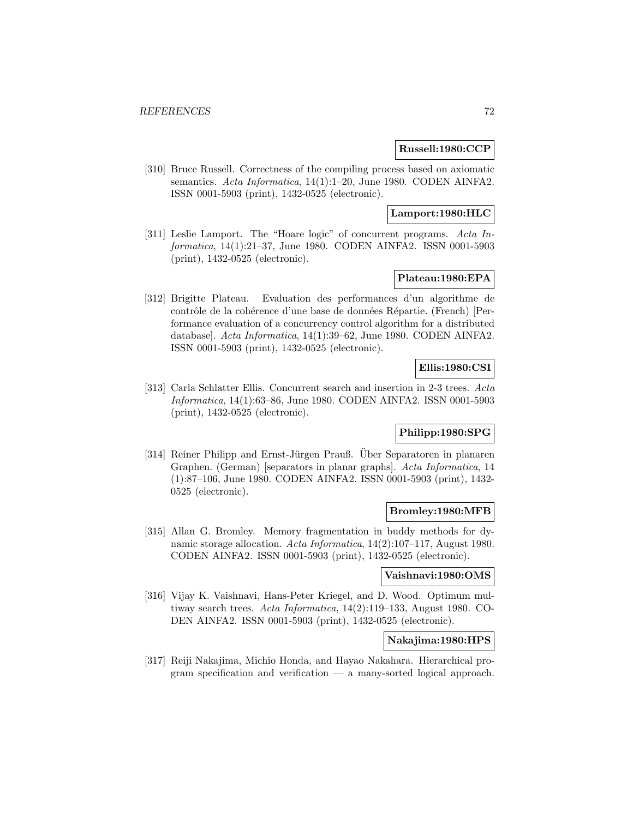#### **Russell:1980:CCP**

[310] Bruce Russell. Correctness of the compiling process based on axiomatic semantics. Acta Informatica, 14(1):1–20, June 1980. CODEN AINFA2. ISSN 0001-5903 (print), 1432-0525 (electronic).

### **Lamport:1980:HLC**

[311] Leslie Lamport. The "Hoare logic" of concurrent programs. Acta Informatica, 14(1):21–37, June 1980. CODEN AINFA2. ISSN 0001-5903 (print), 1432-0525 (electronic).

## **Plateau:1980:EPA**

[312] Brigitte Plateau. Evaluation des performances d'un algorithme de contrôle de la cohérence d'une base de données Répartie. (French) [Performance evaluation of a concurrency control algorithm for a distributed database]. Acta Informatica, 14(1):39–62, June 1980. CODEN AINFA2. ISSN 0001-5903 (print), 1432-0525 (electronic).

## **Ellis:1980:CSI**

[313] Carla Schlatter Ellis. Concurrent search and insertion in 2-3 trees. Acta Informatica, 14(1):63–86, June 1980. CODEN AINFA2. ISSN 0001-5903 (print), 1432-0525 (electronic).

### **Philipp:1980:SPG**

[314] Reiner Philipp and Ernst-Jürgen Prauß. Über Separatoren in planaren Graphen. (German) [separators in planar graphs]. Acta Informatica, 14 (1):87–106, June 1980. CODEN AINFA2. ISSN 0001-5903 (print), 1432- 0525 (electronic).

## **Bromley:1980:MFB**

[315] Allan G. Bromley. Memory fragmentation in buddy methods for dynamic storage allocation. Acta Informatica, 14(2):107–117, August 1980. CODEN AINFA2. ISSN 0001-5903 (print), 1432-0525 (electronic).

#### **Vaishnavi:1980:OMS**

[316] Vijay K. Vaishnavi, Hans-Peter Kriegel, and D. Wood. Optimum multiway search trees. Acta Informatica, 14(2):119–133, August 1980. CO-DEN AINFA2. ISSN 0001-5903 (print), 1432-0525 (electronic).

#### **Nakajima:1980:HPS**

[317] Reiji Nakajima, Michio Honda, and Hayao Nakahara. Hierarchical program specification and verification — a many-sorted logical approach.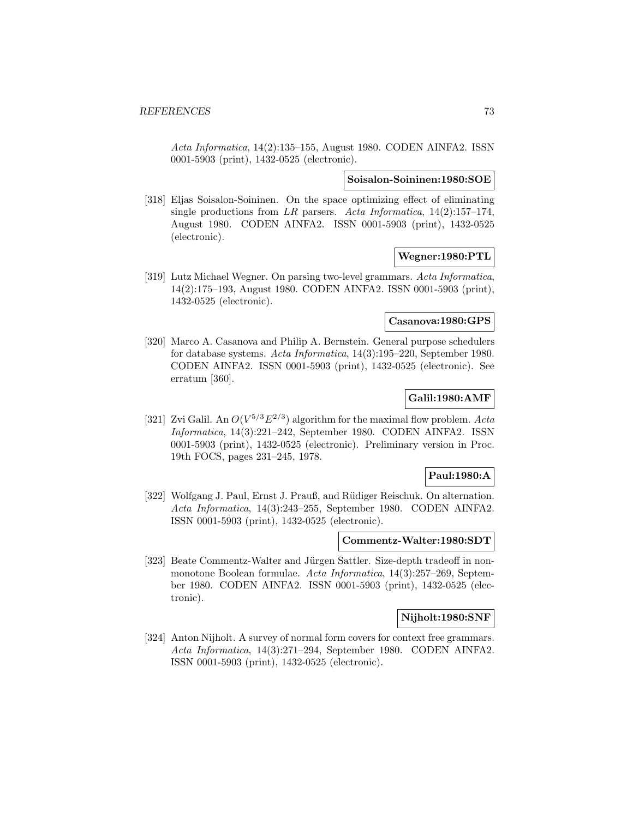Acta Informatica, 14(2):135–155, August 1980. CODEN AINFA2. ISSN 0001-5903 (print), 1432-0525 (electronic).

#### **Soisalon-Soininen:1980:SOE**

[318] Eljas Soisalon-Soininen. On the space optimizing effect of eliminating single productions from LR parsers. Acta Informatica,  $14(2):157-174$ , August 1980. CODEN AINFA2. ISSN 0001-5903 (print), 1432-0525 (electronic).

### **Wegner:1980:PTL**

[319] Lutz Michael Wegner. On parsing two-level grammars. Acta Informatica, 14(2):175–193, August 1980. CODEN AINFA2. ISSN 0001-5903 (print), 1432-0525 (electronic).

#### **Casanova:1980:GPS**

[320] Marco A. Casanova and Philip A. Bernstein. General purpose schedulers for database systems. Acta Informatica, 14(3):195–220, September 1980. CODEN AINFA2. ISSN 0001-5903 (print), 1432-0525 (electronic). See erratum [360].

## **Galil:1980:AMF**

[321] Zvi Galil. An  $O(V^{5/3}E^{2/3})$  algorithm for the maximal flow problem. Acta Informatica, 14(3):221–242, September 1980. CODEN AINFA2. ISSN 0001-5903 (print), 1432-0525 (electronic). Preliminary version in Proc. 19th FOCS, pages 231–245, 1978.

# **Paul:1980:A**

[322] Wolfgang J. Paul, Ernst J. Prauß, and Rüdiger Reischuk. On alternation. Acta Informatica, 14(3):243–255, September 1980. CODEN AINFA2. ISSN 0001-5903 (print), 1432-0525 (electronic).

### **Commentz-Walter:1980:SDT**

[323] Beate Commentz-Walter and Jürgen Sattler. Size-depth tradeoff in nonmonotone Boolean formulae. Acta Informatica, 14(3):257–269, September 1980. CODEN AINFA2. ISSN 0001-5903 (print), 1432-0525 (electronic).

### **Nijholt:1980:SNF**

[324] Anton Nijholt. A survey of normal form covers for context free grammars. Acta Informatica, 14(3):271–294, September 1980. CODEN AINFA2. ISSN 0001-5903 (print), 1432-0525 (electronic).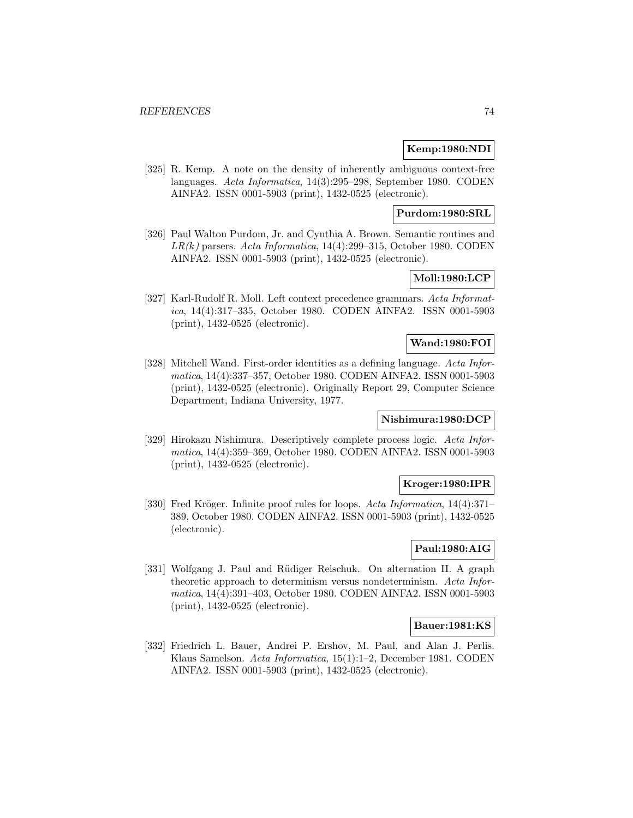### **Kemp:1980:NDI**

[325] R. Kemp. A note on the density of inherently ambiguous context-free languages. Acta Informatica, 14(3):295–298, September 1980. CODEN AINFA2. ISSN 0001-5903 (print), 1432-0525 (electronic).

# **Purdom:1980:SRL**

[326] Paul Walton Purdom, Jr. and Cynthia A. Brown. Semantic routines and  $LR(k)$  parsers. Acta Informatica, 14(4):299–315, October 1980. CODEN AINFA2. ISSN 0001-5903 (print), 1432-0525 (electronic).

# **Moll:1980:LCP**

[327] Karl-Rudolf R. Moll. Left context precedence grammars. Acta Informatica, 14(4):317–335, October 1980. CODEN AINFA2. ISSN 0001-5903 (print), 1432-0525 (electronic).

# **Wand:1980:FOI**

[328] Mitchell Wand. First-order identities as a defining language. Acta Informatica, 14(4):337–357, October 1980. CODEN AINFA2. ISSN 0001-5903 (print), 1432-0525 (electronic). Originally Report 29, Computer Science Department, Indiana University, 1977.

### **Nishimura:1980:DCP**

[329] Hirokazu Nishimura. Descriptively complete process logic. Acta Informatica, 14(4):359–369, October 1980. CODEN AINFA2. ISSN 0001-5903 (print), 1432-0525 (electronic).

## **Kroger:1980:IPR**

[330] Fred Kröger. Infinite proof rules for loops. Acta Informatica,  $14(4):371-$ 389, October 1980. CODEN AINFA2. ISSN 0001-5903 (print), 1432-0525 (electronic).

## **Paul:1980:AIG**

[331] Wolfgang J. Paul and R¨udiger Reischuk. On alternation II. A graph theoretic approach to determinism versus nondeterminism. Acta Informatica, 14(4):391–403, October 1980. CODEN AINFA2. ISSN 0001-5903 (print), 1432-0525 (electronic).

#### **Bauer:1981:KS**

[332] Friedrich L. Bauer, Andrei P. Ershov, M. Paul, and Alan J. Perlis. Klaus Samelson. Acta Informatica, 15(1):1–2, December 1981. CODEN AINFA2. ISSN 0001-5903 (print), 1432-0525 (electronic).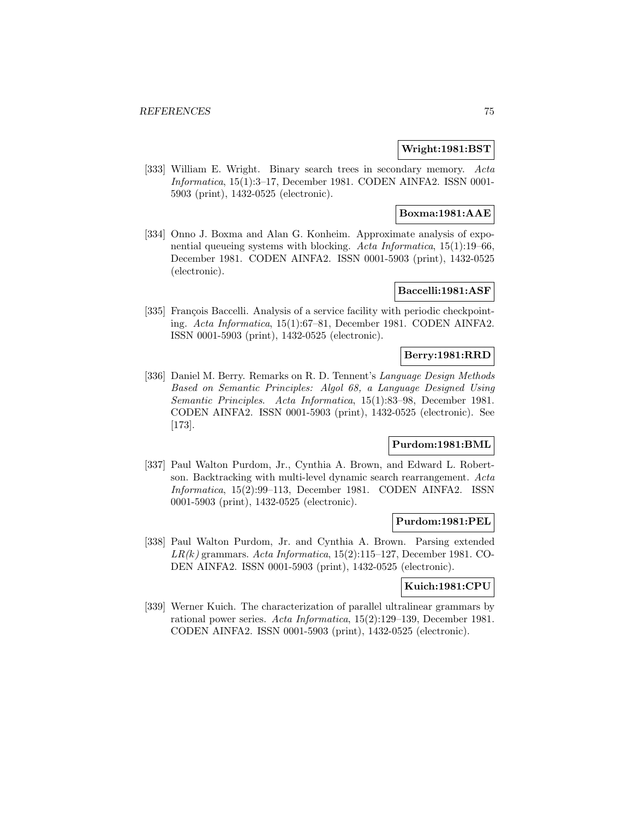#### **Wright:1981:BST**

[333] William E. Wright. Binary search trees in secondary memory. Acta Informatica, 15(1):3–17, December 1981. CODEN AINFA2. ISSN 0001- 5903 (print), 1432-0525 (electronic).

# **Boxma:1981:AAE**

[334] Onno J. Boxma and Alan G. Konheim. Approximate analysis of exponential queueing systems with blocking. Acta Informatica, 15(1):19–66, December 1981. CODEN AINFA2. ISSN 0001-5903 (print), 1432-0525 (electronic).

## **Baccelli:1981:ASF**

[335] François Baccelli. Analysis of a service facility with periodic checkpointing. Acta Informatica, 15(1):67–81, December 1981. CODEN AINFA2. ISSN 0001-5903 (print), 1432-0525 (electronic).

# **Berry:1981:RRD**

[336] Daniel M. Berry. Remarks on R. D. Tennent's Language Design Methods Based on Semantic Principles: Algol 68, a Language Designed Using Semantic Principles. Acta Informatica, 15(1):83–98, December 1981. CODEN AINFA2. ISSN 0001-5903 (print), 1432-0525 (electronic). See [173].

# **Purdom:1981:BML**

[337] Paul Walton Purdom, Jr., Cynthia A. Brown, and Edward L. Robertson. Backtracking with multi-level dynamic search rearrangement. Acta Informatica, 15(2):99–113, December 1981. CODEN AINFA2. ISSN 0001-5903 (print), 1432-0525 (electronic).

#### **Purdom:1981:PEL**

[338] Paul Walton Purdom, Jr. and Cynthia A. Brown. Parsing extended  $LR(k)$  grammars. Acta Informatica, 15(2):115–127, December 1981. CO-DEN AINFA2. ISSN 0001-5903 (print), 1432-0525 (electronic).

#### **Kuich:1981:CPU**

[339] Werner Kuich. The characterization of parallel ultralinear grammars by rational power series. Acta Informatica, 15(2):129–139, December 1981. CODEN AINFA2. ISSN 0001-5903 (print), 1432-0525 (electronic).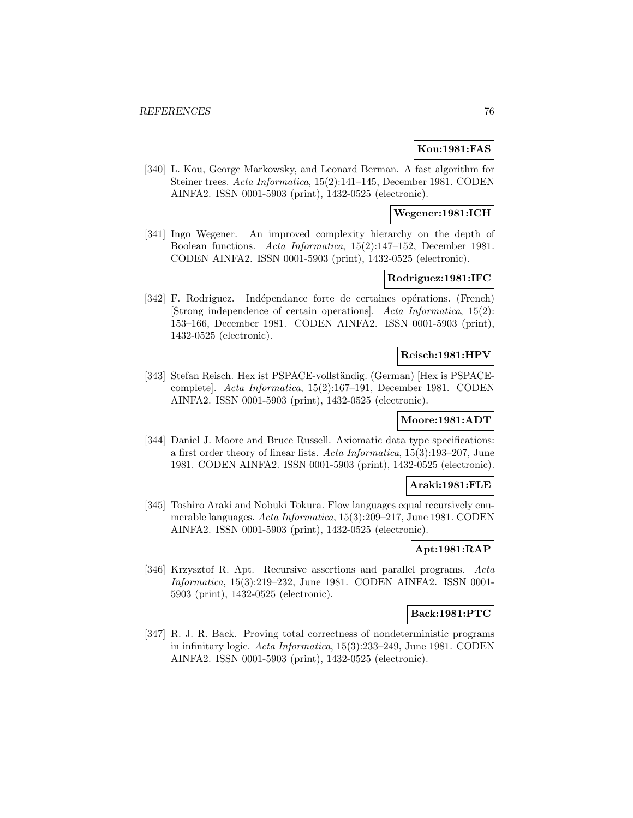## **Kou:1981:FAS**

[340] L. Kou, George Markowsky, and Leonard Berman. A fast algorithm for Steiner trees. Acta Informatica, 15(2):141–145, December 1981. CODEN AINFA2. ISSN 0001-5903 (print), 1432-0525 (electronic).

## **Wegener:1981:ICH**

[341] Ingo Wegener. An improved complexity hierarchy on the depth of Boolean functions. Acta Informatica, 15(2):147–152, December 1981. CODEN AINFA2. ISSN 0001-5903 (print), 1432-0525 (electronic).

## **Rodriguez:1981:IFC**

[342] F. Rodriguez. Indépendance forte de certaines opérations. (French) [Strong independence of certain operations]. Acta Informatica, 15(2): 153–166, December 1981. CODEN AINFA2. ISSN 0001-5903 (print), 1432-0525 (electronic).

## **Reisch:1981:HPV**

[343] Stefan Reisch. Hex ist PSPACE-vollständig. (German) [Hex is PSPACEcomplete]. Acta Informatica, 15(2):167–191, December 1981. CODEN AINFA2. ISSN 0001-5903 (print), 1432-0525 (electronic).

## **Moore:1981:ADT**

[344] Daniel J. Moore and Bruce Russell. Axiomatic data type specifications: a first order theory of linear lists. Acta Informatica, 15(3):193–207, June 1981. CODEN AINFA2. ISSN 0001-5903 (print), 1432-0525 (electronic).

#### **Araki:1981:FLE**

[345] Toshiro Araki and Nobuki Tokura. Flow languages equal recursively enumerable languages. Acta Informatica, 15(3):209–217, June 1981. CODEN AINFA2. ISSN 0001-5903 (print), 1432-0525 (electronic).

## **Apt:1981:RAP**

[346] Krzysztof R. Apt. Recursive assertions and parallel programs. Acta Informatica, 15(3):219–232, June 1981. CODEN AINFA2. ISSN 0001- 5903 (print), 1432-0525 (electronic).

## **Back:1981:PTC**

[347] R. J. R. Back. Proving total correctness of nondeterministic programs in infinitary logic. Acta Informatica, 15(3):233–249, June 1981. CODEN AINFA2. ISSN 0001-5903 (print), 1432-0525 (electronic).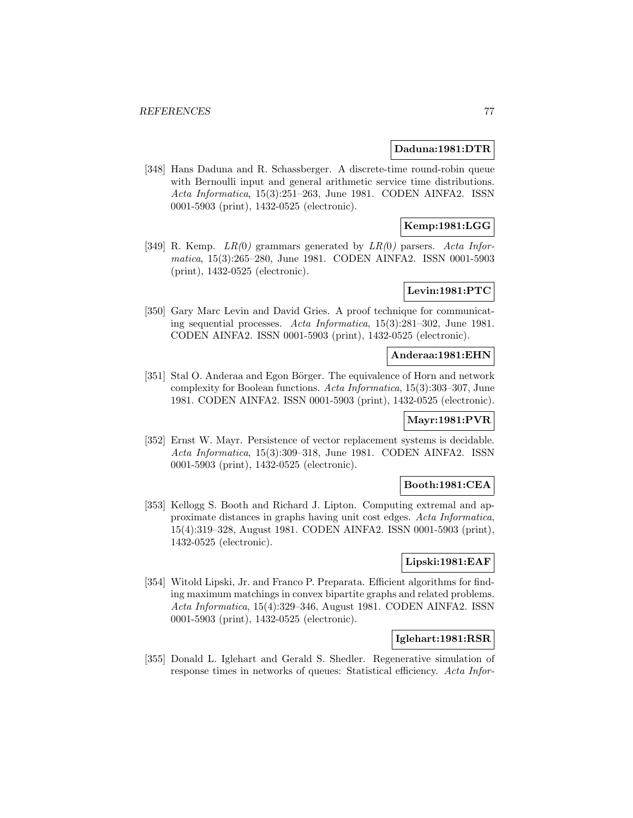#### **Daduna:1981:DTR**

[348] Hans Daduna and R. Schassberger. A discrete-time round-robin queue with Bernoulli input and general arithmetic service time distributions. Acta Informatica, 15(3):251–263, June 1981. CODEN AINFA2. ISSN 0001-5903 (print), 1432-0525 (electronic).

# **Kemp:1981:LGG**

[349] R. Kemp.  $LR(0)$  grammars generated by  $LR(0)$  parsers. Acta Informatica, 15(3):265–280, June 1981. CODEN AINFA2. ISSN 0001-5903 (print), 1432-0525 (electronic).

# **Levin:1981:PTC**

[350] Gary Marc Levin and David Gries. A proof technique for communicating sequential processes. Acta Informatica, 15(3):281–302, June 1981. CODEN AINFA2. ISSN 0001-5903 (print), 1432-0525 (electronic).

# **Anderaa:1981:EHN**

[351] Stal O. Anderaa and Egon Börger. The equivalence of Horn and network complexity for Boolean functions. Acta Informatica, 15(3):303–307, June 1981. CODEN AINFA2. ISSN 0001-5903 (print), 1432-0525 (electronic).

## **Mayr:1981:PVR**

[352] Ernst W. Mayr. Persistence of vector replacement systems is decidable. Acta Informatica, 15(3):309–318, June 1981. CODEN AINFA2. ISSN 0001-5903 (print), 1432-0525 (electronic).

### **Booth:1981:CEA**

[353] Kellogg S. Booth and Richard J. Lipton. Computing extremal and approximate distances in graphs having unit cost edges. Acta Informatica, 15(4):319–328, August 1981. CODEN AINFA2. ISSN 0001-5903 (print), 1432-0525 (electronic).

## **Lipski:1981:EAF**

[354] Witold Lipski, Jr. and Franco P. Preparata. Efficient algorithms for finding maximum matchings in convex bipartite graphs and related problems. Acta Informatica, 15(4):329–346, August 1981. CODEN AINFA2. ISSN 0001-5903 (print), 1432-0525 (electronic).

#### **Iglehart:1981:RSR**

[355] Donald L. Iglehart and Gerald S. Shedler. Regenerative simulation of response times in networks of queues: Statistical efficiency. Acta Infor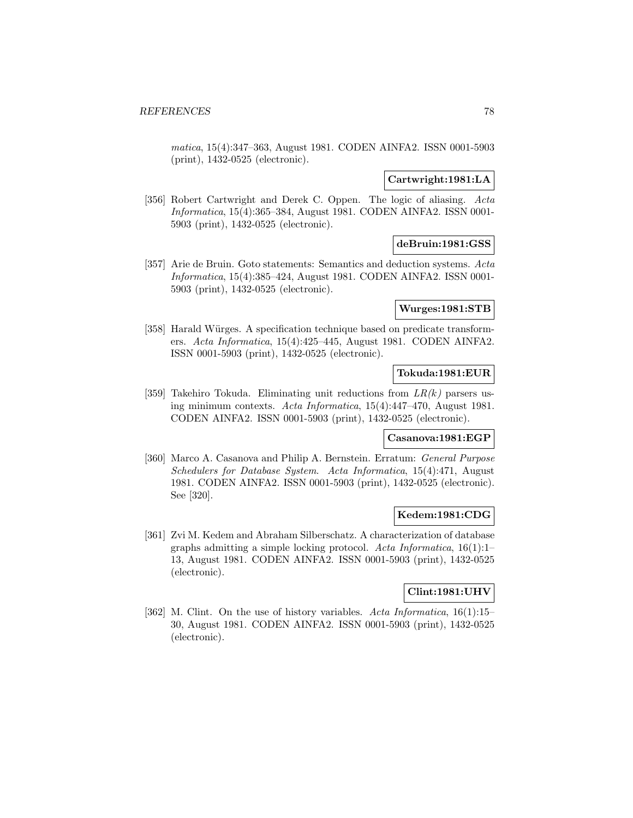matica, 15(4):347–363, August 1981. CODEN AINFA2. ISSN 0001-5903 (print), 1432-0525 (electronic).

### **Cartwright:1981:LA**

[356] Robert Cartwright and Derek C. Oppen. The logic of aliasing. Acta Informatica, 15(4):365–384, August 1981. CODEN AINFA2. ISSN 0001- 5903 (print), 1432-0525 (electronic).

## **deBruin:1981:GSS**

[357] Arie de Bruin. Goto statements: Semantics and deduction systems. Acta Informatica, 15(4):385–424, August 1981. CODEN AINFA2. ISSN 0001- 5903 (print), 1432-0525 (electronic).

# **Wurges:1981:STB**

[358] Harald Würges. A specification technique based on predicate transformers. Acta Informatica, 15(4):425–445, August 1981. CODEN AINFA2. ISSN 0001-5903 (print), 1432-0525 (electronic).

# **Tokuda:1981:EUR**

[359] Takehiro Tokuda. Eliminating unit reductions from  $LR(k)$  parsers using minimum contexts. Acta Informatica, 15(4):447–470, August 1981. CODEN AINFA2. ISSN 0001-5903 (print), 1432-0525 (electronic).

#### **Casanova:1981:EGP**

[360] Marco A. Casanova and Philip A. Bernstein. Erratum: General Purpose Schedulers for Database System. Acta Informatica, 15(4):471, August 1981. CODEN AINFA2. ISSN 0001-5903 (print), 1432-0525 (electronic). See [320].

### **Kedem:1981:CDG**

[361] Zvi M. Kedem and Abraham Silberschatz. A characterization of database graphs admitting a simple locking protocol. Acta Informatica,  $16(1)$ :1– 13, August 1981. CODEN AINFA2. ISSN 0001-5903 (print), 1432-0525 (electronic).

### **Clint:1981:UHV**

[362] M. Clint. On the use of history variables. Acta Informatica, 16(1):15– 30, August 1981. CODEN AINFA2. ISSN 0001-5903 (print), 1432-0525 (electronic).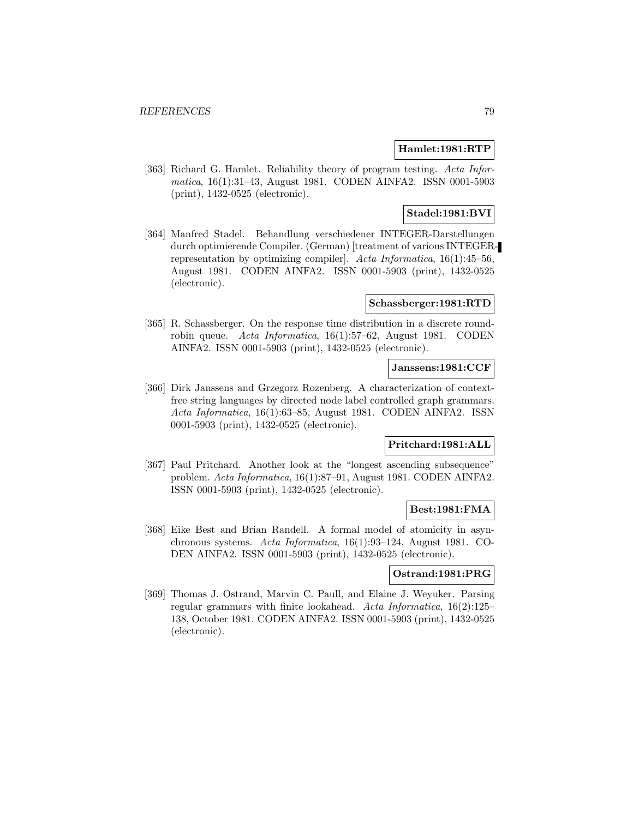#### **Hamlet:1981:RTP**

[363] Richard G. Hamlet. Reliability theory of program testing. Acta Informatica, 16(1):31–43, August 1981. CODEN AINFA2. ISSN 0001-5903 (print), 1432-0525 (electronic).

# **Stadel:1981:BVI**

[364] Manfred Stadel. Behandlung verschiedener INTEGER-Darstellungen durch optimierende Compiler. (German) [treatment of various INTEGERrepresentation by optimizing compiler]. Acta Informatica,  $16(1):45-56$ , August 1981. CODEN AINFA2. ISSN 0001-5903 (print), 1432-0525 (electronic).

#### **Schassberger:1981:RTD**

[365] R. Schassberger. On the response time distribution in a discrete roundrobin queue. Acta Informatica, 16(1):57–62, August 1981. CODEN AINFA2. ISSN 0001-5903 (print), 1432-0525 (electronic).

## **Janssens:1981:CCF**

[366] Dirk Janssens and Grzegorz Rozenberg. A characterization of contextfree string languages by directed node label controlled graph grammars. Acta Informatica, 16(1):63–85, August 1981. CODEN AINFA2. ISSN 0001-5903 (print), 1432-0525 (electronic).

# **Pritchard:1981:ALL**

[367] Paul Pritchard. Another look at the "longest ascending subsequence" problem. Acta Informatica, 16(1):87–91, August 1981. CODEN AINFA2. ISSN 0001-5903 (print), 1432-0525 (electronic).

### **Best:1981:FMA**

[368] Eike Best and Brian Randell. A formal model of atomicity in asynchronous systems. Acta Informatica, 16(1):93–124, August 1981. CO-DEN AINFA2. ISSN 0001-5903 (print), 1432-0525 (electronic).

#### **Ostrand:1981:PRG**

[369] Thomas J. Ostrand, Marvin C. Paull, and Elaine J. Weyuker. Parsing regular grammars with finite lookahead. Acta Informatica, 16(2):125– 138, October 1981. CODEN AINFA2. ISSN 0001-5903 (print), 1432-0525 (electronic).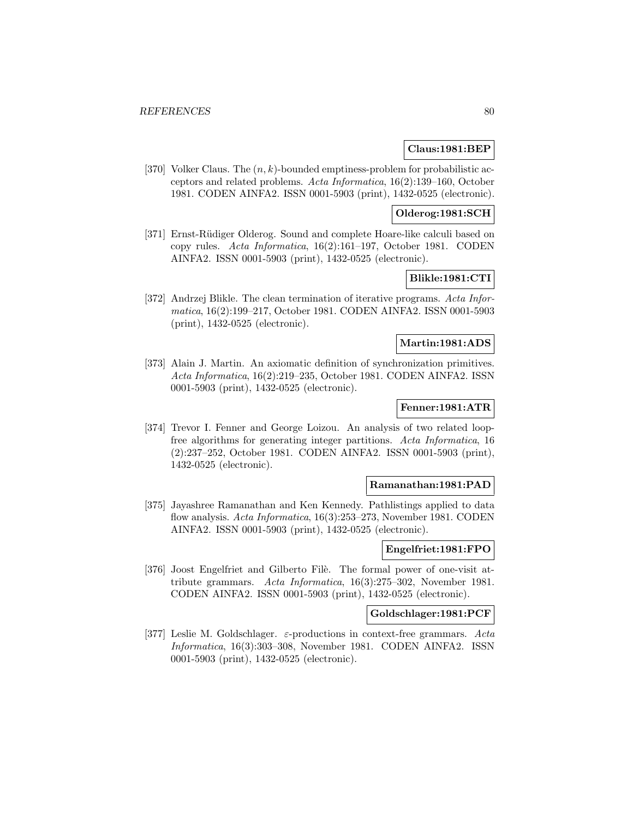#### **Claus:1981:BEP**

[370] Volker Claus. The  $(n, k)$ -bounded emptiness-problem for probabilistic acceptors and related problems. Acta Informatica, 16(2):139–160, October 1981. CODEN AINFA2. ISSN 0001-5903 (print), 1432-0525 (electronic).

### **Olderog:1981:SCH**

[371] Ernst-Rüdiger Olderog. Sound and complete Hoare-like calculi based on copy rules. Acta Informatica, 16(2):161–197, October 1981. CODEN AINFA2. ISSN 0001-5903 (print), 1432-0525 (electronic).

# **Blikle:1981:CTI**

[372] Andrzej Blikle. The clean termination of iterative programs. Acta Informatica, 16(2):199–217, October 1981. CODEN AINFA2. ISSN 0001-5903 (print), 1432-0525 (electronic).

#### **Martin:1981:ADS**

[373] Alain J. Martin. An axiomatic definition of synchronization primitives. Acta Informatica, 16(2):219–235, October 1981. CODEN AINFA2. ISSN 0001-5903 (print), 1432-0525 (electronic).

## **Fenner:1981:ATR**

[374] Trevor I. Fenner and George Loizou. An analysis of two related loopfree algorithms for generating integer partitions. Acta Informatica, 16 (2):237–252, October 1981. CODEN AINFA2. ISSN 0001-5903 (print), 1432-0525 (electronic).

### **Ramanathan:1981:PAD**

[375] Jayashree Ramanathan and Ken Kennedy. Pathlistings applied to data flow analysis. Acta Informatica, 16(3):253–273, November 1981. CODEN AINFA2. ISSN 0001-5903 (print), 1432-0525 (electronic).

### **Engelfriet:1981:FPO**

[376] Joost Engelfriet and Gilberto File. The formal power of one-visit attribute grammars. Acta Informatica, 16(3):275–302, November 1981. CODEN AINFA2. ISSN 0001-5903 (print), 1432-0525 (electronic).

### **Goldschlager:1981:PCF**

[377] Leslie M. Goldschlager. ε-productions in context-free grammars. Acta Informatica, 16(3):303–308, November 1981. CODEN AINFA2. ISSN 0001-5903 (print), 1432-0525 (electronic).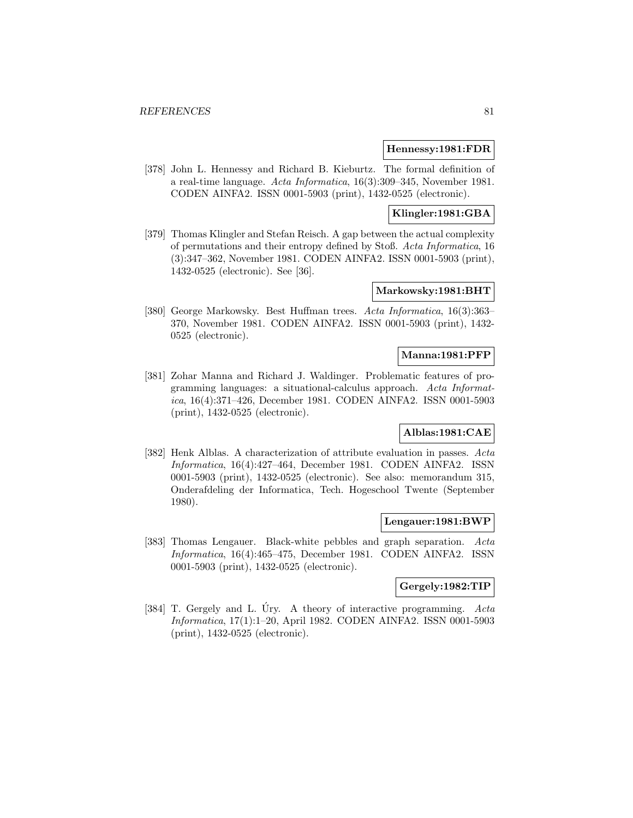#### **Hennessy:1981:FDR**

[378] John L. Hennessy and Richard B. Kieburtz. The formal definition of a real-time language. Acta Informatica, 16(3):309–345, November 1981. CODEN AINFA2. ISSN 0001-5903 (print), 1432-0525 (electronic).

### **Klingler:1981:GBA**

[379] Thomas Klingler and Stefan Reisch. A gap between the actual complexity of permutations and their entropy defined by Stoß. Acta Informatica, 16 (3):347–362, November 1981. CODEN AINFA2. ISSN 0001-5903 (print), 1432-0525 (electronic). See [36].

#### **Markowsky:1981:BHT**

[380] George Markowsky. Best Huffman trees. Acta Informatica, 16(3):363– 370, November 1981. CODEN AINFA2. ISSN 0001-5903 (print), 1432- 0525 (electronic).

## **Manna:1981:PFP**

[381] Zohar Manna and Richard J. Waldinger. Problematic features of programming languages: a situational-calculus approach. Acta Informatica, 16(4):371–426, December 1981. CODEN AINFA2. ISSN 0001-5903 (print), 1432-0525 (electronic).

## **Alblas:1981:CAE**

[382] Henk Alblas. A characterization of attribute evaluation in passes. Acta Informatica, 16(4):427–464, December 1981. CODEN AINFA2. ISSN 0001-5903 (print), 1432-0525 (electronic). See also: memorandum 315, Onderafdeling der Informatica, Tech. Hogeschool Twente (September 1980).

#### **Lengauer:1981:BWP**

[383] Thomas Lengauer. Black-white pebbles and graph separation. Acta Informatica, 16(4):465–475, December 1981. CODEN AINFA2. ISSN 0001-5903 (print), 1432-0525 (electronic).

### **Gergely:1982:TIP**

[384] T. Gergely and L. Ury. A theory of interactive programming.  $Acta$ Informatica, 17(1):1–20, April 1982. CODEN AINFA2. ISSN 0001-5903 (print), 1432-0525 (electronic).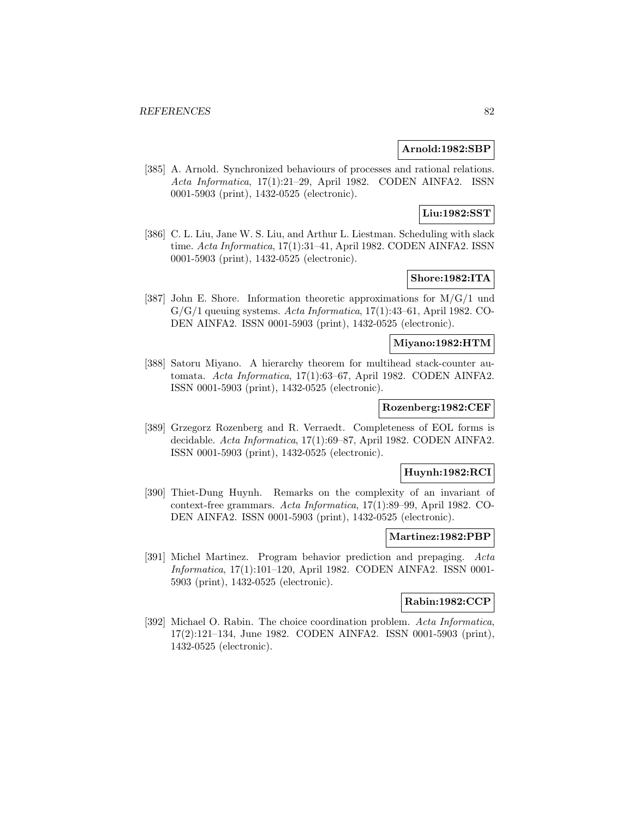#### **Arnold:1982:SBP**

[385] A. Arnold. Synchronized behaviours of processes and rational relations. Acta Informatica, 17(1):21–29, April 1982. CODEN AINFA2. ISSN 0001-5903 (print), 1432-0525 (electronic).

# **Liu:1982:SST**

[386] C. L. Liu, Jane W. S. Liu, and Arthur L. Liestman. Scheduling with slack time. Acta Informatica, 17(1):31–41, April 1982. CODEN AINFA2. ISSN 0001-5903 (print), 1432-0525 (electronic).

# **Shore:1982:ITA**

[387] John E. Shore. Information theoretic approximations for M/G/1 und G/G/1 queuing systems. Acta Informatica, 17(1):43–61, April 1982. CO-DEN AINFA2. ISSN 0001-5903 (print), 1432-0525 (electronic).

#### **Miyano:1982:HTM**

[388] Satoru Miyano. A hierarchy theorem for multihead stack-counter automata. Acta Informatica, 17(1):63–67, April 1982. CODEN AINFA2. ISSN 0001-5903 (print), 1432-0525 (electronic).

### **Rozenberg:1982:CEF**

[389] Grzegorz Rozenberg and R. Verraedt. Completeness of EOL forms is decidable. Acta Informatica, 17(1):69–87, April 1982. CODEN AINFA2. ISSN 0001-5903 (print), 1432-0525 (electronic).

#### **Huynh:1982:RCI**

[390] Thiet-Dung Huynh. Remarks on the complexity of an invariant of context-free grammars. Acta Informatica, 17(1):89–99, April 1982. CO-DEN AINFA2. ISSN 0001-5903 (print), 1432-0525 (electronic).

#### **Martinez:1982:PBP**

[391] Michel Martinez. Program behavior prediction and prepaging. Acta Informatica, 17(1):101–120, April 1982. CODEN AINFA2. ISSN 0001- 5903 (print), 1432-0525 (electronic).

## **Rabin:1982:CCP**

[392] Michael O. Rabin. The choice coordination problem. Acta Informatica, 17(2):121–134, June 1982. CODEN AINFA2. ISSN 0001-5903 (print), 1432-0525 (electronic).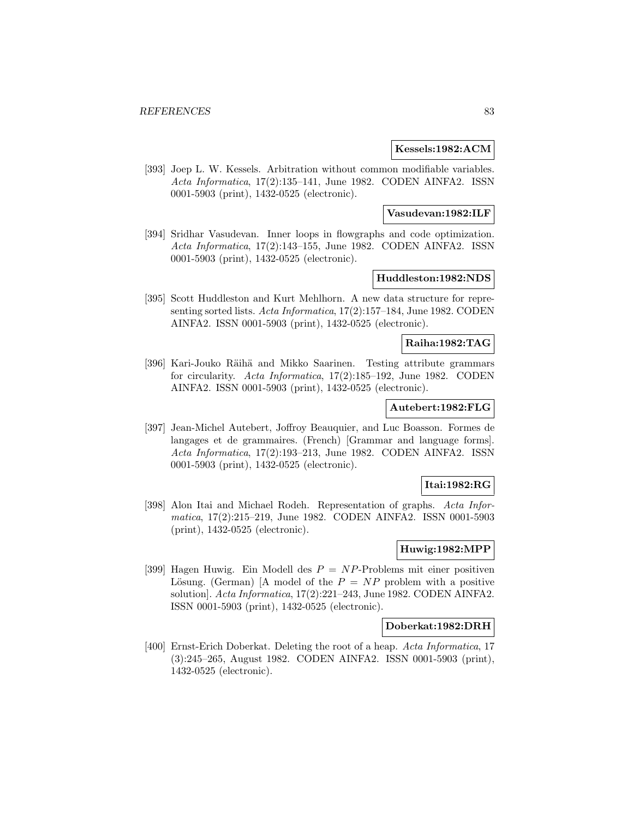#### **Kessels:1982:ACM**

[393] Joep L. W. Kessels. Arbitration without common modifiable variables. Acta Informatica, 17(2):135–141, June 1982. CODEN AINFA2. ISSN 0001-5903 (print), 1432-0525 (electronic).

#### **Vasudevan:1982:ILF**

[394] Sridhar Vasudevan. Inner loops in flowgraphs and code optimization. Acta Informatica, 17(2):143–155, June 1982. CODEN AINFA2. ISSN 0001-5903 (print), 1432-0525 (electronic).

### **Huddleston:1982:NDS**

[395] Scott Huddleston and Kurt Mehlhorn. A new data structure for representing sorted lists. Acta Informatica, 17(2):157–184, June 1982. CODEN AINFA2. ISSN 0001-5903 (print), 1432-0525 (electronic).

#### **Raiha:1982:TAG**

[396] Kari-Jouko Räihä and Mikko Saarinen. Testing attribute grammars for circularity. Acta Informatica, 17(2):185–192, June 1982. CODEN AINFA2. ISSN 0001-5903 (print), 1432-0525 (electronic).

# **Autebert:1982:FLG**

[397] Jean-Michel Autebert, Joffroy Beauquier, and Luc Boasson. Formes de langages et de grammaires. (French) [Grammar and language forms]. Acta Informatica, 17(2):193–213, June 1982. CODEN AINFA2. ISSN 0001-5903 (print), 1432-0525 (electronic).

#### **Itai:1982:RG**

[398] Alon Itai and Michael Rodeh. Representation of graphs. Acta Informatica, 17(2):215–219, June 1982. CODEN AINFA2. ISSN 0001-5903 (print), 1432-0525 (electronic).

### **Huwig:1982:MPP**

[399] Hagen Huwig. Ein Modell des  $P = NP$ -Problems mit einer positiven Lösung. (German) [A model of the  $P = NP$  problem with a positive solution]. Acta Informatica, 17(2):221–243, June 1982. CODEN AINFA2. ISSN 0001-5903 (print), 1432-0525 (electronic).

#### **Doberkat:1982:DRH**

[400] Ernst-Erich Doberkat. Deleting the root of a heap. Acta Informatica, 17 (3):245–265, August 1982. CODEN AINFA2. ISSN 0001-5903 (print), 1432-0525 (electronic).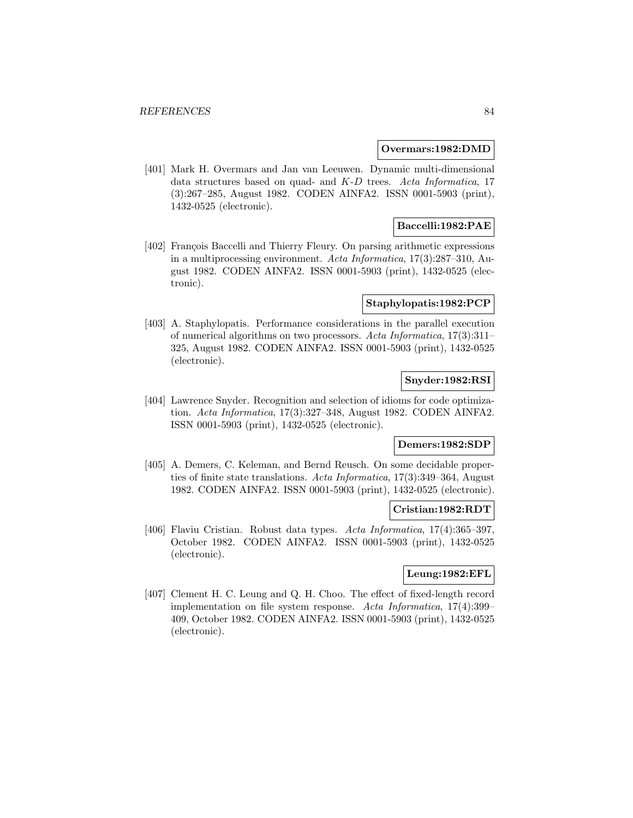#### **Overmars:1982:DMD**

[401] Mark H. Overmars and Jan van Leeuwen. Dynamic multi-dimensional data structures based on quad- and K-D trees. Acta Informatica, 17 (3):267–285, August 1982. CODEN AINFA2. ISSN 0001-5903 (print), 1432-0525 (electronic).

### **Baccelli:1982:PAE**

[402] François Baccelli and Thierry Fleury. On parsing arithmetic expressions in a multiprocessing environment. Acta Informatica, 17(3):287–310, August 1982. CODEN AINFA2. ISSN 0001-5903 (print), 1432-0525 (electronic).

#### **Staphylopatis:1982:PCP**

[403] A. Staphylopatis. Performance considerations in the parallel execution of numerical algorithms on two processors. Acta Informatica, 17(3):311– 325, August 1982. CODEN AINFA2. ISSN 0001-5903 (print), 1432-0525 (electronic).

# **Snyder:1982:RSI**

[404] Lawrence Snyder. Recognition and selection of idioms for code optimization. Acta Informatica, 17(3):327–348, August 1982. CODEN AINFA2. ISSN 0001-5903 (print), 1432-0525 (electronic).

# **Demers:1982:SDP**

[405] A. Demers, C. Keleman, and Bernd Reusch. On some decidable properties of finite state translations. Acta Informatica, 17(3):349–364, August 1982. CODEN AINFA2. ISSN 0001-5903 (print), 1432-0525 (electronic).

#### **Cristian:1982:RDT**

[406] Flaviu Cristian. Robust data types. Acta Informatica, 17(4):365–397, October 1982. CODEN AINFA2. ISSN 0001-5903 (print), 1432-0525 (electronic).

### **Leung:1982:EFL**

[407] Clement H. C. Leung and Q. H. Choo. The effect of fixed-length record implementation on file system response. Acta Informatica, 17(4):399– 409, October 1982. CODEN AINFA2. ISSN 0001-5903 (print), 1432-0525 (electronic).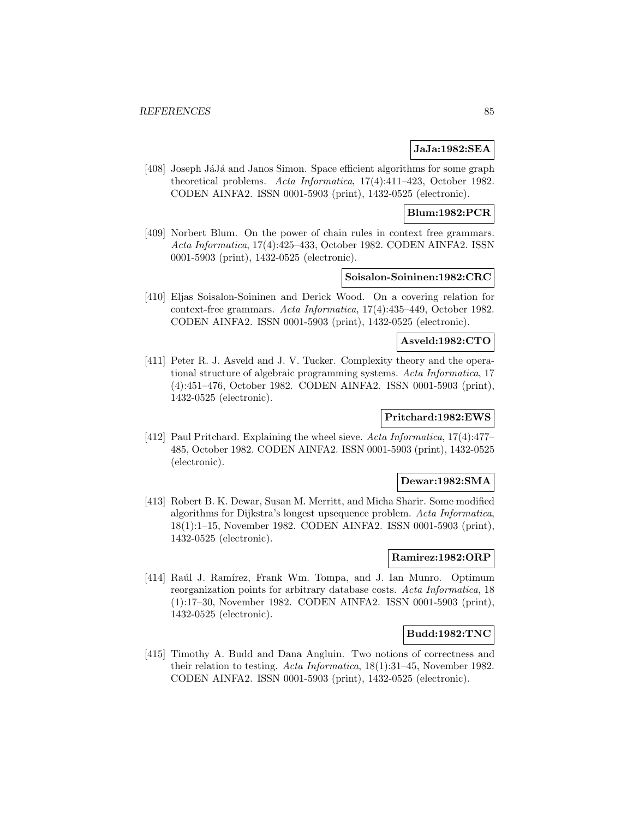## **JaJa:1982:SEA**

[408] Joseph JáJá and Janos Simon. Space efficient algorithms for some graph theoretical problems. Acta Informatica, 17(4):411–423, October 1982. CODEN AINFA2. ISSN 0001-5903 (print), 1432-0525 (electronic).

**Blum:1982:PCR**

[409] Norbert Blum. On the power of chain rules in context free grammars. Acta Informatica, 17(4):425–433, October 1982. CODEN AINFA2. ISSN 0001-5903 (print), 1432-0525 (electronic).

## **Soisalon-Soininen:1982:CRC**

[410] Eljas Soisalon-Soininen and Derick Wood. On a covering relation for context-free grammars. Acta Informatica, 17(4):435–449, October 1982. CODEN AINFA2. ISSN 0001-5903 (print), 1432-0525 (electronic).

## **Asveld:1982:CTO**

[411] Peter R. J. Asveld and J. V. Tucker. Complexity theory and the operational structure of algebraic programming systems. Acta Informatica, 17 (4):451–476, October 1982. CODEN AINFA2. ISSN 0001-5903 (print), 1432-0525 (electronic).

### **Pritchard:1982:EWS**

[412] Paul Pritchard. Explaining the wheel sieve. Acta Informatica, 17(4):477– 485, October 1982. CODEN AINFA2. ISSN 0001-5903 (print), 1432-0525 (electronic).

#### **Dewar:1982:SMA**

[413] Robert B. K. Dewar, Susan M. Merritt, and Micha Sharir. Some modified algorithms for Dijkstra's longest upsequence problem. Acta Informatica, 18(1):1–15, November 1982. CODEN AINFA2. ISSN 0001-5903 (print), 1432-0525 (electronic).

### **Ramirez:1982:ORP**

[414] Raúl J. Ramírez, Frank Wm. Tompa, and J. Ian Munro. Optimum reorganization points for arbitrary database costs. Acta Informatica, 18 (1):17–30, November 1982. CODEN AINFA2. ISSN 0001-5903 (print), 1432-0525 (electronic).

### **Budd:1982:TNC**

[415] Timothy A. Budd and Dana Angluin. Two notions of correctness and their relation to testing. Acta Informatica, 18(1):31–45, November 1982. CODEN AINFA2. ISSN 0001-5903 (print), 1432-0525 (electronic).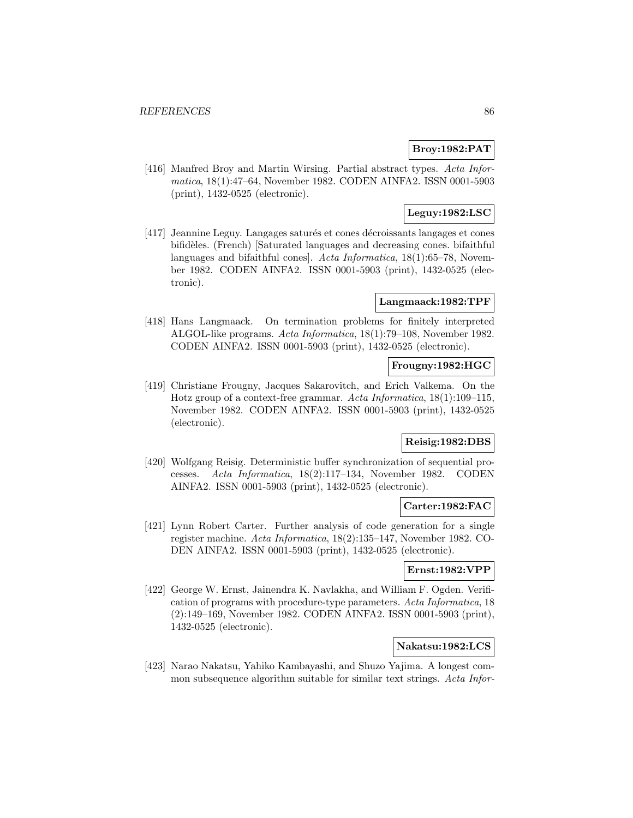# **Broy:1982:PAT**

[416] Manfred Broy and Martin Wirsing. Partial abstract types. Acta Informatica, 18(1):47–64, November 1982. CODEN AINFA2. ISSN 0001-5903 (print), 1432-0525 (electronic).

# **Leguy:1982:LSC**

[417] Jeannine Leguy. Langages saturés et cones décroissants langages et cones bifidèles. (French) [Saturated languages and decreasing cones. bifaithful languages and bifaithful cones]. Acta Informatica, 18(1):65–78, November 1982. CODEN AINFA2. ISSN 0001-5903 (print), 1432-0525 (electronic).

## **Langmaack:1982:TPF**

[418] Hans Langmaack. On termination problems for finitely interpreted ALGOL-like programs. Acta Informatica, 18(1):79–108, November 1982. CODEN AINFA2. ISSN 0001-5903 (print), 1432-0525 (electronic).

## **Frougny:1982:HGC**

[419] Christiane Frougny, Jacques Sakarovitch, and Erich Valkema. On the Hotz group of a context-free grammar. Acta Informatica, 18(1):109–115, November 1982. CODEN AINFA2. ISSN 0001-5903 (print), 1432-0525 (electronic).

# **Reisig:1982:DBS**

[420] Wolfgang Reisig. Deterministic buffer synchronization of sequential processes. Acta Informatica, 18(2):117–134, November 1982. CODEN AINFA2. ISSN 0001-5903 (print), 1432-0525 (electronic).

### **Carter:1982:FAC**

[421] Lynn Robert Carter. Further analysis of code generation for a single register machine. Acta Informatica, 18(2):135–147, November 1982. CO-DEN AINFA2. ISSN 0001-5903 (print), 1432-0525 (electronic).

### **Ernst:1982:VPP**

[422] George W. Ernst, Jainendra K. Navlakha, and William F. Ogden. Verification of programs with procedure-type parameters. Acta Informatica, 18 (2):149–169, November 1982. CODEN AINFA2. ISSN 0001-5903 (print), 1432-0525 (electronic).

# **Nakatsu:1982:LCS**

[423] Narao Nakatsu, Yahiko Kambayashi, and Shuzo Yajima. A longest common subsequence algorithm suitable for similar text strings. Acta Infor-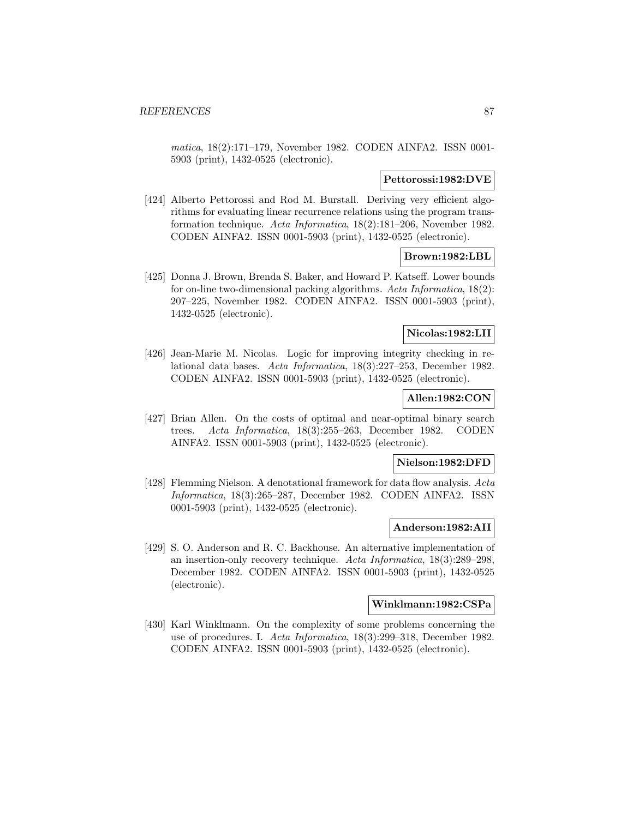matica, 18(2):171–179, November 1982. CODEN AINFA2. ISSN 0001- 5903 (print), 1432-0525 (electronic).

#### **Pettorossi:1982:DVE**

[424] Alberto Pettorossi and Rod M. Burstall. Deriving very efficient algorithms for evaluating linear recurrence relations using the program transformation technique. Acta Informatica, 18(2):181–206, November 1982. CODEN AINFA2. ISSN 0001-5903 (print), 1432-0525 (electronic).

### **Brown:1982:LBL**

[425] Donna J. Brown, Brenda S. Baker, and Howard P. Katseff. Lower bounds for on-line two-dimensional packing algorithms. Acta Informatica, 18(2): 207–225, November 1982. CODEN AINFA2. ISSN 0001-5903 (print), 1432-0525 (electronic).

#### **Nicolas:1982:LII**

[426] Jean-Marie M. Nicolas. Logic for improving integrity checking in relational data bases. Acta Informatica, 18(3):227–253, December 1982. CODEN AINFA2. ISSN 0001-5903 (print), 1432-0525 (electronic).

# **Allen:1982:CON**

[427] Brian Allen. On the costs of optimal and near-optimal binary search trees. Acta Informatica, 18(3):255–263, December 1982. CODEN AINFA2. ISSN 0001-5903 (print), 1432-0525 (electronic).

#### **Nielson:1982:DFD**

[428] Flemming Nielson. A denotational framework for data flow analysis. Acta Informatica, 18(3):265–287, December 1982. CODEN AINFA2. ISSN 0001-5903 (print), 1432-0525 (electronic).

### **Anderson:1982:AII**

[429] S. O. Anderson and R. C. Backhouse. An alternative implementation of an insertion-only recovery technique. Acta Informatica, 18(3):289–298, December 1982. CODEN AINFA2. ISSN 0001-5903 (print), 1432-0525 (electronic).

#### **Winklmann:1982:CSPa**

[430] Karl Winklmann. On the complexity of some problems concerning the use of procedures. I. Acta Informatica, 18(3):299–318, December 1982. CODEN AINFA2. ISSN 0001-5903 (print), 1432-0525 (electronic).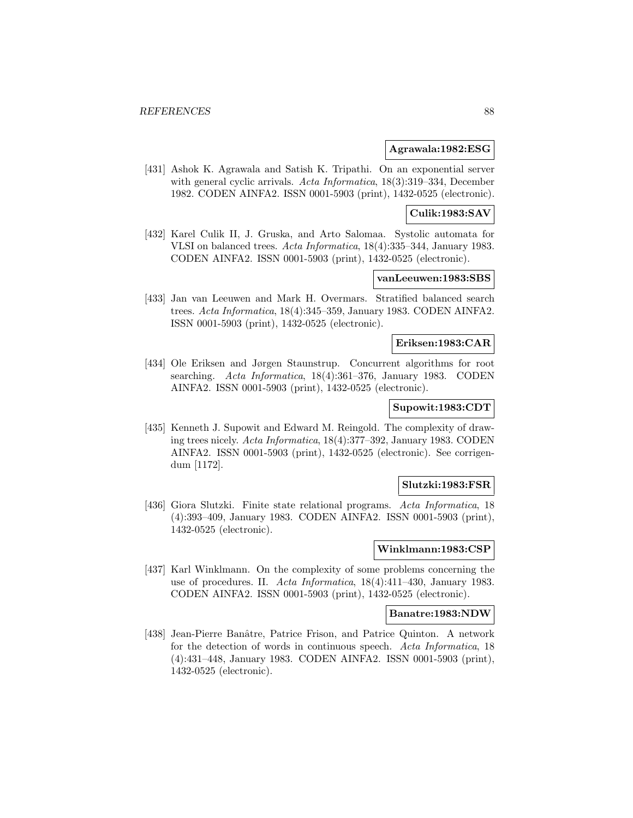#### **Agrawala:1982:ESG**

[431] Ashok K. Agrawala and Satish K. Tripathi. On an exponential server with general cyclic arrivals. Acta Informatica, 18(3):319–334, December 1982. CODEN AINFA2. ISSN 0001-5903 (print), 1432-0525 (electronic).

### **Culik:1983:SAV**

[432] Karel Culik II, J. Gruska, and Arto Salomaa. Systolic automata for VLSI on balanced trees. Acta Informatica, 18(4):335–344, January 1983. CODEN AINFA2. ISSN 0001-5903 (print), 1432-0525 (electronic).

## **vanLeeuwen:1983:SBS**

[433] Jan van Leeuwen and Mark H. Overmars. Stratified balanced search trees. Acta Informatica, 18(4):345–359, January 1983. CODEN AINFA2. ISSN 0001-5903 (print), 1432-0525 (electronic).

#### **Eriksen:1983:CAR**

[434] Ole Eriksen and Jørgen Staunstrup. Concurrent algorithms for root searching. Acta Informatica, 18(4):361–376, January 1983. CODEN AINFA2. ISSN 0001-5903 (print), 1432-0525 (electronic).

### **Supowit:1983:CDT**

[435] Kenneth J. Supowit and Edward M. Reingold. The complexity of drawing trees nicely. Acta Informatica, 18(4):377–392, January 1983. CODEN AINFA2. ISSN 0001-5903 (print), 1432-0525 (electronic). See corrigendum [1172].

#### **Slutzki:1983:FSR**

[436] Giora Slutzki. Finite state relational programs. Acta Informatica, 18 (4):393–409, January 1983. CODEN AINFA2. ISSN 0001-5903 (print), 1432-0525 (electronic).

# **Winklmann:1983:CSP**

[437] Karl Winklmann. On the complexity of some problems concerning the use of procedures. II. Acta Informatica, 18(4):411–430, January 1983. CODEN AINFA2. ISSN 0001-5903 (print), 1432-0525 (electronic).

#### **Banatre:1983:NDW**

[438] Jean-Pierre Banâtre, Patrice Frison, and Patrice Quinton. A network for the detection of words in continuous speech. Acta Informatica, 18 (4):431–448, January 1983. CODEN AINFA2. ISSN 0001-5903 (print), 1432-0525 (electronic).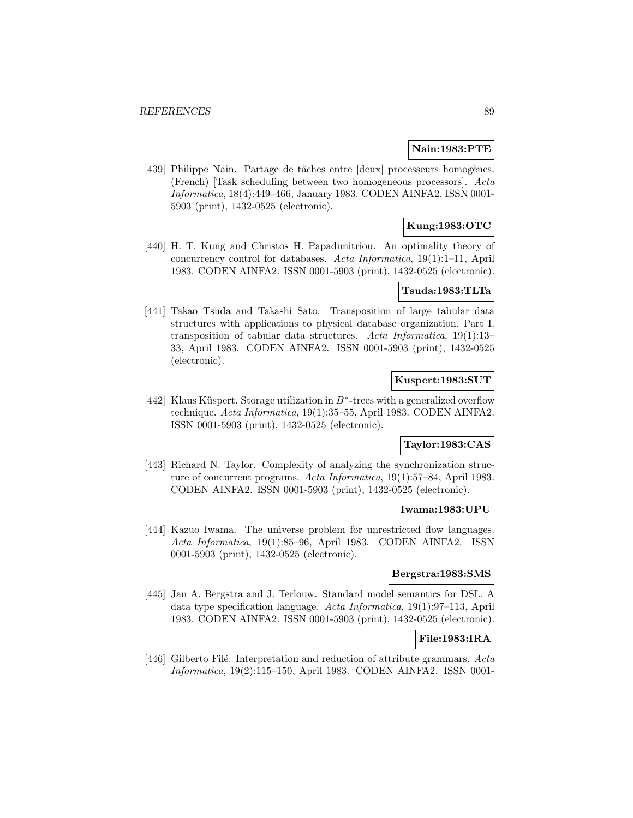#### **Nain:1983:PTE**

[439] Philippe Nain. Partage de tâches entre [deux] processeurs homogènes. (French) [Task scheduling between two homogeneous processors]. Acta Informatica, 18(4):449–466, January 1983. CODEN AINFA2. ISSN 0001- 5903 (print), 1432-0525 (electronic).

# **Kung:1983:OTC**

[440] H. T. Kung and Christos H. Papadimitriou. An optimality theory of concurrency control for databases. Acta Informatica, 19(1):1–11, April 1983. CODEN AINFA2. ISSN 0001-5903 (print), 1432-0525 (electronic).

#### **Tsuda:1983:TLTa**

[441] Takao Tsuda and Takashi Sato. Transposition of large tabular data structures with applications to physical database organization. Part I. transposition of tabular data structures. Acta Informatica, 19(1):13– 33, April 1983. CODEN AINFA2. ISSN 0001-5903 (print), 1432-0525 (electronic).

# **Kuspert:1983:SUT**

[442] Klaus Küspert. Storage utilization in  $B^*$ -trees with a generalized overflow technique. Acta Informatica, 19(1):35–55, April 1983. CODEN AINFA2. ISSN 0001-5903 (print), 1432-0525 (electronic).

# **Taylor:1983:CAS**

[443] Richard N. Taylor. Complexity of analyzing the synchronization structure of concurrent programs. Acta Informatica, 19(1):57–84, April 1983. CODEN AINFA2. ISSN 0001-5903 (print), 1432-0525 (electronic).

### **Iwama:1983:UPU**

[444] Kazuo Iwama. The universe problem for unrestricted flow languages. Acta Informatica, 19(1):85–96, April 1983. CODEN AINFA2. ISSN 0001-5903 (print), 1432-0525 (electronic).

## **Bergstra:1983:SMS**

[445] Jan A. Bergstra and J. Terlouw. Standard model semantics for DSL. A data type specification language. Acta Informatica, 19(1):97–113, April 1983. CODEN AINFA2. ISSN 0001-5903 (print), 1432-0525 (electronic).

### **File:1983:IRA**

[446] Gilberto Filé. Interpretation and reduction of attribute grammars.  $Acta$ Informatica, 19(2):115–150, April 1983. CODEN AINFA2. ISSN 0001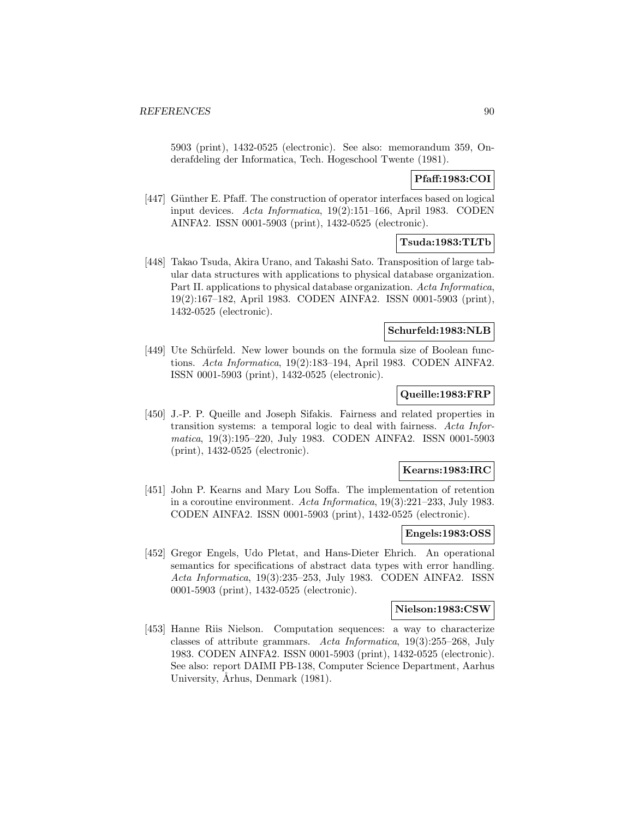5903 (print), 1432-0525 (electronic). See also: memorandum 359, Onderafdeling der Informatica, Tech. Hogeschool Twente (1981).

# **Pfaff:1983:COI**

[447] Günther E. Pfaff. The construction of operator interfaces based on logical input devices. Acta Informatica, 19(2):151–166, April 1983. CODEN AINFA2. ISSN 0001-5903 (print), 1432-0525 (electronic).

## **Tsuda:1983:TLTb**

[448] Takao Tsuda, Akira Urano, and Takashi Sato. Transposition of large tabular data structures with applications to physical database organization. Part II. applications to physical database organization. Acta Informatica, 19(2):167–182, April 1983. CODEN AINFA2. ISSN 0001-5903 (print), 1432-0525 (electronic).

## **Schurfeld:1983:NLB**

[449] Ute Schürfeld. New lower bounds on the formula size of Boolean functions. Acta Informatica, 19(2):183–194, April 1983. CODEN AINFA2. ISSN 0001-5903 (print), 1432-0525 (electronic).

#### **Queille:1983:FRP**

[450] J.-P. P. Queille and Joseph Sifakis. Fairness and related properties in transition systems: a temporal logic to deal with fairness. Acta Informatica, 19(3):195–220, July 1983. CODEN AINFA2. ISSN 0001-5903 (print), 1432-0525 (electronic).

#### **Kearns:1983:IRC**

[451] John P. Kearns and Mary Lou Soffa. The implementation of retention in a coroutine environment. Acta Informatica, 19(3):221–233, July 1983. CODEN AINFA2. ISSN 0001-5903 (print), 1432-0525 (electronic).

#### **Engels:1983:OSS**

[452] Gregor Engels, Udo Pletat, and Hans-Dieter Ehrich. An operational semantics for specifications of abstract data types with error handling. Acta Informatica, 19(3):235–253, July 1983. CODEN AINFA2. ISSN 0001-5903 (print), 1432-0525 (electronic).

#### **Nielson:1983:CSW**

[453] Hanne Riis Nielson. Computation sequences: a way to characterize classes of attribute grammars. Acta Informatica, 19(3):255–268, July 1983. CODEN AINFA2. ISSN 0001-5903 (print), 1432-0525 (electronic). See also: report DAIMI PB-138, Computer Science Department, Aarhus University, Arhus, Denmark (1981).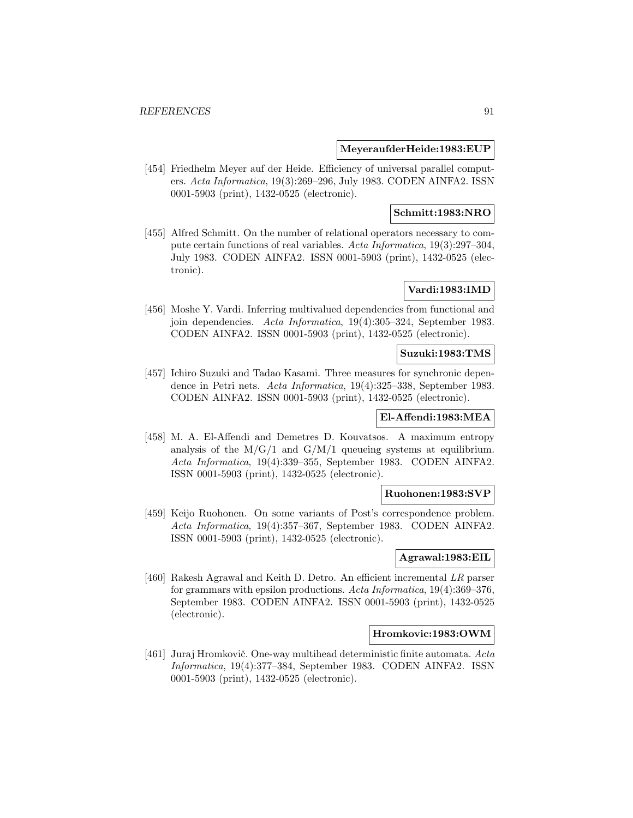#### **MeyeraufderHeide:1983:EUP**

[454] Friedhelm Meyer auf der Heide. Efficiency of universal parallel computers. Acta Informatica, 19(3):269–296, July 1983. CODEN AINFA2. ISSN 0001-5903 (print), 1432-0525 (electronic).

### **Schmitt:1983:NRO**

[455] Alfred Schmitt. On the number of relational operators necessary to compute certain functions of real variables. Acta Informatica, 19(3):297–304, July 1983. CODEN AINFA2. ISSN 0001-5903 (print), 1432-0525 (electronic).

# **Vardi:1983:IMD**

[456] Moshe Y. Vardi. Inferring multivalued dependencies from functional and join dependencies. Acta Informatica, 19(4):305–324, September 1983. CODEN AINFA2. ISSN 0001-5903 (print), 1432-0525 (electronic).

#### **Suzuki:1983:TMS**

[457] Ichiro Suzuki and Tadao Kasami. Three measures for synchronic dependence in Petri nets. Acta Informatica, 19(4):325–338, September 1983. CODEN AINFA2. ISSN 0001-5903 (print), 1432-0525 (electronic).

### **El-Affendi:1983:MEA**

[458] M. A. El-Affendi and Demetres D. Kouvatsos. A maximum entropy analysis of the  $M/G/1$  and  $G/M/1$  queueing systems at equilibrium. Acta Informatica, 19(4):339–355, September 1983. CODEN AINFA2. ISSN 0001-5903 (print), 1432-0525 (electronic).

## **Ruohonen:1983:SVP**

[459] Keijo Ruohonen. On some variants of Post's correspondence problem. Acta Informatica, 19(4):357–367, September 1983. CODEN AINFA2. ISSN 0001-5903 (print), 1432-0525 (electronic).

#### **Agrawal:1983:EIL**

[460] Rakesh Agrawal and Keith D. Detro. An efficient incremental LR parser for grammars with epsilon productions. Acta Informatica, 19(4):369–376, September 1983. CODEN AINFA2. ISSN 0001-5903 (print), 1432-0525 (electronic).

#### **Hromkovic:1983:OWM**

[461] Juraj Hromkovič. One-way multihead deterministic finite automata. Acta Informatica, 19(4):377–384, September 1983. CODEN AINFA2. ISSN 0001-5903 (print), 1432-0525 (electronic).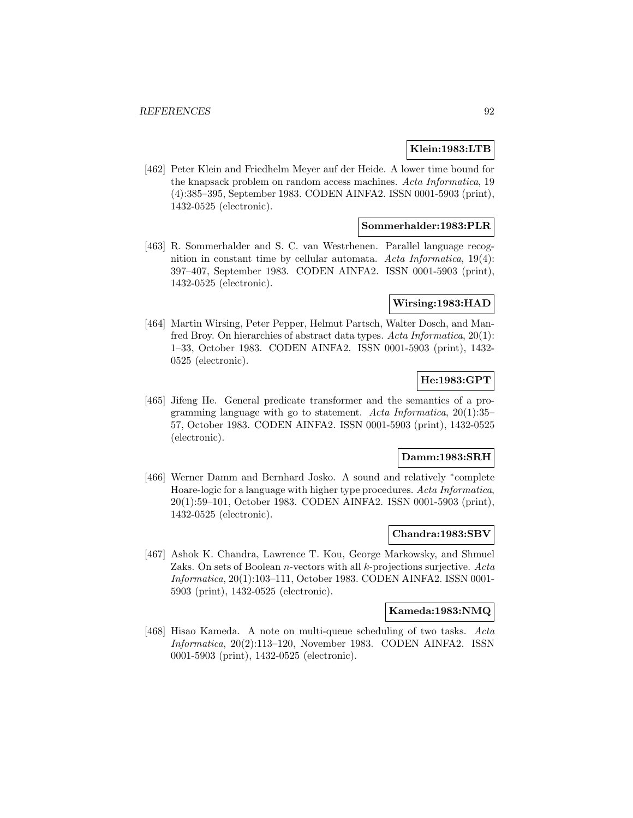### **Klein:1983:LTB**

[462] Peter Klein and Friedhelm Meyer auf der Heide. A lower time bound for the knapsack problem on random access machines. Acta Informatica, 19 (4):385–395, September 1983. CODEN AINFA2. ISSN 0001-5903 (print), 1432-0525 (electronic).

### **Sommerhalder:1983:PLR**

[463] R. Sommerhalder and S. C. van Westrhenen. Parallel language recognition in constant time by cellular automata. Acta Informatica,  $19(4)$ : 397–407, September 1983. CODEN AINFA2. ISSN 0001-5903 (print), 1432-0525 (electronic).

### **Wirsing:1983:HAD**

[464] Martin Wirsing, Peter Pepper, Helmut Partsch, Walter Dosch, and Manfred Broy. On hierarchies of abstract data types. Acta Informatica, 20(1): 1–33, October 1983. CODEN AINFA2. ISSN 0001-5903 (print), 1432- 0525 (electronic).

# **He:1983:GPT**

[465] Jifeng He. General predicate transformer and the semantics of a programming language with go to statement. Acta Informatica, 20(1):35– 57, October 1983. CODEN AINFA2. ISSN 0001-5903 (print), 1432-0525 (electronic).

#### **Damm:1983:SRH**

[466] Werner Damm and Bernhard Josko. A sound and relatively \*complete Hoare-logic for a language with higher type procedures. Acta Informatica, 20(1):59–101, October 1983. CODEN AINFA2. ISSN 0001-5903 (print), 1432-0525 (electronic).

### **Chandra:1983:SBV**

[467] Ashok K. Chandra, Lawrence T. Kou, George Markowsky, and Shmuel Zaks. On sets of Boolean *n*-vectors with all *k*-projections surjective. Acta Informatica, 20(1):103–111, October 1983. CODEN AINFA2. ISSN 0001- 5903 (print), 1432-0525 (electronic).

#### **Kameda:1983:NMQ**

[468] Hisao Kameda. A note on multi-queue scheduling of two tasks. Acta Informatica, 20(2):113–120, November 1983. CODEN AINFA2. ISSN 0001-5903 (print), 1432-0525 (electronic).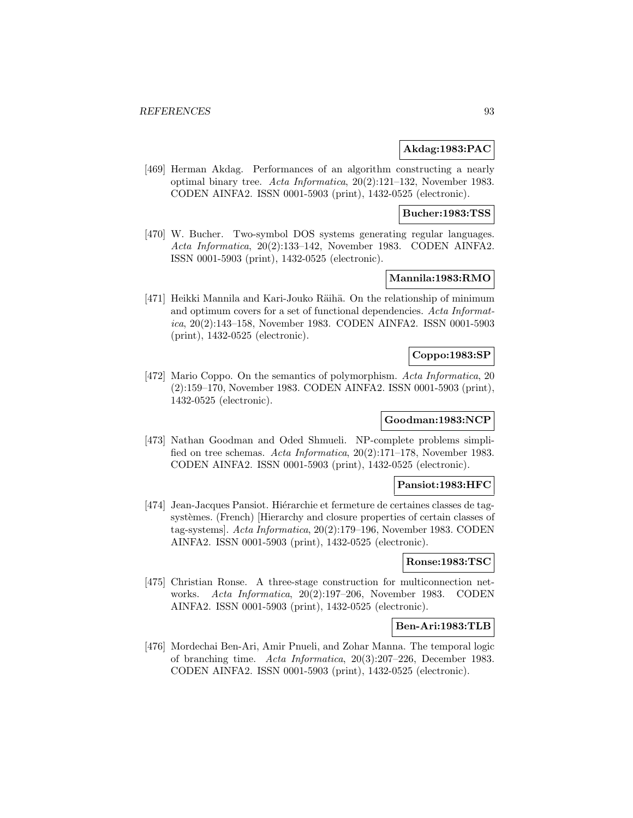#### **Akdag:1983:PAC**

[469] Herman Akdag. Performances of an algorithm constructing a nearly optimal binary tree. Acta Informatica, 20(2):121–132, November 1983. CODEN AINFA2. ISSN 0001-5903 (print), 1432-0525 (electronic).

#### **Bucher:1983:TSS**

[470] W. Bucher. Two-symbol DOS systems generating regular languages. Acta Informatica, 20(2):133–142, November 1983. CODEN AINFA2. ISSN 0001-5903 (print), 1432-0525 (electronic).

# **Mannila:1983:RMO**

[471] Heikki Mannila and Kari-Jouko Räihä. On the relationship of minimum and optimum covers for a set of functional dependencies. Acta Informatica, 20(2):143–158, November 1983. CODEN AINFA2. ISSN 0001-5903 (print), 1432-0525 (electronic).

## **Coppo:1983:SP**

[472] Mario Coppo. On the semantics of polymorphism. Acta Informatica, 20 (2):159–170, November 1983. CODEN AINFA2. ISSN 0001-5903 (print), 1432-0525 (electronic).

#### **Goodman:1983:NCP**

[473] Nathan Goodman and Oded Shmueli. NP-complete problems simplified on tree schemas. Acta Informatica, 20(2):171–178, November 1983. CODEN AINFA2. ISSN 0001-5903 (print), 1432-0525 (electronic).

#### **Pansiot:1983:HFC**

[474] Jean-Jacques Pansiot. Hiérarchie et fermeture de certaines classes de tagsystèmes. (French) [Hierarchy and closure properties of certain classes of tag-systems]. Acta Informatica, 20(2):179–196, November 1983. CODEN AINFA2. ISSN 0001-5903 (print), 1432-0525 (electronic).

#### **Ronse:1983:TSC**

[475] Christian Ronse. A three-stage construction for multiconnection networks. Acta Informatica, 20(2):197–206, November 1983. CODEN AINFA2. ISSN 0001-5903 (print), 1432-0525 (electronic).

#### **Ben-Ari:1983:TLB**

[476] Mordechai Ben-Ari, Amir Pnueli, and Zohar Manna. The temporal logic of branching time. Acta Informatica, 20(3):207–226, December 1983. CODEN AINFA2. ISSN 0001-5903 (print), 1432-0525 (electronic).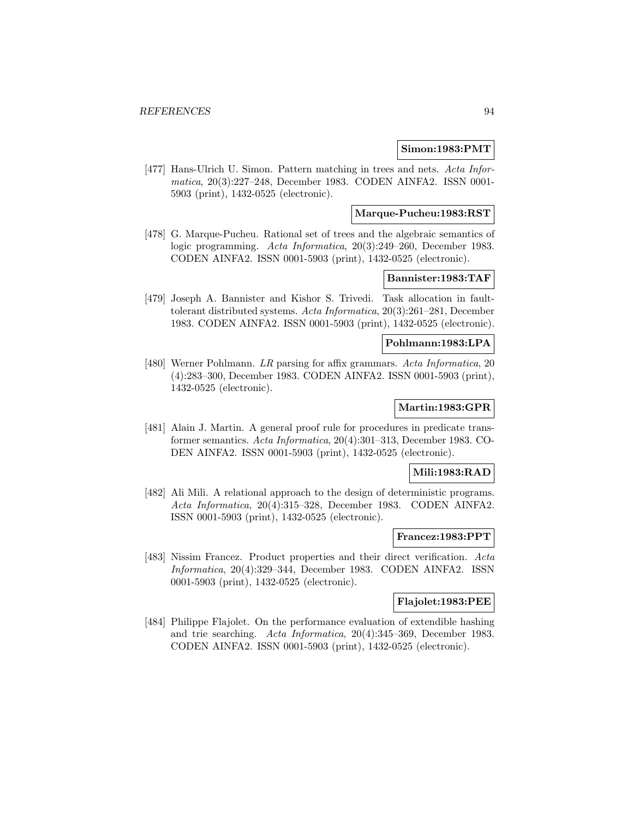#### **Simon:1983:PMT**

[477] Hans-Ulrich U. Simon. Pattern matching in trees and nets. Acta Informatica, 20(3):227–248, December 1983. CODEN AINFA2. ISSN 0001- 5903 (print), 1432-0525 (electronic).

#### **Marque-Pucheu:1983:RST**

[478] G. Marque-Pucheu. Rational set of trees and the algebraic semantics of logic programming. Acta Informatica, 20(3):249–260, December 1983. CODEN AINFA2. ISSN 0001-5903 (print), 1432-0525 (electronic).

## **Bannister:1983:TAF**

[479] Joseph A. Bannister and Kishor S. Trivedi. Task allocation in faulttolerant distributed systems. Acta Informatica, 20(3):261–281, December 1983. CODEN AINFA2. ISSN 0001-5903 (print), 1432-0525 (electronic).

#### **Pohlmann:1983:LPA**

[480] Werner Pohlmann. LR parsing for affix grammars. Acta Informatica, 20 (4):283–300, December 1983. CODEN AINFA2. ISSN 0001-5903 (print), 1432-0525 (electronic).

# **Martin:1983:GPR**

[481] Alain J. Martin. A general proof rule for procedures in predicate transformer semantics. Acta Informatica, 20(4):301–313, December 1983. CO-DEN AINFA2. ISSN 0001-5903 (print), 1432-0525 (electronic).

#### **Mili:1983:RAD**

[482] Ali Mili. A relational approach to the design of deterministic programs. Acta Informatica, 20(4):315–328, December 1983. CODEN AINFA2. ISSN 0001-5903 (print), 1432-0525 (electronic).

#### **Francez:1983:PPT**

[483] Nissim Francez. Product properties and their direct verification. Acta Informatica, 20(4):329–344, December 1983. CODEN AINFA2. ISSN 0001-5903 (print), 1432-0525 (electronic).

### **Flajolet:1983:PEE**

[484] Philippe Flajolet. On the performance evaluation of extendible hashing and trie searching. Acta Informatica, 20(4):345–369, December 1983. CODEN AINFA2. ISSN 0001-5903 (print), 1432-0525 (electronic).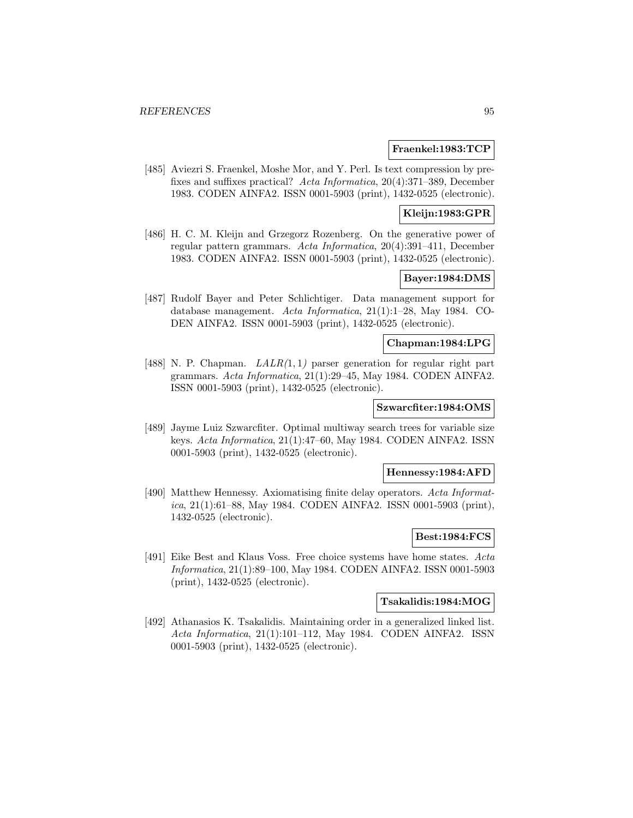#### **Fraenkel:1983:TCP**

[485] Aviezri S. Fraenkel, Moshe Mor, and Y. Perl. Is text compression by prefixes and suffixes practical? Acta Informatica, 20(4):371–389, December 1983. CODEN AINFA2. ISSN 0001-5903 (print), 1432-0525 (electronic).

## **Kleijn:1983:GPR**

[486] H. C. M. Kleijn and Grzegorz Rozenberg. On the generative power of regular pattern grammars. Acta Informatica, 20(4):391–411, December 1983. CODEN AINFA2. ISSN 0001-5903 (print), 1432-0525 (electronic).

# **Bayer:1984:DMS**

[487] Rudolf Bayer and Peter Schlichtiger. Data management support for database management. Acta Informatica, 21(1):1–28, May 1984. CO-DEN AINFA2. ISSN 0001-5903 (print), 1432-0525 (electronic).

#### **Chapman:1984:LPG**

[488] N. P. Chapman.  $LALR(1,1)$  parser generation for regular right part grammars. Acta Informatica, 21(1):29–45, May 1984. CODEN AINFA2. ISSN 0001-5903 (print), 1432-0525 (electronic).

### **Szwarcfiter:1984:OMS**

[489] Jayme Luiz Szwarcfiter. Optimal multiway search trees for variable size keys. Acta Informatica, 21(1):47–60, May 1984. CODEN AINFA2. ISSN 0001-5903 (print), 1432-0525 (electronic).

#### **Hennessy:1984:AFD**

[490] Matthew Hennessy. Axiomatising finite delay operators. Acta Informatica, 21(1):61–88, May 1984. CODEN AINFA2. ISSN 0001-5903 (print), 1432-0525 (electronic).

#### **Best:1984:FCS**

[491] Eike Best and Klaus Voss. Free choice systems have home states. Acta Informatica, 21(1):89–100, May 1984. CODEN AINFA2. ISSN 0001-5903 (print), 1432-0525 (electronic).

# **Tsakalidis:1984:MOG**

[492] Athanasios K. Tsakalidis. Maintaining order in a generalized linked list. Acta Informatica, 21(1):101–112, May 1984. CODEN AINFA2. ISSN 0001-5903 (print), 1432-0525 (electronic).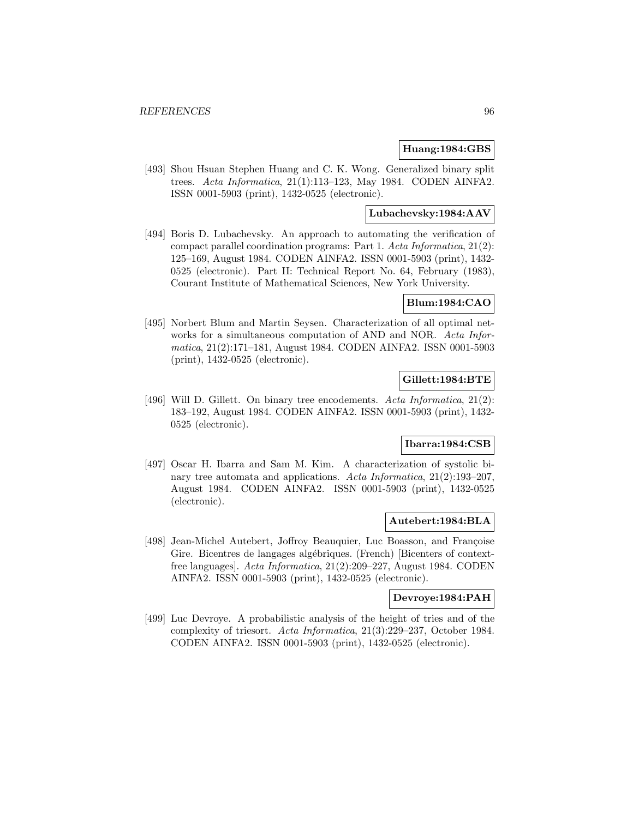#### **Huang:1984:GBS**

[493] Shou Hsuan Stephen Huang and C. K. Wong. Generalized binary split trees. Acta Informatica, 21(1):113–123, May 1984. CODEN AINFA2. ISSN 0001-5903 (print), 1432-0525 (electronic).

## **Lubachevsky:1984:AAV**

[494] Boris D. Lubachevsky. An approach to automating the verification of compact parallel coordination programs: Part 1. Acta Informatica, 21(2): 125–169, August 1984. CODEN AINFA2. ISSN 0001-5903 (print), 1432- 0525 (electronic). Part II: Technical Report No. 64, February (1983), Courant Institute of Mathematical Sciences, New York University.

### **Blum:1984:CAO**

[495] Norbert Blum and Martin Seysen. Characterization of all optimal networks for a simultaneous computation of AND and NOR. Acta Informatica, 21(2):171–181, August 1984. CODEN AINFA2. ISSN 0001-5903 (print), 1432-0525 (electronic).

# **Gillett:1984:BTE**

[496] Will D. Gillett. On binary tree encodements. Acta Informatica, 21(2): 183–192, August 1984. CODEN AINFA2. ISSN 0001-5903 (print), 1432- 0525 (electronic).

# **Ibarra:1984:CSB**

[497] Oscar H. Ibarra and Sam M. Kim. A characterization of systolic binary tree automata and applications. Acta Informatica, 21(2):193–207, August 1984. CODEN AINFA2. ISSN 0001-5903 (print), 1432-0525 (electronic).

### **Autebert:1984:BLA**

[498] Jean-Michel Autebert, Joffroy Beauquier, Luc Boasson, and Françoise Gire. Bicentres de langages algébriques. (French) [Bicenters of contextfree languages]. Acta Informatica, 21(2):209–227, August 1984. CODEN AINFA2. ISSN 0001-5903 (print), 1432-0525 (electronic).

## **Devroye:1984:PAH**

[499] Luc Devroye. A probabilistic analysis of the height of tries and of the complexity of triesort. Acta Informatica, 21(3):229–237, October 1984. CODEN AINFA2. ISSN 0001-5903 (print), 1432-0525 (electronic).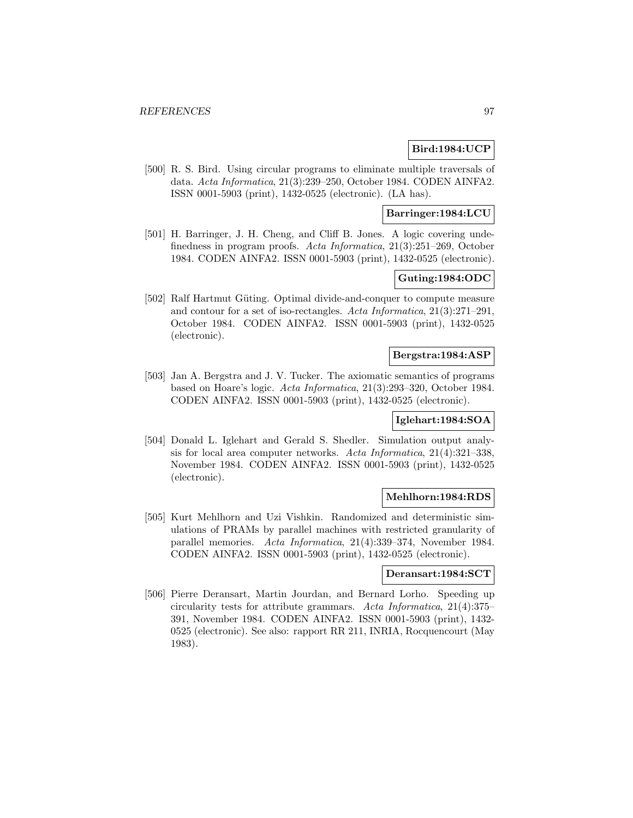#### **Bird:1984:UCP**

[500] R. S. Bird. Using circular programs to eliminate multiple traversals of data. Acta Informatica, 21(3):239–250, October 1984. CODEN AINFA2. ISSN 0001-5903 (print), 1432-0525 (electronic). (LA has).

## **Barringer:1984:LCU**

[501] H. Barringer, J. H. Cheng, and Cliff B. Jones. A logic covering undefinedness in program proofs. Acta Informatica, 21(3):251–269, October 1984. CODEN AINFA2. ISSN 0001-5903 (print), 1432-0525 (electronic).

### **Guting:1984:ODC**

[502] Ralf Hartmut Güting. Optimal divide-and-conquer to compute measure and contour for a set of iso-rectangles. Acta Informatica, 21(3):271–291, October 1984. CODEN AINFA2. ISSN 0001-5903 (print), 1432-0525 (electronic).

### **Bergstra:1984:ASP**

[503] Jan A. Bergstra and J. V. Tucker. The axiomatic semantics of programs based on Hoare's logic. Acta Informatica, 21(3):293–320, October 1984. CODEN AINFA2. ISSN 0001-5903 (print), 1432-0525 (electronic).

### **Iglehart:1984:SOA**

[504] Donald L. Iglehart and Gerald S. Shedler. Simulation output analysis for local area computer networks. Acta Informatica, 21(4):321–338, November 1984. CODEN AINFA2. ISSN 0001-5903 (print), 1432-0525 (electronic).

### **Mehlhorn:1984:RDS**

[505] Kurt Mehlhorn and Uzi Vishkin. Randomized and deterministic simulations of PRAMs by parallel machines with restricted granularity of parallel memories. Acta Informatica, 21(4):339–374, November 1984. CODEN AINFA2. ISSN 0001-5903 (print), 1432-0525 (electronic).

#### **Deransart:1984:SCT**

[506] Pierre Deransart, Martin Jourdan, and Bernard Lorho. Speeding up circularity tests for attribute grammars. Acta Informatica, 21(4):375– 391, November 1984. CODEN AINFA2. ISSN 0001-5903 (print), 1432- 0525 (electronic). See also: rapport RR 211, INRIA, Rocquencourt (May 1983).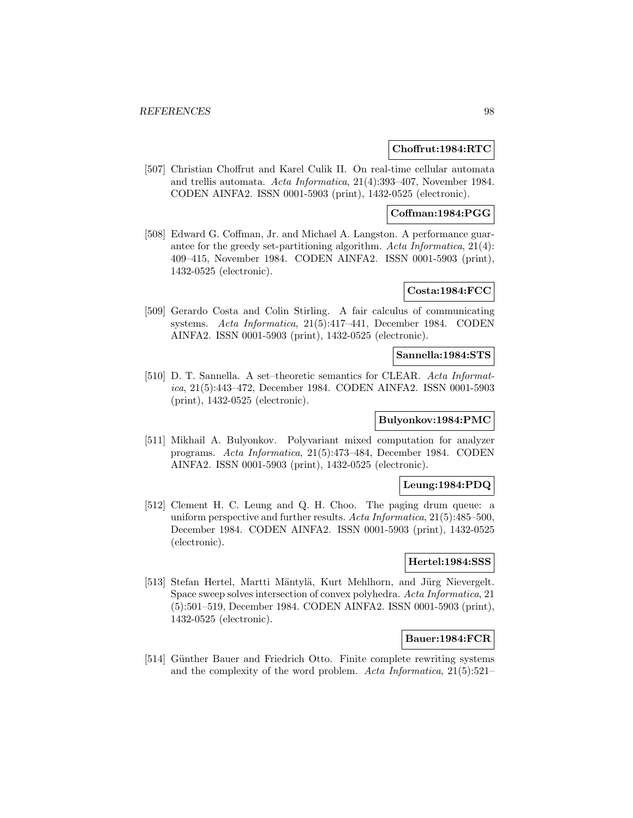#### **Choffrut:1984:RTC**

[507] Christian Choffrut and Karel Culik II. On real-time cellular automata and trellis automata. Acta Informatica, 21(4):393–407, November 1984. CODEN AINFA2. ISSN 0001-5903 (print), 1432-0525 (electronic).

### **Coffman:1984:PGG**

[508] Edward G. Coffman, Jr. and Michael A. Langston. A performance guarantee for the greedy set-partitioning algorithm. Acta Informatica, 21(4): 409–415, November 1984. CODEN AINFA2. ISSN 0001-5903 (print), 1432-0525 (electronic).

#### **Costa:1984:FCC**

[509] Gerardo Costa and Colin Stirling. A fair calculus of communicating systems. Acta Informatica, 21(5):417–441, December 1984. CODEN AINFA2. ISSN 0001-5903 (print), 1432-0525 (electronic).

### **Sannella:1984:STS**

[510] D. T. Sannella. A set–theoretic semantics for CLEAR. Acta Informatica, 21(5):443–472, December 1984. CODEN AINFA2. ISSN 0001-5903 (print), 1432-0525 (electronic).

### **Bulyonkov:1984:PMC**

[511] Mikhail A. Bulyonkov. Polyvariant mixed computation for analyzer programs. Acta Informatica, 21(5):473–484, December 1984. CODEN AINFA2. ISSN 0001-5903 (print), 1432-0525 (electronic).

#### **Leung:1984:PDQ**

[512] Clement H. C. Leung and Q. H. Choo. The paging drum queue: a uniform perspective and further results. Acta Informatica, 21(5):485–500, December 1984. CODEN AINFA2. ISSN 0001-5903 (print), 1432-0525 (electronic).

## **Hertel:1984:SSS**

[513] Stefan Hertel, Martti Mäntylä, Kurt Mehlhorn, and Jürg Nievergelt. Space sweep solves intersection of convex polyhedra. Acta Informatica, 21 (5):501–519, December 1984. CODEN AINFA2. ISSN 0001-5903 (print), 1432-0525 (electronic).

### **Bauer:1984:FCR**

[514] Günther Bauer and Friedrich Otto. Finite complete rewriting systems and the complexity of the word problem. Acta Informatica, 21(5):521–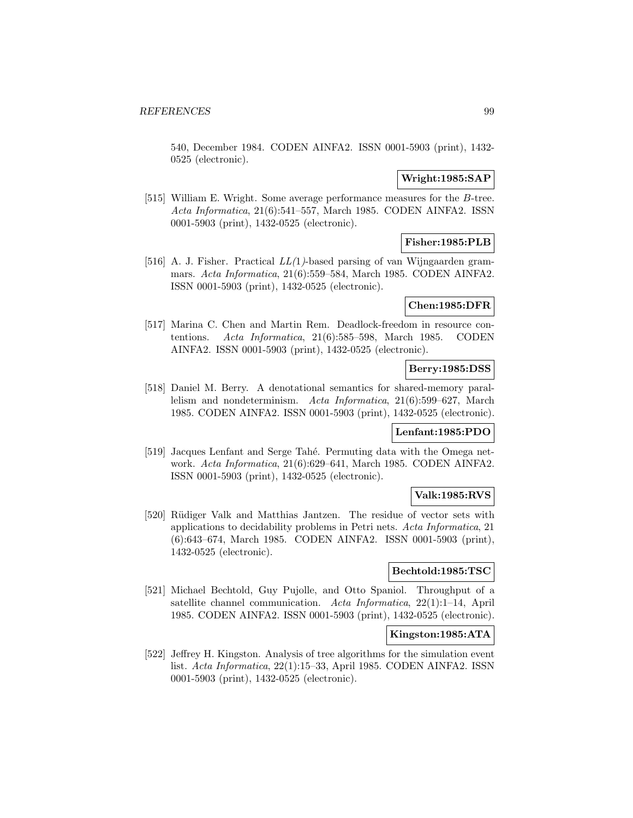540, December 1984. CODEN AINFA2. ISSN 0001-5903 (print), 1432- 0525 (electronic).

### **Wright:1985:SAP**

[515] William E. Wright. Some average performance measures for the B-tree. Acta Informatica, 21(6):541–557, March 1985. CODEN AINFA2. ISSN 0001-5903 (print), 1432-0525 (electronic).

## **Fisher:1985:PLB**

[516] A. J. Fisher. Practical LL(1)-based parsing of van Wijngaarden grammars. Acta Informatica, 21(6):559–584, March 1985. CODEN AINFA2. ISSN 0001-5903 (print), 1432-0525 (electronic).

# **Chen:1985:DFR**

[517] Marina C. Chen and Martin Rem. Deadlock-freedom in resource contentions. Acta Informatica, 21(6):585–598, March 1985. CODEN AINFA2. ISSN 0001-5903 (print), 1432-0525 (electronic).

### **Berry:1985:DSS**

[518] Daniel M. Berry. A denotational semantics for shared-memory parallelism and nondeterminism. Acta Informatica, 21(6):599–627, March 1985. CODEN AINFA2. ISSN 0001-5903 (print), 1432-0525 (electronic).

### **Lenfant:1985:PDO**

[519] Jacques Lenfant and Serge Tahé. Permuting data with the Omega network. Acta Informatica, 21(6):629–641, March 1985. CODEN AINFA2. ISSN 0001-5903 (print), 1432-0525 (electronic).

### **Valk:1985:RVS**

[520] Rüdiger Valk and Matthias Jantzen. The residue of vector sets with applications to decidability problems in Petri nets. Acta Informatica, 21 (6):643–674, March 1985. CODEN AINFA2. ISSN 0001-5903 (print), 1432-0525 (electronic).

### **Bechtold:1985:TSC**

[521] Michael Bechtold, Guy Pujolle, and Otto Spaniol. Throughput of a satellite channel communication. Acta Informatica, 22(1):1–14, April 1985. CODEN AINFA2. ISSN 0001-5903 (print), 1432-0525 (electronic).

#### **Kingston:1985:ATA**

[522] Jeffrey H. Kingston. Analysis of tree algorithms for the simulation event list. Acta Informatica, 22(1):15–33, April 1985. CODEN AINFA2. ISSN 0001-5903 (print), 1432-0525 (electronic).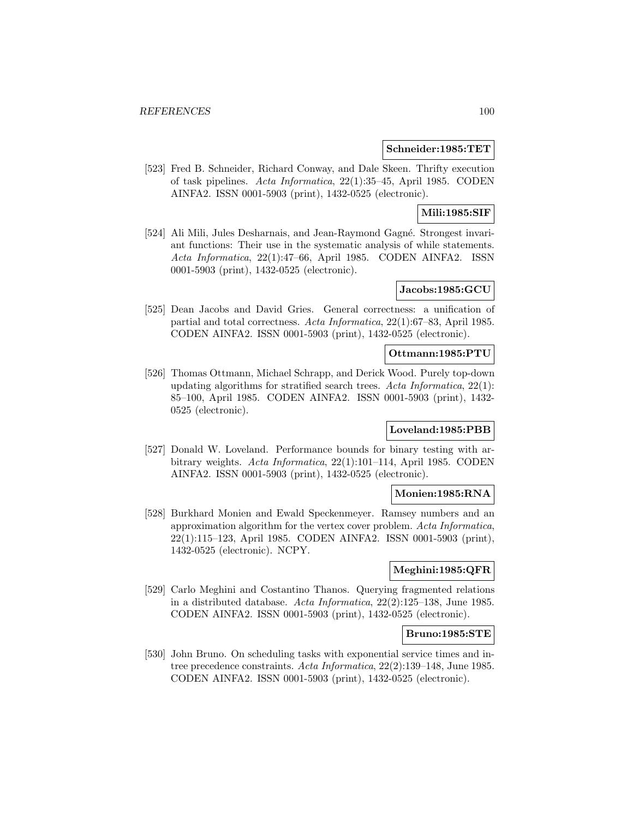#### **Schneider:1985:TET**

[523] Fred B. Schneider, Richard Conway, and Dale Skeen. Thrifty execution of task pipelines. Acta Informatica, 22(1):35–45, April 1985. CODEN AINFA2. ISSN 0001-5903 (print), 1432-0525 (electronic).

# **Mili:1985:SIF**

[524] Ali Mili, Jules Desharnais, and Jean-Raymond Gagné. Strongest invariant functions: Their use in the systematic analysis of while statements. Acta Informatica, 22(1):47–66, April 1985. CODEN AINFA2. ISSN 0001-5903 (print), 1432-0525 (electronic).

# **Jacobs:1985:GCU**

[525] Dean Jacobs and David Gries. General correctness: a unification of partial and total correctness. Acta Informatica, 22(1):67–83, April 1985. CODEN AINFA2. ISSN 0001-5903 (print), 1432-0525 (electronic).

#### **Ottmann:1985:PTU**

[526] Thomas Ottmann, Michael Schrapp, and Derick Wood. Purely top-down updating algorithms for stratified search trees. Acta Informatica, 22(1): 85–100, April 1985. CODEN AINFA2. ISSN 0001-5903 (print), 1432- 0525 (electronic).

#### **Loveland:1985:PBB**

[527] Donald W. Loveland. Performance bounds for binary testing with arbitrary weights. Acta Informatica, 22(1):101–114, April 1985. CODEN AINFA2. ISSN 0001-5903 (print), 1432-0525 (electronic).

### **Monien:1985:RNA**

[528] Burkhard Monien and Ewald Speckenmeyer. Ramsey numbers and an approximation algorithm for the vertex cover problem. Acta Informatica, 22(1):115–123, April 1985. CODEN AINFA2. ISSN 0001-5903 (print), 1432-0525 (electronic). NCPY.

## **Meghini:1985:QFR**

[529] Carlo Meghini and Costantino Thanos. Querying fragmented relations in a distributed database. Acta Informatica, 22(2):125–138, June 1985. CODEN AINFA2. ISSN 0001-5903 (print), 1432-0525 (electronic).

### **Bruno:1985:STE**

[530] John Bruno. On scheduling tasks with exponential service times and intree precedence constraints. Acta Informatica, 22(2):139–148, June 1985. CODEN AINFA2. ISSN 0001-5903 (print), 1432-0525 (electronic).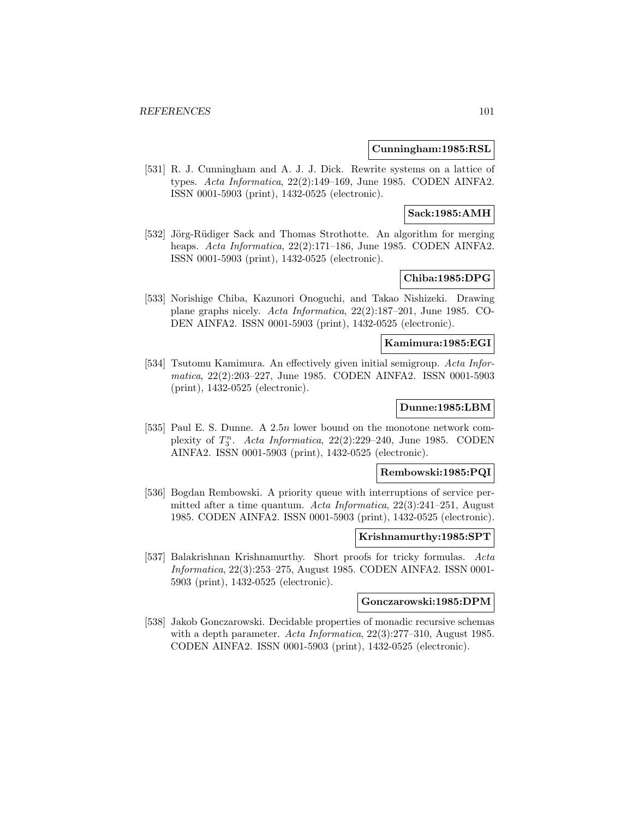#### **Cunningham:1985:RSL**

[531] R. J. Cunningham and A. J. J. Dick. Rewrite systems on a lattice of types. Acta Informatica, 22(2):149–169, June 1985. CODEN AINFA2. ISSN 0001-5903 (print), 1432-0525 (electronic).

## **Sack:1985:AMH**

[532] Jörg-Rüdiger Sack and Thomas Strothotte. An algorithm for merging heaps. Acta Informatica, 22(2):171–186, June 1985. CODEN AINFA2. ISSN 0001-5903 (print), 1432-0525 (electronic).

# **Chiba:1985:DPG**

[533] Norishige Chiba, Kazunori Onoguchi, and Takao Nishizeki. Drawing plane graphs nicely. Acta Informatica, 22(2):187–201, June 1985. CO-DEN AINFA2. ISSN 0001-5903 (print), 1432-0525 (electronic).

#### **Kamimura:1985:EGI**

[534] Tsutomu Kamimura. An effectively given initial semigroup. Acta Informatica, 22(2):203–227, June 1985. CODEN AINFA2. ISSN 0001-5903 (print), 1432-0525 (electronic).

## **Dunne:1985:LBM**

[535] Paul E. S. Dunne. A 2.5n lower bound on the monotone network complexity of  $T_3^n$ . Acta Informatica, 22(2):229-240, June 1985. CODEN AINFA2. ISSN 0001-5903 (print), 1432-0525 (electronic).

#### **Rembowski:1985:PQI**

[536] Bogdan Rembowski. A priority queue with interruptions of service permitted after a time quantum. Acta Informatica, 22(3):241–251, August 1985. CODEN AINFA2. ISSN 0001-5903 (print), 1432-0525 (electronic).

#### **Krishnamurthy:1985:SPT**

[537] Balakrishnan Krishnamurthy. Short proofs for tricky formulas. Acta Informatica, 22(3):253–275, August 1985. CODEN AINFA2. ISSN 0001- 5903 (print), 1432-0525 (electronic).

#### **Gonczarowski:1985:DPM**

[538] Jakob Gonczarowski. Decidable properties of monadic recursive schemas with a depth parameter. Acta Informatica, 22(3):277-310, August 1985. CODEN AINFA2. ISSN 0001-5903 (print), 1432-0525 (electronic).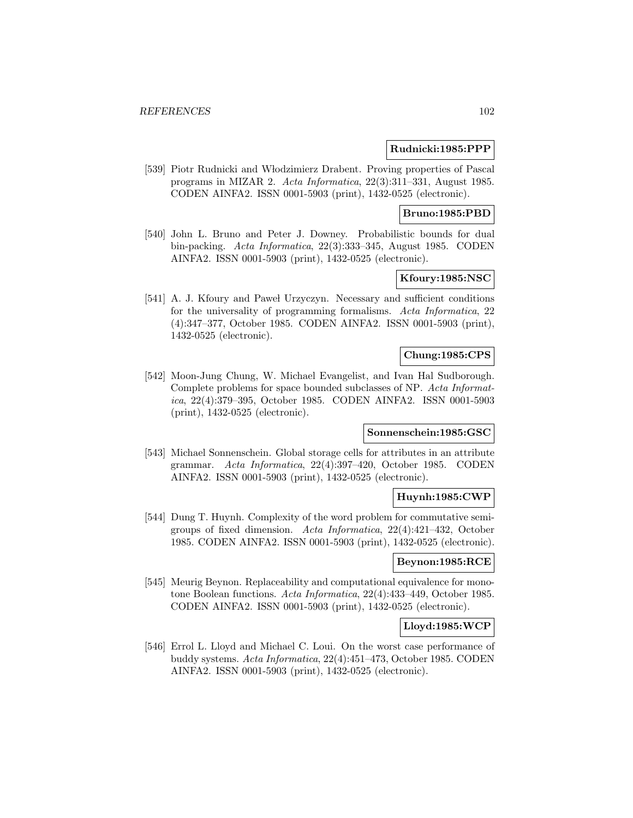#### **Rudnicki:1985:PPP**

[539] Piotr Rudnicki and Włodzimierz Drabent. Proving properties of Pascal programs in MIZAR 2. Acta Informatica, 22(3):311–331, August 1985. CODEN AINFA2. ISSN 0001-5903 (print), 1432-0525 (electronic).

#### **Bruno:1985:PBD**

[540] John L. Bruno and Peter J. Downey. Probabilistic bounds for dual bin-packing. Acta Informatica, 22(3):333–345, August 1985. CODEN AINFA2. ISSN 0001-5903 (print), 1432-0525 (electronic).

# **Kfoury:1985:NSC**

[541] A. J. Kfoury and Pawel Urzyczyn. Necessary and sufficient conditions for the universality of programming formalisms. Acta Informatica, 22 (4):347–377, October 1985. CODEN AINFA2. ISSN 0001-5903 (print), 1432-0525 (electronic).

# **Chung:1985:CPS**

[542] Moon-Jung Chung, W. Michael Evangelist, and Ivan Hal Sudborough. Complete problems for space bounded subclasses of NP. Acta Informatica, 22(4):379–395, October 1985. CODEN AINFA2. ISSN 0001-5903 (print), 1432-0525 (electronic).

### **Sonnenschein:1985:GSC**

[543] Michael Sonnenschein. Global storage cells for attributes in an attribute grammar. Acta Informatica, 22(4):397–420, October 1985. CODEN AINFA2. ISSN 0001-5903 (print), 1432-0525 (electronic).

### **Huynh:1985:CWP**

[544] Dung T. Huynh. Complexity of the word problem for commutative semigroups of fixed dimension. Acta Informatica, 22(4):421–432, October 1985. CODEN AINFA2. ISSN 0001-5903 (print), 1432-0525 (electronic).

### **Beynon:1985:RCE**

[545] Meurig Beynon. Replaceability and computational equivalence for monotone Boolean functions. Acta Informatica, 22(4):433–449, October 1985. CODEN AINFA2. ISSN 0001-5903 (print), 1432-0525 (electronic).

### **Lloyd:1985:WCP**

[546] Errol L. Lloyd and Michael C. Loui. On the worst case performance of buddy systems. Acta Informatica, 22(4):451–473, October 1985. CODEN AINFA2. ISSN 0001-5903 (print), 1432-0525 (electronic).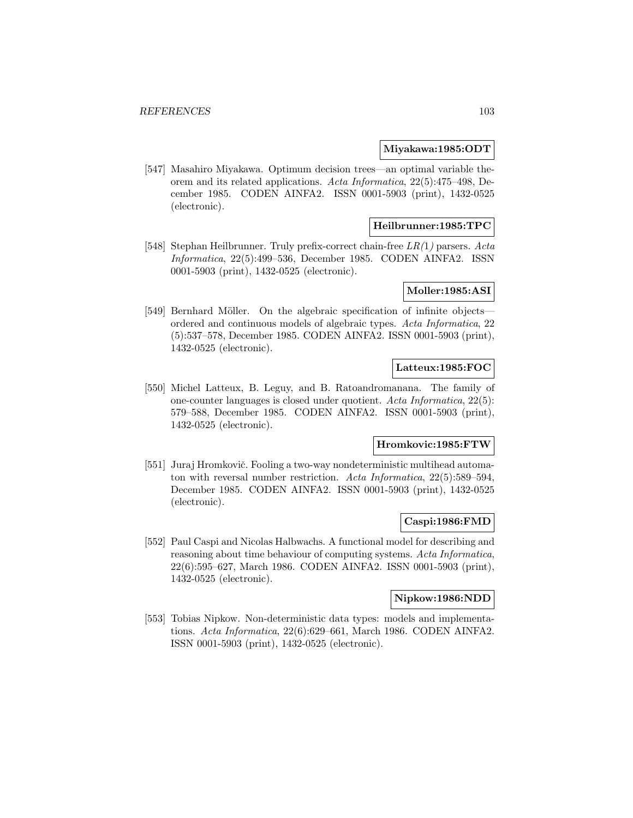#### **Miyakawa:1985:ODT**

[547] Masahiro Miyakawa. Optimum decision trees—an optimal variable theorem and its related applications. Acta Informatica, 22(5):475–498, December 1985. CODEN AINFA2. ISSN 0001-5903 (print), 1432-0525 (electronic).

### **Heilbrunner:1985:TPC**

[548] Stephan Heilbrunner. Truly prefix-correct chain-free LR(1) parsers. Acta Informatica, 22(5):499–536, December 1985. CODEN AINFA2. ISSN 0001-5903 (print), 1432-0525 (electronic).

### **Moller:1985:ASI**

[549] Bernhard Möller. On the algebraic specification of infinite objects ordered and continuous models of algebraic types. Acta Informatica, 22 (5):537–578, December 1985. CODEN AINFA2. ISSN 0001-5903 (print), 1432-0525 (electronic).

### **Latteux:1985:FOC**

[550] Michel Latteux, B. Leguy, and B. Ratoandromanana. The family of one-counter languages is closed under quotient. Acta Informatica, 22(5): 579–588, December 1985. CODEN AINFA2. ISSN 0001-5903 (print), 1432-0525 (electronic).

## **Hromkovic:1985:FTW**

[551] Juraj Hromkovič. Fooling a two-way nondeterministic multihead automaton with reversal number restriction. Acta Informatica, 22(5):589–594, December 1985. CODEN AINFA2. ISSN 0001-5903 (print), 1432-0525 (electronic).

#### **Caspi:1986:FMD**

[552] Paul Caspi and Nicolas Halbwachs. A functional model for describing and reasoning about time behaviour of computing systems. Acta Informatica, 22(6):595–627, March 1986. CODEN AINFA2. ISSN 0001-5903 (print), 1432-0525 (electronic).

## **Nipkow:1986:NDD**

[553] Tobias Nipkow. Non-deterministic data types: models and implementations. Acta Informatica, 22(6):629–661, March 1986. CODEN AINFA2. ISSN 0001-5903 (print), 1432-0525 (electronic).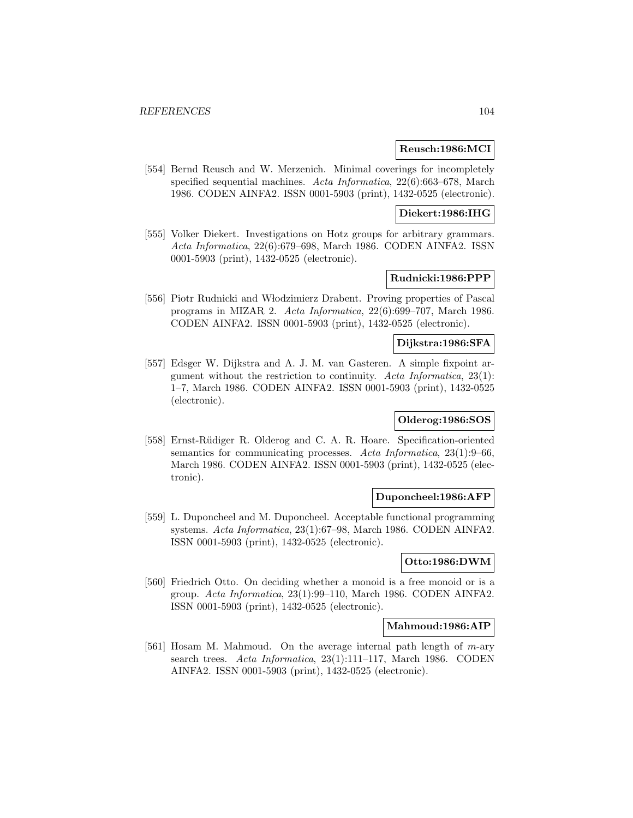#### **Reusch:1986:MCI**

[554] Bernd Reusch and W. Merzenich. Minimal coverings for incompletely specified sequential machines. Acta Informatica, 22(6):663–678, March 1986. CODEN AINFA2. ISSN 0001-5903 (print), 1432-0525 (electronic).

### **Diekert:1986:IHG**

[555] Volker Diekert. Investigations on Hotz groups for arbitrary grammars. Acta Informatica, 22(6):679–698, March 1986. CODEN AINFA2. ISSN 0001-5903 (print), 1432-0525 (electronic).

# **Rudnicki:1986:PPP**

[556] Piotr Rudnicki and Włodzimierz Drabent. Proving properties of Pascal programs in MIZAR 2. Acta Informatica, 22(6):699–707, March 1986. CODEN AINFA2. ISSN 0001-5903 (print), 1432-0525 (electronic).

#### **Dijkstra:1986:SFA**

[557] Edsger W. Dijkstra and A. J. M. van Gasteren. A simple fixpoint argument without the restriction to continuity. Acta Informatica, 23(1): 1–7, March 1986. CODEN AINFA2. ISSN 0001-5903 (print), 1432-0525 (electronic).

### **Olderog:1986:SOS**

[558] Ernst-Rüdiger R. Olderog and C. A. R. Hoare. Specification-oriented semantics for communicating processes. Acta Informatica, 23(1):9–66, March 1986. CODEN AINFA2. ISSN 0001-5903 (print), 1432-0525 (electronic).

### **Duponcheel:1986:AFP**

[559] L. Duponcheel and M. Duponcheel. Acceptable functional programming systems. Acta Informatica, 23(1):67–98, March 1986. CODEN AINFA2. ISSN 0001-5903 (print), 1432-0525 (electronic).

### **Otto:1986:DWM**

[560] Friedrich Otto. On deciding whether a monoid is a free monoid or is a group. Acta Informatica, 23(1):99–110, March 1986. CODEN AINFA2. ISSN 0001-5903 (print), 1432-0525 (electronic).

#### **Mahmoud:1986:AIP**

[561] Hosam M. Mahmoud. On the average internal path length of  $m$ -ary search trees. Acta Informatica, 23(1):111–117, March 1986. CODEN AINFA2. ISSN 0001-5903 (print), 1432-0525 (electronic).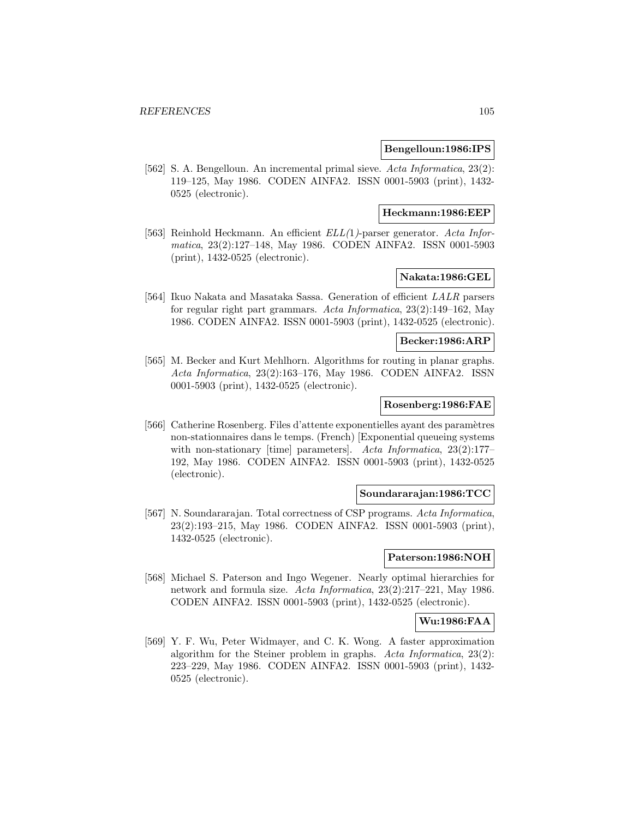#### **Bengelloun:1986:IPS**

[562] S. A. Bengelloun. An incremental primal sieve. Acta Informatica, 23(2): 119–125, May 1986. CODEN AINFA2. ISSN 0001-5903 (print), 1432- 0525 (electronic).

### **Heckmann:1986:EEP**

[563] Reinhold Heckmann. An efficient  $ELL(1)$ -parser generator. Acta Informatica, 23(2):127–148, May 1986. CODEN AINFA2. ISSN 0001-5903 (print), 1432-0525 (electronic).

# **Nakata:1986:GEL**

[564] Ikuo Nakata and Masataka Sassa. Generation of efficient LALR parsers for regular right part grammars. Acta Informatica, 23(2):149–162, May 1986. CODEN AINFA2. ISSN 0001-5903 (print), 1432-0525 (electronic).

### **Becker:1986:ARP**

[565] M. Becker and Kurt Mehlhorn. Algorithms for routing in planar graphs. Acta Informatica, 23(2):163–176, May 1986. CODEN AINFA2. ISSN 0001-5903 (print), 1432-0525 (electronic).

#### **Rosenberg:1986:FAE**

[566] Catherine Rosenberg. Files d'attente exponentielles ayant des paramètres non-stationnaires dans le temps. (French) [Exponential queueing systems with non-stationary [time] parameters]. Acta Informatica, 23(2):177– 192, May 1986. CODEN AINFA2. ISSN 0001-5903 (print), 1432-0525 (electronic).

#### **Soundararajan:1986:TCC**

[567] N. Soundararajan. Total correctness of CSP programs. Acta Informatica, 23(2):193–215, May 1986. CODEN AINFA2. ISSN 0001-5903 (print), 1432-0525 (electronic).

### **Paterson:1986:NOH**

[568] Michael S. Paterson and Ingo Wegener. Nearly optimal hierarchies for network and formula size. Acta Informatica, 23(2):217–221, May 1986. CODEN AINFA2. ISSN 0001-5903 (print), 1432-0525 (electronic).

### **Wu:1986:FAA**

[569] Y. F. Wu, Peter Widmayer, and C. K. Wong. A faster approximation algorithm for the Steiner problem in graphs. Acta Informatica, 23(2): 223–229, May 1986. CODEN AINFA2. ISSN 0001-5903 (print), 1432- 0525 (electronic).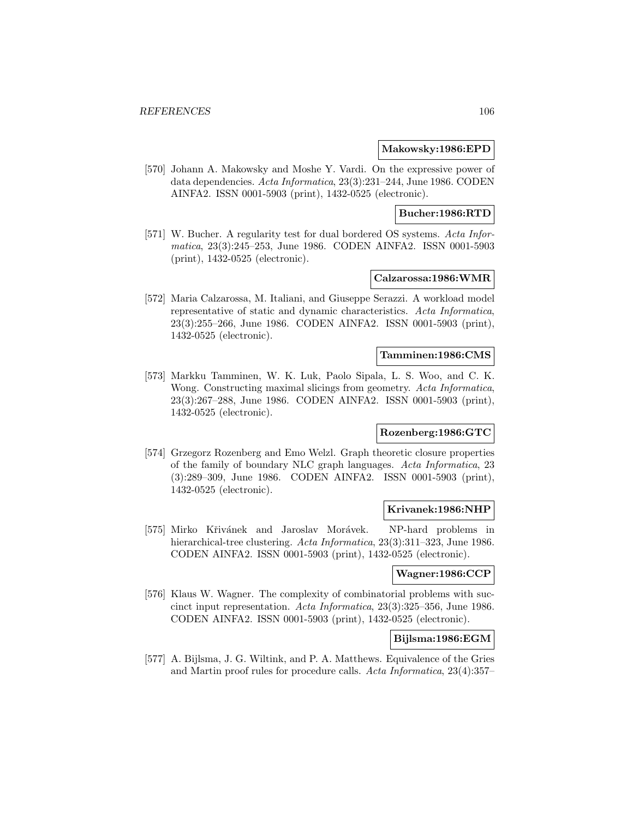#### **Makowsky:1986:EPD**

[570] Johann A. Makowsky and Moshe Y. Vardi. On the expressive power of data dependencies. Acta Informatica, 23(3):231–244, June 1986. CODEN AINFA2. ISSN 0001-5903 (print), 1432-0525 (electronic).

# **Bucher:1986:RTD**

[571] W. Bucher. A regularity test for dual bordered OS systems. Acta Informatica, 23(3):245–253, June 1986. CODEN AINFA2. ISSN 0001-5903 (print), 1432-0525 (electronic).

## **Calzarossa:1986:WMR**

[572] Maria Calzarossa, M. Italiani, and Giuseppe Serazzi. A workload model representative of static and dynamic characteristics. Acta Informatica, 23(3):255–266, June 1986. CODEN AINFA2. ISSN 0001-5903 (print), 1432-0525 (electronic).

#### **Tamminen:1986:CMS**

[573] Markku Tamminen, W. K. Luk, Paolo Sipala, L. S. Woo, and C. K. Wong. Constructing maximal slicings from geometry. Acta Informatica, 23(3):267–288, June 1986. CODEN AINFA2. ISSN 0001-5903 (print), 1432-0525 (electronic).

#### **Rozenberg:1986:GTC**

[574] Grzegorz Rozenberg and Emo Welzl. Graph theoretic closure properties of the family of boundary NLC graph languages. Acta Informatica, 23 (3):289–309, June 1986. CODEN AINFA2. ISSN 0001-5903 (print), 1432-0525 (electronic).

#### **Krivanek:1986:NHP**

[575] Mirko Křivánek and Jaroslav Morávek. NP-hard problems in hierarchical-tree clustering. Acta Informatica, 23(3):311–323, June 1986. CODEN AINFA2. ISSN 0001-5903 (print), 1432-0525 (electronic).

#### **Wagner:1986:CCP**

[576] Klaus W. Wagner. The complexity of combinatorial problems with succinct input representation. Acta Informatica, 23(3):325–356, June 1986. CODEN AINFA2. ISSN 0001-5903 (print), 1432-0525 (electronic).

### **Bijlsma:1986:EGM**

[577] A. Bijlsma, J. G. Wiltink, and P. A. Matthews. Equivalence of the Gries and Martin proof rules for procedure calls. Acta Informatica, 23(4):357–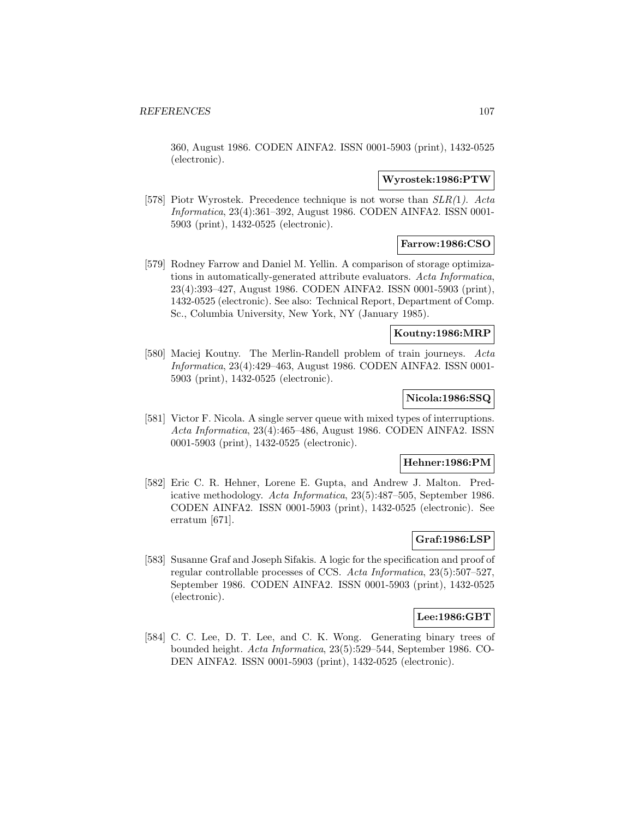360, August 1986. CODEN AINFA2. ISSN 0001-5903 (print), 1432-0525 (electronic).

#### **Wyrostek:1986:PTW**

[578] Piotr Wyrostek. Precedence technique is not worse than SLR(1). Acta Informatica, 23(4):361–392, August 1986. CODEN AINFA2. ISSN 0001- 5903 (print), 1432-0525 (electronic).

# **Farrow:1986:CSO**

[579] Rodney Farrow and Daniel M. Yellin. A comparison of storage optimizations in automatically-generated attribute evaluators. Acta Informatica, 23(4):393–427, August 1986. CODEN AINFA2. ISSN 0001-5903 (print), 1432-0525 (electronic). See also: Technical Report, Department of Comp. Sc., Columbia University, New York, NY (January 1985).

### **Koutny:1986:MRP**

[580] Maciej Koutny. The Merlin-Randell problem of train journeys. Acta Informatica, 23(4):429–463, August 1986. CODEN AINFA2. ISSN 0001- 5903 (print), 1432-0525 (electronic).

## **Nicola:1986:SSQ**

[581] Victor F. Nicola. A single server queue with mixed types of interruptions. Acta Informatica, 23(4):465–486, August 1986. CODEN AINFA2. ISSN 0001-5903 (print), 1432-0525 (electronic).

## **Hehner:1986:PM**

[582] Eric C. R. Hehner, Lorene E. Gupta, and Andrew J. Malton. Predicative methodology. Acta Informatica, 23(5):487–505, September 1986. CODEN AINFA2. ISSN 0001-5903 (print), 1432-0525 (electronic). See erratum [671].

# **Graf:1986:LSP**

[583] Susanne Graf and Joseph Sifakis. A logic for the specification and proof of regular controllable processes of CCS. Acta Informatica, 23(5):507–527, September 1986. CODEN AINFA2. ISSN 0001-5903 (print), 1432-0525 (electronic).

## **Lee:1986:GBT**

[584] C. C. Lee, D. T. Lee, and C. K. Wong. Generating binary trees of bounded height. Acta Informatica, 23(5):529–544, September 1986. CO-DEN AINFA2. ISSN 0001-5903 (print), 1432-0525 (electronic).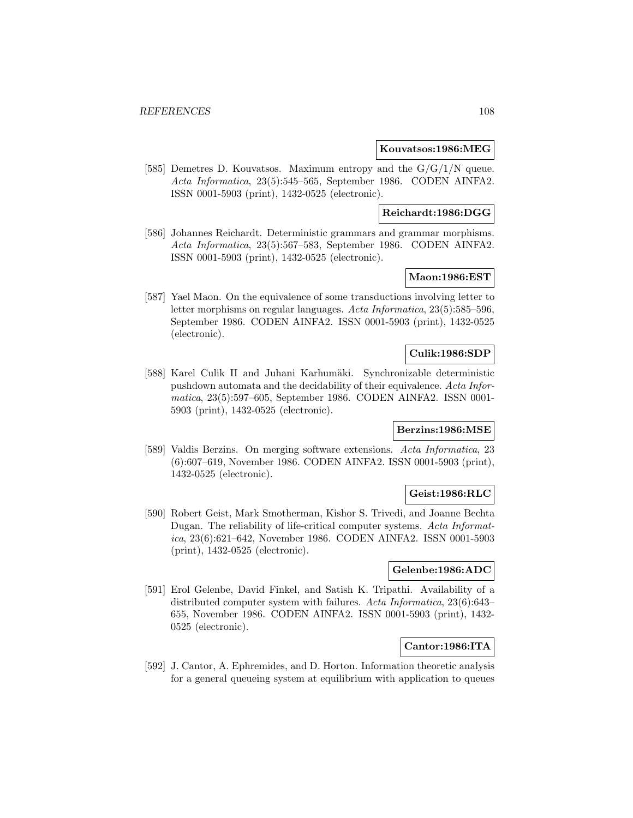#### **Kouvatsos:1986:MEG**

[585] Demetres D. Kouvatsos. Maximum entropy and the  $G/G/1/N$  queue. Acta Informatica, 23(5):545–565, September 1986. CODEN AINFA2. ISSN 0001-5903 (print), 1432-0525 (electronic).

### **Reichardt:1986:DGG**

[586] Johannes Reichardt. Deterministic grammars and grammar morphisms. Acta Informatica, 23(5):567–583, September 1986. CODEN AINFA2. ISSN 0001-5903 (print), 1432-0525 (electronic).

# **Maon:1986:EST**

[587] Yael Maon. On the equivalence of some transductions involving letter to letter morphisms on regular languages. Acta Informatica, 23(5):585–596, September 1986. CODEN AINFA2. ISSN 0001-5903 (print), 1432-0525 (electronic).

## **Culik:1986:SDP**

[588] Karel Culik II and Juhani Karhumäki. Synchronizable deterministic pushdown automata and the decidability of their equivalence. Acta Informatica, 23(5):597–605, September 1986. CODEN AINFA2. ISSN 0001- 5903 (print), 1432-0525 (electronic).

### **Berzins:1986:MSE**

[589] Valdis Berzins. On merging software extensions. Acta Informatica, 23 (6):607–619, November 1986. CODEN AINFA2. ISSN 0001-5903 (print), 1432-0525 (electronic).

# **Geist:1986:RLC**

[590] Robert Geist, Mark Smotherman, Kishor S. Trivedi, and Joanne Bechta Dugan. The reliability of life-critical computer systems. Acta Informatica, 23(6):621–642, November 1986. CODEN AINFA2. ISSN 0001-5903 (print), 1432-0525 (electronic).

## **Gelenbe:1986:ADC**

[591] Erol Gelenbe, David Finkel, and Satish K. Tripathi. Availability of a distributed computer system with failures. Acta Informatica, 23(6):643– 655, November 1986. CODEN AINFA2. ISSN 0001-5903 (print), 1432- 0525 (electronic).

# **Cantor:1986:ITA**

[592] J. Cantor, A. Ephremides, and D. Horton. Information theoretic analysis for a general queueing system at equilibrium with application to queues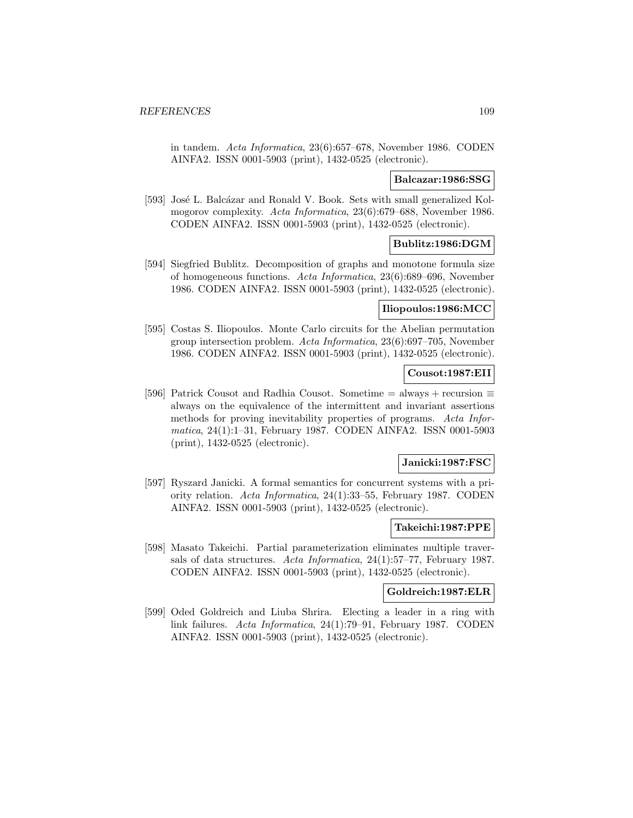in tandem. Acta Informatica, 23(6):657–678, November 1986. CODEN AINFA2. ISSN 0001-5903 (print), 1432-0525 (electronic).

## **Balcazar:1986:SSG**

[593] José L. Balcázar and Ronald V. Book. Sets with small generalized Kolmogorov complexity. Acta Informatica, 23(6):679–688, November 1986. CODEN AINFA2. ISSN 0001-5903 (print), 1432-0525 (electronic).

# **Bublitz:1986:DGM**

[594] Siegfried Bublitz. Decomposition of graphs and monotone formula size of homogeneous functions. Acta Informatica, 23(6):689–696, November 1986. CODEN AINFA2. ISSN 0001-5903 (print), 1432-0525 (electronic).

## **Iliopoulos:1986:MCC**

[595] Costas S. Iliopoulos. Monte Carlo circuits for the Abelian permutation group intersection problem. Acta Informatica, 23(6):697–705, November 1986. CODEN AINFA2. ISSN 0001-5903 (print), 1432-0525 (electronic).

## **Cousot:1987:EII**

[596] Patrick Cousot and Radhia Cousot. Sometime = always + recursion ≡ always on the equivalence of the intermittent and invariant assertions methods for proving inevitability properties of programs. Acta Informatica, 24(1):1–31, February 1987. CODEN AINFA2. ISSN 0001-5903 (print), 1432-0525 (electronic).

### **Janicki:1987:FSC**

[597] Ryszard Janicki. A formal semantics for concurrent systems with a priority relation. Acta Informatica, 24(1):33–55, February 1987. CODEN AINFA2. ISSN 0001-5903 (print), 1432-0525 (electronic).

### **Takeichi:1987:PPE**

[598] Masato Takeichi. Partial parameterization eliminates multiple traversals of data structures. Acta Informatica, 24(1):57–77, February 1987. CODEN AINFA2. ISSN 0001-5903 (print), 1432-0525 (electronic).

#### **Goldreich:1987:ELR**

[599] Oded Goldreich and Liuba Shrira. Electing a leader in a ring with link failures. Acta Informatica, 24(1):79–91, February 1987. CODEN AINFA2. ISSN 0001-5903 (print), 1432-0525 (electronic).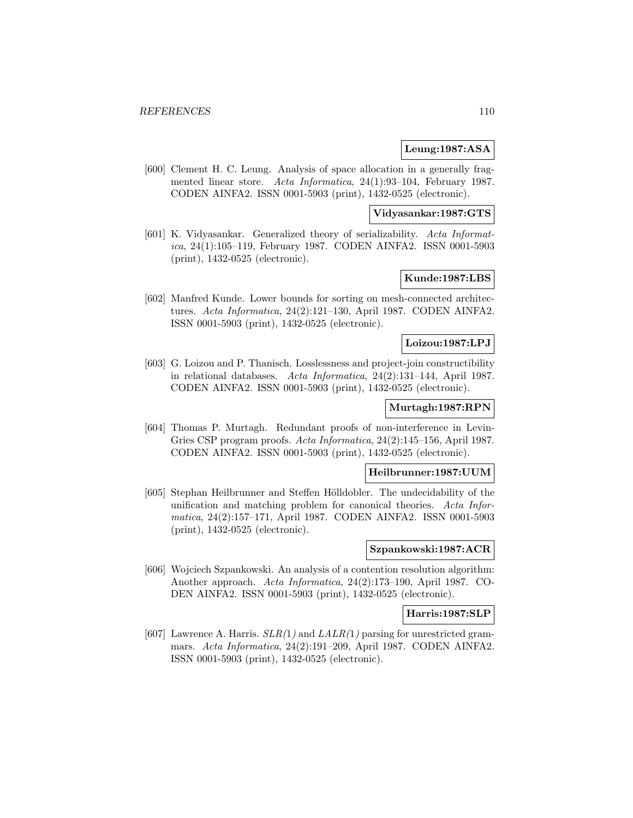### **Leung:1987:ASA**

[600] Clement H. C. Leung. Analysis of space allocation in a generally fragmented linear store. Acta Informatica, 24(1):93–104, February 1987. CODEN AINFA2. ISSN 0001-5903 (print), 1432-0525 (electronic).

# **Vidyasankar:1987:GTS**

[601] K. Vidyasankar. Generalized theory of serializability. Acta Informatica, 24(1):105–119, February 1987. CODEN AINFA2. ISSN 0001-5903 (print), 1432-0525 (electronic).

## **Kunde:1987:LBS**

[602] Manfred Kunde. Lower bounds for sorting on mesh-connected architectures. Acta Informatica, 24(2):121–130, April 1987. CODEN AINFA2. ISSN 0001-5903 (print), 1432-0525 (electronic).

## **Loizou:1987:LPJ**

[603] G. Loizou and P. Thanisch. Losslessness and project-join constructibility in relational databases. Acta Informatica, 24(2):131–144, April 1987. CODEN AINFA2. ISSN 0001-5903 (print), 1432-0525 (electronic).

# **Murtagh:1987:RPN**

[604] Thomas P. Murtagh. Redundant proofs of non-interference in Levin-Gries CSP program proofs. Acta Informatica, 24(2):145–156, April 1987. CODEN AINFA2. ISSN 0001-5903 (print), 1432-0525 (electronic).

### **Heilbrunner:1987:UUM**

[605] Stephan Heilbrunner and Steffen Hölldobler. The undecidability of the unification and matching problem for canonical theories. Acta Informatica, 24(2):157–171, April 1987. CODEN AINFA2. ISSN 0001-5903 (print), 1432-0525 (electronic).

## **Szpankowski:1987:ACR**

[606] Wojciech Szpankowski. An analysis of a contention resolution algorithm: Another approach. Acta Informatica, 24(2):173–190, April 1987. CO-DEN AINFA2. ISSN 0001-5903 (print), 1432-0525 (electronic).

**Harris:1987:SLP**

[607] Lawrence A. Harris.  $SLR(1)$  and  $LALR(1)$  parsing for unrestricted grammars. Acta Informatica, 24(2):191–209, April 1987. CODEN AINFA2. ISSN 0001-5903 (print), 1432-0525 (electronic).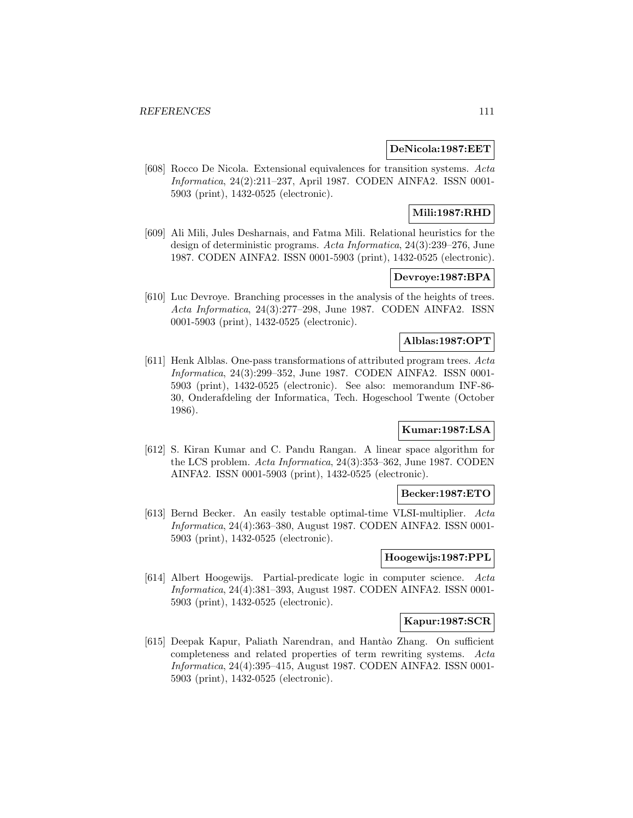### **DeNicola:1987:EET**

[608] Rocco De Nicola. Extensional equivalences for transition systems. Acta Informatica, 24(2):211–237, April 1987. CODEN AINFA2. ISSN 0001- 5903 (print), 1432-0525 (electronic).

# **Mili:1987:RHD**

[609] Ali Mili, Jules Desharnais, and Fatma Mili. Relational heuristics for the design of deterministic programs. Acta Informatica, 24(3):239–276, June 1987. CODEN AINFA2. ISSN 0001-5903 (print), 1432-0525 (electronic).

## **Devroye:1987:BPA**

[610] Luc Devroye. Branching processes in the analysis of the heights of trees. Acta Informatica, 24(3):277–298, June 1987. CODEN AINFA2. ISSN 0001-5903 (print), 1432-0525 (electronic).

# **Alblas:1987:OPT**

[611] Henk Alblas. One-pass transformations of attributed program trees. Acta Informatica, 24(3):299–352, June 1987. CODEN AINFA2. ISSN 0001- 5903 (print), 1432-0525 (electronic). See also: memorandum INF-86- 30, Onderafdeling der Informatica, Tech. Hogeschool Twente (October 1986).

# **Kumar:1987:LSA**

[612] S. Kiran Kumar and C. Pandu Rangan. A linear space algorithm for the LCS problem. Acta Informatica, 24(3):353–362, June 1987. CODEN AINFA2. ISSN 0001-5903 (print), 1432-0525 (electronic).

## **Becker:1987:ETO**

[613] Bernd Becker. An easily testable optimal-time VLSI-multiplier. Acta Informatica, 24(4):363–380, August 1987. CODEN AINFA2. ISSN 0001- 5903 (print), 1432-0525 (electronic).

## **Hoogewijs:1987:PPL**

[614] Albert Hoogewijs. Partial-predicate logic in computer science. Acta Informatica, 24(4):381–393, August 1987. CODEN AINFA2. ISSN 0001- 5903 (print), 1432-0525 (electronic).

## **Kapur:1987:SCR**

[615] Deepak Kapur, Paliath Narendran, and Hantào Zhang. On sufficient completeness and related properties of term rewriting systems. Acta Informatica, 24(4):395–415, August 1987. CODEN AINFA2. ISSN 0001- 5903 (print), 1432-0525 (electronic).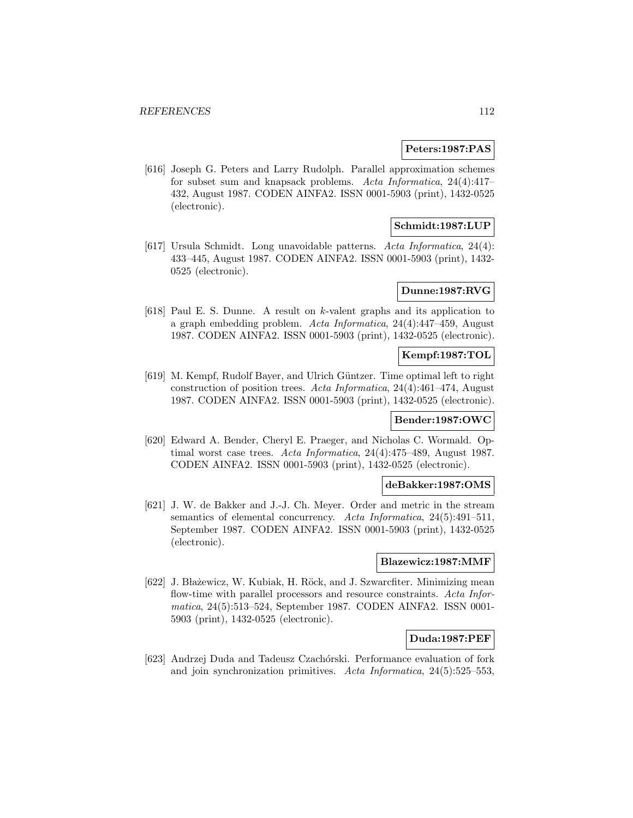### **Peters:1987:PAS**

[616] Joseph G. Peters and Larry Rudolph. Parallel approximation schemes for subset sum and knapsack problems. Acta Informatica, 24(4):417– 432, August 1987. CODEN AINFA2. ISSN 0001-5903 (print), 1432-0525 (electronic).

## **Schmidt:1987:LUP**

[617] Ursula Schmidt. Long unavoidable patterns. Acta Informatica, 24(4): 433–445, August 1987. CODEN AINFA2. ISSN 0001-5903 (print), 1432- 0525 (electronic).

## **Dunne:1987:RVG**

[618] Paul E. S. Dunne. A result on k-valent graphs and its application to a graph embedding problem. Acta Informatica, 24(4):447–459, August 1987. CODEN AINFA2. ISSN 0001-5903 (print), 1432-0525 (electronic).

## **Kempf:1987:TOL**

[619] M. Kempf, Rudolf Bayer, and Ulrich Güntzer. Time optimal left to right construction of position trees. Acta Informatica, 24(4):461–474, August 1987. CODEN AINFA2. ISSN 0001-5903 (print), 1432-0525 (electronic).

## **Bender:1987:OWC**

[620] Edward A. Bender, Cheryl E. Praeger, and Nicholas C. Wormald. Optimal worst case trees. Acta Informatica, 24(4):475–489, August 1987. CODEN AINFA2. ISSN 0001-5903 (print), 1432-0525 (electronic).

#### **deBakker:1987:OMS**

[621] J. W. de Bakker and J.-J. Ch. Meyer. Order and metric in the stream semantics of elemental concurrency. Acta Informatica, 24(5):491-511. September 1987. CODEN AINFA2. ISSN 0001-5903 (print), 1432-0525 (electronic).

## **Blazewicz:1987:MMF**

[622] J. Błażewicz, W. Kubiak, H. Röck, and J. Szwarcfiter. Minimizing mean flow-time with parallel processors and resource constraints. Acta Informatica, 24(5):513–524, September 1987. CODEN AINFA2. ISSN 0001- 5903 (print), 1432-0525 (electronic).

#### **Duda:1987:PEF**

[623] Andrzej Duda and Tadeusz Czachórski. Performance evaluation of fork and join synchronization primitives. Acta Informatica, 24(5):525–553,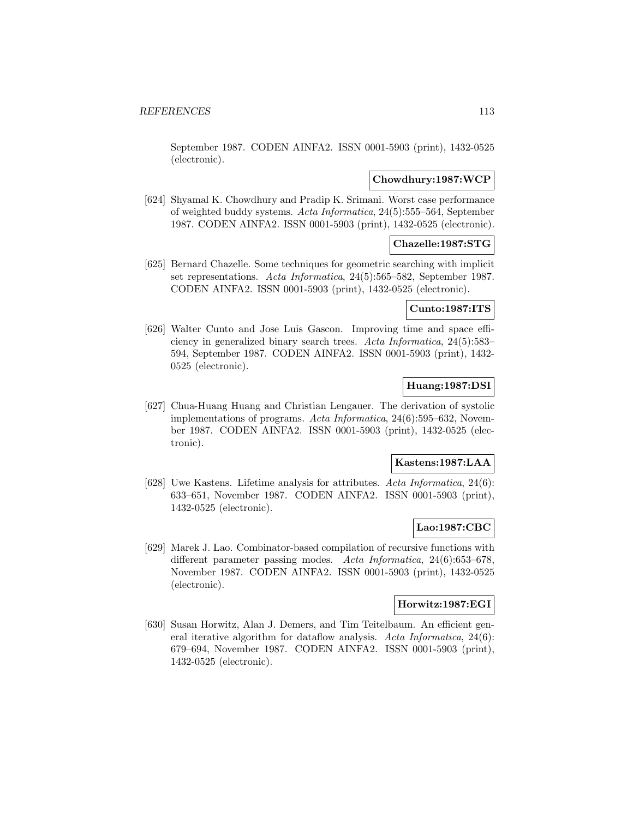September 1987. CODEN AINFA2. ISSN 0001-5903 (print), 1432-0525 (electronic).

## **Chowdhury:1987:WCP**

[624] Shyamal K. Chowdhury and Pradip K. Srimani. Worst case performance of weighted buddy systems. Acta Informatica, 24(5):555–564, September 1987. CODEN AINFA2. ISSN 0001-5903 (print), 1432-0525 (electronic).

## **Chazelle:1987:STG**

[625] Bernard Chazelle. Some techniques for geometric searching with implicit set representations. Acta Informatica, 24(5):565–582, September 1987. CODEN AINFA2. ISSN 0001-5903 (print), 1432-0525 (electronic).

## **Cunto:1987:ITS**

[626] Walter Cunto and Jose Luis Gascon. Improving time and space efficiency in generalized binary search trees. Acta Informatica, 24(5):583– 594, September 1987. CODEN AINFA2. ISSN 0001-5903 (print), 1432- 0525 (electronic).

## **Huang:1987:DSI**

[627] Chua-Huang Huang and Christian Lengauer. The derivation of systolic implementations of programs. Acta Informatica, 24(6):595–632, November 1987. CODEN AINFA2. ISSN 0001-5903 (print), 1432-0525 (electronic).

### **Kastens:1987:LAA**

[628] Uwe Kastens. Lifetime analysis for attributes. Acta Informatica, 24(6): 633–651, November 1987. CODEN AINFA2. ISSN 0001-5903 (print), 1432-0525 (electronic).

# **Lao:1987:CBC**

[629] Marek J. Lao. Combinator-based compilation of recursive functions with different parameter passing modes. Acta Informatica, 24(6):653-678, November 1987. CODEN AINFA2. ISSN 0001-5903 (print), 1432-0525 (electronic).

#### **Horwitz:1987:EGI**

[630] Susan Horwitz, Alan J. Demers, and Tim Teitelbaum. An efficient general iterative algorithm for dataflow analysis. Acta Informatica, 24(6): 679–694, November 1987. CODEN AINFA2. ISSN 0001-5903 (print), 1432-0525 (electronic).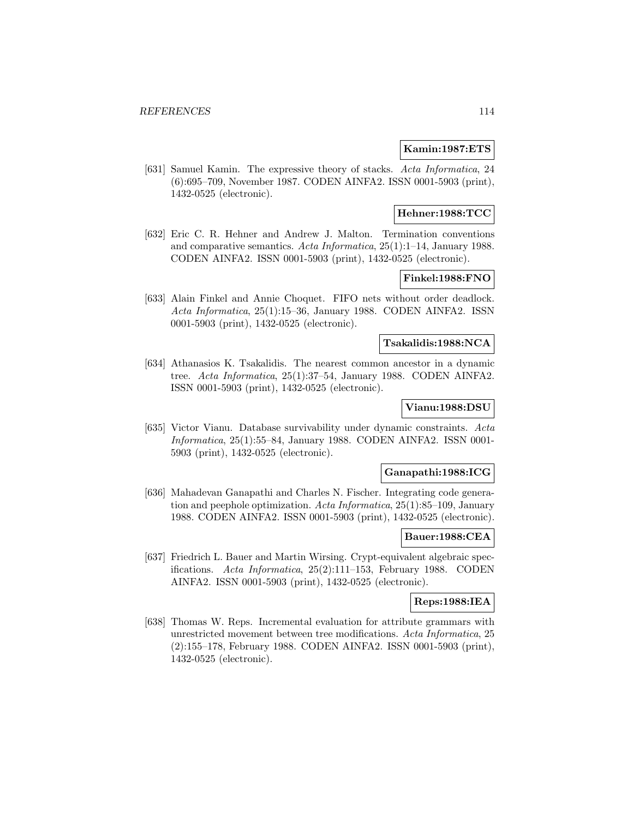## **Kamin:1987:ETS**

[631] Samuel Kamin. The expressive theory of stacks. Acta Informatica, 24 (6):695–709, November 1987. CODEN AINFA2. ISSN 0001-5903 (print), 1432-0525 (electronic).

## **Hehner:1988:TCC**

[632] Eric C. R. Hehner and Andrew J. Malton. Termination conventions and comparative semantics. Acta Informatica, 25(1):1–14, January 1988. CODEN AINFA2. ISSN 0001-5903 (print), 1432-0525 (electronic).

## **Finkel:1988:FNO**

[633] Alain Finkel and Annie Choquet. FIFO nets without order deadlock. Acta Informatica, 25(1):15–36, January 1988. CODEN AINFA2. ISSN 0001-5903 (print), 1432-0525 (electronic).

### **Tsakalidis:1988:NCA**

[634] Athanasios K. Tsakalidis. The nearest common ancestor in a dynamic tree. Acta Informatica, 25(1):37–54, January 1988. CODEN AINFA2. ISSN 0001-5903 (print), 1432-0525 (electronic).

# **Vianu:1988:DSU**

[635] Victor Vianu. Database survivability under dynamic constraints. Acta Informatica, 25(1):55–84, January 1988. CODEN AINFA2. ISSN 0001- 5903 (print), 1432-0525 (electronic).

## **Ganapathi:1988:ICG**

[636] Mahadevan Ganapathi and Charles N. Fischer. Integrating code generation and peephole optimization. Acta Informatica, 25(1):85–109, January 1988. CODEN AINFA2. ISSN 0001-5903 (print), 1432-0525 (electronic).

## **Bauer:1988:CEA**

[637] Friedrich L. Bauer and Martin Wirsing. Crypt-equivalent algebraic specifications. Acta Informatica, 25(2):111–153, February 1988. CODEN AINFA2. ISSN 0001-5903 (print), 1432-0525 (electronic).

### **Reps:1988:IEA**

[638] Thomas W. Reps. Incremental evaluation for attribute grammars with unrestricted movement between tree modifications. Acta Informatica, 25 (2):155–178, February 1988. CODEN AINFA2. ISSN 0001-5903 (print), 1432-0525 (electronic).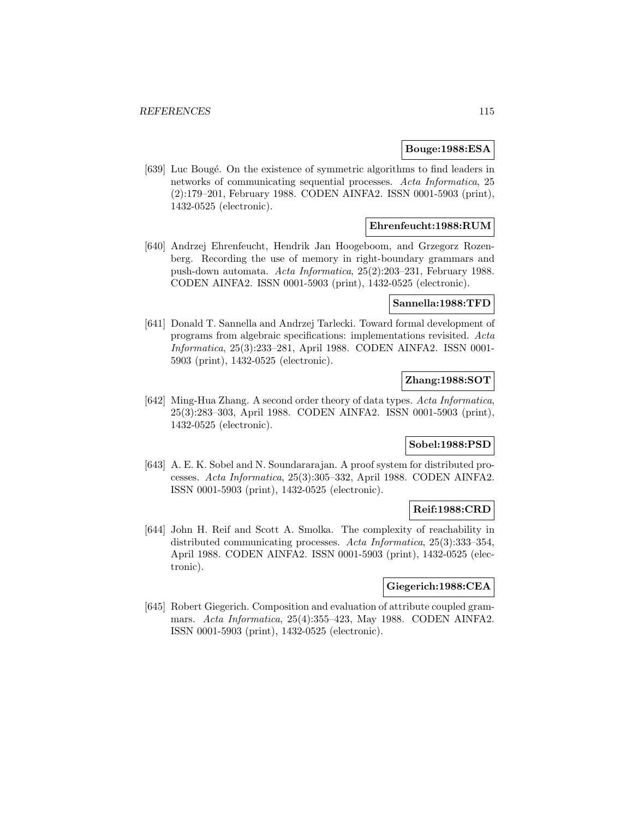### **Bouge:1988:ESA**

[639] Luc Bougé. On the existence of symmetric algorithms to find leaders in networks of communicating sequential processes. Acta Informatica, 25 (2):179–201, February 1988. CODEN AINFA2. ISSN 0001-5903 (print), 1432-0525 (electronic).

## **Ehrenfeucht:1988:RUM**

[640] Andrzej Ehrenfeucht, Hendrik Jan Hoogeboom, and Grzegorz Rozenberg. Recording the use of memory in right-boundary grammars and push-down automata. Acta Informatica, 25(2):203–231, February 1988. CODEN AINFA2. ISSN 0001-5903 (print), 1432-0525 (electronic).

## **Sannella:1988:TFD**

[641] Donald T. Sannella and Andrzej Tarlecki. Toward formal development of programs from algebraic specifications: implementations revisited. Acta Informatica, 25(3):233–281, April 1988. CODEN AINFA2. ISSN 0001- 5903 (print), 1432-0525 (electronic).

## **Zhang:1988:SOT**

[642] Ming-Hua Zhang. A second order theory of data types. Acta Informatica, 25(3):283–303, April 1988. CODEN AINFA2. ISSN 0001-5903 (print), 1432-0525 (electronic).

# **Sobel:1988:PSD**

[643] A. E. K. Sobel and N. Soundararajan. A proof system for distributed processes. Acta Informatica, 25(3):305–332, April 1988. CODEN AINFA2. ISSN 0001-5903 (print), 1432-0525 (electronic).

#### **Reif:1988:CRD**

[644] John H. Reif and Scott A. Smolka. The complexity of reachability in distributed communicating processes. Acta Informatica, 25(3):333–354, April 1988. CODEN AINFA2. ISSN 0001-5903 (print), 1432-0525 (electronic).

## **Giegerich:1988:CEA**

[645] Robert Giegerich. Composition and evaluation of attribute coupled grammars. Acta Informatica, 25(4):355–423, May 1988. CODEN AINFA2. ISSN 0001-5903 (print), 1432-0525 (electronic).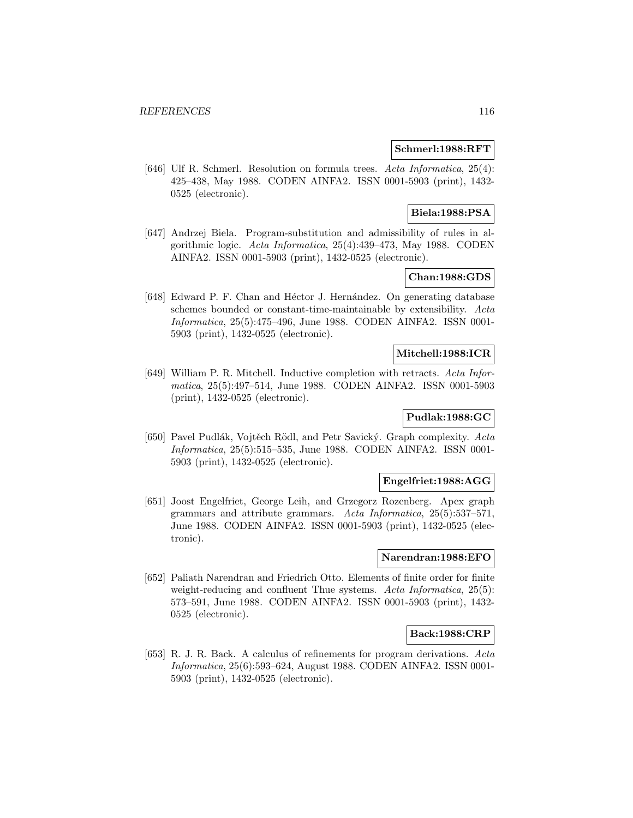### **Schmerl:1988:RFT**

[646] Ulf R. Schmerl. Resolution on formula trees. Acta Informatica, 25(4): 425–438, May 1988. CODEN AINFA2. ISSN 0001-5903 (print), 1432- 0525 (electronic).

## **Biela:1988:PSA**

[647] Andrzej Biela. Program-substitution and admissibility of rules in algorithmic logic. Acta Informatica, 25(4):439–473, May 1988. CODEN AINFA2. ISSN 0001-5903 (print), 1432-0525 (electronic).

## **Chan:1988:GDS**

[648] Edward P. F. Chan and Héctor J. Hernández. On generating database schemes bounded or constant-time-maintainable by extensibility. Acta Informatica, 25(5):475–496, June 1988. CODEN AINFA2. ISSN 0001- 5903 (print), 1432-0525 (electronic).

## **Mitchell:1988:ICR**

[649] William P. R. Mitchell. Inductive completion with retracts. Acta Informatica, 25(5):497–514, June 1988. CODEN AINFA2. ISSN 0001-5903 (print), 1432-0525 (electronic).

# **Pudlak:1988:GC**

[650] Pavel Pudlák, Vojtěch Rödl, and Petr Savický. Graph complexity. Acta Informatica, 25(5):515–535, June 1988. CODEN AINFA2. ISSN 0001- 5903 (print), 1432-0525 (electronic).

### **Engelfriet:1988:AGG**

[651] Joost Engelfriet, George Leih, and Grzegorz Rozenberg. Apex graph grammars and attribute grammars. Acta Informatica, 25(5):537–571, June 1988. CODEN AINFA2. ISSN 0001-5903 (print), 1432-0525 (electronic).

### **Narendran:1988:EFO**

[652] Paliath Narendran and Friedrich Otto. Elements of finite order for finite weight-reducing and confluent Thue systems. Acta Informatica, 25(5): 573–591, June 1988. CODEN AINFA2. ISSN 0001-5903 (print), 1432- 0525 (electronic).

## **Back:1988:CRP**

[653] R. J. R. Back. A calculus of refinements for program derivations. Acta Informatica, 25(6):593–624, August 1988. CODEN AINFA2. ISSN 0001- 5903 (print), 1432-0525 (electronic).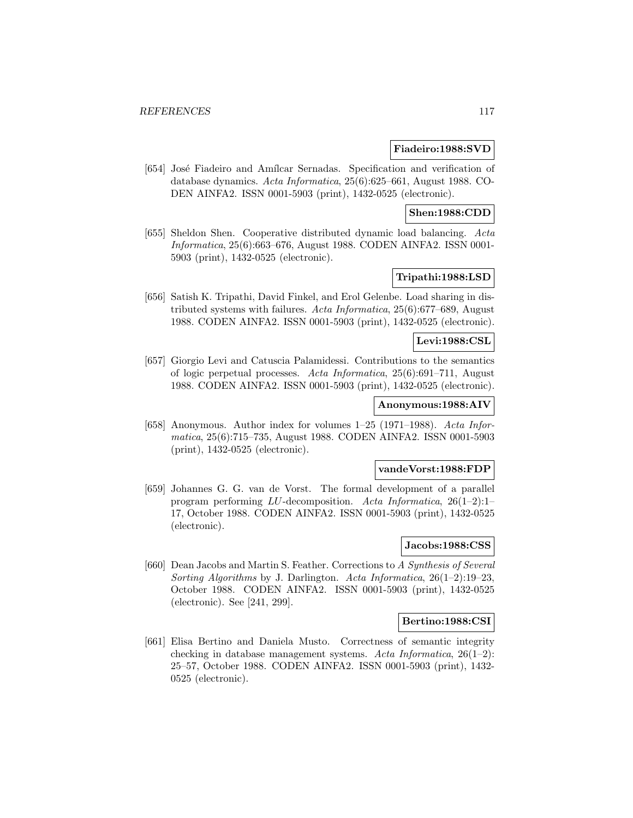## **Fiadeiro:1988:SVD**

[654] José Fiadeiro and Amílcar Sernadas. Specification and verification of database dynamics. Acta Informatica, 25(6):625–661, August 1988. CO-DEN AINFA2. ISSN 0001-5903 (print), 1432-0525 (electronic).

## **Shen:1988:CDD**

[655] Sheldon Shen. Cooperative distributed dynamic load balancing. Acta Informatica, 25(6):663–676, August 1988. CODEN AINFA2. ISSN 0001- 5903 (print), 1432-0525 (electronic).

# **Tripathi:1988:LSD**

[656] Satish K. Tripathi, David Finkel, and Erol Gelenbe. Load sharing in distributed systems with failures. Acta Informatica, 25(6):677–689, August 1988. CODEN AINFA2. ISSN 0001-5903 (print), 1432-0525 (electronic).

## **Levi:1988:CSL**

[657] Giorgio Levi and Catuscia Palamidessi. Contributions to the semantics of logic perpetual processes. Acta Informatica, 25(6):691–711, August 1988. CODEN AINFA2. ISSN 0001-5903 (print), 1432-0525 (electronic).

## **Anonymous:1988:AIV**

[658] Anonymous. Author index for volumes 1–25 (1971–1988). Acta Informatica, 25(6):715–735, August 1988. CODEN AINFA2. ISSN 0001-5903 (print), 1432-0525 (electronic).

### **vandeVorst:1988:FDP**

[659] Johannes G. G. van de Vorst. The formal development of a parallel program performing LU-decomposition. Acta Informatica, 26(1–2):1– 17, October 1988. CODEN AINFA2. ISSN 0001-5903 (print), 1432-0525 (electronic).

## **Jacobs:1988:CSS**

[660] Dean Jacobs and Martin S. Feather. Corrections to A Synthesis of Several Sorting Algorithms by J. Darlington. Acta Informatica,  $26(1-2):19-23$ . October 1988. CODEN AINFA2. ISSN 0001-5903 (print), 1432-0525 (electronic). See [241, 299].

## **Bertino:1988:CSI**

[661] Elisa Bertino and Daniela Musto. Correctness of semantic integrity checking in database management systems. Acta Informatica,  $26(1-2)$ : 25–57, October 1988. CODEN AINFA2. ISSN 0001-5903 (print), 1432- 0525 (electronic).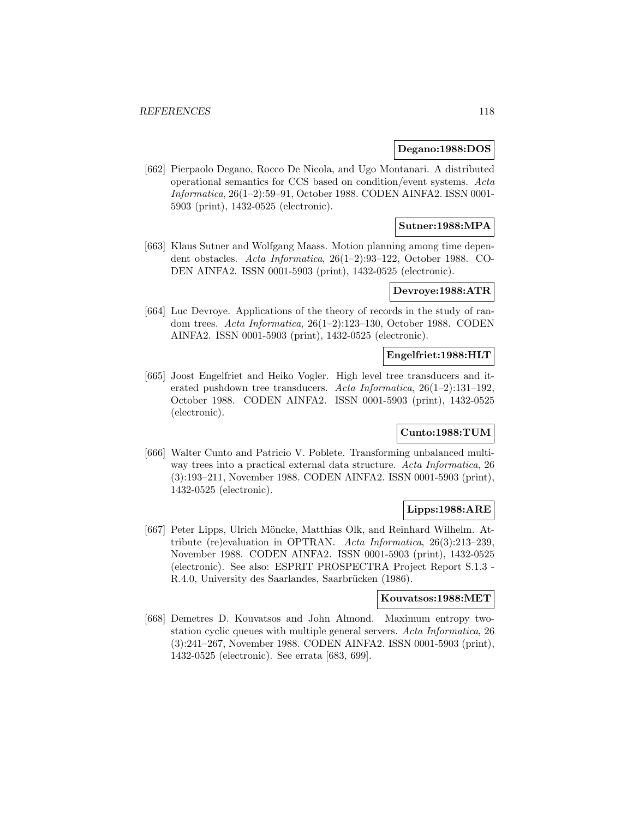### **Degano:1988:DOS**

[662] Pierpaolo Degano, Rocco De Nicola, and Ugo Montanari. A distributed operational semantics for CCS based on condition/event systems. Acta Informatica, 26(1–2):59–91, October 1988. CODEN AINFA2. ISSN 0001- 5903 (print), 1432-0525 (electronic).

# **Sutner:1988:MPA**

[663] Klaus Sutner and Wolfgang Maass. Motion planning among time dependent obstacles. Acta Informatica, 26(1–2):93–122, October 1988. CO-DEN AINFA2. ISSN 0001-5903 (print), 1432-0525 (electronic).

#### **Devroye:1988:ATR**

[664] Luc Devroye. Applications of the theory of records in the study of random trees. Acta Informatica, 26(1–2):123–130, October 1988. CODEN AINFA2. ISSN 0001-5903 (print), 1432-0525 (electronic).

## **Engelfriet:1988:HLT**

[665] Joost Engelfriet and Heiko Vogler. High level tree transducers and iterated pushdown tree transducers. Acta Informatica, 26(1–2):131–192, October 1988. CODEN AINFA2. ISSN 0001-5903 (print), 1432-0525 (electronic).

## **Cunto:1988:TUM**

[666] Walter Cunto and Patricio V. Poblete. Transforming unbalanced multiway trees into a practical external data structure. Acta Informatica, 26 (3):193–211, November 1988. CODEN AINFA2. ISSN 0001-5903 (print), 1432-0525 (electronic).

## **Lipps:1988:ARE**

[667] Peter Lipps, Ulrich Möncke, Matthias Olk, and Reinhard Wilhelm. Attribute (re)evaluation in OPTRAN. Acta Informatica, 26(3):213–239, November 1988. CODEN AINFA2. ISSN 0001-5903 (print), 1432-0525 (electronic). See also: ESPRIT PROSPECTRA Project Report S.1.3 - R.4.0, University des Saarlandes, Saarbrücken (1986).

### **Kouvatsos:1988:MET**

[668] Demetres D. Kouvatsos and John Almond. Maximum entropy twostation cyclic queues with multiple general servers. Acta Informatica, 26 (3):241–267, November 1988. CODEN AINFA2. ISSN 0001-5903 (print), 1432-0525 (electronic). See errata [683, 699].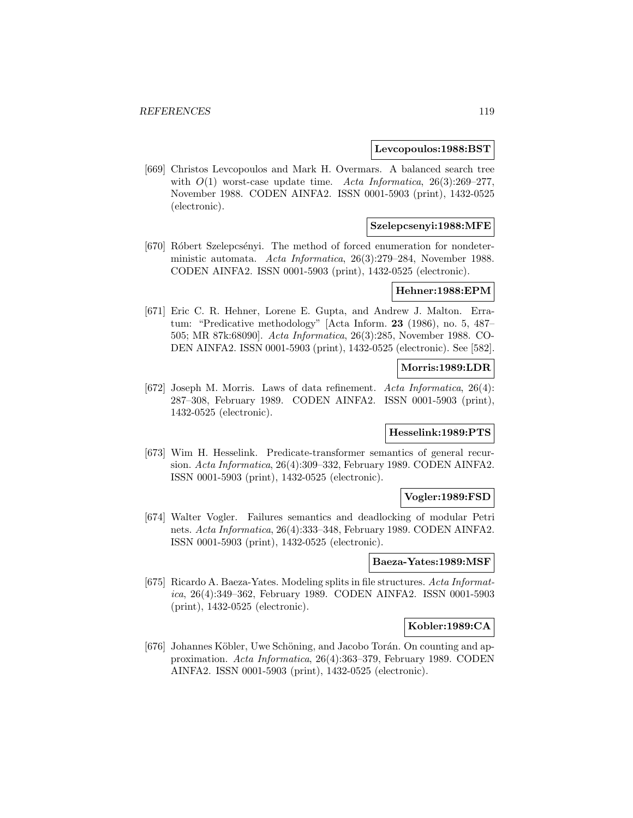#### **Levcopoulos:1988:BST**

[669] Christos Levcopoulos and Mark H. Overmars. A balanced search tree with  $O(1)$  worst-case update time. Acta Informatica, 26(3):269–277, November 1988. CODEN AINFA2. ISSN 0001-5903 (print), 1432-0525 (electronic).

### **Szelepcsenyi:1988:MFE**

[670] Róbert Szelepcsényi. The method of forced enumeration for nondeterministic automata. Acta Informatica, 26(3):279–284, November 1988. CODEN AINFA2. ISSN 0001-5903 (print), 1432-0525 (electronic).

#### **Hehner:1988:EPM**

[671] Eric C. R. Hehner, Lorene E. Gupta, and Andrew J. Malton. Erratum: "Predicative methodology" [Acta Inform. **23** (1986), no. 5, 487– 505; MR 87k:68090]. Acta Informatica, 26(3):285, November 1988. CO-DEN AINFA2. ISSN 0001-5903 (print), 1432-0525 (electronic). See [582].

### **Morris:1989:LDR**

[672] Joseph M. Morris. Laws of data refinement. Acta Informatica, 26(4): 287–308, February 1989. CODEN AINFA2. ISSN 0001-5903 (print), 1432-0525 (electronic).

#### **Hesselink:1989:PTS**

[673] Wim H. Hesselink. Predicate-transformer semantics of general recursion. Acta Informatica, 26(4):309–332, February 1989. CODEN AINFA2. ISSN 0001-5903 (print), 1432-0525 (electronic).

### **Vogler:1989:FSD**

[674] Walter Vogler. Failures semantics and deadlocking of modular Petri nets. Acta Informatica, 26(4):333–348, February 1989. CODEN AINFA2. ISSN 0001-5903 (print), 1432-0525 (electronic).

## **Baeza-Yates:1989:MSF**

[675] Ricardo A. Baeza-Yates. Modeling splits in file structures. Acta Informatica, 26(4):349–362, February 1989. CODEN AINFA2. ISSN 0001-5903 (print), 1432-0525 (electronic).

#### **Kobler:1989:CA**

[676] Johannes Köbler, Uwe Schöning, and Jacobo Torán. On counting and approximation. Acta Informatica, 26(4):363–379, February 1989. CODEN AINFA2. ISSN 0001-5903 (print), 1432-0525 (electronic).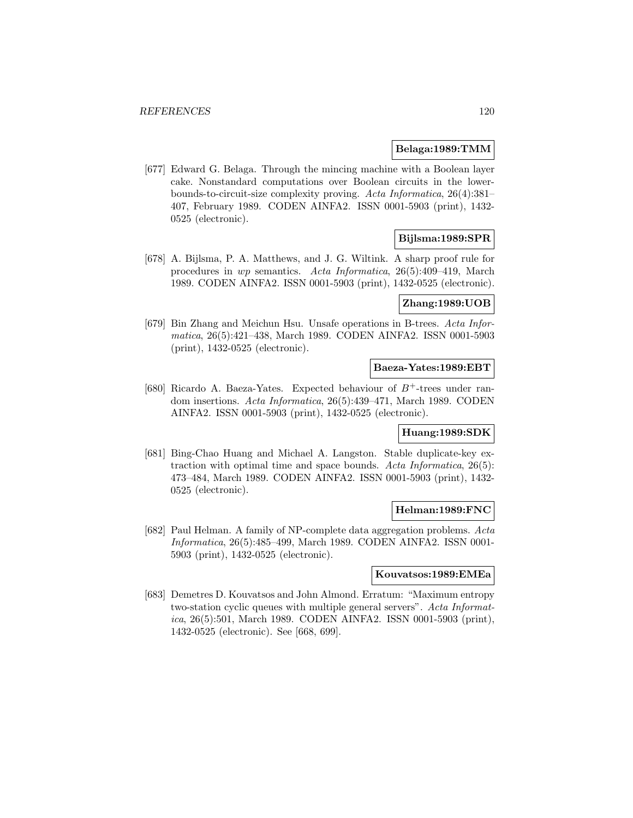#### **Belaga:1989:TMM**

[677] Edward G. Belaga. Through the mincing machine with a Boolean layer cake. Nonstandard computations over Boolean circuits in the lowerbounds-to-circuit-size complexity proving. Acta Informatica, 26(4):381– 407, February 1989. CODEN AINFA2. ISSN 0001-5903 (print), 1432- 0525 (electronic).

## **Bijlsma:1989:SPR**

[678] A. Bijlsma, P. A. Matthews, and J. G. Wiltink. A sharp proof rule for procedures in wp semantics. Acta Informatica, 26(5):409–419, March 1989. CODEN AINFA2. ISSN 0001-5903 (print), 1432-0525 (electronic).

### **Zhang:1989:UOB**

[679] Bin Zhang and Meichun Hsu. Unsafe operations in B-trees. Acta Informatica, 26(5):421–438, March 1989. CODEN AINFA2. ISSN 0001-5903 (print), 1432-0525 (electronic).

### **Baeza-Yates:1989:EBT**

[680] Ricardo A. Baeza-Yates. Expected behaviour of  $B^+$ -trees under random insertions. Acta Informatica, 26(5):439–471, March 1989. CODEN AINFA2. ISSN 0001-5903 (print), 1432-0525 (electronic).

#### **Huang:1989:SDK**

[681] Bing-Chao Huang and Michael A. Langston. Stable duplicate-key extraction with optimal time and space bounds. Acta Informatica, 26(5): 473–484, March 1989. CODEN AINFA2. ISSN 0001-5903 (print), 1432- 0525 (electronic).

## **Helman:1989:FNC**

[682] Paul Helman. A family of NP-complete data aggregation problems. Acta Informatica, 26(5):485–499, March 1989. CODEN AINFA2. ISSN 0001- 5903 (print), 1432-0525 (electronic).

#### **Kouvatsos:1989:EMEa**

[683] Demetres D. Kouvatsos and John Almond. Erratum: "Maximum entropy two-station cyclic queues with multiple general servers". Acta Informatica, 26(5):501, March 1989. CODEN AINFA2. ISSN 0001-5903 (print), 1432-0525 (electronic). See [668, 699].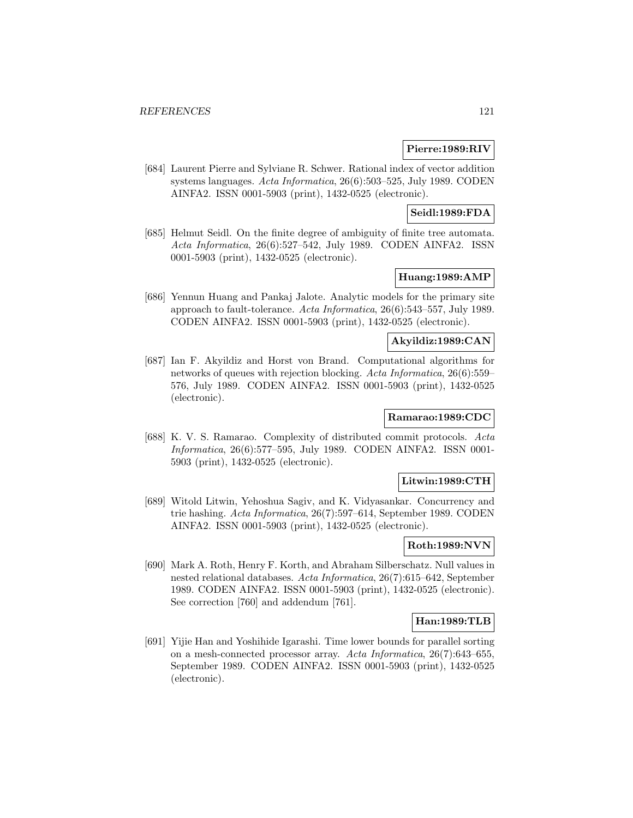## **Pierre:1989:RIV**

[684] Laurent Pierre and Sylviane R. Schwer. Rational index of vector addition systems languages. Acta Informatica, 26(6):503–525, July 1989. CODEN AINFA2. ISSN 0001-5903 (print), 1432-0525 (electronic).

## **Seidl:1989:FDA**

[685] Helmut Seidl. On the finite degree of ambiguity of finite tree automata. Acta Informatica, 26(6):527–542, July 1989. CODEN AINFA2. ISSN 0001-5903 (print), 1432-0525 (electronic).

# **Huang:1989:AMP**

[686] Yennun Huang and Pankaj Jalote. Analytic models for the primary site approach to fault-tolerance. Acta Informatica, 26(6):543–557, July 1989. CODEN AINFA2. ISSN 0001-5903 (print), 1432-0525 (electronic).

## **Akyildiz:1989:CAN**

[687] Ian F. Akyildiz and Horst von Brand. Computational algorithms for networks of queues with rejection blocking. Acta Informatica, 26(6):559– 576, July 1989. CODEN AINFA2. ISSN 0001-5903 (print), 1432-0525 (electronic).

# **Ramarao:1989:CDC**

[688] K. V. S. Ramarao. Complexity of distributed commit protocols. Acta Informatica, 26(6):577–595, July 1989. CODEN AINFA2. ISSN 0001- 5903 (print), 1432-0525 (electronic).

## **Litwin:1989:CTH**

[689] Witold Litwin, Yehoshua Sagiv, and K. Vidyasankar. Concurrency and trie hashing. Acta Informatica, 26(7):597–614, September 1989. CODEN AINFA2. ISSN 0001-5903 (print), 1432-0525 (electronic).

# **Roth:1989:NVN**

[690] Mark A. Roth, Henry F. Korth, and Abraham Silberschatz. Null values in nested relational databases. Acta Informatica, 26(7):615–642, September 1989. CODEN AINFA2. ISSN 0001-5903 (print), 1432-0525 (electronic). See correction [760] and addendum [761].

## **Han:1989:TLB**

[691] Yijie Han and Yoshihide Igarashi. Time lower bounds for parallel sorting on a mesh-connected processor array. Acta Informatica, 26(7):643–655, September 1989. CODEN AINFA2. ISSN 0001-5903 (print), 1432-0525 (electronic).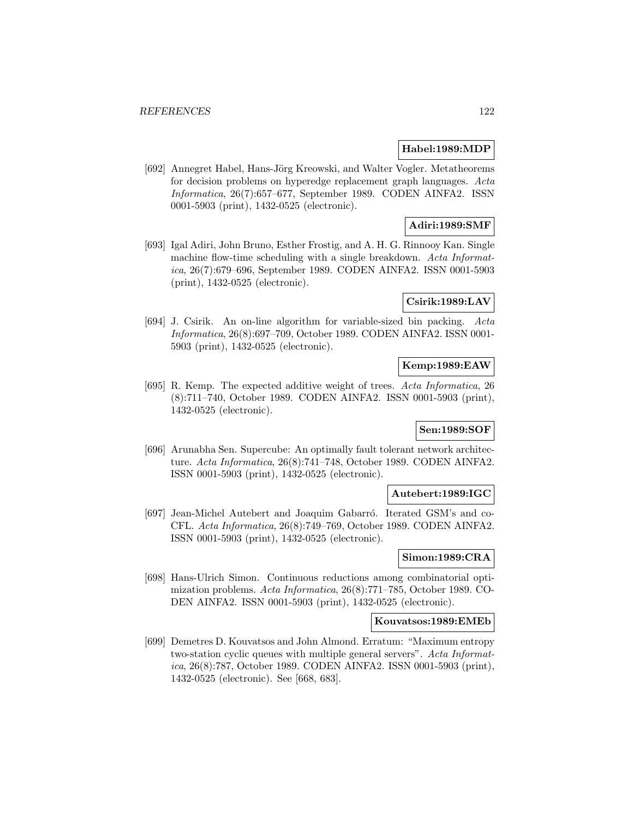### **Habel:1989:MDP**

[692] Annegret Habel, Hans-Jörg Kreowski, and Walter Vogler. Metatheorems for decision problems on hyperedge replacement graph languages. Acta Informatica, 26(7):657–677, September 1989. CODEN AINFA2. ISSN 0001-5903 (print), 1432-0525 (electronic).

# **Adiri:1989:SMF**

[693] Igal Adiri, John Bruno, Esther Frostig, and A. H. G. Rinnooy Kan. Single machine flow-time scheduling with a single breakdown. Acta Informatica, 26(7):679–696, September 1989. CODEN AINFA2. ISSN 0001-5903 (print), 1432-0525 (electronic).

## **Csirik:1989:LAV**

[694] J. Csirik. An on-line algorithm for variable-sized bin packing. Acta Informatica, 26(8):697–709, October 1989. CODEN AINFA2. ISSN 0001- 5903 (print), 1432-0525 (electronic).

## **Kemp:1989:EAW**

[695] R. Kemp. The expected additive weight of trees. Acta Informatica, 26 (8):711–740, October 1989. CODEN AINFA2. ISSN 0001-5903 (print), 1432-0525 (electronic).

# **Sen:1989:SOF**

[696] Arunabha Sen. Supercube: An optimally fault tolerant network architecture. Acta Informatica, 26(8):741–748, October 1989. CODEN AINFA2. ISSN 0001-5903 (print), 1432-0525 (electronic).

## **Autebert:1989:IGC**

[697] Jean-Michel Autebert and Joaquim Gabarró. Iterated GSM's and co-CFL. Acta Informatica, 26(8):749–769, October 1989. CODEN AINFA2. ISSN 0001-5903 (print), 1432-0525 (electronic).

## **Simon:1989:CRA**

[698] Hans-Ulrich Simon. Continuous reductions among combinatorial optimization problems. Acta Informatica, 26(8):771–785, October 1989. CO-DEN AINFA2. ISSN 0001-5903 (print), 1432-0525 (electronic).

#### **Kouvatsos:1989:EMEb**

[699] Demetres D. Kouvatsos and John Almond. Erratum: "Maximum entropy two-station cyclic queues with multiple general servers". Acta Informatica, 26(8):787, October 1989. CODEN AINFA2. ISSN 0001-5903 (print), 1432-0525 (electronic). See [668, 683].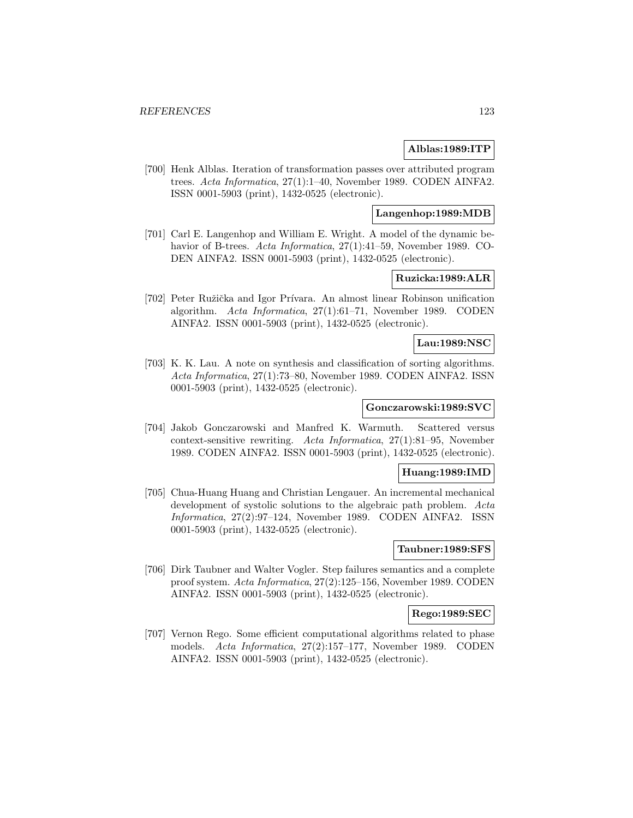## **Alblas:1989:ITP**

[700] Henk Alblas. Iteration of transformation passes over attributed program trees. Acta Informatica, 27(1):1–40, November 1989. CODEN AINFA2. ISSN 0001-5903 (print), 1432-0525 (electronic).

## **Langenhop:1989:MDB**

[701] Carl E. Langenhop and William E. Wright. A model of the dynamic behavior of B-trees. Acta Informatica, 27(1):41–59, November 1989. CO-DEN AINFA2. ISSN 0001-5903 (print), 1432-0525 (electronic).

## **Ruzicka:1989:ALR**

[702] Peter Ružička and Igor Prívara. An almost linear Robinson unification algorithm. Acta Informatica, 27(1):61–71, November 1989. CODEN AINFA2. ISSN 0001-5903 (print), 1432-0525 (electronic).

### **Lau:1989:NSC**

[703] K. K. Lau. A note on synthesis and classification of sorting algorithms. Acta Informatica, 27(1):73–80, November 1989. CODEN AINFA2. ISSN 0001-5903 (print), 1432-0525 (electronic).

## **Gonczarowski:1989:SVC**

[704] Jakob Gonczarowski and Manfred K. Warmuth. Scattered versus context-sensitive rewriting. Acta Informatica, 27(1):81–95, November 1989. CODEN AINFA2. ISSN 0001-5903 (print), 1432-0525 (electronic).

## **Huang:1989:IMD**

[705] Chua-Huang Huang and Christian Lengauer. An incremental mechanical development of systolic solutions to the algebraic path problem. Acta Informatica, 27(2):97–124, November 1989. CODEN AINFA2. ISSN 0001-5903 (print), 1432-0525 (electronic).

## **Taubner:1989:SFS**

[706] Dirk Taubner and Walter Vogler. Step failures semantics and a complete proof system. Acta Informatica, 27(2):125–156, November 1989. CODEN AINFA2. ISSN 0001-5903 (print), 1432-0525 (electronic).

## **Rego:1989:SEC**

[707] Vernon Rego. Some efficient computational algorithms related to phase models. Acta Informatica, 27(2):157–177, November 1989. CODEN AINFA2. ISSN 0001-5903 (print), 1432-0525 (electronic).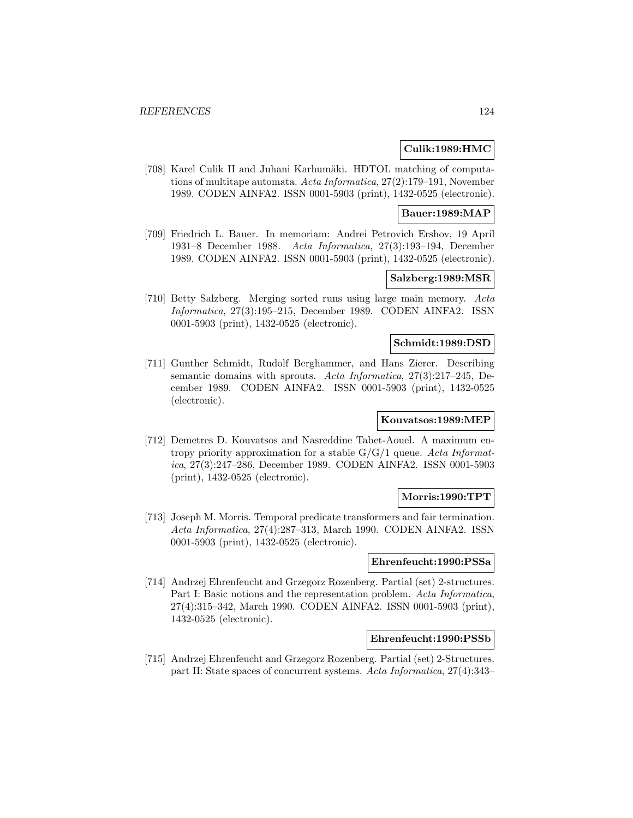## **Culik:1989:HMC**

[708] Karel Culik II and Juhani Karhumäki. HDTOL matching of computations of multitape automata. Acta Informatica, 27(2):179–191, November 1989. CODEN AINFA2. ISSN 0001-5903 (print), 1432-0525 (electronic).

## **Bauer:1989:MAP**

[709] Friedrich L. Bauer. In memoriam: Andrei Petrovich Ershov, 19 April 1931–8 December 1988. Acta Informatica, 27(3):193–194, December 1989. CODEN AINFA2. ISSN 0001-5903 (print), 1432-0525 (electronic).

## **Salzberg:1989:MSR**

[710] Betty Salzberg. Merging sorted runs using large main memory. Acta Informatica, 27(3):195–215, December 1989. CODEN AINFA2. ISSN 0001-5903 (print), 1432-0525 (electronic).

## **Schmidt:1989:DSD**

[711] Gunther Schmidt, Rudolf Berghammer, and Hans Zierer. Describing semantic domains with sprouts. Acta Informatica, 27(3):217–245, December 1989. CODEN AINFA2. ISSN 0001-5903 (print), 1432-0525 (electronic).

### **Kouvatsos:1989:MEP**

[712] Demetres D. Kouvatsos and Nasreddine Tabet-Aouel. A maximum entropy priority approximation for a stable  $G/G/1$  queue. Acta Informatica, 27(3):247–286, December 1989. CODEN AINFA2. ISSN 0001-5903 (print), 1432-0525 (electronic).

## **Morris:1990:TPT**

[713] Joseph M. Morris. Temporal predicate transformers and fair termination. Acta Informatica, 27(4):287–313, March 1990. CODEN AINFA2. ISSN 0001-5903 (print), 1432-0525 (electronic).

## **Ehrenfeucht:1990:PSSa**

[714] Andrzej Ehrenfeucht and Grzegorz Rozenberg. Partial (set) 2-structures. Part I: Basic notions and the representation problem. Acta Informatica, 27(4):315–342, March 1990. CODEN AINFA2. ISSN 0001-5903 (print), 1432-0525 (electronic).

#### **Ehrenfeucht:1990:PSSb**

[715] Andrzej Ehrenfeucht and Grzegorz Rozenberg. Partial (set) 2-Structures. part II: State spaces of concurrent systems. Acta Informatica, 27(4):343–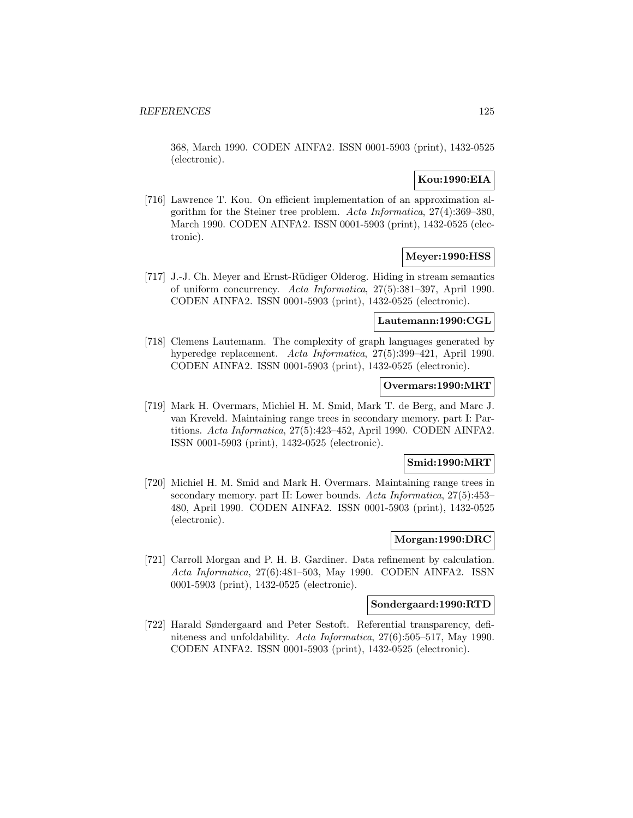368, March 1990. CODEN AINFA2. ISSN 0001-5903 (print), 1432-0525 (electronic).

## **Kou:1990:EIA**

[716] Lawrence T. Kou. On efficient implementation of an approximation algorithm for the Steiner tree problem. Acta Informatica,  $27(4)$ :369–380, March 1990. CODEN AINFA2. ISSN 0001-5903 (print), 1432-0525 (electronic).

## **Meyer:1990:HSS**

[717] J.-J. Ch. Meyer and Ernst-R¨udiger Olderog. Hiding in stream semantics of uniform concurrency. Acta Informatica, 27(5):381–397, April 1990. CODEN AINFA2. ISSN 0001-5903 (print), 1432-0525 (electronic).

## **Lautemann:1990:CGL**

[718] Clemens Lautemann. The complexity of graph languages generated by hyperedge replacement. Acta Informatica, 27(5):399–421, April 1990. CODEN AINFA2. ISSN 0001-5903 (print), 1432-0525 (electronic).

### **Overmars:1990:MRT**

[719] Mark H. Overmars, Michiel H. M. Smid, Mark T. de Berg, and Marc J. van Kreveld. Maintaining range trees in secondary memory. part I: Partitions. Acta Informatica, 27(5):423–452, April 1990. CODEN AINFA2. ISSN 0001-5903 (print), 1432-0525 (electronic).

## **Smid:1990:MRT**

[720] Michiel H. M. Smid and Mark H. Overmars. Maintaining range trees in secondary memory. part II: Lower bounds. Acta Informatica, 27(5):453– 480, April 1990. CODEN AINFA2. ISSN 0001-5903 (print), 1432-0525 (electronic).

## **Morgan:1990:DRC**

[721] Carroll Morgan and P. H. B. Gardiner. Data refinement by calculation. Acta Informatica, 27(6):481–503, May 1990. CODEN AINFA2. ISSN 0001-5903 (print), 1432-0525 (electronic).

#### **Sondergaard:1990:RTD**

[722] Harald Søndergaard and Peter Sestoft. Referential transparency, definiteness and unfoldability. Acta Informatica, 27(6):505–517, May 1990. CODEN AINFA2. ISSN 0001-5903 (print), 1432-0525 (electronic).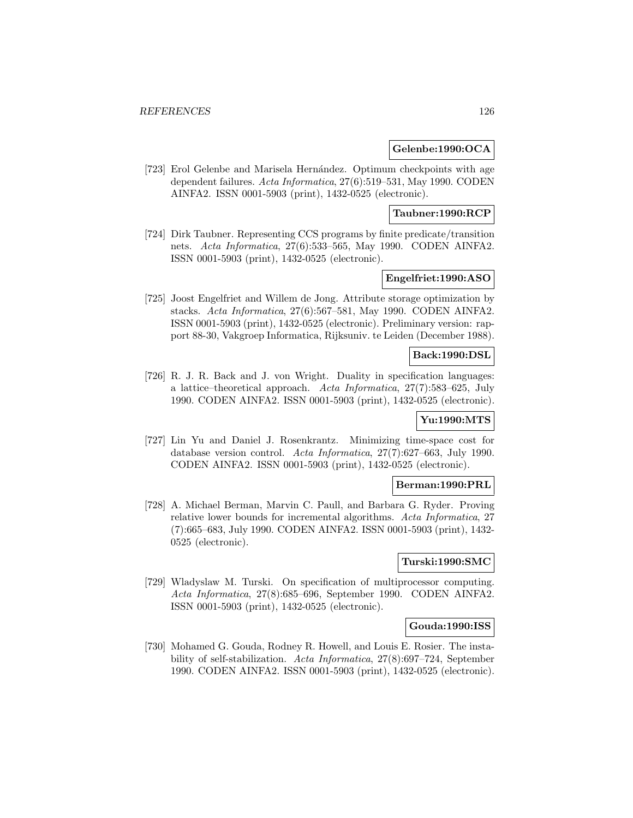## **Gelenbe:1990:OCA**

[723] Erol Gelenbe and Marisela Hernández. Optimum checkpoints with age dependent failures. Acta Informatica, 27(6):519–531, May 1990. CODEN AINFA2. ISSN 0001-5903 (print), 1432-0525 (electronic).

## **Taubner:1990:RCP**

[724] Dirk Taubner. Representing CCS programs by finite predicate/transition nets. Acta Informatica, 27(6):533–565, May 1990. CODEN AINFA2. ISSN 0001-5903 (print), 1432-0525 (electronic).

## **Engelfriet:1990:ASO**

[725] Joost Engelfriet and Willem de Jong. Attribute storage optimization by stacks. Acta Informatica, 27(6):567–581, May 1990. CODEN AINFA2. ISSN 0001-5903 (print), 1432-0525 (electronic). Preliminary version: rapport 88-30, Vakgroep Informatica, Rijksuniv. te Leiden (December 1988).

## **Back:1990:DSL**

[726] R. J. R. Back and J. von Wright. Duality in specification languages: a lattice–theoretical approach. Acta Informatica, 27(7):583–625, July 1990. CODEN AINFA2. ISSN 0001-5903 (print), 1432-0525 (electronic).

# **Yu:1990:MTS**

[727] Lin Yu and Daniel J. Rosenkrantz. Minimizing time-space cost for database version control. Acta Informatica, 27(7):627–663, July 1990. CODEN AINFA2. ISSN 0001-5903 (print), 1432-0525 (electronic).

#### **Berman:1990:PRL**

[728] A. Michael Berman, Marvin C. Paull, and Barbara G. Ryder. Proving relative lower bounds for incremental algorithms. Acta Informatica, 27 (7):665–683, July 1990. CODEN AINFA2. ISSN 0001-5903 (print), 1432- 0525 (electronic).

## **Turski:1990:SMC**

[729] Wladyslaw M. Turski. On specification of multiprocessor computing. Acta Informatica, 27(8):685–696, September 1990. CODEN AINFA2. ISSN 0001-5903 (print), 1432-0525 (electronic).

#### **Gouda:1990:ISS**

[730] Mohamed G. Gouda, Rodney R. Howell, and Louis E. Rosier. The instability of self-stabilization. Acta Informatica, 27(8):697–724, September 1990. CODEN AINFA2. ISSN 0001-5903 (print), 1432-0525 (electronic).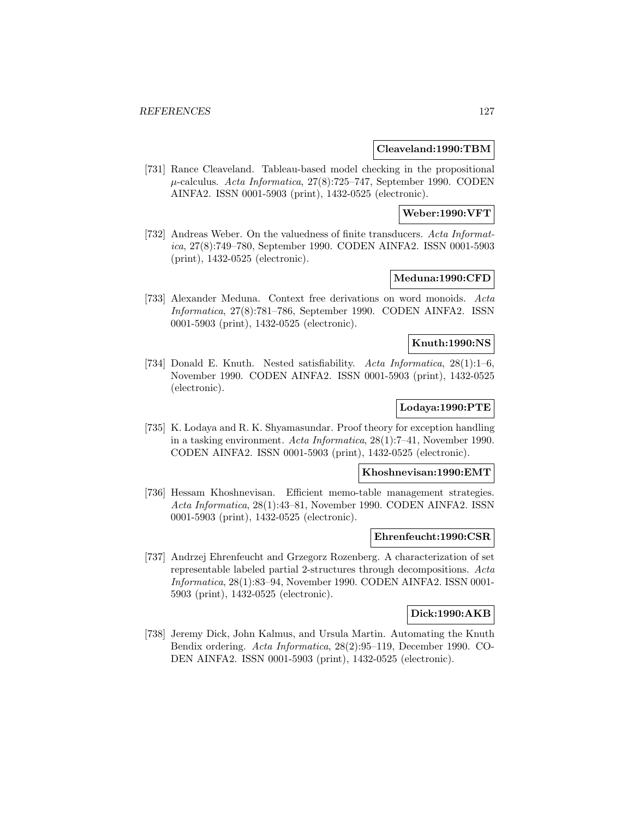### **Cleaveland:1990:TBM**

[731] Rance Cleaveland. Tableau-based model checking in the propositional  $\mu$ -calculus. Acta Informatica, 27(8):725–747, September 1990. CODEN AINFA2. ISSN 0001-5903 (print), 1432-0525 (electronic).

## **Weber:1990:VFT**

[732] Andreas Weber. On the valuedness of finite transducers. Acta Informatica, 27(8):749–780, September 1990. CODEN AINFA2. ISSN 0001-5903 (print), 1432-0525 (electronic).

## **Meduna:1990:CFD**

[733] Alexander Meduna. Context free derivations on word monoids. Acta Informatica, 27(8):781–786, September 1990. CODEN AINFA2. ISSN 0001-5903 (print), 1432-0525 (electronic).

## **Knuth:1990:NS**

[734] Donald E. Knuth. Nested satisfiability. Acta Informatica, 28(1):1–6, November 1990. CODEN AINFA2. ISSN 0001-5903 (print), 1432-0525 (electronic).

# **Lodaya:1990:PTE**

[735] K. Lodaya and R. K. Shyamasundar. Proof theory for exception handling in a tasking environment. Acta Informatica, 28(1):7–41, November 1990. CODEN AINFA2. ISSN 0001-5903 (print), 1432-0525 (electronic).

### **Khoshnevisan:1990:EMT**

[736] Hessam Khoshnevisan. Efficient memo-table management strategies. Acta Informatica, 28(1):43–81, November 1990. CODEN AINFA2. ISSN 0001-5903 (print), 1432-0525 (electronic).

#### **Ehrenfeucht:1990:CSR**

[737] Andrzej Ehrenfeucht and Grzegorz Rozenberg. A characterization of set representable labeled partial 2-structures through decompositions. Acta Informatica, 28(1):83–94, November 1990. CODEN AINFA2. ISSN 0001- 5903 (print), 1432-0525 (electronic).

## **Dick:1990:AKB**

[738] Jeremy Dick, John Kalmus, and Ursula Martin. Automating the Knuth Bendix ordering. Acta Informatica, 28(2):95–119, December 1990. CO-DEN AINFA2. ISSN 0001-5903 (print), 1432-0525 (electronic).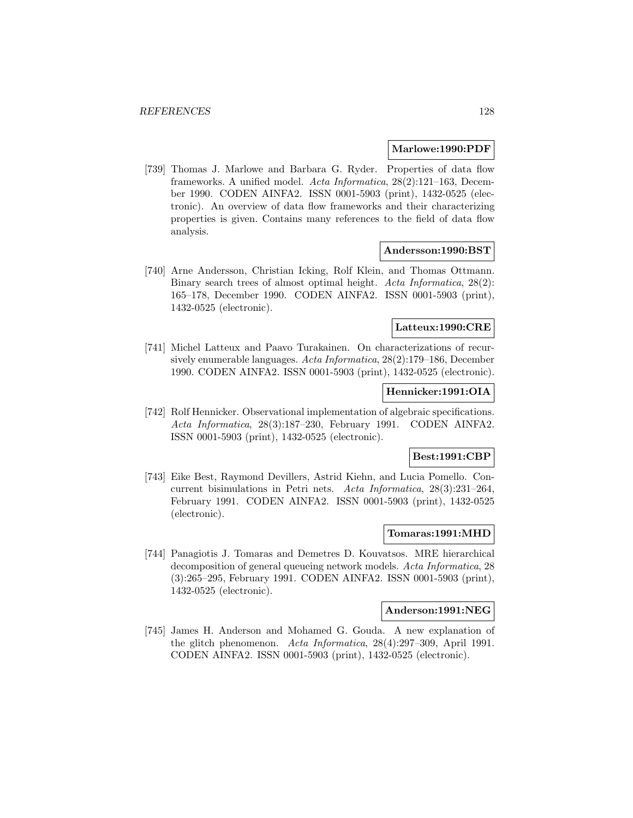#### **Marlowe:1990:PDF**

[739] Thomas J. Marlowe and Barbara G. Ryder. Properties of data flow frameworks. A unified model. Acta Informatica, 28(2):121–163, December 1990. CODEN AINFA2. ISSN 0001-5903 (print), 1432-0525 (electronic). An overview of data flow frameworks and their characterizing properties is given. Contains many references to the field of data flow analysis.

### **Andersson:1990:BST**

[740] Arne Andersson, Christian Icking, Rolf Klein, and Thomas Ottmann. Binary search trees of almost optimal height. Acta Informatica, 28(2): 165–178, December 1990. CODEN AINFA2. ISSN 0001-5903 (print), 1432-0525 (electronic).

### **Latteux:1990:CRE**

[741] Michel Latteux and Paavo Turakainen. On characterizations of recursively enumerable languages. Acta Informatica, 28(2):179–186, December 1990. CODEN AINFA2. ISSN 0001-5903 (print), 1432-0525 (electronic).

## **Hennicker:1991:OIA**

[742] Rolf Hennicker. Observational implementation of algebraic specifications. Acta Informatica, 28(3):187–230, February 1991. CODEN AINFA2. ISSN 0001-5903 (print), 1432-0525 (electronic).

#### **Best:1991:CBP**

[743] Eike Best, Raymond Devillers, Astrid Kiehn, and Lucia Pomello. Concurrent bisimulations in Petri nets. Acta Informatica, 28(3):231–264, February 1991. CODEN AINFA2. ISSN 0001-5903 (print), 1432-0525 (electronic).

#### **Tomaras:1991:MHD**

[744] Panagiotis J. Tomaras and Demetres D. Kouvatsos. MRE hierarchical decomposition of general queueing network models. Acta Informatica, 28 (3):265–295, February 1991. CODEN AINFA2. ISSN 0001-5903 (print), 1432-0525 (electronic).

#### **Anderson:1991:NEG**

[745] James H. Anderson and Mohamed G. Gouda. A new explanation of the glitch phenomenon. Acta Informatica, 28(4):297–309, April 1991. CODEN AINFA2. ISSN 0001-5903 (print), 1432-0525 (electronic).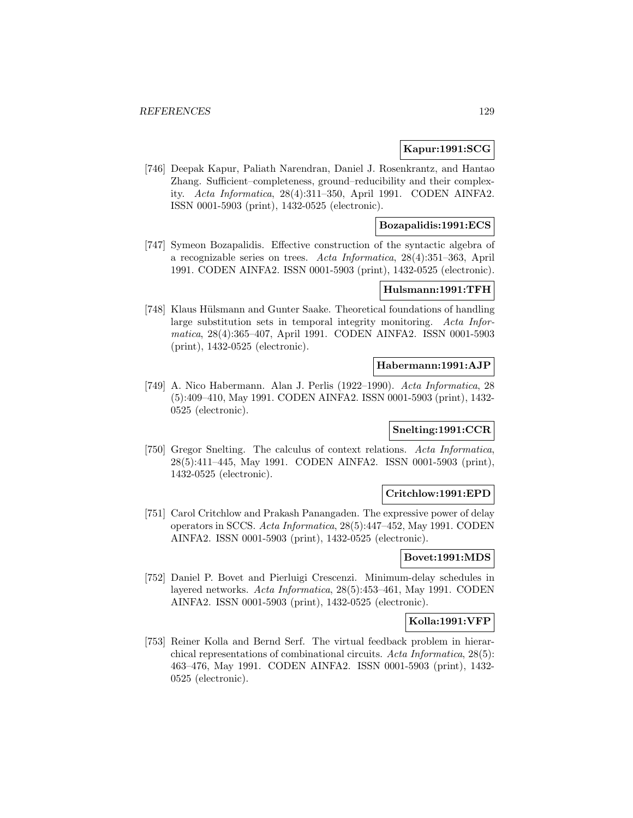## **Kapur:1991:SCG**

[746] Deepak Kapur, Paliath Narendran, Daniel J. Rosenkrantz, and Hantao Zhang. Sufficient–completeness, ground–reducibility and their complexity. Acta Informatica, 28(4):311–350, April 1991. CODEN AINFA2. ISSN 0001-5903 (print), 1432-0525 (electronic).

## **Bozapalidis:1991:ECS**

[747] Symeon Bozapalidis. Effective construction of the syntactic algebra of a recognizable series on trees. Acta Informatica, 28(4):351–363, April 1991. CODEN AINFA2. ISSN 0001-5903 (print), 1432-0525 (electronic).

## **Hulsmann:1991:TFH**

[748] Klaus H¨ulsmann and Gunter Saake. Theoretical foundations of handling large substitution sets in temporal integrity monitoring. Acta Informatica, 28(4):365–407, April 1991. CODEN AINFA2. ISSN 0001-5903 (print), 1432-0525 (electronic).

## **Habermann:1991:AJP**

[749] A. Nico Habermann. Alan J. Perlis (1922–1990). Acta Informatica, 28 (5):409–410, May 1991. CODEN AINFA2. ISSN 0001-5903 (print), 1432- 0525 (electronic).

## **Snelting:1991:CCR**

[750] Gregor Snelting. The calculus of context relations. Acta Informatica, 28(5):411–445, May 1991. CODEN AINFA2. ISSN 0001-5903 (print), 1432-0525 (electronic).

## **Critchlow:1991:EPD**

[751] Carol Critchlow and Prakash Panangaden. The expressive power of delay operators in SCCS. Acta Informatica, 28(5):447–452, May 1991. CODEN AINFA2. ISSN 0001-5903 (print), 1432-0525 (electronic).

### **Bovet:1991:MDS**

[752] Daniel P. Bovet and Pierluigi Crescenzi. Minimum-delay schedules in layered networks. Acta Informatica, 28(5):453–461, May 1991. CODEN AINFA2. ISSN 0001-5903 (print), 1432-0525 (electronic).

## **Kolla:1991:VFP**

[753] Reiner Kolla and Bernd Serf. The virtual feedback problem in hierarchical representations of combinational circuits. Acta Informatica, 28(5): 463–476, May 1991. CODEN AINFA2. ISSN 0001-5903 (print), 1432- 0525 (electronic).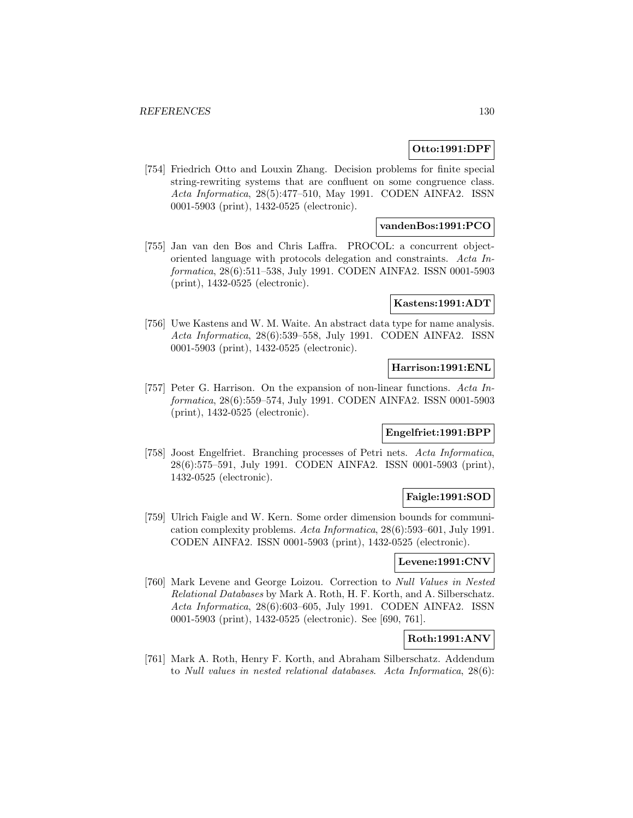## **Otto:1991:DPF**

[754] Friedrich Otto and Louxin Zhang. Decision problems for finite special string-rewriting systems that are confluent on some congruence class. Acta Informatica, 28(5):477–510, May 1991. CODEN AINFA2. ISSN 0001-5903 (print), 1432-0525 (electronic).

## **vandenBos:1991:PCO**

[755] Jan van den Bos and Chris Laffra. PROCOL: a concurrent objectoriented language with protocols delegation and constraints. Acta Informatica, 28(6):511–538, July 1991. CODEN AINFA2. ISSN 0001-5903 (print), 1432-0525 (electronic).

### **Kastens:1991:ADT**

[756] Uwe Kastens and W. M. Waite. An abstract data type for name analysis. Acta Informatica, 28(6):539–558, July 1991. CODEN AINFA2. ISSN 0001-5903 (print), 1432-0525 (electronic).

### **Harrison:1991:ENL**

[757] Peter G. Harrison. On the expansion of non-linear functions. Acta Informatica, 28(6):559–574, July 1991. CODEN AINFA2. ISSN 0001-5903 (print), 1432-0525 (electronic).

#### **Engelfriet:1991:BPP**

[758] Joost Engelfriet. Branching processes of Petri nets. Acta Informatica, 28(6):575–591, July 1991. CODEN AINFA2. ISSN 0001-5903 (print), 1432-0525 (electronic).

## **Faigle:1991:SOD**

[759] Ulrich Faigle and W. Kern. Some order dimension bounds for communication complexity problems. Acta Informatica, 28(6):593–601, July 1991. CODEN AINFA2. ISSN 0001-5903 (print), 1432-0525 (electronic).

## **Levene:1991:CNV**

[760] Mark Levene and George Loizou. Correction to Null Values in Nested Relational Databases by Mark A. Roth, H. F. Korth, and A. Silberschatz. Acta Informatica, 28(6):603–605, July 1991. CODEN AINFA2. ISSN 0001-5903 (print), 1432-0525 (electronic). See [690, 761].

## **Roth:1991:ANV**

[761] Mark A. Roth, Henry F. Korth, and Abraham Silberschatz. Addendum to Null values in nested relational databases. Acta Informatica, 28(6):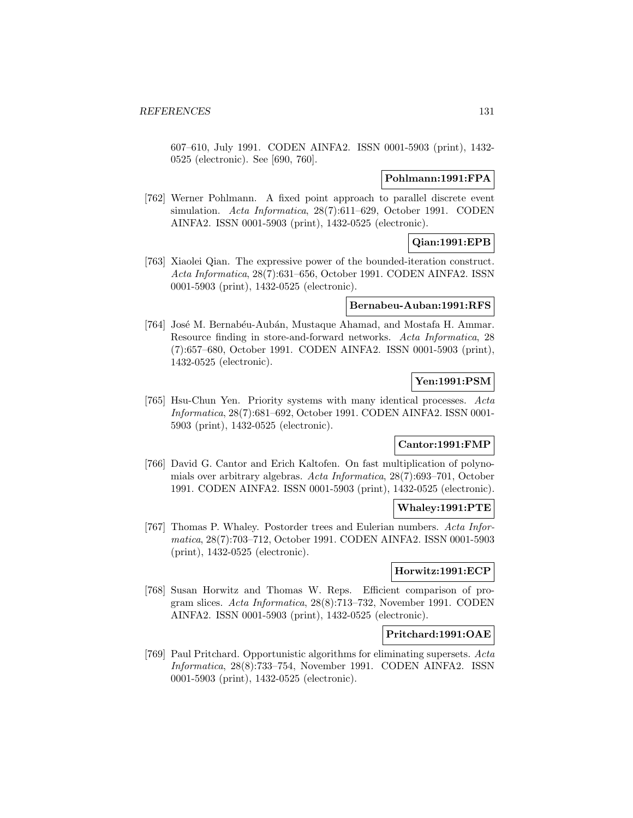607–610, July 1991. CODEN AINFA2. ISSN 0001-5903 (print), 1432- 0525 (electronic). See [690, 760].

## **Pohlmann:1991:FPA**

[762] Werner Pohlmann. A fixed point approach to parallel discrete event simulation. Acta Informatica, 28(7):611–629, October 1991. CODEN AINFA2. ISSN 0001-5903 (print), 1432-0525 (electronic).

## **Qian:1991:EPB**

[763] Xiaolei Qian. The expressive power of the bounded-iteration construct. Acta Informatica, 28(7):631–656, October 1991. CODEN AINFA2. ISSN 0001-5903 (print), 1432-0525 (electronic).

# **Bernabeu-Auban:1991:RFS**

[764] José M. Bernabéu-Aubán, Mustaque Ahamad, and Mostafa H. Ammar. Resource finding in store-and-forward networks. Acta Informatica, 28 (7):657–680, October 1991. CODEN AINFA2. ISSN 0001-5903 (print), 1432-0525 (electronic).

## **Yen:1991:PSM**

[765] Hsu-Chun Yen. Priority systems with many identical processes. Acta Informatica, 28(7):681–692, October 1991. CODEN AINFA2. ISSN 0001- 5903 (print), 1432-0525 (electronic).

# **Cantor:1991:FMP**

[766] David G. Cantor and Erich Kaltofen. On fast multiplication of polynomials over arbitrary algebras. Acta Informatica, 28(7):693–701, October 1991. CODEN AINFA2. ISSN 0001-5903 (print), 1432-0525 (electronic).

#### **Whaley:1991:PTE**

[767] Thomas P. Whaley. Postorder trees and Eulerian numbers. Acta Informatica, 28(7):703–712, October 1991. CODEN AINFA2. ISSN 0001-5903 (print), 1432-0525 (electronic).

### **Horwitz:1991:ECP**

[768] Susan Horwitz and Thomas W. Reps. Efficient comparison of program slices. Acta Informatica, 28(8):713–732, November 1991. CODEN AINFA2. ISSN 0001-5903 (print), 1432-0525 (electronic).

## **Pritchard:1991:OAE**

[769] Paul Pritchard. Opportunistic algorithms for eliminating supersets. Acta Informatica, 28(8):733–754, November 1991. CODEN AINFA2. ISSN 0001-5903 (print), 1432-0525 (electronic).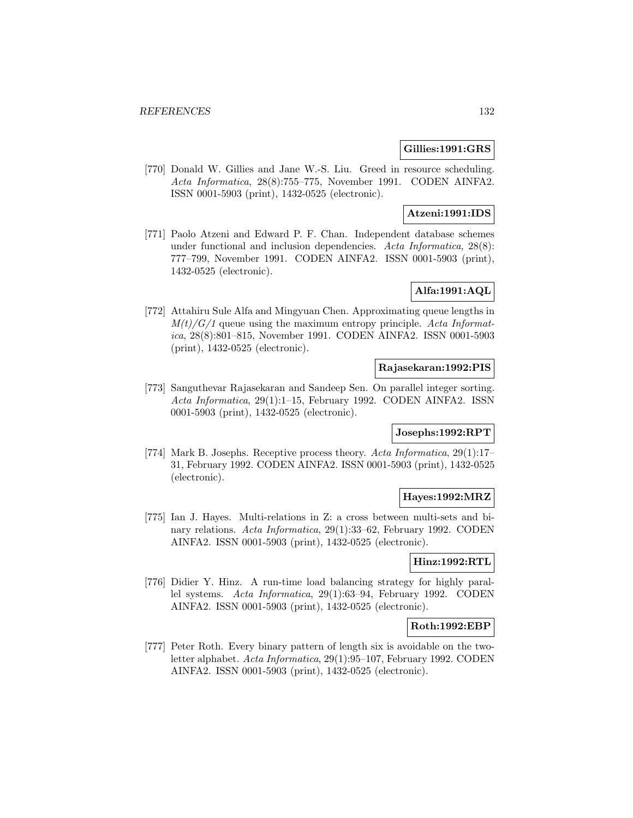### **Gillies:1991:GRS**

[770] Donald W. Gillies and Jane W.-S. Liu. Greed in resource scheduling. Acta Informatica, 28(8):755–775, November 1991. CODEN AINFA2. ISSN 0001-5903 (print), 1432-0525 (electronic).

# **Atzeni:1991:IDS**

[771] Paolo Atzeni and Edward P. F. Chan. Independent database schemes under functional and inclusion dependencies. Acta Informatica, 28(8): 777–799, November 1991. CODEN AINFA2. ISSN 0001-5903 (print), 1432-0525 (electronic).

## **Alfa:1991:AQL**

[772] Attahiru Sule Alfa and Mingyuan Chen. Approximating queue lengths in  $M(t)/G/1$  queue using the maximum entropy principle. Acta Informatica, 28(8):801–815, November 1991. CODEN AINFA2. ISSN 0001-5903 (print), 1432-0525 (electronic).

## **Rajasekaran:1992:PIS**

[773] Sanguthevar Rajasekaran and Sandeep Sen. On parallel integer sorting. Acta Informatica, 29(1):1–15, February 1992. CODEN AINFA2. ISSN 0001-5903 (print), 1432-0525 (electronic).

## **Josephs:1992:RPT**

[774] Mark B. Josephs. Receptive process theory. Acta Informatica, 29(1):17– 31, February 1992. CODEN AINFA2. ISSN 0001-5903 (print), 1432-0525 (electronic).

## **Hayes:1992:MRZ**

[775] Ian J. Hayes. Multi-relations in Z: a cross between multi-sets and binary relations. Acta Informatica, 29(1):33–62, February 1992. CODEN AINFA2. ISSN 0001-5903 (print), 1432-0525 (electronic).

## **Hinz:1992:RTL**

[776] Didier Y. Hinz. A run-time load balancing strategy for highly parallel systems. Acta Informatica, 29(1):63–94, February 1992. CODEN AINFA2. ISSN 0001-5903 (print), 1432-0525 (electronic).

## **Roth:1992:EBP**

[777] Peter Roth. Every binary pattern of length six is avoidable on the twoletter alphabet. Acta Informatica, 29(1):95–107, February 1992. CODEN AINFA2. ISSN 0001-5903 (print), 1432-0525 (electronic).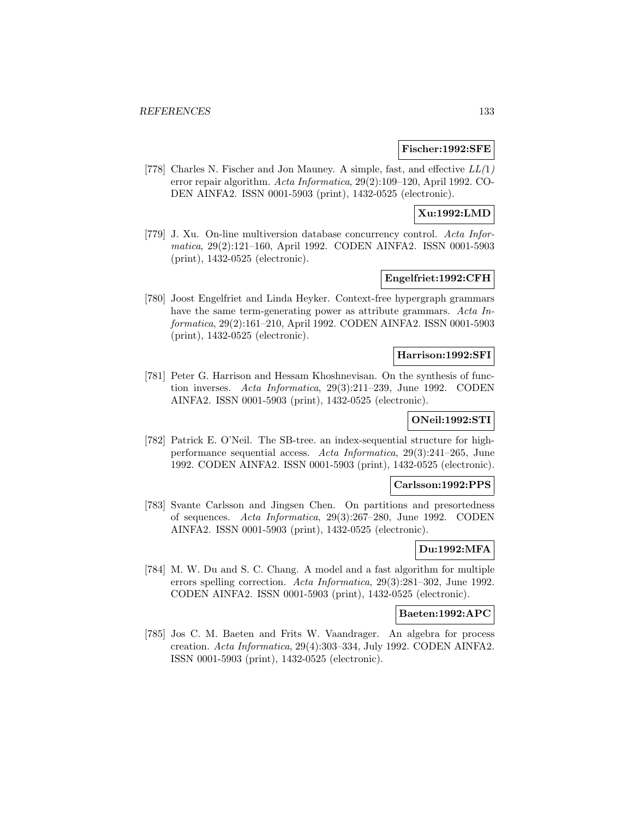### **Fischer:1992:SFE**

[778] Charles N. Fischer and Jon Mauney. A simple, fast, and effective  $LL(1)$ error repair algorithm. Acta Informatica, 29(2):109–120, April 1992. CO-DEN AINFA2. ISSN 0001-5903 (print), 1432-0525 (electronic).

## **Xu:1992:LMD**

[779] J. Xu. On-line multiversion database concurrency control. Acta Informatica, 29(2):121–160, April 1992. CODEN AINFA2. ISSN 0001-5903 (print), 1432-0525 (electronic).

## **Engelfriet:1992:CFH**

[780] Joost Engelfriet and Linda Heyker. Context-free hypergraph grammars have the same term-generating power as attribute grammars. Acta Informatica, 29(2):161–210, April 1992. CODEN AINFA2. ISSN 0001-5903 (print), 1432-0525 (electronic).

#### **Harrison:1992:SFI**

[781] Peter G. Harrison and Hessam Khoshnevisan. On the synthesis of function inverses. Acta Informatica, 29(3):211–239, June 1992. CODEN AINFA2. ISSN 0001-5903 (print), 1432-0525 (electronic).

## **ONeil:1992:STI**

[782] Patrick E. O'Neil. The SB-tree. an index-sequential structure for highperformance sequential access. Acta Informatica, 29(3):241–265, June 1992. CODEN AINFA2. ISSN 0001-5903 (print), 1432-0525 (electronic).

### **Carlsson:1992:PPS**

[783] Svante Carlsson and Jingsen Chen. On partitions and presortedness of sequences. Acta Informatica, 29(3):267–280, June 1992. CODEN AINFA2. ISSN 0001-5903 (print), 1432-0525 (electronic).

## **Du:1992:MFA**

[784] M. W. Du and S. C. Chang. A model and a fast algorithm for multiple errors spelling correction. Acta Informatica, 29(3):281–302, June 1992. CODEN AINFA2. ISSN 0001-5903 (print), 1432-0525 (electronic).

## **Baeten:1992:APC**

[785] Jos C. M. Baeten and Frits W. Vaandrager. An algebra for process creation. Acta Informatica, 29(4):303–334, July 1992. CODEN AINFA2. ISSN 0001-5903 (print), 1432-0525 (electronic).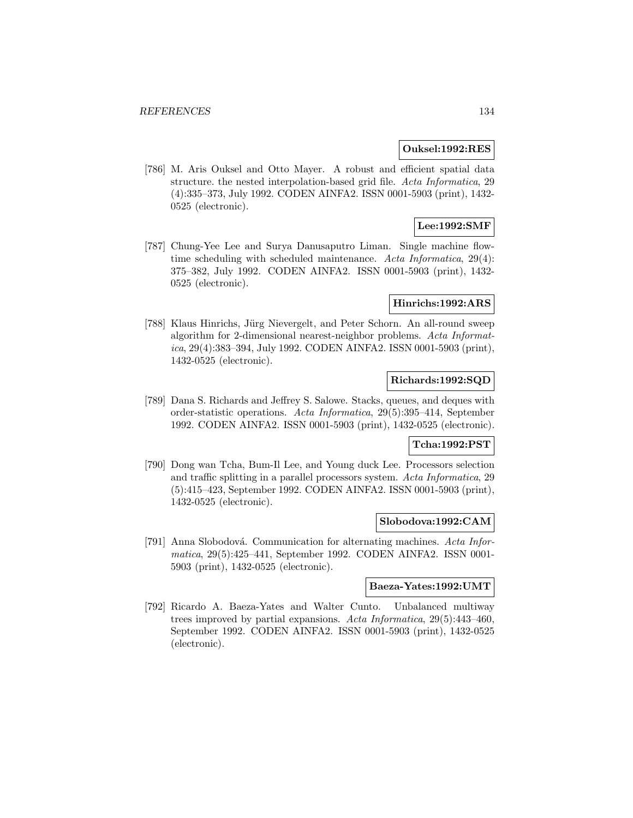#### **Ouksel:1992:RES**

[786] M. Aris Ouksel and Otto Mayer. A robust and efficient spatial data structure. the nested interpolation-based grid file. Acta Informatica, 29 (4):335–373, July 1992. CODEN AINFA2. ISSN 0001-5903 (print), 1432- 0525 (electronic).

# **Lee:1992:SMF**

[787] Chung-Yee Lee and Surya Danusaputro Liman. Single machine flowtime scheduling with scheduled maintenance. Acta Informatica, 29(4): 375–382, July 1992. CODEN AINFA2. ISSN 0001-5903 (print), 1432- 0525 (electronic).

## **Hinrichs:1992:ARS**

[788] Klaus Hinrichs, Jürg Nievergelt, and Peter Schorn. An all-round sweep algorithm for 2-dimensional nearest-neighbor problems. Acta Informatica, 29(4):383–394, July 1992. CODEN AINFA2. ISSN 0001-5903 (print), 1432-0525 (electronic).

## **Richards:1992:SQD**

[789] Dana S. Richards and Jeffrey S. Salowe. Stacks, queues, and deques with order-statistic operations. Acta Informatica, 29(5):395–414, September 1992. CODEN AINFA2. ISSN 0001-5903 (print), 1432-0525 (electronic).

## **Tcha:1992:PST**

[790] Dong wan Tcha, Bum-Il Lee, and Young duck Lee. Processors selection and traffic splitting in a parallel processors system. Acta Informatica, 29 (5):415–423, September 1992. CODEN AINFA2. ISSN 0001-5903 (print), 1432-0525 (electronic).

#### **Slobodova:1992:CAM**

[791] Anna Slobodová. Communication for alternating machines. Acta Informatica, 29(5):425–441, September 1992. CODEN AINFA2. ISSN 0001- 5903 (print), 1432-0525 (electronic).

### **Baeza-Yates:1992:UMT**

[792] Ricardo A. Baeza-Yates and Walter Cunto. Unbalanced multiway trees improved by partial expansions. Acta Informatica, 29(5):443–460, September 1992. CODEN AINFA2. ISSN 0001-5903 (print), 1432-0525 (electronic).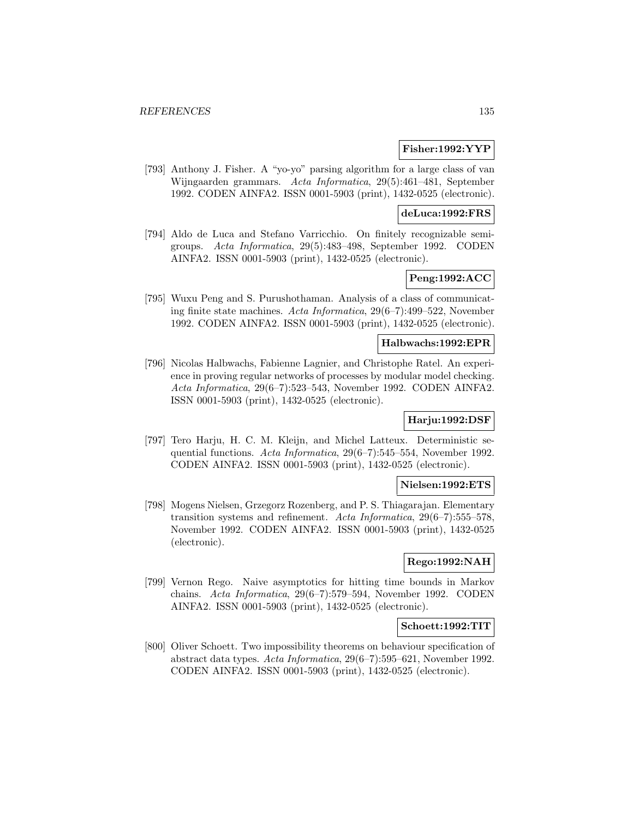### **Fisher:1992:YYP**

[793] Anthony J. Fisher. A "yo-yo" parsing algorithm for a large class of van Wijngaarden grammars. Acta Informatica, 29(5):461–481, September 1992. CODEN AINFA2. ISSN 0001-5903 (print), 1432-0525 (electronic).

# **deLuca:1992:FRS**

[794] Aldo de Luca and Stefano Varricchio. On finitely recognizable semigroups. Acta Informatica, 29(5):483–498, September 1992. CODEN AINFA2. ISSN 0001-5903 (print), 1432-0525 (electronic).

# **Peng:1992:ACC**

[795] Wuxu Peng and S. Purushothaman. Analysis of a class of communicating finite state machines. Acta Informatica, 29(6–7):499–522, November 1992. CODEN AINFA2. ISSN 0001-5903 (print), 1432-0525 (electronic).

#### **Halbwachs:1992:EPR**

[796] Nicolas Halbwachs, Fabienne Lagnier, and Christophe Ratel. An experience in proving regular networks of processes by modular model checking. Acta Informatica, 29(6–7):523–543, November 1992. CODEN AINFA2. ISSN 0001-5903 (print), 1432-0525 (electronic).

## **Harju:1992:DSF**

[797] Tero Harju, H. C. M. Kleijn, and Michel Latteux. Deterministic sequential functions. Acta Informatica, 29(6–7):545–554, November 1992. CODEN AINFA2. ISSN 0001-5903 (print), 1432-0525 (electronic).

#### **Nielsen:1992:ETS**

[798] Mogens Nielsen, Grzegorz Rozenberg, and P. S. Thiagarajan. Elementary transition systems and refinement. Acta Informatica, 29(6–7):555–578, November 1992. CODEN AINFA2. ISSN 0001-5903 (print), 1432-0525 (electronic).

## **Rego:1992:NAH**

[799] Vernon Rego. Naive asymptotics for hitting time bounds in Markov chains. Acta Informatica, 29(6–7):579–594, November 1992. CODEN AINFA2. ISSN 0001-5903 (print), 1432-0525 (electronic).

#### **Schoett:1992:TIT**

[800] Oliver Schoett. Two impossibility theorems on behaviour specification of abstract data types. Acta Informatica, 29(6–7):595–621, November 1992. CODEN AINFA2. ISSN 0001-5903 (print), 1432-0525 (electronic).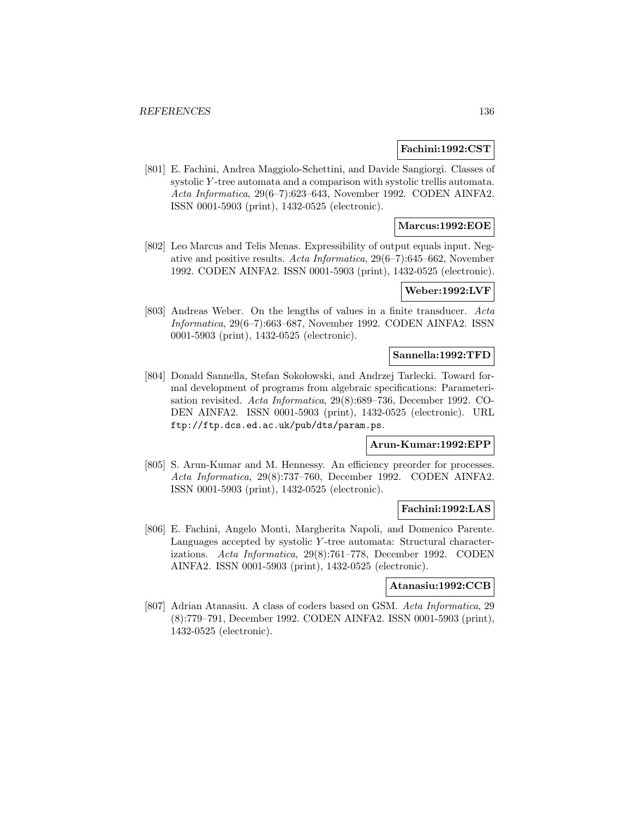### **Fachini:1992:CST**

[801] E. Fachini, Andrea Maggiolo-Schettini, and Davide Sangiorgi. Classes of systolic Y -tree automata and a comparison with systolic trellis automata. Acta Informatica, 29(6–7):623–643, November 1992. CODEN AINFA2. ISSN 0001-5903 (print), 1432-0525 (electronic).

## **Marcus:1992:EOE**

[802] Leo Marcus and Telis Menas. Expressibility of output equals input. Negative and positive results. Acta Informatica, 29(6–7):645–662, November 1992. CODEN AINFA2. ISSN 0001-5903 (print), 1432-0525 (electronic).

## **Weber:1992:LVF**

[803] Andreas Weber. On the lengths of values in a finite transducer. Acta Informatica, 29(6–7):663–687, November 1992. CODEN AINFA2. ISSN 0001-5903 (print), 1432-0525 (electronic).

#### **Sannella:1992:TFD**

[804] Donald Sannella, Stefan Sokołowski, and Andrzej Tarlecki. Toward formal development of programs from algebraic specifications: Parameterisation revisited. Acta Informatica, 29(8):689–736, December 1992. CO-DEN AINFA2. ISSN 0001-5903 (print), 1432-0525 (electronic). URL ftp://ftp.dcs.ed.ac.uk/pub/dts/param.ps.

# **Arun-Kumar:1992:EPP**

[805] S. Arun-Kumar and M. Hennessy. An efficiency preorder for processes. Acta Informatica, 29(8):737–760, December 1992. CODEN AINFA2. ISSN 0001-5903 (print), 1432-0525 (electronic).

### **Fachini:1992:LAS**

[806] E. Fachini, Angelo Monti, Margherita Napoli, and Domenico Parente. Languages accepted by systolic Y -tree automata: Structural characterizations. Acta Informatica, 29(8):761–778, December 1992. CODEN AINFA2. ISSN 0001-5903 (print), 1432-0525 (electronic).

#### **Atanasiu:1992:CCB**

[807] Adrian Atanasiu. A class of coders based on GSM. Acta Informatica, 29 (8):779–791, December 1992. CODEN AINFA2. ISSN 0001-5903 (print), 1432-0525 (electronic).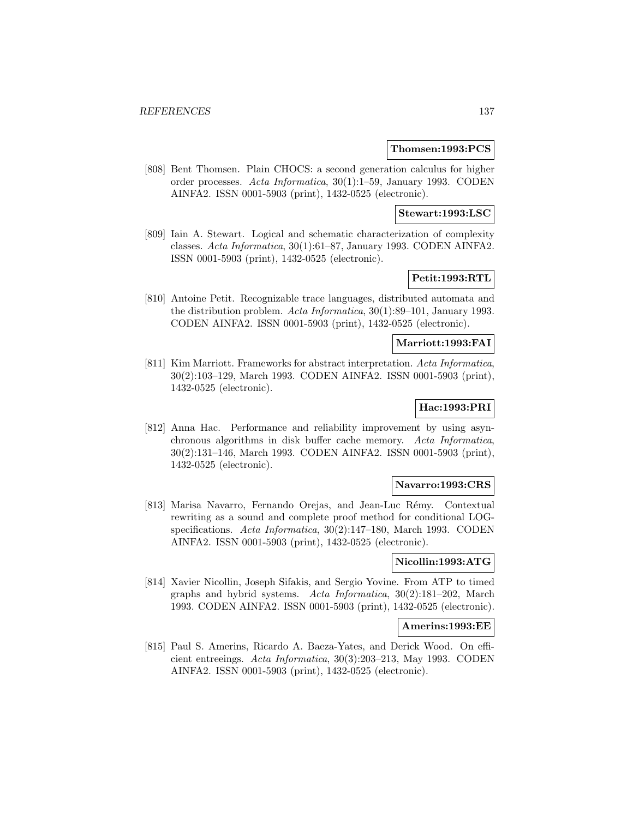### **Thomsen:1993:PCS**

[808] Bent Thomsen. Plain CHOCS: a second generation calculus for higher order processes. Acta Informatica, 30(1):1–59, January 1993. CODEN AINFA2. ISSN 0001-5903 (print), 1432-0525 (electronic).

#### **Stewart:1993:LSC**

[809] Iain A. Stewart. Logical and schematic characterization of complexity classes. Acta Informatica, 30(1):61–87, January 1993. CODEN AINFA2. ISSN 0001-5903 (print), 1432-0525 (electronic).

## **Petit:1993:RTL**

[810] Antoine Petit. Recognizable trace languages, distributed automata and the distribution problem. Acta Informatica, 30(1):89–101, January 1993. CODEN AINFA2. ISSN 0001-5903 (print), 1432-0525 (electronic).

### **Marriott:1993:FAI**

[811] Kim Marriott. Frameworks for abstract interpretation. Acta Informatica, 30(2):103–129, March 1993. CODEN AINFA2. ISSN 0001-5903 (print), 1432-0525 (electronic).

# **Hac:1993:PRI**

[812] Anna Hac. Performance and reliability improvement by using asynchronous algorithms in disk buffer cache memory. Acta Informatica, 30(2):131–146, March 1993. CODEN AINFA2. ISSN 0001-5903 (print), 1432-0525 (electronic).

#### **Navarro:1993:CRS**

[813] Marisa Navarro, Fernando Orejas, and Jean-Luc Rémy. Contextual rewriting as a sound and complete proof method for conditional LOGspecifications. Acta Informatica, 30(2):147–180, March 1993. CODEN AINFA2. ISSN 0001-5903 (print), 1432-0525 (electronic).

### **Nicollin:1993:ATG**

[814] Xavier Nicollin, Joseph Sifakis, and Sergio Yovine. From ATP to timed graphs and hybrid systems. Acta Informatica, 30(2):181–202, March 1993. CODEN AINFA2. ISSN 0001-5903 (print), 1432-0525 (electronic).

#### **Amerins:1993:EE**

[815] Paul S. Amerins, Ricardo A. Baeza-Yates, and Derick Wood. On efficient entreeings. Acta Informatica, 30(3):203–213, May 1993. CODEN AINFA2. ISSN 0001-5903 (print), 1432-0525 (electronic).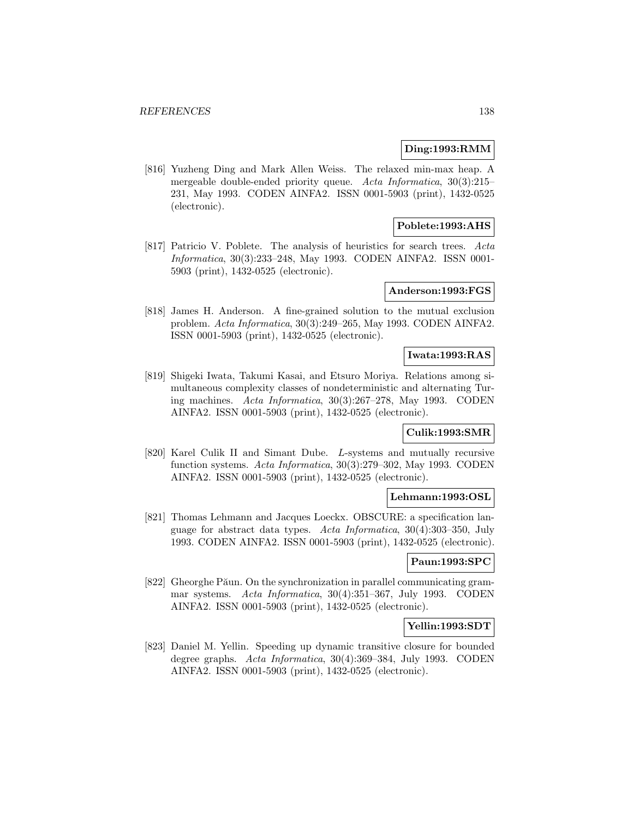### **Ding:1993:RMM**

[816] Yuzheng Ding and Mark Allen Weiss. The relaxed min-max heap. A mergeable double-ended priority queue. Acta Informatica, 30(3):215– 231, May 1993. CODEN AINFA2. ISSN 0001-5903 (print), 1432-0525 (electronic).

## **Poblete:1993:AHS**

[817] Patricio V. Poblete. The analysis of heuristics for search trees. Acta Informatica, 30(3):233–248, May 1993. CODEN AINFA2. ISSN 0001- 5903 (print), 1432-0525 (electronic).

### **Anderson:1993:FGS**

[818] James H. Anderson. A fine-grained solution to the mutual exclusion problem. Acta Informatica, 30(3):249–265, May 1993. CODEN AINFA2. ISSN 0001-5903 (print), 1432-0525 (electronic).

## **Iwata:1993:RAS**

[819] Shigeki Iwata, Takumi Kasai, and Etsuro Moriya. Relations among simultaneous complexity classes of nondeterministic and alternating Turing machines. Acta Informatica, 30(3):267–278, May 1993. CODEN AINFA2. ISSN 0001-5903 (print), 1432-0525 (electronic).

#### **Culik:1993:SMR**

[820] Karel Culik II and Simant Dube. L-systems and mutually recursive function systems. Acta Informatica, 30(3):279–302, May 1993. CODEN AINFA2. ISSN 0001-5903 (print), 1432-0525 (electronic).

#### **Lehmann:1993:OSL**

[821] Thomas Lehmann and Jacques Loeckx. OBSCURE: a specification language for abstract data types. Acta Informatica, 30(4):303–350, July 1993. CODEN AINFA2. ISSN 0001-5903 (print), 1432-0525 (electronic).

### **Paun:1993:SPC**

[822] Gheorghe Păun. On the synchronization in parallel communicating grammar systems. Acta Informatica, 30(4):351–367, July 1993. CODEN AINFA2. ISSN 0001-5903 (print), 1432-0525 (electronic).

## **Yellin:1993:SDT**

[823] Daniel M. Yellin. Speeding up dynamic transitive closure for bounded degree graphs. Acta Informatica, 30(4):369–384, July 1993. CODEN AINFA2. ISSN 0001-5903 (print), 1432-0525 (electronic).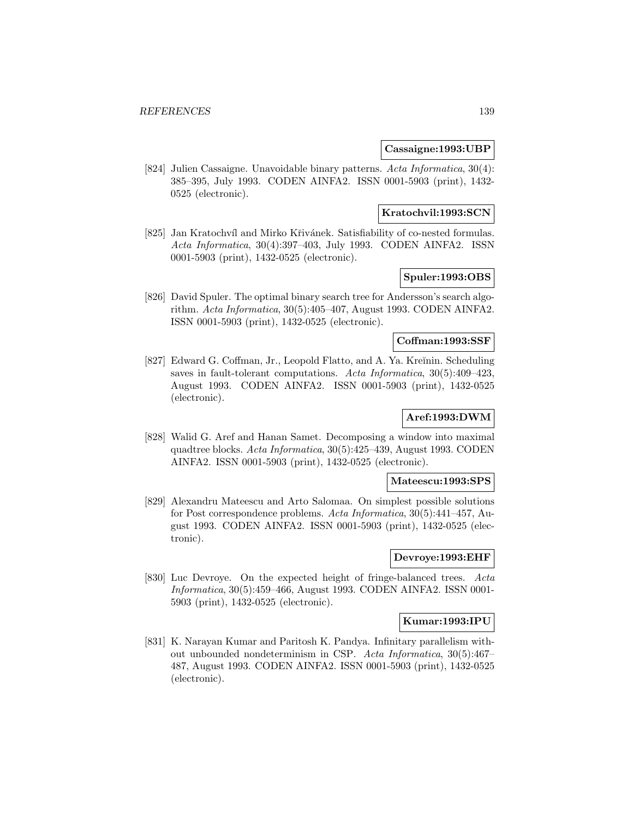### **Cassaigne:1993:UBP**

[824] Julien Cassaigne. Unavoidable binary patterns. Acta Informatica, 30(4): 385–395, July 1993. CODEN AINFA2. ISSN 0001-5903 (print), 1432- 0525 (electronic).

## **Kratochvil:1993:SCN**

[825] Jan Kratochvíl and Mirko Křivánek. Satisfiability of co-nested formulas. Acta Informatica, 30(4):397–403, July 1993. CODEN AINFA2. ISSN 0001-5903 (print), 1432-0525 (electronic).

# **Spuler:1993:OBS**

[826] David Spuler. The optimal binary search tree for Andersson's search algorithm. Acta Informatica, 30(5):405–407, August 1993. CODEN AINFA2. ISSN 0001-5903 (print), 1432-0525 (electronic).

# **Coffman:1993:SSF**

[827] Edward G. Coffman, Jr., Leopold Flatto, and A. Ya. Kreĭnin. Scheduling saves in fault-tolerant computations. Acta Informatica, 30(5):409–423, August 1993. CODEN AINFA2. ISSN 0001-5903 (print), 1432-0525 (electronic).

# **Aref:1993:DWM**

[828] Walid G. Aref and Hanan Samet. Decomposing a window into maximal quadtree blocks. Acta Informatica, 30(5):425–439, August 1993. CODEN AINFA2. ISSN 0001-5903 (print), 1432-0525 (electronic).

### **Mateescu:1993:SPS**

[829] Alexandru Mateescu and Arto Salomaa. On simplest possible solutions for Post correspondence problems. Acta Informatica, 30(5):441–457, August 1993. CODEN AINFA2. ISSN 0001-5903 (print), 1432-0525 (electronic).

### **Devroye:1993:EHF**

[830] Luc Devroye. On the expected height of fringe-balanced trees. Acta Informatica, 30(5):459–466, August 1993. CODEN AINFA2. ISSN 0001- 5903 (print), 1432-0525 (electronic).

## **Kumar:1993:IPU**

[831] K. Narayan Kumar and Paritosh K. Pandya. Infinitary parallelism without unbounded nondeterminism in CSP. Acta Informatica, 30(5):467– 487, August 1993. CODEN AINFA2. ISSN 0001-5903 (print), 1432-0525 (electronic).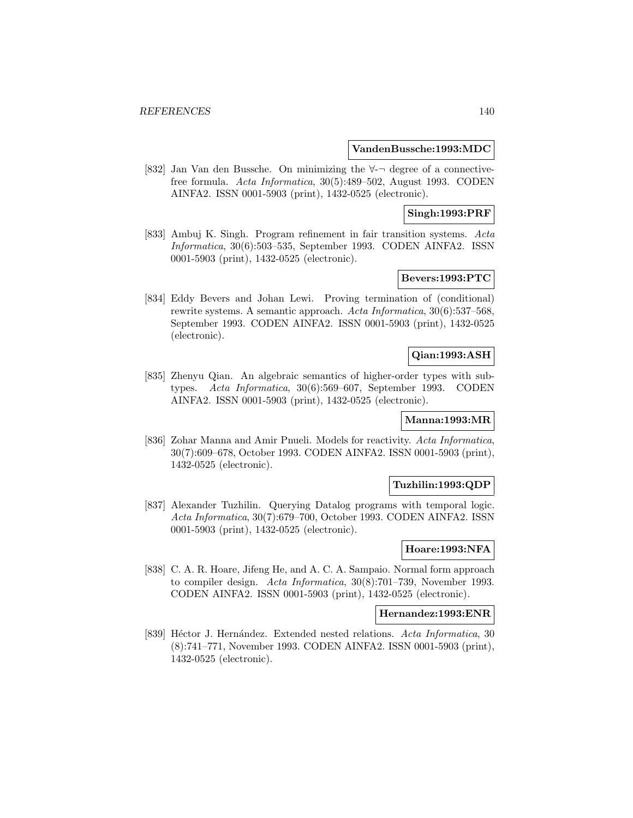#### **VandenBussche:1993:MDC**

[832] Jan Van den Bussche. On minimizing the ∀-¬ degree of a connectivefree formula. Acta Informatica, 30(5):489–502, August 1993. CODEN AINFA2. ISSN 0001-5903 (print), 1432-0525 (electronic).

# **Singh:1993:PRF**

[833] Ambuj K. Singh. Program refinement in fair transition systems. Acta Informatica, 30(6):503–535, September 1993. CODEN AINFA2. ISSN 0001-5903 (print), 1432-0525 (electronic).

# **Bevers:1993:PTC**

[834] Eddy Bevers and Johan Lewi. Proving termination of (conditional) rewrite systems. A semantic approach. Acta Informatica, 30(6):537–568, September 1993. CODEN AINFA2. ISSN 0001-5903 (print), 1432-0525 (electronic).

### **Qian:1993:ASH**

[835] Zhenyu Qian. An algebraic semantics of higher-order types with subtypes. Acta Informatica, 30(6):569–607, September 1993. CODEN AINFA2. ISSN 0001-5903 (print), 1432-0525 (electronic).

## **Manna:1993:MR**

[836] Zohar Manna and Amir Pnueli. Models for reactivity. Acta Informatica, 30(7):609–678, October 1993. CODEN AINFA2. ISSN 0001-5903 (print), 1432-0525 (electronic).

## **Tuzhilin:1993:QDP**

[837] Alexander Tuzhilin. Querying Datalog programs with temporal logic. Acta Informatica, 30(7):679–700, October 1993. CODEN AINFA2. ISSN 0001-5903 (print), 1432-0525 (electronic).

# **Hoare:1993:NFA**

[838] C. A. R. Hoare, Jifeng He, and A. C. A. Sampaio. Normal form approach to compiler design. Acta Informatica, 30(8):701–739, November 1993. CODEN AINFA2. ISSN 0001-5903 (print), 1432-0525 (electronic).

## **Hernandez:1993:ENR**

[839] Héctor J. Hernández. Extended nested relations. Acta Informatica, 30 (8):741–771, November 1993. CODEN AINFA2. ISSN 0001-5903 (print), 1432-0525 (electronic).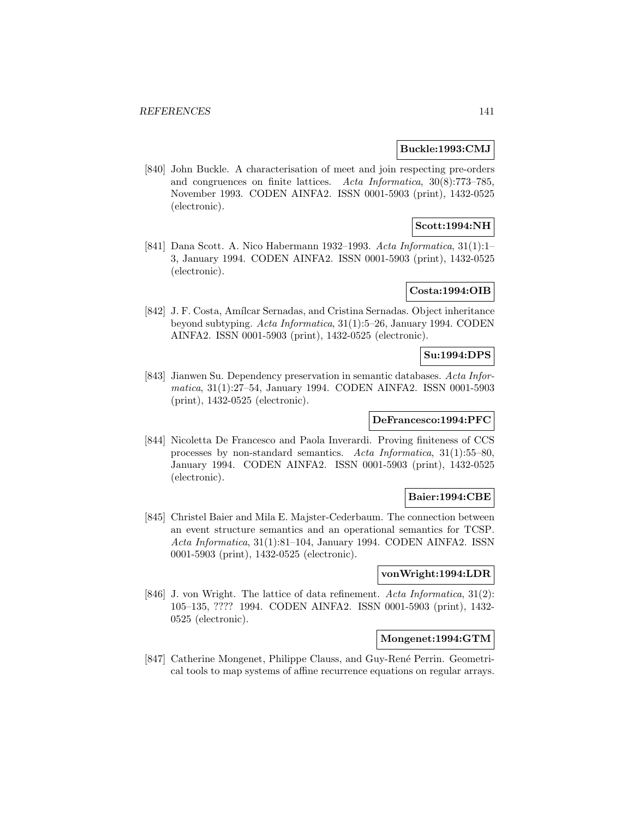### **Buckle:1993:CMJ**

[840] John Buckle. A characterisation of meet and join respecting pre-orders and congruences on finite lattices. Acta Informatica, 30(8):773–785, November 1993. CODEN AINFA2. ISSN 0001-5903 (print), 1432-0525 (electronic).

## **Scott:1994:NH**

[841] Dana Scott. A. Nico Habermann 1932–1993. Acta Informatica, 31(1):1– 3, January 1994. CODEN AINFA2. ISSN 0001-5903 (print), 1432-0525 (electronic).

## **Costa:1994:OIB**

[842] J. F. Costa, Amílcar Sernadas, and Cristina Sernadas. Object inheritance beyond subtyping. Acta Informatica, 31(1):5–26, January 1994. CODEN AINFA2. ISSN 0001-5903 (print), 1432-0525 (electronic).

## **Su:1994:DPS**

[843] Jianwen Su. Dependency preservation in semantic databases. Acta Informatica, 31(1):27–54, January 1994. CODEN AINFA2. ISSN 0001-5903 (print), 1432-0525 (electronic).

## **DeFrancesco:1994:PFC**

[844] Nicoletta De Francesco and Paola Inverardi. Proving finiteness of CCS processes by non-standard semantics. Acta Informatica, 31(1):55–80, January 1994. CODEN AINFA2. ISSN 0001-5903 (print), 1432-0525 (electronic).

## **Baier:1994:CBE**

[845] Christel Baier and Mila E. Majster-Cederbaum. The connection between an event structure semantics and an operational semantics for TCSP. Acta Informatica, 31(1):81–104, January 1994. CODEN AINFA2. ISSN 0001-5903 (print), 1432-0525 (electronic).

### **vonWright:1994:LDR**

[846] J. von Wright. The lattice of data refinement. Acta Informatica, 31(2): 105–135, ???? 1994. CODEN AINFA2. ISSN 0001-5903 (print), 1432- 0525 (electronic).

### **Mongenet:1994:GTM**

[847] Catherine Mongenet, Philippe Clauss, and Guy-René Perrin. Geometrical tools to map systems of affine recurrence equations on regular arrays.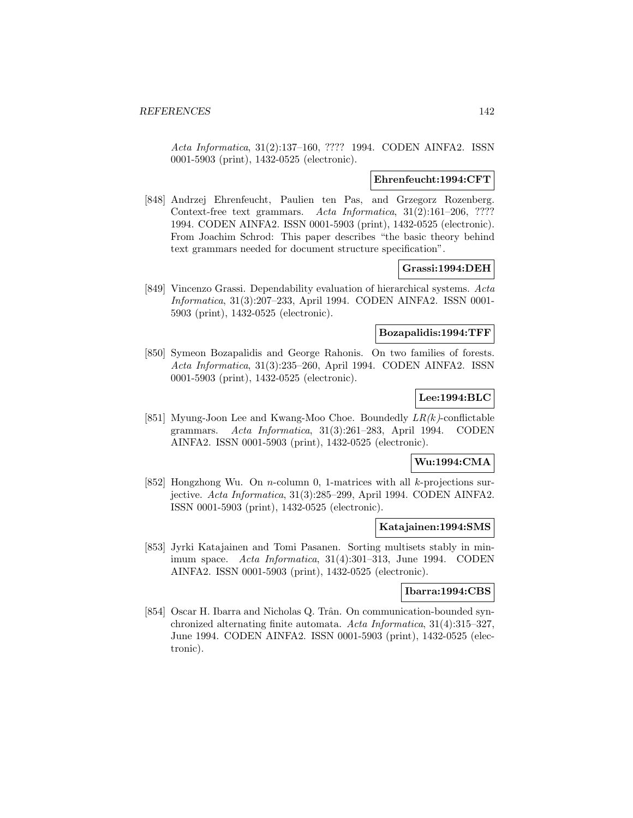Acta Informatica, 31(2):137–160, ???? 1994. CODEN AINFA2. ISSN 0001-5903 (print), 1432-0525 (electronic).

### **Ehrenfeucht:1994:CFT**

[848] Andrzej Ehrenfeucht, Paulien ten Pas, and Grzegorz Rozenberg. Context-free text grammars. Acta Informatica, 31(2):161–206, ???? 1994. CODEN AINFA2. ISSN 0001-5903 (print), 1432-0525 (electronic). From Joachim Schrod: This paper describes "the basic theory behind text grammars needed for document structure specification".

## **Grassi:1994:DEH**

[849] Vincenzo Grassi. Dependability evaluation of hierarchical systems. Acta Informatica, 31(3):207–233, April 1994. CODEN AINFA2. ISSN 0001- 5903 (print), 1432-0525 (electronic).

#### **Bozapalidis:1994:TFF**

[850] Symeon Bozapalidis and George Rahonis. On two families of forests. Acta Informatica, 31(3):235–260, April 1994. CODEN AINFA2. ISSN 0001-5903 (print), 1432-0525 (electronic).

## **Lee:1994:BLC**

[851] Myung-Joon Lee and Kwang-Moo Choe. Boundedly  $LR(k)$ -conflictable grammars. Acta Informatica, 31(3):261–283, April 1994. CODEN AINFA2. ISSN 0001-5903 (print), 1432-0525 (electronic).

### **Wu:1994:CMA**

[852] Hongzhong Wu. On *n*-column 0, 1-matrices with all *k*-projections surjective. Acta Informatica, 31(3):285–299, April 1994. CODEN AINFA2. ISSN 0001-5903 (print), 1432-0525 (electronic).

## **Katajainen:1994:SMS**

[853] Jyrki Katajainen and Tomi Pasanen. Sorting multisets stably in minimum space. Acta Informatica, 31(4):301–313, June 1994. CODEN AINFA2. ISSN 0001-5903 (print), 1432-0525 (electronic).

### **Ibarra:1994:CBS**

[854] Oscar H. Ibarra and Nicholas Q. Trân. On communication-bounded synchronized alternating finite automata. Acta Informatica, 31(4):315–327, June 1994. CODEN AINFA2. ISSN 0001-5903 (print), 1432-0525 (electronic).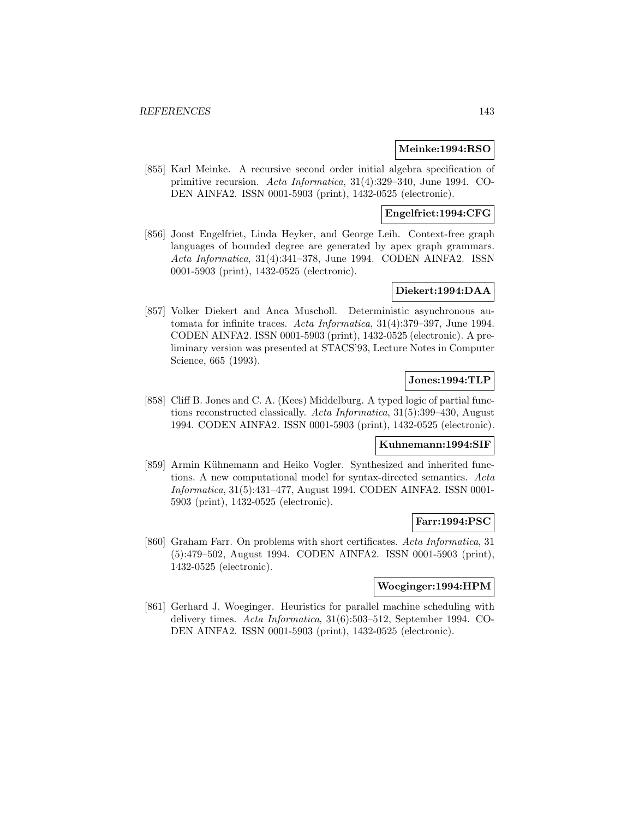#### **Meinke:1994:RSO**

[855] Karl Meinke. A recursive second order initial algebra specification of primitive recursion. Acta Informatica, 31(4):329–340, June 1994. CO-DEN AINFA2. ISSN 0001-5903 (print), 1432-0525 (electronic).

## **Engelfriet:1994:CFG**

[856] Joost Engelfriet, Linda Heyker, and George Leih. Context-free graph languages of bounded degree are generated by apex graph grammars. Acta Informatica, 31(4):341–378, June 1994. CODEN AINFA2. ISSN 0001-5903 (print), 1432-0525 (electronic).

### **Diekert:1994:DAA**

[857] Volker Diekert and Anca Muscholl. Deterministic asynchronous automata for infinite traces. Acta Informatica, 31(4):379–397, June 1994. CODEN AINFA2. ISSN 0001-5903 (print), 1432-0525 (electronic). A preliminary version was presented at STACS'93, Lecture Notes in Computer Science, 665 (1993).

## **Jones:1994:TLP**

[858] Cliff B. Jones and C. A. (Kees) Middelburg. A typed logic of partial functions reconstructed classically. Acta Informatica, 31(5):399–430, August 1994. CODEN AINFA2. ISSN 0001-5903 (print), 1432-0525 (electronic).

## **Kuhnemann:1994:SIF**

[859] Armin Kühnemann and Heiko Vogler. Synthesized and inherited functions. A new computational model for syntax-directed semantics. Acta Informatica, 31(5):431–477, August 1994. CODEN AINFA2. ISSN 0001- 5903 (print), 1432-0525 (electronic).

#### **Farr:1994:PSC**

[860] Graham Farr. On problems with short certificates. Acta Informatica, 31 (5):479–502, August 1994. CODEN AINFA2. ISSN 0001-5903 (print), 1432-0525 (electronic).

### **Woeginger:1994:HPM**

[861] Gerhard J. Woeginger. Heuristics for parallel machine scheduling with delivery times. Acta Informatica, 31(6):503–512, September 1994. CO-DEN AINFA2. ISSN 0001-5903 (print), 1432-0525 (electronic).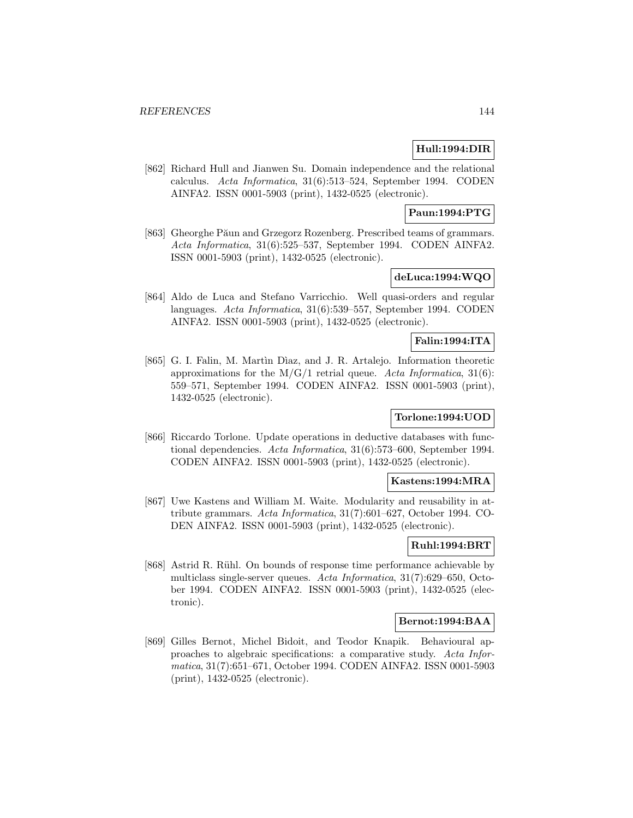## **Hull:1994:DIR**

[862] Richard Hull and Jianwen Su. Domain independence and the relational calculus. Acta Informatica, 31(6):513–524, September 1994. CODEN AINFA2. ISSN 0001-5903 (print), 1432-0525 (electronic).

## **Paun:1994:PTG**

[863] Gheorghe Păun and Grzegorz Rozenberg. Prescribed teams of grammars. Acta Informatica, 31(6):525–537, September 1994. CODEN AINFA2. ISSN 0001-5903 (print), 1432-0525 (electronic).

# **deLuca:1994:WQO**

[864] Aldo de Luca and Stefano Varricchio. Well quasi-orders and regular languages. Acta Informatica, 31(6):539–557, September 1994. CODEN AINFA2. ISSN 0001-5903 (print), 1432-0525 (electronic).

## **Falin:1994:ITA**

[865] G. I. Falin, M. Martin Diaz, and J. R. Artalejo. Information theoretic approximations for the  $M/G/1$  retrial queue. Acta Informatica, 31(6): 559–571, September 1994. CODEN AINFA2. ISSN 0001-5903 (print), 1432-0525 (electronic).

# **Torlone:1994:UOD**

[866] Riccardo Torlone. Update operations in deductive databases with functional dependencies. Acta Informatica, 31(6):573–600, September 1994. CODEN AINFA2. ISSN 0001-5903 (print), 1432-0525 (electronic).

### **Kastens:1994:MRA**

[867] Uwe Kastens and William M. Waite. Modularity and reusability in attribute grammars. Acta Informatica, 31(7):601–627, October 1994. CO-DEN AINFA2. ISSN 0001-5903 (print), 1432-0525 (electronic).

## **Ruhl:1994:BRT**

[868] Astrid R. Rühl. On bounds of response time performance achievable by multiclass single-server queues. Acta Informatica, 31(7):629–650, October 1994. CODEN AINFA2. ISSN 0001-5903 (print), 1432-0525 (electronic).

## **Bernot:1994:BAA**

[869] Gilles Bernot, Michel Bidoit, and Teodor Knapik. Behavioural approaches to algebraic specifications: a comparative study. Acta Informatica, 31(7):651–671, October 1994. CODEN AINFA2. ISSN 0001-5903 (print), 1432-0525 (electronic).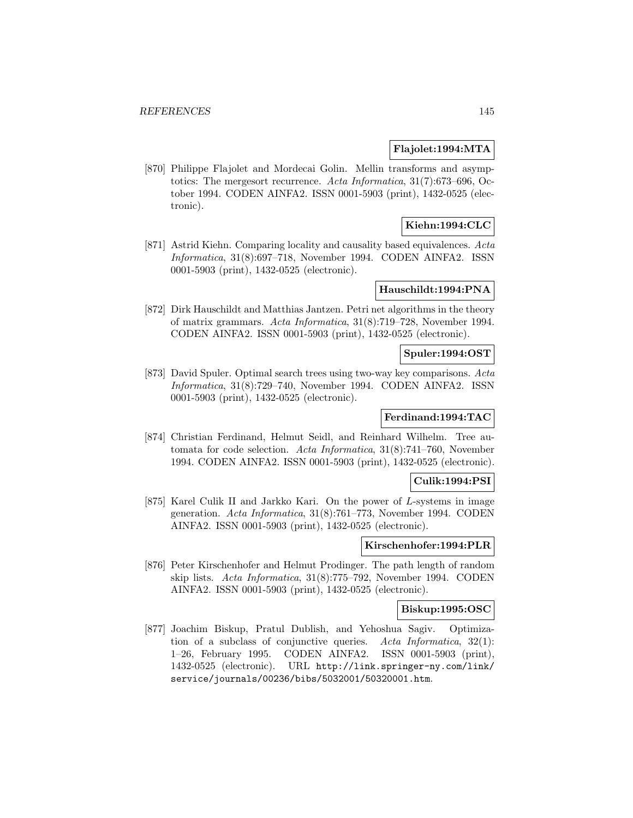# **Flajolet:1994:MTA**

[870] Philippe Flajolet and Mordecai Golin. Mellin transforms and asymptotics: The mergesort recurrence. Acta Informatica, 31(7):673–696, October 1994. CODEN AINFA2. ISSN 0001-5903 (print), 1432-0525 (electronic).

# **Kiehn:1994:CLC**

[871] Astrid Kiehn. Comparing locality and causality based equivalences. Acta Informatica, 31(8):697–718, November 1994. CODEN AINFA2. ISSN 0001-5903 (print), 1432-0525 (electronic).

# **Hauschildt:1994:PNA**

[872] Dirk Hauschildt and Matthias Jantzen. Petri net algorithms in the theory of matrix grammars. Acta Informatica, 31(8):719–728, November 1994. CODEN AINFA2. ISSN 0001-5903 (print), 1432-0525 (electronic).

## **Spuler:1994:OST**

[873] David Spuler. Optimal search trees using two-way key comparisons. Acta Informatica, 31(8):729–740, November 1994. CODEN AINFA2. ISSN 0001-5903 (print), 1432-0525 (electronic).

# **Ferdinand:1994:TAC**

[874] Christian Ferdinand, Helmut Seidl, and Reinhard Wilhelm. Tree automata for code selection. Acta Informatica, 31(8):741–760, November 1994. CODEN AINFA2. ISSN 0001-5903 (print), 1432-0525 (electronic).

# **Culik:1994:PSI**

[875] Karel Culik II and Jarkko Kari. On the power of L-systems in image generation. Acta Informatica, 31(8):761–773, November 1994. CODEN AINFA2. ISSN 0001-5903 (print), 1432-0525 (electronic).

# **Kirschenhofer:1994:PLR**

[876] Peter Kirschenhofer and Helmut Prodinger. The path length of random skip lists. Acta Informatica, 31(8):775–792, November 1994. CODEN AINFA2. ISSN 0001-5903 (print), 1432-0525 (electronic).

### **Biskup:1995:OSC**

[877] Joachim Biskup, Pratul Dublish, and Yehoshua Sagiv. Optimization of a subclass of conjunctive queries. Acta Informatica, 32(1): 1–26, February 1995. CODEN AINFA2. ISSN 0001-5903 (print), 1432-0525 (electronic). URL http://link.springer-ny.com/link/ service/journals/00236/bibs/5032001/50320001.htm.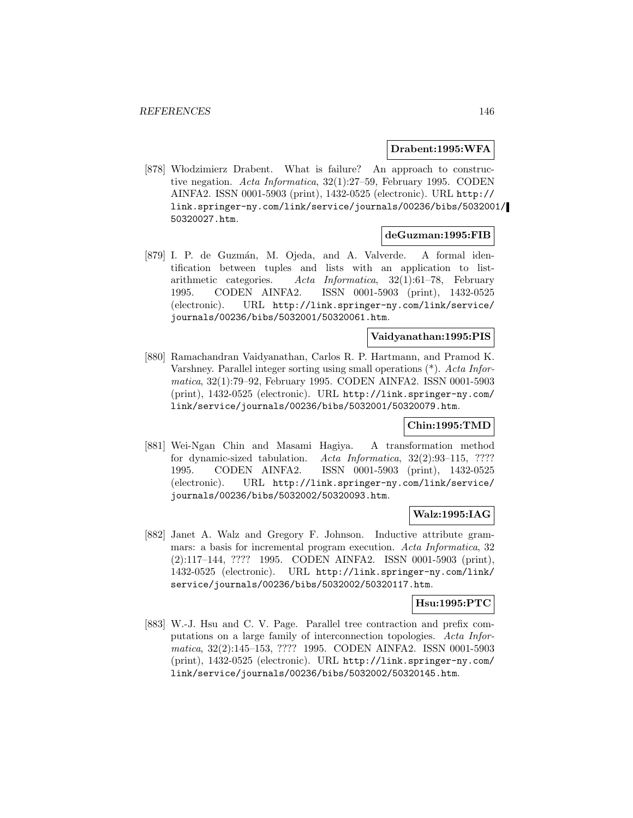### **Drabent:1995:WFA**

[878] Włodzimierz Drabent. What is failure? An approach to constructive negation. Acta Informatica, 32(1):27–59, February 1995. CODEN AINFA2. ISSN 0001-5903 (print), 1432-0525 (electronic). URL http:// link.springer-ny.com/link/service/journals/00236/bibs/5032001/ 50320027.htm.

#### **deGuzman:1995:FIB**

[879] I. P. de Guzmán, M. Ojeda, and A. Valverde. A formal identification between tuples and lists with an application to listarithmetic categories. Acta Informatica, 32(1):61–78, February 1995. CODEN AINFA2. ISSN 0001-5903 (print), 1432-0525 (electronic). URL http://link.springer-ny.com/link/service/ journals/00236/bibs/5032001/50320061.htm.

### **Vaidyanathan:1995:PIS**

[880] Ramachandran Vaidyanathan, Carlos R. P. Hartmann, and Pramod K. Varshney. Parallel integer sorting using small operations (\*). Acta Informatica, 32(1):79–92, February 1995. CODEN AINFA2. ISSN 0001-5903 (print), 1432-0525 (electronic). URL http://link.springer-ny.com/ link/service/journals/00236/bibs/5032001/50320079.htm.

# **Chin:1995:TMD**

[881] Wei-Ngan Chin and Masami Hagiya. A transformation method for dynamic-sized tabulation. Acta Informatica, 32(2):93–115, ???? 1995. CODEN AINFA2. ISSN 0001-5903 (print), 1432-0525 (electronic). URL http://link.springer-ny.com/link/service/ journals/00236/bibs/5032002/50320093.htm.

### **Walz:1995:IAG**

[882] Janet A. Walz and Gregory F. Johnson. Inductive attribute grammars: a basis for incremental program execution. Acta Informatica, 32 (2):117–144, ???? 1995. CODEN AINFA2. ISSN 0001-5903 (print), 1432-0525 (electronic). URL http://link.springer-ny.com/link/ service/journals/00236/bibs/5032002/50320117.htm.

### **Hsu:1995:PTC**

[883] W.-J. Hsu and C. V. Page. Parallel tree contraction and prefix computations on a large family of interconnection topologies. Acta Informatica, 32(2):145–153, ???? 1995. CODEN AINFA2. ISSN 0001-5903 (print), 1432-0525 (electronic). URL http://link.springer-ny.com/ link/service/journals/00236/bibs/5032002/50320145.htm.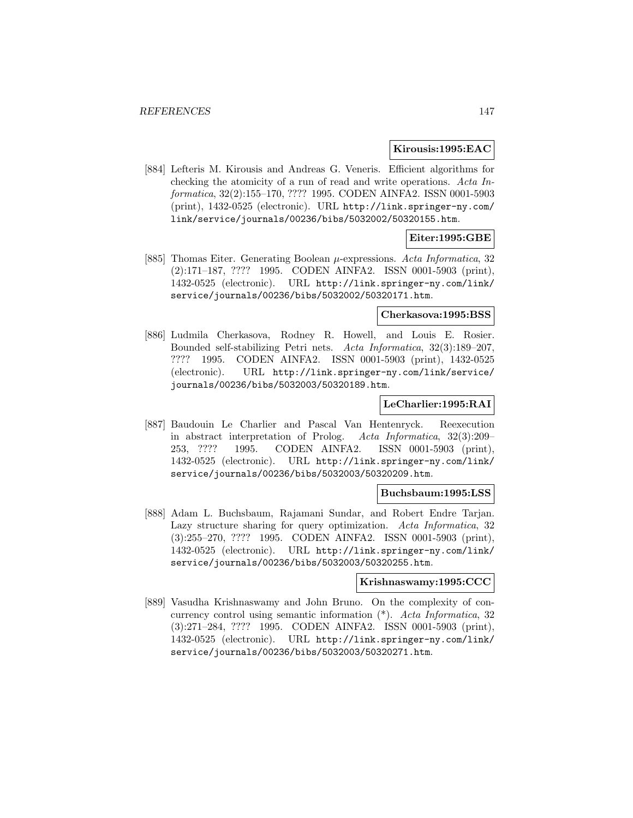#### **Kirousis:1995:EAC**

[884] Lefteris M. Kirousis and Andreas G. Veneris. Efficient algorithms for checking the atomicity of a run of read and write operations. Acta Informatica, 32(2):155–170, ???? 1995. CODEN AINFA2. ISSN 0001-5903 (print), 1432-0525 (electronic). URL http://link.springer-ny.com/ link/service/journals/00236/bibs/5032002/50320155.htm.

# **Eiter:1995:GBE**

[885] Thomas Eiter. Generating Boolean  $\mu$ -expressions. Acta Informatica, 32 (2):171–187, ???? 1995. CODEN AINFA2. ISSN 0001-5903 (print), 1432-0525 (electronic). URL http://link.springer-ny.com/link/ service/journals/00236/bibs/5032002/50320171.htm.

#### **Cherkasova:1995:BSS**

[886] Ludmila Cherkasova, Rodney R. Howell, and Louis E. Rosier. Bounded self-stabilizing Petri nets. Acta Informatica, 32(3):189–207, ???? 1995. CODEN AINFA2. ISSN 0001-5903 (print), 1432-0525 (electronic). URL http://link.springer-ny.com/link/service/ journals/00236/bibs/5032003/50320189.htm.

### **LeCharlier:1995:RAI**

[887] Baudouin Le Charlier and Pascal Van Hentenryck. Reexecution in abstract interpretation of Prolog. Acta Informatica, 32(3):209– 253, ???? 1995. CODEN AINFA2. ISSN 0001-5903 (print), 1432-0525 (electronic). URL http://link.springer-ny.com/link/ service/journals/00236/bibs/5032003/50320209.htm.

#### **Buchsbaum:1995:LSS**

[888] Adam L. Buchsbaum, Rajamani Sundar, and Robert Endre Tarjan. Lazy structure sharing for query optimization. Acta Informatica, 32 (3):255–270, ???? 1995. CODEN AINFA2. ISSN 0001-5903 (print), 1432-0525 (electronic). URL http://link.springer-ny.com/link/ service/journals/00236/bibs/5032003/50320255.htm.

#### **Krishnaswamy:1995:CCC**

[889] Vasudha Krishnaswamy and John Bruno. On the complexity of concurrency control using semantic information (\*). Acta Informatica, 32 (3):271–284, ???? 1995. CODEN AINFA2. ISSN 0001-5903 (print), 1432-0525 (electronic). URL http://link.springer-ny.com/link/ service/journals/00236/bibs/5032003/50320271.htm.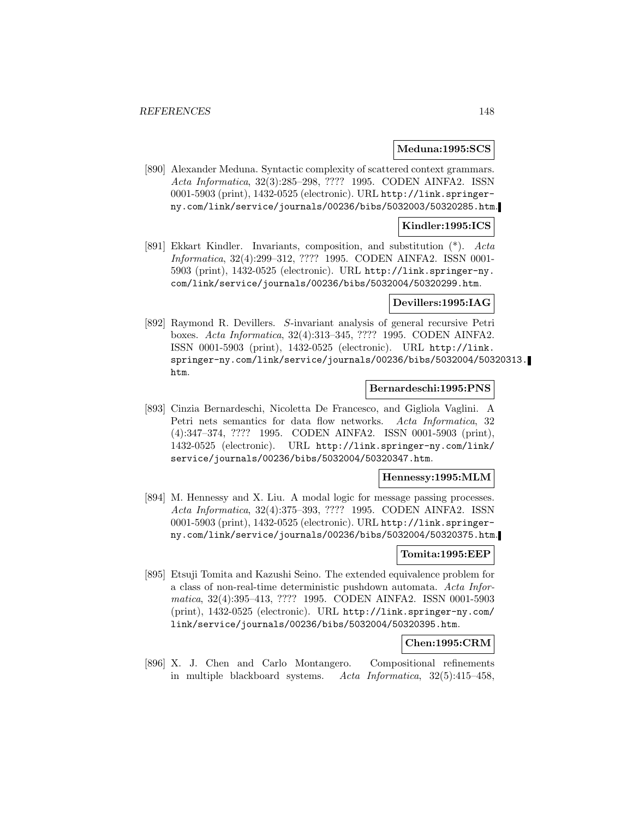#### **Meduna:1995:SCS**

[890] Alexander Meduna. Syntactic complexity of scattered context grammars. Acta Informatica, 32(3):285–298, ???? 1995. CODEN AINFA2. ISSN 0001-5903 (print), 1432-0525 (electronic). URL http://link.springerny.com/link/service/journals/00236/bibs/5032003/50320285.htm.

### **Kindler:1995:ICS**

[891] Ekkart Kindler. Invariants, composition, and substitution (\*). Acta Informatica, 32(4):299–312, ???? 1995. CODEN AINFA2. ISSN 0001- 5903 (print), 1432-0525 (electronic). URL http://link.springer-ny. com/link/service/journals/00236/bibs/5032004/50320299.htm.

### **Devillers:1995:IAG**

[892] Raymond R. Devillers. S-invariant analysis of general recursive Petri boxes. Acta Informatica, 32(4):313–345, ???? 1995. CODEN AINFA2. ISSN 0001-5903 (print), 1432-0525 (electronic). URL http://link. springer-ny.com/link/service/journals/00236/bibs/5032004/50320313. htm.

#### **Bernardeschi:1995:PNS**

[893] Cinzia Bernardeschi, Nicoletta De Francesco, and Gigliola Vaglini. A Petri nets semantics for data flow networks. Acta Informatica, 32 (4):347–374, ???? 1995. CODEN AINFA2. ISSN 0001-5903 (print), 1432-0525 (electronic). URL http://link.springer-ny.com/link/ service/journals/00236/bibs/5032004/50320347.htm.

### **Hennessy:1995:MLM**

[894] M. Hennessy and X. Liu. A modal logic for message passing processes. Acta Informatica, 32(4):375–393, ???? 1995. CODEN AINFA2. ISSN 0001-5903 (print), 1432-0525 (electronic). URL http://link.springerny.com/link/service/journals/00236/bibs/5032004/50320375.htm.

#### **Tomita:1995:EEP**

[895] Etsuji Tomita and Kazushi Seino. The extended equivalence problem for a class of non-real-time deterministic pushdown automata. Acta Informatica, 32(4):395–413, ???? 1995. CODEN AINFA2. ISSN 0001-5903 (print), 1432-0525 (electronic). URL http://link.springer-ny.com/ link/service/journals/00236/bibs/5032004/50320395.htm.

#### **Chen:1995:CRM**

[896] X. J. Chen and Carlo Montangero. Compositional refinements in multiple blackboard systems. Acta Informatica, 32(5):415–458,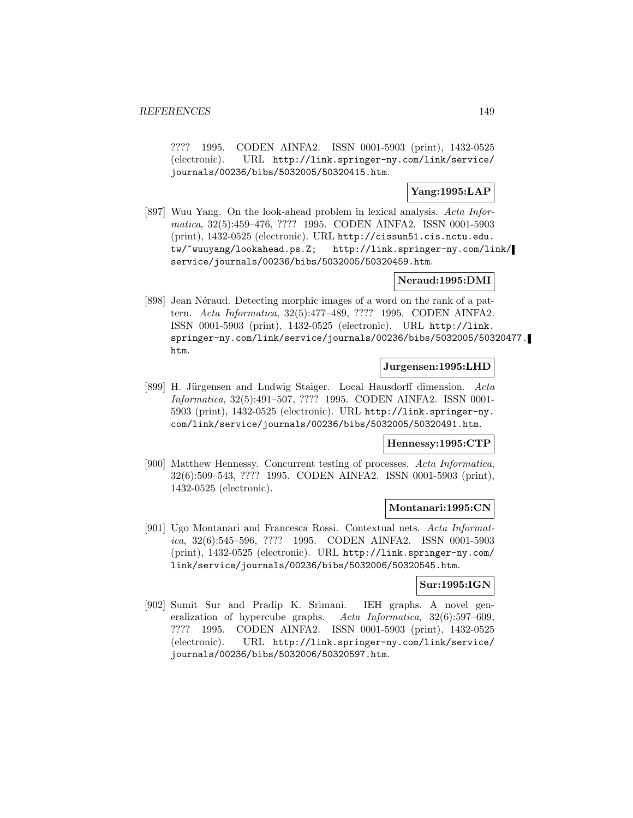???? 1995. CODEN AINFA2. ISSN 0001-5903 (print), 1432-0525 (electronic). URL http://link.springer-ny.com/link/service/ journals/00236/bibs/5032005/50320415.htm.

# **Yang:1995:LAP**

[897] Wuu Yang. On the look-ahead problem in lexical analysis. Acta Informatica, 32(5):459–476, ???? 1995. CODEN AINFA2. ISSN 0001-5903 (print), 1432-0525 (electronic). URL http://cissun51.cis.nctu.edu. tw/~wuuyang/lookahead.ps.Z; http://link.springer-ny.com/link/ service/journals/00236/bibs/5032005/50320459.htm.

# **Neraud:1995:DMI**

[898] Jean Néraud. Detecting morphic images of a word on the rank of a pattern. Acta Informatica, 32(5):477–489, ???? 1995. CODEN AINFA2. ISSN 0001-5903 (print), 1432-0525 (electronic). URL http://link. springer-ny.com/link/service/journals/00236/bibs/5032005/50320477. htm.

### **Jurgensen:1995:LHD**

[899] H. Jürgensen and Ludwig Staiger. Local Hausdorff dimension. Acta Informatica, 32(5):491–507, ???? 1995. CODEN AINFA2. ISSN 0001- 5903 (print), 1432-0525 (electronic). URL http://link.springer-ny. com/link/service/journals/00236/bibs/5032005/50320491.htm.

#### **Hennessy:1995:CTP**

[900] Matthew Hennessy. Concurrent testing of processes. Acta Informatica, 32(6):509–543, ???? 1995. CODEN AINFA2. ISSN 0001-5903 (print), 1432-0525 (electronic).

#### **Montanari:1995:CN**

[901] Ugo Montanari and Francesca Rossi. Contextual nets. Acta Informatica, 32(6):545–596, ???? 1995. CODEN AINFA2. ISSN 0001-5903 (print), 1432-0525 (electronic). URL http://link.springer-ny.com/ link/service/journals/00236/bibs/5032006/50320545.htm.

### **Sur:1995:IGN**

[902] Sumit Sur and Pradip K. Srimani. IEH graphs. A novel generalization of hypercube graphs. Acta Informatica, 32(6):597–609, ???? 1995. CODEN AINFA2. ISSN 0001-5903 (print), 1432-0525 (electronic). URL http://link.springer-ny.com/link/service/ journals/00236/bibs/5032006/50320597.htm.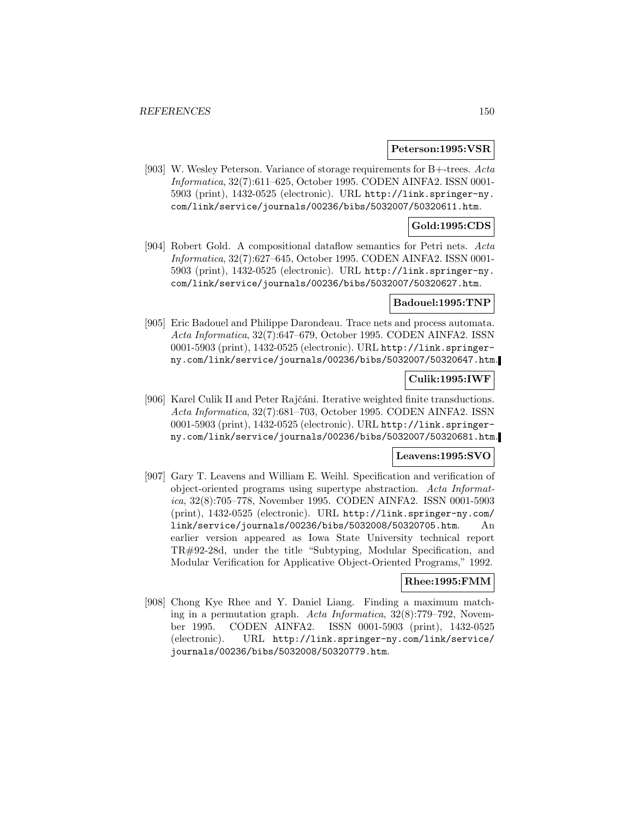#### **Peterson:1995:VSR**

[903] W. Wesley Peterson. Variance of storage requirements for B+-trees. Acta Informatica, 32(7):611–625, October 1995. CODEN AINFA2. ISSN 0001- 5903 (print), 1432-0525 (electronic). URL http://link.springer-ny. com/link/service/journals/00236/bibs/5032007/50320611.htm.

### **Gold:1995:CDS**

[904] Robert Gold. A compositional dataflow semantics for Petri nets. Acta Informatica, 32(7):627–645, October 1995. CODEN AINFA2. ISSN 0001- 5903 (print), 1432-0525 (electronic). URL http://link.springer-ny. com/link/service/journals/00236/bibs/5032007/50320627.htm.

### **Badouel:1995:TNP**

[905] Eric Badouel and Philippe Darondeau. Trace nets and process automata. Acta Informatica, 32(7):647–679, October 1995. CODEN AINFA2. ISSN 0001-5903 (print), 1432-0525 (electronic). URL http://link.springerny.com/link/service/journals/00236/bibs/5032007/50320647.htm.

### **Culik:1995:IWF**

[906] Karel Culik II and Peter Rajčáni. Iterative weighted finite transductions. Acta Informatica, 32(7):681–703, October 1995. CODEN AINFA2. ISSN 0001-5903 (print), 1432-0525 (electronic). URL http://link.springerny.com/link/service/journals/00236/bibs/5032007/50320681.htm.

### **Leavens:1995:SVO**

[907] Gary T. Leavens and William E. Weihl. Specification and verification of object-oriented programs using supertype abstraction. Acta Informatica, 32(8):705–778, November 1995. CODEN AINFA2. ISSN 0001-5903 (print), 1432-0525 (electronic). URL http://link.springer-ny.com/ link/service/journals/00236/bibs/5032008/50320705.htm. An earlier version appeared as Iowa State University technical report TR#92-28d, under the title "Subtyping, Modular Specification, and Modular Verification for Applicative Object-Oriented Programs," 1992.

### **Rhee:1995:FMM**

[908] Chong Kye Rhee and Y. Daniel Liang. Finding a maximum matching in a permutation graph. Acta Informatica, 32(8):779–792, November 1995. CODEN AINFA2. ISSN 0001-5903 (print), 1432-0525 (electronic). URL http://link.springer-ny.com/link/service/ journals/00236/bibs/5032008/50320779.htm.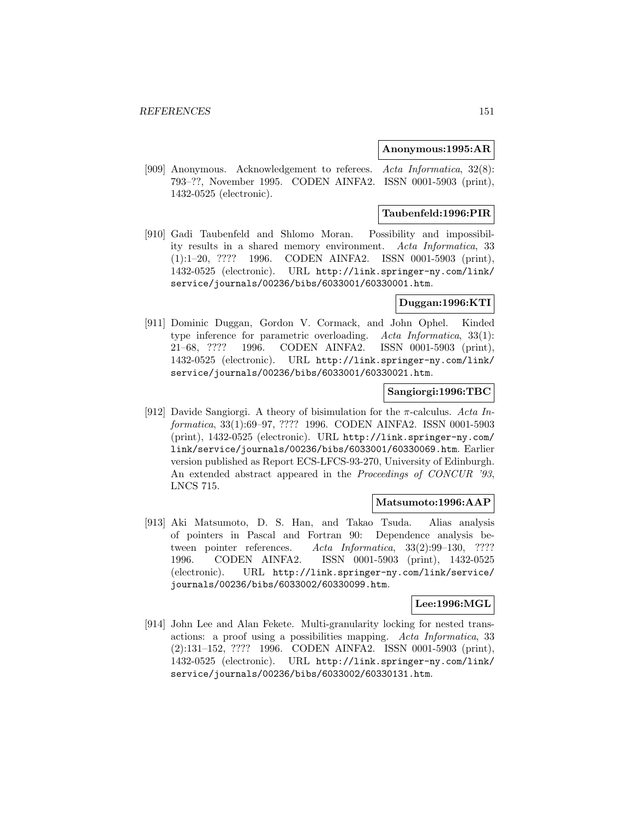### **Anonymous:1995:AR**

[909] Anonymous. Acknowledgement to referees. Acta Informatica, 32(8): 793–??, November 1995. CODEN AINFA2. ISSN 0001-5903 (print), 1432-0525 (electronic).

### **Taubenfeld:1996:PIR**

[910] Gadi Taubenfeld and Shlomo Moran. Possibility and impossibility results in a shared memory environment. Acta Informatica, 33 (1):1–20, ???? 1996. CODEN AINFA2. ISSN 0001-5903 (print), 1432-0525 (electronic). URL http://link.springer-ny.com/link/ service/journals/00236/bibs/6033001/60330001.htm.

## **Duggan:1996:KTI**

[911] Dominic Duggan, Gordon V. Cormack, and John Ophel. Kinded type inference for parametric overloading. Acta Informatica, 33(1): 21–68, ???? 1996. CODEN AINFA2. ISSN 0001-5903 (print), 1432-0525 (electronic). URL http://link.springer-ny.com/link/ service/journals/00236/bibs/6033001/60330021.htm.

### **Sangiorgi:1996:TBC**

[912] Davide Sangiorgi. A theory of bisimulation for the  $\pi$ -calculus. Acta Informatica, 33(1):69–97, ???? 1996. CODEN AINFA2. ISSN 0001-5903 (print), 1432-0525 (electronic). URL http://link.springer-ny.com/ link/service/journals/00236/bibs/6033001/60330069.htm. Earlier version published as Report ECS-LFCS-93-270, University of Edinburgh. An extended abstract appeared in the *Proceedings of CONCUR '93*, LNCS 715.

### **Matsumoto:1996:AAP**

[913] Aki Matsumoto, D. S. Han, and Takao Tsuda. Alias analysis of pointers in Pascal and Fortran 90: Dependence analysis between pointer references. Acta Informatica, 33(2):99–130, ???? 1996. CODEN AINFA2. ISSN 0001-5903 (print), 1432-0525 (electronic). URL http://link.springer-ny.com/link/service/ journals/00236/bibs/6033002/60330099.htm.

#### **Lee:1996:MGL**

[914] John Lee and Alan Fekete. Multi-granularity locking for nested transactions: a proof using a possibilities mapping. Acta Informatica, 33 (2):131–152, ???? 1996. CODEN AINFA2. ISSN 0001-5903 (print), 1432-0525 (electronic). URL http://link.springer-ny.com/link/ service/journals/00236/bibs/6033002/60330131.htm.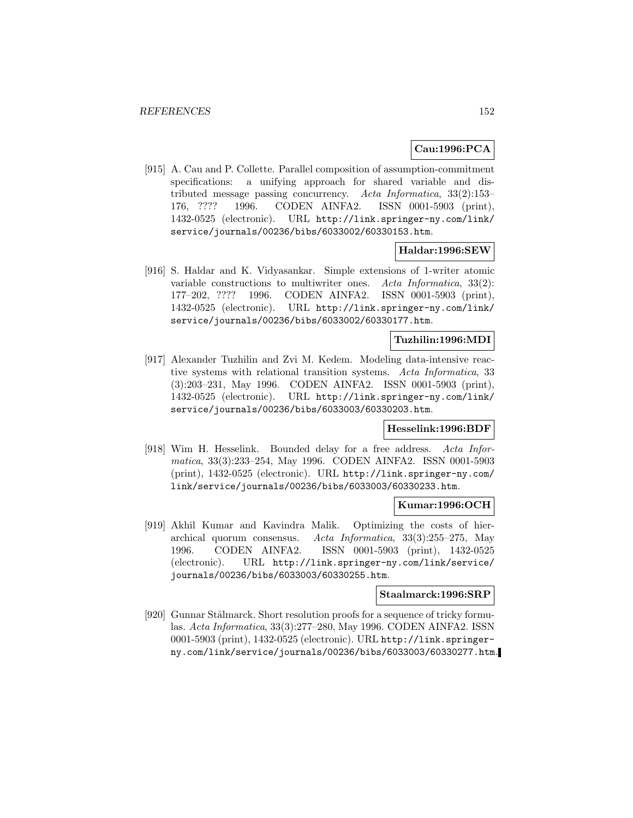# **Cau:1996:PCA**

[915] A. Cau and P. Collette. Parallel composition of assumption-commitment specifications: a unifying approach for shared variable and distributed message passing concurrency. Acta Informatica, 33(2):153– 176, ???? 1996. CODEN AINFA2. ISSN 0001-5903 (print), 1432-0525 (electronic). URL http://link.springer-ny.com/link/ service/journals/00236/bibs/6033002/60330153.htm.

### **Haldar:1996:SEW**

[916] S. Haldar and K. Vidyasankar. Simple extensions of 1-writer atomic variable constructions to multiwriter ones. Acta Informatica, 33(2): 177–202, ???? 1996. CODEN AINFA2. ISSN 0001-5903 (print), 1432-0525 (electronic). URL http://link.springer-ny.com/link/ service/journals/00236/bibs/6033002/60330177.htm.

### **Tuzhilin:1996:MDI**

[917] Alexander Tuzhilin and Zvi M. Kedem. Modeling data-intensive reactive systems with relational transition systems. Acta Informatica, 33 (3):203–231, May 1996. CODEN AINFA2. ISSN 0001-5903 (print), 1432-0525 (electronic). URL http://link.springer-ny.com/link/ service/journals/00236/bibs/6033003/60330203.htm.

#### **Hesselink:1996:BDF**

[918] Wim H. Hesselink. Bounded delay for a free address. Acta Informatica, 33(3):233–254, May 1996. CODEN AINFA2. ISSN 0001-5903 (print), 1432-0525 (electronic). URL http://link.springer-ny.com/ link/service/journals/00236/bibs/6033003/60330233.htm.

#### **Kumar:1996:OCH**

[919] Akhil Kumar and Kavindra Malik. Optimizing the costs of hierarchical quorum consensus. Acta Informatica, 33(3):255–275, May 1996. CODEN AINFA2. ISSN 0001-5903 (print), 1432-0525 (electronic). URL http://link.springer-ny.com/link/service/ journals/00236/bibs/6033003/60330255.htm.

### **Staalmarck:1996:SRP**

[920] Gunnar Stålmarck. Short resolution proofs for a sequence of tricky formulas. Acta Informatica, 33(3):277–280, May 1996. CODEN AINFA2. ISSN 0001-5903 (print), 1432-0525 (electronic). URL http://link.springerny.com/link/service/journals/00236/bibs/6033003/60330277.htm.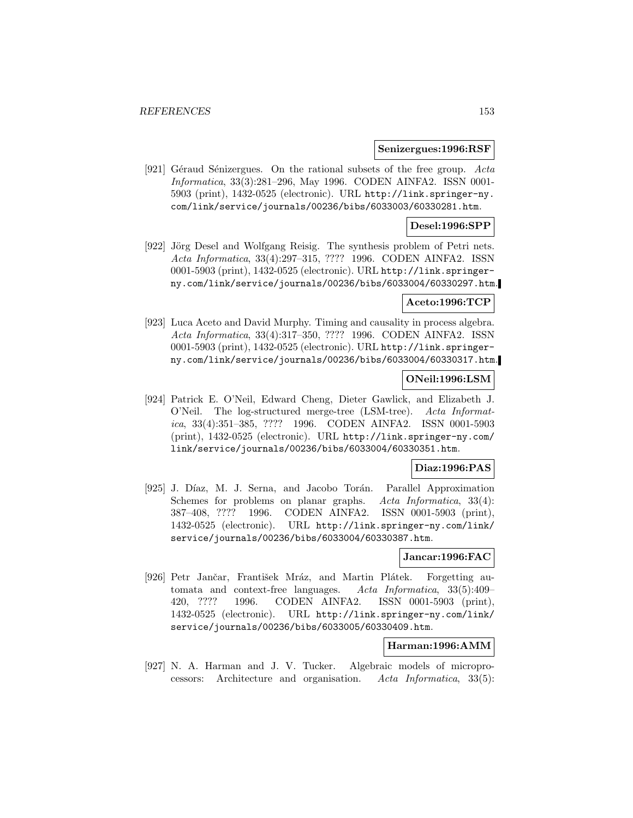#### **Senizergues:1996:RSF**

[921] Géraud Sénizergues. On the rational subsets of the free group. Acta Informatica, 33(3):281–296, May 1996. CODEN AINFA2. ISSN 0001- 5903 (print), 1432-0525 (electronic). URL http://link.springer-ny. com/link/service/journals/00236/bibs/6033003/60330281.htm.

### **Desel:1996:SPP**

[922] Jörg Desel and Wolfgang Reisig. The synthesis problem of Petri nets. Acta Informatica, 33(4):297–315, ???? 1996. CODEN AINFA2. ISSN 0001-5903 (print), 1432-0525 (electronic). URL http://link.springerny.com/link/service/journals/00236/bibs/6033004/60330297.htm.

# **Aceto:1996:TCP**

[923] Luca Aceto and David Murphy. Timing and causality in process algebra. Acta Informatica, 33(4):317–350, ???? 1996. CODEN AINFA2. ISSN 0001-5903 (print), 1432-0525 (electronic). URL http://link.springerny.com/link/service/journals/00236/bibs/6033004/60330317.htm.

### **ONeil:1996:LSM**

[924] Patrick E. O'Neil, Edward Cheng, Dieter Gawlick, and Elizabeth J. O'Neil. The log-structured merge-tree (LSM-tree). Acta Informatica, 33(4):351–385, ???? 1996. CODEN AINFA2. ISSN 0001-5903 (print), 1432-0525 (electronic). URL http://link.springer-ny.com/ link/service/journals/00236/bibs/6033004/60330351.htm.

#### **Diaz:1996:PAS**

[925] J. Díaz, M. J. Serna, and Jacobo Torán. Parallel Approximation Schemes for problems on planar graphs. Acta Informatica, 33(4): 387–408, ???? 1996. CODEN AINFA2. ISSN 0001-5903 (print), 1432-0525 (electronic). URL http://link.springer-ny.com/link/ service/journals/00236/bibs/6033004/60330387.htm.

### **Jancar:1996:FAC**

[926] Petr Jančar, František Mráz, and Martin Plátek. Forgetting automata and context-free languages. Acta Informatica, 33(5):409– 420, ???? 1996. CODEN AINFA2. ISSN 0001-5903 (print), 1432-0525 (electronic). URL http://link.springer-ny.com/link/ service/journals/00236/bibs/6033005/60330409.htm.

### **Harman:1996:AMM**

[927] N. A. Harman and J. V. Tucker. Algebraic models of microprocessors: Architecture and organisation. Acta Informatica, 33(5):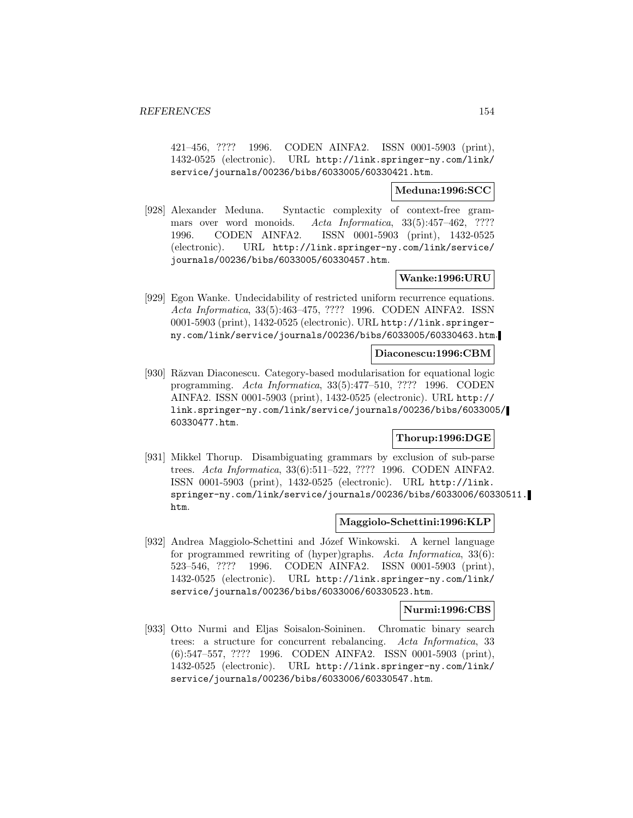421–456, ???? 1996. CODEN AINFA2. ISSN 0001-5903 (print), 1432-0525 (electronic). URL http://link.springer-ny.com/link/ service/journals/00236/bibs/6033005/60330421.htm.

## **Meduna:1996:SCC**

[928] Alexander Meduna. Syntactic complexity of context-free grammars over word monoids. Acta Informatica, 33(5):457-462, ???? 1996. CODEN AINFA2. ISSN 0001-5903 (print), 1432-0525 (electronic). URL http://link.springer-ny.com/link/service/ journals/00236/bibs/6033005/60330457.htm.

### **Wanke:1996:URU**

[929] Egon Wanke. Undecidability of restricted uniform recurrence equations. Acta Informatica, 33(5):463–475, ???? 1996. CODEN AINFA2. ISSN 0001-5903 (print), 1432-0525 (electronic). URL http://link.springerny.com/link/service/journals/00236/bibs/6033005/60330463.htm.

### **Diaconescu:1996:CBM**

[930] Răzvan Diaconescu. Category-based modularisation for equational logic programming. Acta Informatica, 33(5):477–510, ???? 1996. CODEN AINFA2. ISSN 0001-5903 (print), 1432-0525 (electronic). URL http:// link.springer-ny.com/link/service/journals/00236/bibs/6033005/ 60330477.htm.

### **Thorup:1996:DGE**

[931] Mikkel Thorup. Disambiguating grammars by exclusion of sub-parse trees. Acta Informatica, 33(6):511–522, ???? 1996. CODEN AINFA2. ISSN 0001-5903 (print), 1432-0525 (electronic). URL http://link. springer-ny.com/link/service/journals/00236/bibs/6033006/60330511. htm.

#### **Maggiolo-Schettini:1996:KLP**

[932] Andrea Maggiolo-Schettini and Józef Winkowski. A kernel language for programmed rewriting of (hyper)graphs. Acta Informatica, 33(6): 523–546, ???? 1996. CODEN AINFA2. ISSN 0001-5903 (print), 1432-0525 (electronic). URL http://link.springer-ny.com/link/ service/journals/00236/bibs/6033006/60330523.htm.

#### **Nurmi:1996:CBS**

[933] Otto Nurmi and Eljas Soisalon-Soininen. Chromatic binary search trees: a structure for concurrent rebalancing. Acta Informatica, 33 (6):547–557, ???? 1996. CODEN AINFA2. ISSN 0001-5903 (print), 1432-0525 (electronic). URL http://link.springer-ny.com/link/ service/journals/00236/bibs/6033006/60330547.htm.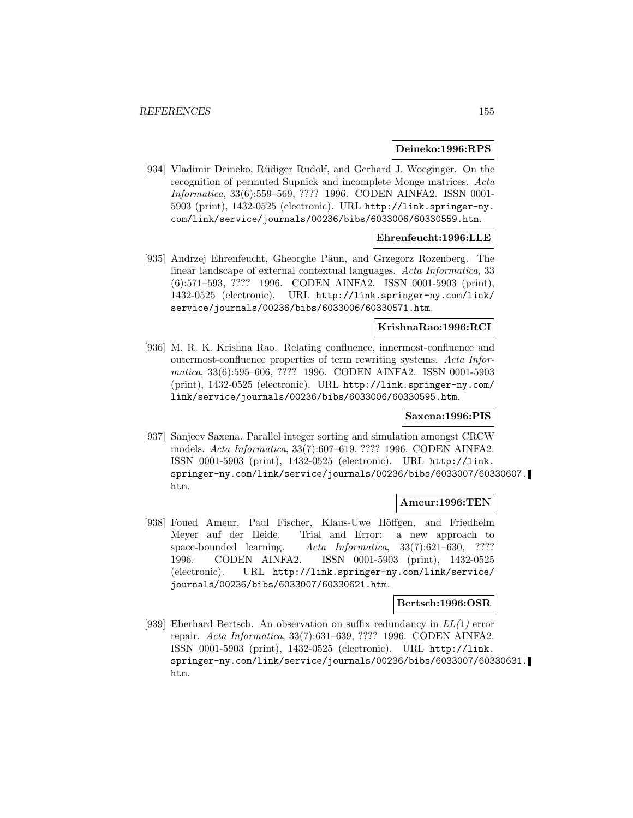#### **Deineko:1996:RPS**

[934] Vladimir Deineko, Rüdiger Rudolf, and Gerhard J. Woeginger. On the recognition of permuted Supnick and incomplete Monge matrices. Acta Informatica, 33(6):559–569, ???? 1996. CODEN AINFA2. ISSN 0001- 5903 (print), 1432-0525 (electronic). URL http://link.springer-ny. com/link/service/journals/00236/bibs/6033006/60330559.htm.

# **Ehrenfeucht:1996:LLE**

[935] Andrzej Ehrenfeucht, Gheorghe Păun, and Grzegorz Rozenberg. The linear landscape of external contextual languages. Acta Informatica, 33 (6):571–593, ???? 1996. CODEN AINFA2. ISSN 0001-5903 (print), 1432-0525 (electronic). URL http://link.springer-ny.com/link/ service/journals/00236/bibs/6033006/60330571.htm.

# **KrishnaRao:1996:RCI**

[936] M. R. K. Krishna Rao. Relating confluence, innermost-confluence and outermost-confluence properties of term rewriting systems. Acta Informatica, 33(6):595–606, ???? 1996. CODEN AINFA2. ISSN 0001-5903 (print), 1432-0525 (electronic). URL http://link.springer-ny.com/ link/service/journals/00236/bibs/6033006/60330595.htm.

### **Saxena:1996:PIS**

[937] Sanjeev Saxena. Parallel integer sorting and simulation amongst CRCW models. Acta Informatica, 33(7):607–619, ???? 1996. CODEN AINFA2. ISSN 0001-5903 (print), 1432-0525 (electronic). URL http://link. springer-ny.com/link/service/journals/00236/bibs/6033007/60330607. htm.

#### **Ameur:1996:TEN**

[938] Foued Ameur, Paul Fischer, Klaus-Uwe Höffgen, and Friedhelm Meyer auf der Heide. Trial and Error: a new approach to space-bounded learning. Acta Informatica, 33(7):621–630, ???? 1996. CODEN AINFA2. ISSN 0001-5903 (print), 1432-0525 (electronic). URL http://link.springer-ny.com/link/service/ journals/00236/bibs/6033007/60330621.htm.

#### **Bertsch:1996:OSR**

[939] Eberhard Bertsch. An observation on suffix redundancy in  $LL(1)$  error repair. Acta Informatica, 33(7):631–639, ???? 1996. CODEN AINFA2. ISSN 0001-5903 (print), 1432-0525 (electronic). URL http://link. springer-ny.com/link/service/journals/00236/bibs/6033007/60330631. htm.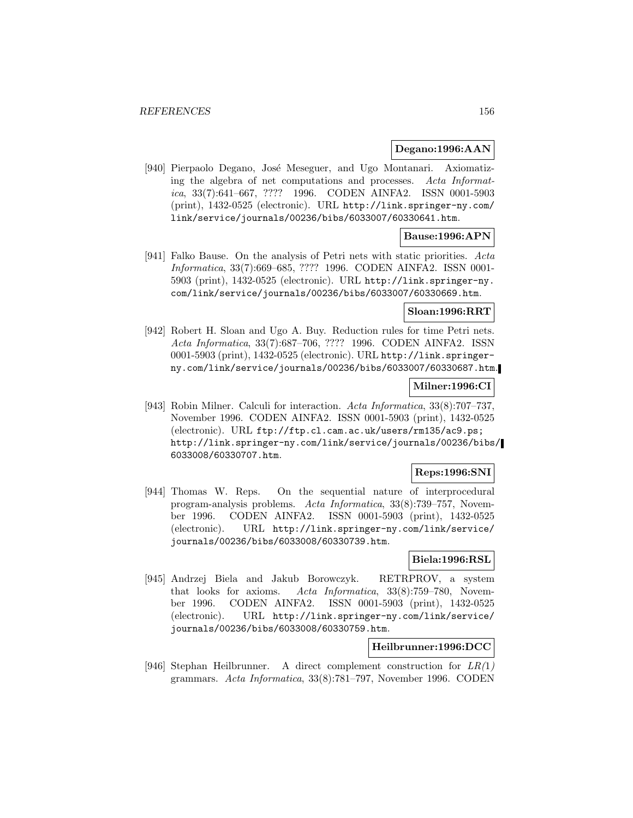### **Degano:1996:AAN**

[940] Pierpaolo Degano, José Meseguer, and Ugo Montanari. Axiomatizing the algebra of net computations and processes. Acta Informatica, 33(7):641–667, ???? 1996. CODEN AINFA2. ISSN 0001-5903 (print), 1432-0525 (electronic). URL http://link.springer-ny.com/ link/service/journals/00236/bibs/6033007/60330641.htm.

## **Bause:1996:APN**

[941] Falko Bause. On the analysis of Petri nets with static priorities. Acta Informatica, 33(7):669–685, ???? 1996. CODEN AINFA2. ISSN 0001- 5903 (print), 1432-0525 (electronic). URL http://link.springer-ny. com/link/service/journals/00236/bibs/6033007/60330669.htm.

## **Sloan:1996:RRT**

[942] Robert H. Sloan and Ugo A. Buy. Reduction rules for time Petri nets. Acta Informatica, 33(7):687–706, ???? 1996. CODEN AINFA2. ISSN 0001-5903 (print), 1432-0525 (electronic). URL http://link.springerny.com/link/service/journals/00236/bibs/6033007/60330687.htm.

### **Milner:1996:CI**

[943] Robin Milner. Calculi for interaction. Acta Informatica, 33(8):707–737, November 1996. CODEN AINFA2. ISSN 0001-5903 (print), 1432-0525 (electronic). URL ftp://ftp.cl.cam.ac.uk/users/rm135/ac9.ps; http://link.springer-ny.com/link/service/journals/00236/bibs/ 6033008/60330707.htm.

## **Reps:1996:SNI**

[944] Thomas W. Reps. On the sequential nature of interprocedural program-analysis problems. Acta Informatica, 33(8):739–757, November 1996. CODEN AINFA2. ISSN 0001-5903 (print), 1432-0525 (electronic). URL http://link.springer-ny.com/link/service/ journals/00236/bibs/6033008/60330739.htm.

### **Biela:1996:RSL**

[945] Andrzej Biela and Jakub Borowczyk. RETRPROV, a system that looks for axioms. Acta Informatica, 33(8):759–780, November 1996. CODEN AINFA2. ISSN 0001-5903 (print), 1432-0525 (electronic). URL http://link.springer-ny.com/link/service/ journals/00236/bibs/6033008/60330759.htm.

### **Heilbrunner:1996:DCC**

[946] Stephan Heilbrunner. A direct complement construction for  $LR(1)$ grammars. Acta Informatica, 33(8):781–797, November 1996. CODEN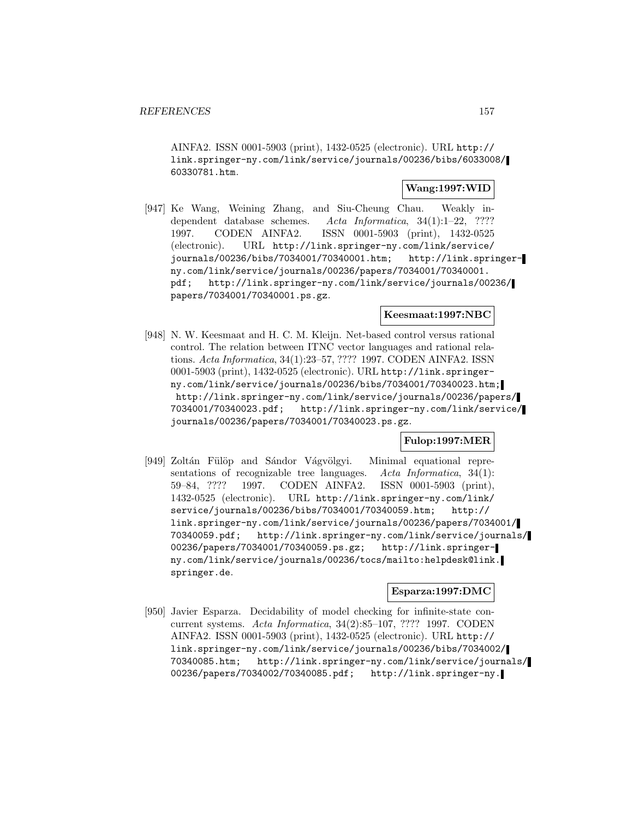AINFA2. ISSN 0001-5903 (print), 1432-0525 (electronic). URL http:// link.springer-ny.com/link/service/journals/00236/bibs/6033008/ 60330781.htm.

# **Wang:1997:WID**

[947] Ke Wang, Weining Zhang, and Siu-Cheung Chau. Weakly independent database schemes. Acta Informatica, 34(1):1–22, ???? 1997. CODEN AINFA2. ISSN 0001-5903 (print), 1432-0525 (electronic). URL http://link.springer-ny.com/link/service/ journals/00236/bibs/7034001/70340001.htm; http://link.springerny.com/link/service/journals/00236/papers/7034001/70340001. pdf; http://link.springer-ny.com/link/service/journals/00236/ papers/7034001/70340001.ps.gz.

#### **Keesmaat:1997:NBC**

[948] N. W. Keesmaat and H. C. M. Kleijn. Net-based control versus rational control. The relation between ITNC vector languages and rational relations. Acta Informatica, 34(1):23–57, ???? 1997. CODEN AINFA2. ISSN 0001-5903 (print), 1432-0525 (electronic). URL http://link.springerny.com/link/service/journals/00236/bibs/7034001/70340023.htm; http://link.springer-ny.com/link/service/journals/00236/papers/ 7034001/70340023.pdf; http://link.springer-ny.com/link/service/ journals/00236/papers/7034001/70340023.ps.gz.

# **Fulop:1997:MER**

[949] Zoltán Fülöp and Sándor Vágvölgyi. Minimal equational representations of recognizable tree languages. Acta Informatica, 34(1): 59–84, ???? 1997. CODEN AINFA2. ISSN 0001-5903 (print), 1432-0525 (electronic). URL http://link.springer-ny.com/link/ service/journals/00236/bibs/7034001/70340059.htm; http:// link.springer-ny.com/link/service/journals/00236/papers/7034001/ 70340059.pdf; http://link.springer-ny.com/link/service/journals/ 00236/papers/7034001/70340059.ps.gz; http://link.springerny.com/link/service/journals/00236/tocs/mailto:helpdesk@link. springer.de.

#### **Esparza:1997:DMC**

[950] Javier Esparza. Decidability of model checking for infinite-state concurrent systems. Acta Informatica, 34(2):85–107, ???? 1997. CODEN AINFA2. ISSN 0001-5903 (print), 1432-0525 (electronic). URL http:// link.springer-ny.com/link/service/journals/00236/bibs/7034002/ 70340085.htm; http://link.springer-ny.com/link/service/journals/ 00236/papers/7034002/70340085.pdf; http://link.springer-ny.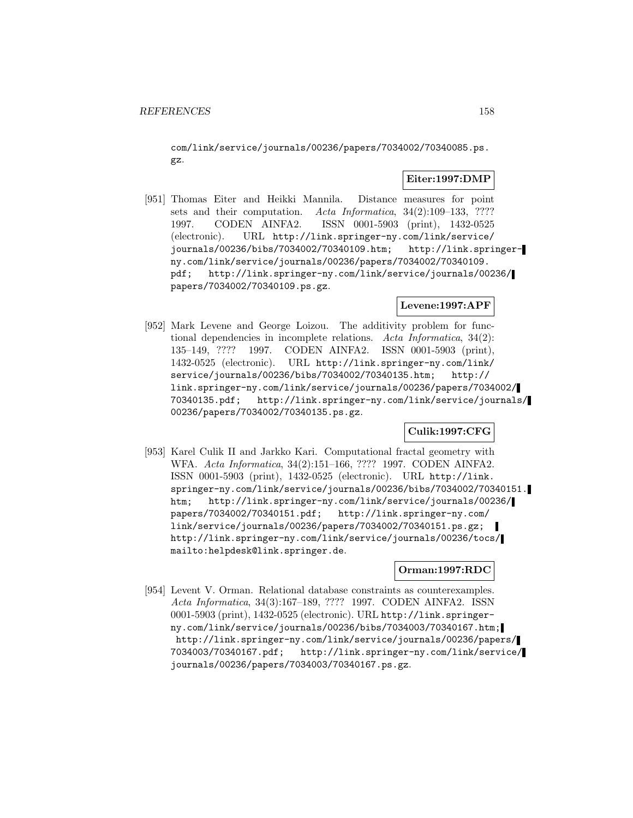com/link/service/journals/00236/papers/7034002/70340085.ps. gz.

### **Eiter:1997:DMP**

[951] Thomas Eiter and Heikki Mannila. Distance measures for point sets and their computation. Acta Informatica, 34(2):109–133, ???? 1997. CODEN AINFA2. ISSN 0001-5903 (print), 1432-0525 (electronic). URL http://link.springer-ny.com/link/service/ journals/00236/bibs/7034002/70340109.htm; http://link.springerny.com/link/service/journals/00236/papers/7034002/70340109. pdf; http://link.springer-ny.com/link/service/journals/00236/ papers/7034002/70340109.ps.gz.

**Levene:1997:APF**

[952] Mark Levene and George Loizou. The additivity problem for functional dependencies in incomplete relations. Acta Informatica, 34(2): 135–149, ???? 1997. CODEN AINFA2. ISSN 0001-5903 (print), 1432-0525 (electronic). URL http://link.springer-ny.com/link/ service/journals/00236/bibs/7034002/70340135.htm; http:// link.springer-ny.com/link/service/journals/00236/papers/7034002/ 70340135.pdf; http://link.springer-ny.com/link/service/journals/ 00236/papers/7034002/70340135.ps.gz.

#### **Culik:1997:CFG**

[953] Karel Culik II and Jarkko Kari. Computational fractal geometry with WFA. Acta Informatica, 34(2):151–166, ???? 1997. CODEN AINFA2. ISSN 0001-5903 (print), 1432-0525 (electronic). URL http://link. springer-ny.com/link/service/journals/00236/bibs/7034002/70340151. htm; http://link.springer-ny.com/link/service/journals/00236/ papers/7034002/70340151.pdf; http://link.springer-ny.com/ link/service/journals/00236/papers/7034002/70340151.ps.gz; http://link.springer-ny.com/link/service/journals/00236/tocs/ mailto:helpdesk@link.springer.de.

### **Orman:1997:RDC**

[954] Levent V. Orman. Relational database constraints as counterexamples. Acta Informatica, 34(3):167–189, ???? 1997. CODEN AINFA2. ISSN 0001-5903 (print), 1432-0525 (electronic). URL http://link.springerny.com/link/service/journals/00236/bibs/7034003/70340167.htm; http://link.springer-ny.com/link/service/journals/00236/papers/ 7034003/70340167.pdf; http://link.springer-ny.com/link/service/ journals/00236/papers/7034003/70340167.ps.gz.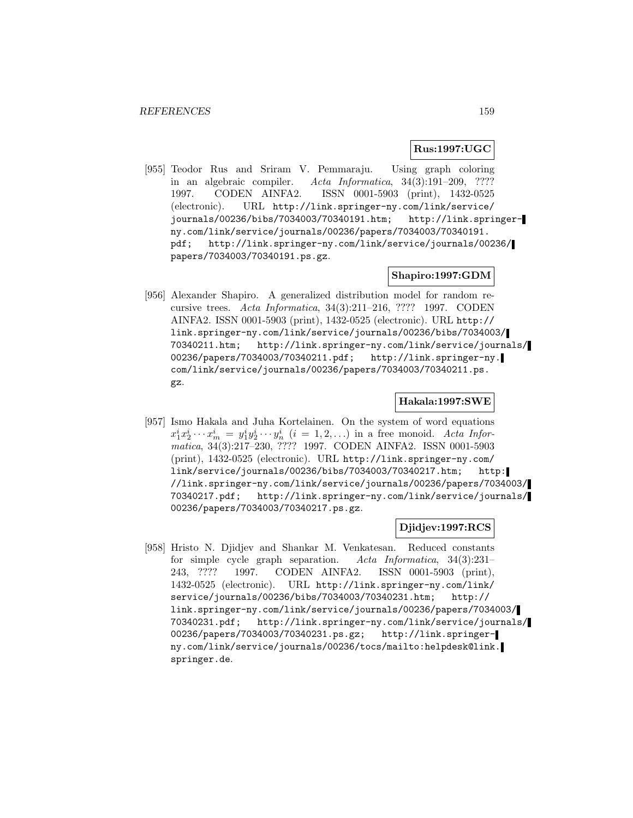### **Rus:1997:UGC**

[955] Teodor Rus and Sriram V. Pemmaraju. Using graph coloring in an algebraic compiler. Acta Informatica, 34(3):191–209, ???? 1997. CODEN AINFA2. ISSN 0001-5903 (print), 1432-0525 (electronic). URL http://link.springer-ny.com/link/service/ journals/00236/bibs/7034003/70340191.htm; http://link.springerny.com/link/service/journals/00236/papers/7034003/70340191. pdf; http://link.springer-ny.com/link/service/journals/00236/ papers/7034003/70340191.ps.gz.

# **Shapiro:1997:GDM**

[956] Alexander Shapiro. A generalized distribution model for random recursive trees. Acta Informatica, 34(3):211–216, ???? 1997. CODEN AINFA2. ISSN 0001-5903 (print), 1432-0525 (electronic). URL http:// link.springer-ny.com/link/service/journals/00236/bibs/7034003/ 70340211.htm; http://link.springer-ny.com/link/service/journals/ 00236/papers/7034003/70340211.pdf; http://link.springer-ny. com/link/service/journals/00236/papers/7034003/70340211.ps. gz.

# **Hakala:1997:SWE**

[957] Ismo Hakala and Juha Kortelainen. On the system of word equations  $x_1^ix_2^i\cdots x_m^i = y_1^iy_2^i\cdots y_n^i$   $(i = 1, 2, ...)$  in a free monoid. Acta Informatica, 34(3):217–230, ???? 1997. CODEN AINFA2. ISSN 0001-5903 (print), 1432-0525 (electronic). URL http://link.springer-ny.com/ link/service/journals/00236/bibs/7034003/70340217.htm; http: //link.springer-ny.com/link/service/journals/00236/papers/7034003/ 70340217.pdf; http://link.springer-ny.com/link/service/journals/ 00236/papers/7034003/70340217.ps.gz.

### **Djidjev:1997:RCS**

[958] Hristo N. Djidjev and Shankar M. Venkatesan. Reduced constants for simple cycle graph separation. Acta Informatica, 34(3):231– 243, ???? 1997. CODEN AINFA2. ISSN 0001-5903 (print), 1432-0525 (electronic). URL http://link.springer-ny.com/link/ service/journals/00236/bibs/7034003/70340231.htm; http:// link.springer-ny.com/link/service/journals/00236/papers/7034003/ 70340231.pdf; http://link.springer-ny.com/link/service/journals/ 00236/papers/7034003/70340231.ps.gz; http://link.springerny.com/link/service/journals/00236/tocs/mailto:helpdesk@link. springer.de.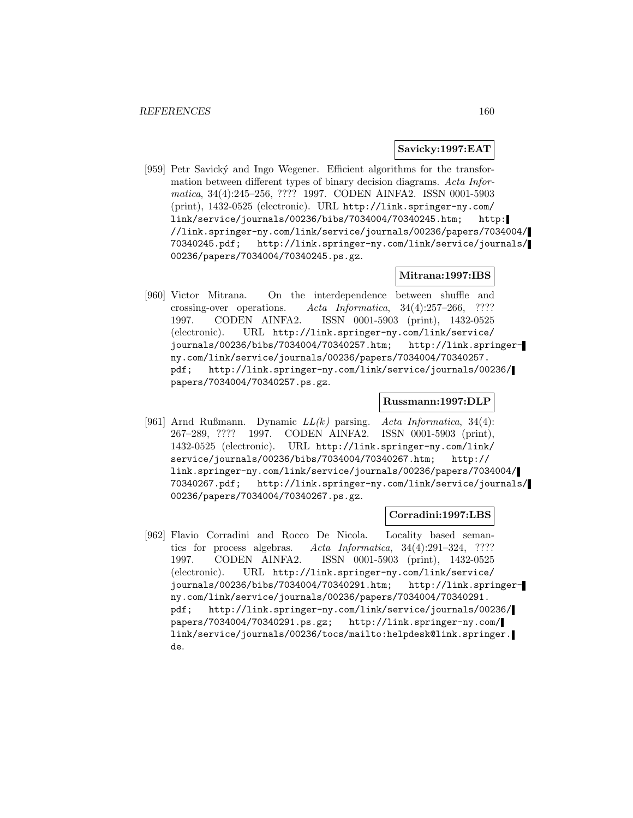### **Savicky:1997:EAT**

[959] Petr Savický and Ingo Wegener. Efficient algorithms for the transformation between different types of binary decision diagrams. Acta Informatica, 34(4):245–256, ???? 1997. CODEN AINFA2. ISSN 0001-5903 (print), 1432-0525 (electronic). URL http://link.springer-ny.com/ link/service/journals/00236/bibs/7034004/70340245.htm; http: //link.springer-ny.com/link/service/journals/00236/papers/7034004/ 70340245.pdf; http://link.springer-ny.com/link/service/journals/ 00236/papers/7034004/70340245.ps.gz.

### **Mitrana:1997:IBS**

[960] Victor Mitrana. On the interdependence between shuffle and crossing-over operations. Acta Informatica, 34(4):257–266, ???? 1997. CODEN AINFA2. ISSN 0001-5903 (print), 1432-0525 (electronic). URL http://link.springer-ny.com/link/service/ journals/00236/bibs/7034004/70340257.htm; http://link.springerny.com/link/service/journals/00236/papers/7034004/70340257. pdf; http://link.springer-ny.com/link/service/journals/00236/ papers/7034004/70340257.ps.gz.

#### **Russmann:1997:DLP**

[961] Arnd Rußmann. Dynamic  $LL(k)$  parsing. Acta Informatica, 34(4): 267–289, ???? 1997. CODEN AINFA2. ISSN 0001-5903 (print), 1432-0525 (electronic). URL http://link.springer-ny.com/link/ service/journals/00236/bibs/7034004/70340267.htm; http:// link.springer-ny.com/link/service/journals/00236/papers/7034004/ 70340267.pdf; http://link.springer-ny.com/link/service/journals/ 00236/papers/7034004/70340267.ps.gz.

#### **Corradini:1997:LBS**

[962] Flavio Corradini and Rocco De Nicola. Locality based semantics for process algebras. Acta Informatica, 34(4):291–324, ???? 1997. CODEN AINFA2. ISSN 0001-5903 (print), 1432-0525 (electronic). URL http://link.springer-ny.com/link/service/ journals/00236/bibs/7034004/70340291.htm; http://link.springerny.com/link/service/journals/00236/papers/7034004/70340291. pdf; http://link.springer-ny.com/link/service/journals/00236/ papers/7034004/70340291.ps.gz; http://link.springer-ny.com/ link/service/journals/00236/tocs/mailto:helpdesk@link.springer. de.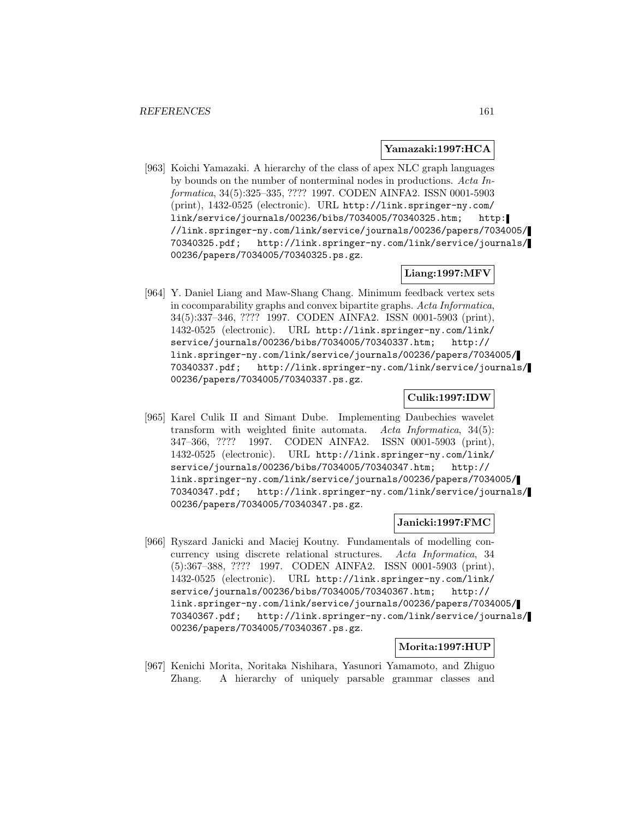### **Yamazaki:1997:HCA**

[963] Koichi Yamazaki. A hierarchy of the class of apex NLC graph languages by bounds on the number of nonterminal nodes in productions. Acta Informatica, 34(5):325–335, ???? 1997. CODEN AINFA2. ISSN 0001-5903 (print), 1432-0525 (electronic). URL http://link.springer-ny.com/ link/service/journals/00236/bibs/7034005/70340325.htm; http: //link.springer-ny.com/link/service/journals/00236/papers/7034005/ 70340325.pdf; http://link.springer-ny.com/link/service/journals/ 00236/papers/7034005/70340325.ps.gz.

# **Liang:1997:MFV**

[964] Y. Daniel Liang and Maw-Shang Chang. Minimum feedback vertex sets in cocomparability graphs and convex bipartite graphs. Acta Informatica, 34(5):337–346, ???? 1997. CODEN AINFA2. ISSN 0001-5903 (print), 1432-0525 (electronic). URL http://link.springer-ny.com/link/ service/journals/00236/bibs/7034005/70340337.htm; http:// link.springer-ny.com/link/service/journals/00236/papers/7034005/ 70340337.pdf; http://link.springer-ny.com/link/service/journals/ 00236/papers/7034005/70340337.ps.gz.

# **Culik:1997:IDW**

[965] Karel Culik II and Simant Dube. Implementing Daubechies wavelet transform with weighted finite automata. Acta Informatica, 34(5): 347–366, ???? 1997. CODEN AINFA2. ISSN 0001-5903 (print), 1432-0525 (electronic). URL http://link.springer-ny.com/link/ service/journals/00236/bibs/7034005/70340347.htm; http:// link.springer-ny.com/link/service/journals/00236/papers/7034005/ 70340347.pdf; http://link.springer-ny.com/link/service/journals/ 00236/papers/7034005/70340347.ps.gz.

#### **Janicki:1997:FMC**

[966] Ryszard Janicki and Maciej Koutny. Fundamentals of modelling concurrency using discrete relational structures. Acta Informatica, 34 (5):367–388, ???? 1997. CODEN AINFA2. ISSN 0001-5903 (print), 1432-0525 (electronic). URL http://link.springer-ny.com/link/ service/journals/00236/bibs/7034005/70340367.htm; http:// link.springer-ny.com/link/service/journals/00236/papers/7034005/ 70340367.pdf; http://link.springer-ny.com/link/service/journals/ 00236/papers/7034005/70340367.ps.gz.

### **Morita:1997:HUP**

[967] Kenichi Morita, Noritaka Nishihara, Yasunori Yamamoto, and Zhiguo Zhang. A hierarchy of uniquely parsable grammar classes and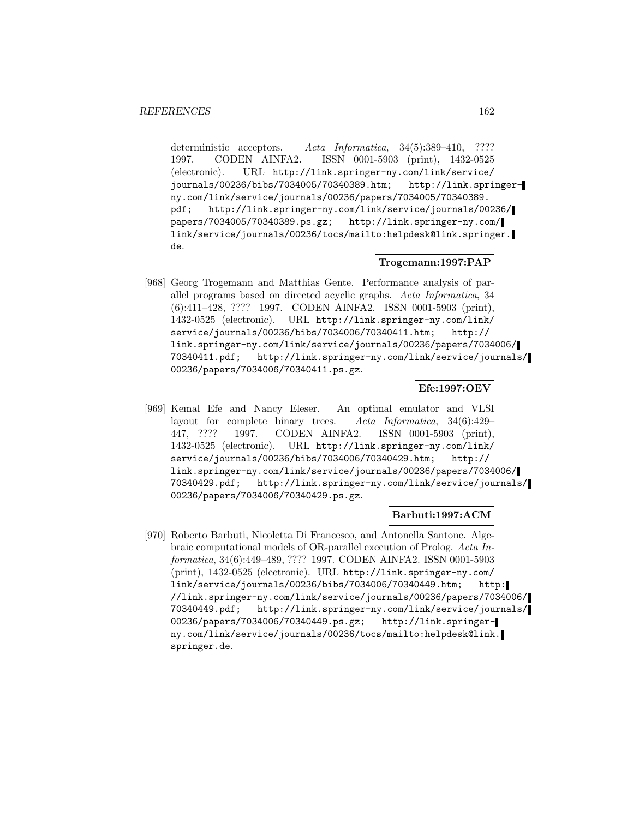deterministic acceptors. Acta Informatica, 34(5):389-410, ???? 1997. CODEN AINFA2. ISSN 0001-5903 (print), 1432-0525 (electronic). URL http://link.springer-ny.com/link/service/ journals/00236/bibs/7034005/70340389.htm; http://link.springerny.com/link/service/journals/00236/papers/7034005/70340389. pdf; http://link.springer-ny.com/link/service/journals/00236/ papers/7034005/70340389.ps.gz; http://link.springer-ny.com/ link/service/journals/00236/tocs/mailto:helpdesk@link.springer. de.

## **Trogemann:1997:PAP**

[968] Georg Trogemann and Matthias Gente. Performance analysis of parallel programs based on directed acyclic graphs. Acta Informatica, 34 (6):411–428, ???? 1997. CODEN AINFA2. ISSN 0001-5903 (print), 1432-0525 (electronic). URL http://link.springer-ny.com/link/ service/journals/00236/bibs/7034006/70340411.htm; http:// link.springer-ny.com/link/service/journals/00236/papers/7034006/ 70340411.pdf; http://link.springer-ny.com/link/service/journals/ 00236/papers/7034006/70340411.ps.gz.

# **Efe:1997:OEV**

[969] Kemal Efe and Nancy Eleser. An optimal emulator and VLSI layout for complete binary trees. Acta Informatica, 34(6):429– 447, ???? 1997. CODEN AINFA2. ISSN 0001-5903 (print), 1432-0525 (electronic). URL http://link.springer-ny.com/link/ service/journals/00236/bibs/7034006/70340429.htm; http:// link.springer-ny.com/link/service/journals/00236/papers/7034006/ 70340429.pdf; http://link.springer-ny.com/link/service/journals/ 00236/papers/7034006/70340429.ps.gz.

# **Barbuti:1997:ACM**

[970] Roberto Barbuti, Nicoletta Di Francesco, and Antonella Santone. Algebraic computational models of OR-parallel execution of Prolog. Acta Informatica, 34(6):449–489, ???? 1997. CODEN AINFA2. ISSN 0001-5903 (print), 1432-0525 (electronic). URL http://link.springer-ny.com/ link/service/journals/00236/bibs/7034006/70340449.htm; http: //link.springer-ny.com/link/service/journals/00236/papers/7034006/ 70340449.pdf; http://link.springer-ny.com/link/service/journals/ 00236/papers/7034006/70340449.ps.gz; http://link.springerny.com/link/service/journals/00236/tocs/mailto:helpdesk@link. springer.de.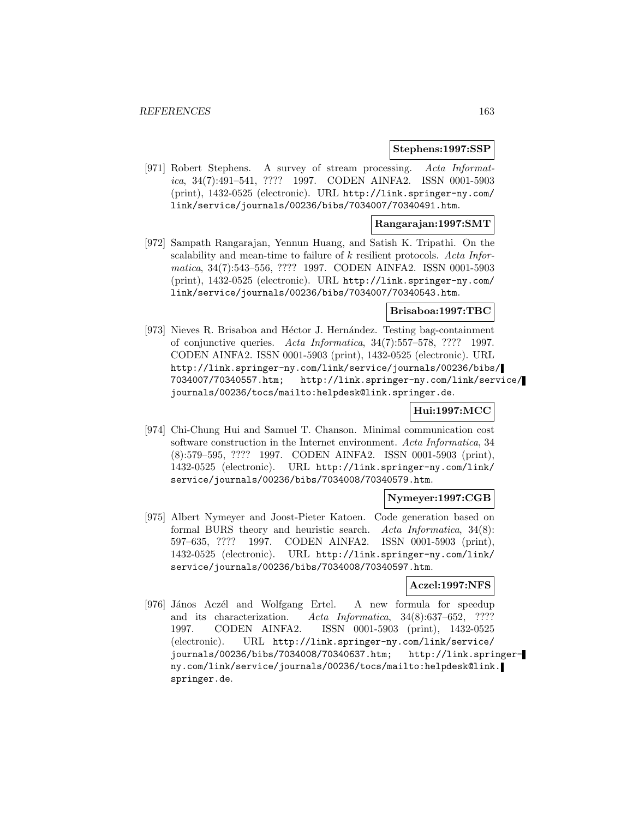### **Stephens:1997:SSP**

[971] Robert Stephens. A survey of stream processing. Acta Informatica, 34(7):491–541, ???? 1997. CODEN AINFA2. ISSN 0001-5903 (print), 1432-0525 (electronic). URL http://link.springer-ny.com/ link/service/journals/00236/bibs/7034007/70340491.htm.

## **Rangarajan:1997:SMT**

[972] Sampath Rangarajan, Yennun Huang, and Satish K. Tripathi. On the scalability and mean-time to failure of  $k$  resilient protocols. Acta Informatica, 34(7):543–556, ???? 1997. CODEN AINFA2. ISSN 0001-5903 (print), 1432-0525 (electronic). URL http://link.springer-ny.com/ link/service/journals/00236/bibs/7034007/70340543.htm.

### **Brisaboa:1997:TBC**

[973] Nieves R. Brisaboa and Héctor J. Hernández. Testing bag-containment of conjunctive queries. Acta Informatica, 34(7):557–578, ???? 1997. CODEN AINFA2. ISSN 0001-5903 (print), 1432-0525 (electronic). URL http://link.springer-ny.com/link/service/journals/00236/bibs/ 7034007/70340557.htm; http://link.springer-ny.com/link/service/ journals/00236/tocs/mailto:helpdesk@link.springer.de.

### **Hui:1997:MCC**

[974] Chi-Chung Hui and Samuel T. Chanson. Minimal communication cost software construction in the Internet environment. Acta Informatica, 34 (8):579–595, ???? 1997. CODEN AINFA2. ISSN 0001-5903 (print), 1432-0525 (electronic). URL http://link.springer-ny.com/link/ service/journals/00236/bibs/7034008/70340579.htm.

### **Nymeyer:1997:CGB**

[975] Albert Nymeyer and Joost-Pieter Katoen. Code generation based on formal BURS theory and heuristic search. Acta Informatica, 34(8): 597–635, ???? 1997. CODEN AINFA2. ISSN 0001-5903 (print), 1432-0525 (electronic). URL http://link.springer-ny.com/link/ service/journals/00236/bibs/7034008/70340597.htm.

#### **Aczel:1997:NFS**

[976] János Aczél and Wolfgang Ertel. A new formula for speedup and its characterization. Acta Informatica, 34(8):637–652, ???? 1997. CODEN AINFA2. ISSN 0001-5903 (print), 1432-0525 (electronic). URL http://link.springer-ny.com/link/service/ journals/00236/bibs/7034008/70340637.htm; http://link.springerny.com/link/service/journals/00236/tocs/mailto:helpdesk@link. springer.de.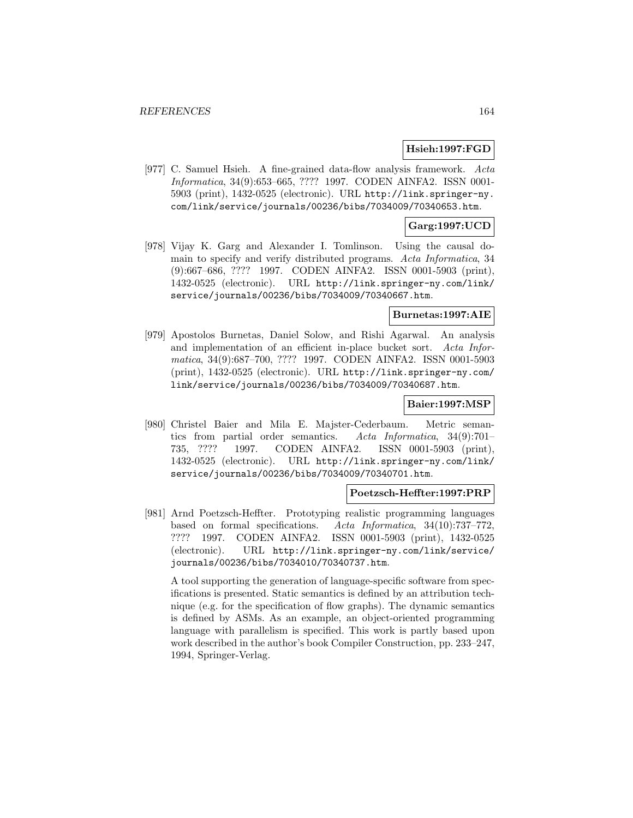### **Hsieh:1997:FGD**

[977] C. Samuel Hsieh. A fine-grained data-flow analysis framework. Acta Informatica, 34(9):653–665, ???? 1997. CODEN AINFA2. ISSN 0001- 5903 (print), 1432-0525 (electronic). URL http://link.springer-ny. com/link/service/journals/00236/bibs/7034009/70340653.htm.

### **Garg:1997:UCD**

[978] Vijay K. Garg and Alexander I. Tomlinson. Using the causal domain to specify and verify distributed programs. Acta Informatica, 34 (9):667–686, ???? 1997. CODEN AINFA2. ISSN 0001-5903 (print), 1432-0525 (electronic). URL http://link.springer-ny.com/link/ service/journals/00236/bibs/7034009/70340667.htm.

### **Burnetas:1997:AIE**

[979] Apostolos Burnetas, Daniel Solow, and Rishi Agarwal. An analysis and implementation of an efficient in-place bucket sort. Acta Informatica, 34(9):687–700, ???? 1997. CODEN AINFA2. ISSN 0001-5903 (print), 1432-0525 (electronic). URL http://link.springer-ny.com/ link/service/journals/00236/bibs/7034009/70340687.htm.

## **Baier:1997:MSP**

[980] Christel Baier and Mila E. Majster-Cederbaum. Metric semantics from partial order semantics. Acta Informatica, 34(9):701– 735, ???? 1997. CODEN AINFA2. ISSN 0001-5903 (print), 1432-0525 (electronic). URL http://link.springer-ny.com/link/ service/journals/00236/bibs/7034009/70340701.htm.

#### **Poetzsch-Heffter:1997:PRP**

[981] Arnd Poetzsch-Heffter. Prototyping realistic programming languages based on formal specifications. Acta Informatica, 34(10):737–772, ???? 1997. CODEN AINFA2. ISSN 0001-5903 (print), 1432-0525 (electronic). URL http://link.springer-ny.com/link/service/ journals/00236/bibs/7034010/70340737.htm.

A tool supporting the generation of language-specific software from specifications is presented. Static semantics is defined by an attribution technique (e.g. for the specification of flow graphs). The dynamic semantics is defined by ASMs. As an example, an object-oriented programming language with parallelism is specified. This work is partly based upon work described in the author's book Compiler Construction, pp. 233–247, 1994, Springer-Verlag.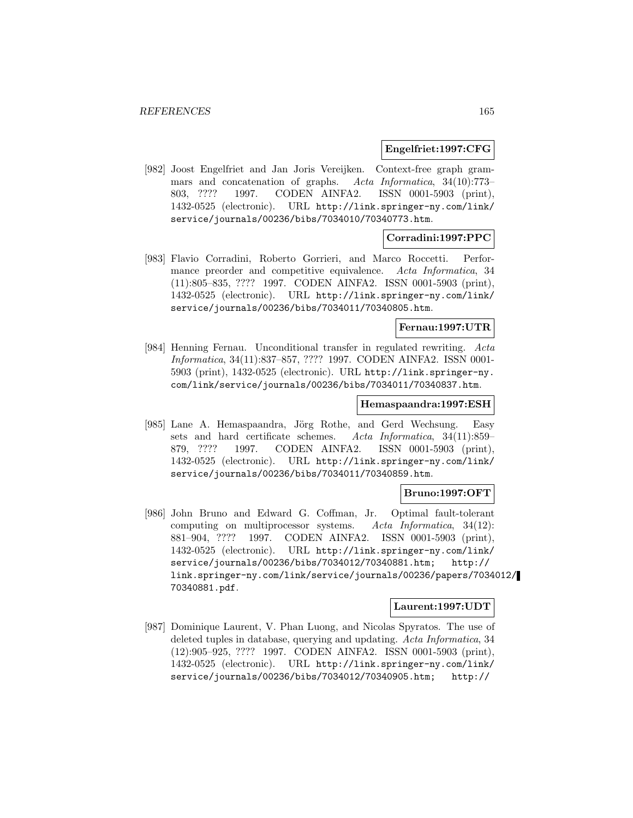#### **Engelfriet:1997:CFG**

[982] Joost Engelfriet and Jan Joris Vereijken. Context-free graph grammars and concatenation of graphs. Acta Informatica, 34(10):773– 803, ???? 1997. CODEN AINFA2. ISSN 0001-5903 (print), 1432-0525 (electronic). URL http://link.springer-ny.com/link/ service/journals/00236/bibs/7034010/70340773.htm.

# **Corradini:1997:PPC**

[983] Flavio Corradini, Roberto Gorrieri, and Marco Roccetti. Performance preorder and competitive equivalence. Acta Informatica, 34 (11):805–835, ???? 1997. CODEN AINFA2. ISSN 0001-5903 (print), 1432-0525 (electronic). URL http://link.springer-ny.com/link/ service/journals/00236/bibs/7034011/70340805.htm.

#### **Fernau:1997:UTR**

[984] Henning Fernau. Unconditional transfer in regulated rewriting. Acta Informatica, 34(11):837–857, ???? 1997. CODEN AINFA2. ISSN 0001- 5903 (print), 1432-0525 (electronic). URL http://link.springer-ny. com/link/service/journals/00236/bibs/7034011/70340837.htm.

## **Hemaspaandra:1997:ESH**

[985] Lane A. Hemaspaandra, Jörg Rothe, and Gerd Wechsung. Easy sets and hard certificate schemes. Acta Informatica, 34(11):859– 879, ???? 1997. CODEN AINFA2. ISSN 0001-5903 (print), 1432-0525 (electronic). URL http://link.springer-ny.com/link/ service/journals/00236/bibs/7034011/70340859.htm.

### **Bruno:1997:OFT**

[986] John Bruno and Edward G. Coffman, Jr. Optimal fault-tolerant computing on multiprocessor systems. Acta Informatica, 34(12): 881–904, ???? 1997. CODEN AINFA2. ISSN 0001-5903 (print), 1432-0525 (electronic). URL http://link.springer-ny.com/link/ service/journals/00236/bibs/7034012/70340881.htm; http:// link.springer-ny.com/link/service/journals/00236/papers/7034012/ 70340881.pdf.

#### **Laurent:1997:UDT**

[987] Dominique Laurent, V. Phan Luong, and Nicolas Spyratos. The use of deleted tuples in database, querying and updating. Acta Informatica, 34 (12):905–925, ???? 1997. CODEN AINFA2. ISSN 0001-5903 (print), 1432-0525 (electronic). URL http://link.springer-ny.com/link/ service/journals/00236/bibs/7034012/70340905.htm; http://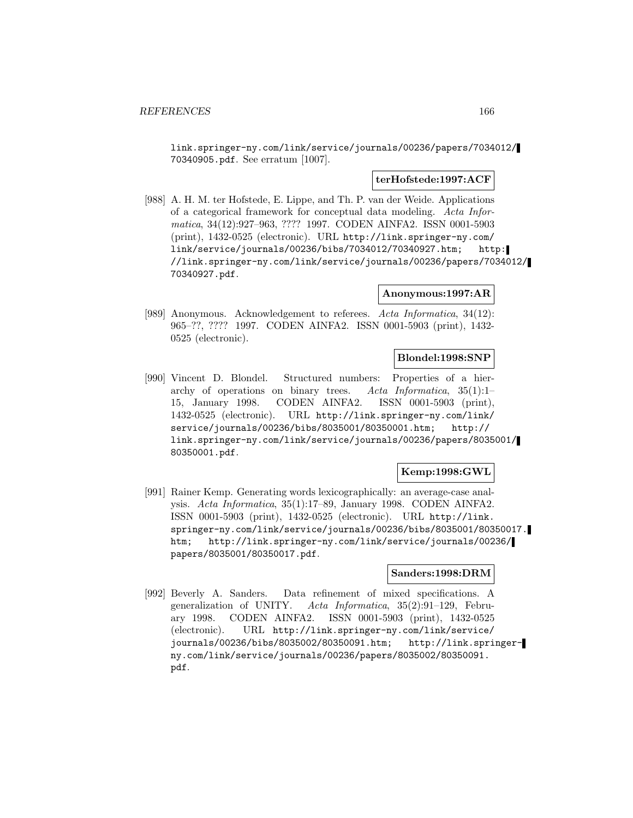link.springer-ny.com/link/service/journals/00236/papers/7034012/ 70340905.pdf. See erratum [1007].

### **terHofstede:1997:ACF**

[988] A. H. M. ter Hofstede, E. Lippe, and Th. P. van der Weide. Applications of a categorical framework for conceptual data modeling. Acta Informatica, 34(12):927–963, ???? 1997. CODEN AINFA2. ISSN 0001-5903 (print), 1432-0525 (electronic). URL http://link.springer-ny.com/ link/service/journals/00236/bibs/7034012/70340927.htm; http: //link.springer-ny.com/link/service/journals/00236/papers/7034012/ 70340927.pdf.

### **Anonymous:1997:AR**

[989] Anonymous. Acknowledgement to referees. Acta Informatica, 34(12): 965–??, ???? 1997. CODEN AINFA2. ISSN 0001-5903 (print), 1432- 0525 (electronic).

# **Blondel:1998:SNP**

[990] Vincent D. Blondel. Structured numbers: Properties of a hierarchy of operations on binary trees. Acta Informatica, 35(1):1– 15, January 1998. CODEN AINFA2. ISSN 0001-5903 (print), 1432-0525 (electronic). URL http://link.springer-ny.com/link/ service/journals/00236/bibs/8035001/80350001.htm; http:// link.springer-ny.com/link/service/journals/00236/papers/8035001/ 80350001.pdf.

## **Kemp:1998:GWL**

[991] Rainer Kemp. Generating words lexicographically: an average-case analysis. Acta Informatica, 35(1):17–89, January 1998. CODEN AINFA2. ISSN 0001-5903 (print), 1432-0525 (electronic). URL http://link. springer-ny.com/link/service/journals/00236/bibs/8035001/80350017. htm; http://link.springer-ny.com/link/service/journals/00236/ papers/8035001/80350017.pdf.

#### **Sanders:1998:DRM**

[992] Beverly A. Sanders. Data refinement of mixed specifications. A generalization of UNITY. Acta Informatica, 35(2):91–129, February 1998. CODEN AINFA2. ISSN 0001-5903 (print), 1432-0525 (electronic). URL http://link.springer-ny.com/link/service/ journals/00236/bibs/8035002/80350091.htm; http://link.springerny.com/link/service/journals/00236/papers/8035002/80350091. pdf.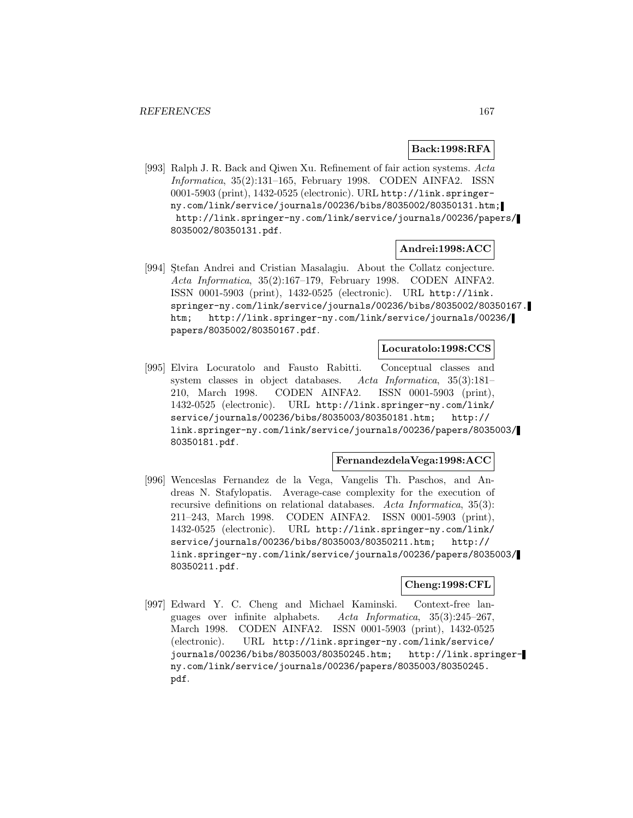### **Back:1998:RFA**

[993] Ralph J. R. Back and Qiwen Xu. Refinement of fair action systems. Acta Informatica, 35(2):131–165, February 1998. CODEN AINFA2. ISSN 0001-5903 (print), 1432-0525 (electronic). URL http://link.springerny.com/link/service/journals/00236/bibs/8035002/80350131.htm; http://link.springer-ny.com/link/service/journals/00236/papers/ 8035002/80350131.pdf.

### **Andrei:1998:ACC**

[994] Stefan Andrei and Cristian Masalagiu. About the Collatz conjecture. Acta Informatica, 35(2):167–179, February 1998. CODEN AINFA2. ISSN 0001-5903 (print), 1432-0525 (electronic). URL http://link. springer-ny.com/link/service/journals/00236/bibs/8035002/80350167. htm; http://link.springer-ny.com/link/service/journals/00236/ papers/8035002/80350167.pdf.

#### **Locuratolo:1998:CCS**

[995] Elvira Locuratolo and Fausto Rabitti. Conceptual classes and system classes in object databases. Acta Informatica, 35(3):181– 210, March 1998. CODEN AINFA2. ISSN 0001-5903 (print), 1432-0525 (electronic). URL http://link.springer-ny.com/link/ service/journals/00236/bibs/8035003/80350181.htm; http:// link.springer-ny.com/link/service/journals/00236/papers/8035003/ 80350181.pdf.

## **FernandezdelaVega:1998:ACC**

[996] Wenceslas Fernandez de la Vega, Vangelis Th. Paschos, and Andreas N. Stafylopatis. Average-case complexity for the execution of recursive definitions on relational databases. Acta Informatica, 35(3): 211–243, March 1998. CODEN AINFA2. ISSN 0001-5903 (print), 1432-0525 (electronic). URL http://link.springer-ny.com/link/ service/journals/00236/bibs/8035003/80350211.htm; http:// link.springer-ny.com/link/service/journals/00236/papers/8035003/ 80350211.pdf.

### **Cheng:1998:CFL**

[997] Edward Y. C. Cheng and Michael Kaminski. Context-free languages over infinite alphabets. Acta Informatica, 35(3):245–267, March 1998. CODEN AINFA2. ISSN 0001-5903 (print), 1432-0525 (electronic). URL http://link.springer-ny.com/link/service/ journals/00236/bibs/8035003/80350245.htm; http://link.springerny.com/link/service/journals/00236/papers/8035003/80350245. pdf.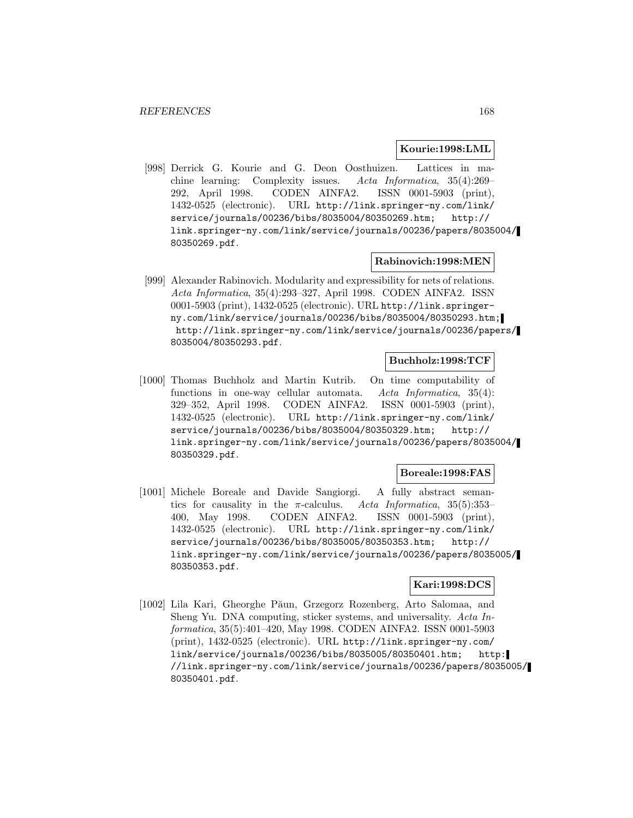### **Kourie:1998:LML**

[998] Derrick G. Kourie and G. Deon Oosthuizen. Lattices in machine learning: Complexity issues. Acta Informatica, 35(4):269– 292, April 1998. CODEN AINFA2. ISSN 0001-5903 (print), 1432-0525 (electronic). URL http://link.springer-ny.com/link/ service/journals/00236/bibs/8035004/80350269.htm; http:// link.springer-ny.com/link/service/journals/00236/papers/8035004/ 80350269.pdf.

### **Rabinovich:1998:MEN**

[999] Alexander Rabinovich. Modularity and expressibility for nets of relations. Acta Informatica, 35(4):293–327, April 1998. CODEN AINFA2. ISSN 0001-5903 (print), 1432-0525 (electronic). URL http://link.springerny.com/link/service/journals/00236/bibs/8035004/80350293.htm; http://link.springer-ny.com/link/service/journals/00236/papers/ 8035004/80350293.pdf.

# **Buchholz:1998:TCF**

[1000] Thomas Buchholz and Martin Kutrib. On time computability of functions in one-way cellular automata. Acta Informatica, 35(4): 329–352, April 1998. CODEN AINFA2. ISSN 0001-5903 (print), 1432-0525 (electronic). URL http://link.springer-ny.com/link/ service/journals/00236/bibs/8035004/80350329.htm; http:// link.springer-ny.com/link/service/journals/00236/papers/8035004/ 80350329.pdf.

#### **Boreale:1998:FAS**

[1001] Michele Boreale and Davide Sangiorgi. A fully abstract semantics for causality in the  $\pi$ -calculus. Acta Informatica, 35(5):353– 400, May 1998. CODEN AINFA2. ISSN 0001-5903 (print), 1432-0525 (electronic). URL http://link.springer-ny.com/link/ service/journals/00236/bibs/8035005/80350353.htm; http:// link.springer-ny.com/link/service/journals/00236/papers/8035005/ 80350353.pdf.

### **Kari:1998:DCS**

[1002] Lila Kari, Gheorghe Păun, Grzegorz Rozenberg, Arto Salomaa, and Sheng Yu. DNA computing, sticker systems, and universality. Acta Informatica, 35(5):401–420, May 1998. CODEN AINFA2. ISSN 0001-5903 (print), 1432-0525 (electronic). URL http://link.springer-ny.com/ link/service/journals/00236/bibs/8035005/80350401.htm; http: //link.springer-ny.com/link/service/journals/00236/papers/8035005/ 80350401.pdf.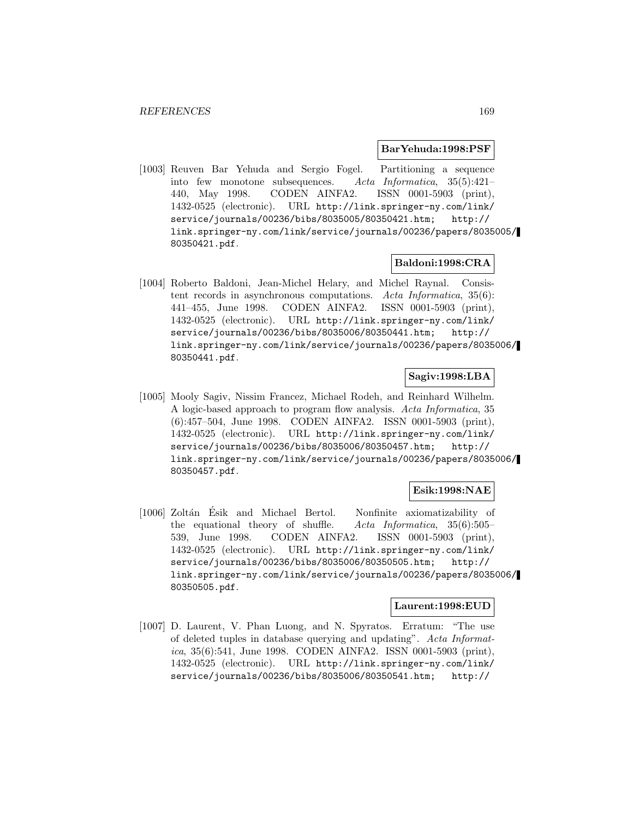#### **BarYehuda:1998:PSF**

[1003] Reuven Bar Yehuda and Sergio Fogel. Partitioning a sequence into few monotone subsequences. Acta Informatica, 35(5):421– 440, May 1998. CODEN AINFA2. ISSN 0001-5903 (print), 1432-0525 (electronic). URL http://link.springer-ny.com/link/ service/journals/00236/bibs/8035005/80350421.htm; http:// link.springer-ny.com/link/service/journals/00236/papers/8035005/ 80350421.pdf.

### **Baldoni:1998:CRA**

[1004] Roberto Baldoni, Jean-Michel Helary, and Michel Raynal. Consistent records in asynchronous computations. Acta Informatica, 35(6): 441–455, June 1998. CODEN AINFA2. ISSN 0001-5903 (print), 1432-0525 (electronic). URL http://link.springer-ny.com/link/ service/journals/00236/bibs/8035006/80350441.htm; http:// link.springer-ny.com/link/service/journals/00236/papers/8035006/ 80350441.pdf.

# **Sagiv:1998:LBA**

[1005] Mooly Sagiv, Nissim Francez, Michael Rodeh, and Reinhard Wilhelm. A logic-based approach to program flow analysis. Acta Informatica, 35 (6):457–504, June 1998. CODEN AINFA2. ISSN 0001-5903 (print), 1432-0525 (electronic). URL http://link.springer-ny.com/link/ service/journals/00236/bibs/8035006/80350457.htm; http:// link.springer-ny.com/link/service/journals/00236/papers/8035006/ 80350457.pdf.

### **Esik:1998:NAE**

[1006] Zoltán Esik and Michael Bertol. Nonfinite axiomatizability of the equational theory of shuffle. Acta Informatica, 35(6):505– 539, June 1998. CODEN AINFA2. ISSN 0001-5903 (print), 1432-0525 (electronic). URL http://link.springer-ny.com/link/ service/journals/00236/bibs/8035006/80350505.htm; http:// link.springer-ny.com/link/service/journals/00236/papers/8035006/ 80350505.pdf.

#### **Laurent:1998:EUD**

[1007] D. Laurent, V. Phan Luong, and N. Spyratos. Erratum: "The use of deleted tuples in database querying and updating". Acta Informatica, 35(6):541, June 1998. CODEN AINFA2. ISSN 0001-5903 (print), 1432-0525 (electronic). URL http://link.springer-ny.com/link/ service/journals/00236/bibs/8035006/80350541.htm; http://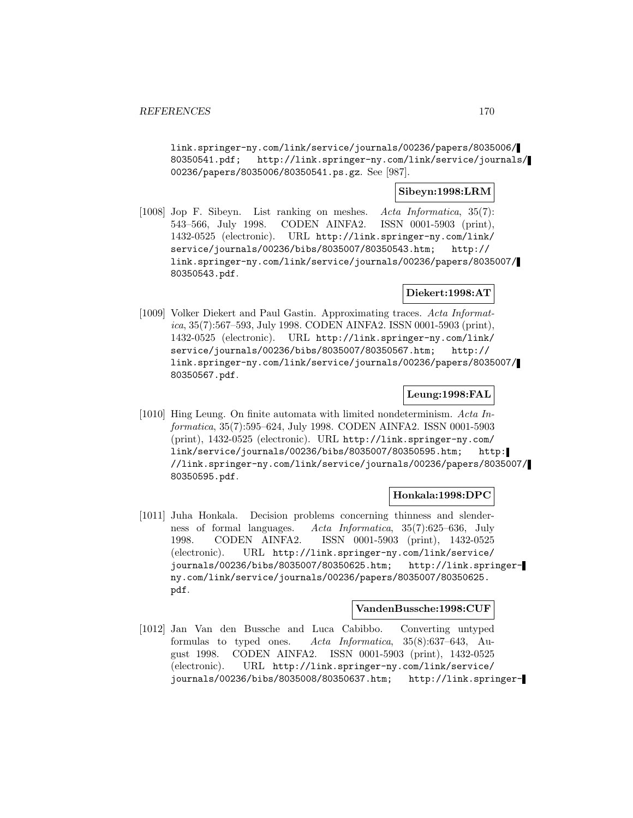link.springer-ny.com/link/service/journals/00236/papers/8035006/ http://link.springer-ny.com/link/service/journals/ 00236/papers/8035006/80350541.ps.gz. See [987].

## **Sibeyn:1998:LRM**

[1008] Jop F. Sibeyn. List ranking on meshes. Acta Informatica, 35(7): 543–566, July 1998. CODEN AINFA2. ISSN 0001-5903 (print), 1432-0525 (electronic). URL http://link.springer-ny.com/link/ service/journals/00236/bibs/8035007/80350543.htm; http:// link.springer-ny.com/link/service/journals/00236/papers/8035007/ 80350543.pdf.

# **Diekert:1998:AT**

[1009] Volker Diekert and Paul Gastin. Approximating traces. Acta Informatica, 35(7):567–593, July 1998. CODEN AINFA2. ISSN 0001-5903 (print), 1432-0525 (electronic). URL http://link.springer-ny.com/link/ service/journals/00236/bibs/8035007/80350567.htm; http:// link.springer-ny.com/link/service/journals/00236/papers/8035007/ 80350567.pdf.

# **Leung:1998:FAL**

[1010] Hing Leung. On finite automata with limited nondeterminism. Acta Informatica, 35(7):595–624, July 1998. CODEN AINFA2. ISSN 0001-5903 (print), 1432-0525 (electronic). URL http://link.springer-ny.com/ link/service/journals/00236/bibs/8035007/80350595.htm; http: //link.springer-ny.com/link/service/journals/00236/papers/8035007/ 80350595.pdf.

## **Honkala:1998:DPC**

[1011] Juha Honkala. Decision problems concerning thinness and slenderness of formal languages. Acta Informatica, 35(7):625–636, July 1998. CODEN AINFA2. ISSN 0001-5903 (print), 1432-0525 (electronic). URL http://link.springer-ny.com/link/service/ journals/00236/bibs/8035007/80350625.htm; http://link.springerny.com/link/service/journals/00236/papers/8035007/80350625. pdf.

### **VandenBussche:1998:CUF**

[1012] Jan Van den Bussche and Luca Cabibbo. Converting untyped formulas to typed ones. Acta Informatica, 35(8):637–643, August 1998. CODEN AINFA2. ISSN 0001-5903 (print), 1432-0525 (electronic). URL http://link.springer-ny.com/link/service/ journals/00236/bibs/8035008/80350637.htm; http://link.springer-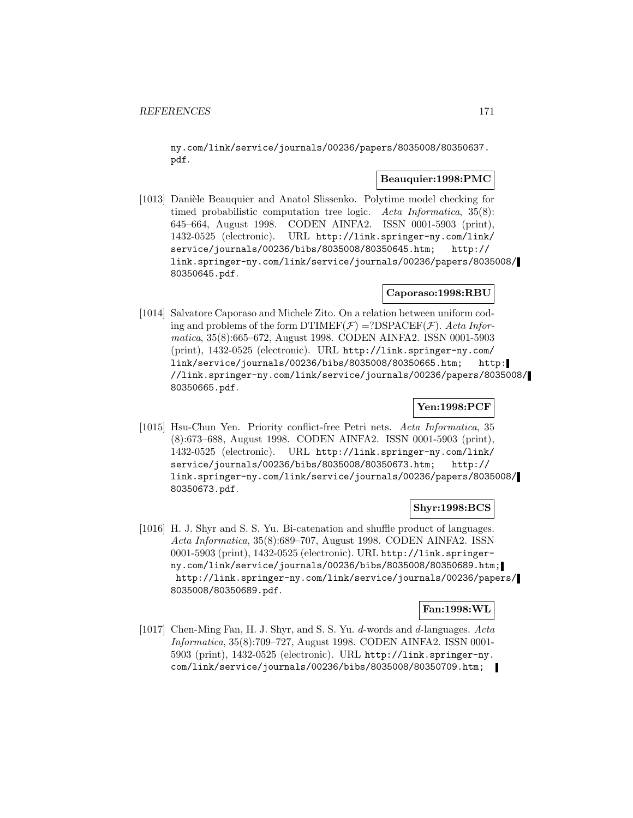ny.com/link/service/journals/00236/papers/8035008/80350637. pdf.

### **Beauquier:1998:PMC**

[1013] Danièle Beauquier and Anatol Slissenko. Polytime model checking for timed probabilistic computation tree logic. Acta Informatica, 35(8): 645–664, August 1998. CODEN AINFA2. ISSN 0001-5903 (print), 1432-0525 (electronic). URL http://link.springer-ny.com/link/ service/journals/00236/bibs/8035008/80350645.htm; http:// link.springer-ny.com/link/service/journals/00236/papers/8035008/ 80350645.pdf.

### **Caporaso:1998:RBU**

[1014] Salvatore Caporaso and Michele Zito. On a relation between uniform coding and problems of the form DTIMEF( $\mathcal{F}$ ) =?DSPACEF( $\mathcal{F}$ ). Acta Informatica, 35(8):665–672, August 1998. CODEN AINFA2. ISSN 0001-5903 (print), 1432-0525 (electronic). URL http://link.springer-ny.com/ link/service/journals/00236/bibs/8035008/80350665.htm; http: //link.springer-ny.com/link/service/journals/00236/papers/8035008/ 80350665.pdf.

# **Yen:1998:PCF**

[1015] Hsu-Chun Yen. Priority conflict-free Petri nets. Acta Informatica, 35 (8):673–688, August 1998. CODEN AINFA2. ISSN 0001-5903 (print), 1432-0525 (electronic). URL http://link.springer-ny.com/link/ service/journals/00236/bibs/8035008/80350673.htm; http:// link.springer-ny.com/link/service/journals/00236/papers/8035008/ 80350673.pdf.

## **Shyr:1998:BCS**

[1016] H. J. Shyr and S. S. Yu. Bi-catenation and shuffle product of languages. Acta Informatica, 35(8):689–707, August 1998. CODEN AINFA2. ISSN 0001-5903 (print), 1432-0525 (electronic). URL http://link.springerny.com/link/service/journals/00236/bibs/8035008/80350689.htm; http://link.springer-ny.com/link/service/journals/00236/papers/ 8035008/80350689.pdf.

### **Fan:1998:WL**

[1017] Chen-Ming Fan, H. J. Shyr, and S. S. Yu. d-words and d-languages. Acta Informatica, 35(8):709–727, August 1998. CODEN AINFA2. ISSN 0001- 5903 (print), 1432-0525 (electronic). URL http://link.springer-ny. com/link/service/journals/00236/bibs/8035008/80350709.htm;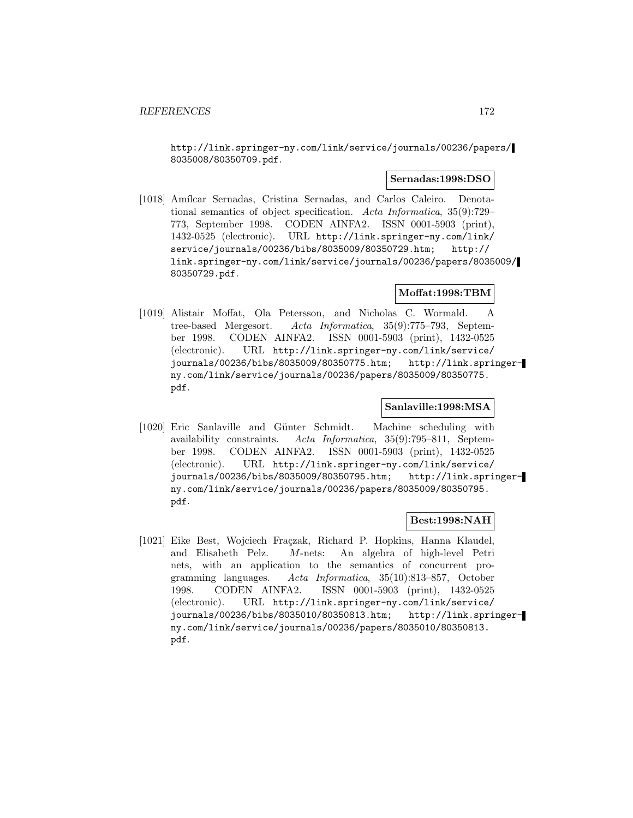http://link.springer-ny.com/link/service/journals/00236/papers/ 8035008/80350709.pdf.

### **Sernadas:1998:DSO**

[1018] Amílcar Sernadas, Cristina Sernadas, and Carlos Caleiro. Denotational semantics of object specification. Acta Informatica, 35(9):729– 773, September 1998. CODEN AINFA2. ISSN 0001-5903 (print), 1432-0525 (electronic). URL http://link.springer-ny.com/link/ service/journals/00236/bibs/8035009/80350729.htm; http:// link.springer-ny.com/link/service/journals/00236/papers/8035009/ 80350729.pdf.

## **Moffat:1998:TBM**

[1019] Alistair Moffat, Ola Petersson, and Nicholas C. Wormald. A tree-based Mergesort. Acta Informatica, 35(9):775–793, September 1998. CODEN AINFA2. ISSN 0001-5903 (print), 1432-0525 (electronic). URL http://link.springer-ny.com/link/service/ journals/00236/bibs/8035009/80350775.htm; http://link.springerny.com/link/service/journals/00236/papers/8035009/80350775. pdf.

## **Sanlaville:1998:MSA**

[1020] Eric Sanlaville and Günter Schmidt. Machine scheduling with availability constraints. Acta Informatica, 35(9):795–811, September 1998. CODEN AINFA2. ISSN 0001-5903 (print), 1432-0525 (electronic). URL http://link.springer-ny.com/link/service/ journals/00236/bibs/8035009/80350795.htm; http://link.springerny.com/link/service/journals/00236/papers/8035009/80350795. pdf.

### **Best:1998:NAH**

[1021] Eike Best, Wojciech Fraçzak, Richard P. Hopkins, Hanna Klaudel, and Elisabeth Pelz. M-nets: An algebra of high-level Petri nets, with an application to the semantics of concurrent programming languages. Acta Informatica, 35(10):813–857, October 1998. CODEN AINFA2. ISSN 0001-5903 (print), 1432-0525 (electronic). URL http://link.springer-ny.com/link/service/ journals/00236/bibs/8035010/80350813.htm; http://link.springerny.com/link/service/journals/00236/papers/8035010/80350813. pdf.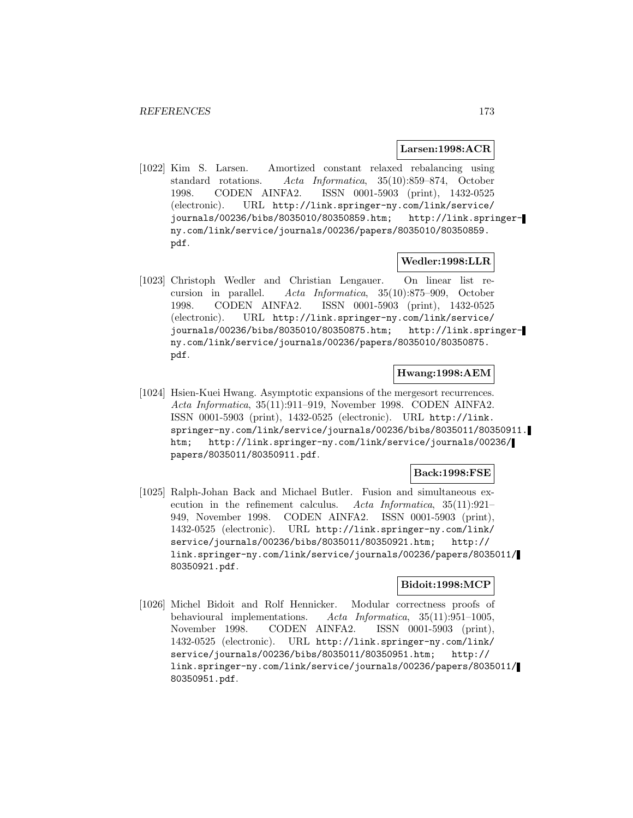### **Larsen:1998:ACR**

[1022] Kim S. Larsen. Amortized constant relaxed rebalancing using standard rotations. Acta Informatica, 35(10):859–874, October 1998. CODEN AINFA2. ISSN 0001-5903 (print), 1432-0525 (electronic). URL http://link.springer-ny.com/link/service/ journals/00236/bibs/8035010/80350859.htm; http://link.springerny.com/link/service/journals/00236/papers/8035010/80350859. pdf.

### **Wedler:1998:LLR**

[1023] Christoph Wedler and Christian Lengauer. On linear list recursion in parallel. Acta Informatica, 35(10):875–909, October 1998. CODEN AINFA2. ISSN 0001-5903 (print), 1432-0525 (electronic). URL http://link.springer-ny.com/link/service/ journals/00236/bibs/8035010/80350875.htm; http://link.springerny.com/link/service/journals/00236/papers/8035010/80350875. pdf.

# **Hwang:1998:AEM**

[1024] Hsien-Kuei Hwang. Asymptotic expansions of the mergesort recurrences. Acta Informatica, 35(11):911–919, November 1998. CODEN AINFA2. ISSN 0001-5903 (print), 1432-0525 (electronic). URL http://link. springer-ny.com/link/service/journals/00236/bibs/8035011/80350911. htm; http://link.springer-ny.com/link/service/journals/00236/ papers/8035011/80350911.pdf.

## **Back:1998:FSE**

[1025] Ralph-Johan Back and Michael Butler. Fusion and simultaneous execution in the refinement calculus. Acta Informatica, 35(11):921– 949, November 1998. CODEN AINFA2. ISSN 0001-5903 (print), 1432-0525 (electronic). URL http://link.springer-ny.com/link/ service/journals/00236/bibs/8035011/80350921.htm; http:// link.springer-ny.com/link/service/journals/00236/papers/8035011/ 80350921.pdf.

# **Bidoit:1998:MCP**

[1026] Michel Bidoit and Rolf Hennicker. Modular correctness proofs of behavioural implementations. Acta Informatica, 35(11):951–1005, November 1998. CODEN AINFA2. ISSN 0001-5903 (print), 1432-0525 (electronic). URL http://link.springer-ny.com/link/ service/journals/00236/bibs/8035011/80350951.htm; http:// link.springer-ny.com/link/service/journals/00236/papers/8035011/ 80350951.pdf.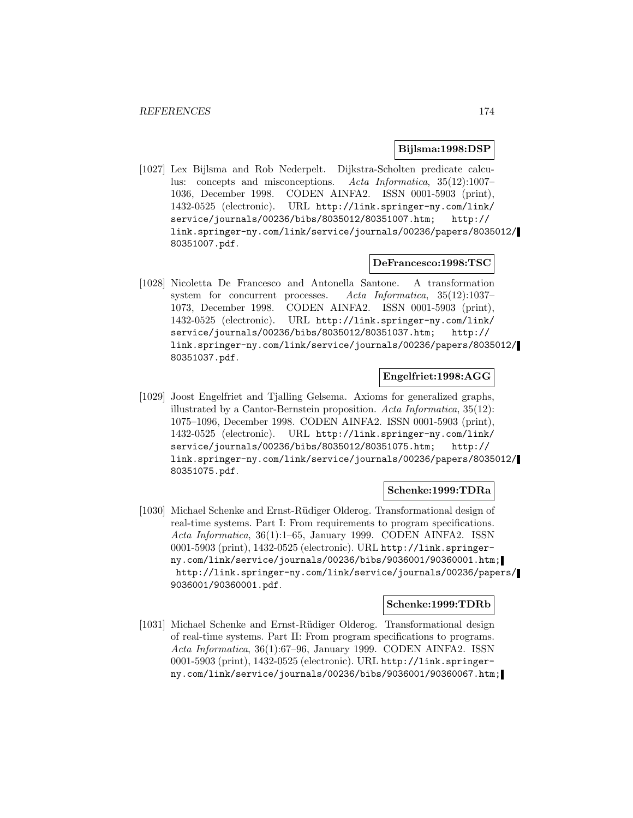#### **Bijlsma:1998:DSP**

[1027] Lex Bijlsma and Rob Nederpelt. Dijkstra-Scholten predicate calculus: concepts and misconceptions. Acta Informatica, 35(12):1007– 1036, December 1998. CODEN AINFA2. ISSN 0001-5903 (print), 1432-0525 (electronic). URL http://link.springer-ny.com/link/ service/journals/00236/bibs/8035012/80351007.htm; http:// link.springer-ny.com/link/service/journals/00236/papers/8035012/ 80351007.pdf.

### **DeFrancesco:1998:TSC**

[1028] Nicoletta De Francesco and Antonella Santone. A transformation system for concurrent processes. Acta Informatica, 35(12):1037– 1073, December 1998. CODEN AINFA2. ISSN 0001-5903 (print), 1432-0525 (electronic). URL http://link.springer-ny.com/link/ service/journals/00236/bibs/8035012/80351037.htm; http:// link.springer-ny.com/link/service/journals/00236/papers/8035012/ 80351037.pdf.

# **Engelfriet:1998:AGG**

[1029] Joost Engelfriet and Tjalling Gelsema. Axioms for generalized graphs, illustrated by a Cantor-Bernstein proposition. Acta Informatica, 35(12): 1075–1096, December 1998. CODEN AINFA2. ISSN 0001-5903 (print), 1432-0525 (electronic). URL http://link.springer-ny.com/link/ service/journals/00236/bibs/8035012/80351075.htm; http:// link.springer-ny.com/link/service/journals/00236/papers/8035012/ 80351075.pdf.

#### **Schenke:1999:TDRa**

[1030] Michael Schenke and Ernst-Rüdiger Olderog. Transformational design of real-time systems. Part I: From requirements to program specifications. Acta Informatica, 36(1):1–65, January 1999. CODEN AINFA2. ISSN 0001-5903 (print), 1432-0525 (electronic). URL http://link.springerny.com/link/service/journals/00236/bibs/9036001/90360001.htm; http://link.springer-ny.com/link/service/journals/00236/papers/ 9036001/90360001.pdf.

#### **Schenke:1999:TDRb**

[1031] Michael Schenke and Ernst-Rüdiger Olderog. Transformational design of real-time systems. Part II: From program specifications to programs. Acta Informatica, 36(1):67–96, January 1999. CODEN AINFA2. ISSN 0001-5903 (print), 1432-0525 (electronic). URL http://link.springerny.com/link/service/journals/00236/bibs/9036001/90360067.htm;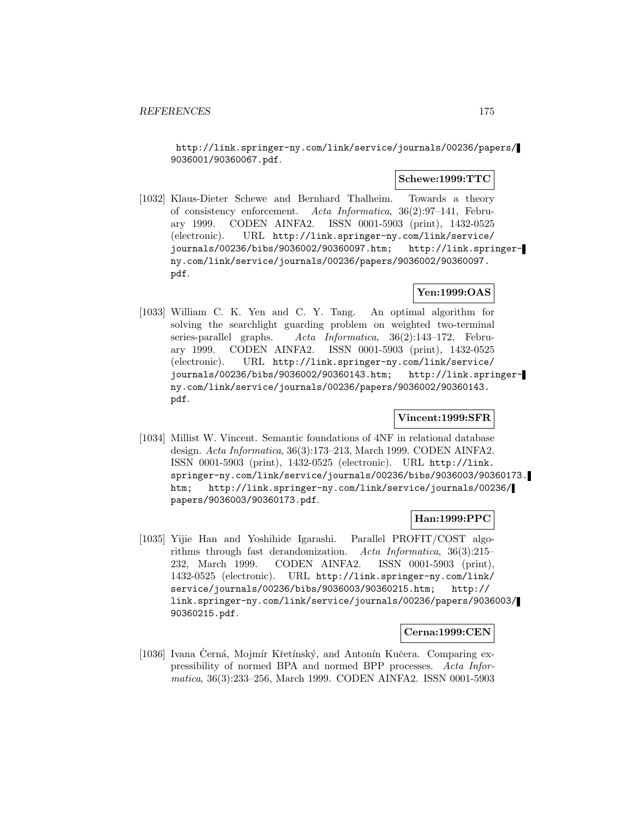http://link.springer-ny.com/link/service/journals/00236/papers/ 9036001/90360067.pdf.

#### **Schewe:1999:TTC**

[1032] Klaus-Dieter Schewe and Bernhard Thalheim. Towards a theory of consistency enforcement. Acta Informatica, 36(2):97–141, February 1999. CODEN AINFA2. ISSN 0001-5903 (print), 1432-0525 (electronic). URL http://link.springer-ny.com/link/service/ journals/00236/bibs/9036002/90360097.htm; http://link.springerny.com/link/service/journals/00236/papers/9036002/90360097. pdf.

# **Yen:1999:OAS**

[1033] William C. K. Yen and C. Y. Tang. An optimal algorithm for solving the searchlight guarding problem on weighted two-terminal series-parallel graphs. Acta Informatica, 36(2):143–172, February 1999. CODEN AINFA2. ISSN 0001-5903 (print), 1432-0525 (electronic). URL http://link.springer-ny.com/link/service/ journals/00236/bibs/9036002/90360143.htm; http://link.springerny.com/link/service/journals/00236/papers/9036002/90360143. pdf.

### **Vincent:1999:SFR**

[1034] Millist W. Vincent. Semantic foundations of 4NF in relational database design. Acta Informatica, 36(3):173–213, March 1999. CODEN AINFA2. ISSN 0001-5903 (print), 1432-0525 (electronic). URL http://link. springer-ny.com/link/service/journals/00236/bibs/9036003/90360173. htm; http://link.springer-ny.com/link/service/journals/00236/ papers/9036003/90360173.pdf.

### **Han:1999:PPC**

[1035] Yijie Han and Yoshihide Igarashi. Parallel PROFIT/COST algorithms through fast derandomization. Acta Informatica, 36(3):215– 232, March 1999. CODEN AINFA2. ISSN 0001-5903 (print), 1432-0525 (electronic). URL http://link.springer-ny.com/link/ service/journals/00236/bibs/9036003/90360215.htm; http:// link.springer-ny.com/link/service/journals/00236/papers/9036003/ 90360215.pdf.

### **Cerna:1999:CEN**

[1036] Ivana Černá, Mojmír Křetínský, and Antonín Kučera. Comparing expressibility of normed BPA and normed BPP processes. Acta Informatica, 36(3):233–256, March 1999. CODEN AINFA2. ISSN 0001-5903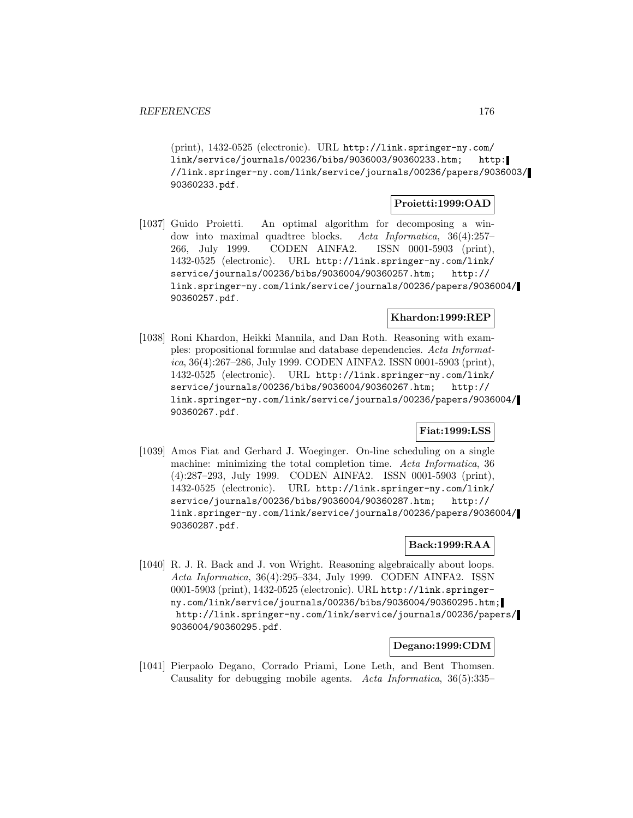(print), 1432-0525 (electronic). URL http://link.springer-ny.com/ link/service/journals/00236/bibs/9036003/90360233.htm; http: //link.springer-ny.com/link/service/journals/00236/papers/9036003/ 90360233.pdf.

# **Proietti:1999:OAD**

[1037] Guido Proietti. An optimal algorithm for decomposing a window into maximal quadtree blocks. Acta Informatica, 36(4):257– 266, July 1999. CODEN AINFA2. ISSN 0001-5903 (print), 1432-0525 (electronic). URL http://link.springer-ny.com/link/ service/journals/00236/bibs/9036004/90360257.htm; http:// link.springer-ny.com/link/service/journals/00236/papers/9036004/ 90360257.pdf.

# **Khardon:1999:REP**

[1038] Roni Khardon, Heikki Mannila, and Dan Roth. Reasoning with examples: propositional formulae and database dependencies. Acta Informatica, 36(4):267–286, July 1999. CODEN AINFA2. ISSN 0001-5903 (print), 1432-0525 (electronic). URL http://link.springer-ny.com/link/ service/journals/00236/bibs/9036004/90360267.htm; http:// link.springer-ny.com/link/service/journals/00236/papers/9036004/ 90360267.pdf.

# **Fiat:1999:LSS**

[1039] Amos Fiat and Gerhard J. Woeginger. On-line scheduling on a single machine: minimizing the total completion time. Acta Informatica, 36 (4):287–293, July 1999. CODEN AINFA2. ISSN 0001-5903 (print), 1432-0525 (electronic). URL http://link.springer-ny.com/link/ service/journals/00236/bibs/9036004/90360287.htm; http:// link.springer-ny.com/link/service/journals/00236/papers/9036004/ 90360287.pdf.

# **Back:1999:RAA**

[1040] R. J. R. Back and J. von Wright. Reasoning algebraically about loops. Acta Informatica, 36(4):295–334, July 1999. CODEN AINFA2. ISSN 0001-5903 (print), 1432-0525 (electronic). URL http://link.springerny.com/link/service/journals/00236/bibs/9036004/90360295.htm; http://link.springer-ny.com/link/service/journals/00236/papers/ 9036004/90360295.pdf.

# **Degano:1999:CDM**

[1041] Pierpaolo Degano, Corrado Priami, Lone Leth, and Bent Thomsen. Causality for debugging mobile agents. Acta Informatica, 36(5):335–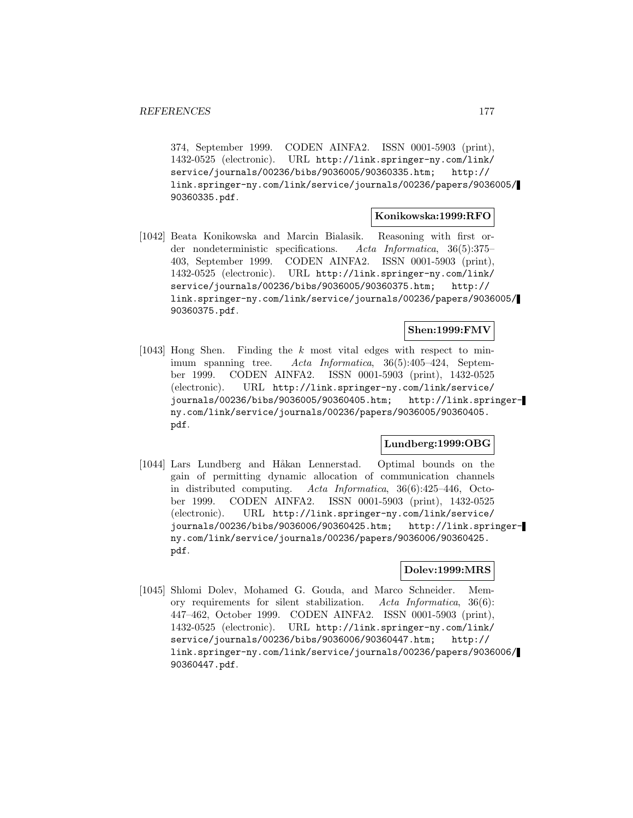374, September 1999. CODEN AINFA2. ISSN 0001-5903 (print), 1432-0525 (electronic). URL http://link.springer-ny.com/link/ service/journals/00236/bibs/9036005/90360335.htm; http:// link.springer-ny.com/link/service/journals/00236/papers/9036005/ 90360335.pdf.

### **Konikowska:1999:RFO**

[1042] Beata Konikowska and Marcin Bialasik. Reasoning with first order nondeterministic specifications. Acta Informatica, 36(5):375– 403, September 1999. CODEN AINFA2. ISSN 0001-5903 (print), 1432-0525 (electronic). URL http://link.springer-ny.com/link/ service/journals/00236/bibs/9036005/90360375.htm; http:// link.springer-ny.com/link/service/journals/00236/papers/9036005/ 90360375.pdf.

## **Shen:1999:FMV**

[1043] Hong Shen. Finding the  $k$  most vital edges with respect to minimum spanning tree. Acta Informatica, 36(5):405–424, September 1999. CODEN AINFA2. ISSN 0001-5903 (print), 1432-0525 (electronic). URL http://link.springer-ny.com/link/service/ journals/00236/bibs/9036005/90360405.htm; http://link.springerny.com/link/service/journals/00236/papers/9036005/90360405. pdf.

# **Lundberg:1999:OBG**

[1044] Lars Lundberg and Håkan Lennerstad. Optimal bounds on the gain of permitting dynamic allocation of communication channels in distributed computing. Acta Informatica, 36(6):425–446, October 1999. CODEN AINFA2. ISSN 0001-5903 (print), 1432-0525 (electronic). URL http://link.springer-ny.com/link/service/ journals/00236/bibs/9036006/90360425.htm; http://link.springerny.com/link/service/journals/00236/papers/9036006/90360425. pdf.

#### **Dolev:1999:MRS**

[1045] Shlomi Dolev, Mohamed G. Gouda, and Marco Schneider. Memory requirements for silent stabilization. Acta Informatica, 36(6): 447–462, October 1999. CODEN AINFA2. ISSN 0001-5903 (print), 1432-0525 (electronic). URL http://link.springer-ny.com/link/ service/journals/00236/bibs/9036006/90360447.htm; http:// link.springer-ny.com/link/service/journals/00236/papers/9036006/ 90360447.pdf.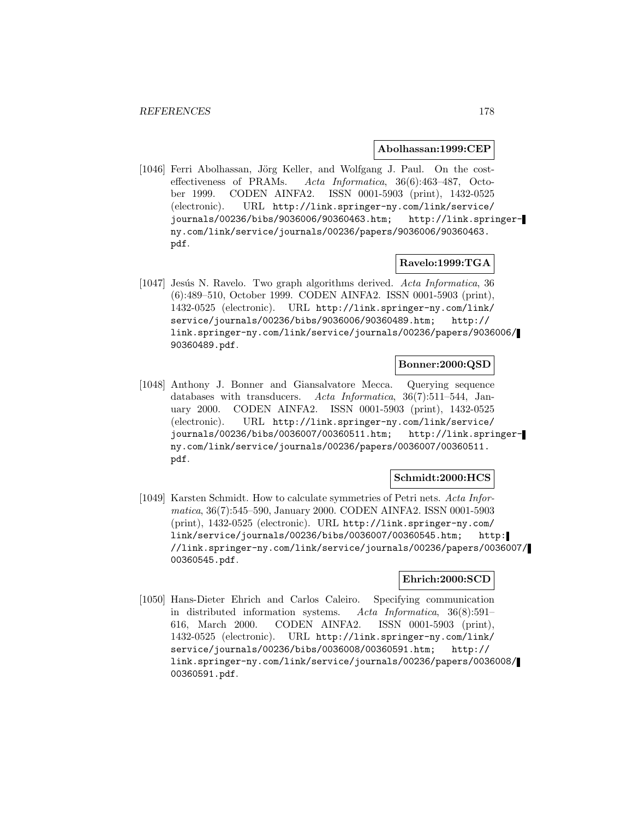#### **Abolhassan:1999:CEP**

[1046] Ferri Abolhassan, Jörg Keller, and Wolfgang J. Paul. On the costeffectiveness of PRAMs. Acta Informatica, 36(6):463–487, October 1999. CODEN AINFA2. ISSN 0001-5903 (print), 1432-0525 (electronic). URL http://link.springer-ny.com/link/service/ journals/00236/bibs/9036006/90360463.htm; http://link.springerny.com/link/service/journals/00236/papers/9036006/90360463. pdf.

### **Ravelo:1999:TGA**

[1047] Jesús N. Ravelo. Two graph algorithms derived. Acta Informatica, 36 (6):489–510, October 1999. CODEN AINFA2. ISSN 0001-5903 (print), 1432-0525 (electronic). URL http://link.springer-ny.com/link/ service/journals/00236/bibs/9036006/90360489.htm; http:// link.springer-ny.com/link/service/journals/00236/papers/9036006/ 90360489.pdf.

### **Bonner:2000:QSD**

[1048] Anthony J. Bonner and Giansalvatore Mecca. Querying sequence databases with transducers. Acta Informatica, 36(7):511–544, January 2000. CODEN AINFA2. ISSN 0001-5903 (print), 1432-0525 (electronic). URL http://link.springer-ny.com/link/service/ journals/00236/bibs/0036007/00360511.htm; http://link.springerny.com/link/service/journals/00236/papers/0036007/00360511. pdf.

# **Schmidt:2000:HCS**

[1049] Karsten Schmidt. How to calculate symmetries of Petri nets. Acta Informatica, 36(7):545–590, January 2000. CODEN AINFA2. ISSN 0001-5903 (print), 1432-0525 (electronic). URL http://link.springer-ny.com/ link/service/journals/00236/bibs/0036007/00360545.htm; http: //link.springer-ny.com/link/service/journals/00236/papers/0036007/ 00360545.pdf.

# **Ehrich:2000:SCD**

[1050] Hans-Dieter Ehrich and Carlos Caleiro. Specifying communication in distributed information systems. Acta Informatica, 36(8):591– 616, March 2000. CODEN AINFA2. ISSN 0001-5903 (print), 1432-0525 (electronic). URL http://link.springer-ny.com/link/ service/journals/00236/bibs/0036008/00360591.htm; http:// link.springer-ny.com/link/service/journals/00236/papers/0036008/ 00360591.pdf.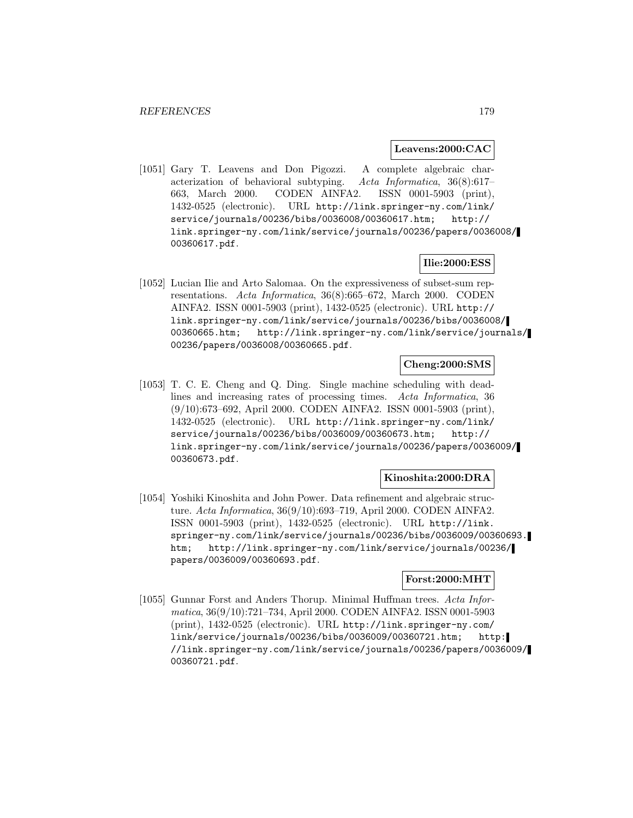### **Leavens:2000:CAC**

[1051] Gary T. Leavens and Don Pigozzi. A complete algebraic characterization of behavioral subtyping. Acta Informatica, 36(8):617– 663, March 2000. CODEN AINFA2. ISSN 0001-5903 (print), 1432-0525 (electronic). URL http://link.springer-ny.com/link/ service/journals/00236/bibs/0036008/00360617.htm; http:// link.springer-ny.com/link/service/journals/00236/papers/0036008/ 00360617.pdf.

# **Ilie:2000:ESS**

[1052] Lucian Ilie and Arto Salomaa. On the expressiveness of subset-sum representations. Acta Informatica, 36(8):665–672, March 2000. CODEN AINFA2. ISSN 0001-5903 (print), 1432-0525 (electronic). URL http:// link.springer-ny.com/link/service/journals/00236/bibs/0036008/ 00360665.htm; http://link.springer-ny.com/link/service/journals/ 00236/papers/0036008/00360665.pdf.

# **Cheng:2000:SMS**

[1053] T. C. E. Cheng and Q. Ding. Single machine scheduling with deadlines and increasing rates of processing times. Acta Informatica, 36 (9/10):673–692, April 2000. CODEN AINFA2. ISSN 0001-5903 (print), 1432-0525 (electronic). URL http://link.springer-ny.com/link/ service/journals/00236/bibs/0036009/00360673.htm; http:// link.springer-ny.com/link/service/journals/00236/papers/0036009/ 00360673.pdf.

### **Kinoshita:2000:DRA**

[1054] Yoshiki Kinoshita and John Power. Data refinement and algebraic structure. Acta Informatica, 36(9/10):693–719, April 2000. CODEN AINFA2. ISSN 0001-5903 (print), 1432-0525 (electronic). URL http://link. springer-ny.com/link/service/journals/00236/bibs/0036009/00360693. htm; http://link.springer-ny.com/link/service/journals/00236/ papers/0036009/00360693.pdf.

# **Forst:2000:MHT**

[1055] Gunnar Forst and Anders Thorup. Minimal Huffman trees. Acta Informatica, 36(9/10):721–734, April 2000. CODEN AINFA2. ISSN 0001-5903 (print), 1432-0525 (electronic). URL http://link.springer-ny.com/ link/service/journals/00236/bibs/0036009/00360721.htm; http: //link.springer-ny.com/link/service/journals/00236/papers/0036009/ 00360721.pdf.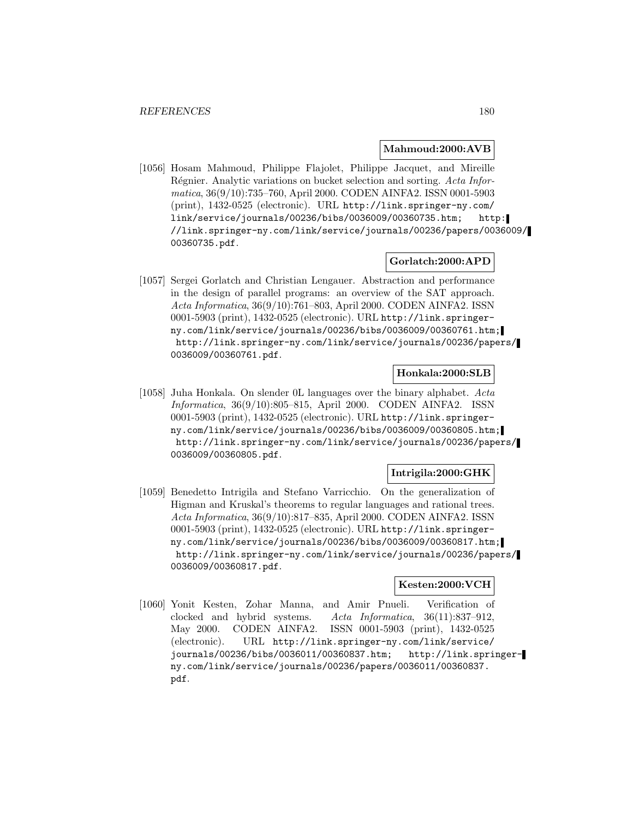### **Mahmoud:2000:AVB**

[1056] Hosam Mahmoud, Philippe Flajolet, Philippe Jacquet, and Mireille Régnier. Analytic variations on bucket selection and sorting. Acta Informatica, 36(9/10):735–760, April 2000. CODEN AINFA2. ISSN 0001-5903 (print), 1432-0525 (electronic). URL http://link.springer-ny.com/ link/service/journals/00236/bibs/0036009/00360735.htm; http: //link.springer-ny.com/link/service/journals/00236/papers/0036009/ 00360735.pdf.

# **Gorlatch:2000:APD**

[1057] Sergei Gorlatch and Christian Lengauer. Abstraction and performance in the design of parallel programs: an overview of the SAT approach. Acta Informatica, 36(9/10):761–803, April 2000. CODEN AINFA2. ISSN 0001-5903 (print), 1432-0525 (electronic). URL http://link.springerny.com/link/service/journals/00236/bibs/0036009/00360761.htm; http://link.springer-ny.com/link/service/journals/00236/papers/ 0036009/00360761.pdf.

# **Honkala:2000:SLB**

[1058] Juha Honkala. On slender 0L languages over the binary alphabet. Acta Informatica, 36(9/10):805–815, April 2000. CODEN AINFA2. ISSN 0001-5903 (print), 1432-0525 (electronic). URL http://link.springerny.com/link/service/journals/00236/bibs/0036009/00360805.htm; http://link.springer-ny.com/link/service/journals/00236/papers/ 0036009/00360805.pdf.

## **Intrigila:2000:GHK**

[1059] Benedetto Intrigila and Stefano Varricchio. On the generalization of Higman and Kruskal's theorems to regular languages and rational trees. Acta Informatica, 36(9/10):817–835, April 2000. CODEN AINFA2. ISSN 0001-5903 (print), 1432-0525 (electronic). URL http://link.springerny.com/link/service/journals/00236/bibs/0036009/00360817.htm; http://link.springer-ny.com/link/service/journals/00236/papers/ 0036009/00360817.pdf.

#### **Kesten:2000:VCH**

[1060] Yonit Kesten, Zohar Manna, and Amir Pnueli. Verification of clocked and hybrid systems. Acta Informatica, 36(11):837–912, May 2000. CODEN AINFA2. ISSN 0001-5903 (print), 1432-0525 (electronic). URL http://link.springer-ny.com/link/service/ journals/00236/bibs/0036011/00360837.htm; http://link.springerny.com/link/service/journals/00236/papers/0036011/00360837. pdf.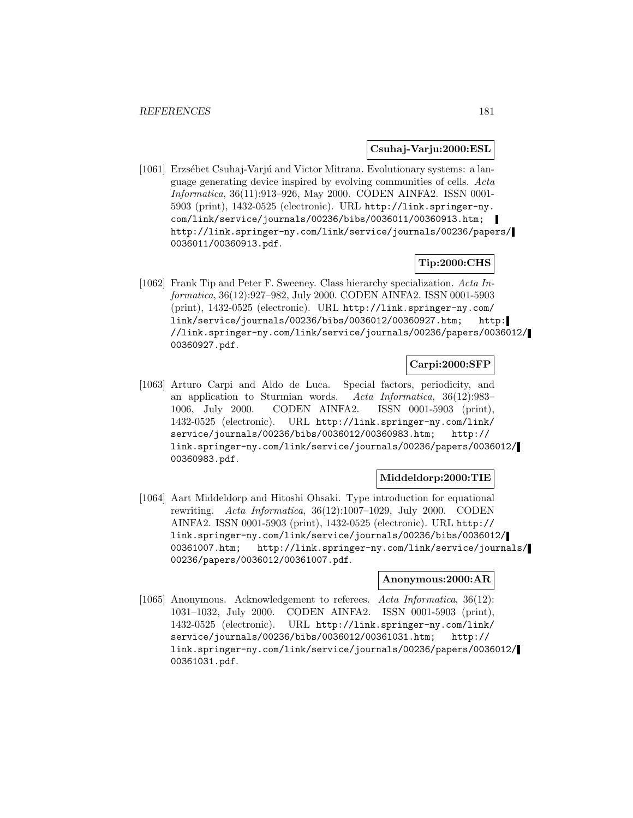#### **Csuhaj-Varju:2000:ESL**

[1061] Erzsébet Csuhaj-Varjú and Victor Mitrana. Evolutionary systems: a language generating device inspired by evolving communities of cells. Acta Informatica, 36(11):913–926, May 2000. CODEN AINFA2. ISSN 0001- 5903 (print), 1432-0525 (electronic). URL http://link.springer-ny. com/link/service/journals/00236/bibs/0036011/00360913.htm; http://link.springer-ny.com/link/service/journals/00236/papers/ 0036011/00360913.pdf.

# **Tip:2000:CHS**

[1062] Frank Tip and Peter F. Sweeney. Class hierarchy specialization. Acta Informatica, 36(12):927–982, July 2000. CODEN AINFA2. ISSN 0001-5903 (print), 1432-0525 (electronic). URL http://link.springer-ny.com/ link/service/journals/00236/bibs/0036012/00360927.htm; http: //link.springer-ny.com/link/service/journals/00236/papers/0036012/ 00360927.pdf.

# **Carpi:2000:SFP**

[1063] Arturo Carpi and Aldo de Luca. Special factors, periodicity, and an application to Sturmian words. Acta Informatica, 36(12):983– 1006, July 2000. CODEN AINFA2. ISSN 0001-5903 (print), 1432-0525 (electronic). URL http://link.springer-ny.com/link/ service/journals/00236/bibs/0036012/00360983.htm; http:// link.springer-ny.com/link/service/journals/00236/papers/0036012/ 00360983.pdf.

# **Middeldorp:2000:TIE**

[1064] Aart Middeldorp and Hitoshi Ohsaki. Type introduction for equational rewriting. Acta Informatica, 36(12):1007–1029, July 2000. CODEN AINFA2. ISSN 0001-5903 (print), 1432-0525 (electronic). URL http:// link.springer-ny.com/link/service/journals/00236/bibs/0036012/ 00361007.htm; http://link.springer-ny.com/link/service/journals/ 00236/papers/0036012/00361007.pdf.

# **Anonymous:2000:AR**

[1065] Anonymous. Acknowledgement to referees. Acta Informatica, 36(12): 1031–1032, July 2000. CODEN AINFA2. ISSN 0001-5903 (print), 1432-0525 (electronic). URL http://link.springer-ny.com/link/ service/journals/00236/bibs/0036012/00361031.htm; http:// link.springer-ny.com/link/service/journals/00236/papers/0036012/ 00361031.pdf.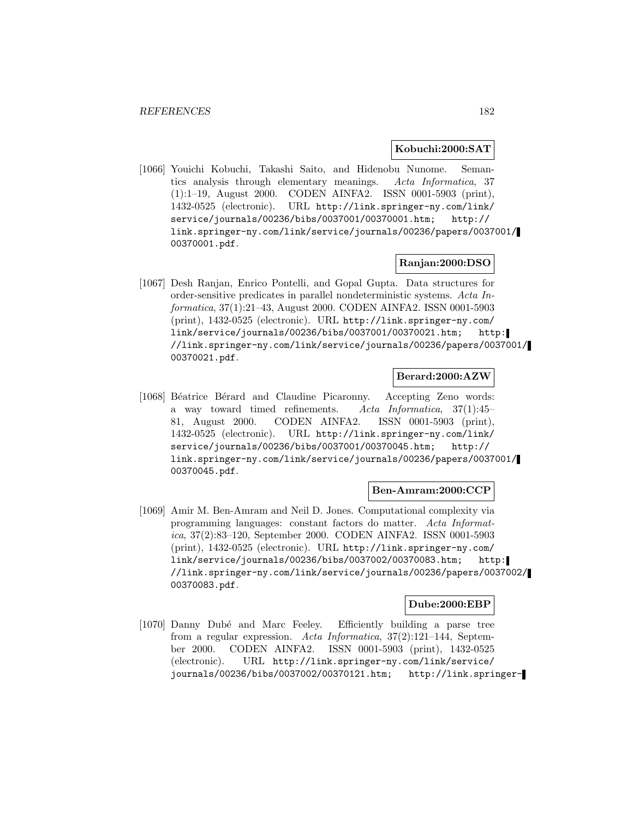#### **Kobuchi:2000:SAT**

[1066] Youichi Kobuchi, Takashi Saito, and Hidenobu Nunome. Semantics analysis through elementary meanings. Acta Informatica, 37 (1):1–19, August 2000. CODEN AINFA2. ISSN 0001-5903 (print), 1432-0525 (electronic). URL http://link.springer-ny.com/link/ service/journals/00236/bibs/0037001/00370001.htm; http:// link.springer-ny.com/link/service/journals/00236/papers/0037001/ 00370001.pdf.

## **Ranjan:2000:DSO**

[1067] Desh Ranjan, Enrico Pontelli, and Gopal Gupta. Data structures for order-sensitive predicates in parallel nondeterministic systems. Acta Informatica, 37(1):21–43, August 2000. CODEN AINFA2. ISSN 0001-5903 (print), 1432-0525 (electronic). URL http://link.springer-ny.com/ link/service/journals/00236/bibs/0037001/00370021.htm; http: //link.springer-ny.com/link/service/journals/00236/papers/0037001/ 00370021.pdf.

# **Berard:2000:AZW**

[1068] Béatrice Bérard and Claudine Picaronny. Accepting Zeno words: a way toward timed refinements. Acta Informatica, 37(1):45– 81, August 2000. CODEN AINFA2. ISSN 0001-5903 (print), 1432-0525 (electronic). URL http://link.springer-ny.com/link/ service/journals/00236/bibs/0037001/00370045.htm; http:// link.springer-ny.com/link/service/journals/00236/papers/0037001/ 00370045.pdf.

#### **Ben-Amram:2000:CCP**

[1069] Amir M. Ben-Amram and Neil D. Jones. Computational complexity via programming languages: constant factors do matter. Acta Informatica, 37(2):83–120, September 2000. CODEN AINFA2. ISSN 0001-5903 (print), 1432-0525 (electronic). URL http://link.springer-ny.com/ link/service/journals/00236/bibs/0037002/00370083.htm; http: //link.springer-ny.com/link/service/journals/00236/papers/0037002/ 00370083.pdf.

#### **Dube:2000:EBP**

[1070] Danny Dubé and Marc Feeley. Efficiently building a parse tree from a regular expression. Acta Informatica, 37(2):121–144, September 2000. CODEN AINFA2. ISSN 0001-5903 (print), 1432-0525 (electronic). URL http://link.springer-ny.com/link/service/ journals/00236/bibs/0037002/00370121.htm; http://link.springer-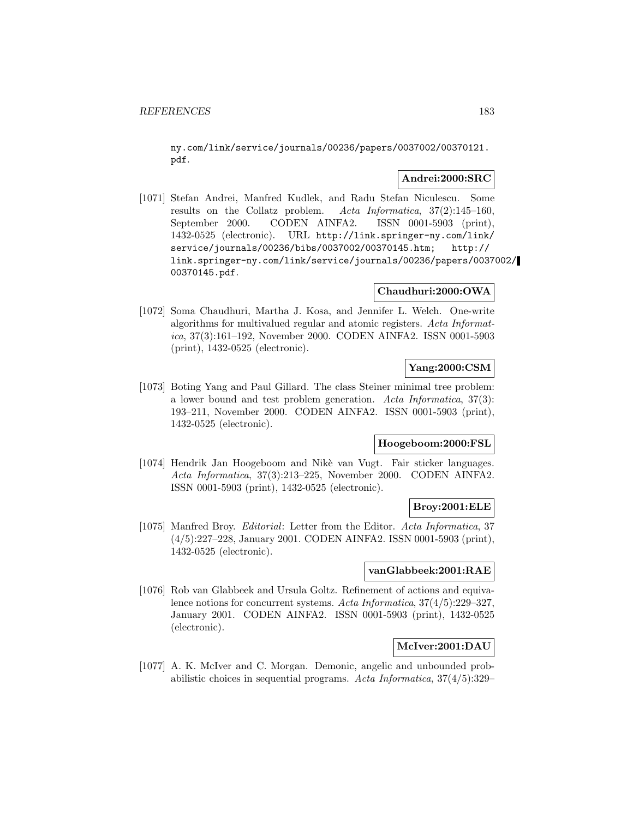ny.com/link/service/journals/00236/papers/0037002/00370121. pdf.

# **Andrei:2000:SRC**

[1071] Stefan Andrei, Manfred Kudlek, and Radu Stefan Niculescu. Some results on the Collatz problem. Acta Informatica, 37(2):145–160, September 2000. CODEN AINFA2. ISSN 0001-5903 (print), 1432-0525 (electronic). URL http://link.springer-ny.com/link/ service/journals/00236/bibs/0037002/00370145.htm; http:// link.springer-ny.com/link/service/journals/00236/papers/0037002/ 00370145.pdf.

## **Chaudhuri:2000:OWA**

[1072] Soma Chaudhuri, Martha J. Kosa, and Jennifer L. Welch. One-write algorithms for multivalued regular and atomic registers. Acta Informatica, 37(3):161–192, November 2000. CODEN AINFA2. ISSN 0001-5903 (print), 1432-0525 (electronic).

# **Yang:2000:CSM**

[1073] Boting Yang and Paul Gillard. The class Steiner minimal tree problem: a lower bound and test problem generation. Acta Informatica, 37(3): 193–211, November 2000. CODEN AINFA2. ISSN 0001-5903 (print), 1432-0525 (electronic).

#### **Hoogeboom:2000:FSL**

[1074] Hendrik Jan Hoogeboom and Nikè van Vugt. Fair sticker languages. Acta Informatica, 37(3):213–225, November 2000. CODEN AINFA2. ISSN 0001-5903 (print), 1432-0525 (electronic).

## **Broy:2001:ELE**

[1075] Manfred Broy. *Editorial*: Letter from the Editor. *Acta Informatica*, 37 (4/5):227–228, January 2001. CODEN AINFA2. ISSN 0001-5903 (print), 1432-0525 (electronic).

# **vanGlabbeek:2001:RAE**

[1076] Rob van Glabbeek and Ursula Goltz. Refinement of actions and equivalence notions for concurrent systems. Acta Informatica, 37(4/5):229–327, January 2001. CODEN AINFA2. ISSN 0001-5903 (print), 1432-0525 (electronic).

# **McIver:2001:DAU**

[1077] A. K. McIver and C. Morgan. Demonic, angelic and unbounded probabilistic choices in sequential programs. Acta Informatica, 37(4/5):329–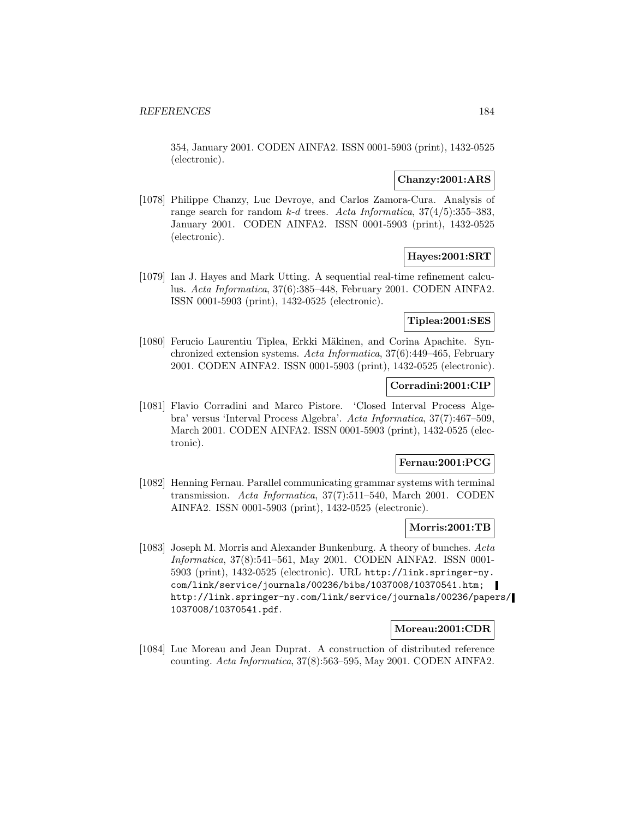354, January 2001. CODEN AINFA2. ISSN 0001-5903 (print), 1432-0525 (electronic).

## **Chanzy:2001:ARS**

[1078] Philippe Chanzy, Luc Devroye, and Carlos Zamora-Cura. Analysis of range search for random k-d trees. Acta Informatica,  $37(4/5)$ : 355–383, January 2001. CODEN AINFA2. ISSN 0001-5903 (print), 1432-0525 (electronic).

# **Hayes:2001:SRT**

[1079] Ian J. Hayes and Mark Utting. A sequential real-time refinement calculus. Acta Informatica, 37(6):385–448, February 2001. CODEN AINFA2. ISSN 0001-5903 (print), 1432-0525 (electronic).

## **Tiplea:2001:SES**

[1080] Ferucio Laurentiu Tiplea, Erkki Mäkinen, and Corina Apachite. Synchronized extension systems. Acta Informatica, 37(6):449–465, February 2001. CODEN AINFA2. ISSN 0001-5903 (print), 1432-0525 (electronic).

## **Corradini:2001:CIP**

[1081] Flavio Corradini and Marco Pistore. 'Closed Interval Process Algebra' versus 'Interval Process Algebra'. Acta Informatica, 37(7):467–509, March 2001. CODEN AINFA2. ISSN 0001-5903 (print), 1432-0525 (electronic).

## **Fernau:2001:PCG**

[1082] Henning Fernau. Parallel communicating grammar systems with terminal transmission. Acta Informatica, 37(7):511–540, March 2001. CODEN AINFA2. ISSN 0001-5903 (print), 1432-0525 (electronic).

# **Morris:2001:TB**

[1083] Joseph M. Morris and Alexander Bunkenburg. A theory of bunches. Acta Informatica, 37(8):541–561, May 2001. CODEN AINFA2. ISSN 0001- 5903 (print), 1432-0525 (electronic). URL http://link.springer-ny. com/link/service/journals/00236/bibs/1037008/10370541.htm; http://link.springer-ny.com/link/service/journals/00236/papers/ 1037008/10370541.pdf.

## **Moreau:2001:CDR**

[1084] Luc Moreau and Jean Duprat. A construction of distributed reference counting. Acta Informatica, 37(8):563–595, May 2001. CODEN AINFA2.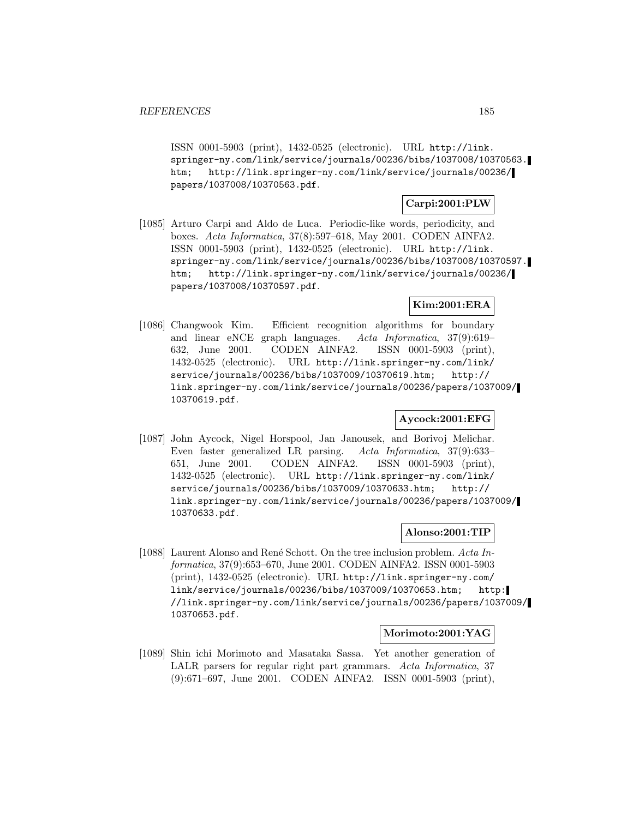ISSN 0001-5903 (print), 1432-0525 (electronic). URL http://link. springer-ny.com/link/service/journals/00236/bibs/1037008/10370563. htm; http://link.springer-ny.com/link/service/journals/00236/ papers/1037008/10370563.pdf.

**Carpi:2001:PLW**

[1085] Arturo Carpi and Aldo de Luca. Periodic-like words, periodicity, and boxes. Acta Informatica, 37(8):597–618, May 2001. CODEN AINFA2. ISSN 0001-5903 (print), 1432-0525 (electronic). URL http://link. springer-ny.com/link/service/journals/00236/bibs/1037008/10370597. htm; http://link.springer-ny.com/link/service/journals/00236/ papers/1037008/10370597.pdf.

**Kim:2001:ERA**

[1086] Changwook Kim. Efficient recognition algorithms for boundary and linear eNCE graph languages. Acta Informatica, 37(9):619– 632, June 2001. CODEN AINFA2. ISSN 0001-5903 (print), 1432-0525 (electronic). URL http://link.springer-ny.com/link/ service/journals/00236/bibs/1037009/10370619.htm; http:// link.springer-ny.com/link/service/journals/00236/papers/1037009/ 10370619.pdf.

## **Aycock:2001:EFG**

[1087] John Aycock, Nigel Horspool, Jan Janousek, and Borivoj Melichar. Even faster generalized LR parsing. Acta Informatica, 37(9):633– 651, June 2001. CODEN AINFA2. ISSN 0001-5903 (print), 1432-0525 (electronic). URL http://link.springer-ny.com/link/ service/journals/00236/bibs/1037009/10370633.htm; http:// link.springer-ny.com/link/service/journals/00236/papers/1037009/ 10370633.pdf.

# **Alonso:2001:TIP**

[1088] Laurent Alonso and René Schott. On the tree inclusion problem. Acta Informatica, 37(9):653–670, June 2001. CODEN AINFA2. ISSN 0001-5903 (print), 1432-0525 (electronic). URL http://link.springer-ny.com/ link/service/journals/00236/bibs/1037009/10370653.htm; http: //link.springer-ny.com/link/service/journals/00236/papers/1037009/ 10370653.pdf.

# **Morimoto:2001:YAG**

[1089] Shin ichi Morimoto and Masataka Sassa. Yet another generation of LALR parsers for regular right part grammars. Acta Informatica, 37 (9):671–697, June 2001. CODEN AINFA2. ISSN 0001-5903 (print),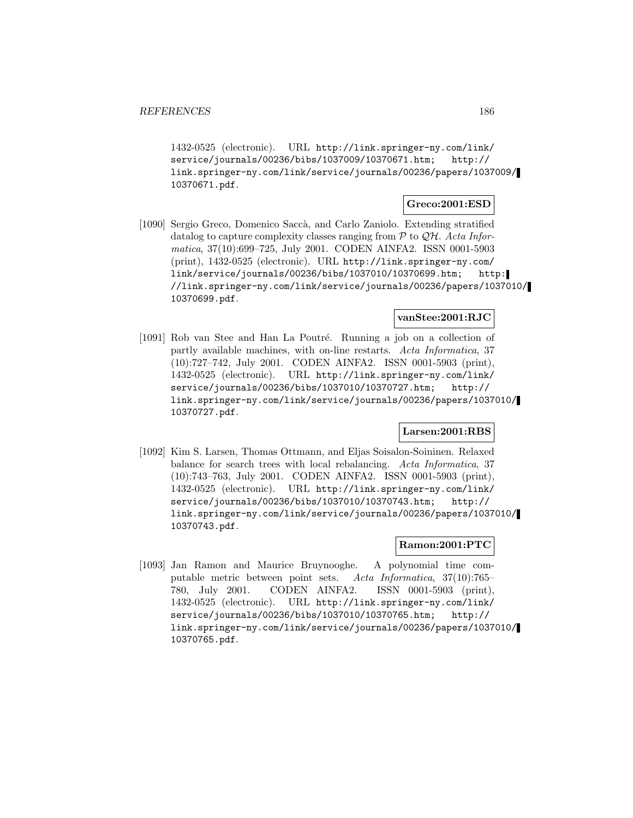1432-0525 (electronic). URL http://link.springer-ny.com/link/ service/journals/00236/bibs/1037009/10370671.htm; http:// link.springer-ny.com/link/service/journals/00236/papers/1037009/ 10370671.pdf.

# **Greco:2001:ESD**

[1090] Sergio Greco, Domenico Saccà, and Carlo Zaniolo. Extending stratified datalog to capture complexity classes ranging from  $P$  to  $\mathcal{QH}$ . Acta Informatica, 37(10):699–725, July 2001. CODEN AINFA2. ISSN 0001-5903 (print), 1432-0525 (electronic). URL http://link.springer-ny.com/ link/service/journals/00236/bibs/1037010/10370699.htm; http: //link.springer-ny.com/link/service/journals/00236/papers/1037010/ 10370699.pdf.

## **vanStee:2001:RJC**

[1091] Rob van Stee and Han La Poutré. Running a job on a collection of partly available machines, with on-line restarts. Acta Informatica, 37 (10):727–742, July 2001. CODEN AINFA2. ISSN 0001-5903 (print), 1432-0525 (electronic). URL http://link.springer-ny.com/link/ service/journals/00236/bibs/1037010/10370727.htm; http:// link.springer-ny.com/link/service/journals/00236/papers/1037010/ 10370727.pdf.

# **Larsen:2001:RBS**

[1092] Kim S. Larsen, Thomas Ottmann, and Eljas Soisalon-Soininen. Relaxed balance for search trees with local rebalancing. Acta Informatica, 37 (10):743–763, July 2001. CODEN AINFA2. ISSN 0001-5903 (print), 1432-0525 (electronic). URL http://link.springer-ny.com/link/ service/journals/00236/bibs/1037010/10370743.htm; http:// link.springer-ny.com/link/service/journals/00236/papers/1037010/ 10370743.pdf.

# **Ramon:2001:PTC**

[1093] Jan Ramon and Maurice Bruynooghe. A polynomial time computable metric between point sets. Acta Informatica, 37(10):765– 780, July 2001. CODEN AINFA2. ISSN 0001-5903 (print), 1432-0525 (electronic). URL http://link.springer-ny.com/link/ service/journals/00236/bibs/1037010/10370765.htm; http:// link.springer-ny.com/link/service/journals/00236/papers/1037010/ 10370765.pdf.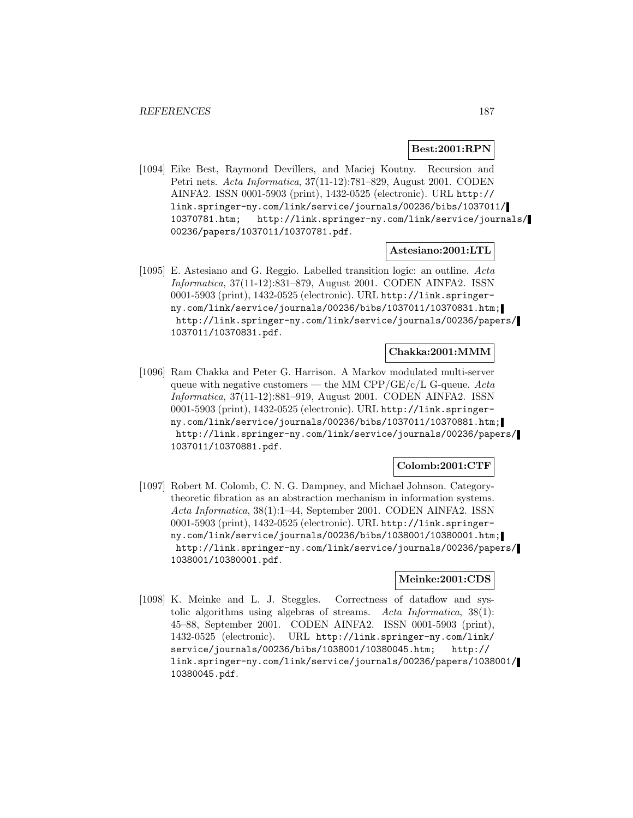#### **Best:2001:RPN**

[1094] Eike Best, Raymond Devillers, and Maciej Koutny. Recursion and Petri nets. Acta Informatica, 37(11-12):781–829, August 2001. CODEN AINFA2. ISSN 0001-5903 (print), 1432-0525 (electronic). URL http:// link.springer-ny.com/link/service/journals/00236/bibs/1037011/ 10370781.htm; http://link.springer-ny.com/link/service/journals/ 00236/papers/1037011/10370781.pdf.

#### **Astesiano:2001:LTL**

[1095] E. Astesiano and G. Reggio. Labelled transition logic: an outline. Acta Informatica, 37(11-12):831–879, August 2001. CODEN AINFA2. ISSN 0001-5903 (print), 1432-0525 (electronic). URL http://link.springerny.com/link/service/journals/00236/bibs/1037011/10370831.htm; http://link.springer-ny.com/link/service/journals/00236/papers/ 1037011/10370831.pdf.

## **Chakka:2001:MMM**

[1096] Ram Chakka and Peter G. Harrison. A Markov modulated multi-server queue with negative customers — the MM CPP/GE/c/L G-queue. Acta Informatica, 37(11-12):881–919, August 2001. CODEN AINFA2. ISSN 0001-5903 (print), 1432-0525 (electronic). URL http://link.springerny.com/link/service/journals/00236/bibs/1037011/10370881.htm; http://link.springer-ny.com/link/service/journals/00236/papers/ 1037011/10370881.pdf.

## **Colomb:2001:CTF**

[1097] Robert M. Colomb, C. N. G. Dampney, and Michael Johnson. Categorytheoretic fibration as an abstraction mechanism in information systems. Acta Informatica, 38(1):1–44, September 2001. CODEN AINFA2. ISSN 0001-5903 (print), 1432-0525 (electronic). URL http://link.springerny.com/link/service/journals/00236/bibs/1038001/10380001.htm; http://link.springer-ny.com/link/service/journals/00236/papers/ 1038001/10380001.pdf.

## **Meinke:2001:CDS**

[1098] K. Meinke and L. J. Steggles. Correctness of dataflow and systolic algorithms using algebras of streams. Acta Informatica, 38(1): 45–88, September 2001. CODEN AINFA2. ISSN 0001-5903 (print), 1432-0525 (electronic). URL http://link.springer-ny.com/link/ service/journals/00236/bibs/1038001/10380045.htm; http:// link.springer-ny.com/link/service/journals/00236/papers/1038001/ 10380045.pdf.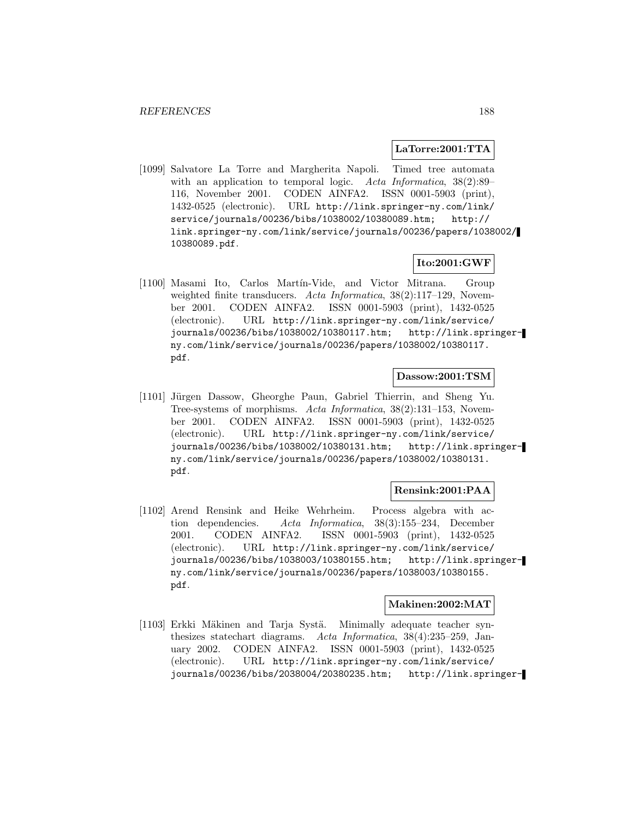#### **LaTorre:2001:TTA**

[1099] Salvatore La Torre and Margherita Napoli. Timed tree automata with an application to temporal logic. Acta Informatica, 38(2):89– 116, November 2001. CODEN AINFA2. ISSN 0001-5903 (print), 1432-0525 (electronic). URL http://link.springer-ny.com/link/ service/journals/00236/bibs/1038002/10380089.htm; http:// link.springer-ny.com/link/service/journals/00236/papers/1038002/ 10380089.pdf.

# **Ito:2001:GWF**

[1100] Masami Ito, Carlos Martín-Vide, and Victor Mitrana. Group weighted finite transducers. Acta Informatica, 38(2):117-129, November 2001. CODEN AINFA2. ISSN 0001-5903 (print), 1432-0525 (electronic). URL http://link.springer-ny.com/link/service/ journals/00236/bibs/1038002/10380117.htm; http://link.springerny.com/link/service/journals/00236/papers/1038002/10380117. pdf.

# **Dassow:2001:TSM**

[1101] Jürgen Dassow, Gheorghe Paun, Gabriel Thierrin, and Sheng Yu. Tree-systems of morphisms. Acta Informatica, 38(2):131–153, November 2001. CODEN AINFA2. ISSN 0001-5903 (print), 1432-0525 (electronic). URL http://link.springer-ny.com/link/service/ journals/00236/bibs/1038002/10380131.htm; http://link.springerny.com/link/service/journals/00236/papers/1038002/10380131. pdf.

## **Rensink:2001:PAA**

[1102] Arend Rensink and Heike Wehrheim. Process algebra with action dependencies. Acta Informatica, 38(3):155–234, December 2001. CODEN AINFA2. ISSN 0001-5903 (print), 1432-0525 (electronic). URL http://link.springer-ny.com/link/service/ journals/00236/bibs/1038003/10380155.htm; http://link.springerny.com/link/service/journals/00236/papers/1038003/10380155. pdf.

## **Makinen:2002:MAT**

[1103] Erkki Mäkinen and Tarja Systä. Minimally adequate teacher synthesizes statechart diagrams. Acta Informatica, 38(4):235–259, January 2002. CODEN AINFA2. ISSN 0001-5903 (print), 1432-0525 (electronic). URL http://link.springer-ny.com/link/service/ journals/00236/bibs/2038004/20380235.htm; http://link.springer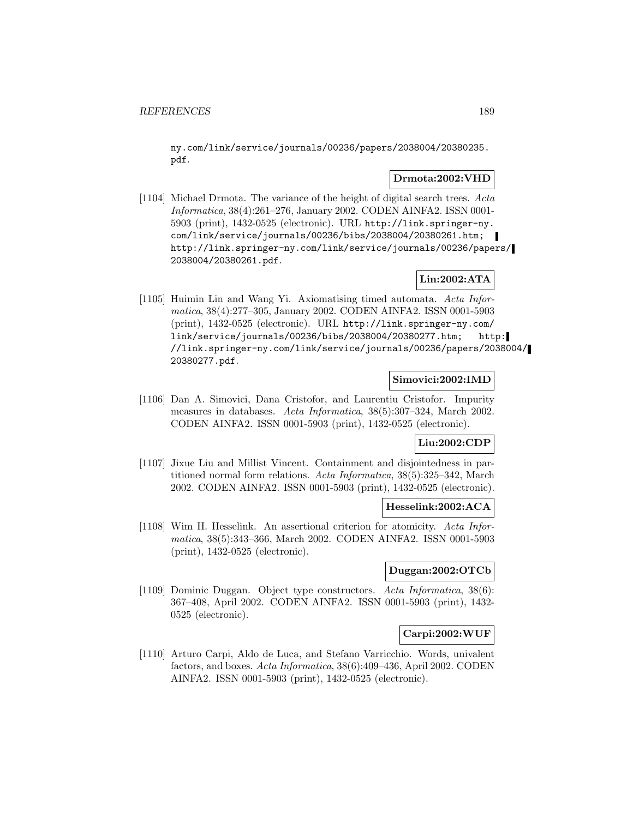ny.com/link/service/journals/00236/papers/2038004/20380235. pdf.

## **Drmota:2002:VHD**

[1104] Michael Drmota. The variance of the height of digital search trees. Acta Informatica, 38(4):261–276, January 2002. CODEN AINFA2. ISSN 0001- 5903 (print), 1432-0525 (electronic). URL http://link.springer-ny. com/link/service/journals/00236/bibs/2038004/20380261.htm; http://link.springer-ny.com/link/service/journals/00236/papers/ 2038004/20380261.pdf.

# **Lin:2002:ATA**

[1105] Huimin Lin and Wang Yi. Axiomatising timed automata. Acta Informatica, 38(4):277–305, January 2002. CODEN AINFA2. ISSN 0001-5903 (print), 1432-0525 (electronic). URL http://link.springer-ny.com/ link/service/journals/00236/bibs/2038004/20380277.htm; http: //link.springer-ny.com/link/service/journals/00236/papers/2038004/ 20380277.pdf.

## **Simovici:2002:IMD**

[1106] Dan A. Simovici, Dana Cristofor, and Laurentiu Cristofor. Impurity measures in databases. Acta Informatica, 38(5):307–324, March 2002. CODEN AINFA2. ISSN 0001-5903 (print), 1432-0525 (electronic).

# **Liu:2002:CDP**

[1107] Jixue Liu and Millist Vincent. Containment and disjointedness in partitioned normal form relations. Acta Informatica, 38(5):325–342, March 2002. CODEN AINFA2. ISSN 0001-5903 (print), 1432-0525 (electronic).

#### **Hesselink:2002:ACA**

[1108] Wim H. Hesselink. An assertional criterion for atomicity. Acta Informatica, 38(5):343–366, March 2002. CODEN AINFA2. ISSN 0001-5903 (print), 1432-0525 (electronic).

## **Duggan:2002:OTCb**

[1109] Dominic Duggan. Object type constructors. Acta Informatica, 38(6): 367–408, April 2002. CODEN AINFA2. ISSN 0001-5903 (print), 1432- 0525 (electronic).

# **Carpi:2002:WUF**

[1110] Arturo Carpi, Aldo de Luca, and Stefano Varricchio. Words, univalent factors, and boxes. Acta Informatica, 38(6):409–436, April 2002. CODEN AINFA2. ISSN 0001-5903 (print), 1432-0525 (electronic).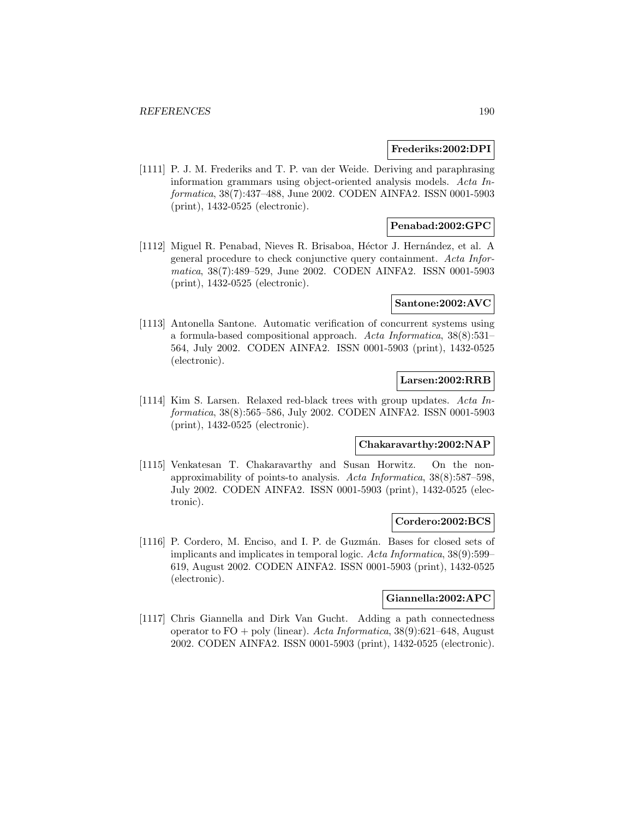#### **Frederiks:2002:DPI**

[1111] P. J. M. Frederiks and T. P. van der Weide. Deriving and paraphrasing information grammars using object-oriented analysis models. Acta Informatica, 38(7):437–488, June 2002. CODEN AINFA2. ISSN 0001-5903 (print), 1432-0525 (electronic).

# **Penabad:2002:GPC**

[1112] Miguel R. Penabad, Nieves R. Brisaboa, Héctor J. Hernández, et al. A general procedure to check conjunctive query containment. Acta Informatica, 38(7):489–529, June 2002. CODEN AINFA2. ISSN 0001-5903 (print), 1432-0525 (electronic).

#### **Santone:2002:AVC**

[1113] Antonella Santone. Automatic verification of concurrent systems using a formula-based compositional approach. Acta Informatica, 38(8):531– 564, July 2002. CODEN AINFA2. ISSN 0001-5903 (print), 1432-0525 (electronic).

# **Larsen:2002:RRB**

[1114] Kim S. Larsen. Relaxed red-black trees with group updates. Acta Informatica, 38(8):565–586, July 2002. CODEN AINFA2. ISSN 0001-5903 (print), 1432-0525 (electronic).

# **Chakaravarthy:2002:NAP**

[1115] Venkatesan T. Chakaravarthy and Susan Horwitz. On the nonapproximability of points-to analysis. Acta Informatica, 38(8):587–598, July 2002. CODEN AINFA2. ISSN 0001-5903 (print), 1432-0525 (electronic).

#### **Cordero:2002:BCS**

[1116] P. Cordero, M. Enciso, and I. P. de Guzmán. Bases for closed sets of implicants and implicates in temporal logic. Acta Informatica, 38(9):599– 619, August 2002. CODEN AINFA2. ISSN 0001-5903 (print), 1432-0525 (electronic).

# **Giannella:2002:APC**

[1117] Chris Giannella and Dirk Van Gucht. Adding a path connectedness operator to  $FO + poly$  (linear). Acta Informatica, 38(9):621–648, August 2002. CODEN AINFA2. ISSN 0001-5903 (print), 1432-0525 (electronic).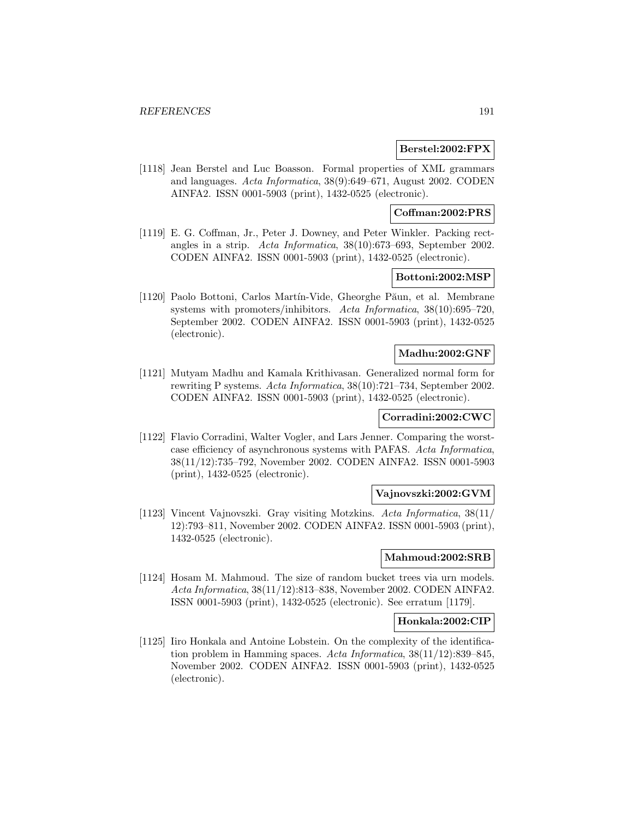#### **Berstel:2002:FPX**

[1118] Jean Berstel and Luc Boasson. Formal properties of XML grammars and languages. Acta Informatica, 38(9):649–671, August 2002. CODEN AINFA2. ISSN 0001-5903 (print), 1432-0525 (electronic).

#### **Coffman:2002:PRS**

[1119] E. G. Coffman, Jr., Peter J. Downey, and Peter Winkler. Packing rectangles in a strip. Acta Informatica, 38(10):673–693, September 2002. CODEN AINFA2. ISSN 0001-5903 (print), 1432-0525 (electronic).

## **Bottoni:2002:MSP**

[1120] Paolo Bottoni, Carlos Martín-Vide, Gheorghe Păun, et al. Membrane systems with promoters/inhibitors. Acta Informatica, 38(10):695–720, September 2002. CODEN AINFA2. ISSN 0001-5903 (print), 1432-0525 (electronic).

#### **Madhu:2002:GNF**

[1121] Mutyam Madhu and Kamala Krithivasan. Generalized normal form for rewriting P systems. Acta Informatica, 38(10):721–734, September 2002. CODEN AINFA2. ISSN 0001-5903 (print), 1432-0525 (electronic).

## **Corradini:2002:CWC**

[1122] Flavio Corradini, Walter Vogler, and Lars Jenner. Comparing the worstcase efficiency of asynchronous systems with PAFAS. Acta Informatica, 38(11/12):735–792, November 2002. CODEN AINFA2. ISSN 0001-5903 (print), 1432-0525 (electronic).

## **Vajnovszki:2002:GVM**

[1123] Vincent Vajnovszki. Gray visiting Motzkins. Acta Informatica, 38(11/ 12):793–811, November 2002. CODEN AINFA2. ISSN 0001-5903 (print), 1432-0525 (electronic).

#### **Mahmoud:2002:SRB**

[1124] Hosam M. Mahmoud. The size of random bucket trees via urn models. Acta Informatica, 38(11/12):813–838, November 2002. CODEN AINFA2. ISSN 0001-5903 (print), 1432-0525 (electronic). See erratum [1179].

#### **Honkala:2002:CIP**

[1125] Iiro Honkala and Antoine Lobstein. On the complexity of the identification problem in Hamming spaces. Acta Informatica, 38(11/12):839–845, November 2002. CODEN AINFA2. ISSN 0001-5903 (print), 1432-0525 (electronic).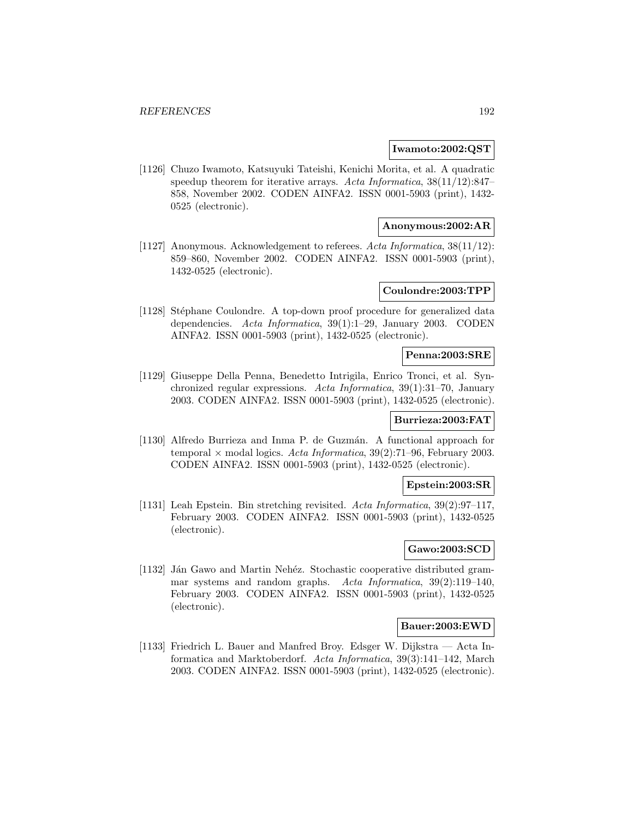#### **Iwamoto:2002:QST**

[1126] Chuzo Iwamoto, Katsuyuki Tateishi, Kenichi Morita, et al. A quadratic speedup theorem for iterative arrays. Acta Informatica, 38(11/12):847– 858, November 2002. CODEN AINFA2. ISSN 0001-5903 (print), 1432- 0525 (electronic).

## **Anonymous:2002:AR**

[1127] Anonymous. Acknowledgement to referees. Acta Informatica, 38(11/12): 859–860, November 2002. CODEN AINFA2. ISSN 0001-5903 (print), 1432-0525 (electronic).

#### **Coulondre:2003:TPP**

[1128] Stéphane Coulondre. A top-down proof procedure for generalized data dependencies. Acta Informatica, 39(1):1–29, January 2003. CODEN AINFA2. ISSN 0001-5903 (print), 1432-0525 (electronic).

# **Penna:2003:SRE**

[1129] Giuseppe Della Penna, Benedetto Intrigila, Enrico Tronci, et al. Synchronized regular expressions. Acta Informatica, 39(1):31–70, January 2003. CODEN AINFA2. ISSN 0001-5903 (print), 1432-0525 (electronic).

#### **Burrieza:2003:FAT**

[1130] Alfredo Burrieza and Inma P. de Guzm´an. A functional approach for temporal  $\times$  modal logics. Acta Informatica, 39(2):71–96, February 2003. CODEN AINFA2. ISSN 0001-5903 (print), 1432-0525 (electronic).

## **Epstein:2003:SR**

[1131] Leah Epstein. Bin stretching revisited. Acta Informatica, 39(2):97–117, February 2003. CODEN AINFA2. ISSN 0001-5903 (print), 1432-0525 (electronic).

## **Gawo:2003:SCD**

[1132] Ján Gawo and Martin Nehéz. Stochastic cooperative distributed grammar systems and random graphs. Acta Informatica, 39(2):119–140, February 2003. CODEN AINFA2. ISSN 0001-5903 (print), 1432-0525 (electronic).

#### **Bauer:2003:EWD**

[1133] Friedrich L. Bauer and Manfred Broy. Edsger W. Dijkstra — Acta Informatica and Marktoberdorf. Acta Informatica, 39(3):141–142, March 2003. CODEN AINFA2. ISSN 0001-5903 (print), 1432-0525 (electronic).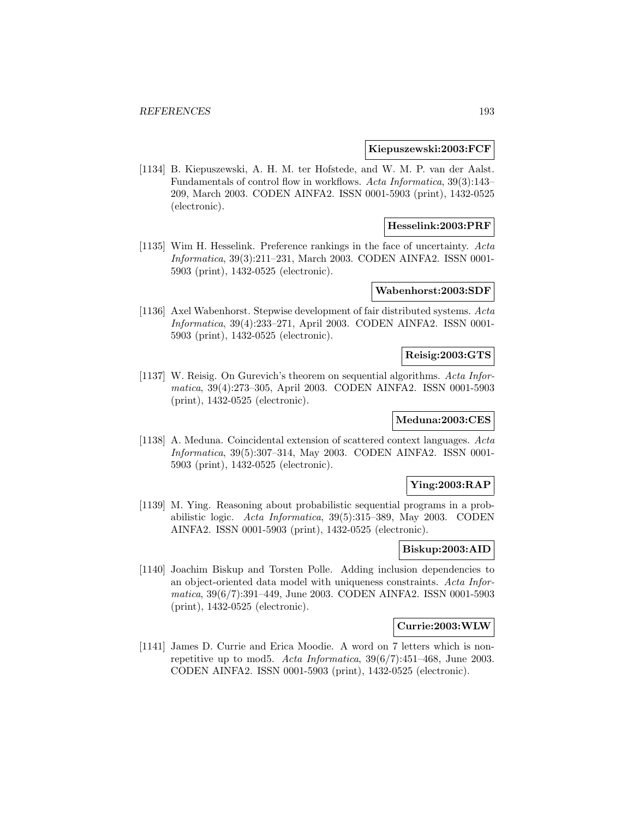#### **Kiepuszewski:2003:FCF**

[1134] B. Kiepuszewski, A. H. M. ter Hofstede, and W. M. P. van der Aalst. Fundamentals of control flow in workflows. Acta Informatica, 39(3):143– 209, March 2003. CODEN AINFA2. ISSN 0001-5903 (print), 1432-0525 (electronic).

### **Hesselink:2003:PRF**

[1135] Wim H. Hesselink. Preference rankings in the face of uncertainty. Acta Informatica, 39(3):211–231, March 2003. CODEN AINFA2. ISSN 0001- 5903 (print), 1432-0525 (electronic).

#### **Wabenhorst:2003:SDF**

[1136] Axel Wabenhorst. Stepwise development of fair distributed systems. Acta Informatica, 39(4):233–271, April 2003. CODEN AINFA2. ISSN 0001- 5903 (print), 1432-0525 (electronic).

## **Reisig:2003:GTS**

[1137] W. Reisig. On Gurevich's theorem on sequential algorithms. Acta Informatica, 39(4):273–305, April 2003. CODEN AINFA2. ISSN 0001-5903 (print), 1432-0525 (electronic).

## **Meduna:2003:CES**

[1138] A. Meduna. Coincidental extension of scattered context languages. Acta Informatica, 39(5):307–314, May 2003. CODEN AINFA2. ISSN 0001- 5903 (print), 1432-0525 (electronic).

## **Ying:2003:RAP**

[1139] M. Ying. Reasoning about probabilistic sequential programs in a probabilistic logic. Acta Informatica, 39(5):315–389, May 2003. CODEN AINFA2. ISSN 0001-5903 (print), 1432-0525 (electronic).

# **Biskup:2003:AID**

[1140] Joachim Biskup and Torsten Polle. Adding inclusion dependencies to an object-oriented data model with uniqueness constraints. Acta Informatica, 39(6/7):391–449, June 2003. CODEN AINFA2. ISSN 0001-5903 (print), 1432-0525 (electronic).

#### **Currie:2003:WLW**

[1141] James D. Currie and Erica Moodie. A word on 7 letters which is nonrepetitive up to mod5. Acta Informatica, 39(6/7):451–468, June 2003. CODEN AINFA2. ISSN 0001-5903 (print), 1432-0525 (electronic).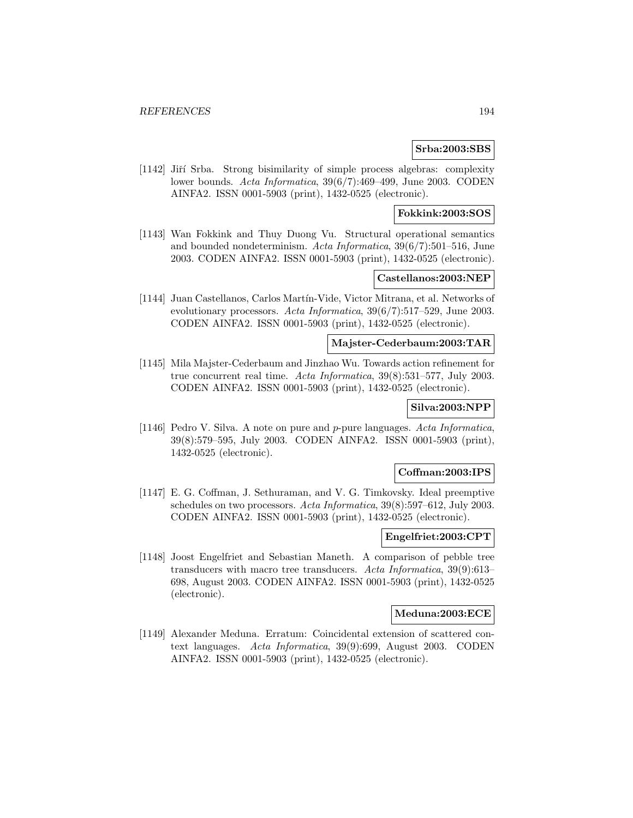## **Srba:2003:SBS**

[1142] Jiří Srba. Strong bisimilarity of simple process algebras: complexity lower bounds. Acta Informatica, 39(6/7):469–499, June 2003. CODEN AINFA2. ISSN 0001-5903 (print), 1432-0525 (electronic).

## **Fokkink:2003:SOS**

[1143] Wan Fokkink and Thuy Duong Vu. Structural operational semantics and bounded nondeterminism. Acta Informatica, 39(6/7):501–516, June 2003. CODEN AINFA2. ISSN 0001-5903 (print), 1432-0525 (electronic).

# **Castellanos:2003:NEP**

[1144] Juan Castellanos, Carlos Mart´ın-Vide, Victor Mitrana, et al. Networks of evolutionary processors. Acta Informatica, 39(6/7):517–529, June 2003. CODEN AINFA2. ISSN 0001-5903 (print), 1432-0525 (electronic).

#### **Majster-Cederbaum:2003:TAR**

[1145] Mila Majster-Cederbaum and Jinzhao Wu. Towards action refinement for true concurrent real time. Acta Informatica, 39(8):531–577, July 2003. CODEN AINFA2. ISSN 0001-5903 (print), 1432-0525 (electronic).

# **Silva:2003:NPP**

[1146] Pedro V. Silva. A note on pure and p-pure languages. Acta Informatica, 39(8):579–595, July 2003. CODEN AINFA2. ISSN 0001-5903 (print), 1432-0525 (electronic).

# **Coffman:2003:IPS**

[1147] E. G. Coffman, J. Sethuraman, and V. G. Timkovsky. Ideal preemptive schedules on two processors. Acta Informatica, 39(8):597–612, July 2003. CODEN AINFA2. ISSN 0001-5903 (print), 1432-0525 (electronic).

#### **Engelfriet:2003:CPT**

[1148] Joost Engelfriet and Sebastian Maneth. A comparison of pebble tree transducers with macro tree transducers. Acta Informatica, 39(9):613– 698, August 2003. CODEN AINFA2. ISSN 0001-5903 (print), 1432-0525 (electronic).

#### **Meduna:2003:ECE**

[1149] Alexander Meduna. Erratum: Coincidental extension of scattered context languages. Acta Informatica, 39(9):699, August 2003. CODEN AINFA2. ISSN 0001-5903 (print), 1432-0525 (electronic).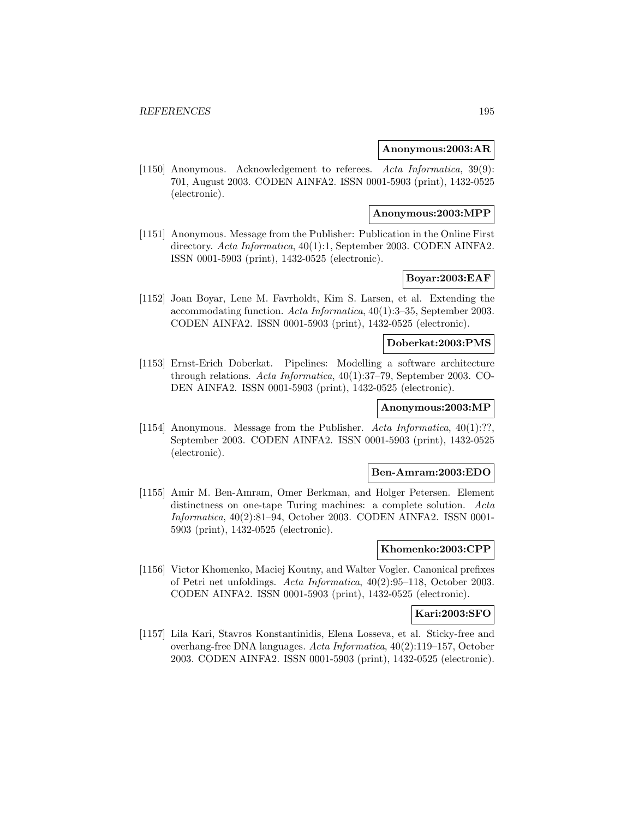#### **Anonymous:2003:AR**

[1150] Anonymous. Acknowledgement to referees. Acta Informatica, 39(9): 701, August 2003. CODEN AINFA2. ISSN 0001-5903 (print), 1432-0525 (electronic).

#### **Anonymous:2003:MPP**

[1151] Anonymous. Message from the Publisher: Publication in the Online First directory. Acta Informatica, 40(1):1, September 2003. CODEN AINFA2. ISSN 0001-5903 (print), 1432-0525 (electronic).

# **Boyar:2003:EAF**

[1152] Joan Boyar, Lene M. Favrholdt, Kim S. Larsen, et al. Extending the accommodating function. Acta Informatica, 40(1):3–35, September 2003. CODEN AINFA2. ISSN 0001-5903 (print), 1432-0525 (electronic).

#### **Doberkat:2003:PMS**

[1153] Ernst-Erich Doberkat. Pipelines: Modelling a software architecture through relations. Acta Informatica, 40(1):37–79, September 2003. CO-DEN AINFA2. ISSN 0001-5903 (print), 1432-0525 (electronic).

# **Anonymous:2003:MP**

[1154] Anonymous. Message from the Publisher. Acta Informatica, 40(1):??, September 2003. CODEN AINFA2. ISSN 0001-5903 (print), 1432-0525 (electronic).

#### **Ben-Amram:2003:EDO**

[1155] Amir M. Ben-Amram, Omer Berkman, and Holger Petersen. Element distinctness on one-tape Turing machines: a complete solution. Acta Informatica, 40(2):81–94, October 2003. CODEN AINFA2. ISSN 0001- 5903 (print), 1432-0525 (electronic).

## **Khomenko:2003:CPP**

[1156] Victor Khomenko, Maciej Koutny, and Walter Vogler. Canonical prefixes of Petri net unfoldings. Acta Informatica, 40(2):95–118, October 2003. CODEN AINFA2. ISSN 0001-5903 (print), 1432-0525 (electronic).

## **Kari:2003:SFO**

[1157] Lila Kari, Stavros Konstantinidis, Elena Losseva, et al. Sticky-free and overhang-free DNA languages. Acta Informatica, 40(2):119–157, October 2003. CODEN AINFA2. ISSN 0001-5903 (print), 1432-0525 (electronic).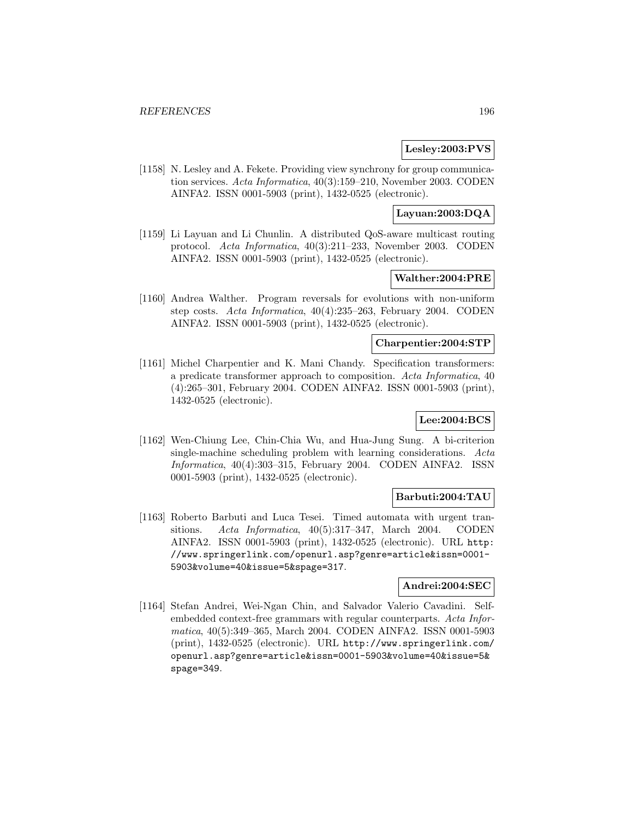## **Lesley:2003:PVS**

[1158] N. Lesley and A. Fekete. Providing view synchrony for group communication services. Acta Informatica, 40(3):159–210, November 2003. CODEN AINFA2. ISSN 0001-5903 (print), 1432-0525 (electronic).

# **Layuan:2003:DQA**

[1159] Li Layuan and Li Chunlin. A distributed QoS-aware multicast routing protocol. Acta Informatica, 40(3):211–233, November 2003. CODEN AINFA2. ISSN 0001-5903 (print), 1432-0525 (electronic).

# **Walther:2004:PRE**

[1160] Andrea Walther. Program reversals for evolutions with non-uniform step costs. Acta Informatica, 40(4):235–263, February 2004. CODEN AINFA2. ISSN 0001-5903 (print), 1432-0525 (electronic).

## **Charpentier:2004:STP**

[1161] Michel Charpentier and K. Mani Chandy. Specification transformers: a predicate transformer approach to composition. Acta Informatica, 40 (4):265–301, February 2004. CODEN AINFA2. ISSN 0001-5903 (print), 1432-0525 (electronic).

# **Lee:2004:BCS**

[1162] Wen-Chiung Lee, Chin-Chia Wu, and Hua-Jung Sung. A bi-criterion single-machine scheduling problem with learning considerations. Acta Informatica, 40(4):303–315, February 2004. CODEN AINFA2. ISSN 0001-5903 (print), 1432-0525 (electronic).

## **Barbuti:2004:TAU**

[1163] Roberto Barbuti and Luca Tesei. Timed automata with urgent transitions. Acta Informatica, 40(5):317–347, March 2004. CODEN AINFA2. ISSN 0001-5903 (print), 1432-0525 (electronic). URL http: //www.springerlink.com/openurl.asp?genre=article&issn=0001- 5903&volume=40&issue=5&spage=317.

## **Andrei:2004:SEC**

[1164] Stefan Andrei, Wei-Ngan Chin, and Salvador Valerio Cavadini. Selfembedded context-free grammars with regular counterparts. Acta Informatica, 40(5):349–365, March 2004. CODEN AINFA2. ISSN 0001-5903 (print), 1432-0525 (electronic). URL http://www.springerlink.com/ openurl.asp?genre=article&issn=0001-5903&volume=40&issue=5& spage=349.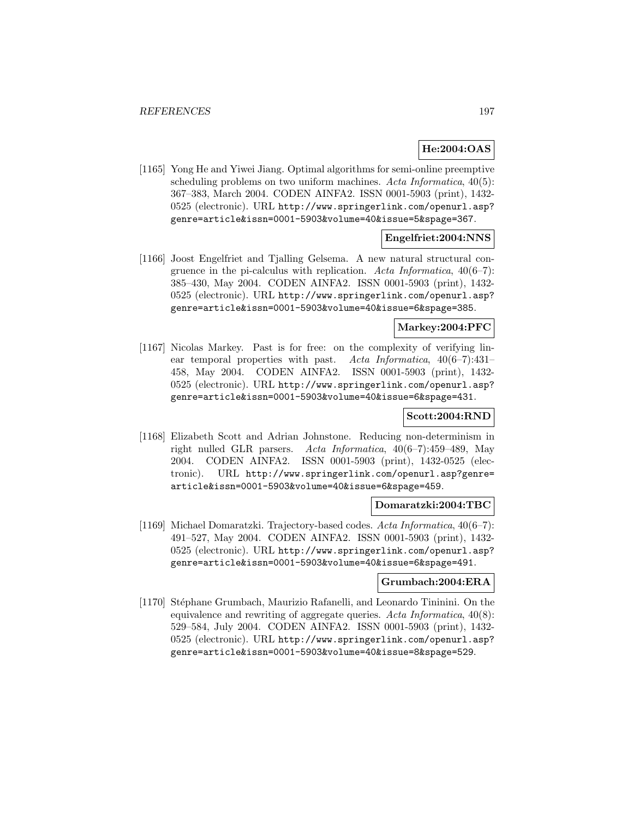# **He:2004:OAS**

[1165] Yong He and Yiwei Jiang. Optimal algorithms for semi-online preemptive scheduling problems on two uniform machines. Acta Informatica,  $40(5)$ : 367–383, March 2004. CODEN AINFA2. ISSN 0001-5903 (print), 1432- 0525 (electronic). URL http://www.springerlink.com/openurl.asp? genre=article&issn=0001-5903&volume=40&issue=5&spage=367.

### **Engelfriet:2004:NNS**

[1166] Joost Engelfriet and Tjalling Gelsema. A new natural structural congruence in the pi-calculus with replication. Acta Informatica,  $40(6-7)$ : 385–430, May 2004. CODEN AINFA2. ISSN 0001-5903 (print), 1432- 0525 (electronic). URL http://www.springerlink.com/openurl.asp? genre=article&issn=0001-5903&volume=40&issue=6&spage=385.

## **Markey:2004:PFC**

[1167] Nicolas Markey. Past is for free: on the complexity of verifying linear temporal properties with past. Acta Informatica, 40(6–7):431– 458, May 2004. CODEN AINFA2. ISSN 0001-5903 (print), 1432- 0525 (electronic). URL http://www.springerlink.com/openurl.asp? genre=article&issn=0001-5903&volume=40&issue=6&spage=431.

## **Scott:2004:RND**

[1168] Elizabeth Scott and Adrian Johnstone. Reducing non-determinism in right nulled GLR parsers. Acta Informatica, 40(6–7):459–489, May 2004. CODEN AINFA2. ISSN 0001-5903 (print), 1432-0525 (electronic). URL http://www.springerlink.com/openurl.asp?genre= article&issn=0001-5903&volume=40&issue=6&spage=459.

# **Domaratzki:2004:TBC**

[1169] Michael Domaratzki. Trajectory-based codes. Acta Informatica, 40(6–7): 491–527, May 2004. CODEN AINFA2. ISSN 0001-5903 (print), 1432- 0525 (electronic). URL http://www.springerlink.com/openurl.asp? genre=article&issn=0001-5903&volume=40&issue=6&spage=491.

## **Grumbach:2004:ERA**

[1170] Stéphane Grumbach, Maurizio Rafanelli, and Leonardo Tininini. On the equivalence and rewriting of aggregate queries. Acta Informatica, 40(8): 529–584, July 2004. CODEN AINFA2. ISSN 0001-5903 (print), 1432- 0525 (electronic). URL http://www.springerlink.com/openurl.asp? genre=article&issn=0001-5903&volume=40&issue=8&spage=529.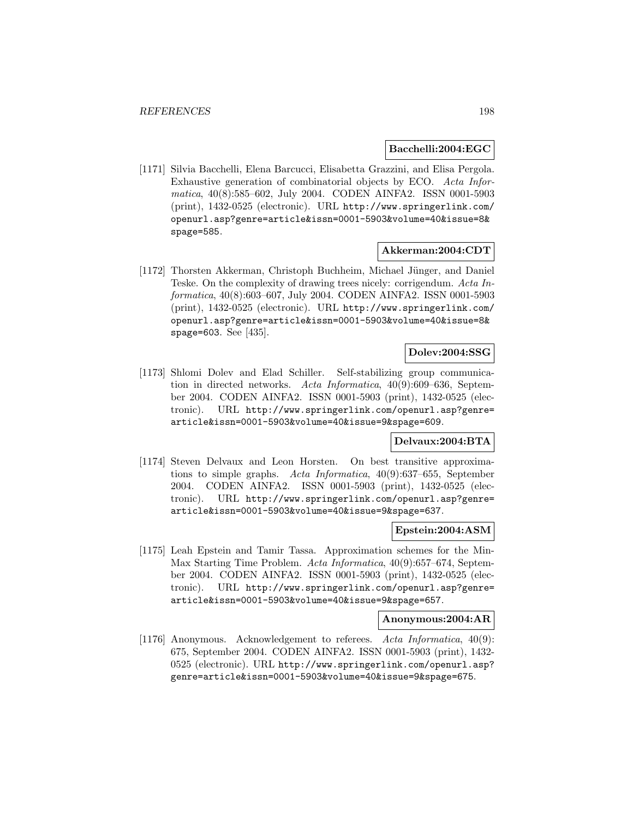#### **Bacchelli:2004:EGC**

[1171] Silvia Bacchelli, Elena Barcucci, Elisabetta Grazzini, and Elisa Pergola. Exhaustive generation of combinatorial objects by ECO. Acta Informatica, 40(8):585–602, July 2004. CODEN AINFA2. ISSN 0001-5903 (print), 1432-0525 (electronic). URL http://www.springerlink.com/ openurl.asp?genre=article&issn=0001-5903&volume=40&issue=8& spage=585.

#### **Akkerman:2004:CDT**

[1172] Thorsten Akkerman, Christoph Buchheim, Michael Jünger, and Daniel Teske. On the complexity of drawing trees nicely: corrigendum. Acta Informatica, 40(8):603–607, July 2004. CODEN AINFA2. ISSN 0001-5903 (print), 1432-0525 (electronic). URL http://www.springerlink.com/ openurl.asp?genre=article&issn=0001-5903&volume=40&issue=8& spage=603. See [435].

## **Dolev:2004:SSG**

[1173] Shlomi Dolev and Elad Schiller. Self-stabilizing group communication in directed networks. Acta Informatica, 40(9):609–636, September 2004. CODEN AINFA2. ISSN 0001-5903 (print), 1432-0525 (electronic). URL http://www.springerlink.com/openurl.asp?genre= article&issn=0001-5903&volume=40&issue=9&spage=609.

# **Delvaux:2004:BTA**

[1174] Steven Delvaux and Leon Horsten. On best transitive approximations to simple graphs. Acta Informatica, 40(9):637–655, September 2004. CODEN AINFA2. ISSN 0001-5903 (print), 1432-0525 (electronic). URL http://www.springerlink.com/openurl.asp?genre= article&issn=0001-5903&volume=40&issue=9&spage=637.

#### **Epstein:2004:ASM**

[1175] Leah Epstein and Tamir Tassa. Approximation schemes for the Min-Max Starting Time Problem. Acta Informatica, 40(9):657–674, September 2004. CODEN AINFA2. ISSN 0001-5903 (print), 1432-0525 (electronic). URL http://www.springerlink.com/openurl.asp?genre= article&issn=0001-5903&volume=40&issue=9&spage=657.

#### **Anonymous:2004:AR**

[1176] Anonymous. Acknowledgement to referees. Acta Informatica, 40(9): 675, September 2004. CODEN AINFA2. ISSN 0001-5903 (print), 1432- 0525 (electronic). URL http://www.springerlink.com/openurl.asp? genre=article&issn=0001-5903&volume=40&issue=9&spage=675.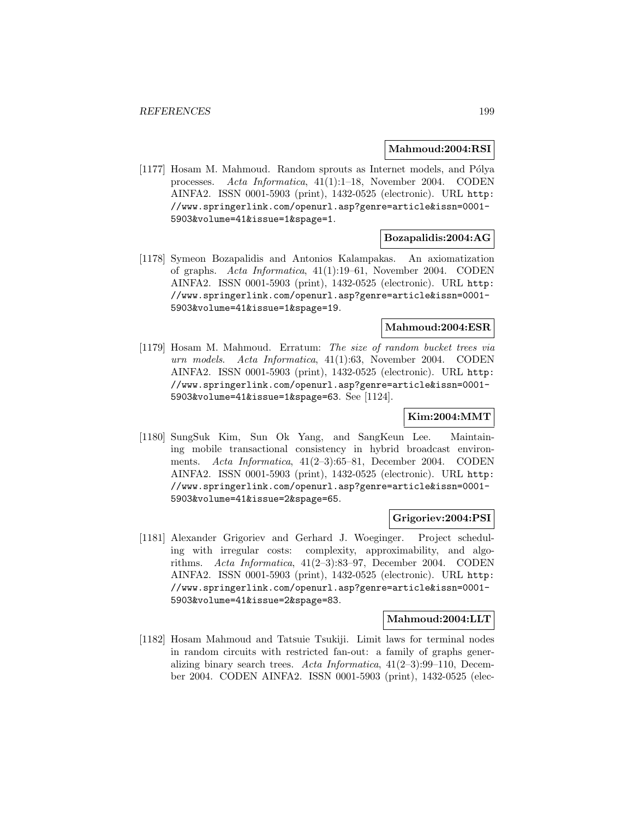#### **Mahmoud:2004:RSI**

[1177] Hosam M. Mahmoud. Random sprouts as Internet models, and Pólya processes. Acta Informatica, 41(1):1–18, November 2004. CODEN AINFA2. ISSN 0001-5903 (print), 1432-0525 (electronic). URL http: //www.springerlink.com/openurl.asp?genre=article&issn=0001- 5903&volume=41&issue=1&spage=1.

#### **Bozapalidis:2004:AG**

[1178] Symeon Bozapalidis and Antonios Kalampakas. An axiomatization of graphs. Acta Informatica, 41(1):19–61, November 2004. CODEN AINFA2. ISSN 0001-5903 (print), 1432-0525 (electronic). URL http: //www.springerlink.com/openurl.asp?genre=article&issn=0001- 5903&volume=41&issue=1&spage=19.

# **Mahmoud:2004:ESR**

[1179] Hosam M. Mahmoud. Erratum: The size of random bucket trees via urn models. Acta Informatica, 41(1):63, November 2004. CODEN AINFA2. ISSN 0001-5903 (print), 1432-0525 (electronic). URL http: //www.springerlink.com/openurl.asp?genre=article&issn=0001- 5903&volume=41&issue=1&spage=63. See [1124].

# **Kim:2004:MMT**

[1180] SungSuk Kim, Sun Ok Yang, and SangKeun Lee. Maintaining mobile transactional consistency in hybrid broadcast environments. Acta Informatica, 41(2–3):65–81, December 2004. CODEN AINFA2. ISSN 0001-5903 (print), 1432-0525 (electronic). URL http: //www.springerlink.com/openurl.asp?genre=article&issn=0001- 5903&volume=41&issue=2&spage=65.

#### **Grigoriev:2004:PSI**

[1181] Alexander Grigoriev and Gerhard J. Woeginger. Project scheduling with irregular costs: complexity, approximability, and algorithms. Acta Informatica, 41(2–3):83–97, December 2004. CODEN AINFA2. ISSN 0001-5903 (print), 1432-0525 (electronic). URL http: //www.springerlink.com/openurl.asp?genre=article&issn=0001- 5903&volume=41&issue=2&spage=83.

# **Mahmoud:2004:LLT**

[1182] Hosam Mahmoud and Tatsuie Tsukiji. Limit laws for terminal nodes in random circuits with restricted fan-out: a family of graphs generalizing binary search trees. Acta Informatica,  $41(2-3):99-110$ , December 2004. CODEN AINFA2. ISSN 0001-5903 (print), 1432-0525 (elec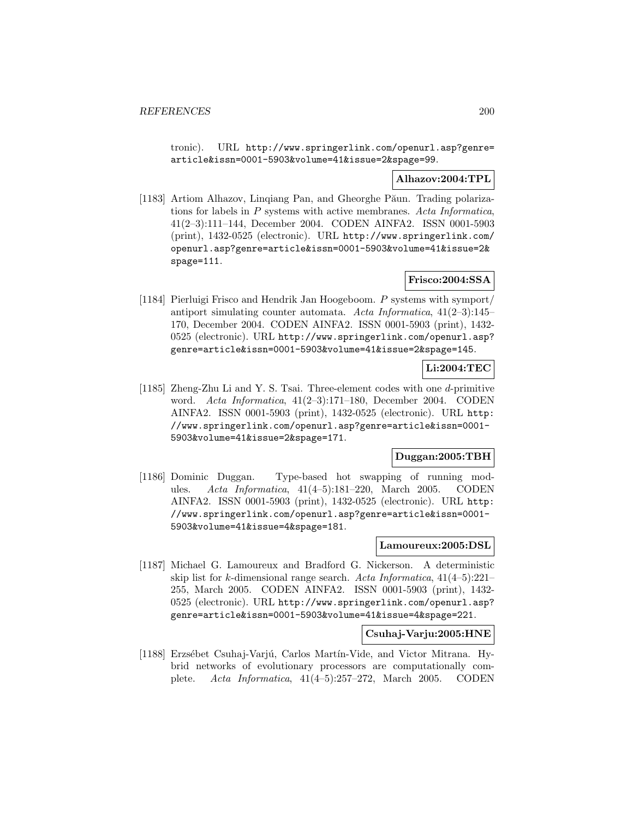tronic). URL http://www.springerlink.com/openurl.asp?genre= article&issn=0001-5903&volume=41&issue=2&spage=99.

# **Alhazov:2004:TPL**

[1183] Artiom Alhazov, Linqiang Pan, and Gheorghe Păun. Trading polarizations for labels in P systems with active membranes. Acta Informatica, 41(2–3):111–144, December 2004. CODEN AINFA2. ISSN 0001-5903 (print), 1432-0525 (electronic). URL http://www.springerlink.com/ openurl.asp?genre=article&issn=0001-5903&volume=41&issue=2& spage=111.

## **Frisco:2004:SSA**

[1184] Pierluigi Frisco and Hendrik Jan Hoogeboom. P systems with symport/ antiport simulating counter automata. Acta Informatica, 41(2–3):145– 170, December 2004. CODEN AINFA2. ISSN 0001-5903 (print), 1432- 0525 (electronic). URL http://www.springerlink.com/openurl.asp? genre=article&issn=0001-5903&volume=41&issue=2&spage=145.

# **Li:2004:TEC**

[1185] Zheng-Zhu Li and Y. S. Tsai. Three-element codes with one d-primitive word. Acta Informatica, 41(2–3):171–180, December 2004. CODEN AINFA2. ISSN 0001-5903 (print), 1432-0525 (electronic). URL http: //www.springerlink.com/openurl.asp?genre=article&issn=0001- 5903&volume=41&issue=2&spage=171.

#### **Duggan:2005:TBH**

[1186] Dominic Duggan. Type-based hot swapping of running modules. Acta Informatica, 41(4–5):181–220, March 2005. CODEN AINFA2. ISSN 0001-5903 (print), 1432-0525 (electronic). URL http: //www.springerlink.com/openurl.asp?genre=article&issn=0001- 5903&volume=41&issue=4&spage=181.

## **Lamoureux:2005:DSL**

[1187] Michael G. Lamoureux and Bradford G. Nickerson. A deterministic skip list for k-dimensional range search. Acta Informatica, 41(4–5):221– 255, March 2005. CODEN AINFA2. ISSN 0001-5903 (print), 1432- 0525 (electronic). URL http://www.springerlink.com/openurl.asp? genre=article&issn=0001-5903&volume=41&issue=4&spage=221.

## **Csuhaj-Varju:2005:HNE**

[1188] Erzsébet Csuhaj-Varjú, Carlos Martín-Vide, and Victor Mitrana. Hybrid networks of evolutionary processors are computationally complete. Acta Informatica, 41(4–5):257–272, March 2005. CODEN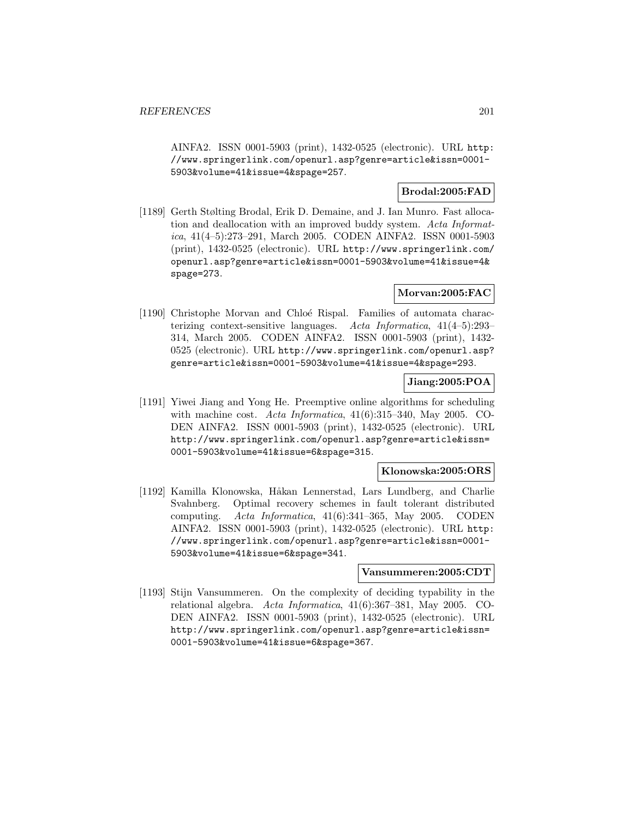AINFA2. ISSN 0001-5903 (print), 1432-0525 (electronic). URL http: //www.springerlink.com/openurl.asp?genre=article&issn=0001- 5903&volume=41&issue=4&spage=257.

## **Brodal:2005:FAD**

[1189] Gerth Stølting Brodal, Erik D. Demaine, and J. Ian Munro. Fast allocation and deallocation with an improved buddy system. Acta Informatica, 41(4–5):273–291, March 2005. CODEN AINFA2. ISSN 0001-5903 (print), 1432-0525 (electronic). URL http://www.springerlink.com/ openurl.asp?genre=article&issn=0001-5903&volume=41&issue=4& spage=273.

#### **Morvan:2005:FAC**

[1190] Christophe Morvan and Chlo´e Rispal. Families of automata characterizing context-sensitive languages. Acta Informatica, 41(4–5):293– 314, March 2005. CODEN AINFA2. ISSN 0001-5903 (print), 1432- 0525 (electronic). URL http://www.springerlink.com/openurl.asp? genre=article&issn=0001-5903&volume=41&issue=4&spage=293.

# **Jiang:2005:POA**

[1191] Yiwei Jiang and Yong He. Preemptive online algorithms for scheduling with machine cost. Acta Informatica, 41(6):315-340, May 2005. CO-DEN AINFA2. ISSN 0001-5903 (print), 1432-0525 (electronic). URL http://www.springerlink.com/openurl.asp?genre=article&issn= 0001-5903&volume=41&issue=6&spage=315.

# **Klonowska:2005:ORS**

[1192] Kamilla Klonowska, Håkan Lennerstad, Lars Lundberg, and Charlie Svahnberg. Optimal recovery schemes in fault tolerant distributed computing. Acta Informatica, 41(6):341–365, May 2005. CODEN AINFA2. ISSN 0001-5903 (print), 1432-0525 (electronic). URL http: //www.springerlink.com/openurl.asp?genre=article&issn=0001- 5903&volume=41&issue=6&spage=341.

#### **Vansummeren:2005:CDT**

[1193] Stijn Vansummeren. On the complexity of deciding typability in the relational algebra. Acta Informatica, 41(6):367–381, May 2005. CO-DEN AINFA2. ISSN 0001-5903 (print), 1432-0525 (electronic). URL http://www.springerlink.com/openurl.asp?genre=article&issn= 0001-5903&volume=41&issue=6&spage=367.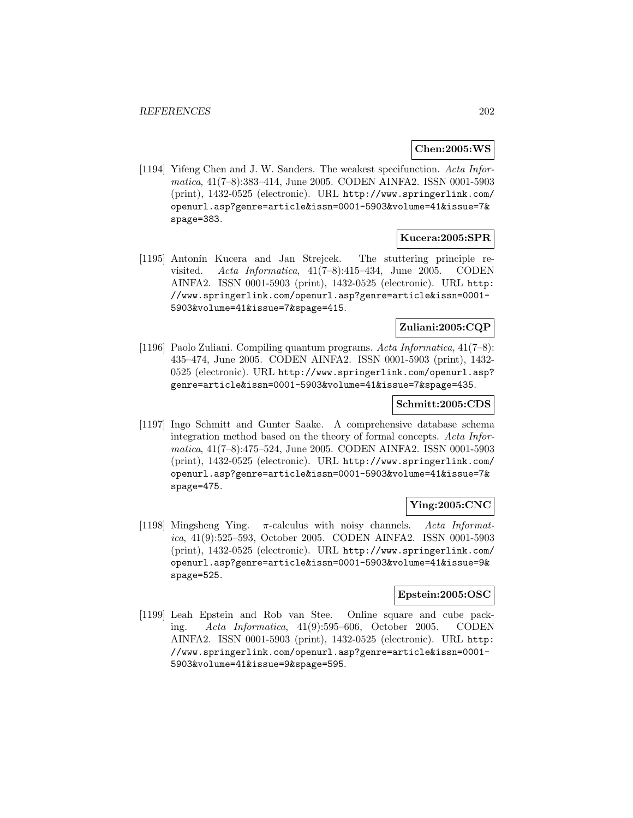# **Chen:2005:WS**

[1194] Yifeng Chen and J. W. Sanders. The weakest specifunction. Acta Informatica, 41(7–8):383–414, June 2005. CODEN AINFA2. ISSN 0001-5903 (print), 1432-0525 (electronic). URL http://www.springerlink.com/ openurl.asp?genre=article&issn=0001-5903&volume=41&issue=7& spage=383.

## **Kucera:2005:SPR**

[1195] Anton´ın Kucera and Jan Strejcek. The stuttering principle revisited. Acta Informatica, 41(7–8):415–434, June 2005. CODEN AINFA2. ISSN 0001-5903 (print), 1432-0525 (electronic). URL http: //www.springerlink.com/openurl.asp?genre=article&issn=0001- 5903&volume=41&issue=7&spage=415.

# **Zuliani:2005:CQP**

[1196] Paolo Zuliani. Compiling quantum programs. Acta Informatica, 41(7–8): 435–474, June 2005. CODEN AINFA2. ISSN 0001-5903 (print), 1432- 0525 (electronic). URL http://www.springerlink.com/openurl.asp? genre=article&issn=0001-5903&volume=41&issue=7&spage=435.

## **Schmitt:2005:CDS**

[1197] Ingo Schmitt and Gunter Saake. A comprehensive database schema integration method based on the theory of formal concepts. Acta Informatica, 41(7–8):475–524, June 2005. CODEN AINFA2. ISSN 0001-5903 (print), 1432-0525 (electronic). URL http://www.springerlink.com/ openurl.asp?genre=article&issn=0001-5903&volume=41&issue=7& spage=475.

# **Ying:2005:CNC**

[1198] Mingsheng Ying. π-calculus with noisy channels. Acta Informatica, 41(9):525–593, October 2005. CODEN AINFA2. ISSN 0001-5903 (print), 1432-0525 (electronic). URL http://www.springerlink.com/ openurl.asp?genre=article&issn=0001-5903&volume=41&issue=9& spage=525.

## **Epstein:2005:OSC**

[1199] Leah Epstein and Rob van Stee. Online square and cube packing. Acta Informatica, 41(9):595–606, October 2005. CODEN AINFA2. ISSN 0001-5903 (print), 1432-0525 (electronic). URL http: //www.springerlink.com/openurl.asp?genre=article&issn=0001- 5903&volume=41&issue=9&spage=595.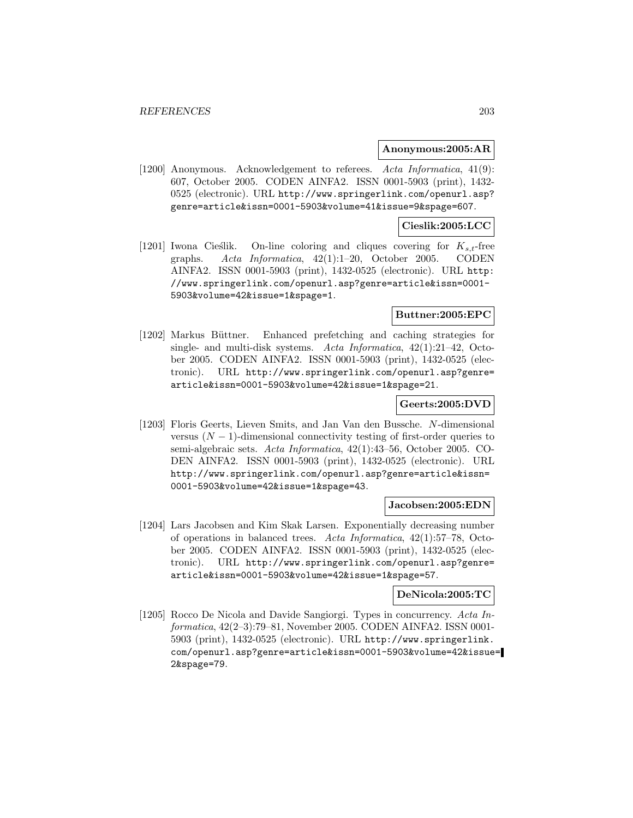#### **Anonymous:2005:AR**

[1200] Anonymous. Acknowledgement to referees. Acta Informatica, 41(9): 607, October 2005. CODEN AINFA2. ISSN 0001-5903 (print), 1432- 0525 (electronic). URL http://www.springerlink.com/openurl.asp? genre=article&issn=0001-5903&volume=41&issue=9&spage=607.

### **Cieslik:2005:LCC**

[1201] Iwona Cieślik. On-line coloring and cliques covering for  $K_{s,t}$ -free graphs. Acta Informatica, 42(1):1–20, October 2005. CODEN AINFA2. ISSN 0001-5903 (print), 1432-0525 (electronic). URL http: //www.springerlink.com/openurl.asp?genre=article&issn=0001- 5903&volume=42&issue=1&spage=1.

## **Buttner:2005:EPC**

[1202] Markus Büttner. Enhanced prefetching and caching strategies for single- and multi-disk systems. Acta Informatica, 42(1):21–42, October 2005. CODEN AINFA2. ISSN 0001-5903 (print), 1432-0525 (electronic). URL http://www.springerlink.com/openurl.asp?genre= article&issn=0001-5903&volume=42&issue=1&spage=21.

## **Geerts:2005:DVD**

[1203] Floris Geerts, Lieven Smits, and Jan Van den Bussche. N-dimensional versus  $(N-1)$ -dimensional connectivity testing of first-order queries to semi-algebraic sets. Acta Informatica, 42(1):43–56, October 2005. CO-DEN AINFA2. ISSN 0001-5903 (print), 1432-0525 (electronic). URL http://www.springerlink.com/openurl.asp?genre=article&issn= 0001-5903&volume=42&issue=1&spage=43.

#### **Jacobsen:2005:EDN**

[1204] Lars Jacobsen and Kim Skak Larsen. Exponentially decreasing number of operations in balanced trees. Acta Informatica, 42(1):57–78, October 2005. CODEN AINFA2. ISSN 0001-5903 (print), 1432-0525 (electronic). URL http://www.springerlink.com/openurl.asp?genre= article&issn=0001-5903&volume=42&issue=1&spage=57.

## **DeNicola:2005:TC**

[1205] Rocco De Nicola and Davide Sangiorgi. Types in concurrency. Acta Informatica, 42(2–3):79–81, November 2005. CODEN AINFA2. ISSN 0001- 5903 (print), 1432-0525 (electronic). URL http://www.springerlink. com/openurl.asp?genre=article&issn=0001-5903&volume=42&issue= 2&spage=79.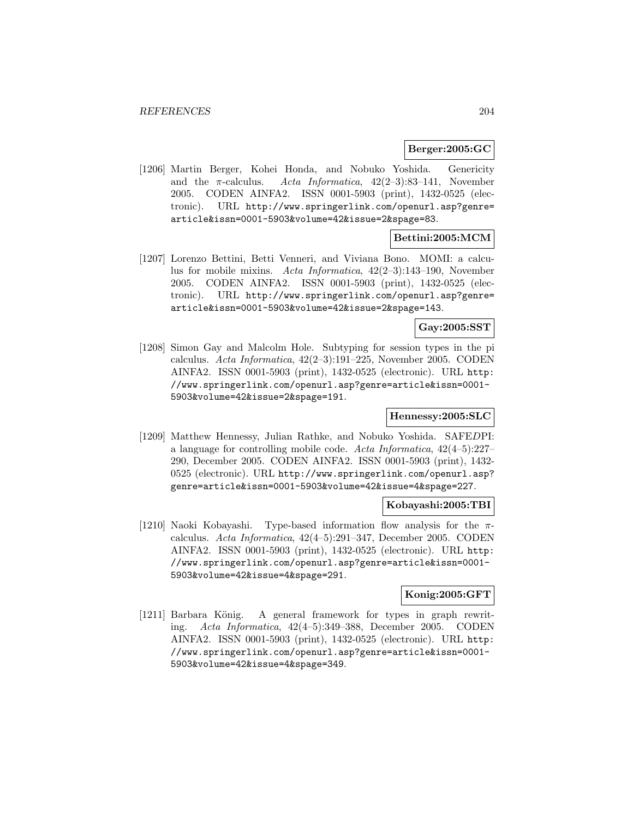#### **Berger:2005:GC**

[1206] Martin Berger, Kohei Honda, and Nobuko Yoshida. Genericity and the  $\pi$ -calculus. Acta Informatica, 42(2-3):83-141, November 2005. CODEN AINFA2. ISSN 0001-5903 (print), 1432-0525 (electronic). URL http://www.springerlink.com/openurl.asp?genre= article&issn=0001-5903&volume=42&issue=2&spage=83.

# **Bettini:2005:MCM**

[1207] Lorenzo Bettini, Betti Venneri, and Viviana Bono. MOMI: a calculus for mobile mixins. Acta Informatica, 42(2–3):143–190, November 2005. CODEN AINFA2. ISSN 0001-5903 (print), 1432-0525 (electronic). URL http://www.springerlink.com/openurl.asp?genre= article&issn=0001-5903&volume=42&issue=2&spage=143.

## **Gay:2005:SST**

[1208] Simon Gay and Malcolm Hole. Subtyping for session types in the pi calculus. Acta Informatica, 42(2–3):191–225, November 2005. CODEN AINFA2. ISSN 0001-5903 (print), 1432-0525 (electronic). URL http: //www.springerlink.com/openurl.asp?genre=article&issn=0001- 5903&volume=42&issue=2&spage=191.

## **Hennessy:2005:SLC**

[1209] Matthew Hennessy, Julian Rathke, and Nobuko Yoshida. SAFEDPI: a language for controlling mobile code. Acta Informatica, 42(4–5):227– 290, December 2005. CODEN AINFA2. ISSN 0001-5903 (print), 1432- 0525 (electronic). URL http://www.springerlink.com/openurl.asp? genre=article&issn=0001-5903&volume=42&issue=4&spage=227.

#### **Kobayashi:2005:TBI**

[1210] Naoki Kobayashi. Type-based information flow analysis for the  $\pi$ calculus. Acta Informatica, 42(4–5):291–347, December 2005. CODEN AINFA2. ISSN 0001-5903 (print), 1432-0525 (electronic). URL http: //www.springerlink.com/openurl.asp?genre=article&issn=0001- 5903&volume=42&issue=4&spage=291.

# **Konig:2005:GFT**

[1211] Barbara König. A general framework for types in graph rewriting. Acta Informatica, 42(4–5):349–388, December 2005. CODEN AINFA2. ISSN 0001-5903 (print), 1432-0525 (electronic). URL http: //www.springerlink.com/openurl.asp?genre=article&issn=0001- 5903&volume=42&issue=4&spage=349.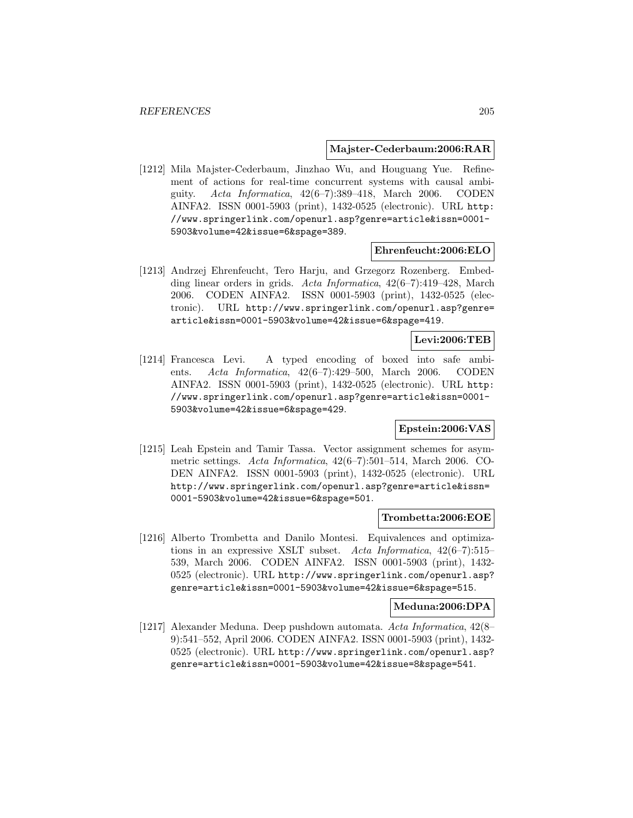#### **Majster-Cederbaum:2006:RAR**

[1212] Mila Majster-Cederbaum, Jinzhao Wu, and Houguang Yue. Refinement of actions for real-time concurrent systems with causal ambiguity. Acta Informatica, 42(6–7):389–418, March 2006. CODEN AINFA2. ISSN 0001-5903 (print), 1432-0525 (electronic). URL http: //www.springerlink.com/openurl.asp?genre=article&issn=0001- 5903&volume=42&issue=6&spage=389.

#### **Ehrenfeucht:2006:ELO**

[1213] Andrzej Ehrenfeucht, Tero Harju, and Grzegorz Rozenberg. Embedding linear orders in grids. Acta Informatica,  $42(6-7)$ :419-428, March 2006. CODEN AINFA2. ISSN 0001-5903 (print), 1432-0525 (electronic). URL http://www.springerlink.com/openurl.asp?genre= article&issn=0001-5903&volume=42&issue=6&spage=419.

# **Levi:2006:TEB**

[1214] Francesca Levi. A typed encoding of boxed into safe ambients. Acta Informatica, 42(6–7):429–500, March 2006. CODEN AINFA2. ISSN 0001-5903 (print), 1432-0525 (electronic). URL http: //www.springerlink.com/openurl.asp?genre=article&issn=0001- 5903&volume=42&issue=6&spage=429.

# **Epstein:2006:VAS**

[1215] Leah Epstein and Tamir Tassa. Vector assignment schemes for asymmetric settings. Acta Informatica, 42(6–7):501–514, March 2006. CO-DEN AINFA2. ISSN 0001-5903 (print), 1432-0525 (electronic). URL http://www.springerlink.com/openurl.asp?genre=article&issn= 0001-5903&volume=42&issue=6&spage=501.

#### **Trombetta:2006:EOE**

[1216] Alberto Trombetta and Danilo Montesi. Equivalences and optimizations in an expressive XSLT subset. Acta Informatica, 42(6–7):515– 539, March 2006. CODEN AINFA2. ISSN 0001-5903 (print), 1432- 0525 (electronic). URL http://www.springerlink.com/openurl.asp? genre=article&issn=0001-5903&volume=42&issue=6&spage=515.

#### **Meduna:2006:DPA**

[1217] Alexander Meduna. Deep pushdown automata. Acta Informatica, 42(8– 9):541–552, April 2006. CODEN AINFA2. ISSN 0001-5903 (print), 1432- 0525 (electronic). URL http://www.springerlink.com/openurl.asp? genre=article&issn=0001-5903&volume=42&issue=8&spage=541.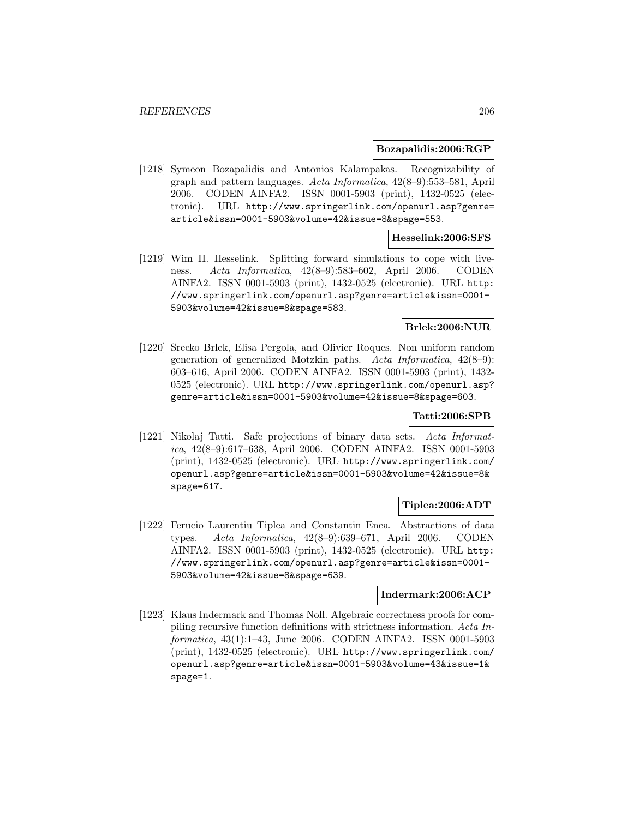#### **Bozapalidis:2006:RGP**

[1218] Symeon Bozapalidis and Antonios Kalampakas. Recognizability of graph and pattern languages. Acta Informatica, 42(8–9):553–581, April 2006. CODEN AINFA2. ISSN 0001-5903 (print), 1432-0525 (electronic). URL http://www.springerlink.com/openurl.asp?genre= article&issn=0001-5903&volume=42&issue=8&spage=553.

## **Hesselink:2006:SFS**

[1219] Wim H. Hesselink. Splitting forward simulations to cope with liveness. Acta Informatica, 42(8–9):583–602, April 2006. CODEN AINFA2. ISSN 0001-5903 (print), 1432-0525 (electronic). URL http: //www.springerlink.com/openurl.asp?genre=article&issn=0001- 5903&volume=42&issue=8&spage=583.

# **Brlek:2006:NUR**

[1220] Srecko Brlek, Elisa Pergola, and Olivier Roques. Non uniform random generation of generalized Motzkin paths. Acta Informatica, 42(8–9): 603–616, April 2006. CODEN AINFA2. ISSN 0001-5903 (print), 1432- 0525 (electronic). URL http://www.springerlink.com/openurl.asp? genre=article&issn=0001-5903&volume=42&issue=8&spage=603.

## **Tatti:2006:SPB**

[1221] Nikolaj Tatti. Safe projections of binary data sets. Acta Informatica, 42(8–9):617–638, April 2006. CODEN AINFA2. ISSN 0001-5903 (print), 1432-0525 (electronic). URL http://www.springerlink.com/ openurl.asp?genre=article&issn=0001-5903&volume=42&issue=8& spage=617.

## **Tiplea:2006:ADT**

[1222] Ferucio Laurentiu Tiplea and Constantin Enea. Abstractions of data types. Acta Informatica, 42(8–9):639–671, April 2006. CODEN AINFA2. ISSN 0001-5903 (print), 1432-0525 (electronic). URL http: //www.springerlink.com/openurl.asp?genre=article&issn=0001- 5903&volume=42&issue=8&spage=639.

## **Indermark:2006:ACP**

[1223] Klaus Indermark and Thomas Noll. Algebraic correctness proofs for compiling recursive function definitions with strictness information. Acta Informatica, 43(1):1–43, June 2006. CODEN AINFA2. ISSN 0001-5903 (print), 1432-0525 (electronic). URL http://www.springerlink.com/ openurl.asp?genre=article&issn=0001-5903&volume=43&issue=1& spage=1.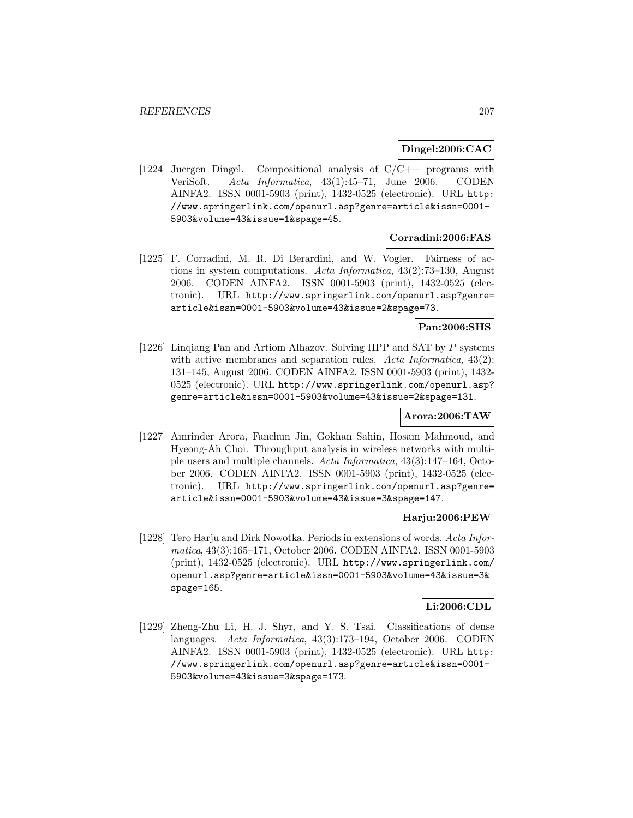#### **Dingel:2006:CAC**

[1224] Juergen Dingel. Compositional analysis of C/C++ programs with VeriSoft. Acta Informatica, 43(1):45–71, June 2006. CODEN AINFA2. ISSN 0001-5903 (print), 1432-0525 (electronic). URL http: //www.springerlink.com/openurl.asp?genre=article&issn=0001- 5903&volume=43&issue=1&spage=45.

## **Corradini:2006:FAS**

[1225] F. Corradini, M. R. Di Berardini, and W. Vogler. Fairness of actions in system computations. Acta Informatica, 43(2):73–130, August 2006. CODEN AINFA2. ISSN 0001-5903 (print), 1432-0525 (electronic). URL http://www.springerlink.com/openurl.asp?genre= article&issn=0001-5903&volume=43&issue=2&spage=73.

## **Pan:2006:SHS**

[1226] Linqiang Pan and Artiom Alhazov. Solving HPP and SAT by P systems with active membranes and separation rules. Acta Informatica, 43(2): 131–145, August 2006. CODEN AINFA2. ISSN 0001-5903 (print), 1432- 0525 (electronic). URL http://www.springerlink.com/openurl.asp? genre=article&issn=0001-5903&volume=43&issue=2&spage=131.

## **Arora:2006:TAW**

[1227] Amrinder Arora, Fanchun Jin, Gokhan Sahin, Hosam Mahmoud, and Hyeong-Ah Choi. Throughput analysis in wireless networks with multiple users and multiple channels. Acta Informatica, 43(3):147–164, October 2006. CODEN AINFA2. ISSN 0001-5903 (print), 1432-0525 (electronic). URL http://www.springerlink.com/openurl.asp?genre= article&issn=0001-5903&volume=43&issue=3&spage=147.

## **Harju:2006:PEW**

[1228] Tero Harju and Dirk Nowotka. Periods in extensions of words. Acta Informatica, 43(3):165–171, October 2006. CODEN AINFA2. ISSN 0001-5903 (print), 1432-0525 (electronic). URL http://www.springerlink.com/ openurl.asp?genre=article&issn=0001-5903&volume=43&issue=3& spage=165.

## **Li:2006:CDL**

[1229] Zheng-Zhu Li, H. J. Shyr, and Y. S. Tsai. Classifications of dense languages. Acta Informatica, 43(3):173–194, October 2006. CODEN AINFA2. ISSN 0001-5903 (print), 1432-0525 (electronic). URL http: //www.springerlink.com/openurl.asp?genre=article&issn=0001- 5903&volume=43&issue=3&spage=173.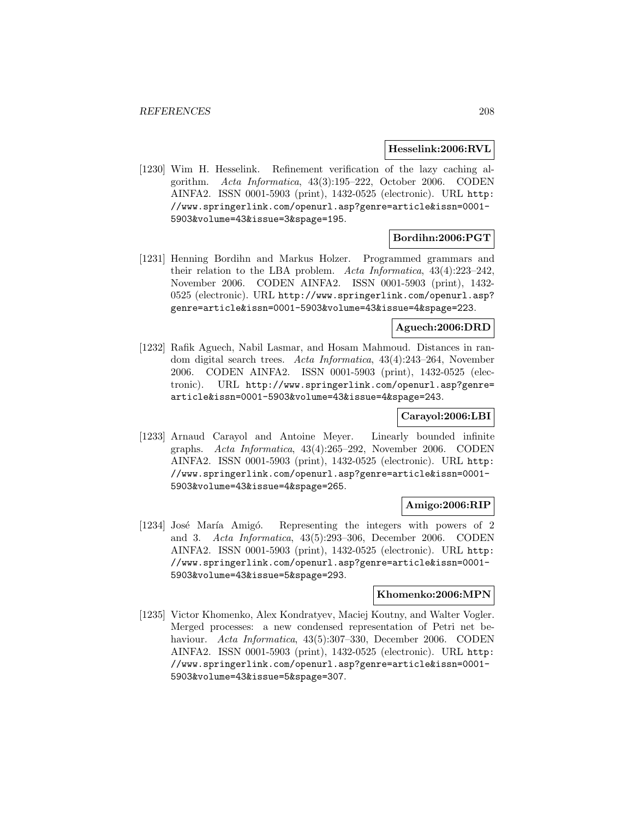#### **Hesselink:2006:RVL**

[1230] Wim H. Hesselink. Refinement verification of the lazy caching algorithm. Acta Informatica, 43(3):195–222, October 2006. CODEN AINFA2. ISSN 0001-5903 (print), 1432-0525 (electronic). URL http: //www.springerlink.com/openurl.asp?genre=article&issn=0001- 5903&volume=43&issue=3&spage=195.

# **Bordihn:2006:PGT**

[1231] Henning Bordihn and Markus Holzer. Programmed grammars and their relation to the LBA problem. Acta Informatica, 43(4):223–242, November 2006. CODEN AINFA2. ISSN 0001-5903 (print), 1432- 0525 (electronic). URL http://www.springerlink.com/openurl.asp? genre=article&issn=0001-5903&volume=43&issue=4&spage=223.

## **Aguech:2006:DRD**

[1232] Rafik Aguech, Nabil Lasmar, and Hosam Mahmoud. Distances in random digital search trees. Acta Informatica, 43(4):243–264, November 2006. CODEN AINFA2. ISSN 0001-5903 (print), 1432-0525 (electronic). URL http://www.springerlink.com/openurl.asp?genre= article&issn=0001-5903&volume=43&issue=4&spage=243.

# **Carayol:2006:LBI**

[1233] Arnaud Carayol and Antoine Meyer. Linearly bounded infinite graphs. Acta Informatica, 43(4):265–292, November 2006. CODEN AINFA2. ISSN 0001-5903 (print), 1432-0525 (electronic). URL http: //www.springerlink.com/openurl.asp?genre=article&issn=0001- 5903&volume=43&issue=4&spage=265.

## **Amigo:2006:RIP**

[1234] José María Amigó. Representing the integers with powers of 2 and 3. Acta Informatica, 43(5):293–306, December 2006. CODEN AINFA2. ISSN 0001-5903 (print), 1432-0525 (electronic). URL http: //www.springerlink.com/openurl.asp?genre=article&issn=0001- 5903&volume=43&issue=5&spage=293.

# **Khomenko:2006:MPN**

[1235] Victor Khomenko, Alex Kondratyev, Maciej Koutny, and Walter Vogler. Merged processes: a new condensed representation of Petri net behaviour. Acta Informatica, 43(5):307–330, December 2006. CODEN AINFA2. ISSN 0001-5903 (print), 1432-0525 (electronic). URL http: //www.springerlink.com/openurl.asp?genre=article&issn=0001- 5903&volume=43&issue=5&spage=307.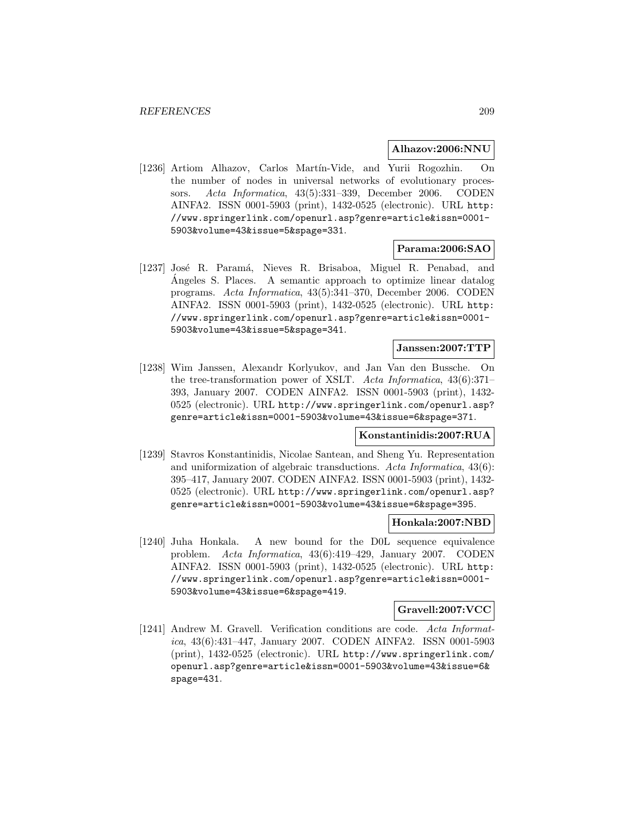#### **Alhazov:2006:NNU**

[1236] Artiom Alhazov, Carlos Martín-Vide, and Yurii Rogozhin. On the number of nodes in universal networks of evolutionary processors. Acta Informatica, 43(5):331–339, December 2006. CODEN AINFA2. ISSN 0001-5903 (print), 1432-0525 (electronic). URL http: //www.springerlink.com/openurl.asp?genre=article&issn=0001- 5903&volume=43&issue=5&spage=331.

## **Parama:2006:SAO**

[1237] José R. Paramá, Nieves R. Brisaboa, Miguel R. Penabad, and Angeles S. Places. A semantic approach to optimize linear datalog ´ programs. Acta Informatica, 43(5):341–370, December 2006. CODEN AINFA2. ISSN 0001-5903 (print), 1432-0525 (electronic). URL http: //www.springerlink.com/openurl.asp?genre=article&issn=0001- 5903&volume=43&issue=5&spage=341.

#### **Janssen:2007:TTP**

[1238] Wim Janssen, Alexandr Korlyukov, and Jan Van den Bussche. On the tree-transformation power of XSLT. Acta Informatica, 43(6):371– 393, January 2007. CODEN AINFA2. ISSN 0001-5903 (print), 1432- 0525 (electronic). URL http://www.springerlink.com/openurl.asp? genre=article&issn=0001-5903&volume=43&issue=6&spage=371.

## **Konstantinidis:2007:RUA**

[1239] Stavros Konstantinidis, Nicolae Santean, and Sheng Yu. Representation and uniformization of algebraic transductions. Acta Informatica, 43(6): 395–417, January 2007. CODEN AINFA2. ISSN 0001-5903 (print), 1432- 0525 (electronic). URL http://www.springerlink.com/openurl.asp? genre=article&issn=0001-5903&volume=43&issue=6&spage=395.

## **Honkala:2007:NBD**

[1240] Juha Honkala. A new bound for the D0L sequence equivalence problem. Acta Informatica, 43(6):419–429, January 2007. CODEN AINFA2. ISSN 0001-5903 (print), 1432-0525 (electronic). URL http: //www.springerlink.com/openurl.asp?genre=article&issn=0001- 5903&volume=43&issue=6&spage=419.

#### **Gravell:2007:VCC**

[1241] Andrew M. Gravell. Verification conditions are code. Acta Informatica, 43(6):431–447, January 2007. CODEN AINFA2. ISSN 0001-5903 (print), 1432-0525 (electronic). URL http://www.springerlink.com/ openurl.asp?genre=article&issn=0001-5903&volume=43&issue=6& spage=431.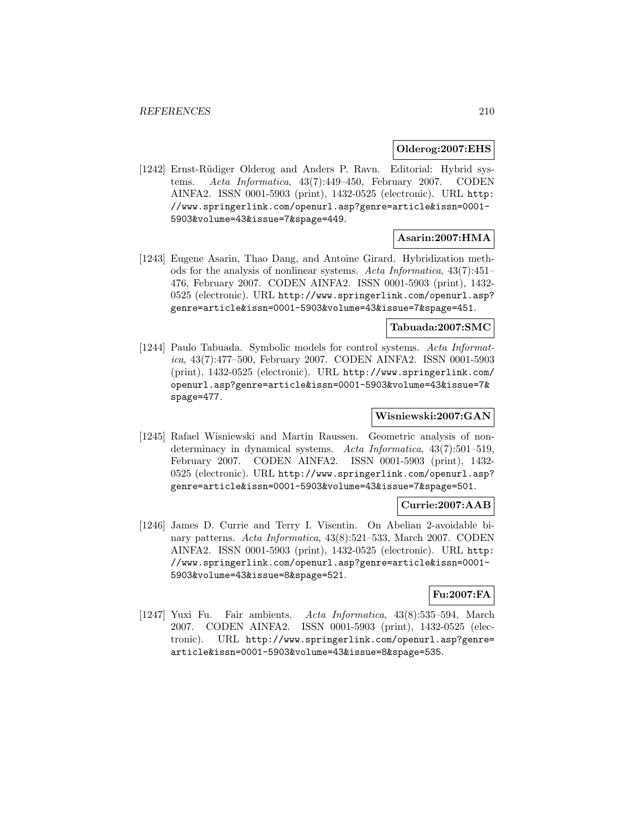#### **Olderog:2007:EHS**

[1242] Ernst-Rüdiger Olderog and Anders P. Ravn. Editorial: Hybrid systems. Acta Informatica, 43(7):449–450, February 2007. CODEN AINFA2. ISSN 0001-5903 (print), 1432-0525 (electronic). URL http: //www.springerlink.com/openurl.asp?genre=article&issn=0001- 5903&volume=43&issue=7&spage=449.

## **Asarin:2007:HMA**

[1243] Eugene Asarin, Thao Dang, and Antoine Girard. Hybridization methods for the analysis of nonlinear systems. Acta Informatica, 43(7):451– 476, February 2007. CODEN AINFA2. ISSN 0001-5903 (print), 1432- 0525 (electronic). URL http://www.springerlink.com/openurl.asp? genre=article&issn=0001-5903&volume=43&issue=7&spage=451.

## **Tabuada:2007:SMC**

[1244] Paulo Tabuada. Symbolic models for control systems. Acta Informatica, 43(7):477–500, February 2007. CODEN AINFA2. ISSN 0001-5903 (print), 1432-0525 (electronic). URL http://www.springerlink.com/ openurl.asp?genre=article&issn=0001-5903&volume=43&issue=7& spage=477.

## **Wisniewski:2007:GAN**

[1245] Rafael Wisniewski and Martin Raussen. Geometric analysis of nondeterminacy in dynamical systems. Acta Informatica, 43(7):501–519, February 2007. CODEN AINFA2. ISSN 0001-5903 (print), 1432- 0525 (electronic). URL http://www.springerlink.com/openurl.asp? genre=article&issn=0001-5903&volume=43&issue=7&spage=501.

## **Currie:2007:AAB**

[1246] James D. Currie and Terry I. Visentin. On Abelian 2-avoidable binary patterns. Acta Informatica, 43(8):521–533, March 2007. CODEN AINFA2. ISSN 0001-5903 (print), 1432-0525 (electronic). URL http: //www.springerlink.com/openurl.asp?genre=article&issn=0001- 5903&volume=43&issue=8&spage=521.

# **Fu:2007:FA**

[1247] Yuxi Fu. Fair ambients. Acta Informatica, 43(8):535–594, March 2007. CODEN AINFA2. ISSN 0001-5903 (print), 1432-0525 (electronic). URL http://www.springerlink.com/openurl.asp?genre= article&issn=0001-5903&volume=43&issue=8&spage=535.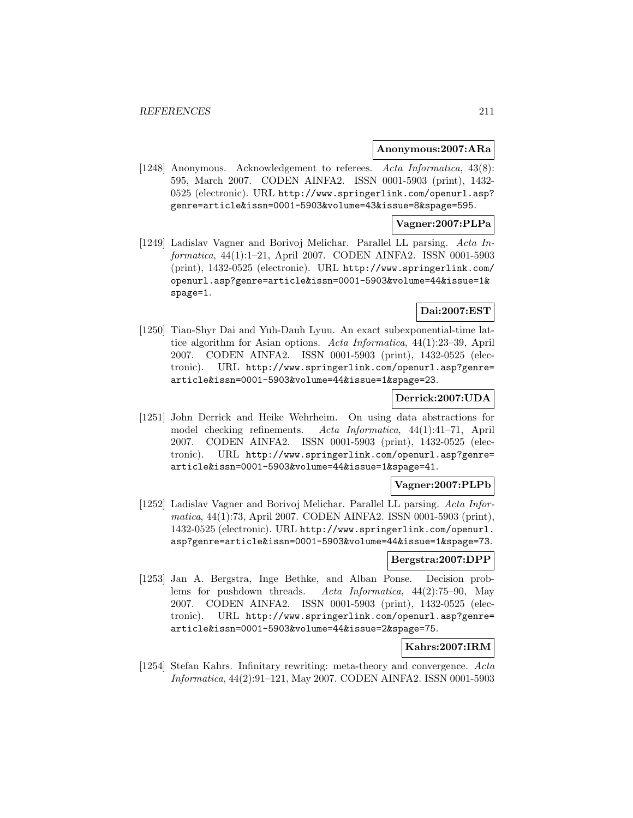#### **Anonymous:2007:ARa**

[1248] Anonymous. Acknowledgement to referees. Acta Informatica, 43(8): 595, March 2007. CODEN AINFA2. ISSN 0001-5903 (print), 1432- 0525 (electronic). URL http://www.springerlink.com/openurl.asp? genre=article&issn=0001-5903&volume=43&issue=8&spage=595.

## **Vagner:2007:PLPa**

[1249] Ladislav Vagner and Borivoj Melichar. Parallel LL parsing. Acta Informatica, 44(1):1–21, April 2007. CODEN AINFA2. ISSN 0001-5903 (print), 1432-0525 (electronic). URL http://www.springerlink.com/ openurl.asp?genre=article&issn=0001-5903&volume=44&issue=1& spage=1.

# **Dai:2007:EST**

[1250] Tian-Shyr Dai and Yuh-Dauh Lyuu. An exact subexponential-time lattice algorithm for Asian options. Acta Informatica, 44(1):23–39, April 2007. CODEN AINFA2. ISSN 0001-5903 (print), 1432-0525 (electronic). URL http://www.springerlink.com/openurl.asp?genre= article&issn=0001-5903&volume=44&issue=1&spage=23.

#### **Derrick:2007:UDA**

[1251] John Derrick and Heike Wehrheim. On using data abstractions for model checking refinements. Acta Informatica, 44(1):41–71, April 2007. CODEN AINFA2. ISSN 0001-5903 (print), 1432-0525 (electronic). URL http://www.springerlink.com/openurl.asp?genre= article&issn=0001-5903&volume=44&issue=1&spage=41.

## **Vagner:2007:PLPb**

[1252] Ladislav Vagner and Borivoj Melichar. Parallel LL parsing. Acta Informatica, 44(1):73, April 2007. CODEN AINFA2. ISSN 0001-5903 (print), 1432-0525 (electronic). URL http://www.springerlink.com/openurl. asp?genre=article&issn=0001-5903&volume=44&issue=1&spage=73.

#### **Bergstra:2007:DPP**

[1253] Jan A. Bergstra, Inge Bethke, and Alban Ponse. Decision problems for pushdown threads. Acta Informatica, 44(2):75–90, May 2007. CODEN AINFA2. ISSN 0001-5903 (print), 1432-0525 (electronic). URL http://www.springerlink.com/openurl.asp?genre= article&issn=0001-5903&volume=44&issue=2&spage=75.

# **Kahrs:2007:IRM**

[1254] Stefan Kahrs. Infinitary rewriting: meta-theory and convergence. Acta Informatica, 44(2):91–121, May 2007. CODEN AINFA2. ISSN 0001-5903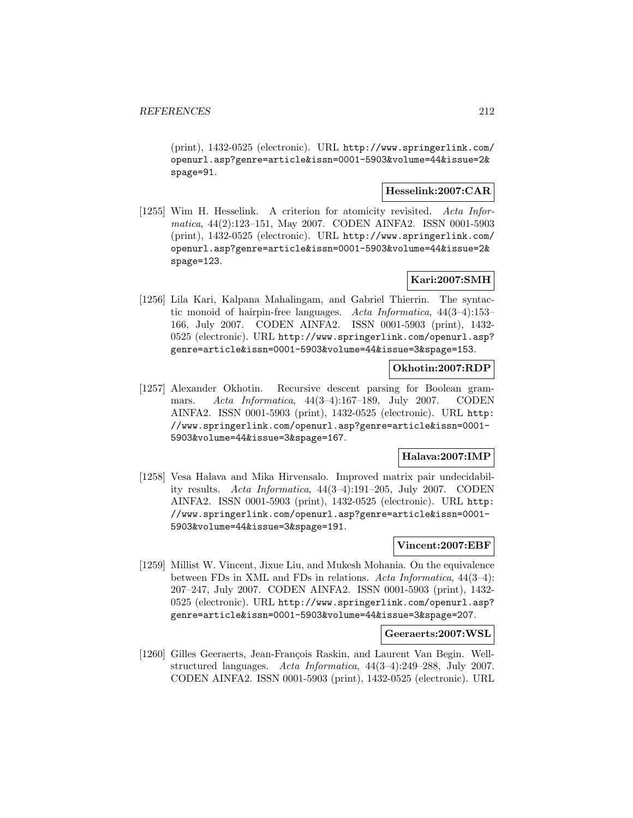(print), 1432-0525 (electronic). URL http://www.springerlink.com/ openurl.asp?genre=article&issn=0001-5903&volume=44&issue=2& spage=91.

# **Hesselink:2007:CAR**

[1255] Wim H. Hesselink. A criterion for atomicity revisited. Acta Informatica, 44(2):123–151, May 2007. CODEN AINFA2. ISSN 0001-5903 (print), 1432-0525 (electronic). URL http://www.springerlink.com/ openurl.asp?genre=article&issn=0001-5903&volume=44&issue=2& spage=123.

# **Kari:2007:SMH**

[1256] Lila Kari, Kalpana Mahalingam, and Gabriel Thierrin. The syntactic monoid of hairpin-free languages. Acta Informatica, 44(3–4):153– 166, July 2007. CODEN AINFA2. ISSN 0001-5903 (print), 1432- 0525 (electronic). URL http://www.springerlink.com/openurl.asp? genre=article&issn=0001-5903&volume=44&issue=3&spage=153.

# **Okhotin:2007:RDP**

[1257] Alexander Okhotin. Recursive descent parsing for Boolean grammars. Acta Informatica, 44(3–4):167–189, July 2007. CODEN AINFA2. ISSN 0001-5903 (print), 1432-0525 (electronic). URL http: //www.springerlink.com/openurl.asp?genre=article&issn=0001- 5903&volume=44&issue=3&spage=167.

## **Halava:2007:IMP**

[1258] Vesa Halava and Mika Hirvensalo. Improved matrix pair undecidability results. Acta Informatica, 44(3–4):191–205, July 2007. CODEN AINFA2. ISSN 0001-5903 (print), 1432-0525 (electronic). URL http: //www.springerlink.com/openurl.asp?genre=article&issn=0001- 5903&volume=44&issue=3&spage=191.

## **Vincent:2007:EBF**

[1259] Millist W. Vincent, Jixue Liu, and Mukesh Mohania. On the equivalence between FDs in XML and FDs in relations. Acta Informatica, 44(3–4): 207–247, July 2007. CODEN AINFA2. ISSN 0001-5903 (print), 1432- 0525 (electronic). URL http://www.springerlink.com/openurl.asp? genre=article&issn=0001-5903&volume=44&issue=3&spage=207.

#### **Geeraerts:2007:WSL**

[1260] Gilles Geeraerts, Jean-François Raskin, and Laurent Van Begin. Wellstructured languages. Acta Informatica, 44(3–4):249–288, July 2007. CODEN AINFA2. ISSN 0001-5903 (print), 1432-0525 (electronic). URL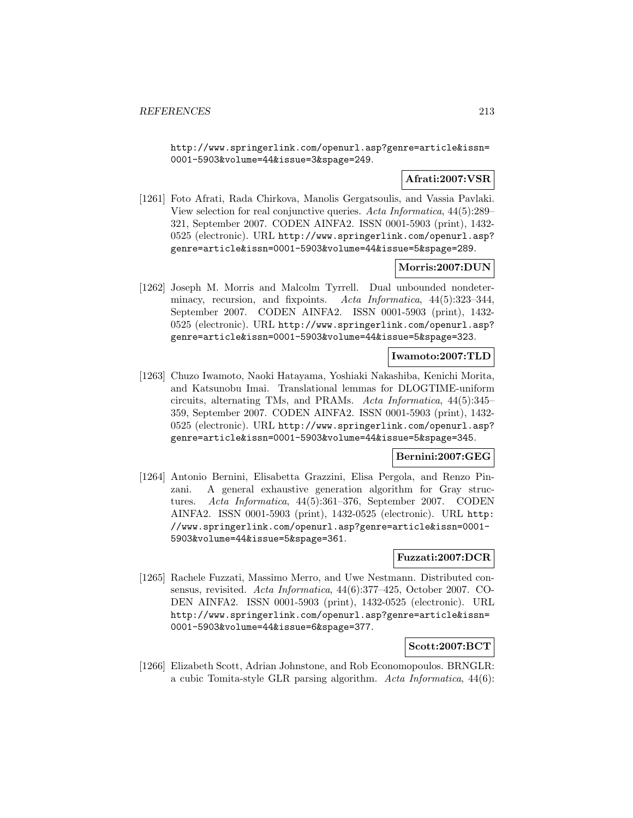http://www.springerlink.com/openurl.asp?genre=article&issn= 0001-5903&volume=44&issue=3&spage=249.

# **Afrati:2007:VSR**

[1261] Foto Afrati, Rada Chirkova, Manolis Gergatsoulis, and Vassia Pavlaki. View selection for real conjunctive queries. Acta Informatica, 44(5):289– 321, September 2007. CODEN AINFA2. ISSN 0001-5903 (print), 1432- 0525 (electronic). URL http://www.springerlink.com/openurl.asp? genre=article&issn=0001-5903&volume=44&issue=5&spage=289.

#### **Morris:2007:DUN**

[1262] Joseph M. Morris and Malcolm Tyrrell. Dual unbounded nondeterminacy, recursion, and fixpoints. Acta Informatica, 44(5):323-344, September 2007. CODEN AINFA2. ISSN 0001-5903 (print), 1432- 0525 (electronic). URL http://www.springerlink.com/openurl.asp? genre=article&issn=0001-5903&volume=44&issue=5&spage=323.

# **Iwamoto:2007:TLD**

[1263] Chuzo Iwamoto, Naoki Hatayama, Yoshiaki Nakashiba, Kenichi Morita, and Katsunobu Imai. Translational lemmas for DLOGTIME-uniform circuits, alternating TMs, and PRAMs. Acta Informatica, 44(5):345– 359, September 2007. CODEN AINFA2. ISSN 0001-5903 (print), 1432- 0525 (electronic). URL http://www.springerlink.com/openurl.asp? genre=article&issn=0001-5903&volume=44&issue=5&spage=345.

#### **Bernini:2007:GEG**

[1264] Antonio Bernini, Elisabetta Grazzini, Elisa Pergola, and Renzo Pinzani. A general exhaustive generation algorithm for Gray structures. Acta Informatica, 44(5):361–376, September 2007. CODEN AINFA2. ISSN 0001-5903 (print), 1432-0525 (electronic). URL http: //www.springerlink.com/openurl.asp?genre=article&issn=0001- 5903&volume=44&issue=5&spage=361.

#### **Fuzzati:2007:DCR**

[1265] Rachele Fuzzati, Massimo Merro, and Uwe Nestmann. Distributed consensus, revisited. Acta Informatica, 44(6):377–425, October 2007. CO-DEN AINFA2. ISSN 0001-5903 (print), 1432-0525 (electronic). URL http://www.springerlink.com/openurl.asp?genre=article&issn= 0001-5903&volume=44&issue=6&spage=377.

# **Scott:2007:BCT**

[1266] Elizabeth Scott, Adrian Johnstone, and Rob Economopoulos. BRNGLR: a cubic Tomita-style GLR parsing algorithm. Acta Informatica, 44(6):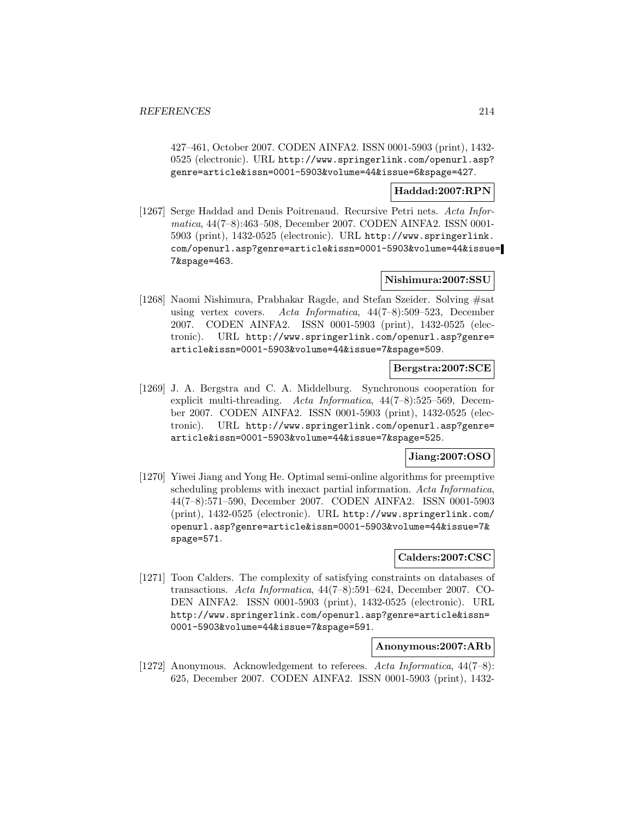427–461, October 2007. CODEN AINFA2. ISSN 0001-5903 (print), 1432- 0525 (electronic). URL http://www.springerlink.com/openurl.asp? genre=article&issn=0001-5903&volume=44&issue=6&spage=427.

## **Haddad:2007:RPN**

[1267] Serge Haddad and Denis Poitrenaud. Recursive Petri nets. Acta Informatica, 44(7–8):463–508, December 2007. CODEN AINFA2. ISSN 0001- 5903 (print), 1432-0525 (electronic). URL http://www.springerlink. com/openurl.asp?genre=article&issn=0001-5903&volume=44&issue= 7&spage=463.

# **Nishimura:2007:SSU**

[1268] Naomi Nishimura, Prabhakar Ragde, and Stefan Szeider. Solving #sat using vertex covers. Acta Informatica, 44(7–8):509–523, December 2007. CODEN AINFA2. ISSN 0001-5903 (print), 1432-0525 (electronic). URL http://www.springerlink.com/openurl.asp?genre= article&issn=0001-5903&volume=44&issue=7&spage=509.

## **Bergstra:2007:SCE**

[1269] J. A. Bergstra and C. A. Middelburg. Synchronous cooperation for explicit multi-threading. Acta Informatica, 44(7–8):525–569, December 2007. CODEN AINFA2. ISSN 0001-5903 (print), 1432-0525 (electronic). URL http://www.springerlink.com/openurl.asp?genre= article&issn=0001-5903&volume=44&issue=7&spage=525.

# **Jiang:2007:OSO**

[1270] Yiwei Jiang and Yong He. Optimal semi-online algorithms for preemptive scheduling problems with inexact partial information. Acta Informatica, 44(7–8):571–590, December 2007. CODEN AINFA2. ISSN 0001-5903 (print), 1432-0525 (electronic). URL http://www.springerlink.com/ openurl.asp?genre=article&issn=0001-5903&volume=44&issue=7& spage=571.

## **Calders:2007:CSC**

[1271] Toon Calders. The complexity of satisfying constraints on databases of transactions. Acta Informatica, 44(7–8):591–624, December 2007. CO-DEN AINFA2. ISSN 0001-5903 (print), 1432-0525 (electronic). URL http://www.springerlink.com/openurl.asp?genre=article&issn= 0001-5903&volume=44&issue=7&spage=591.

# **Anonymous:2007:ARb**

[1272] Anonymous. Acknowledgement to referees. Acta Informatica, 44(7-8): 625, December 2007. CODEN AINFA2. ISSN 0001-5903 (print), 1432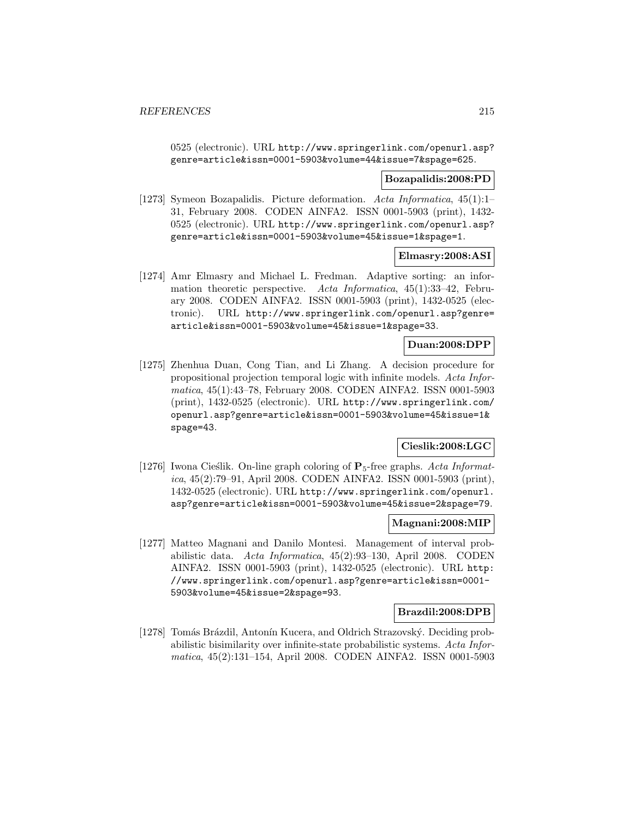0525 (electronic). URL http://www.springerlink.com/openurl.asp? genre=article&issn=0001-5903&volume=44&issue=7&spage=625.

#### **Bozapalidis:2008:PD**

[1273] Symeon Bozapalidis. Picture deformation. Acta Informatica, 45(1):1– 31, February 2008. CODEN AINFA2. ISSN 0001-5903 (print), 1432- 0525 (electronic). URL http://www.springerlink.com/openurl.asp? genre=article&issn=0001-5903&volume=45&issue=1&spage=1.

#### **Elmasry:2008:ASI**

[1274] Amr Elmasry and Michael L. Fredman. Adaptive sorting: an information theoretic perspective. Acta Informatica, 45(1):33–42, February 2008. CODEN AINFA2. ISSN 0001-5903 (print), 1432-0525 (electronic). URL http://www.springerlink.com/openurl.asp?genre= article&issn=0001-5903&volume=45&issue=1&spage=33.

## **Duan:2008:DPP**

[1275] Zhenhua Duan, Cong Tian, and Li Zhang. A decision procedure for propositional projection temporal logic with infinite models. Acta Informatica, 45(1):43–78, February 2008. CODEN AINFA2. ISSN 0001-5903 (print), 1432-0525 (electronic). URL http://www.springerlink.com/ openurl.asp?genre=article&issn=0001-5903&volume=45&issue=1& spage=43.

# **Cieslik:2008:LGC**

[1276] Iwona Ciestlik. On-line graph coloring of  $P_5$ -free graphs. Acta Informatica, 45(2):79–91, April 2008. CODEN AINFA2. ISSN 0001-5903 (print), 1432-0525 (electronic). URL http://www.springerlink.com/openurl. asp?genre=article&issn=0001-5903&volume=45&issue=2&spage=79.

## **Magnani:2008:MIP**

[1277] Matteo Magnani and Danilo Montesi. Management of interval probabilistic data. Acta Informatica, 45(2):93–130, April 2008. CODEN AINFA2. ISSN 0001-5903 (print), 1432-0525 (electronic). URL http: //www.springerlink.com/openurl.asp?genre=article&issn=0001- 5903&volume=45&issue=2&spage=93.

# **Brazdil:2008:DPB**

[1278] Tomás Brázdil, Antonín Kucera, and Oldrich Strazovský. Deciding probabilistic bisimilarity over infinite-state probabilistic systems. Acta Informatica, 45(2):131–154, April 2008. CODEN AINFA2. ISSN 0001-5903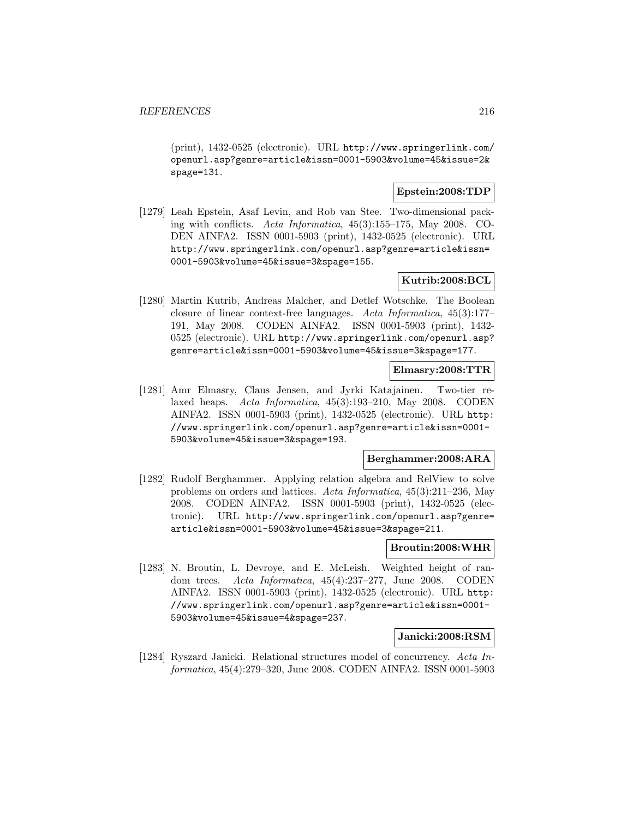(print), 1432-0525 (electronic). URL http://www.springerlink.com/ openurl.asp?genre=article&issn=0001-5903&volume=45&issue=2& spage=131.

# **Epstein:2008:TDP**

[1279] Leah Epstein, Asaf Levin, and Rob van Stee. Two-dimensional packing with conflicts. Acta Informatica, 45(3):155–175, May 2008. CO-DEN AINFA2. ISSN 0001-5903 (print), 1432-0525 (electronic). URL http://www.springerlink.com/openurl.asp?genre=article&issn= 0001-5903&volume=45&issue=3&spage=155.

# **Kutrib:2008:BCL**

[1280] Martin Kutrib, Andreas Malcher, and Detlef Wotschke. The Boolean closure of linear context-free languages. Acta Informatica, 45(3):177– 191, May 2008. CODEN AINFA2. ISSN 0001-5903 (print), 1432- 0525 (electronic). URL http://www.springerlink.com/openurl.asp? genre=article&issn=0001-5903&volume=45&issue=3&spage=177.

#### **Elmasry:2008:TTR**

[1281] Amr Elmasry, Claus Jensen, and Jyrki Katajainen. Two-tier relaxed heaps. Acta Informatica, 45(3):193–210, May 2008. CODEN AINFA2. ISSN 0001-5903 (print), 1432-0525 (electronic). URL http: //www.springerlink.com/openurl.asp?genre=article&issn=0001- 5903&volume=45&issue=3&spage=193.

#### **Berghammer:2008:ARA**

[1282] Rudolf Berghammer. Applying relation algebra and RelView to solve problems on orders and lattices. Acta Informatica, 45(3):211–236, May 2008. CODEN AINFA2. ISSN 0001-5903 (print), 1432-0525 (electronic). URL http://www.springerlink.com/openurl.asp?genre= article&issn=0001-5903&volume=45&issue=3&spage=211.

## **Broutin:2008:WHR**

[1283] N. Broutin, L. Devroye, and E. McLeish. Weighted height of random trees. Acta Informatica, 45(4):237–277, June 2008. CODEN AINFA2. ISSN 0001-5903 (print), 1432-0525 (electronic). URL http: //www.springerlink.com/openurl.asp?genre=article&issn=0001- 5903&volume=45&issue=4&spage=237.

#### **Janicki:2008:RSM**

[1284] Ryszard Janicki. Relational structures model of concurrency. Acta Informatica, 45(4):279–320, June 2008. CODEN AINFA2. ISSN 0001-5903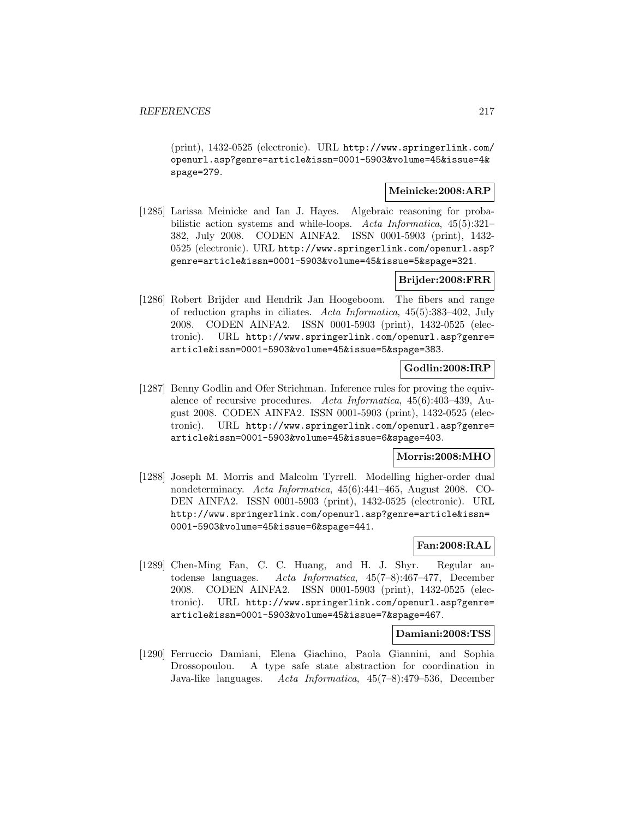(print), 1432-0525 (electronic). URL http://www.springerlink.com/ openurl.asp?genre=article&issn=0001-5903&volume=45&issue=4& spage=279.

# **Meinicke:2008:ARP**

[1285] Larissa Meinicke and Ian J. Hayes. Algebraic reasoning for probabilistic action systems and while-loops. Acta Informatica, 45(5):321– 382, July 2008. CODEN AINFA2. ISSN 0001-5903 (print), 1432- 0525 (electronic). URL http://www.springerlink.com/openurl.asp? genre=article&issn=0001-5903&volume=45&issue=5&spage=321.

#### **Brijder:2008:FRR**

[1286] Robert Brijder and Hendrik Jan Hoogeboom. The fibers and range of reduction graphs in ciliates. Acta Informatica, 45(5):383–402, July 2008. CODEN AINFA2. ISSN 0001-5903 (print), 1432-0525 (electronic). URL http://www.springerlink.com/openurl.asp?genre= article&issn=0001-5903&volume=45&issue=5&spage=383.

# **Godlin:2008:IRP**

[1287] Benny Godlin and Ofer Strichman. Inference rules for proving the equivalence of recursive procedures. Acta Informatica, 45(6):403–439, August 2008. CODEN AINFA2. ISSN 0001-5903 (print), 1432-0525 (electronic). URL http://www.springerlink.com/openurl.asp?genre= article&issn=0001-5903&volume=45&issue=6&spage=403.

### **Morris:2008:MHO**

[1288] Joseph M. Morris and Malcolm Tyrrell. Modelling higher-order dual nondeterminacy. Acta Informatica, 45(6):441–465, August 2008. CO-DEN AINFA2. ISSN 0001-5903 (print), 1432-0525 (electronic). URL http://www.springerlink.com/openurl.asp?genre=article&issn= 0001-5903&volume=45&issue=6&spage=441.

# **Fan:2008:RAL**

[1289] Chen-Ming Fan, C. C. Huang, and H. J. Shyr. Regular autodense languages. Acta Informatica, 45(7–8):467–477, December 2008. CODEN AINFA2. ISSN 0001-5903 (print), 1432-0525 (electronic). URL http://www.springerlink.com/openurl.asp?genre= article&issn=0001-5903&volume=45&issue=7&spage=467.

### **Damiani:2008:TSS**

[1290] Ferruccio Damiani, Elena Giachino, Paola Giannini, and Sophia Drossopoulou. A type safe state abstraction for coordination in Java-like languages. Acta Informatica, 45(7–8):479–536, December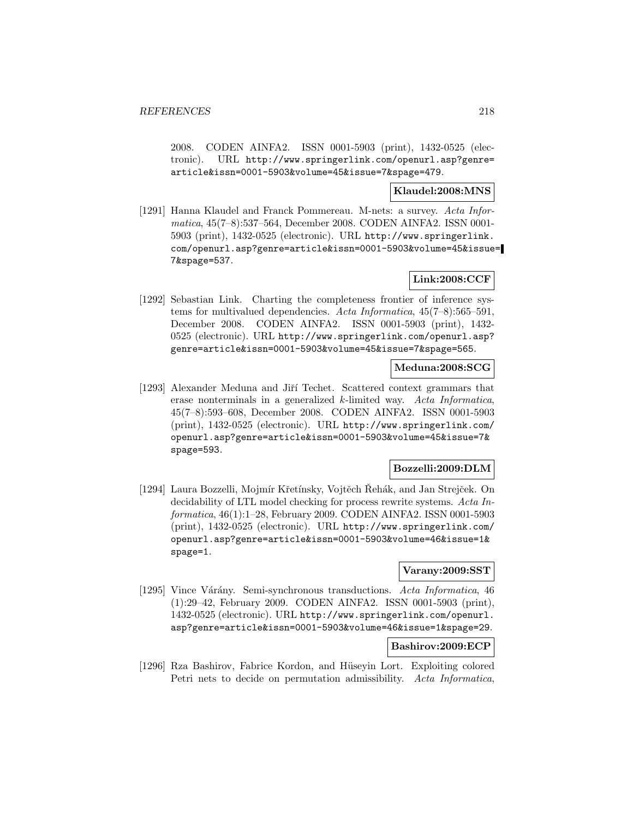2008. CODEN AINFA2. ISSN 0001-5903 (print), 1432-0525 (electronic). URL http://www.springerlink.com/openurl.asp?genre= article&issn=0001-5903&volume=45&issue=7&spage=479.

### **Klaudel:2008:MNS**

[1291] Hanna Klaudel and Franck Pommereau. M-nets: a survey. Acta Informatica, 45(7–8):537–564, December 2008. CODEN AINFA2. ISSN 0001- 5903 (print), 1432-0525 (electronic). URL http://www.springerlink. com/openurl.asp?genre=article&issn=0001-5903&volume=45&issue= 7&spage=537.

# **Link:2008:CCF**

[1292] Sebastian Link. Charting the completeness frontier of inference systems for multivalued dependencies. Acta Informatica, 45(7–8):565–591, December 2008. CODEN AINFA2. ISSN 0001-5903 (print), 1432- 0525 (electronic). URL http://www.springerlink.com/openurl.asp? genre=article&issn=0001-5903&volume=45&issue=7&spage=565.

### **Meduna:2008:SCG**

[1293] Alexander Meduna and Jiří Techet. Scattered context grammars that erase nonterminals in a generalized k-limited way. Acta Informatica, 45(7–8):593–608, December 2008. CODEN AINFA2. ISSN 0001-5903 (print), 1432-0525 (electronic). URL http://www.springerlink.com/ openurl.asp?genre=article&issn=0001-5903&volume=45&issue=7& spage=593.

### **Bozzelli:2009:DLM**

[1294] Laura Bozzelli, Mojmír Křetínsky, Vojtěch Řehák, and Jan Strejček. On decidability of LTL model checking for process rewrite systems. Acta Informatica, 46(1):1–28, February 2009. CODEN AINFA2. ISSN 0001-5903 (print), 1432-0525 (electronic). URL http://www.springerlink.com/ openurl.asp?genre=article&issn=0001-5903&volume=46&issue=1& spage=1.

### **Varany:2009:SST**

[1295] Vince Várány. Semi-synchronous transductions. Acta Informatica, 46 (1):29–42, February 2009. CODEN AINFA2. ISSN 0001-5903 (print), 1432-0525 (electronic). URL http://www.springerlink.com/openurl. asp?genre=article&issn=0001-5903&volume=46&issue=1&spage=29.

# **Bashirov:2009:ECP**

[1296] Rza Bashirov, Fabrice Kordon, and Hüsevin Lort. Exploiting colored Petri nets to decide on permutation admissibility. Acta Informatica,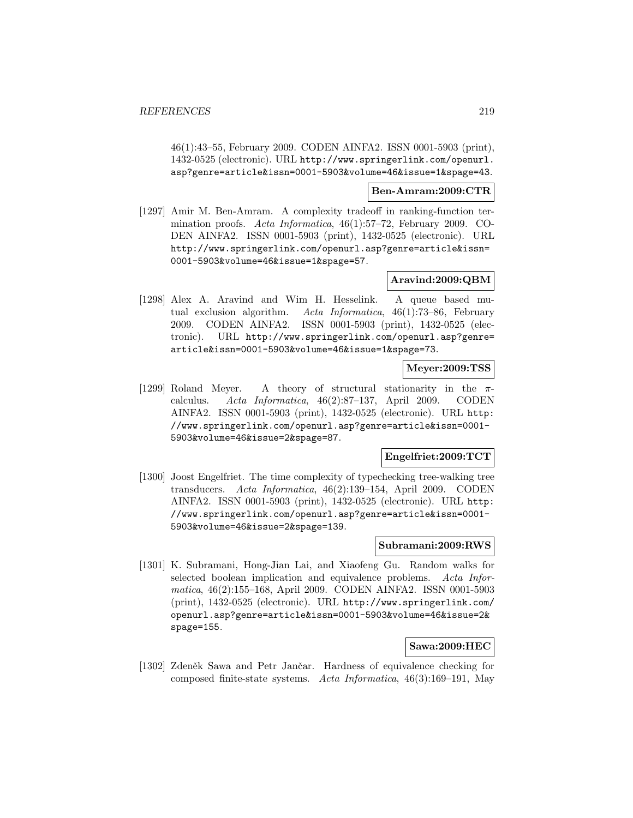46(1):43–55, February 2009. CODEN AINFA2. ISSN 0001-5903 (print), 1432-0525 (electronic). URL http://www.springerlink.com/openurl. asp?genre=article&issn=0001-5903&volume=46&issue=1&spage=43.

#### **Ben-Amram:2009:CTR**

[1297] Amir M. Ben-Amram. A complexity tradeoff in ranking-function termination proofs. Acta Informatica, 46(1):57–72, February 2009. CO-DEN AINFA2. ISSN 0001-5903 (print), 1432-0525 (electronic). URL http://www.springerlink.com/openurl.asp?genre=article&issn= 0001-5903&volume=46&issue=1&spage=57.

## **Aravind:2009:QBM**

[1298] Alex A. Aravind and Wim H. Hesselink. A queue based mutual exclusion algorithm. Acta Informatica, 46(1):73–86, February 2009. CODEN AINFA2. ISSN 0001-5903 (print), 1432-0525 (electronic). URL http://www.springerlink.com/openurl.asp?genre= article&issn=0001-5903&volume=46&issue=1&spage=73.

# **Meyer:2009:TSS**

[1299] Roland Meyer. A theory of structural stationarity in the  $\pi$ calculus. Acta Informatica, 46(2):87–137, April 2009. CODEN AINFA2. ISSN 0001-5903 (print), 1432-0525 (electronic). URL http: //www.springerlink.com/openurl.asp?genre=article&issn=0001- 5903&volume=46&issue=2&spage=87.

### **Engelfriet:2009:TCT**

[1300] Joost Engelfriet. The time complexity of typechecking tree-walking tree transducers. Acta Informatica, 46(2):139–154, April 2009. CODEN AINFA2. ISSN 0001-5903 (print), 1432-0525 (electronic). URL http: //www.springerlink.com/openurl.asp?genre=article&issn=0001- 5903&volume=46&issue=2&spage=139.

### **Subramani:2009:RWS**

[1301] K. Subramani, Hong-Jian Lai, and Xiaofeng Gu. Random walks for selected boolean implication and equivalence problems. Acta Informatica, 46(2):155–168, April 2009. CODEN AINFA2. ISSN 0001-5903 (print), 1432-0525 (electronic). URL http://www.springerlink.com/ openurl.asp?genre=article&issn=0001-5903&volume=46&issue=2& spage=155.

## **Sawa:2009:HEC**

[1302] Zdeněk Sawa and Petr Jančar. Hardness of equivalence checking for composed finite-state systems. Acta Informatica, 46(3):169–191, May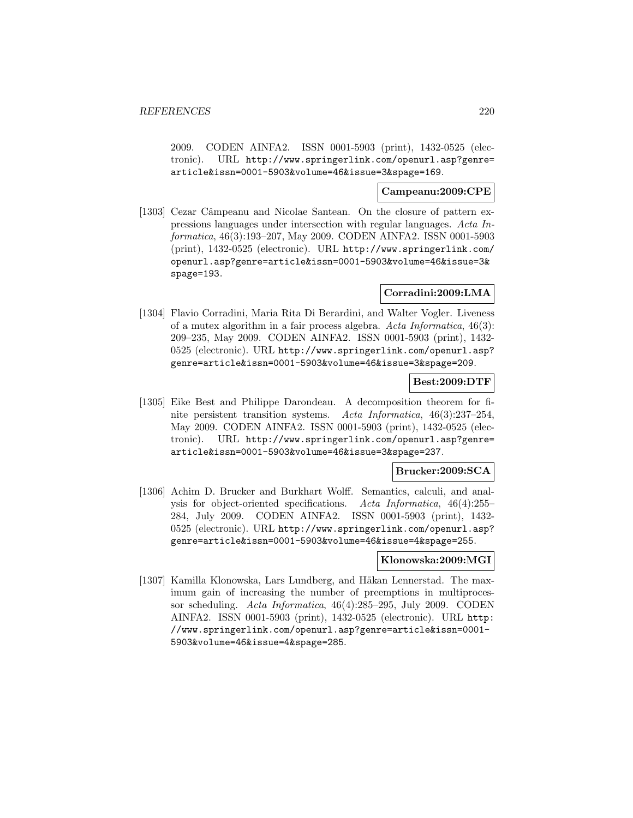2009. CODEN AINFA2. ISSN 0001-5903 (print), 1432-0525 (electronic). URL http://www.springerlink.com/openurl.asp?genre= article&issn=0001-5903&volume=46&issue=3&spage=169.

### **Campeanu:2009:CPE**

[1303] Cezar Câmpeanu and Nicolae Santean. On the closure of pattern expressions languages under intersection with regular languages. Acta Informatica, 46(3):193–207, May 2009. CODEN AINFA2. ISSN 0001-5903 (print), 1432-0525 (electronic). URL http://www.springerlink.com/ openurl.asp?genre=article&issn=0001-5903&volume=46&issue=3& spage=193.

### **Corradini:2009:LMA**

[1304] Flavio Corradini, Maria Rita Di Berardini, and Walter Vogler. Liveness of a mutex algorithm in a fair process algebra. Acta Informatica, 46(3): 209–235, May 2009. CODEN AINFA2. ISSN 0001-5903 (print), 1432- 0525 (electronic). URL http://www.springerlink.com/openurl.asp? genre=article&issn=0001-5903&volume=46&issue=3&spage=209.

### **Best:2009:DTF**

[1305] Eike Best and Philippe Darondeau. A decomposition theorem for finite persistent transition systems. Acta Informatica, 46(3):237–254, May 2009. CODEN AINFA2. ISSN 0001-5903 (print), 1432-0525 (electronic). URL http://www.springerlink.com/openurl.asp?genre= article&issn=0001-5903&volume=46&issue=3&spage=237.

### **Brucker:2009:SCA**

[1306] Achim D. Brucker and Burkhart Wolff. Semantics, calculi, and analysis for object-oriented specifications. Acta Informatica, 46(4):255– 284, July 2009. CODEN AINFA2. ISSN 0001-5903 (print), 1432- 0525 (electronic). URL http://www.springerlink.com/openurl.asp? genre=article&issn=0001-5903&volume=46&issue=4&spage=255.

#### **Klonowska:2009:MGI**

[1307] Kamilla Klonowska, Lars Lundberg, and Håkan Lennerstad. The maximum gain of increasing the number of preemptions in multiprocessor scheduling. Acta Informatica, 46(4):285–295, July 2009. CODEN AINFA2. ISSN 0001-5903 (print), 1432-0525 (electronic). URL http: //www.springerlink.com/openurl.asp?genre=article&issn=0001- 5903&volume=46&issue=4&spage=285.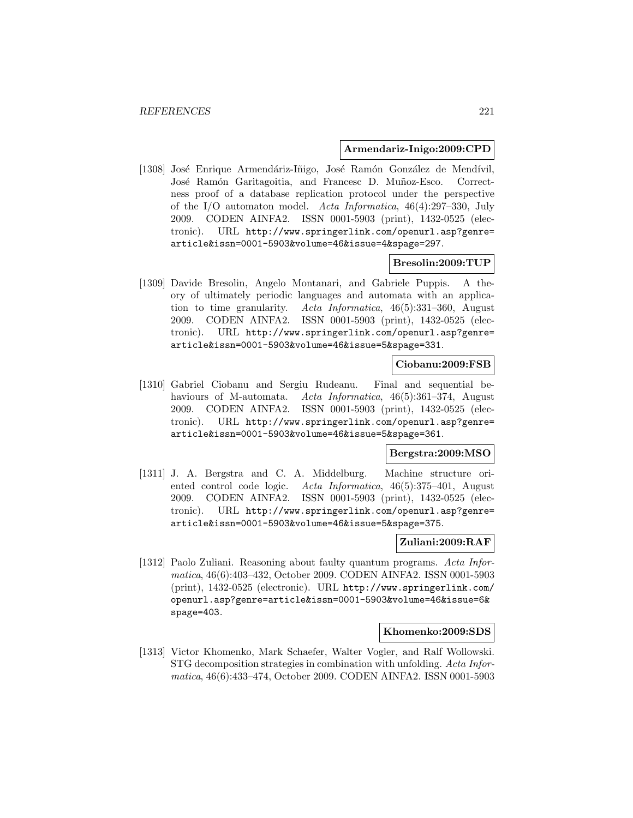#### **Armendariz-Inigo:2009:CPD**

[1308] José Enrique Armendáriz-Iñigo, José Ramón González de Mendívil, José Ramón Garitagoitia, and Francesc D. Muñoz-Esco. Correctness proof of a database replication protocol under the perspective of the I/O automaton model. Acta Informatica, 46(4):297–330, July 2009. CODEN AINFA2. ISSN 0001-5903 (print), 1432-0525 (electronic). URL http://www.springerlink.com/openurl.asp?genre= article&issn=0001-5903&volume=46&issue=4&spage=297.

#### **Bresolin:2009:TUP**

[1309] Davide Bresolin, Angelo Montanari, and Gabriele Puppis. A theory of ultimately periodic languages and automata with an application to time granularity. Acta Informatica, 46(5):331–360, August 2009. CODEN AINFA2. ISSN 0001-5903 (print), 1432-0525 (electronic). URL http://www.springerlink.com/openurl.asp?genre= article&issn=0001-5903&volume=46&issue=5&spage=331.

#### **Ciobanu:2009:FSB**

[1310] Gabriel Ciobanu and Sergiu Rudeanu. Final and sequential behaviours of M-automata. Acta Informatica, 46(5):361–374, August 2009. CODEN AINFA2. ISSN 0001-5903 (print), 1432-0525 (electronic). URL http://www.springerlink.com/openurl.asp?genre= article&issn=0001-5903&volume=46&issue=5&spage=361.

### **Bergstra:2009:MSO**

[1311] J. A. Bergstra and C. A. Middelburg. Machine structure oriented control code logic. Acta Informatica, 46(5):375–401, August 2009. CODEN AINFA2. ISSN 0001-5903 (print), 1432-0525 (electronic). URL http://www.springerlink.com/openurl.asp?genre= article&issn=0001-5903&volume=46&issue=5&spage=375.

#### **Zuliani:2009:RAF**

[1312] Paolo Zuliani. Reasoning about faulty quantum programs. Acta Informatica, 46(6):403–432, October 2009. CODEN AINFA2. ISSN 0001-5903 (print), 1432-0525 (electronic). URL http://www.springerlink.com/ openurl.asp?genre=article&issn=0001-5903&volume=46&issue=6& spage=403.

#### **Khomenko:2009:SDS**

[1313] Victor Khomenko, Mark Schaefer, Walter Vogler, and Ralf Wollowski. STG decomposition strategies in combination with unfolding. Acta Informatica, 46(6):433–474, October 2009. CODEN AINFA2. ISSN 0001-5903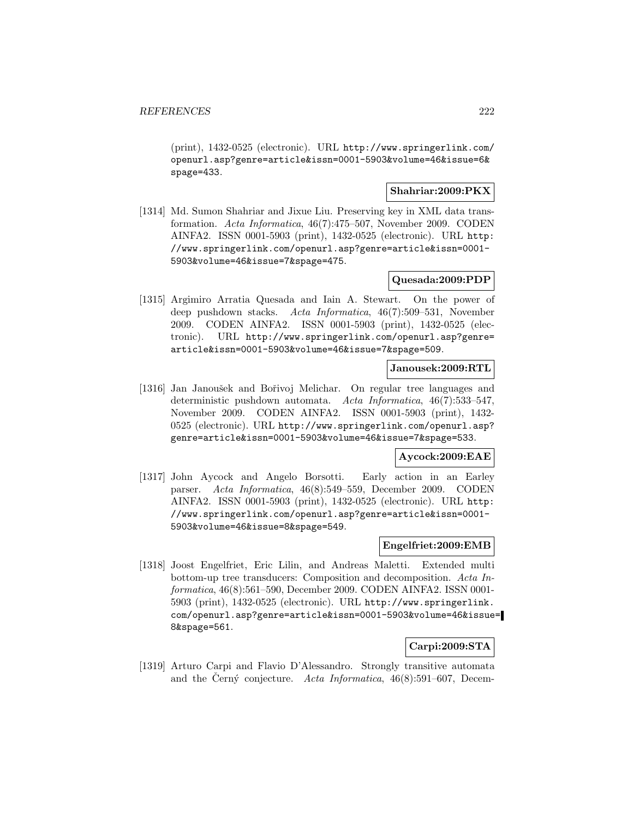(print), 1432-0525 (electronic). URL http://www.springerlink.com/ openurl.asp?genre=article&issn=0001-5903&volume=46&issue=6& spage=433.

# **Shahriar:2009:PKX**

[1314] Md. Sumon Shahriar and Jixue Liu. Preserving key in XML data transformation. Acta Informatica, 46(7):475–507, November 2009. CODEN AINFA2. ISSN 0001-5903 (print), 1432-0525 (electronic). URL http: //www.springerlink.com/openurl.asp?genre=article&issn=0001- 5903&volume=46&issue=7&spage=475.

### **Quesada:2009:PDP**

[1315] Argimiro Arratia Quesada and Iain A. Stewart. On the power of deep pushdown stacks. Acta Informatica, 46(7):509–531, November 2009. CODEN AINFA2. ISSN 0001-5903 (print), 1432-0525 (electronic). URL http://www.springerlink.com/openurl.asp?genre= article&issn=0001-5903&volume=46&issue=7&spage=509.

# **Janousek:2009:RTL**

[1316] Jan Janoušek and Bořivoj Melichar. On regular tree languages and deterministic pushdown automata. Acta Informatica, 46(7):533–547, November 2009. CODEN AINFA2. ISSN 0001-5903 (print), 1432- 0525 (electronic). URL http://www.springerlink.com/openurl.asp? genre=article&issn=0001-5903&volume=46&issue=7&spage=533.

#### **Aycock:2009:EAE**

[1317] John Aycock and Angelo Borsotti. Early action in an Earley parser. Acta Informatica, 46(8):549–559, December 2009. CODEN AINFA2. ISSN 0001-5903 (print), 1432-0525 (electronic). URL http: //www.springerlink.com/openurl.asp?genre=article&issn=0001- 5903&volume=46&issue=8&spage=549.

#### **Engelfriet:2009:EMB**

[1318] Joost Engelfriet, Eric Lilin, and Andreas Maletti. Extended multi bottom-up tree transducers: Composition and decomposition. Acta Informatica, 46(8):561–590, December 2009. CODEN AINFA2. ISSN 0001- 5903 (print), 1432-0525 (electronic). URL http://www.springerlink. com/openurl.asp?genre=article&issn=0001-5903&volume=46&issue= 8&spage=561.

# **Carpi:2009:STA**

[1319] Arturo Carpi and Flavio D'Alessandro. Strongly transitive automata and the Cerný conjecture. Acta Informatica,  $46(8):591-607$ , Decem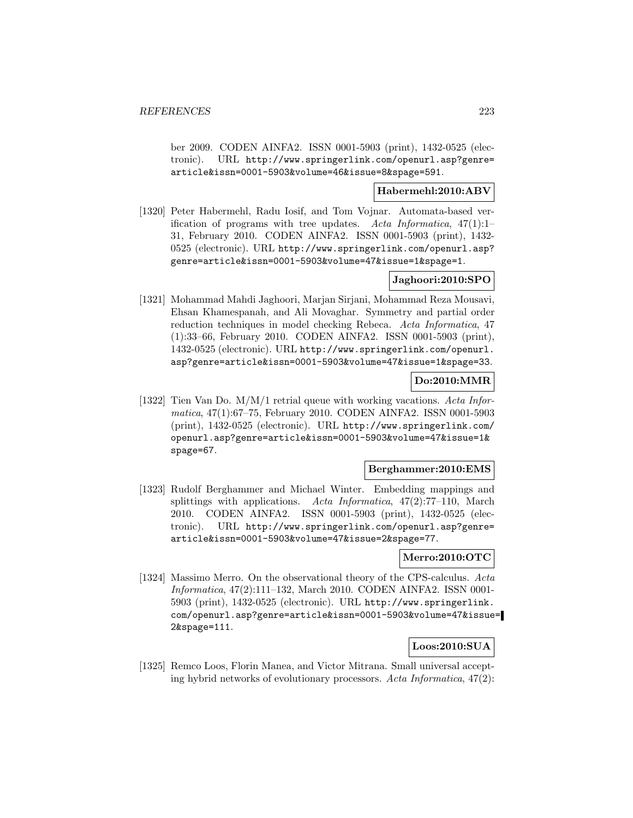ber 2009. CODEN AINFA2. ISSN 0001-5903 (print), 1432-0525 (electronic). URL http://www.springerlink.com/openurl.asp?genre= article&issn=0001-5903&volume=46&issue=8&spage=591.

# **Habermehl:2010:ABV**

[1320] Peter Habermehl, Radu Iosif, and Tom Vojnar. Automata-based verification of programs with tree updates. Acta Informatica,  $47(1)$ :1– 31, February 2010. CODEN AINFA2. ISSN 0001-5903 (print), 1432- 0525 (electronic). URL http://www.springerlink.com/openurl.asp? genre=article&issn=0001-5903&volume=47&issue=1&spage=1.

# **Jaghoori:2010:SPO**

[1321] Mohammad Mahdi Jaghoori, Marjan Sirjani, Mohammad Reza Mousavi, Ehsan Khamespanah, and Ali Movaghar. Symmetry and partial order reduction techniques in model checking Rebeca. Acta Informatica, 47 (1):33–66, February 2010. CODEN AINFA2. ISSN 0001-5903 (print), 1432-0525 (electronic). URL http://www.springerlink.com/openurl. asp?genre=article&issn=0001-5903&volume=47&issue=1&spage=33.

### **Do:2010:MMR**

[1322] Tien Van Do.  $M/M/1$  retrial queue with working vacations. Acta Informatica, 47(1):67–75, February 2010. CODEN AINFA2. ISSN 0001-5903 (print), 1432-0525 (electronic). URL http://www.springerlink.com/ openurl.asp?genre=article&issn=0001-5903&volume=47&issue=1& spage=67.

### **Berghammer:2010:EMS**

[1323] Rudolf Berghammer and Michael Winter. Embedding mappings and splittings with applications. Acta Informatica, 47(2):77–110, March 2010. CODEN AINFA2. ISSN 0001-5903 (print), 1432-0525 (electronic). URL http://www.springerlink.com/openurl.asp?genre= article&issn=0001-5903&volume=47&issue=2&spage=77.

### **Merro:2010:OTC**

[1324] Massimo Merro. On the observational theory of the CPS-calculus. Acta Informatica, 47(2):111–132, March 2010. CODEN AINFA2. ISSN 0001- 5903 (print), 1432-0525 (electronic). URL http://www.springerlink. com/openurl.asp?genre=article&issn=0001-5903&volume=47&issue= 2&spage=111.

# **Loos:2010:SUA**

[1325] Remco Loos, Florin Manea, and Victor Mitrana. Small universal accepting hybrid networks of evolutionary processors. Acta Informatica,  $47(2)$ :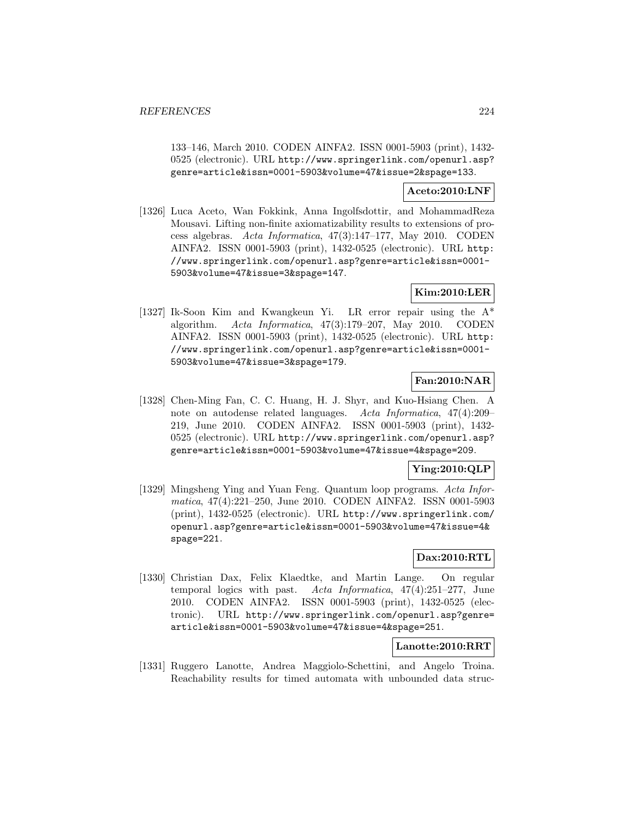133–146, March 2010. CODEN AINFA2. ISSN 0001-5903 (print), 1432- 0525 (electronic). URL http://www.springerlink.com/openurl.asp? genre=article&issn=0001-5903&volume=47&issue=2&spage=133.

## **Aceto:2010:LNF**

[1326] Luca Aceto, Wan Fokkink, Anna Ingolfsdottir, and MohammadReza Mousavi. Lifting non-finite axiomatizability results to extensions of process algebras. Acta Informatica, 47(3):147–177, May 2010. CODEN AINFA2. ISSN 0001-5903 (print), 1432-0525 (electronic). URL http: //www.springerlink.com/openurl.asp?genre=article&issn=0001- 5903&volume=47&issue=3&spage=147.

## **Kim:2010:LER**

[1327] Ik-Soon Kim and Kwangkeun Yi. LR error repair using the A\* algorithm. Acta Informatica, 47(3):179–207, May 2010. CODEN AINFA2. ISSN 0001-5903 (print), 1432-0525 (electronic). URL http: //www.springerlink.com/openurl.asp?genre=article&issn=0001- 5903&volume=47&issue=3&spage=179.

### **Fan:2010:NAR**

[1328] Chen-Ming Fan, C. C. Huang, H. J. Shyr, and Kuo-Hsiang Chen. A note on autodense related languages. Acta Informatica, 47(4):209– 219, June 2010. CODEN AINFA2. ISSN 0001-5903 (print), 1432- 0525 (electronic). URL http://www.springerlink.com/openurl.asp? genre=article&issn=0001-5903&volume=47&issue=4&spage=209.

# **Ying:2010:QLP**

[1329] Mingsheng Ying and Yuan Feng. Quantum loop programs. Acta Informatica, 47(4):221–250, June 2010. CODEN AINFA2. ISSN 0001-5903 (print), 1432-0525 (electronic). URL http://www.springerlink.com/ openurl.asp?genre=article&issn=0001-5903&volume=47&issue=4& spage=221.

# **Dax:2010:RTL**

[1330] Christian Dax, Felix Klaedtke, and Martin Lange. On regular temporal logics with past. Acta Informatica, 47(4):251–277, June 2010. CODEN AINFA2. ISSN 0001-5903 (print), 1432-0525 (electronic). URL http://www.springerlink.com/openurl.asp?genre= article&issn=0001-5903&volume=47&issue=4&spage=251.

# **Lanotte:2010:RRT**

[1331] Ruggero Lanotte, Andrea Maggiolo-Schettini, and Angelo Troina. Reachability results for timed automata with unbounded data struc-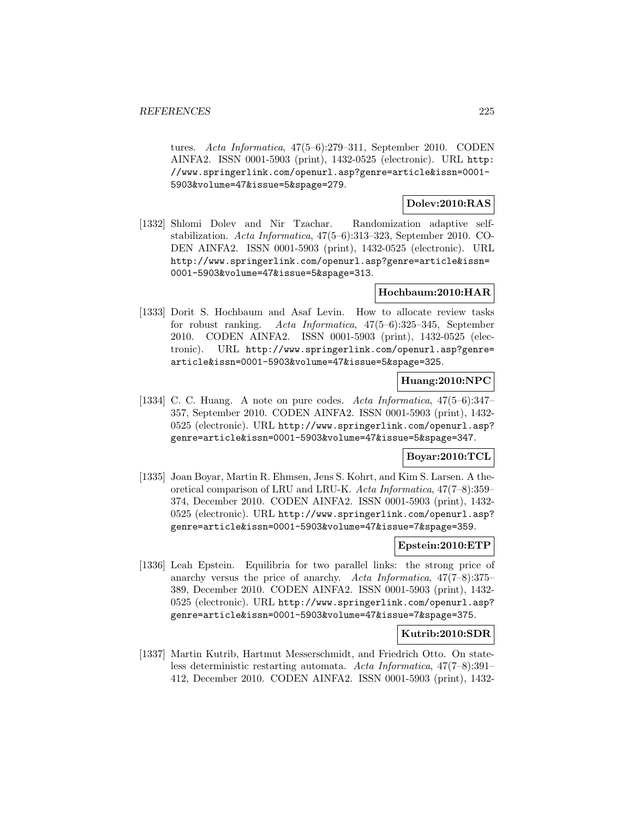tures. Acta Informatica, 47(5–6):279–311, September 2010. CODEN AINFA2. ISSN 0001-5903 (print), 1432-0525 (electronic). URL http: //www.springerlink.com/openurl.asp?genre=article&issn=0001- 5903&volume=47&issue=5&spage=279.

# **Dolev:2010:RAS**

[1332] Shlomi Dolev and Nir Tzachar. Randomization adaptive selfstabilization. Acta Informatica, 47(5–6):313–323, September 2010. CO-DEN AINFA2. ISSN 0001-5903 (print), 1432-0525 (electronic). URL http://www.springerlink.com/openurl.asp?genre=article&issn= 0001-5903&volume=47&issue=5&spage=313.

## **Hochbaum:2010:HAR**

[1333] Dorit S. Hochbaum and Asaf Levin. How to allocate review tasks for robust ranking. Acta Informatica, 47(5–6):325–345, September 2010. CODEN AINFA2. ISSN 0001-5903 (print), 1432-0525 (electronic). URL http://www.springerlink.com/openurl.asp?genre= article&issn=0001-5903&volume=47&issue=5&spage=325.

## **Huang:2010:NPC**

[1334] C. C. Huang. A note on pure codes. Acta Informatica, 47(5–6):347– 357, September 2010. CODEN AINFA2. ISSN 0001-5903 (print), 1432- 0525 (electronic). URL http://www.springerlink.com/openurl.asp? genre=article&issn=0001-5903&volume=47&issue=5&spage=347.

# **Boyar:2010:TCL**

[1335] Joan Boyar, Martin R. Ehmsen, Jens S. Kohrt, and Kim S. Larsen. A theoretical comparison of LRU and LRU-K. Acta Informatica, 47(7–8):359– 374, December 2010. CODEN AINFA2. ISSN 0001-5903 (print), 1432- 0525 (electronic). URL http://www.springerlink.com/openurl.asp? genre=article&issn=0001-5903&volume=47&issue=7&spage=359.

### **Epstein:2010:ETP**

[1336] Leah Epstein. Equilibria for two parallel links: the strong price of anarchy versus the price of anarchy. Acta Informatica, 47(7–8):375– 389, December 2010. CODEN AINFA2. ISSN 0001-5903 (print), 1432- 0525 (electronic). URL http://www.springerlink.com/openurl.asp? genre=article&issn=0001-5903&volume=47&issue=7&spage=375.

### **Kutrib:2010:SDR**

[1337] Martin Kutrib, Hartmut Messerschmidt, and Friedrich Otto. On stateless deterministic restarting automata. Acta Informatica, 47(7–8):391– 412, December 2010. CODEN AINFA2. ISSN 0001-5903 (print), 1432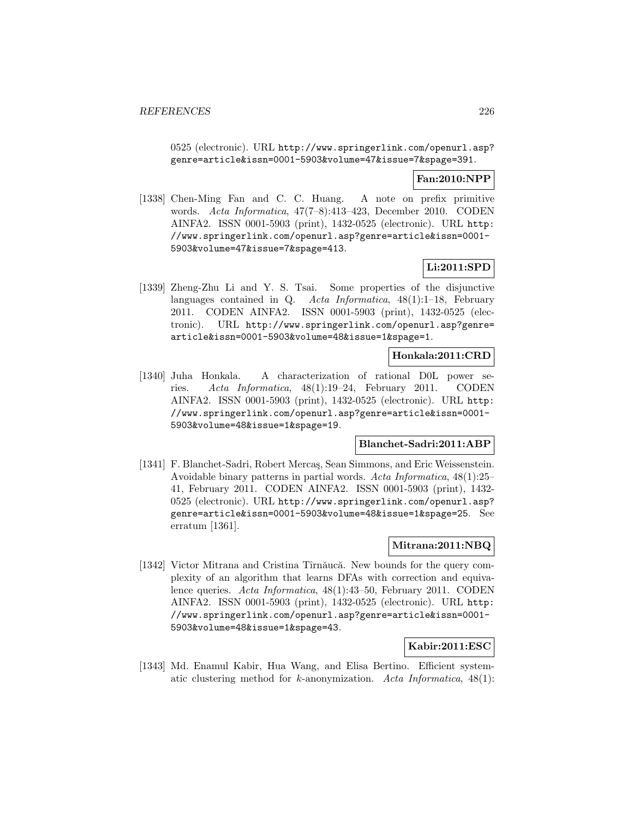0525 (electronic). URL http://www.springerlink.com/openurl.asp? genre=article&issn=0001-5903&volume=47&issue=7&spage=391.

# **Fan:2010:NPP**

[1338] Chen-Ming Fan and C. C. Huang. A note on prefix primitive words. Acta Informatica, 47(7–8):413–423, December 2010. CODEN AINFA2. ISSN 0001-5903 (print), 1432-0525 (electronic). URL http: //www.springerlink.com/openurl.asp?genre=article&issn=0001- 5903&volume=47&issue=7&spage=413.

# **Li:2011:SPD**

[1339] Zheng-Zhu Li and Y. S. Tsai. Some properties of the disjunctive languages contained in Q. Acta Informatica, 48(1):1–18, February 2011. CODEN AINFA2. ISSN 0001-5903 (print), 1432-0525 (electronic). URL http://www.springerlink.com/openurl.asp?genre= article&issn=0001-5903&volume=48&issue=1&spage=1.

#### **Honkala:2011:CRD**

[1340] Juha Honkala. A characterization of rational D0L power series. Acta Informatica, 48(1):19–24, February 2011. CODEN AINFA2. ISSN 0001-5903 (print), 1432-0525 (electronic). URL http: //www.springerlink.com/openurl.asp?genre=article&issn=0001- 5903&volume=48&issue=1&spage=19.

# **Blanchet-Sadri:2011:ABP**

[1341] F. Blanchet-Sadri, Robert Mercaş, Sean Simmons, and Eric Weissenstein. Avoidable binary patterns in partial words. Acta Informatica, 48(1):25– 41, February 2011. CODEN AINFA2. ISSN 0001-5903 (print), 1432- 0525 (electronic). URL http://www.springerlink.com/openurl.asp? genre=article&issn=0001-5903&volume=48&issue=1&spage=25. See erratum [1361].

# **Mitrana:2011:NBQ**

[1342] Victor Mitrana and Cristina Tîrnăucă. New bounds for the query complexity of an algorithm that learns DFAs with correction and equivalence queries. Acta Informatica, 48(1):43–50, February 2011. CODEN AINFA2. ISSN 0001-5903 (print), 1432-0525 (electronic). URL http: //www.springerlink.com/openurl.asp?genre=article&issn=0001- 5903&volume=48&issue=1&spage=43.

## **Kabir:2011:ESC**

[1343] Md. Enamul Kabir, Hua Wang, and Elisa Bertino. Efficient systematic clustering method for k-anonymization. Acta Informatica,  $48(1)$ :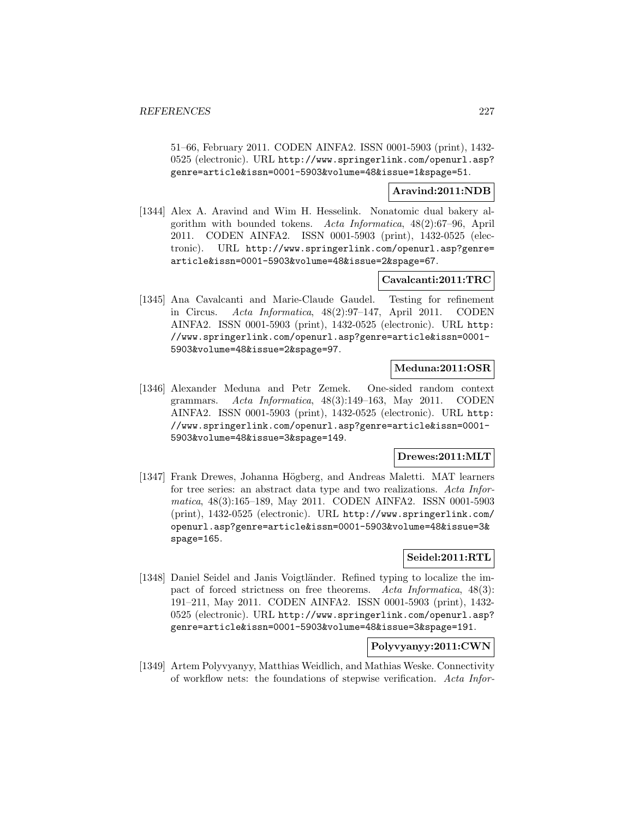51–66, February 2011. CODEN AINFA2. ISSN 0001-5903 (print), 1432- 0525 (electronic). URL http://www.springerlink.com/openurl.asp? genre=article&issn=0001-5903&volume=48&issue=1&spage=51.

## **Aravind:2011:NDB**

[1344] Alex A. Aravind and Wim H. Hesselink. Nonatomic dual bakery algorithm with bounded tokens. Acta Informatica, 48(2):67–96, April 2011. CODEN AINFA2. ISSN 0001-5903 (print), 1432-0525 (electronic). URL http://www.springerlink.com/openurl.asp?genre= article&issn=0001-5903&volume=48&issue=2&spage=67.

## **Cavalcanti:2011:TRC**

[1345] Ana Cavalcanti and Marie-Claude Gaudel. Testing for refinement in Circus. Acta Informatica, 48(2):97–147, April 2011. CODEN AINFA2. ISSN 0001-5903 (print), 1432-0525 (electronic). URL http: //www.springerlink.com/openurl.asp?genre=article&issn=0001- 5903&volume=48&issue=2&spage=97.

### **Meduna:2011:OSR**

[1346] Alexander Meduna and Petr Zemek. One-sided random context grammars. Acta Informatica, 48(3):149–163, May 2011. CODEN AINFA2. ISSN 0001-5903 (print), 1432-0525 (electronic). URL http: //www.springerlink.com/openurl.asp?genre=article&issn=0001- 5903&volume=48&issue=3&spage=149.

### **Drewes:2011:MLT**

[1347] Frank Drewes, Johanna Högberg, and Andreas Maletti. MAT learners for tree series: an abstract data type and two realizations. Acta Informatica, 48(3):165–189, May 2011. CODEN AINFA2. ISSN 0001-5903 (print), 1432-0525 (electronic). URL http://www.springerlink.com/ openurl.asp?genre=article&issn=0001-5903&volume=48&issue=3& spage=165.

# **Seidel:2011:RTL**

[1348] Daniel Seidel and Janis Voigtländer. Refined typing to localize the impact of forced strictness on free theorems. Acta Informatica, 48(3): 191–211, May 2011. CODEN AINFA2. ISSN 0001-5903 (print), 1432- 0525 (electronic). URL http://www.springerlink.com/openurl.asp? genre=article&issn=0001-5903&volume=48&issue=3&spage=191.

# **Polyvyanyy:2011:CWN**

[1349] Artem Polyvyanyy, Matthias Weidlich, and Mathias Weske. Connectivity of workflow nets: the foundations of stepwise verification. Acta Infor-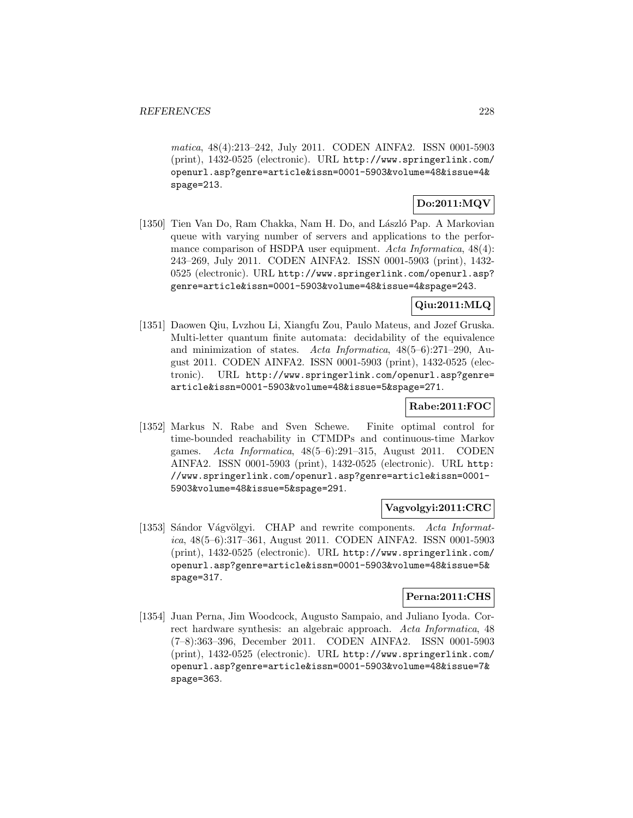matica, 48(4):213–242, July 2011. CODEN AINFA2. ISSN 0001-5903 (print), 1432-0525 (electronic). URL http://www.springerlink.com/ openurl.asp?genre=article&issn=0001-5903&volume=48&issue=4& spage=213.

# **Do:2011:MQV**

[1350] Tien Van Do, Ram Chakka, Nam H. Do, and László Pap. A Markovian queue with varying number of servers and applications to the performance comparison of HSDPA user equipment. Acta Informatica,  $48(4)$ : 243–269, July 2011. CODEN AINFA2. ISSN 0001-5903 (print), 1432- 0525 (electronic). URL http://www.springerlink.com/openurl.asp? genre=article&issn=0001-5903&volume=48&issue=4&spage=243.

# **Qiu:2011:MLQ**

[1351] Daowen Qiu, Lvzhou Li, Xiangfu Zou, Paulo Mateus, and Jozef Gruska. Multi-letter quantum finite automata: decidability of the equivalence and minimization of states. Acta Informatica, 48(5–6):271–290, August 2011. CODEN AINFA2. ISSN 0001-5903 (print), 1432-0525 (electronic). URL http://www.springerlink.com/openurl.asp?genre= article&issn=0001-5903&volume=48&issue=5&spage=271.

# **Rabe:2011:FOC**

[1352] Markus N. Rabe and Sven Schewe. Finite optimal control for time-bounded reachability in CTMDPs and continuous-time Markov games. Acta Informatica, 48(5–6):291–315, August 2011. CODEN AINFA2. ISSN 0001-5903 (print), 1432-0525 (electronic). URL http: //www.springerlink.com/openurl.asp?genre=article&issn=0001- 5903&volume=48&issue=5&spage=291.

### **Vagvolgyi:2011:CRC**

[1353] Sándor Vágvölgyi. CHAP and rewrite components. Acta Informatica, 48(5–6):317–361, August 2011. CODEN AINFA2. ISSN 0001-5903 (print), 1432-0525 (electronic). URL http://www.springerlink.com/ openurl.asp?genre=article&issn=0001-5903&volume=48&issue=5& spage=317.

# **Perna:2011:CHS**

[1354] Juan Perna, Jim Woodcock, Augusto Sampaio, and Juliano Iyoda. Correct hardware synthesis: an algebraic approach. Acta Informatica, 48 (7–8):363–396, December 2011. CODEN AINFA2. ISSN 0001-5903 (print), 1432-0525 (electronic). URL http://www.springerlink.com/ openurl.asp?genre=article&issn=0001-5903&volume=48&issue=7& spage=363.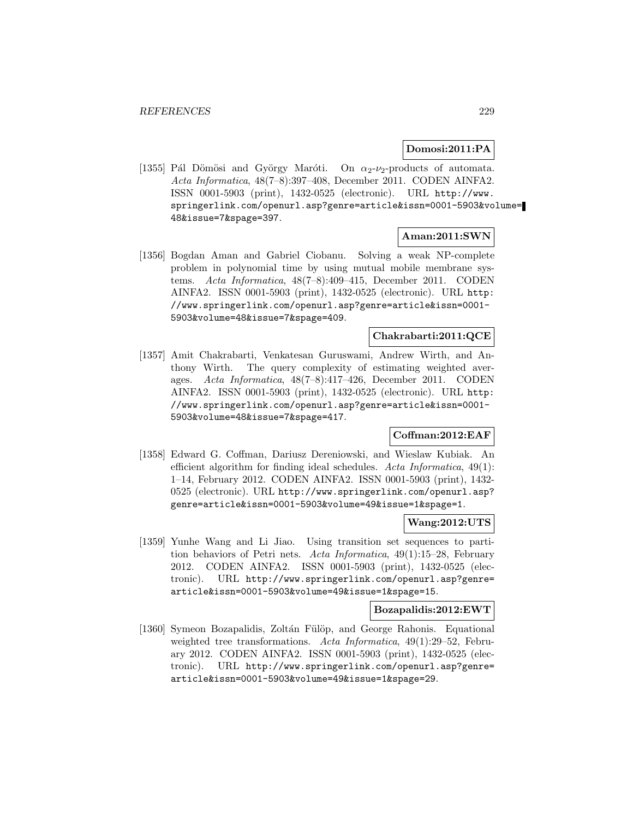### **Domosi:2011:PA**

[1355] Pál Dömösi and György Maróti. On  $\alpha_2-\nu_2$ -products of automata. Acta Informatica, 48(7–8):397–408, December 2011. CODEN AINFA2. ISSN 0001-5903 (print), 1432-0525 (electronic). URL http://www. springerlink.com/openurl.asp?genre=article&issn=0001-5903&volume= 48&issue=7&spage=397.

## **Aman:2011:SWN**

[1356] Bogdan Aman and Gabriel Ciobanu. Solving a weak NP-complete problem in polynomial time by using mutual mobile membrane systems. Acta Informatica, 48(7–8):409–415, December 2011. CODEN AINFA2. ISSN 0001-5903 (print), 1432-0525 (electronic). URL http: //www.springerlink.com/openurl.asp?genre=article&issn=0001- 5903&volume=48&issue=7&spage=409.

### **Chakrabarti:2011:QCE**

[1357] Amit Chakrabarti, Venkatesan Guruswami, Andrew Wirth, and Anthony Wirth. The query complexity of estimating weighted averages. Acta Informatica, 48(7–8):417–426, December 2011. CODEN AINFA2. ISSN 0001-5903 (print), 1432-0525 (electronic). URL http: //www.springerlink.com/openurl.asp?genre=article&issn=0001- 5903&volume=48&issue=7&spage=417.

### **Coffman:2012:EAF**

[1358] Edward G. Coffman, Dariusz Dereniowski, and Wieslaw Kubiak. An efficient algorithm for finding ideal schedules. Acta Informatica, 49(1): 1–14, February 2012. CODEN AINFA2. ISSN 0001-5903 (print), 1432- 0525 (electronic). URL http://www.springerlink.com/openurl.asp? genre=article&issn=0001-5903&volume=49&issue=1&spage=1.

### **Wang:2012:UTS**

[1359] Yunhe Wang and Li Jiao. Using transition set sequences to partition behaviors of Petri nets. Acta Informatica, 49(1):15–28, February 2012. CODEN AINFA2. ISSN 0001-5903 (print), 1432-0525 (electronic). URL http://www.springerlink.com/openurl.asp?genre= article&issn=0001-5903&volume=49&issue=1&spage=15.

#### **Bozapalidis:2012:EWT**

[1360] Symeon Bozapalidis, Zoltán Fülöp, and George Rahonis. Equational weighted tree transformations. Acta Informatica, 49(1):29–52, February 2012. CODEN AINFA2. ISSN 0001-5903 (print), 1432-0525 (electronic). URL http://www.springerlink.com/openurl.asp?genre= article&issn=0001-5903&volume=49&issue=1&spage=29.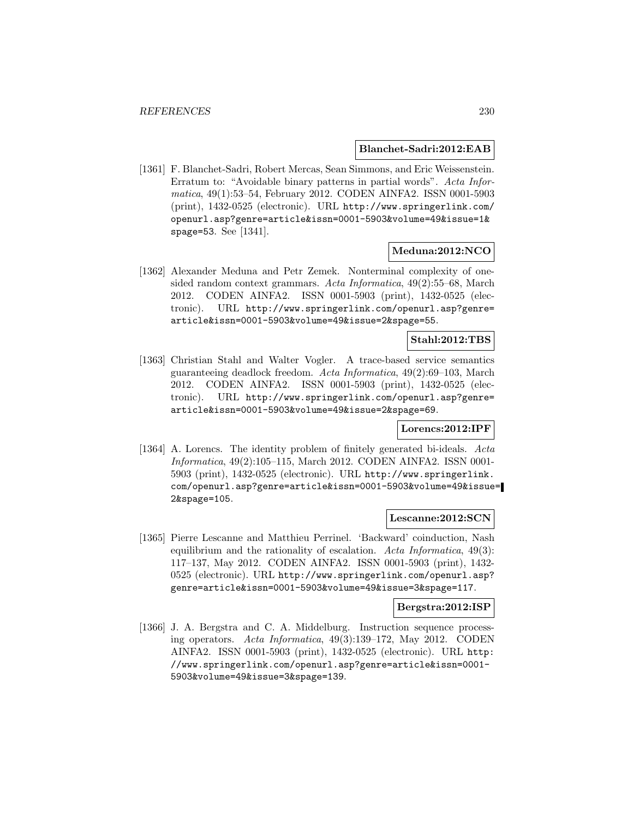#### **Blanchet-Sadri:2012:EAB**

[1361] F. Blanchet-Sadri, Robert Mercas, Sean Simmons, and Eric Weissenstein. Erratum to: "Avoidable binary patterns in partial words". Acta Informatica, 49(1):53–54, February 2012. CODEN AINFA2. ISSN 0001-5903 (print), 1432-0525 (electronic). URL http://www.springerlink.com/ openurl.asp?genre=article&issn=0001-5903&volume=49&issue=1& spage=53. See [1341].

### **Meduna:2012:NCO**

[1362] Alexander Meduna and Petr Zemek. Nonterminal complexity of onesided random context grammars. Acta Informatica, 49(2):55–68, March 2012. CODEN AINFA2. ISSN 0001-5903 (print), 1432-0525 (electronic). URL http://www.springerlink.com/openurl.asp?genre= article&issn=0001-5903&volume=49&issue=2&spage=55.

# **Stahl:2012:TBS**

[1363] Christian Stahl and Walter Vogler. A trace-based service semantics guaranteeing deadlock freedom. Acta Informatica, 49(2):69–103, March 2012. CODEN AINFA2. ISSN 0001-5903 (print), 1432-0525 (electronic). URL http://www.springerlink.com/openurl.asp?genre= article&issn=0001-5903&volume=49&issue=2&spage=69.

#### **Lorencs:2012:IPF**

[1364] A. Lorencs. The identity problem of finitely generated bi-ideals. Acta Informatica, 49(2):105–115, March 2012. CODEN AINFA2. ISSN 0001- 5903 (print), 1432-0525 (electronic). URL http://www.springerlink. com/openurl.asp?genre=article&issn=0001-5903&volume=49&issue= 2&spage=105.

#### **Lescanne:2012:SCN**

[1365] Pierre Lescanne and Matthieu Perrinel. 'Backward' coinduction, Nash equilibrium and the rationality of escalation. Acta Informatica, 49(3): 117–137, May 2012. CODEN AINFA2. ISSN 0001-5903 (print), 1432- 0525 (electronic). URL http://www.springerlink.com/openurl.asp? genre=article&issn=0001-5903&volume=49&issue=3&spage=117.

#### **Bergstra:2012:ISP**

[1366] J. A. Bergstra and C. A. Middelburg. Instruction sequence processing operators. Acta Informatica, 49(3):139–172, May 2012. CODEN AINFA2. ISSN 0001-5903 (print), 1432-0525 (electronic). URL http: //www.springerlink.com/openurl.asp?genre=article&issn=0001- 5903&volume=49&issue=3&spage=139.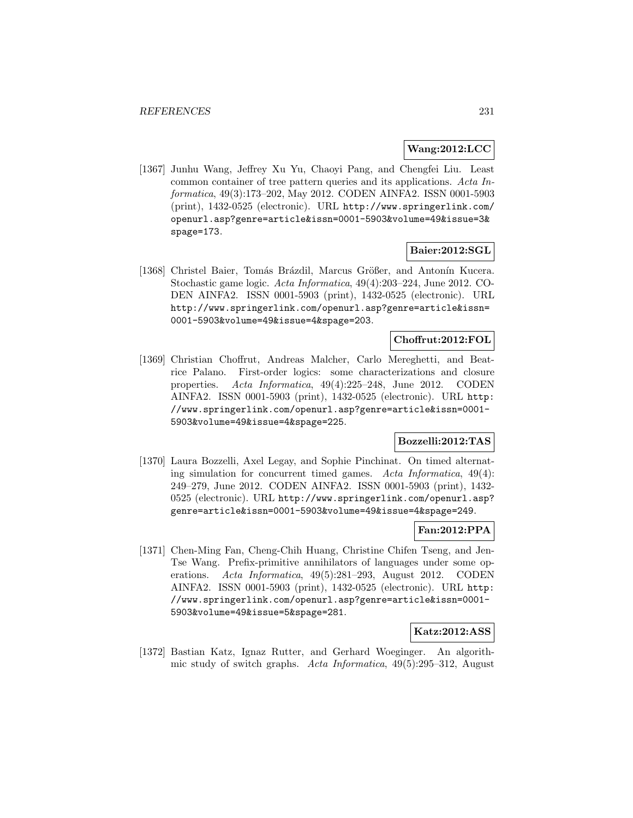### **Wang:2012:LCC**

[1367] Junhu Wang, Jeffrey Xu Yu, Chaoyi Pang, and Chengfei Liu. Least common container of tree pattern queries and its applications. Acta Informatica, 49(3):173–202, May 2012. CODEN AINFA2. ISSN 0001-5903 (print), 1432-0525 (electronic). URL http://www.springerlink.com/ openurl.asp?genre=article&issn=0001-5903&volume=49&issue=3& spage=173.

### **Baier:2012:SGL**

[1368] Christel Baier, Tomás Brázdil, Marcus Größer, and Antonín Kucera. Stochastic game logic. Acta Informatica, 49(4):203–224, June 2012. CO-DEN AINFA2. ISSN 0001-5903 (print), 1432-0525 (electronic). URL http://www.springerlink.com/openurl.asp?genre=article&issn= 0001-5903&volume=49&issue=4&spage=203.

### **Choffrut:2012:FOL**

[1369] Christian Choffrut, Andreas Malcher, Carlo Mereghetti, and Beatrice Palano. First-order logics: some characterizations and closure properties. Acta Informatica, 49(4):225–248, June 2012. CODEN AINFA2. ISSN 0001-5903 (print), 1432-0525 (electronic). URL http: //www.springerlink.com/openurl.asp?genre=article&issn=0001- 5903&volume=49&issue=4&spage=225.

#### **Bozzelli:2012:TAS**

[1370] Laura Bozzelli, Axel Legay, and Sophie Pinchinat. On timed alternating simulation for concurrent timed games. Acta Informatica,  $49(4)$ : 249–279, June 2012. CODEN AINFA2. ISSN 0001-5903 (print), 1432- 0525 (electronic). URL http://www.springerlink.com/openurl.asp? genre=article&issn=0001-5903&volume=49&issue=4&spage=249.

#### **Fan:2012:PPA**

[1371] Chen-Ming Fan, Cheng-Chih Huang, Christine Chifen Tseng, and Jen-Tse Wang. Prefix-primitive annihilators of languages under some operations. Acta Informatica, 49(5):281–293, August 2012. CODEN AINFA2. ISSN 0001-5903 (print), 1432-0525 (electronic). URL http: //www.springerlink.com/openurl.asp?genre=article&issn=0001- 5903&volume=49&issue=5&spage=281.

#### **Katz:2012:ASS**

[1372] Bastian Katz, Ignaz Rutter, and Gerhard Woeginger. An algorithmic study of switch graphs. Acta Informatica, 49(5):295–312, August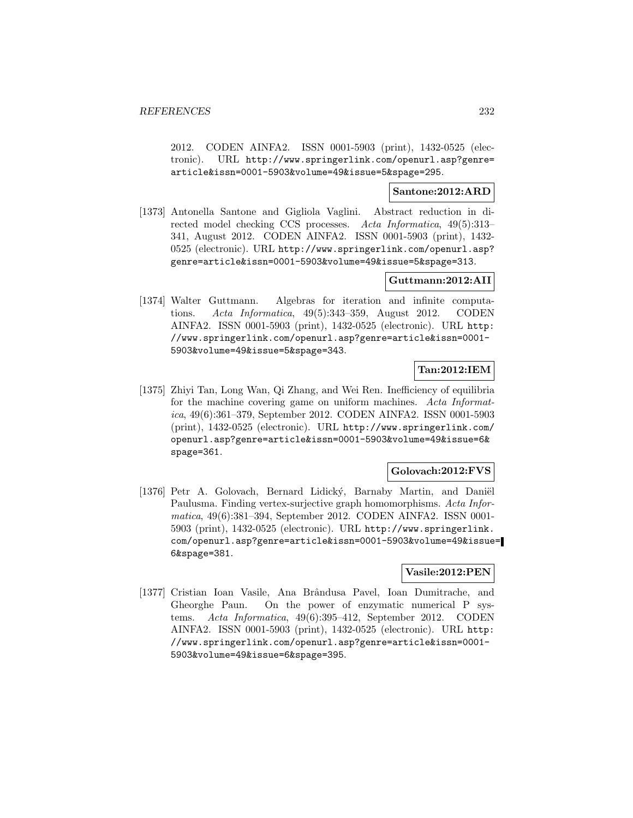2012. CODEN AINFA2. ISSN 0001-5903 (print), 1432-0525 (electronic). URL http://www.springerlink.com/openurl.asp?genre= article&issn=0001-5903&volume=49&issue=5&spage=295.

#### **Santone:2012:ARD**

[1373] Antonella Santone and Gigliola Vaglini. Abstract reduction in directed model checking CCS processes. Acta Informatica, 49(5):313– 341, August 2012. CODEN AINFA2. ISSN 0001-5903 (print), 1432- 0525 (electronic). URL http://www.springerlink.com/openurl.asp? genre=article&issn=0001-5903&volume=49&issue=5&spage=313.

### **Guttmann:2012:AII**

[1374] Walter Guttmann. Algebras for iteration and infinite computations. Acta Informatica, 49(5):343–359, August 2012. CODEN AINFA2. ISSN 0001-5903 (print), 1432-0525 (electronic). URL http: //www.springerlink.com/openurl.asp?genre=article&issn=0001- 5903&volume=49&issue=5&spage=343.

## **Tan:2012:IEM**

[1375] Zhiyi Tan, Long Wan, Qi Zhang, and Wei Ren. Inefficiency of equilibria for the machine covering game on uniform machines. Acta Informatica, 49(6):361–379, September 2012. CODEN AINFA2. ISSN 0001-5903 (print), 1432-0525 (electronic). URL http://www.springerlink.com/ openurl.asp?genre=article&issn=0001-5903&volume=49&issue=6& spage=361.

# **Golovach:2012:FVS**

[1376] Petr A. Golovach, Bernard Lidický, Barnaby Martin, and Daniël Paulusma. Finding vertex-surjective graph homomorphisms. Acta Informatica, 49(6):381–394, September 2012. CODEN AINFA2. ISSN 0001- 5903 (print), 1432-0525 (electronic). URL http://www.springerlink. com/openurl.asp?genre=article&issn=0001-5903&volume=49&issue= 6&spage=381.

### **Vasile:2012:PEN**

[1377] Cristian Ioan Vasile, Ana Brândusa Pavel, Ioan Dumitrache, and Gheorghe Paun. On the power of enzymatic numerical P systems. Acta Informatica, 49(6):395–412, September 2012. CODEN AINFA2. ISSN 0001-5903 (print), 1432-0525 (electronic). URL http: //www.springerlink.com/openurl.asp?genre=article&issn=0001- 5903&volume=49&issue=6&spage=395.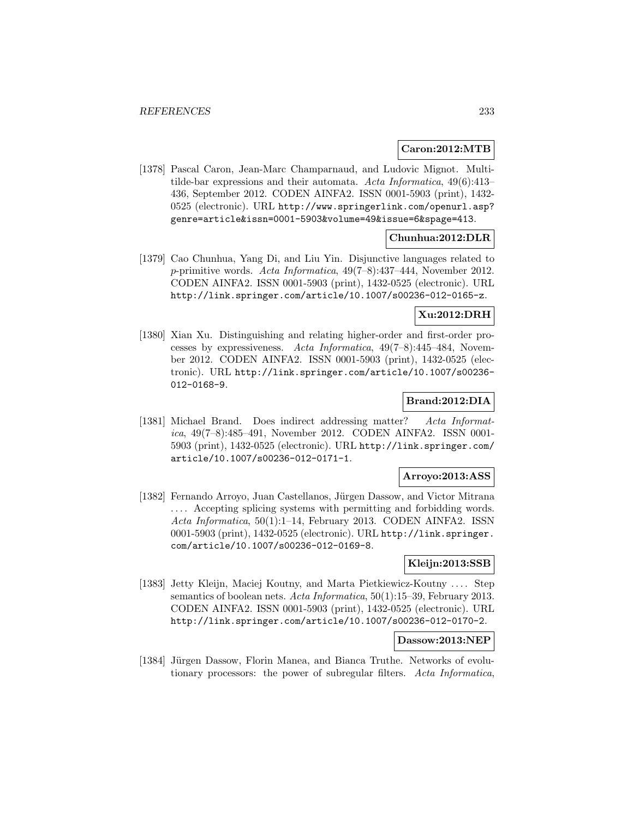#### **Caron:2012:MTB**

[1378] Pascal Caron, Jean-Marc Champarnaud, and Ludovic Mignot. Multitilde-bar expressions and their automata. Acta Informatica, 49(6):413– 436, September 2012. CODEN AINFA2. ISSN 0001-5903 (print), 1432- 0525 (electronic). URL http://www.springerlink.com/openurl.asp? genre=article&issn=0001-5903&volume=49&issue=6&spage=413.

### **Chunhua:2012:DLR**

[1379] Cao Chunhua, Yang Di, and Liu Yin. Disjunctive languages related to p-primitive words. Acta Informatica, 49(7–8):437–444, November 2012. CODEN AINFA2. ISSN 0001-5903 (print), 1432-0525 (electronic). URL http://link.springer.com/article/10.1007/s00236-012-0165-z.

## **Xu:2012:DRH**

[1380] Xian Xu. Distinguishing and relating higher-order and first-order processes by expressiveness. Acta Informatica, 49(7–8):445–484, November 2012. CODEN AINFA2. ISSN 0001-5903 (print), 1432-0525 (electronic). URL http://link.springer.com/article/10.1007/s00236- 012-0168-9.

# **Brand:2012:DIA**

[1381] Michael Brand. Does indirect addressing matter? Acta Informatica, 49(7–8):485–491, November 2012. CODEN AINFA2. ISSN 0001- 5903 (print), 1432-0525 (electronic). URL http://link.springer.com/ article/10.1007/s00236-012-0171-1.

### **Arroyo:2013:ASS**

[1382] Fernando Arroyo, Juan Castellanos, Jürgen Dassow, and Victor Mitrana ... . Accepting splicing systems with permitting and forbidding words. Acta Informatica, 50(1):1–14, February 2013. CODEN AINFA2. ISSN 0001-5903 (print), 1432-0525 (electronic). URL http://link.springer. com/article/10.1007/s00236-012-0169-8.

### **Kleijn:2013:SSB**

[1383] Jetty Kleijn, Maciej Koutny, and Marta Pietkiewicz-Koutny ... . Step semantics of boolean nets. Acta Informatica, 50(1):15–39, February 2013. CODEN AINFA2. ISSN 0001-5903 (print), 1432-0525 (electronic). URL http://link.springer.com/article/10.1007/s00236-012-0170-2.

#### **Dassow:2013:NEP**

[1384] Jürgen Dassow, Florin Manea, and Bianca Truthe. Networks of evolutionary processors: the power of subregular filters. Acta Informatica,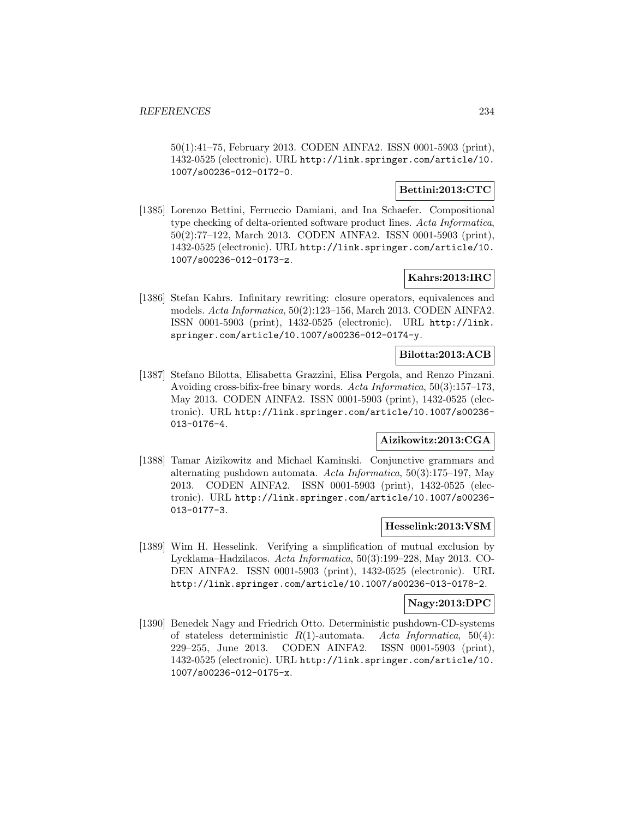50(1):41–75, February 2013. CODEN AINFA2. ISSN 0001-5903 (print), 1432-0525 (electronic). URL http://link.springer.com/article/10. 1007/s00236-012-0172-0.

## **Bettini:2013:CTC**

[1385] Lorenzo Bettini, Ferruccio Damiani, and Ina Schaefer. Compositional type checking of delta-oriented software product lines. Acta Informatica, 50(2):77–122, March 2013. CODEN AINFA2. ISSN 0001-5903 (print), 1432-0525 (electronic). URL http://link.springer.com/article/10. 1007/s00236-012-0173-z.

# **Kahrs:2013:IRC**

[1386] Stefan Kahrs. Infinitary rewriting: closure operators, equivalences and models. Acta Informatica, 50(2):123–156, March 2013. CODEN AINFA2. ISSN 0001-5903 (print), 1432-0525 (electronic). URL http://link. springer.com/article/10.1007/s00236-012-0174-y.

# **Bilotta:2013:ACB**

[1387] Stefano Bilotta, Elisabetta Grazzini, Elisa Pergola, and Renzo Pinzani. Avoiding cross-bifix-free binary words. Acta Informatica, 50(3):157–173, May 2013. CODEN AINFA2. ISSN 0001-5903 (print), 1432-0525 (electronic). URL http://link.springer.com/article/10.1007/s00236- 013-0176-4.

### **Aizikowitz:2013:CGA**

[1388] Tamar Aizikowitz and Michael Kaminski. Conjunctive grammars and alternating pushdown automata. Acta Informatica, 50(3):175–197, May 2013. CODEN AINFA2. ISSN 0001-5903 (print), 1432-0525 (electronic). URL http://link.springer.com/article/10.1007/s00236- 013-0177-3.

### **Hesselink:2013:VSM**

[1389] Wim H. Hesselink. Verifying a simplification of mutual exclusion by Lycklama–Hadzilacos. Acta Informatica, 50(3):199–228, May 2013. CO-DEN AINFA2. ISSN 0001-5903 (print), 1432-0525 (electronic). URL http://link.springer.com/article/10.1007/s00236-013-0178-2.

#### **Nagy:2013:DPC**

[1390] Benedek Nagy and Friedrich Otto. Deterministic pushdown-CD-systems of stateless deterministic  $R(1)$ -automata. Acta Informatica, 50(4): 229–255, June 2013. CODEN AINFA2. ISSN 0001-5903 (print), 1432-0525 (electronic). URL http://link.springer.com/article/10. 1007/s00236-012-0175-x.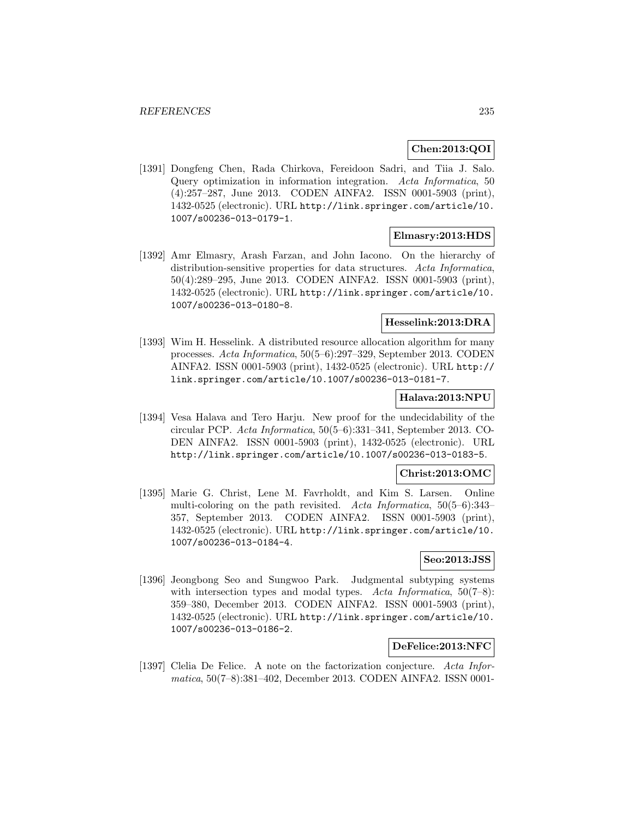### **Chen:2013:QOI**

[1391] Dongfeng Chen, Rada Chirkova, Fereidoon Sadri, and Tiia J. Salo. Query optimization in information integration. Acta Informatica, 50 (4):257–287, June 2013. CODEN AINFA2. ISSN 0001-5903 (print), 1432-0525 (electronic). URL http://link.springer.com/article/10. 1007/s00236-013-0179-1.

## **Elmasry:2013:HDS**

[1392] Amr Elmasry, Arash Farzan, and John Iacono. On the hierarchy of distribution-sensitive properties for data structures. Acta Informatica, 50(4):289–295, June 2013. CODEN AINFA2. ISSN 0001-5903 (print), 1432-0525 (electronic). URL http://link.springer.com/article/10. 1007/s00236-013-0180-8.

# **Hesselink:2013:DRA**

[1393] Wim H. Hesselink. A distributed resource allocation algorithm for many processes. Acta Informatica, 50(5–6):297–329, September 2013. CODEN AINFA2. ISSN 0001-5903 (print), 1432-0525 (electronic). URL http:// link.springer.com/article/10.1007/s00236-013-0181-7.

#### **Halava:2013:NPU**

[1394] Vesa Halava and Tero Harju. New proof for the undecidability of the circular PCP. Acta Informatica, 50(5–6):331–341, September 2013. CO-DEN AINFA2. ISSN 0001-5903 (print), 1432-0525 (electronic). URL http://link.springer.com/article/10.1007/s00236-013-0183-5.

#### **Christ:2013:OMC**

[1395] Marie G. Christ, Lene M. Favrholdt, and Kim S. Larsen. Online multi-coloring on the path revisited. Acta Informatica, 50(5–6):343– 357, September 2013. CODEN AINFA2. ISSN 0001-5903 (print), 1432-0525 (electronic). URL http://link.springer.com/article/10. 1007/s00236-013-0184-4.

### **Seo:2013:JSS**

[1396] Jeongbong Seo and Sungwoo Park. Judgmental subtyping systems with intersection types and modal types. Acta Informatica,  $50(7-8)$ : 359–380, December 2013. CODEN AINFA2. ISSN 0001-5903 (print), 1432-0525 (electronic). URL http://link.springer.com/article/10. 1007/s00236-013-0186-2.

# **DeFelice:2013:NFC**

[1397] Clelia De Felice. A note on the factorization conjecture. Acta Informatica, 50(7–8):381–402, December 2013. CODEN AINFA2. ISSN 0001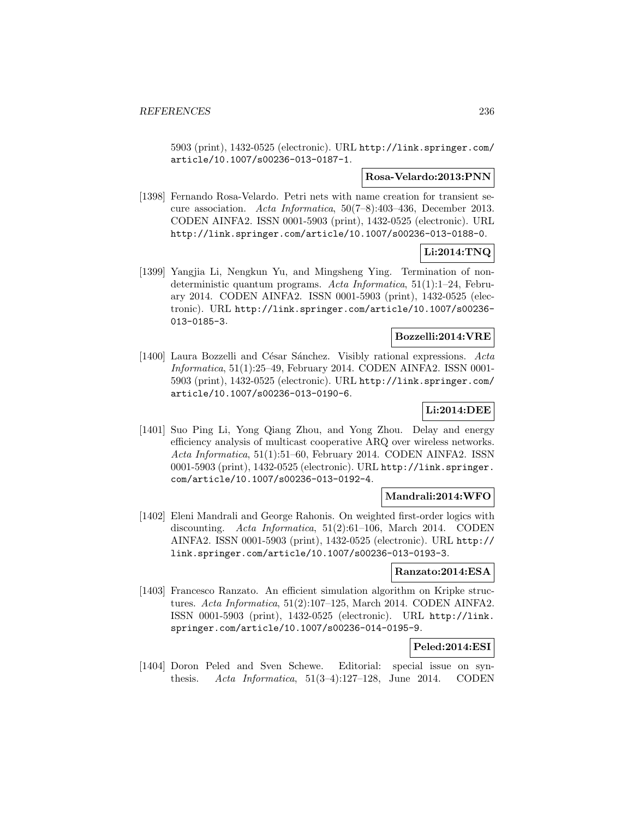5903 (print), 1432-0525 (electronic). URL http://link.springer.com/ article/10.1007/s00236-013-0187-1.

#### **Rosa-Velardo:2013:PNN**

[1398] Fernando Rosa-Velardo. Petri nets with name creation for transient secure association. Acta Informatica, 50(7–8):403–436, December 2013. CODEN AINFA2. ISSN 0001-5903 (print), 1432-0525 (electronic). URL http://link.springer.com/article/10.1007/s00236-013-0188-0.

# **Li:2014:TNQ**

[1399] Yangjia Li, Nengkun Yu, and Mingsheng Ying. Termination of nondeterministic quantum programs. Acta Informatica, 51(1):1–24, February 2014. CODEN AINFA2. ISSN 0001-5903 (print), 1432-0525 (electronic). URL http://link.springer.com/article/10.1007/s00236- 013-0185-3.

#### **Bozzelli:2014:VRE**

[1400] Laura Bozzelli and César Sánchez. Visibly rational expressions. Acta Informatica, 51(1):25–49, February 2014. CODEN AINFA2. ISSN 0001- 5903 (print), 1432-0525 (electronic). URL http://link.springer.com/ article/10.1007/s00236-013-0190-6.

### **Li:2014:DEE**

[1401] Suo Ping Li, Yong Qiang Zhou, and Yong Zhou. Delay and energy efficiency analysis of multicast cooperative ARQ over wireless networks. Acta Informatica, 51(1):51–60, February 2014. CODEN AINFA2. ISSN 0001-5903 (print), 1432-0525 (electronic). URL http://link.springer. com/article/10.1007/s00236-013-0192-4.

#### **Mandrali:2014:WFO**

[1402] Eleni Mandrali and George Rahonis. On weighted first-order logics with discounting. Acta Informatica, 51(2):61–106, March 2014. CODEN AINFA2. ISSN 0001-5903 (print), 1432-0525 (electronic). URL http:// link.springer.com/article/10.1007/s00236-013-0193-3.

#### **Ranzato:2014:ESA**

[1403] Francesco Ranzato. An efficient simulation algorithm on Kripke structures. Acta Informatica, 51(2):107–125, March 2014. CODEN AINFA2. ISSN 0001-5903 (print), 1432-0525 (electronic). URL http://link. springer.com/article/10.1007/s00236-014-0195-9.

# **Peled:2014:ESI**

[1404] Doron Peled and Sven Schewe. Editorial: special issue on synthesis. Acta Informatica,  $51(3-4):127-128$ , June 2014. CODEN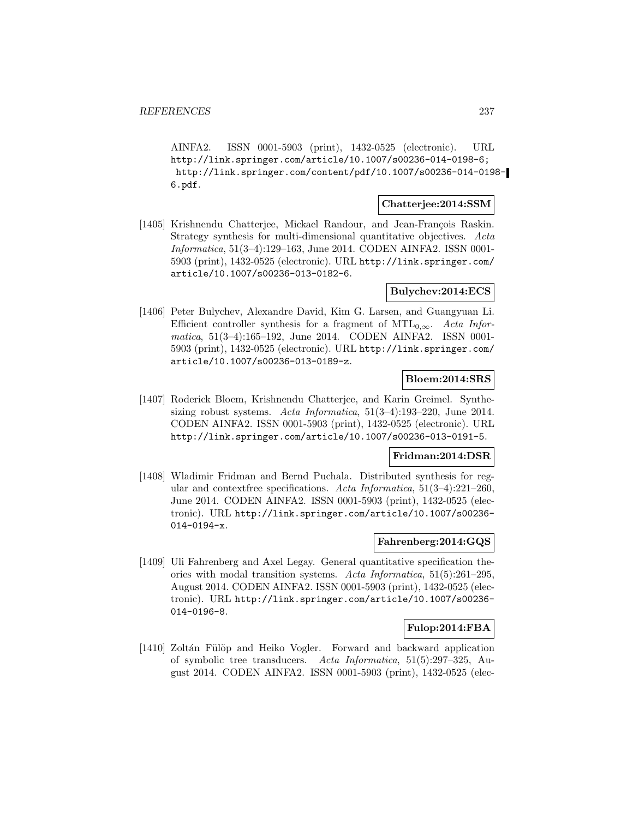AINFA2. ISSN 0001-5903 (print), 1432-0525 (electronic). URL http://link.springer.com/article/10.1007/s00236-014-0198-6; http://link.springer.com/content/pdf/10.1007/s00236-014-0198- 6.pdf.

# **Chatterjee:2014:SSM**

[1405] Krishnendu Chatterjee, Mickael Randour, and Jean-François Raskin. Strategy synthesis for multi-dimensional quantitative objectives. Acta Informatica, 51(3–4):129–163, June 2014. CODEN AINFA2. ISSN 0001- 5903 (print), 1432-0525 (electronic). URL http://link.springer.com/ article/10.1007/s00236-013-0182-6.

# **Bulychev:2014:ECS**

[1406] Peter Bulychev, Alexandre David, Kim G. Larsen, and Guangyuan Li. Efficient controller synthesis for a fragment of  $MTL_{0,\infty}$ . Acta Informatica, 51(3–4):165–192, June 2014. CODEN AINFA2. ISSN 0001- 5903 (print), 1432-0525 (electronic). URL http://link.springer.com/ article/10.1007/s00236-013-0189-z.

### **Bloem:2014:SRS**

[1407] Roderick Bloem, Krishnendu Chatterjee, and Karin Greimel. Synthesizing robust systems. Acta Informatica, 51(3–4):193–220, June 2014. CODEN AINFA2. ISSN 0001-5903 (print), 1432-0525 (electronic). URL http://link.springer.com/article/10.1007/s00236-013-0191-5.

### **Fridman:2014:DSR**

[1408] Wladimir Fridman and Bernd Puchala. Distributed synthesis for regular and contextfree specifications. Acta Informatica, 51(3–4):221–260, June 2014. CODEN AINFA2. ISSN 0001-5903 (print), 1432-0525 (electronic). URL http://link.springer.com/article/10.1007/s00236- 014-0194-x.

### **Fahrenberg:2014:GQS**

[1409] Uli Fahrenberg and Axel Legay. General quantitative specification theories with modal transition systems. Acta Informatica, 51(5):261–295, August 2014. CODEN AINFA2. ISSN 0001-5903 (print), 1432-0525 (electronic). URL http://link.springer.com/article/10.1007/s00236- 014-0196-8.

# **Fulop:2014:FBA**

[1410] Zoltán Fülöp and Heiko Vogler. Forward and backward application of symbolic tree transducers. Acta Informatica, 51(5):297–325, August 2014. CODEN AINFA2. ISSN 0001-5903 (print), 1432-0525 (elec-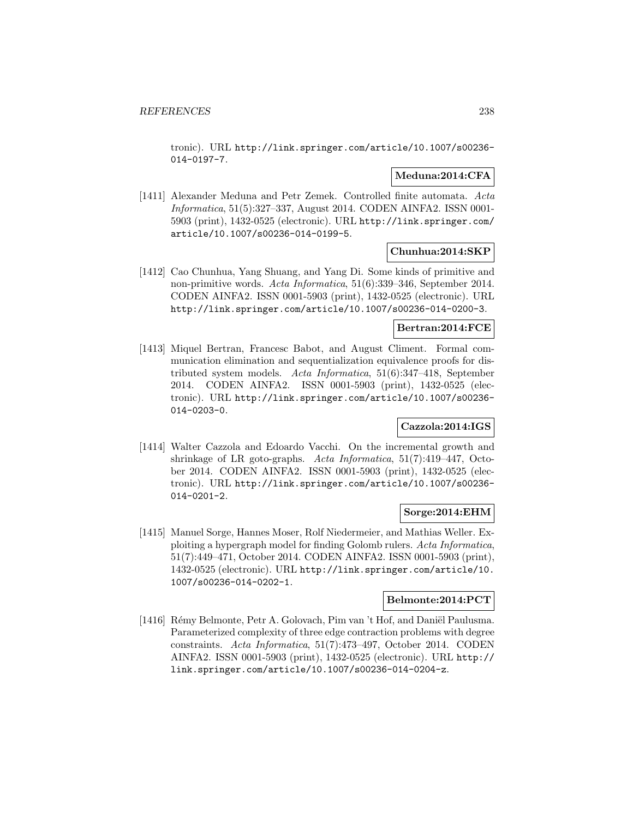tronic). URL http://link.springer.com/article/10.1007/s00236- 014-0197-7.

### **Meduna:2014:CFA**

[1411] Alexander Meduna and Petr Zemek. Controlled finite automata. Acta Informatica, 51(5):327–337, August 2014. CODEN AINFA2. ISSN 0001- 5903 (print), 1432-0525 (electronic). URL http://link.springer.com/ article/10.1007/s00236-014-0199-5.

#### **Chunhua:2014:SKP**

[1412] Cao Chunhua, Yang Shuang, and Yang Di. Some kinds of primitive and non-primitive words. Acta Informatica, 51(6):339–346, September 2014. CODEN AINFA2. ISSN 0001-5903 (print), 1432-0525 (electronic). URL http://link.springer.com/article/10.1007/s00236-014-0200-3.

#### **Bertran:2014:FCE**

[1413] Miquel Bertran, Francesc Babot, and August Climent. Formal communication elimination and sequentialization equivalence proofs for distributed system models. Acta Informatica, 51(6):347–418, September 2014. CODEN AINFA2. ISSN 0001-5903 (print), 1432-0525 (electronic). URL http://link.springer.com/article/10.1007/s00236- 014-0203-0.

# **Cazzola:2014:IGS**

[1414] Walter Cazzola and Edoardo Vacchi. On the incremental growth and shrinkage of LR goto-graphs. Acta Informatica, 51(7):419–447, October 2014. CODEN AINFA2. ISSN 0001-5903 (print), 1432-0525 (electronic). URL http://link.springer.com/article/10.1007/s00236- 014-0201-2.

### **Sorge:2014:EHM**

[1415] Manuel Sorge, Hannes Moser, Rolf Niedermeier, and Mathias Weller. Exploiting a hypergraph model for finding Golomb rulers. Acta Informatica, 51(7):449–471, October 2014. CODEN AINFA2. ISSN 0001-5903 (print), 1432-0525 (electronic). URL http://link.springer.com/article/10. 1007/s00236-014-0202-1.

# **Belmonte:2014:PCT**

[1416] Rémy Belmonte, Petr A. Golovach, Pim van 't Hof, and Daniël Paulusma. Parameterized complexity of three edge contraction problems with degree constraints. Acta Informatica, 51(7):473–497, October 2014. CODEN AINFA2. ISSN 0001-5903 (print), 1432-0525 (electronic). URL http:// link.springer.com/article/10.1007/s00236-014-0204-z.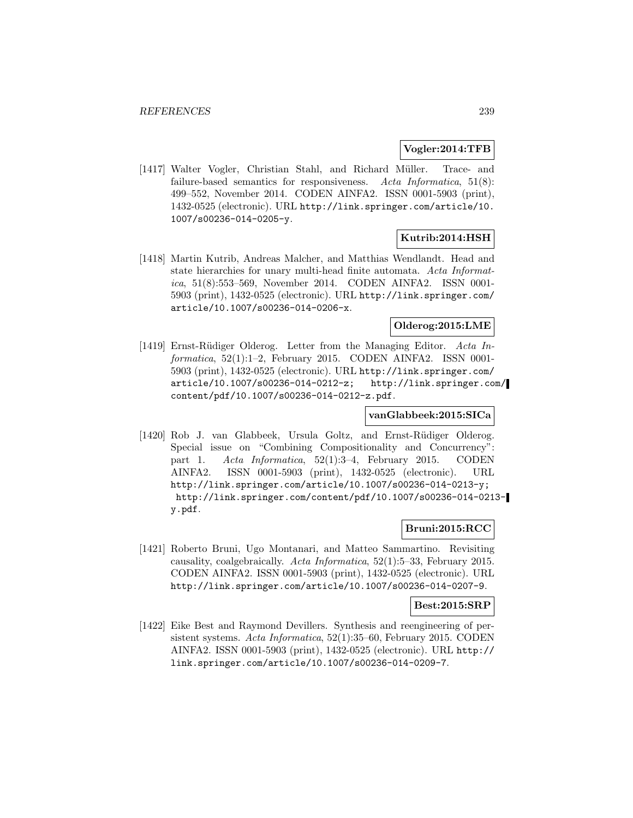**Vogler:2014:TFB**

[1417] Walter Vogler, Christian Stahl, and Richard Müller. Trace- and failure-based semantics for responsiveness. Acta Informatica, 51(8): 499–552, November 2014. CODEN AINFA2. ISSN 0001-5903 (print), 1432-0525 (electronic). URL http://link.springer.com/article/10. 1007/s00236-014-0205-y.

# **Kutrib:2014:HSH**

[1418] Martin Kutrib, Andreas Malcher, and Matthias Wendlandt. Head and state hierarchies for unary multi-head finite automata. Acta Informatica, 51(8):553–569, November 2014. CODEN AINFA2. ISSN 0001- 5903 (print), 1432-0525 (electronic). URL http://link.springer.com/ article/10.1007/s00236-014-0206-x.

# **Olderog:2015:LME**

[1419] Ernst-Rüdiger Olderog. Letter from the Managing Editor. Acta Informatica, 52(1):1–2, February 2015. CODEN AINFA2. ISSN 0001- 5903 (print), 1432-0525 (electronic). URL http://link.springer.com/ article/10.1007/s00236-014-0212-z; http://link.springer.com/ content/pdf/10.1007/s00236-014-0212-z.pdf.

### **vanGlabbeek:2015:SICa**

[1420] Rob J. van Glabbeek, Ursula Goltz, and Ernst-Rüdiger Olderog. Special issue on "Combining Compositionality and Concurrency": part 1. Acta Informatica, 52(1):3–4, February 2015. CODEN AINFA2. ISSN 0001-5903 (print), 1432-0525 (electronic). URL http://link.springer.com/article/10.1007/s00236-014-0213-y; http://link.springer.com/content/pdf/10.1007/s00236-014-0213 y.pdf.

# **Bruni:2015:RCC**

[1421] Roberto Bruni, Ugo Montanari, and Matteo Sammartino. Revisiting causality, coalgebraically. Acta Informatica, 52(1):5–33, February 2015. CODEN AINFA2. ISSN 0001-5903 (print), 1432-0525 (electronic). URL http://link.springer.com/article/10.1007/s00236-014-0207-9.

#### **Best:2015:SRP**

[1422] Eike Best and Raymond Devillers. Synthesis and reengineering of persistent systems. Acta Informatica, 52(1):35–60, February 2015. CODEN AINFA2. ISSN 0001-5903 (print), 1432-0525 (electronic). URL http:// link.springer.com/article/10.1007/s00236-014-0209-7.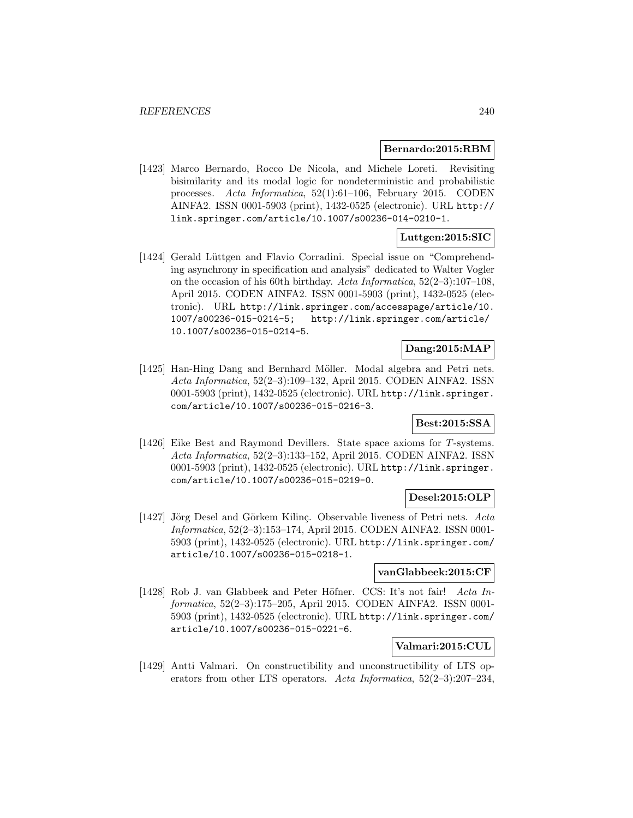#### **Bernardo:2015:RBM**

[1423] Marco Bernardo, Rocco De Nicola, and Michele Loreti. Revisiting bisimilarity and its modal logic for nondeterministic and probabilistic processes. Acta Informatica, 52(1):61–106, February 2015. CODEN AINFA2. ISSN 0001-5903 (print), 1432-0525 (electronic). URL http:// link.springer.com/article/10.1007/s00236-014-0210-1.

# **Luttgen:2015:SIC**

[1424] Gerald Lüttgen and Flavio Corradini. Special issue on "Comprehending asynchrony in specification and analysis" dedicated to Walter Vogler on the occasion of his 60th birthday. Acta Informatica, 52(2–3):107–108, April 2015. CODEN AINFA2. ISSN 0001-5903 (print), 1432-0525 (electronic). URL http://link.springer.com/accesspage/article/10. 1007/s00236-015-0214-5; http://link.springer.com/article/ 10.1007/s00236-015-0214-5.

## **Dang:2015:MAP**

[1425] Han-Hing Dang and Bernhard Möller. Modal algebra and Petri nets. Acta Informatica, 52(2–3):109–132, April 2015. CODEN AINFA2. ISSN 0001-5903 (print), 1432-0525 (electronic). URL http://link.springer. com/article/10.1007/s00236-015-0216-3.

# **Best:2015:SSA**

[1426] Eike Best and Raymond Devillers. State space axioms for T-systems. Acta Informatica, 52(2–3):133–152, April 2015. CODEN AINFA2. ISSN 0001-5903 (print), 1432-0525 (electronic). URL http://link.springer. com/article/10.1007/s00236-015-0219-0.

### **Desel:2015:OLP**

[1427] Jörg Desel and Görkem Kilinç. Observable liveness of Petri nets.  $Acta$ Informatica, 52(2–3):153–174, April 2015. CODEN AINFA2. ISSN 0001- 5903 (print), 1432-0525 (electronic). URL http://link.springer.com/ article/10.1007/s00236-015-0218-1.

### **vanGlabbeek:2015:CF**

[1428] Rob J. van Glabbeek and Peter Höfner. CCS: It's not fair! Acta Informatica, 52(2–3):175–205, April 2015. CODEN AINFA2. ISSN 0001- 5903 (print), 1432-0525 (electronic). URL http://link.springer.com/ article/10.1007/s00236-015-0221-6.

# **Valmari:2015:CUL**

[1429] Antti Valmari. On constructibility and unconstructibility of LTS operators from other LTS operators. Acta Informatica,  $52(2-3):207-234$ ,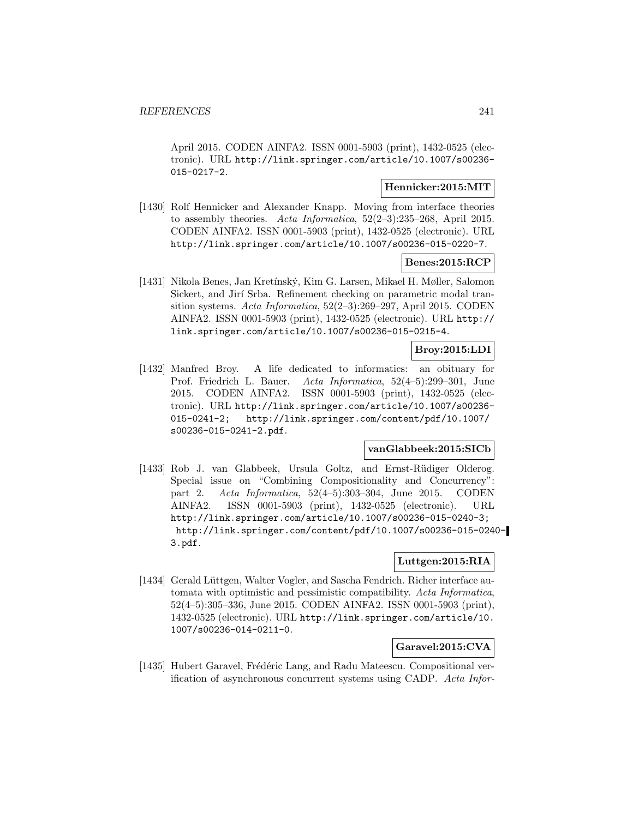April 2015. CODEN AINFA2. ISSN 0001-5903 (print), 1432-0525 (electronic). URL http://link.springer.com/article/10.1007/s00236- 015-0217-2.

# **Hennicker:2015:MIT**

[1430] Rolf Hennicker and Alexander Knapp. Moving from interface theories to assembly theories. Acta Informatica, 52(2–3):235–268, April 2015. CODEN AINFA2. ISSN 0001-5903 (print), 1432-0525 (electronic). URL http://link.springer.com/article/10.1007/s00236-015-0220-7.

# **Benes:2015:RCP**

[1431] Nikola Benes, Jan Kretínský, Kim G. Larsen, Mikael H. Møller, Salomon Sickert, and Jirí Srba. Refinement checking on parametric modal transition systems. Acta Informatica, 52(2–3):269–297, April 2015. CODEN AINFA2. ISSN 0001-5903 (print), 1432-0525 (electronic). URL http:// link.springer.com/article/10.1007/s00236-015-0215-4.

# **Broy:2015:LDI**

[1432] Manfred Broy. A life dedicated to informatics: an obituary for Prof. Friedrich L. Bauer. Acta Informatica, 52(4–5):299–301, June 2015. CODEN AINFA2. ISSN 0001-5903 (print), 1432-0525 (electronic). URL http://link.springer.com/article/10.1007/s00236- 015-0241-2; http://link.springer.com/content/pdf/10.1007/ s00236-015-0241-2.pdf.

### **vanGlabbeek:2015:SICb**

[1433] Rob J. van Glabbeek, Ursula Goltz, and Ernst-Rüdiger Olderog. Special issue on "Combining Compositionality and Concurrency": part 2. Acta Informatica, 52(4–5):303–304, June 2015. CODEN AINFA2. ISSN 0001-5903 (print), 1432-0525 (electronic). URL http://link.springer.com/article/10.1007/s00236-015-0240-3; http://link.springer.com/content/pdf/10.1007/s00236-015-0240- 3.pdf.

# **Luttgen:2015:RIA**

[1434] Gerald Lüttgen, Walter Vogler, and Sascha Fendrich. Richer interface automata with optimistic and pessimistic compatibility. Acta Informatica, 52(4–5):305–336, June 2015. CODEN AINFA2. ISSN 0001-5903 (print), 1432-0525 (electronic). URL http://link.springer.com/article/10. 1007/s00236-014-0211-0.

# **Garavel:2015:CVA**

[1435] Hubert Garavel, Frédéric Lang, and Radu Mateescu. Compositional verification of asynchronous concurrent systems using CADP. Acta Infor-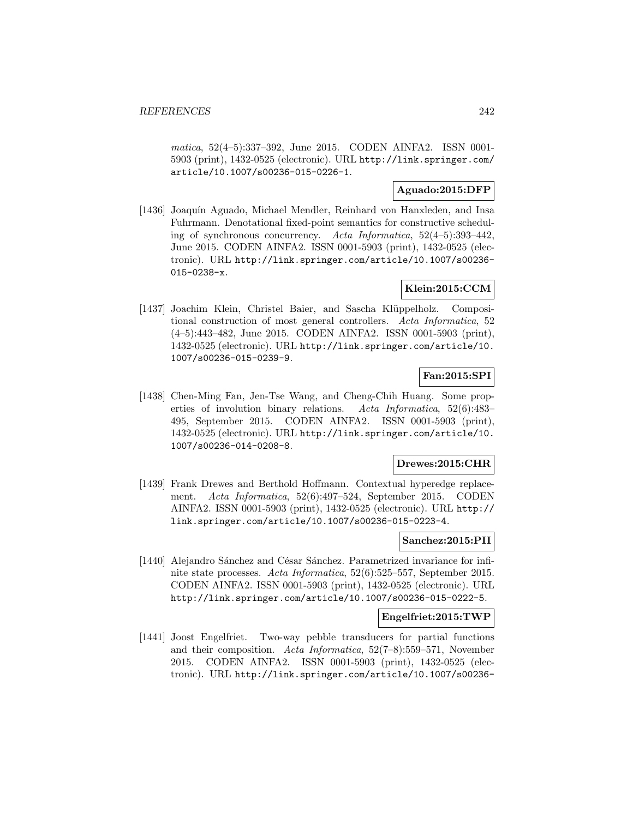matica, 52(4–5):337–392, June 2015. CODEN AINFA2. ISSN 0001- 5903 (print), 1432-0525 (electronic). URL http://link.springer.com/ article/10.1007/s00236-015-0226-1.

# **Aguado:2015:DFP**

[1436] Joaquín Aguado, Michael Mendler, Reinhard von Hanxleden, and Insa Fuhrmann. Denotational fixed-point semantics for constructive scheduling of synchronous concurrency. Acta Informatica, 52(4–5):393–442, June 2015. CODEN AINFA2. ISSN 0001-5903 (print), 1432-0525 (electronic). URL http://link.springer.com/article/10.1007/s00236- 015-0238-x.

# **Klein:2015:CCM**

[1437] Joachim Klein, Christel Baier, and Sascha Klüppelholz. Compositional construction of most general controllers. Acta Informatica, 52 (4–5):443–482, June 2015. CODEN AINFA2. ISSN 0001-5903 (print), 1432-0525 (electronic). URL http://link.springer.com/article/10. 1007/s00236-015-0239-9.

# **Fan:2015:SPI**

[1438] Chen-Ming Fan, Jen-Tse Wang, and Cheng-Chih Huang. Some properties of involution binary relations. Acta Informatica, 52(6):483– 495, September 2015. CODEN AINFA2. ISSN 0001-5903 (print), 1432-0525 (electronic). URL http://link.springer.com/article/10. 1007/s00236-014-0208-8.

### **Drewes:2015:CHR**

[1439] Frank Drewes and Berthold Hoffmann. Contextual hyperedge replacement. Acta Informatica, 52(6):497–524, September 2015. CODEN AINFA2. ISSN 0001-5903 (print), 1432-0525 (electronic). URL http:// link.springer.com/article/10.1007/s00236-015-0223-4.

#### **Sanchez:2015:PII**

[1440] Alejandro Sánchez and César Sánchez. Parametrized invariance for infinite state processes. Acta Informatica, 52(6):525–557, September 2015. CODEN AINFA2. ISSN 0001-5903 (print), 1432-0525 (electronic). URL http://link.springer.com/article/10.1007/s00236-015-0222-5.

### **Engelfriet:2015:TWP**

[1441] Joost Engelfriet. Two-way pebble transducers for partial functions and their composition. Acta Informatica, 52(7–8):559–571, November 2015. CODEN AINFA2. ISSN 0001-5903 (print), 1432-0525 (electronic). URL http://link.springer.com/article/10.1007/s00236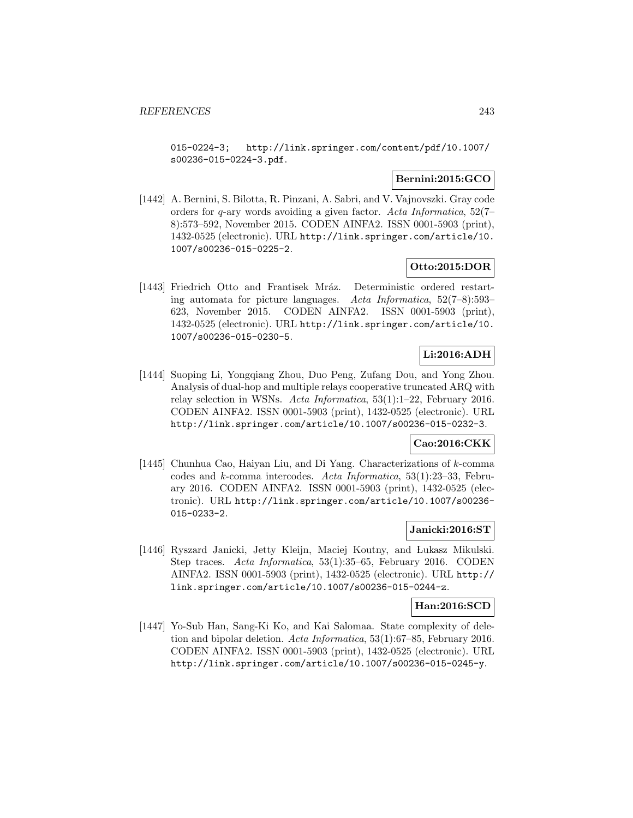015-0224-3; http://link.springer.com/content/pdf/10.1007/ s00236-015-0224-3.pdf.

### **Bernini:2015:GCO**

[1442] A. Bernini, S. Bilotta, R. Pinzani, A. Sabri, and V. Vajnovszki. Gray code orders for q-ary words avoiding a given factor. Acta Informatica, 52(7– 8):573–592, November 2015. CODEN AINFA2. ISSN 0001-5903 (print), 1432-0525 (electronic). URL http://link.springer.com/article/10. 1007/s00236-015-0225-2.

## **Otto:2015:DOR**

[1443] Friedrich Otto and Frantisek Mráz. Deterministic ordered restarting automata for picture languages. Acta Informatica, 52(7–8):593– 623, November 2015. CODEN AINFA2. ISSN 0001-5903 (print), 1432-0525 (electronic). URL http://link.springer.com/article/10. 1007/s00236-015-0230-5.

# **Li:2016:ADH**

[1444] Suoping Li, Yongqiang Zhou, Duo Peng, Zufang Dou, and Yong Zhou. Analysis of dual-hop and multiple relays cooperative truncated ARQ with relay selection in WSNs. Acta Informatica, 53(1):1–22, February 2016. CODEN AINFA2. ISSN 0001-5903 (print), 1432-0525 (electronic). URL http://link.springer.com/article/10.1007/s00236-015-0232-3.

# **Cao:2016:CKK**

[1445] Chunhua Cao, Haiyan Liu, and Di Yang. Characterizations of k-comma codes and k-comma intercodes. Acta Informatica, 53(1):23–33, February 2016. CODEN AINFA2. ISSN 0001-5903 (print), 1432-0525 (electronic). URL http://link.springer.com/article/10.1007/s00236- 015-0233-2.

## **Janicki:2016:ST**

[1446] Ryszard Janicki, Jetty Kleijn, Maciej Koutny, and Lukasz Mikulski. Step traces. Acta Informatica, 53(1):35–65, February 2016. CODEN AINFA2. ISSN 0001-5903 (print), 1432-0525 (electronic). URL http:// link.springer.com/article/10.1007/s00236-015-0244-z.

#### **Han:2016:SCD**

[1447] Yo-Sub Han, Sang-Ki Ko, and Kai Salomaa. State complexity of deletion and bipolar deletion. Acta Informatica, 53(1):67–85, February 2016. CODEN AINFA2. ISSN 0001-5903 (print), 1432-0525 (electronic). URL http://link.springer.com/article/10.1007/s00236-015-0245-y.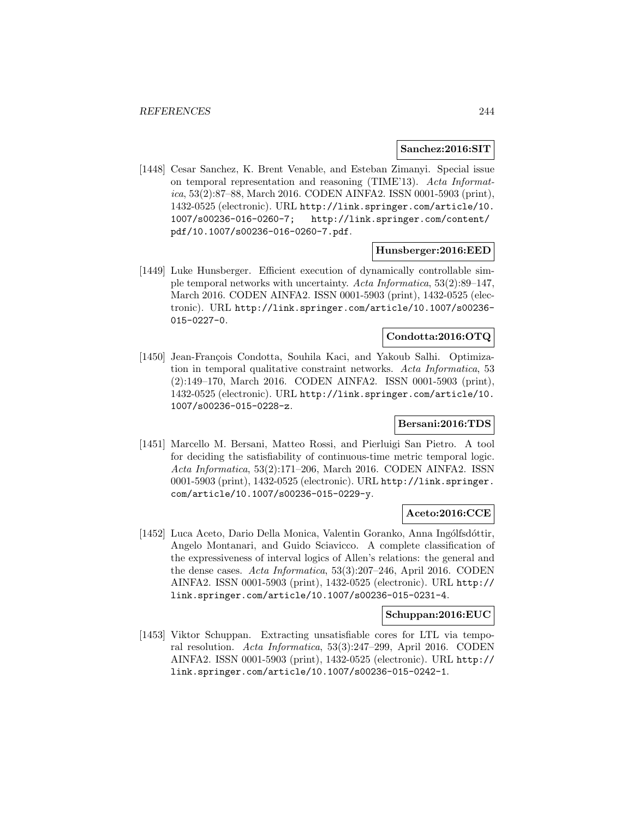#### **Sanchez:2016:SIT**

[1448] Cesar Sanchez, K. Brent Venable, and Esteban Zimanyi. Special issue on temporal representation and reasoning (TIME'13). Acta Informatica, 53(2):87–88, March 2016. CODEN AINFA2. ISSN 0001-5903 (print), 1432-0525 (electronic). URL http://link.springer.com/article/10. 1007/s00236-016-0260-7; http://link.springer.com/content/ pdf/10.1007/s00236-016-0260-7.pdf.

### **Hunsberger:2016:EED**

[1449] Luke Hunsberger. Efficient execution of dynamically controllable simple temporal networks with uncertainty. Acta Informatica, 53(2):89–147, March 2016. CODEN AINFA2. ISSN 0001-5903 (print), 1432-0525 (electronic). URL http://link.springer.com/article/10.1007/s00236- 015-0227-0.

# **Condotta:2016:OTQ**

[1450] Jean-François Condotta, Souhila Kaci, and Yakoub Salhi. Optimization in temporal qualitative constraint networks. Acta Informatica, 53 (2):149–170, March 2016. CODEN AINFA2. ISSN 0001-5903 (print), 1432-0525 (electronic). URL http://link.springer.com/article/10. 1007/s00236-015-0228-z.

### **Bersani:2016:TDS**

[1451] Marcello M. Bersani, Matteo Rossi, and Pierluigi San Pietro. A tool for deciding the satisfiability of continuous-time metric temporal logic. Acta Informatica, 53(2):171–206, March 2016. CODEN AINFA2. ISSN 0001-5903 (print), 1432-0525 (electronic). URL http://link.springer. com/article/10.1007/s00236-015-0229-y.

# **Aceto:2016:CCE**

[1452] Luca Aceto, Dario Della Monica, Valentin Goranko, Anna Ingólfsdóttir, Angelo Montanari, and Guido Sciavicco. A complete classification of the expressiveness of interval logics of Allen's relations: the general and the dense cases. Acta Informatica, 53(3):207–246, April 2016. CODEN AINFA2. ISSN 0001-5903 (print), 1432-0525 (electronic). URL http:// link.springer.com/article/10.1007/s00236-015-0231-4.

### **Schuppan:2016:EUC**

[1453] Viktor Schuppan. Extracting unsatisfiable cores for LTL via temporal resolution. Acta Informatica, 53(3):247–299, April 2016. CODEN AINFA2. ISSN 0001-5903 (print), 1432-0525 (electronic). URL http:// link.springer.com/article/10.1007/s00236-015-0242-1.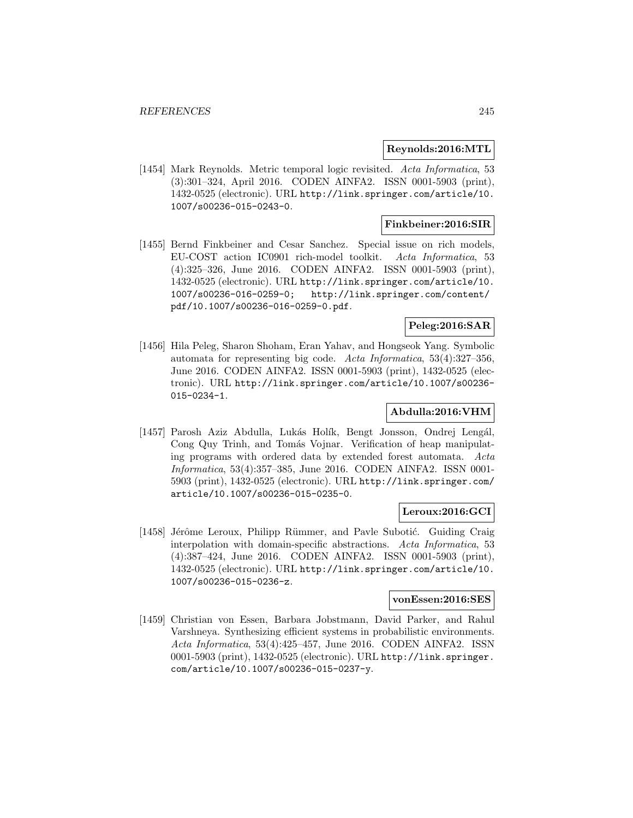#### **Reynolds:2016:MTL**

[1454] Mark Reynolds. Metric temporal logic revisited. Acta Informatica, 53 (3):301–324, April 2016. CODEN AINFA2. ISSN 0001-5903 (print), 1432-0525 (electronic). URL http://link.springer.com/article/10. 1007/s00236-015-0243-0.

#### **Finkbeiner:2016:SIR**

[1455] Bernd Finkbeiner and Cesar Sanchez. Special issue on rich models, EU-COST action IC0901 rich-model toolkit. Acta Informatica, 53 (4):325–326, June 2016. CODEN AINFA2. ISSN 0001-5903 (print), 1432-0525 (electronic). URL http://link.springer.com/article/10. 1007/s00236-016-0259-0; http://link.springer.com/content/ pdf/10.1007/s00236-016-0259-0.pdf.

# **Peleg:2016:SAR**

[1456] Hila Peleg, Sharon Shoham, Eran Yahav, and Hongseok Yang. Symbolic automata for representing big code. Acta Informatica, 53(4):327–356, June 2016. CODEN AINFA2. ISSN 0001-5903 (print), 1432-0525 (electronic). URL http://link.springer.com/article/10.1007/s00236- 015-0234-1.

# **Abdulla:2016:VHM**

[1457] Parosh Aziz Abdulla, Lukás Holík, Bengt Jonsson, Ondrej Lengál, Cong Quy Trinh, and Tomás Vojnar. Verification of heap manipulating programs with ordered data by extended forest automata. Acta Informatica, 53(4):357–385, June 2016. CODEN AINFA2. ISSN 0001- 5903 (print), 1432-0525 (electronic). URL http://link.springer.com/ article/10.1007/s00236-015-0235-0.

### **Leroux:2016:GCI**

[1458] Jérôme Leroux, Philipp Rümmer, and Pavle Subotić. Guiding Craig interpolation with domain-specific abstractions. Acta Informatica, 53 (4):387–424, June 2016. CODEN AINFA2. ISSN 0001-5903 (print), 1432-0525 (electronic). URL http://link.springer.com/article/10. 1007/s00236-015-0236-z.

#### **vonEssen:2016:SES**

[1459] Christian von Essen, Barbara Jobstmann, David Parker, and Rahul Varshneya. Synthesizing efficient systems in probabilistic environments. Acta Informatica, 53(4):425–457, June 2016. CODEN AINFA2. ISSN 0001-5903 (print), 1432-0525 (electronic). URL http://link.springer. com/article/10.1007/s00236-015-0237-y.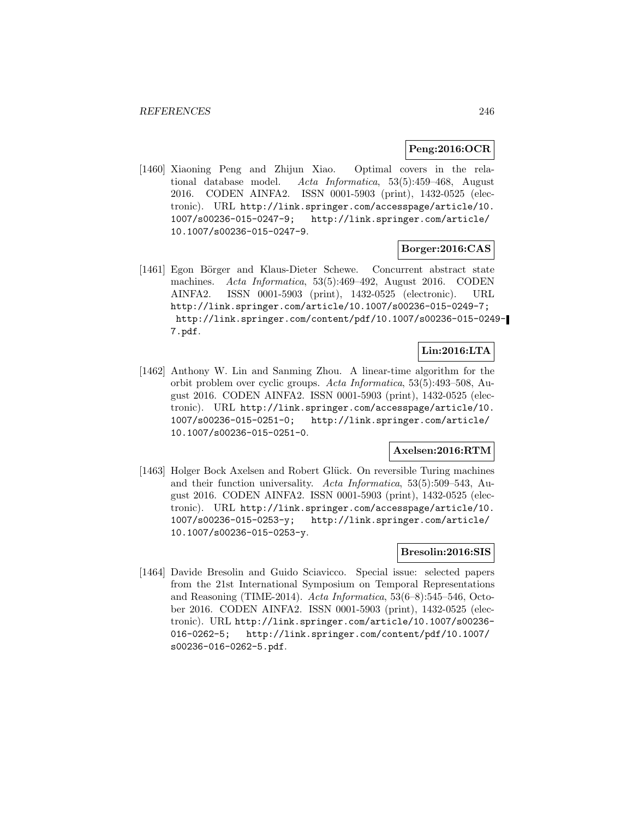#### **Peng:2016:OCR**

[1460] Xiaoning Peng and Zhijun Xiao. Optimal covers in the relational database model. Acta Informatica, 53(5):459–468, August 2016. CODEN AINFA2. ISSN 0001-5903 (print), 1432-0525 (electronic). URL http://link.springer.com/accesspage/article/10. 1007/s00236-015-0247-9; http://link.springer.com/article/ 10.1007/s00236-015-0247-9.

### **Borger:2016:CAS**

[1461] Egon Börger and Klaus-Dieter Schewe. Concurrent abstract state machines. Acta Informatica, 53(5):469–492, August 2016. CODEN AINFA2. ISSN 0001-5903 (print), 1432-0525 (electronic). URL http://link.springer.com/article/10.1007/s00236-015-0249-7; http://link.springer.com/content/pdf/10.1007/s00236-015-0249- 7.pdf.

# **Lin:2016:LTA**

[1462] Anthony W. Lin and Sanming Zhou. A linear-time algorithm for the orbit problem over cyclic groups. Acta Informatica, 53(5):493–508, August 2016. CODEN AINFA2. ISSN 0001-5903 (print), 1432-0525 (electronic). URL http://link.springer.com/accesspage/article/10. 1007/s00236-015-0251-0; http://link.springer.com/article/ 10.1007/s00236-015-0251-0.

### **Axelsen:2016:RTM**

[1463] Holger Bock Axelsen and Robert Glück. On reversible Turing machines and their function universality. Acta Informatica, 53(5):509–543, August 2016. CODEN AINFA2. ISSN 0001-5903 (print), 1432-0525 (electronic). URL http://link.springer.com/accesspage/article/10. 1007/s00236-015-0253-y; http://link.springer.com/article/ 10.1007/s00236-015-0253-y.

#### **Bresolin:2016:SIS**

[1464] Davide Bresolin and Guido Sciavicco. Special issue: selected papers from the 21st International Symposium on Temporal Representations and Reasoning (TIME-2014). Acta Informatica, 53(6–8):545–546, October 2016. CODEN AINFA2. ISSN 0001-5903 (print), 1432-0525 (electronic). URL http://link.springer.com/article/10.1007/s00236- 016-0262-5; http://link.springer.com/content/pdf/10.1007/ s00236-016-0262-5.pdf.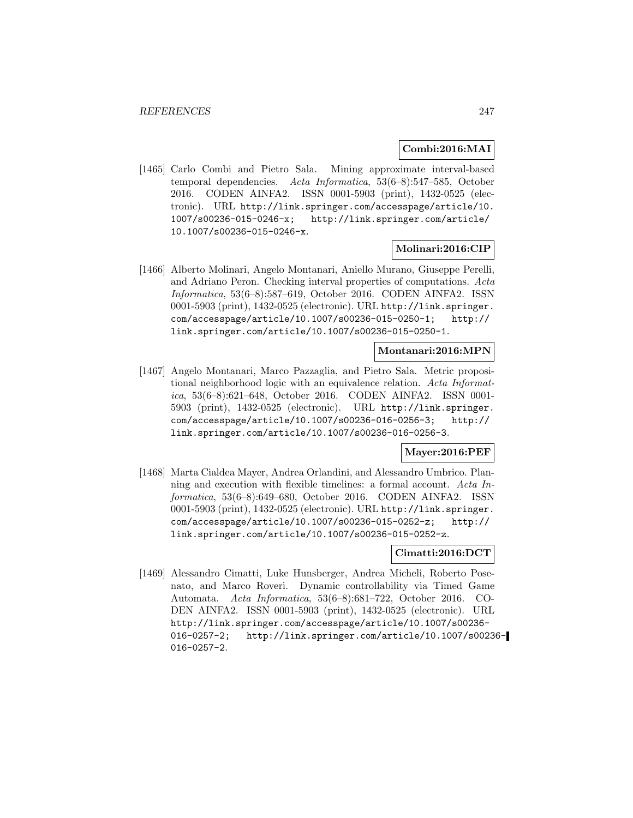### **Combi:2016:MAI**

[1465] Carlo Combi and Pietro Sala. Mining approximate interval-based temporal dependencies. Acta Informatica, 53(6–8):547–585, October 2016. CODEN AINFA2. ISSN 0001-5903 (print), 1432-0525 (electronic). URL http://link.springer.com/accesspage/article/10. 1007/s00236-015-0246-x; http://link.springer.com/article/ 10.1007/s00236-015-0246-x.

### **Molinari:2016:CIP**

[1466] Alberto Molinari, Angelo Montanari, Aniello Murano, Giuseppe Perelli, and Adriano Peron. Checking interval properties of computations. Acta Informatica, 53(6–8):587–619, October 2016. CODEN AINFA2. ISSN 0001-5903 (print), 1432-0525 (electronic). URL http://link.springer. com/accesspage/article/10.1007/s00236-015-0250-1; http:// link.springer.com/article/10.1007/s00236-015-0250-1.

### **Montanari:2016:MPN**

[1467] Angelo Montanari, Marco Pazzaglia, and Pietro Sala. Metric propositional neighborhood logic with an equivalence relation. Acta Informatica, 53(6–8):621–648, October 2016. CODEN AINFA2. ISSN 0001- 5903 (print), 1432-0525 (electronic). URL http://link.springer. com/accesspage/article/10.1007/s00236-016-0256-3; http:// link.springer.com/article/10.1007/s00236-016-0256-3.

### **Mayer:2016:PEF**

[1468] Marta Cialdea Mayer, Andrea Orlandini, and Alessandro Umbrico. Planning and execution with flexible timelines: a formal account. Acta Informatica, 53(6–8):649–680, October 2016. CODEN AINFA2. ISSN 0001-5903 (print), 1432-0525 (electronic). URL http://link.springer. com/accesspage/article/10.1007/s00236-015-0252-z; http:// link.springer.com/article/10.1007/s00236-015-0252-z.

### **Cimatti:2016:DCT**

[1469] Alessandro Cimatti, Luke Hunsberger, Andrea Micheli, Roberto Posenato, and Marco Roveri. Dynamic controllability via Timed Game Automata. Acta Informatica, 53(6–8):681–722, October 2016. CO-DEN AINFA2. ISSN 0001-5903 (print), 1432-0525 (electronic). URL http://link.springer.com/accesspage/article/10.1007/s00236- 016-0257-2; http://link.springer.com/article/10.1007/s00236- 016-0257-2.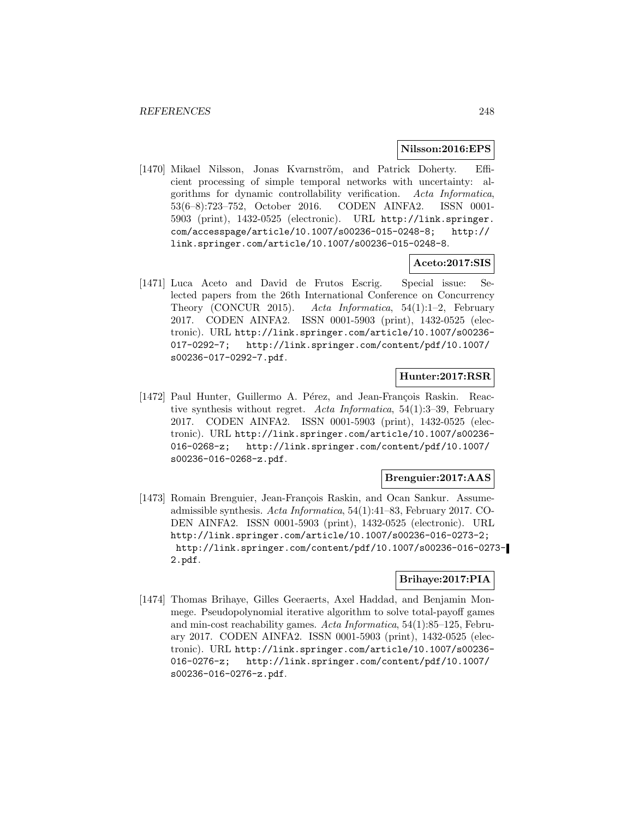**Nilsson:2016:EPS**

[1470] Mikael Nilsson, Jonas Kvarnström, and Patrick Doherty. Efficient processing of simple temporal networks with uncertainty: algorithms for dynamic controllability verification. Acta Informatica, 53(6–8):723–752, October 2016. CODEN AINFA2. ISSN 0001- 5903 (print), 1432-0525 (electronic). URL http://link.springer. com/accesspage/article/10.1007/s00236-015-0248-8; http:// link.springer.com/article/10.1007/s00236-015-0248-8.

#### **Aceto:2017:SIS**

[1471] Luca Aceto and David de Frutos Escrig. Special issue: Selected papers from the 26th International Conference on Concurrency Theory (CONCUR 2015). Acta Informatica, 54(1):1–2, February 2017. CODEN AINFA2. ISSN 0001-5903 (print), 1432-0525 (electronic). URL http://link.springer.com/article/10.1007/s00236- 017-0292-7; http://link.springer.com/content/pdf/10.1007/ s00236-017-0292-7.pdf.

## **Hunter:2017:RSR**

[1472] Paul Hunter, Guillermo A. Pérez, and Jean-François Raskin. Reactive synthesis without regret. Acta Informatica, 54(1):3–39, February 2017. CODEN AINFA2. ISSN 0001-5903 (print), 1432-0525 (electronic). URL http://link.springer.com/article/10.1007/s00236- 016-0268-z; http://link.springer.com/content/pdf/10.1007/ s00236-016-0268-z.pdf.

# **Brenguier:2017:AAS**

[1473] Romain Brenguier, Jean-François Raskin, and Ocan Sankur. Assumeadmissible synthesis. Acta Informatica, 54(1):41–83, February 2017. CO-DEN AINFA2. ISSN 0001-5903 (print), 1432-0525 (electronic). URL http://link.springer.com/article/10.1007/s00236-016-0273-2; http://link.springer.com/content/pdf/10.1007/s00236-016-0273- 2.pdf.

## **Brihaye:2017:PIA**

[1474] Thomas Brihaye, Gilles Geeraerts, Axel Haddad, and Benjamin Monmege. Pseudopolynomial iterative algorithm to solve total-payoff games and min-cost reachability games. Acta Informatica, 54(1):85–125, February 2017. CODEN AINFA2. ISSN 0001-5903 (print), 1432-0525 (electronic). URL http://link.springer.com/article/10.1007/s00236- 016-0276-z; http://link.springer.com/content/pdf/10.1007/ s00236-016-0276-z.pdf.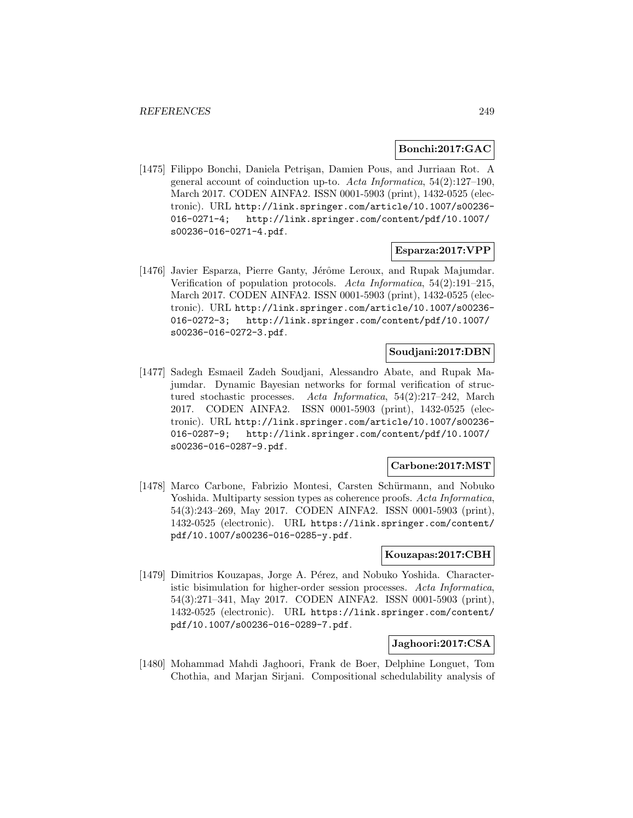#### **Bonchi:2017:GAC**

[1475] Filippo Bonchi, Daniela Petrişan, Damien Pous, and Jurriaan Rot. A general account of coinduction up-to. Acta Informatica, 54(2):127–190, March 2017. CODEN AINFA2. ISSN 0001-5903 (print), 1432-0525 (electronic). URL http://link.springer.com/article/10.1007/s00236- 016-0271-4; http://link.springer.com/content/pdf/10.1007/ s00236-016-0271-4.pdf.

### **Esparza:2017:VPP**

[1476] Javier Esparza, Pierre Ganty, Jérôme Leroux, and Rupak Majumdar. Verification of population protocols. Acta Informatica, 54(2):191–215, March 2017. CODEN AINFA2. ISSN 0001-5903 (print), 1432-0525 (electronic). URL http://link.springer.com/article/10.1007/s00236- 016-0272-3; http://link.springer.com/content/pdf/10.1007/ s00236-016-0272-3.pdf.

### **Soudjani:2017:DBN**

[1477] Sadegh Esmaeil Zadeh Soudjani, Alessandro Abate, and Rupak Majumdar. Dynamic Bayesian networks for formal verification of structured stochastic processes. Acta Informatica, 54(2):217–242, March 2017. CODEN AINFA2. ISSN 0001-5903 (print), 1432-0525 (electronic). URL http://link.springer.com/article/10.1007/s00236- 016-0287-9; http://link.springer.com/content/pdf/10.1007/ s00236-016-0287-9.pdf.

## **Carbone:2017:MST**

[1478] Marco Carbone, Fabrizio Montesi, Carsten Schürmann, and Nobuko Yoshida. Multiparty session types as coherence proofs. Acta Informatica, 54(3):243–269, May 2017. CODEN AINFA2. ISSN 0001-5903 (print), 1432-0525 (electronic). URL https://link.springer.com/content/ pdf/10.1007/s00236-016-0285-y.pdf.

#### **Kouzapas:2017:CBH**

[1479] Dimitrios Kouzapas, Jorge A. Pérez, and Nobuko Yoshida. Characteristic bisimulation for higher-order session processes. Acta Informatica, 54(3):271–341, May 2017. CODEN AINFA2. ISSN 0001-5903 (print), 1432-0525 (electronic). URL https://link.springer.com/content/ pdf/10.1007/s00236-016-0289-7.pdf.

#### **Jaghoori:2017:CSA**

[1480] Mohammad Mahdi Jaghoori, Frank de Boer, Delphine Longuet, Tom Chothia, and Marjan Sirjani. Compositional schedulability analysis of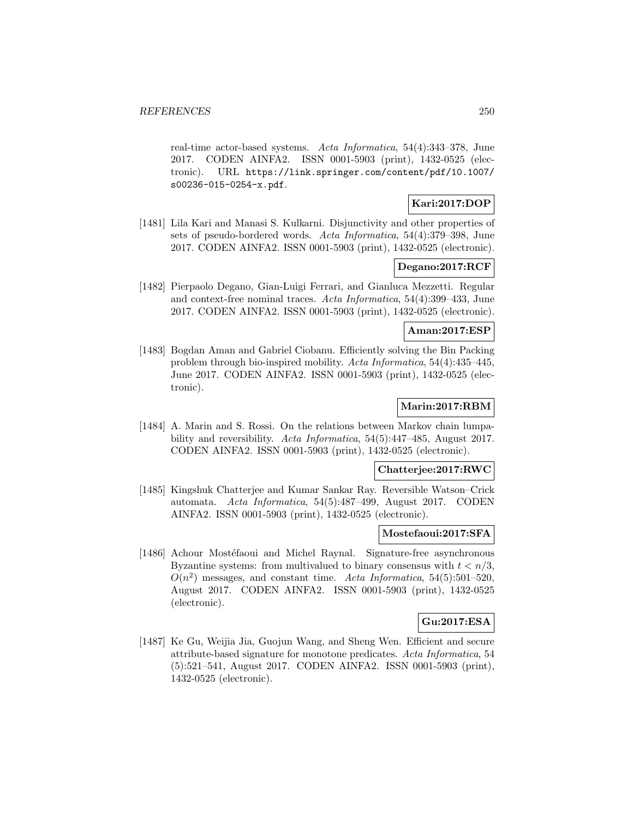real-time actor-based systems. Acta Informatica, 54(4):343–378, June 2017. CODEN AINFA2. ISSN 0001-5903 (print), 1432-0525 (electronic). URL https://link.springer.com/content/pdf/10.1007/ s00236-015-0254-x.pdf.

# **Kari:2017:DOP**

[1481] Lila Kari and Manasi S. Kulkarni. Disjunctivity and other properties of sets of pseudo-bordered words. Acta Informatica, 54(4):379–398, June 2017. CODEN AINFA2. ISSN 0001-5903 (print), 1432-0525 (electronic).

## **Degano:2017:RCF**

[1482] Pierpaolo Degano, Gian-Luigi Ferrari, and Gianluca Mezzetti. Regular and context-free nominal traces. Acta Informatica, 54(4):399–433, June 2017. CODEN AINFA2. ISSN 0001-5903 (print), 1432-0525 (electronic).

## **Aman:2017:ESP**

[1483] Bogdan Aman and Gabriel Ciobanu. Efficiently solving the Bin Packing problem through bio-inspired mobility. Acta Informatica, 54(4):435–445, June 2017. CODEN AINFA2. ISSN 0001-5903 (print), 1432-0525 (electronic).

# **Marin:2017:RBM**

[1484] A. Marin and S. Rossi. On the relations between Markov chain lumpability and reversibility. Acta Informatica, 54(5):447–485, August 2017. CODEN AINFA2. ISSN 0001-5903 (print), 1432-0525 (electronic).

### **Chatterjee:2017:RWC**

[1485] Kingshuk Chatterjee and Kumar Sankar Ray. Reversible Watson–Crick automata. Acta Informatica, 54(5):487–499, August 2017. CODEN AINFA2. ISSN 0001-5903 (print), 1432-0525 (electronic).

#### **Mostefaoui:2017:SFA**

[1486] Achour Mostéfaoui and Michel Raynal. Signature-free asynchronous Byzantine systems: from multivalued to binary consensus with  $t < n/3$ ,  $O(n^2)$  messages, and constant time. Acta Informatica, 54(5):501–520, August 2017. CODEN AINFA2. ISSN 0001-5903 (print), 1432-0525 (electronic).

# **Gu:2017:ESA**

[1487] Ke Gu, Weijia Jia, Guojun Wang, and Sheng Wen. Efficient and secure attribute-based signature for monotone predicates. Acta Informatica, 54 (5):521–541, August 2017. CODEN AINFA2. ISSN 0001-5903 (print), 1432-0525 (electronic).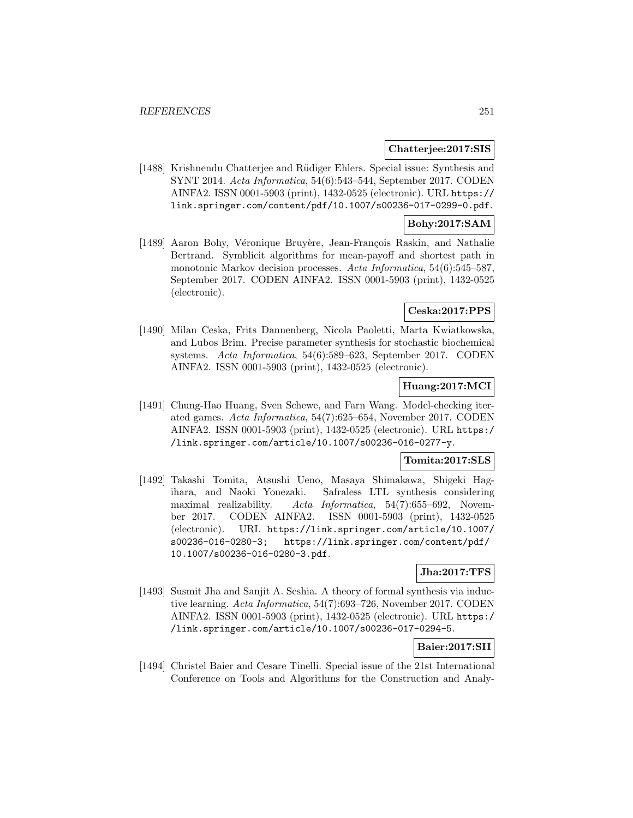#### **Chatterjee:2017:SIS**

[1488] Krishnendu Chatterjee and R¨udiger Ehlers. Special issue: Synthesis and SYNT 2014. Acta Informatica, 54(6):543–544, September 2017. CODEN AINFA2. ISSN 0001-5903 (print), 1432-0525 (electronic). URL https:// link.springer.com/content/pdf/10.1007/s00236-017-0299-0.pdf.

### **Bohy:2017:SAM**

[1489] Aaron Bohy, Véronique Bruyère, Jean-François Raskin, and Nathalie Bertrand. Symblicit algorithms for mean-payoff and shortest path in monotonic Markov decision processes. Acta Informatica, 54(6):545–587, September 2017. CODEN AINFA2. ISSN 0001-5903 (print), 1432-0525 (electronic).

# **Ceska:2017:PPS**

[1490] Milan Ceska, Frits Dannenberg, Nicola Paoletti, Marta Kwiatkowska, and Lubos Brim. Precise parameter synthesis for stochastic biochemical systems. Acta Informatica, 54(6):589–623, September 2017. CODEN AINFA2. ISSN 0001-5903 (print), 1432-0525 (electronic).

### **Huang:2017:MCI**

[1491] Chung-Hao Huang, Sven Schewe, and Farn Wang. Model-checking iterated games. Acta Informatica, 54(7):625–654, November 2017. CODEN AINFA2. ISSN 0001-5903 (print), 1432-0525 (electronic). URL https:/ /link.springer.com/article/10.1007/s00236-016-0277-y.

# **Tomita:2017:SLS**

[1492] Takashi Tomita, Atsushi Ueno, Masaya Shimakawa, Shigeki Hagihara, and Naoki Yonezaki. Safraless LTL synthesis considering maximal realizability. Acta Informatica, 54(7):655–692, November 2017. CODEN AINFA2. ISSN 0001-5903 (print), 1432-0525 (electronic). URL https://link.springer.com/article/10.1007/ s00236-016-0280-3; https://link.springer.com/content/pdf/ 10.1007/s00236-016-0280-3.pdf.

# **Jha:2017:TFS**

[1493] Susmit Jha and Sanjit A. Seshia. A theory of formal synthesis via inductive learning. Acta Informatica, 54(7):693–726, November 2017. CODEN AINFA2. ISSN 0001-5903 (print), 1432-0525 (electronic). URL https:/ /link.springer.com/article/10.1007/s00236-017-0294-5.

# **Baier:2017:SII**

[1494] Christel Baier and Cesare Tinelli. Special issue of the 21st International Conference on Tools and Algorithms for the Construction and Analy-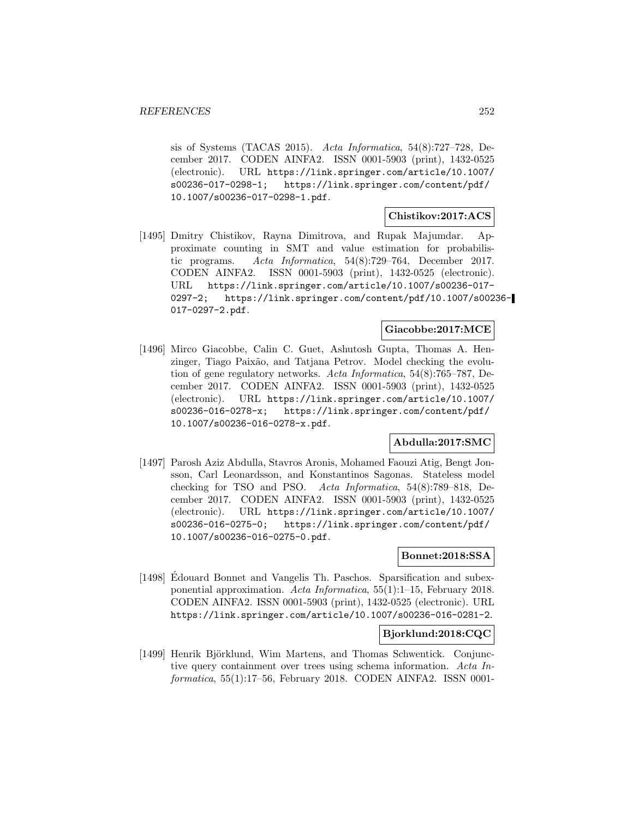sis of Systems (TACAS 2015). Acta Informatica, 54(8):727–728, December 2017. CODEN AINFA2. ISSN 0001-5903 (print), 1432-0525 (electronic). URL https://link.springer.com/article/10.1007/ s00236-017-0298-1; https://link.springer.com/content/pdf/ 10.1007/s00236-017-0298-1.pdf.

# **Chistikov:2017:ACS**

[1495] Dmitry Chistikov, Rayna Dimitrova, and Rupak Majumdar. Approximate counting in SMT and value estimation for probabilistic programs. Acta Informatica, 54(8):729–764, December 2017. CODEN AINFA2. ISSN 0001-5903 (print), 1432-0525 (electronic). URL https://link.springer.com/article/10.1007/s00236-017- 0297-2; https://link.springer.com/content/pdf/10.1007/s00236- 017-0297-2.pdf.

### **Giacobbe:2017:MCE**

[1496] Mirco Giacobbe, Calin C. Guet, Ashutosh Gupta, Thomas A. Henzinger, Tiago Paixão, and Tatjana Petrov. Model checking the evolution of gene regulatory networks. Acta Informatica, 54(8):765–787, December 2017. CODEN AINFA2. ISSN 0001-5903 (print), 1432-0525 (electronic). URL https://link.springer.com/article/10.1007/ s00236-016-0278-x; https://link.springer.com/content/pdf/ 10.1007/s00236-016-0278-x.pdf.

# **Abdulla:2017:SMC**

[1497] Parosh Aziz Abdulla, Stavros Aronis, Mohamed Faouzi Atig, Bengt Jonsson, Carl Leonardsson, and Konstantinos Sagonas. Stateless model checking for TSO and PSO. Acta Informatica, 54(8):789–818, December 2017. CODEN AINFA2. ISSN 0001-5903 (print), 1432-0525 (electronic). URL https://link.springer.com/article/10.1007/ s00236-016-0275-0; https://link.springer.com/content/pdf/ 10.1007/s00236-016-0275-0.pdf.

#### **Bonnet:2018:SSA**

[1498] Edouard Bonnet and Vangelis Th. Paschos. Sparsification and subex- ´ ponential approximation. Acta Informatica, 55(1):1–15, February 2018. CODEN AINFA2. ISSN 0001-5903 (print), 1432-0525 (electronic). URL https://link.springer.com/article/10.1007/s00236-016-0281-2.

### **Bjorklund:2018:CQC**

[1499] Henrik Björklund, Wim Martens, and Thomas Schwentick. Conjunctive query containment over trees using schema information. Acta Informatica, 55(1):17–56, February 2018. CODEN AINFA2. ISSN 0001-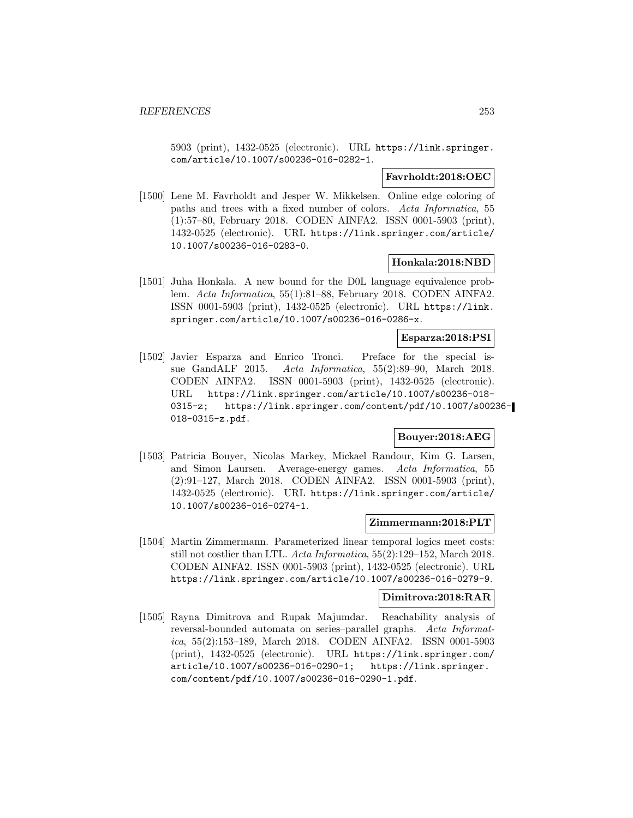5903 (print), 1432-0525 (electronic). URL https://link.springer. com/article/10.1007/s00236-016-0282-1.

### **Favrholdt:2018:OEC**

[1500] Lene M. Favrholdt and Jesper W. Mikkelsen. Online edge coloring of paths and trees with a fixed number of colors. Acta Informatica, 55 (1):57–80, February 2018. CODEN AINFA2. ISSN 0001-5903 (print), 1432-0525 (electronic). URL https://link.springer.com/article/ 10.1007/s00236-016-0283-0.

# **Honkala:2018:NBD**

[1501] Juha Honkala. A new bound for the D0L language equivalence problem. Acta Informatica, 55(1):81–88, February 2018. CODEN AINFA2. ISSN 0001-5903 (print), 1432-0525 (electronic). URL https://link. springer.com/article/10.1007/s00236-016-0286-x.

#### **Esparza:2018:PSI**

[1502] Javier Esparza and Enrico Tronci. Preface for the special issue GandALF 2015. Acta Informatica, 55(2):89–90, March 2018. CODEN AINFA2. ISSN 0001-5903 (print), 1432-0525 (electronic). URL https://link.springer.com/article/10.1007/s00236-018- 0315-z; https://link.springer.com/content/pdf/10.1007/s00236- 018-0315-z.pdf.

#### **Bouyer:2018:AEG**

[1503] Patricia Bouyer, Nicolas Markey, Mickael Randour, Kim G. Larsen, and Simon Laursen. Average-energy games. Acta Informatica, 55 (2):91–127, March 2018. CODEN AINFA2. ISSN 0001-5903 (print), 1432-0525 (electronic). URL https://link.springer.com/article/ 10.1007/s00236-016-0274-1.

### **Zimmermann:2018:PLT**

[1504] Martin Zimmermann. Parameterized linear temporal logics meet costs: still not costlier than LTL. Acta Informatica, 55(2):129–152, March 2018. CODEN AINFA2. ISSN 0001-5903 (print), 1432-0525 (electronic). URL https://link.springer.com/article/10.1007/s00236-016-0279-9.

#### **Dimitrova:2018:RAR**

[1505] Rayna Dimitrova and Rupak Majumdar. Reachability analysis of reversal-bounded automata on series–parallel graphs. Acta Informatica, 55(2):153–189, March 2018. CODEN AINFA2. ISSN 0001-5903 (print), 1432-0525 (electronic). URL https://link.springer.com/ article/10.1007/s00236-016-0290-1; https://link.springer. com/content/pdf/10.1007/s00236-016-0290-1.pdf.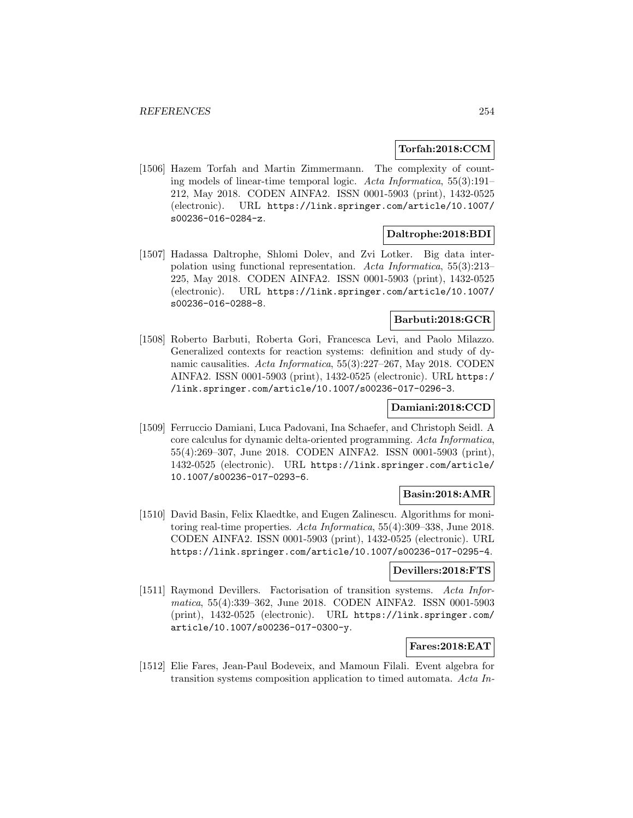### **Torfah:2018:CCM**

[1506] Hazem Torfah and Martin Zimmermann. The complexity of counting models of linear-time temporal logic. Acta Informatica, 55(3):191– 212, May 2018. CODEN AINFA2. ISSN 0001-5903 (print), 1432-0525 (electronic). URL https://link.springer.com/article/10.1007/ s00236-016-0284-z.

### **Daltrophe:2018:BDI**

[1507] Hadassa Daltrophe, Shlomi Dolev, and Zvi Lotker. Big data interpolation using functional representation. Acta Informatica, 55(3):213– 225, May 2018. CODEN AINFA2. ISSN 0001-5903 (print), 1432-0525 (electronic). URL https://link.springer.com/article/10.1007/ s00236-016-0288-8.

## **Barbuti:2018:GCR**

[1508] Roberto Barbuti, Roberta Gori, Francesca Levi, and Paolo Milazzo. Generalized contexts for reaction systems: definition and study of dynamic causalities. Acta Informatica, 55(3):227–267, May 2018. CODEN AINFA2. ISSN 0001-5903 (print), 1432-0525 (electronic). URL https:/ /link.springer.com/article/10.1007/s00236-017-0296-3.

# **Damiani:2018:CCD**

[1509] Ferruccio Damiani, Luca Padovani, Ina Schaefer, and Christoph Seidl. A core calculus for dynamic delta-oriented programming. Acta Informatica, 55(4):269–307, June 2018. CODEN AINFA2. ISSN 0001-5903 (print), 1432-0525 (electronic). URL https://link.springer.com/article/ 10.1007/s00236-017-0293-6.

# **Basin:2018:AMR**

[1510] David Basin, Felix Klaedtke, and Eugen Zalinescu. Algorithms for monitoring real-time properties. Acta Informatica, 55(4):309–338, June 2018. CODEN AINFA2. ISSN 0001-5903 (print), 1432-0525 (electronic). URL https://link.springer.com/article/10.1007/s00236-017-0295-4.

# **Devillers:2018:FTS**

[1511] Raymond Devillers. Factorisation of transition systems. Acta Informatica, 55(4):339–362, June 2018. CODEN AINFA2. ISSN 0001-5903 (print), 1432-0525 (electronic). URL https://link.springer.com/ article/10.1007/s00236-017-0300-y.

# **Fares:2018:EAT**

[1512] Elie Fares, Jean-Paul Bodeveix, and Mamoun Filali. Event algebra for transition systems composition application to timed automata. Acta In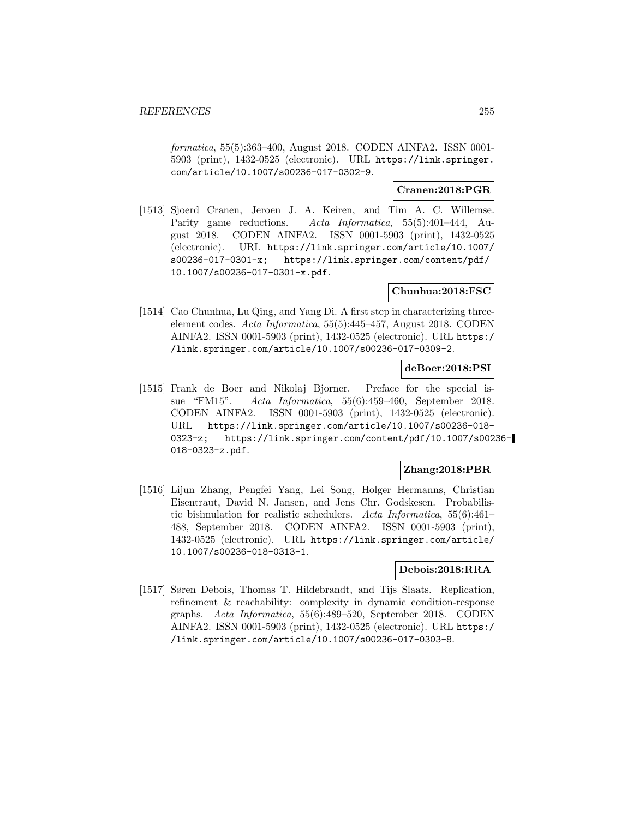formatica, 55(5):363–400, August 2018. CODEN AINFA2. ISSN 0001- 5903 (print), 1432-0525 (electronic). URL https://link.springer. com/article/10.1007/s00236-017-0302-9.

## **Cranen:2018:PGR**

[1513] Sjoerd Cranen, Jeroen J. A. Keiren, and Tim A. C. Willemse. Parity game reductions. Acta Informatica, 55(5):401–444, August 2018. CODEN AINFA2. ISSN 0001-5903 (print), 1432-0525 (electronic). URL https://link.springer.com/article/10.1007/ s00236-017-0301-x; https://link.springer.com/content/pdf/ 10.1007/s00236-017-0301-x.pdf.

# **Chunhua:2018:FSC**

[1514] Cao Chunhua, Lu Qing, and Yang Di. A first step in characterizing threeelement codes. Acta Informatica, 55(5):445–457, August 2018. CODEN AINFA2. ISSN 0001-5903 (print), 1432-0525 (electronic). URL https:/ /link.springer.com/article/10.1007/s00236-017-0309-2.

## **deBoer:2018:PSI**

[1515] Frank de Boer and Nikolaj Bjorner. Preface for the special issue "FM15". Acta Informatica, 55(6):459–460, September 2018. CODEN AINFA2. ISSN 0001-5903 (print), 1432-0525 (electronic). URL https://link.springer.com/article/10.1007/s00236-018- 0323-z; https://link.springer.com/content/pdf/10.1007/s00236- 018-0323-z.pdf.

# **Zhang:2018:PBR**

[1516] Lijun Zhang, Pengfei Yang, Lei Song, Holger Hermanns, Christian Eisentraut, David N. Jansen, and Jens Chr. Godskesen. Probabilistic bisimulation for realistic schedulers. Acta Informatica, 55(6):461– 488, September 2018. CODEN AINFA2. ISSN 0001-5903 (print), 1432-0525 (electronic). URL https://link.springer.com/article/ 10.1007/s00236-018-0313-1.

### **Debois:2018:RRA**

[1517] Søren Debois, Thomas T. Hildebrandt, and Tijs Slaats. Replication, refinement & reachability: complexity in dynamic condition-response graphs. Acta Informatica, 55(6):489–520, September 2018. CODEN AINFA2. ISSN 0001-5903 (print), 1432-0525 (electronic). URL https:/ /link.springer.com/article/10.1007/s00236-017-0303-8.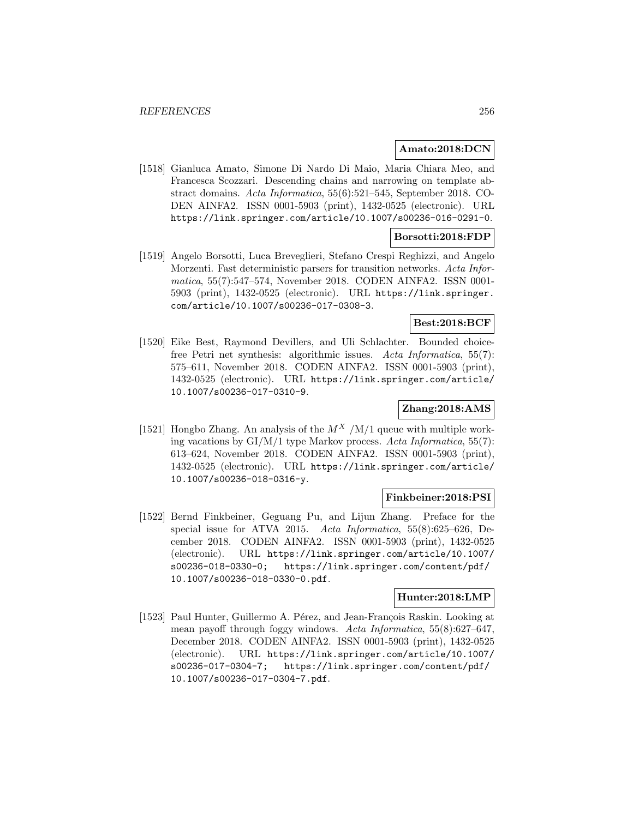#### **Amato:2018:DCN**

[1518] Gianluca Amato, Simone Di Nardo Di Maio, Maria Chiara Meo, and Francesca Scozzari. Descending chains and narrowing on template abstract domains. Acta Informatica, 55(6):521–545, September 2018. CO-DEN AINFA2. ISSN 0001-5903 (print), 1432-0525 (electronic). URL https://link.springer.com/article/10.1007/s00236-016-0291-0.

### **Borsotti:2018:FDP**

[1519] Angelo Borsotti, Luca Breveglieri, Stefano Crespi Reghizzi, and Angelo Morzenti. Fast deterministic parsers for transition networks. Acta Informatica, 55(7):547–574, November 2018. CODEN AINFA2. ISSN 0001- 5903 (print), 1432-0525 (electronic). URL https://link.springer. com/article/10.1007/s00236-017-0308-3.

# **Best:2018:BCF**

[1520] Eike Best, Raymond Devillers, and Uli Schlachter. Bounded choicefree Petri net synthesis: algorithmic issues. Acta Informatica, 55(7): 575–611, November 2018. CODEN AINFA2. ISSN 0001-5903 (print), 1432-0525 (electronic). URL https://link.springer.com/article/ 10.1007/s00236-017-0310-9.

# **Zhang:2018:AMS**

[1521] Hongbo Zhang. An analysis of the  $M^X/M/1$  queue with multiple working vacations by  $GI/M/1$  type Markov process. Acta Informatica, 55(7): 613–624, November 2018. CODEN AINFA2. ISSN 0001-5903 (print), 1432-0525 (electronic). URL https://link.springer.com/article/ 10.1007/s00236-018-0316-y.

### **Finkbeiner:2018:PSI**

[1522] Bernd Finkbeiner, Geguang Pu, and Lijun Zhang. Preface for the special issue for ATVA 2015. Acta Informatica, 55(8):625–626, December 2018. CODEN AINFA2. ISSN 0001-5903 (print), 1432-0525 (electronic). URL https://link.springer.com/article/10.1007/ s00236-018-0330-0; https://link.springer.com/content/pdf/ 10.1007/s00236-018-0330-0.pdf.

# **Hunter:2018:LMP**

[1523] Paul Hunter, Guillermo A. Pérez, and Jean-François Raskin. Looking at mean payoff through foggy windows. Acta Informatica, 55(8):627–647, December 2018. CODEN AINFA2. ISSN 0001-5903 (print), 1432-0525 (electronic). URL https://link.springer.com/article/10.1007/ s00236-017-0304-7; https://link.springer.com/content/pdf/ 10.1007/s00236-017-0304-7.pdf.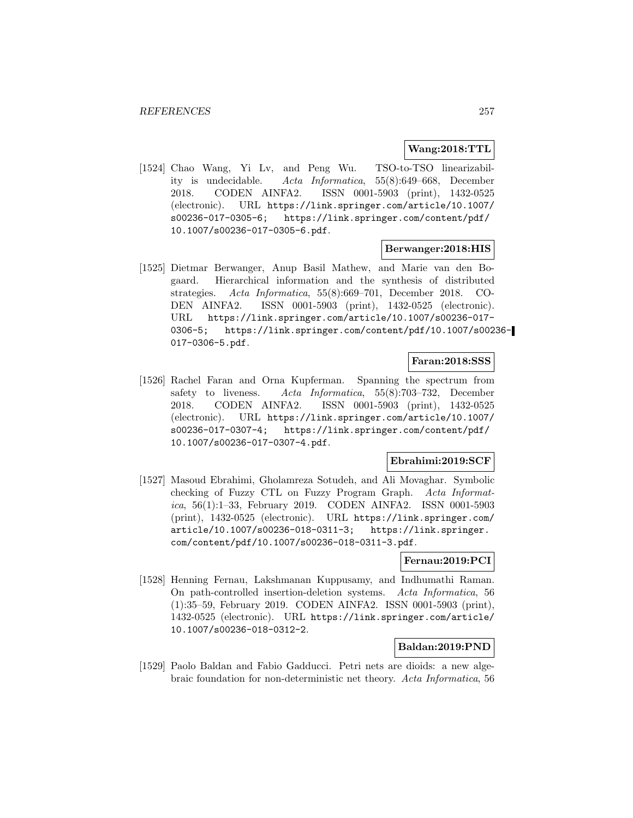### **Wang:2018:TTL**

[1524] Chao Wang, Yi Lv, and Peng Wu. TSO-to-TSO linearizability is undecidable. Acta Informatica, 55(8):649–668, December 2018. CODEN AINFA2. ISSN 0001-5903 (print), 1432-0525 (electronic). URL https://link.springer.com/article/10.1007/ s00236-017-0305-6; https://link.springer.com/content/pdf/ 10.1007/s00236-017-0305-6.pdf.

### **Berwanger:2018:HIS**

[1525] Dietmar Berwanger, Anup Basil Mathew, and Marie van den Bogaard. Hierarchical information and the synthesis of distributed strategies. Acta Informatica, 55(8):669–701, December 2018. CO-DEN AINFA2. ISSN 0001-5903 (print), 1432-0525 (electronic). URL https://link.springer.com/article/10.1007/s00236-017- 0306-5; https://link.springer.com/content/pdf/10.1007/s00236- 017-0306-5.pdf.

## **Faran:2018:SSS**

[1526] Rachel Faran and Orna Kupferman. Spanning the spectrum from safety to liveness. Acta Informatica, 55(8):703–732, December 2018. CODEN AINFA2. ISSN 0001-5903 (print), 1432-0525 (electronic). URL https://link.springer.com/article/10.1007/ s00236-017-0307-4; https://link.springer.com/content/pdf/ 10.1007/s00236-017-0307-4.pdf.

# **Ebrahimi:2019:SCF**

[1527] Masoud Ebrahimi, Gholamreza Sotudeh, and Ali Movaghar. Symbolic checking of Fuzzy CTL on Fuzzy Program Graph. Acta Informatica, 56(1):1–33, February 2019. CODEN AINFA2. ISSN 0001-5903 (print), 1432-0525 (electronic). URL https://link.springer.com/ article/10.1007/s00236-018-0311-3; https://link.springer. com/content/pdf/10.1007/s00236-018-0311-3.pdf.

### **Fernau:2019:PCI**

[1528] Henning Fernau, Lakshmanan Kuppusamy, and Indhumathi Raman. On path-controlled insertion-deletion systems. Acta Informatica, 56 (1):35–59, February 2019. CODEN AINFA2. ISSN 0001-5903 (print), 1432-0525 (electronic). URL https://link.springer.com/article/ 10.1007/s00236-018-0312-2.

### **Baldan:2019:PND**

[1529] Paolo Baldan and Fabio Gadducci. Petri nets are dioids: a new algebraic foundation for non-deterministic net theory. Acta Informatica, 56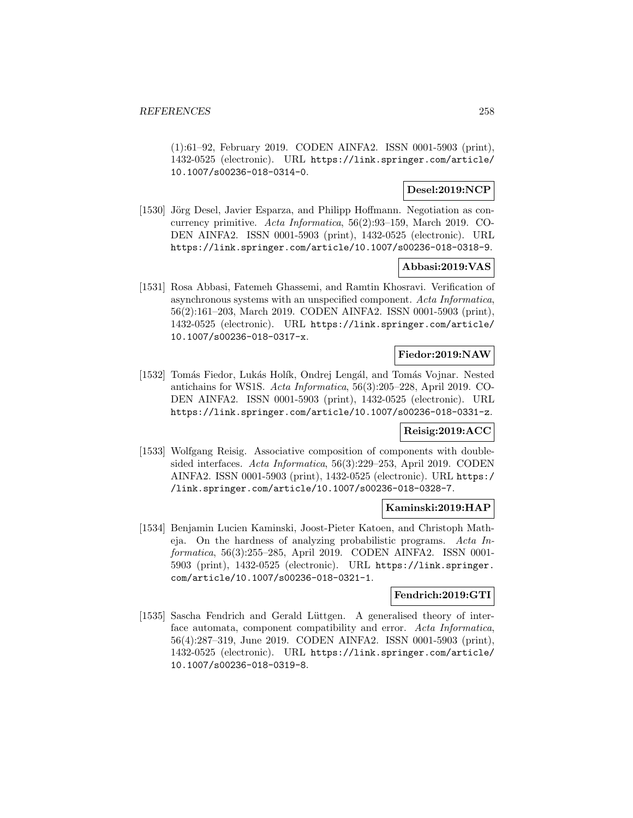(1):61–92, February 2019. CODEN AINFA2. ISSN 0001-5903 (print), 1432-0525 (electronic). URL https://link.springer.com/article/ 10.1007/s00236-018-0314-0.

## **Desel:2019:NCP**

[1530] Jörg Desel, Javier Esparza, and Philipp Hoffmann. Negotiation as concurrency primitive. Acta Informatica, 56(2):93–159, March 2019. CO-DEN AINFA2. ISSN 0001-5903 (print), 1432-0525 (electronic). URL https://link.springer.com/article/10.1007/s00236-018-0318-9.

## **Abbasi:2019:VAS**

[1531] Rosa Abbasi, Fatemeh Ghassemi, and Ramtin Khosravi. Verification of asynchronous systems with an unspecified component. Acta Informatica, 56(2):161–203, March 2019. CODEN AINFA2. ISSN 0001-5903 (print), 1432-0525 (electronic). URL https://link.springer.com/article/ 10.1007/s00236-018-0317-x.

#### **Fiedor:2019:NAW**

[1532] Tomás Fiedor, Lukás Holík, Ondrej Lengál, and Tomás Vojnar. Nested antichains for WS1S. Acta Informatica, 56(3):205–228, April 2019. CO-DEN AINFA2. ISSN 0001-5903 (print), 1432-0525 (electronic). URL https://link.springer.com/article/10.1007/s00236-018-0331-z.

# **Reisig:2019:ACC**

[1533] Wolfgang Reisig. Associative composition of components with doublesided interfaces. Acta Informatica, 56(3):229–253, April 2019. CODEN AINFA2. ISSN 0001-5903 (print), 1432-0525 (electronic). URL https:/ /link.springer.com/article/10.1007/s00236-018-0328-7.

### **Kaminski:2019:HAP**

[1534] Benjamin Lucien Kaminski, Joost-Pieter Katoen, and Christoph Matheja. On the hardness of analyzing probabilistic programs. Acta Informatica, 56(3):255–285, April 2019. CODEN AINFA2. ISSN 0001- 5903 (print), 1432-0525 (electronic). URL https://link.springer. com/article/10.1007/s00236-018-0321-1.

### **Fendrich:2019:GTI**

[1535] Sascha Fendrich and Gerald Lüttgen. A generalised theory of interface automata, component compatibility and error. Acta Informatica, 56(4):287–319, June 2019. CODEN AINFA2. ISSN 0001-5903 (print), 1432-0525 (electronic). URL https://link.springer.com/article/ 10.1007/s00236-018-0319-8.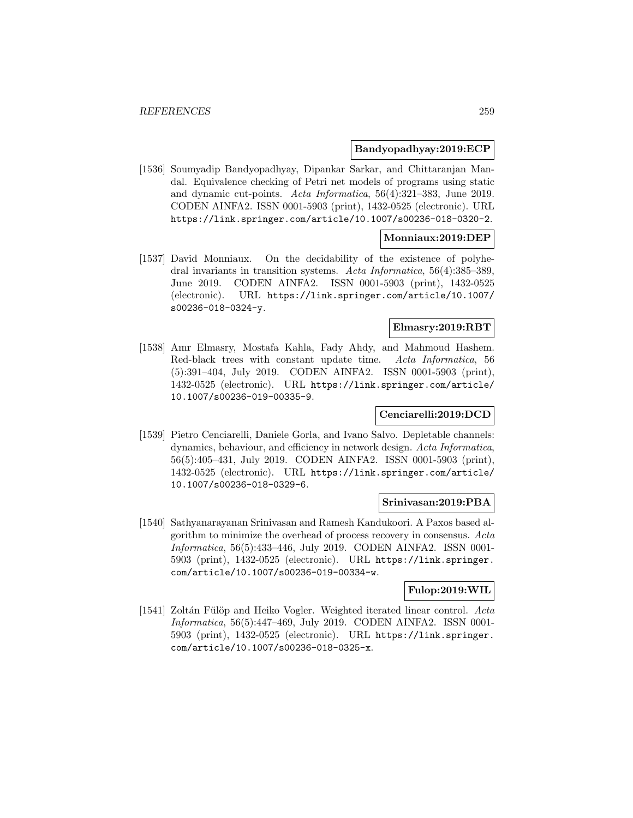#### **Bandyopadhyay:2019:ECP**

[1536] Soumyadip Bandyopadhyay, Dipankar Sarkar, and Chittaranjan Mandal. Equivalence checking of Petri net models of programs using static and dynamic cut-points. Acta Informatica, 56(4):321–383, June 2019. CODEN AINFA2. ISSN 0001-5903 (print), 1432-0525 (electronic). URL https://link.springer.com/article/10.1007/s00236-018-0320-2.

### **Monniaux:2019:DEP**

[1537] David Monniaux. On the decidability of the existence of polyhedral invariants in transition systems. Acta Informatica, 56(4):385–389, June 2019. CODEN AINFA2. ISSN 0001-5903 (print), 1432-0525 (electronic). URL https://link.springer.com/article/10.1007/ s00236-018-0324-y.

#### **Elmasry:2019:RBT**

[1538] Amr Elmasry, Mostafa Kahla, Fady Ahdy, and Mahmoud Hashem. Red-black trees with constant update time. Acta Informatica, 56 (5):391–404, July 2019. CODEN AINFA2. ISSN 0001-5903 (print), 1432-0525 (electronic). URL https://link.springer.com/article/ 10.1007/s00236-019-00335-9.

# **Cenciarelli:2019:DCD**

[1539] Pietro Cenciarelli, Daniele Gorla, and Ivano Salvo. Depletable channels: dynamics, behaviour, and efficiency in network design. Acta Informatica, 56(5):405–431, July 2019. CODEN AINFA2. ISSN 0001-5903 (print), 1432-0525 (electronic). URL https://link.springer.com/article/ 10.1007/s00236-018-0329-6.

#### **Srinivasan:2019:PBA**

[1540] Sathyanarayanan Srinivasan and Ramesh Kandukoori. A Paxos based algorithm to minimize the overhead of process recovery in consensus. Acta Informatica, 56(5):433–446, July 2019. CODEN AINFA2. ISSN 0001- 5903 (print), 1432-0525 (electronic). URL https://link.springer. com/article/10.1007/s00236-019-00334-w.

### **Fulop:2019:WIL**

[1541] Zoltán Fülöp and Heiko Vogler. Weighted iterated linear control.  $Acta$ Informatica, 56(5):447–469, July 2019. CODEN AINFA2. ISSN 0001- 5903 (print), 1432-0525 (electronic). URL https://link.springer. com/article/10.1007/s00236-018-0325-x.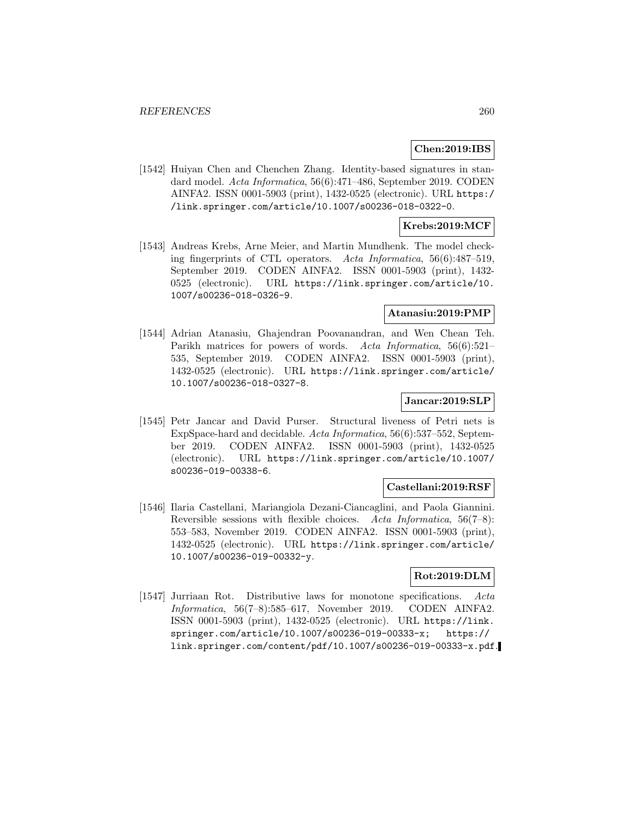## **Chen:2019:IBS**

[1542] Huiyan Chen and Chenchen Zhang. Identity-based signatures in standard model. Acta Informatica, 56(6):471–486, September 2019. CODEN AINFA2. ISSN 0001-5903 (print), 1432-0525 (electronic). URL https:/ /link.springer.com/article/10.1007/s00236-018-0322-0.

## **Krebs:2019:MCF**

[1543] Andreas Krebs, Arne Meier, and Martin Mundhenk. The model checking fingerprints of CTL operators. Acta Informatica, 56(6):487–519, September 2019. CODEN AINFA2. ISSN 0001-5903 (print), 1432- 0525 (electronic). URL https://link.springer.com/article/10. 1007/s00236-018-0326-9.

## **Atanasiu:2019:PMP**

[1544] Adrian Atanasiu, Ghajendran Poovanandran, and Wen Chean Teh. Parikh matrices for powers of words. Acta Informatica, 56(6):521– 535, September 2019. CODEN AINFA2. ISSN 0001-5903 (print), 1432-0525 (electronic). URL https://link.springer.com/article/ 10.1007/s00236-018-0327-8.

## **Jancar:2019:SLP**

[1545] Petr Jancar and David Purser. Structural liveness of Petri nets is ExpSpace-hard and decidable. Acta Informatica, 56(6):537–552, September 2019. CODEN AINFA2. ISSN 0001-5903 (print), 1432-0525 (electronic). URL https://link.springer.com/article/10.1007/ s00236-019-00338-6.

### **Castellani:2019:RSF**

[1546] Ilaria Castellani, Mariangiola Dezani-Ciancaglini, and Paola Giannini. Reversible sessions with flexible choices. Acta Informatica, 56(7–8): 553–583, November 2019. CODEN AINFA2. ISSN 0001-5903 (print), 1432-0525 (electronic). URL https://link.springer.com/article/ 10.1007/s00236-019-00332-y.

#### **Rot:2019:DLM**

[1547] Jurriaan Rot. Distributive laws for monotone specifications. Acta Informatica, 56(7–8):585–617, November 2019. CODEN AINFA2. ISSN 0001-5903 (print), 1432-0525 (electronic). URL https://link. springer.com/article/10.1007/s00236-019-00333-x; https:// link.springer.com/content/pdf/10.1007/s00236-019-00333-x.pdf.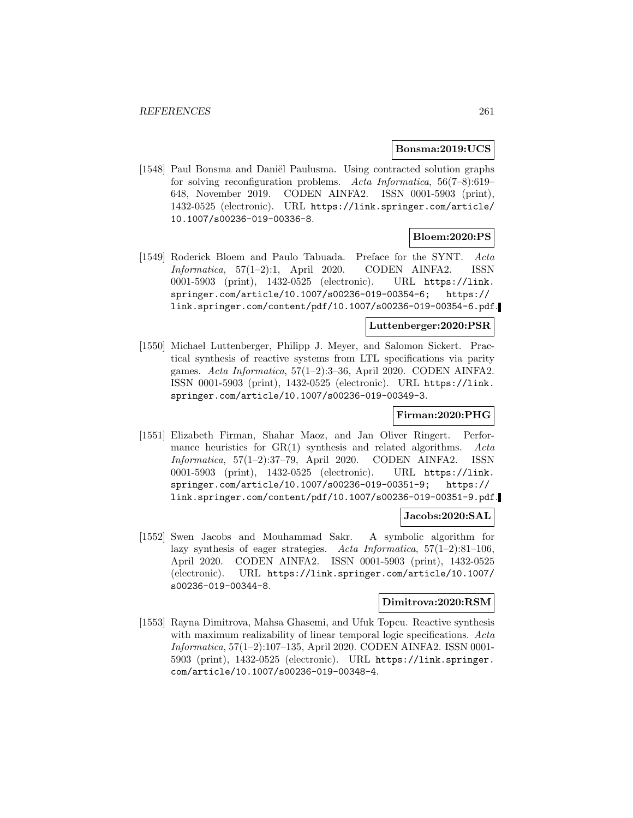#### **Bonsma:2019:UCS**

[1548] Paul Bonsma and Daniël Paulusma. Using contracted solution graphs for solving reconfiguration problems. Acta Informatica, 56(7–8):619– 648, November 2019. CODEN AINFA2. ISSN 0001-5903 (print), 1432-0525 (electronic). URL https://link.springer.com/article/ 10.1007/s00236-019-00336-8.

### **Bloem:2020:PS**

[1549] Roderick Bloem and Paulo Tabuada. Preface for the SYNT. Acta Informatica, 57(1–2):1, April 2020. CODEN AINFA2. ISSN 0001-5903 (print), 1432-0525 (electronic). URL https://link. springer.com/article/10.1007/s00236-019-00354-6; https:// link.springer.com/content/pdf/10.1007/s00236-019-00354-6.pdf.

#### **Luttenberger:2020:PSR**

[1550] Michael Luttenberger, Philipp J. Meyer, and Salomon Sickert. Practical synthesis of reactive systems from LTL specifications via parity games. Acta Informatica, 57(1–2):3–36, April 2020. CODEN AINFA2. ISSN 0001-5903 (print), 1432-0525 (electronic). URL https://link. springer.com/article/10.1007/s00236-019-00349-3.

### **Firman:2020:PHG**

[1551] Elizabeth Firman, Shahar Maoz, and Jan Oliver Ringert. Performance heuristics for GR(1) synthesis and related algorithms. Acta Informatica, 57(1–2):37–79, April 2020. CODEN AINFA2. ISSN 0001-5903 (print), 1432-0525 (electronic). URL https://link. springer.com/article/10.1007/s00236-019-00351-9; https:// link.springer.com/content/pdf/10.1007/s00236-019-00351-9.pdf.

#### **Jacobs:2020:SAL**

[1552] Swen Jacobs and Mouhammad Sakr. A symbolic algorithm for lazy synthesis of eager strategies. Acta Informatica,  $57(1-2)$ :81-106, April 2020. CODEN AINFA2. ISSN 0001-5903 (print), 1432-0525 (electronic). URL https://link.springer.com/article/10.1007/ s00236-019-00344-8.

### **Dimitrova:2020:RSM**

[1553] Rayna Dimitrova, Mahsa Ghasemi, and Ufuk Topcu. Reactive synthesis with maximum realizability of linear temporal logic specifications. Acta Informatica, 57(1–2):107–135, April 2020. CODEN AINFA2. ISSN 0001- 5903 (print), 1432-0525 (electronic). URL https://link.springer. com/article/10.1007/s00236-019-00348-4.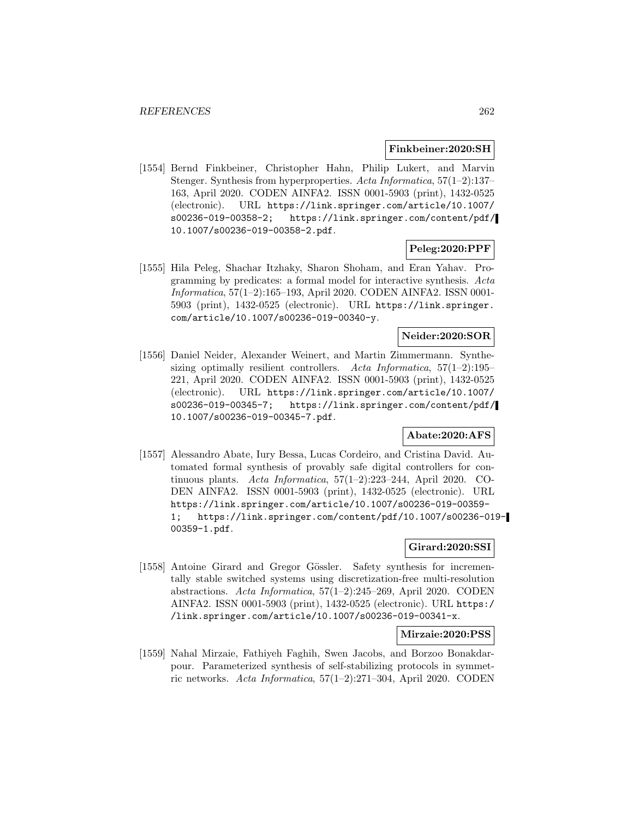#### **Finkbeiner:2020:SH**

[1554] Bernd Finkbeiner, Christopher Hahn, Philip Lukert, and Marvin Stenger. Synthesis from hyperproperties. Acta Informatica, 57(1–2):137– 163, April 2020. CODEN AINFA2. ISSN 0001-5903 (print), 1432-0525 (electronic). URL https://link.springer.com/article/10.1007/ s00236-019-00358-2; https://link.springer.com/content/pdf/ 10.1007/s00236-019-00358-2.pdf.

# **Peleg:2020:PPF**

[1555] Hila Peleg, Shachar Itzhaky, Sharon Shoham, and Eran Yahav. Programming by predicates: a formal model for interactive synthesis. Acta Informatica, 57(1–2):165–193, April 2020. CODEN AINFA2. ISSN 0001- 5903 (print), 1432-0525 (electronic). URL https://link.springer. com/article/10.1007/s00236-019-00340-y.

## **Neider:2020:SOR**

[1556] Daniel Neider, Alexander Weinert, and Martin Zimmermann. Synthesizing optimally resilient controllers. Acta Informatica,  $57(1-2):195-$ 221, April 2020. CODEN AINFA2. ISSN 0001-5903 (print), 1432-0525 (electronic). URL https://link.springer.com/article/10.1007/ s00236-019-00345-7; https://link.springer.com/content/pdf/ 10.1007/s00236-019-00345-7.pdf.

### **Abate:2020:AFS**

[1557] Alessandro Abate, Iury Bessa, Lucas Cordeiro, and Cristina David. Automated formal synthesis of provably safe digital controllers for continuous plants. Acta Informatica, 57(1–2):223–244, April 2020. CO-DEN AINFA2. ISSN 0001-5903 (print), 1432-0525 (electronic). URL https://link.springer.com/article/10.1007/s00236-019-00359- 1; https://link.springer.com/content/pdf/10.1007/s00236-019- 00359-1.pdf.

### **Girard:2020:SSI**

[1558] Antoine Girard and Gregor Gössler. Safety synthesis for incrementally stable switched systems using discretization-free multi-resolution abstractions. Acta Informatica, 57(1–2):245–269, April 2020. CODEN AINFA2. ISSN 0001-5903 (print), 1432-0525 (electronic). URL https:/ /link.springer.com/article/10.1007/s00236-019-00341-x.

### **Mirzaie:2020:PSS**

[1559] Nahal Mirzaie, Fathiyeh Faghih, Swen Jacobs, and Borzoo Bonakdarpour. Parameterized synthesis of self-stabilizing protocols in symmetric networks. Acta Informatica, 57(1–2):271–304, April 2020. CODEN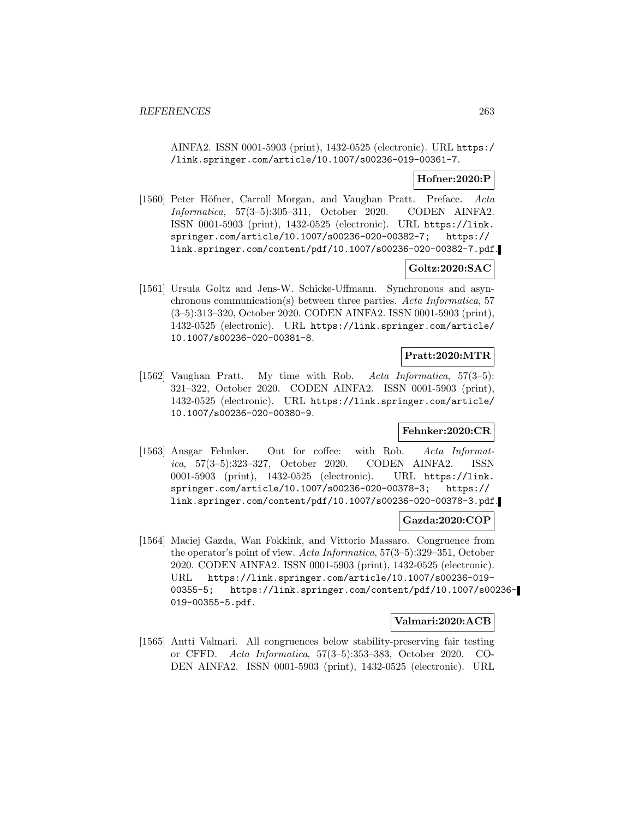AINFA2. ISSN 0001-5903 (print), 1432-0525 (electronic). URL https:/ /link.springer.com/article/10.1007/s00236-019-00361-7.

# **Hofner:2020:P**

[1560] Peter Höfner, Carroll Morgan, and Vaughan Pratt. Preface. Acta Informatica, 57(3–5):305–311, October 2020. CODEN AINFA2. ISSN 0001-5903 (print), 1432-0525 (electronic). URL https://link. springer.com/article/10.1007/s00236-020-00382-7; https:// link.springer.com/content/pdf/10.1007/s00236-020-00382-7.pdf.

# **Goltz:2020:SAC**

[1561] Ursula Goltz and Jens-W. Schicke-Uffmann. Synchronous and asynchronous communication(s) between three parties. Acta Informatica, 57 (3–5):313–320, October 2020. CODEN AINFA2. ISSN 0001-5903 (print), 1432-0525 (electronic). URL https://link.springer.com/article/ 10.1007/s00236-020-00381-8.

### **Pratt:2020:MTR**

[1562] Vaughan Pratt. My time with Rob. Acta Informatica, 57(3–5): 321–322, October 2020. CODEN AINFA2. ISSN 0001-5903 (print), 1432-0525 (electronic). URL https://link.springer.com/article/ 10.1007/s00236-020-00380-9.

# **Fehnker:2020:CR**

[1563] Ansgar Fehnker. Out for coffee: with Rob. Acta Informatica, 57(3–5):323–327, October 2020. CODEN AINFA2. ISSN 0001-5903 (print), 1432-0525 (electronic). URL https://link. springer.com/article/10.1007/s00236-020-00378-3; https:// link.springer.com/content/pdf/10.1007/s00236-020-00378-3.pdf.

### **Gazda:2020:COP**

[1564] Maciej Gazda, Wan Fokkink, and Vittorio Massaro. Congruence from the operator's point of view. Acta Informatica, 57(3–5):329–351, October 2020. CODEN AINFA2. ISSN 0001-5903 (print), 1432-0525 (electronic). URL https://link.springer.com/article/10.1007/s00236-019- 00355-5; https://link.springer.com/content/pdf/10.1007/s00236- 019-00355-5.pdf.

### **Valmari:2020:ACB**

[1565] Antti Valmari. All congruences below stability-preserving fair testing or CFFD. Acta Informatica, 57(3–5):353–383, October 2020. CO-DEN AINFA2. ISSN 0001-5903 (print), 1432-0525 (electronic). URL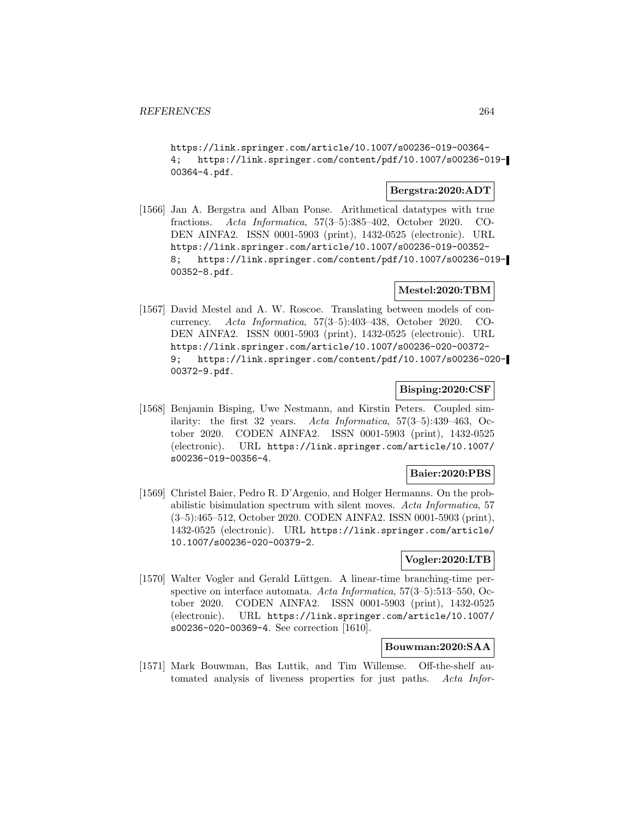https://link.springer.com/article/10.1007/s00236-019-00364- 4; https://link.springer.com/content/pdf/10.1007/s00236-019- 00364-4.pdf.

### **Bergstra:2020:ADT**

[1566] Jan A. Bergstra and Alban Ponse. Arithmetical datatypes with true fractions. Acta Informatica, 57(3–5):385–402, October 2020. CO-DEN AINFA2. ISSN 0001-5903 (print), 1432-0525 (electronic). URL https://link.springer.com/article/10.1007/s00236-019-00352- 8; https://link.springer.com/content/pdf/10.1007/s00236-019- 00352-8.pdf.

## **Mestel:2020:TBM**

[1567] David Mestel and A. W. Roscoe. Translating between models of concurrency. Acta Informatica, 57(3–5):403–438, October 2020. CO-DEN AINFA2. ISSN 0001-5903 (print), 1432-0525 (electronic). URL https://link.springer.com/article/10.1007/s00236-020-00372- 9; https://link.springer.com/content/pdf/10.1007/s00236-020- 00372-9.pdf.

### **Bisping:2020:CSF**

[1568] Benjamin Bisping, Uwe Nestmann, and Kirstin Peters. Coupled similarity: the first 32 years. Acta Informatica, 57(3–5):439–463, October 2020. CODEN AINFA2. ISSN 0001-5903 (print), 1432-0525 (electronic). URL https://link.springer.com/article/10.1007/ s00236-019-00356-4.

### **Baier:2020:PBS**

[1569] Christel Baier, Pedro R. D'Argenio, and Holger Hermanns. On the probabilistic bisimulation spectrum with silent moves. Acta Informatica, 57 (3–5):465–512, October 2020. CODEN AINFA2. ISSN 0001-5903 (print), 1432-0525 (electronic). URL https://link.springer.com/article/ 10.1007/s00236-020-00379-2.

### **Vogler:2020:LTB**

[1570] Walter Vogler and Gerald Lüttgen. A linear-time branching-time perspective on interface automata. Acta Informatica, 57(3–5):513–550, October 2020. CODEN AINFA2. ISSN 0001-5903 (print), 1432-0525 (electronic). URL https://link.springer.com/article/10.1007/ s00236-020-00369-4. See correction [1610].

### **Bouwman:2020:SAA**

[1571] Mark Bouwman, Bas Luttik, and Tim Willemse. Off-the-shelf automated analysis of liveness properties for just paths. Acta Infor-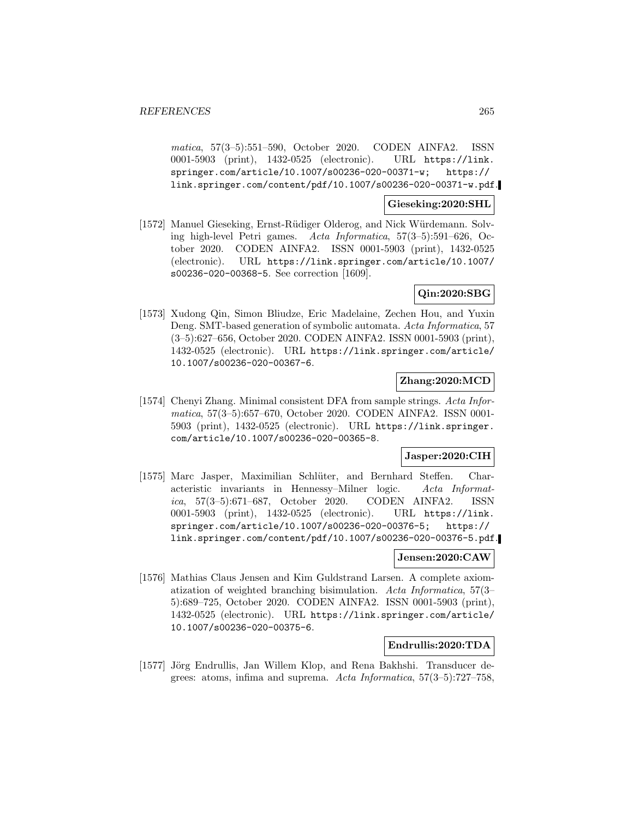matica, 57(3–5):551–590, October 2020. CODEN AINFA2. ISSN 0001-5903 (print), 1432-0525 (electronic). URL https://link. springer.com/article/10.1007/s00236-020-00371-w; https:// link.springer.com/content/pdf/10.1007/s00236-020-00371-w.pdf.

## **Gieseking:2020:SHL**

[1572] Manuel Gieseking, Ernst-Rüdiger Olderog, and Nick Würdemann. Solving high-level Petri games. Acta Informatica, 57(3–5):591–626, October 2020. CODEN AINFA2. ISSN 0001-5903 (print), 1432-0525 (electronic). URL https://link.springer.com/article/10.1007/ s00236-020-00368-5. See correction [1609].

# **Qin:2020:SBG**

[1573] Xudong Qin, Simon Bliudze, Eric Madelaine, Zechen Hou, and Yuxin Deng. SMT-based generation of symbolic automata. Acta Informatica, 57 (3–5):627–656, October 2020. CODEN AINFA2. ISSN 0001-5903 (print), 1432-0525 (electronic). URL https://link.springer.com/article/ 10.1007/s00236-020-00367-6.

# **Zhang:2020:MCD**

[1574] Chenyi Zhang. Minimal consistent DFA from sample strings. Acta Informatica, 57(3–5):657–670, October 2020. CODEN AINFA2. ISSN 0001- 5903 (print), 1432-0525 (electronic). URL https://link.springer. com/article/10.1007/s00236-020-00365-8.

# **Jasper:2020:CIH**

[1575] Marc Jasper, Maximilian Schlüter, and Bernhard Steffen. Characteristic invariants in Hennessy–Milner logic. Acta Informatica, 57(3–5):671–687, October 2020. CODEN AINFA2. ISSN 0001-5903 (print), 1432-0525 (electronic). URL https://link. springer.com/article/10.1007/s00236-020-00376-5; https:// link.springer.com/content/pdf/10.1007/s00236-020-00376-5.pdf.

#### **Jensen:2020:CAW**

[1576] Mathias Claus Jensen and Kim Guldstrand Larsen. A complete axiomatization of weighted branching bisimulation. Acta Informatica, 57(3– 5):689–725, October 2020. CODEN AINFA2. ISSN 0001-5903 (print), 1432-0525 (electronic). URL https://link.springer.com/article/ 10.1007/s00236-020-00375-6.

### **Endrullis:2020:TDA**

[1577] Jörg Endrullis, Jan Willem Klop, and Rena Bakhshi. Transducer degrees: atoms, infima and suprema. Acta Informatica, 57(3–5):727–758,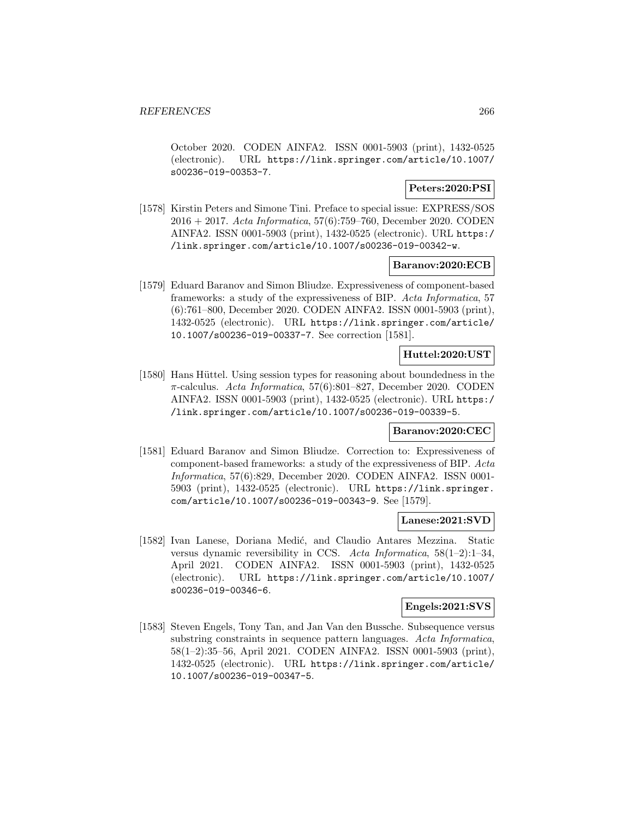October 2020. CODEN AINFA2. ISSN 0001-5903 (print), 1432-0525 (electronic). URL https://link.springer.com/article/10.1007/ s00236-019-00353-7.

# **Peters:2020:PSI**

[1578] Kirstin Peters and Simone Tini. Preface to special issue: EXPRESS/SOS 2016 + 2017. Acta Informatica, 57(6):759–760, December 2020. CODEN AINFA2. ISSN 0001-5903 (print), 1432-0525 (electronic). URL https:/ /link.springer.com/article/10.1007/s00236-019-00342-w.

### **Baranov:2020:ECB**

[1579] Eduard Baranov and Simon Bliudze. Expressiveness of component-based frameworks: a study of the expressiveness of BIP. Acta Informatica, 57 (6):761–800, December 2020. CODEN AINFA2. ISSN 0001-5903 (print), 1432-0525 (electronic). URL https://link.springer.com/article/ 10.1007/s00236-019-00337-7. See correction [1581].

# **Huttel:2020:UST**

[1580] Hans Hüttel. Using session types for reasoning about boundedness in the π-calculus. Acta Informatica, 57(6):801–827, December 2020. CODEN AINFA2. ISSN 0001-5903 (print), 1432-0525 (electronic). URL https:/ /link.springer.com/article/10.1007/s00236-019-00339-5.

#### **Baranov:2020:CEC**

[1581] Eduard Baranov and Simon Bliudze. Correction to: Expressiveness of component-based frameworks: a study of the expressiveness of BIP. Acta Informatica, 57(6):829, December 2020. CODEN AINFA2. ISSN 0001- 5903 (print), 1432-0525 (electronic). URL https://link.springer. com/article/10.1007/s00236-019-00343-9. See [1579].

### **Lanese:2021:SVD**

[1582] Ivan Lanese, Doriana Medić, and Claudio Antares Mezzina. Static versus dynamic reversibility in CCS. Acta Informatica,  $58(1-2)$ :1-34, April 2021. CODEN AINFA2. ISSN 0001-5903 (print), 1432-0525 (electronic). URL https://link.springer.com/article/10.1007/ s00236-019-00346-6.

### **Engels:2021:SVS**

[1583] Steven Engels, Tony Tan, and Jan Van den Bussche. Subsequence versus substring constraints in sequence pattern languages. Acta Informatica, 58(1–2):35–56, April 2021. CODEN AINFA2. ISSN 0001-5903 (print), 1432-0525 (electronic). URL https://link.springer.com/article/ 10.1007/s00236-019-00347-5.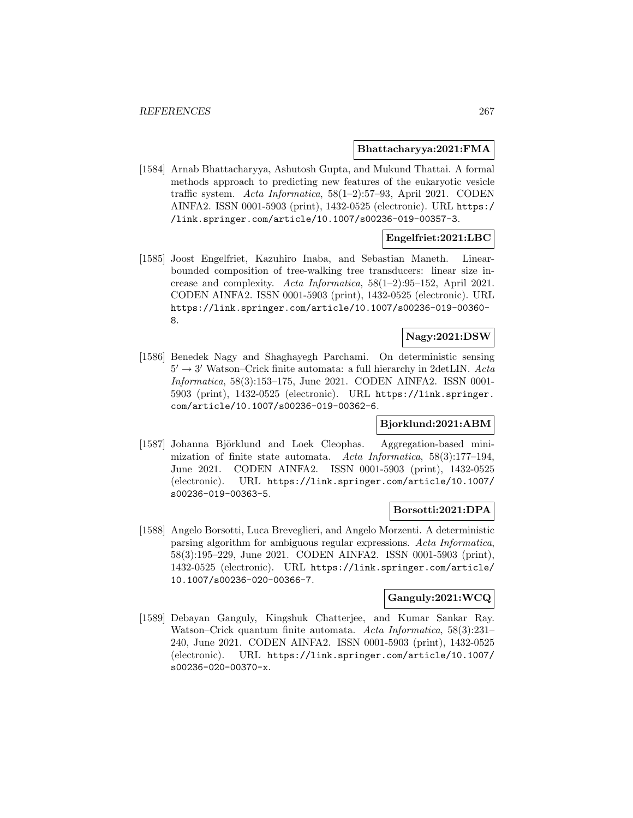**Bhattacharyya:2021:FMA**

[1584] Arnab Bhattacharyya, Ashutosh Gupta, and Mukund Thattai. A formal methods approach to predicting new features of the eukaryotic vesicle traffic system. Acta Informatica, 58(1–2):57–93, April 2021. CODEN AINFA2. ISSN 0001-5903 (print), 1432-0525 (electronic). URL https:/ /link.springer.com/article/10.1007/s00236-019-00357-3.

## **Engelfriet:2021:LBC**

[1585] Joost Engelfriet, Kazuhiro Inaba, and Sebastian Maneth. Linearbounded composition of tree-walking tree transducers: linear size increase and complexity. Acta Informatica, 58(1–2):95–152, April 2021. CODEN AINFA2. ISSN 0001-5903 (print), 1432-0525 (electronic). URL https://link.springer.com/article/10.1007/s00236-019-00360- 8.

# **Nagy:2021:DSW**

[1586] Benedek Nagy and Shaghayegh Parchami. On deterministic sensing  $5' \rightarrow 3'$  Watson–Crick finite automata: a full hierarchy in 2detLIN. Acta Informatica, 58(3):153–175, June 2021. CODEN AINFA2. ISSN 0001- 5903 (print), 1432-0525 (electronic). URL https://link.springer. com/article/10.1007/s00236-019-00362-6.

### **Bjorklund:2021:ABM**

[1587] Johanna Björklund and Loek Cleophas. Aggregation-based minimization of finite state automata. Acta Informatica, 58(3):177–194, June 2021. CODEN AINFA2. ISSN 0001-5903 (print), 1432-0525 (electronic). URL https://link.springer.com/article/10.1007/ s00236-019-00363-5.

# **Borsotti:2021:DPA**

[1588] Angelo Borsotti, Luca Breveglieri, and Angelo Morzenti. A deterministic parsing algorithm for ambiguous regular expressions. Acta Informatica, 58(3):195–229, June 2021. CODEN AINFA2. ISSN 0001-5903 (print), 1432-0525 (electronic). URL https://link.springer.com/article/ 10.1007/s00236-020-00366-7.

# **Ganguly:2021:WCQ**

[1589] Debayan Ganguly, Kingshuk Chatterjee, and Kumar Sankar Ray. Watson–Crick quantum finite automata. Acta Informatica, 58(3):231– 240, June 2021. CODEN AINFA2. ISSN 0001-5903 (print), 1432-0525 (electronic). URL https://link.springer.com/article/10.1007/ s00236-020-00370-x.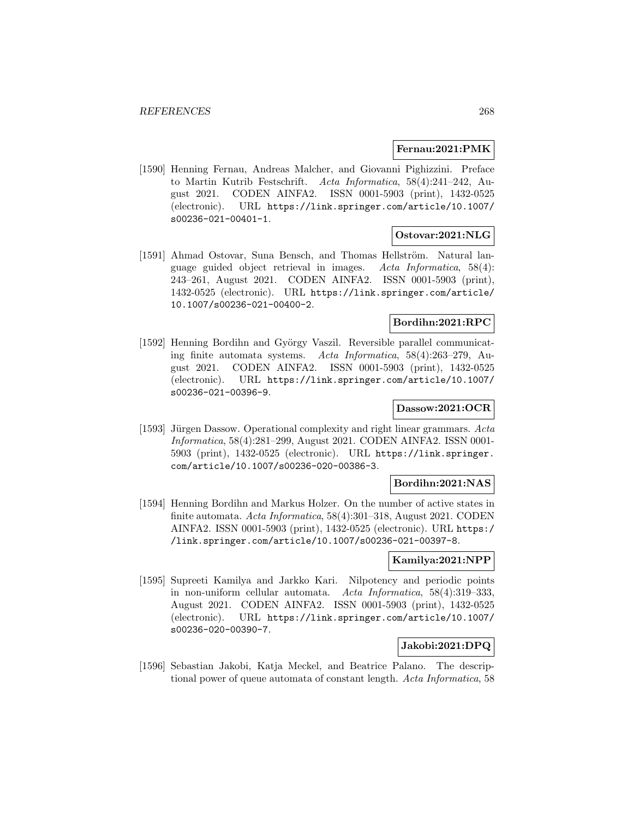#### **Fernau:2021:PMK**

[1590] Henning Fernau, Andreas Malcher, and Giovanni Pighizzini. Preface to Martin Kutrib Festschrift. Acta Informatica, 58(4):241–242, August 2021. CODEN AINFA2. ISSN 0001-5903 (print), 1432-0525 (electronic). URL https://link.springer.com/article/10.1007/ s00236-021-00401-1.

#### **Ostovar:2021:NLG**

[1591] Ahmad Ostovar, Suna Bensch, and Thomas Hellström. Natural language guided object retrieval in images. Acta Informatica, 58(4): 243–261, August 2021. CODEN AINFA2. ISSN 0001-5903 (print), 1432-0525 (electronic). URL https://link.springer.com/article/ 10.1007/s00236-021-00400-2.

# **Bordihn:2021:RPC**

[1592] Henning Bordihn and György Vaszil. Reversible parallel communicating finite automata systems. Acta Informatica, 58(4):263–279, August 2021. CODEN AINFA2. ISSN 0001-5903 (print), 1432-0525 (electronic). URL https://link.springer.com/article/10.1007/ s00236-021-00396-9.

# **Dassow:2021:OCR**

[1593] Jürgen Dassow. Operational complexity and right linear grammars. Acta Informatica, 58(4):281–299, August 2021. CODEN AINFA2. ISSN 0001- 5903 (print), 1432-0525 (electronic). URL https://link.springer. com/article/10.1007/s00236-020-00386-3.

#### **Bordihn:2021:NAS**

[1594] Henning Bordihn and Markus Holzer. On the number of active states in finite automata. Acta Informatica, 58(4):301–318, August 2021. CODEN AINFA2. ISSN 0001-5903 (print), 1432-0525 (electronic). URL https:/ /link.springer.com/article/10.1007/s00236-021-00397-8.

# **Kamilya:2021:NPP**

[1595] Supreeti Kamilya and Jarkko Kari. Nilpotency and periodic points in non-uniform cellular automata. Acta Informatica, 58(4):319–333, August 2021. CODEN AINFA2. ISSN 0001-5903 (print), 1432-0525 (electronic). URL https://link.springer.com/article/10.1007/ s00236-020-00390-7.

# **Jakobi:2021:DPQ**

[1596] Sebastian Jakobi, Katja Meckel, and Beatrice Palano. The descriptional power of queue automata of constant length. Acta Informatica, 58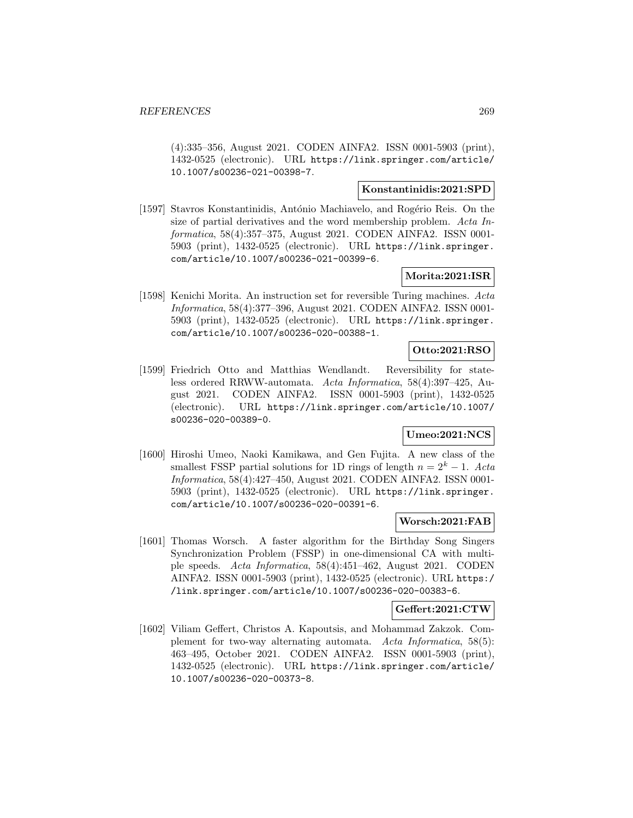(4):335–356, August 2021. CODEN AINFA2. ISSN 0001-5903 (print), 1432-0525 (electronic). URL https://link.springer.com/article/ 10.1007/s00236-021-00398-7.

#### **Konstantinidis:2021:SPD**

[1597] Stavros Konstantinidis, António Machiavelo, and Rogério Reis. On the size of partial derivatives and the word membership problem. Acta Informatica, 58(4):357–375, August 2021. CODEN AINFA2. ISSN 0001- 5903 (print), 1432-0525 (electronic). URL https://link.springer. com/article/10.1007/s00236-021-00399-6.

## **Morita:2021:ISR**

[1598] Kenichi Morita. An instruction set for reversible Turing machines. Acta Informatica, 58(4):377–396, August 2021. CODEN AINFA2. ISSN 0001- 5903 (print), 1432-0525 (electronic). URL https://link.springer. com/article/10.1007/s00236-020-00388-1.

# **Otto:2021:RSO**

[1599] Friedrich Otto and Matthias Wendlandt. Reversibility for stateless ordered RRWW-automata. Acta Informatica, 58(4):397–425, August 2021. CODEN AINFA2. ISSN 0001-5903 (print), 1432-0525 (electronic). URL https://link.springer.com/article/10.1007/ s00236-020-00389-0.

# **Umeo:2021:NCS**

[1600] Hiroshi Umeo, Naoki Kamikawa, and Gen Fujita. A new class of the smallest FSSP partial solutions for 1D rings of length  $n = 2<sup>k</sup> - 1$ . Acta Informatica, 58(4):427–450, August 2021. CODEN AINFA2. ISSN 0001- 5903 (print), 1432-0525 (electronic). URL https://link.springer. com/article/10.1007/s00236-020-00391-6.

### **Worsch:2021:FAB**

[1601] Thomas Worsch. A faster algorithm for the Birthday Song Singers Synchronization Problem (FSSP) in one-dimensional CA with multiple speeds. Acta Informatica, 58(4):451–462, August 2021. CODEN AINFA2. ISSN 0001-5903 (print), 1432-0525 (electronic). URL https:/ /link.springer.com/article/10.1007/s00236-020-00383-6.

#### **Geffert:2021:CTW**

[1602] Viliam Geffert, Christos A. Kapoutsis, and Mohammad Zakzok. Complement for two-way alternating automata. Acta Informatica, 58(5): 463–495, October 2021. CODEN AINFA2. ISSN 0001-5903 (print), 1432-0525 (electronic). URL https://link.springer.com/article/ 10.1007/s00236-020-00373-8.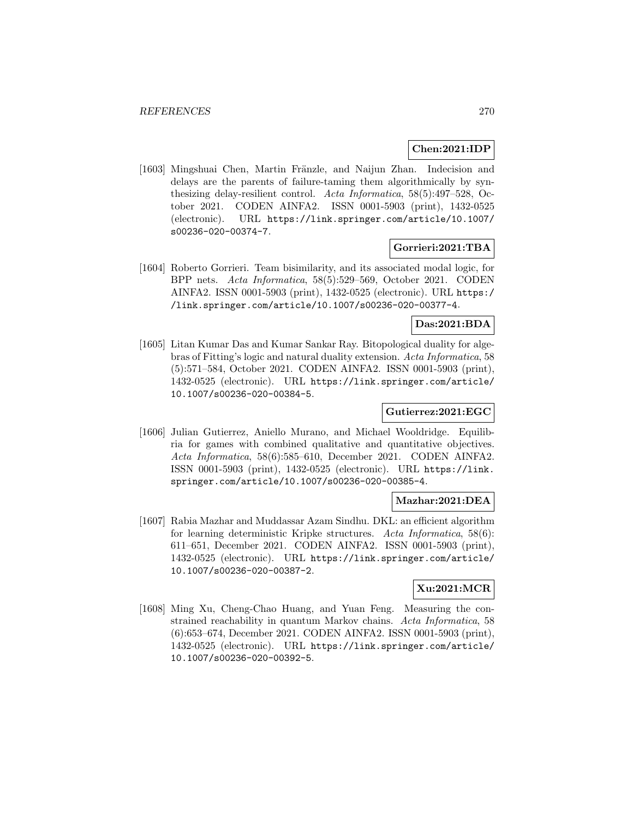## **Chen:2021:IDP**

[1603] Mingshuai Chen, Martin Fränzle, and Naijun Zhan. Indecision and delays are the parents of failure-taming them algorithmically by synthesizing delay-resilient control. Acta Informatica, 58(5):497–528, October 2021. CODEN AINFA2. ISSN 0001-5903 (print), 1432-0525 (electronic). URL https://link.springer.com/article/10.1007/ s00236-020-00374-7.

# **Gorrieri:2021:TBA**

[1604] Roberto Gorrieri. Team bisimilarity, and its associated modal logic, for BPP nets. Acta Informatica, 58(5):529–569, October 2021. CODEN AINFA2. ISSN 0001-5903 (print), 1432-0525 (electronic). URL https:/ /link.springer.com/article/10.1007/s00236-020-00377-4.

# **Das:2021:BDA**

[1605] Litan Kumar Das and Kumar Sankar Ray. Bitopological duality for algebras of Fitting's logic and natural duality extension. Acta Informatica, 58 (5):571–584, October 2021. CODEN AINFA2. ISSN 0001-5903 (print), 1432-0525 (electronic). URL https://link.springer.com/article/ 10.1007/s00236-020-00384-5.

# **Gutierrez:2021:EGC**

[1606] Julian Gutierrez, Aniello Murano, and Michael Wooldridge. Equilibria for games with combined qualitative and quantitative objectives. Acta Informatica, 58(6):585–610, December 2021. CODEN AINFA2. ISSN 0001-5903 (print), 1432-0525 (electronic). URL https://link. springer.com/article/10.1007/s00236-020-00385-4.

### **Mazhar:2021:DEA**

[1607] Rabia Mazhar and Muddassar Azam Sindhu. DKL: an efficient algorithm for learning deterministic Kripke structures. Acta Informatica, 58(6): 611–651, December 2021. CODEN AINFA2. ISSN 0001-5903 (print), 1432-0525 (electronic). URL https://link.springer.com/article/ 10.1007/s00236-020-00387-2.

# **Xu:2021:MCR**

[1608] Ming Xu, Cheng-Chao Huang, and Yuan Feng. Measuring the constrained reachability in quantum Markov chains. Acta Informatica, 58 (6):653–674, December 2021. CODEN AINFA2. ISSN 0001-5903 (print), 1432-0525 (electronic). URL https://link.springer.com/article/ 10.1007/s00236-020-00392-5.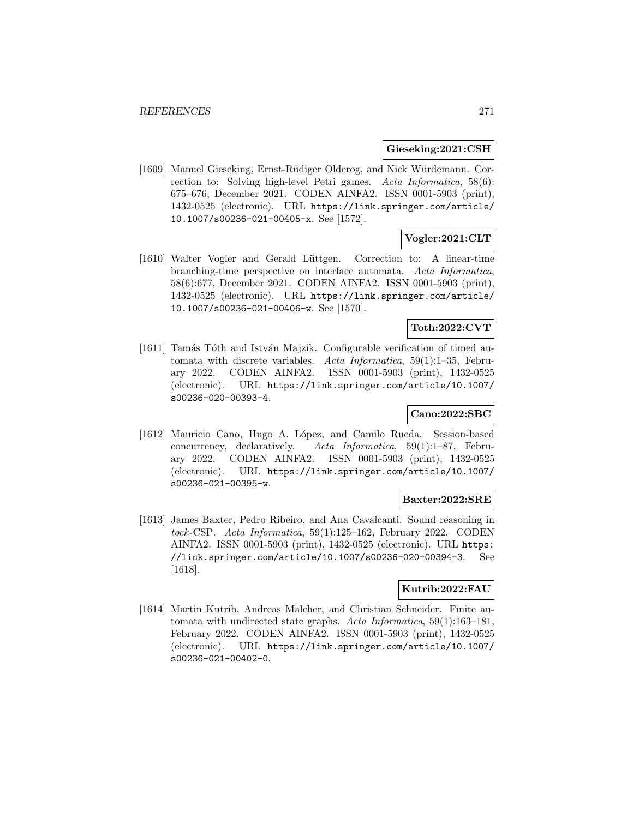#### **Gieseking:2021:CSH**

[1609] Manuel Gieseking, Ernst-Rüdiger Olderog, and Nick Würdemann. Correction to: Solving high-level Petri games. Acta Informatica, 58(6): 675–676, December 2021. CODEN AINFA2. ISSN 0001-5903 (print), 1432-0525 (electronic). URL https://link.springer.com/article/ 10.1007/s00236-021-00405-x. See [1572].

# **Vogler:2021:CLT**

[1610] Walter Vogler and Gerald L¨uttgen. Correction to: A linear-time branching-time perspective on interface automata. Acta Informatica, 58(6):677, December 2021. CODEN AINFA2. ISSN 0001-5903 (print), 1432-0525 (electronic). URL https://link.springer.com/article/ 10.1007/s00236-021-00406-w. See [1570].

## **Toth:2022:CVT**

[1611] Tamás Tóth and István Majzik. Configurable verification of timed automata with discrete variables. Acta Informatica, 59(1):1–35, February 2022. CODEN AINFA2. ISSN 0001-5903 (print), 1432-0525 (electronic). URL https://link.springer.com/article/10.1007/ s00236-020-00393-4.

## **Cano:2022:SBC**

[1612] Mauricio Cano, Hugo A. López, and Camilo Rueda. Session-based concurrency, declaratively. Acta Informatica, 59(1):1–87, February 2022. CODEN AINFA2. ISSN 0001-5903 (print), 1432-0525 (electronic). URL https://link.springer.com/article/10.1007/ s00236-021-00395-w.

#### **Baxter:2022:SRE**

[1613] James Baxter, Pedro Ribeiro, and Ana Cavalcanti. Sound reasoning in tock-CSP. Acta Informatica, 59(1):125–162, February 2022. CODEN AINFA2. ISSN 0001-5903 (print), 1432-0525 (electronic). URL https: //link.springer.com/article/10.1007/s00236-020-00394-3. See [1618].

## **Kutrib:2022:FAU**

[1614] Martin Kutrib, Andreas Malcher, and Christian Schneider. Finite automata with undirected state graphs. Acta Informatica, 59(1):163–181, February 2022. CODEN AINFA2. ISSN 0001-5903 (print), 1432-0525 (electronic). URL https://link.springer.com/article/10.1007/ s00236-021-00402-0.